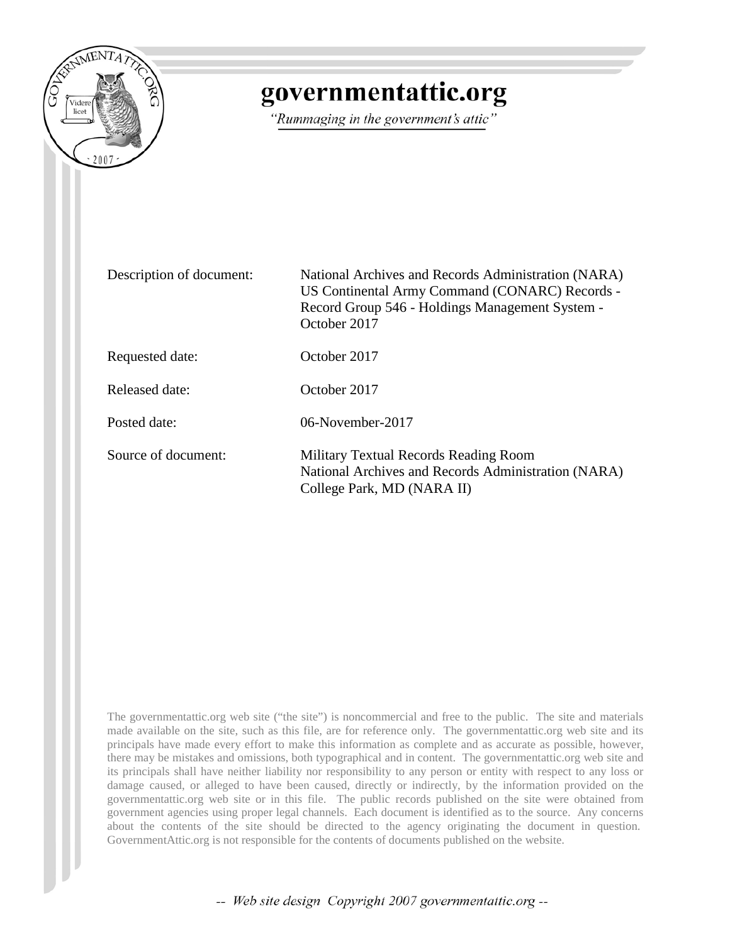

## governmentattic.org

"Rummaging in the government's attic"

| Description of document: | National Archives and Records Administration (NARA)<br>US Continental Army Command (CONARC) Records -<br>Record Group 546 - Holdings Management System -<br>October 2017 |
|--------------------------|--------------------------------------------------------------------------------------------------------------------------------------------------------------------------|
| Requested date:          | October 2017                                                                                                                                                             |
| Released date:           | October 2017                                                                                                                                                             |
| Posted date:             | 06-November-2017                                                                                                                                                         |
| Source of document:      | Military Textual Records Reading Room<br>National Archives and Records Administration (NARA)<br>College Park, MD (NARA II)                                               |

The governmentattic.org web site ("the site") is noncommercial and free to the public. The site and materials made available on the site, such as this file, are for reference only. The governmentattic.org web site and its principals have made every effort to make this information as complete and as accurate as possible, however, there may be mistakes and omissions, both typographical and in content. The governmentattic.org web site and its principals shall have neither liability nor responsibility to any person or entity with respect to any loss or damage caused, or alleged to have been caused, directly or indirectly, by the information provided on the governmentattic.org web site or in this file. The public records published on the site were obtained from government agencies using proper legal channels. Each document is identified as to the source. Any concerns about the contents of the site should be directed to the agency originating the document in question. GovernmentAttic.org is not responsible for the contents of documents published on the website.

-- Web site design Copyright 2007 governmentattic.org --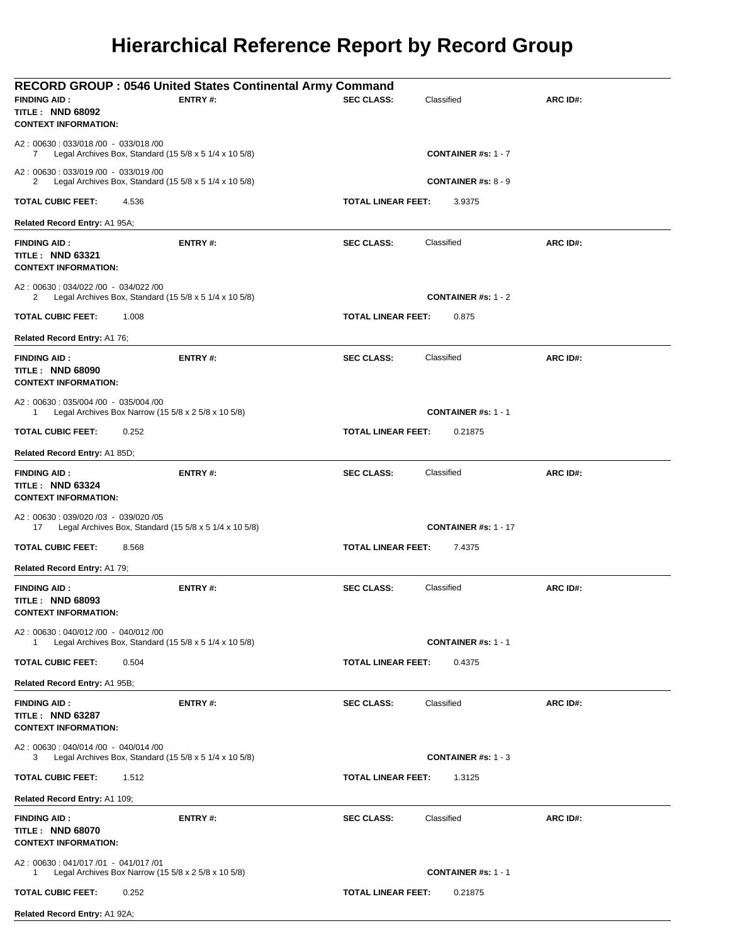## **Hierarchical Reference Report by Record Group**

| <b>FINDING AID:</b><br><b>TITLE: NND 68092</b><br><b>CONTEXT INFORMATION:</b>                    | <b>RECORD GROUP: 0546 United States Continental Army Command</b><br>ENTRY#: | <b>SEC CLASS:</b>         | Classified                  | ARC ID#: |
|--------------------------------------------------------------------------------------------------|-----------------------------------------------------------------------------|---------------------------|-----------------------------|----------|
| A2: 00630: 033/018 /00 - 033/018 /00<br>7                                                        | Legal Archives Box, Standard (15 5/8 x 5 1/4 x 10 5/8)                      |                           | <b>CONTAINER #s: 1 - 7</b>  |          |
| A2: 00630: 033/019 /00 - 033/019 /00<br>2                                                        | Legal Archives Box, Standard $(155/8 \times 51/4 \times 105/8)$             |                           | <b>CONTAINER #s: 8 - 9</b>  |          |
| <b>TOTAL CUBIC FEET:</b><br>4.536                                                                |                                                                             | <b>TOTAL LINEAR FEET:</b> | 3.9375                      |          |
| Related Record Entry: A1 95A;                                                                    |                                                                             |                           |                             |          |
| <b>FINDING AID:</b><br><b>TITLE: NND 63321</b><br><b>CONTEXT INFORMATION:</b>                    | ENTRY#:                                                                     | <b>SEC CLASS:</b>         | Classified                  | ARC ID#: |
| A2: 00630: 034/022 /00 - 034/022 /00<br>2                                                        | Legal Archives Box, Standard $(155/8 \times 51/4 \times 105/8)$             |                           | <b>CONTAINER #s: 1 - 2</b>  |          |
| <b>TOTAL CUBIC FEET:</b><br>1.008                                                                |                                                                             | <b>TOTAL LINEAR FEET:</b> | 0.875                       |          |
| Related Record Entry: A1 76;                                                                     |                                                                             |                           |                             |          |
| <b>FINDING AID:</b><br><b>TITLE: NND 68090</b><br><b>CONTEXT INFORMATION:</b>                    | ENTRY#:                                                                     | <b>SEC CLASS:</b>         | Classified                  | ARC ID#: |
| A2: 00630: 035/004 /00 - 035/004 /00<br>Legal Archives Box Narrow (15 5/8 x 2 5/8 x 10 5/8)<br>1 |                                                                             |                           | <b>CONTAINER #s: 1 - 1</b>  |          |
| TOTAL CUBIC FEET:<br>0.252                                                                       |                                                                             | <b>TOTAL LINEAR FEET:</b> | 0.21875                     |          |
| Related Record Entry: A1 85D;                                                                    |                                                                             |                           |                             |          |
| <b>FINDING AID:</b><br><b>TITLE: NND 63324</b><br><b>CONTEXT INFORMATION:</b>                    | ENTRY#:                                                                     | <b>SEC CLASS:</b>         | Classified                  | ARC ID#: |
| A2: 00630: 039/020 /03 - 039/020 /05<br>17                                                       | Legal Archives Box, Standard $(155/8 \times 51/4 \times 105/8)$             |                           | <b>CONTAINER #s: 1 - 17</b> |          |
| TOTAL CUBIC FEET:<br>8.568                                                                       |                                                                             | <b>TOTAL LINEAR FEET:</b> | 7.4375                      |          |
| Related Record Entry: A1 79;                                                                     |                                                                             |                           |                             |          |
| <b>FINDING AID:</b><br><b>TITLE: NND 68093</b><br><b>CONTEXT INFORMATION:</b>                    | ENTRY#:                                                                     | <b>SEC CLASS:</b>         | Classified                  | ARC ID#: |
| A2: 00630: 040/012/00 - 040/012/00<br>1                                                          | Legal Archives Box, Standard $(15\ 5/8 \times 5\ 1/4 \times 10\ 5/8)$       |                           | <b>CONTAINER #s: 1 - 1</b>  |          |
| TOTAL CUBIC FEET:<br>0.504                                                                       |                                                                             | <b>TOTAL LINEAR FEET:</b> | 0.4375                      |          |
| Related Record Entry: A1 95B;                                                                    |                                                                             |                           |                             |          |
| <b>FINDING AID:</b><br><b>TITLE: NND 63287</b><br><b>CONTEXT INFORMATION:</b>                    | ENTRY#:                                                                     | <b>SEC CLASS:</b>         | Classified                  | ARC ID#: |
| A2: 00630: 040/014 /00 - 040/014 /00<br>3                                                        | Legal Archives Box, Standard $(15\ 5/8 \times 5\ 1/4 \times 10\ 5/8)$       |                           | <b>CONTAINER #s: 1 - 3</b>  |          |
| TOTAL CUBIC FEET:<br>1.512                                                                       |                                                                             | <b>TOTAL LINEAR FEET:</b> | 1.3125                      |          |
| Related Record Entry: A1 109;                                                                    |                                                                             |                           |                             |          |
| <b>FINDING AID:</b><br><b>TITLE: NND 68070</b><br><b>CONTEXT INFORMATION:</b>                    | <b>ENTRY#:</b>                                                              | <b>SEC CLASS:</b>         | Classified                  | ARC ID#: |
| A2: 00630: 041/017 /01 - 041/017 /01<br>Legal Archives Box Narrow (15 5/8 x 2 5/8 x 10 5/8)<br>1 |                                                                             |                           | <b>CONTAINER #s: 1 - 1</b>  |          |
| TOTAL CUBIC FEET:<br>0.252                                                                       |                                                                             | <b>TOTAL LINEAR FEET:</b> | 0.21875                     |          |
| Related Record Entry: A1 92A;                                                                    |                                                                             |                           |                             |          |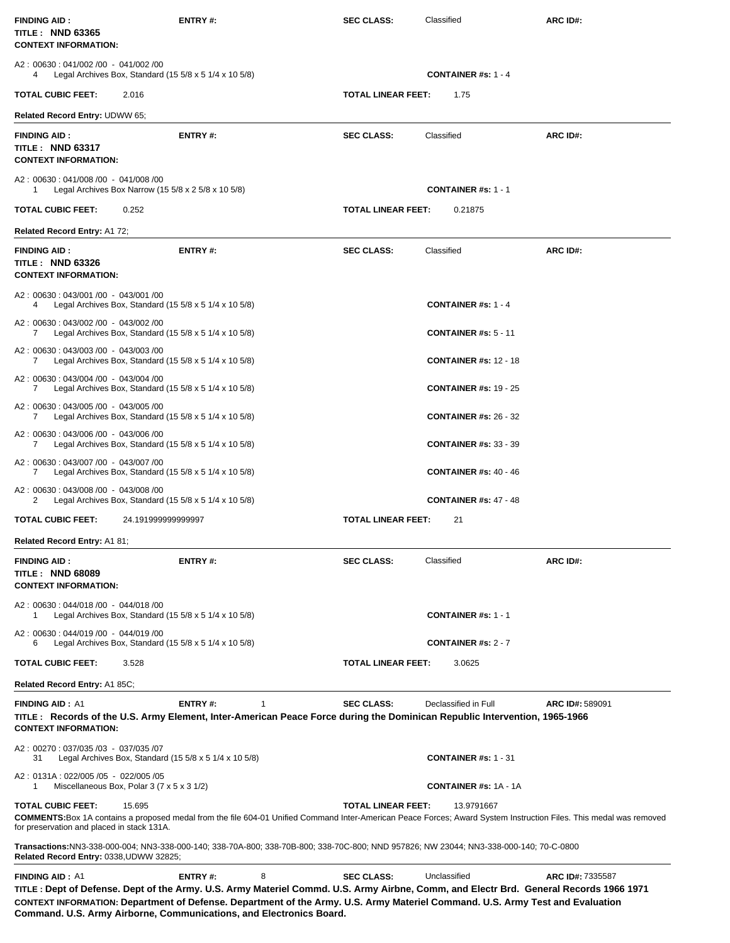| <b>FINDING AID:</b><br>TITLE: NND 63365<br><b>CONTEXT INFORMATION:</b>                                               | <b>ENTRY#:</b>                                                                                                                                                                                                                                                                                                                                                       | <b>SEC CLASS:</b>  | Classified                               | ARC ID#:         |
|----------------------------------------------------------------------------------------------------------------------|----------------------------------------------------------------------------------------------------------------------------------------------------------------------------------------------------------------------------------------------------------------------------------------------------------------------------------------------------------------------|--------------------|------------------------------------------|------------------|
| A2: 00630: 041/002/00 - 041/002/00<br>Legal Archives Box, Standard $(15\ 5/8 \times 5\ 1/4 \times 10\ 5/8)$<br>4     |                                                                                                                                                                                                                                                                                                                                                                      |                    | <b>CONTAINER #s: 1 - 4</b>               |                  |
| <b>TOTAL CUBIC FEET:</b><br>2.016                                                                                    |                                                                                                                                                                                                                                                                                                                                                                      | TOTAL LINEAR FEET: | 1.75                                     |                  |
| Related Record Entry: UDWW 65;                                                                                       |                                                                                                                                                                                                                                                                                                                                                                      |                    |                                          |                  |
| <b>FINDING AID:</b><br>TITLE: NND 63317<br><b>CONTEXT INFORMATION:</b>                                               | <b>ENTRY#:</b>                                                                                                                                                                                                                                                                                                                                                       | <b>SEC CLASS:</b>  | Classified                               | ARC ID#:         |
| A2: 00630: 041/008 /00 - 041/008 /00<br>Legal Archives Box Narrow (15 $5/8 \times 2$ 5/8 $\times$ 10 5/8)<br>1       |                                                                                                                                                                                                                                                                                                                                                                      |                    | <b>CONTAINER #s: 1 - 1</b>               |                  |
| <b>TOTAL CUBIC FEET:</b><br>0.252                                                                                    |                                                                                                                                                                                                                                                                                                                                                                      | TOTAL LINEAR FEET: | 0.21875                                  |                  |
| Related Record Entry: A1 72;                                                                                         |                                                                                                                                                                                                                                                                                                                                                                      |                    |                                          |                  |
| <b>FINDING AID:</b><br>TITLE: NND 63326<br><b>CONTEXT INFORMATION:</b>                                               | <b>ENTRY#:</b>                                                                                                                                                                                                                                                                                                                                                       | <b>SEC CLASS:</b>  | Classified                               | ARC ID#:         |
| A2: 00630: 043/001 /00 - 043/001 /00<br>Legal Archives Box, Standard $(15\,5/8 \times 5\,1/4 \times 10\,5/8)$<br>4   |                                                                                                                                                                                                                                                                                                                                                                      |                    | <b>CONTAINER #s: 1 - 4</b>               |                  |
| A2: 00630: 043/002 /00 - 043/002 /00<br>Legal Archives Box, Standard $(15\ 5/8 \times 5\ 1/4 \times 10\ 5/8)$<br>7   |                                                                                                                                                                                                                                                                                                                                                                      |                    | <b>CONTAINER #s: <math>5 - 11</math></b> |                  |
| A2: 00630: 043/003/00 - 043/003/00<br>Legal Archives Box, Standard $(15\ 5/8 \times 5\ 1/4 \times 10\ 5/8)$<br>7     |                                                                                                                                                                                                                                                                                                                                                                      |                    | <b>CONTAINER #s: 12 - 18</b>             |                  |
| A2: 00630: 043/004 /00 - 043/004 /00<br>Legal Archives Box, Standard $(15\,5/8 \times 5\,1/4 \times 10\,5/8)$<br>7   |                                                                                                                                                                                                                                                                                                                                                                      |                    | <b>CONTAINER #s: 19 - 25</b>             |                  |
| A2: 00630: 043/005 /00 - 043/005 /00<br>Legal Archives Box, Standard $(15\,5/8 \times 5\,1/4 \times 10\,5/8)$<br>7   |                                                                                                                                                                                                                                                                                                                                                                      |                    | <b>CONTAINER #s: 26 - 32</b>             |                  |
| A2: 00630: 043/006 /00 - 043/006 /00<br>Legal Archives Box, Standard $(15\ 5/8 \times 5\ 1/4 \times 10\ 5/8)$<br>7   |                                                                                                                                                                                                                                                                                                                                                                      |                    | <b>CONTAINER #s: 33 - 39</b>             |                  |
| A2: 00630: 043/007 /00 - 043/007 /00<br>Legal Archives Box, Standard $(15\ 5/8 \times 5\ 1/4 \times 10\ 5/8)$<br>7   |                                                                                                                                                                                                                                                                                                                                                                      |                    | <b>CONTAINER #s: 40 - 46</b>             |                  |
| A2: 00630: 043/008 /00 - 043/008 /00<br>Legal Archives Box, Standard $(15\,5/8 \times 5\,1/4 \times 10\,5/8)$<br>2   |                                                                                                                                                                                                                                                                                                                                                                      |                    | <b>CONTAINER #s: 47 - 48</b>             |                  |
| <b>TOTAL CUBIC FEET:</b><br>24.19199999999997                                                                        |                                                                                                                                                                                                                                                                                                                                                                      | TOTAL LINEAR FEET: | 21                                       |                  |
| <b>Related Record Entry: A181;</b>                                                                                   |                                                                                                                                                                                                                                                                                                                                                                      |                    |                                          |                  |
| <b>FINDING AID:</b><br><b>TITLE: NND 68089</b><br><b>CONTEXT INFORMATION:</b>                                        | ENTRY#:                                                                                                                                                                                                                                                                                                                                                              | <b>SEC CLASS:</b>  | Classified                               | ARC ID#:         |
| A2: 00630: 044/018 /00 - 044/018 /00<br>Legal Archives Box, Standard (15 $5/8 \times 5$ 1/4 $\times$ 10 $5/8$ )<br>1 |                                                                                                                                                                                                                                                                                                                                                                      |                    | <b>CONTAINER #s: 1 - 1</b>               |                  |
| A2: 00630: 044/019 /00 - 044/019 /00<br>Legal Archives Box, Standard (15 $5/8 \times 5$ 1/4 $\times$ 10 $5/8$ )<br>6 |                                                                                                                                                                                                                                                                                                                                                                      |                    | <b>CONTAINER #s: 2 - 7</b>               |                  |
| TOTAL CUBIC FEET:<br>3.528                                                                                           |                                                                                                                                                                                                                                                                                                                                                                      | TOTAL LINEAR FEET: | 3.0625                                   |                  |
| Related Record Entry: A1 85C;                                                                                        |                                                                                                                                                                                                                                                                                                                                                                      |                    |                                          |                  |
| <b>FINDING AID: A1</b><br><b>CONTEXT INFORMATION:</b>                                                                | <b>ENTRY#:</b><br>TITLE: Records of the U.S. Army Element, Inter-American Peace Force during the Dominican Republic Intervention, 1965-1966                                                                                                                                                                                                                          | <b>SEC CLASS:</b>  | Declassified in Full                     | ARC ID#: 589091  |
| A2: 00270: 037/035 /03 - 037/035 /07<br>Legal Archives Box, Standard $(155/8 \times 51/4 \times 105/8)$<br>31        |                                                                                                                                                                                                                                                                                                                                                                      |                    | <b>CONTAINER #s: 1 - 31</b>              |                  |
| A2: 0131A: 022/005 /05 - 022/005 /05<br>Miscellaneous Box, Polar $3$ (7 x 5 x 3 1/2)<br>1                            |                                                                                                                                                                                                                                                                                                                                                                      |                    | <b>CONTAINER #s: 1A - 1A</b>             |                  |
| TOTAL CUBIC FEET:<br>15.695<br>for preservation and placed in stack 131A.                                            | COMMENTS: Box 1A contains a proposed medal from the file 604-01 Unified Command Inter-American Peace Forces; Award System Instruction Files. This medal was removed                                                                                                                                                                                                  | TOTAL LINEAR FEET: | 13.9791667                               |                  |
| Related Record Entry: 0338, UDWW 32825;                                                                              | Transactions:NN3-338-000-004; NN3-338-000-140; 338-70A-800; 338-70B-800; 338-70C-800; NND 957826; NW 23044; NN3-338-000-140; 70-C-0800                                                                                                                                                                                                                               |                    |                                          |                  |
| <b>FINDING AID: A1</b>                                                                                               | <b>ENTRY#:</b><br>8<br>TITLE: Dept of Defense. Dept of the Army. U.S. Army Materiel Commd. U.S. Army Airbne, Comm, and Electr Brd. General Records 1966 1971<br>CONTEXT INFORMATION: Department of Defense. Department of the Army. U.S. Army Materiel Command. U.S. Army Test and Evaluation<br>Command. U.S. Army Airborne, Communications, and Electronics Board. | <b>SEC CLASS:</b>  | Unclassified                             | ARC ID#: 7335587 |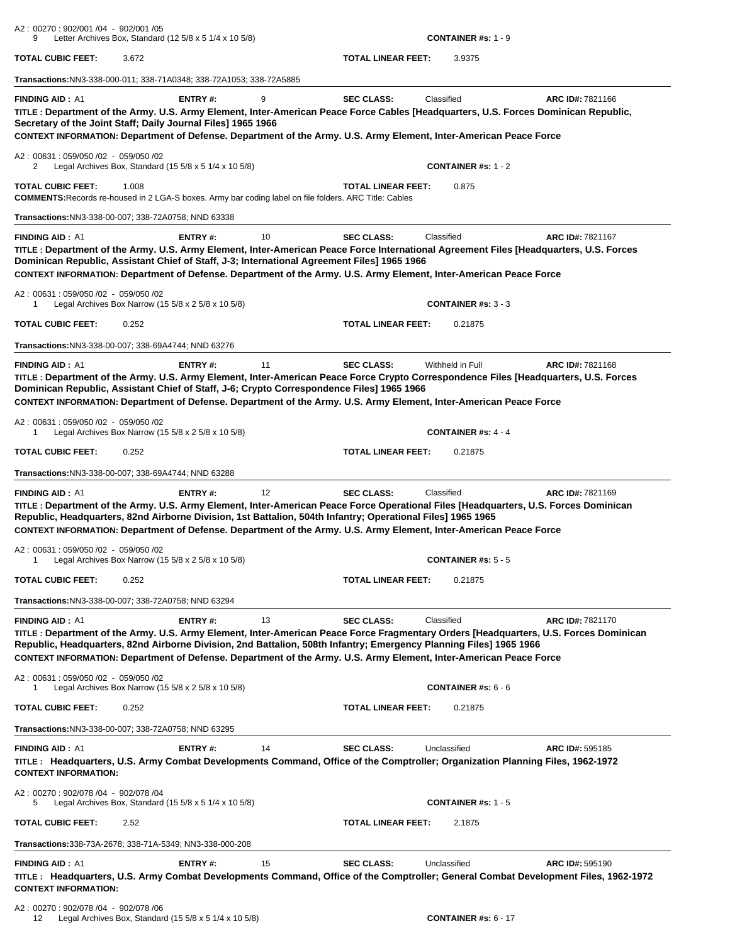| A2: 00270: 902/001 /04 - 902/001 /05<br>9                      | Letter Archives Box, Standard $(125/8 \times 51/4 \times 105/8)$                                                                                                                                                                                                                                                                                                                           |    |                           | <b>CONTAINER #s: 1 - 9</b>              |                  |
|----------------------------------------------------------------|--------------------------------------------------------------------------------------------------------------------------------------------------------------------------------------------------------------------------------------------------------------------------------------------------------------------------------------------------------------------------------------------|----|---------------------------|-----------------------------------------|------------------|
| TOTAL CUBIC FEET:                                              | 3.672                                                                                                                                                                                                                                                                                                                                                                                      |    | <b>TOTAL LINEAR FEET:</b> | 3.9375                                  |                  |
|                                                                | Transactions:NN3-338-000-011; 338-71A0348; 338-72A1053; 338-72A5885                                                                                                                                                                                                                                                                                                                        |    |                           |                                         |                  |
| <b>FINDING AID: A1</b>                                         | ENTRY#:<br>TITLE : Department of the Army. U.S. Army Element, Inter-American Peace Force Cables [Headquarters, U.S. Forces Dominican Republic,<br>Secretary of the Joint Staff; Daily Journal Files] 1965 1966<br>CONTEXT INFORMATION: Department of Defense. Department of the Army. U.S. Army Element, Inter-American Peace Force                                                        | 9  | <b>SEC CLASS:</b>         | Classified                              | ARC ID#: 7821166 |
| A2: 00631: 059/050 /02 - 059/050 /02<br>2                      | Legal Archives Box, Standard (15 $5/8 \times 5$ 1/4 $\times$ 10 $5/8$ )                                                                                                                                                                                                                                                                                                                    |    |                           | CONTAINER #s: $1 - 2$                   |                  |
| TOTAL CUBIC FEET:                                              | 1.008<br><b>COMMENTS: Records re-housed in 2 LGA-S boxes. Army bar coding label on file folders. ARC Title: Cables</b>                                                                                                                                                                                                                                                                     |    | <b>TOTAL LINEAR FEET:</b> | 0.875                                   |                  |
|                                                                | Transactions:NN3-338-00-007; 338-72A0758; NND 63338                                                                                                                                                                                                                                                                                                                                        |    |                           |                                         |                  |
| <b>FINDING AID: A1</b><br>A2: 00631: 059/050 /02 - 059/050 /02 | <b>ENTRY#:</b><br>TITLE : Department of the Army. U.S. Army Element, Inter-American Peace Force International Agreement Files [Headquarters, U.S. Forces<br>Dominican Republic, Assistant Chief of Staff, J-3; International Agreement Files] 1965 1966<br>CONTEXT INFORMATION: Department of Defense. Department of the Army. U.S. Army Element, Inter-American Peace Force               | 10 | <b>SEC CLASS:</b>         | Classified                              | ARC ID#: 7821167 |
| 1                                                              | Legal Archives Box Narrow (15 5/8 x 2 5/8 x 10 5/8)                                                                                                                                                                                                                                                                                                                                        |    |                           | <b>CONTAINER #s: 3 - 3</b>              |                  |
| <b>TOTAL CUBIC FEET:</b>                                       | 0.252                                                                                                                                                                                                                                                                                                                                                                                      |    | <b>TOTAL LINEAR FEET:</b> | 0.21875                                 |                  |
|                                                                | Transactions:NN3-338-00-007; 338-69A4744; NND 63276                                                                                                                                                                                                                                                                                                                                        |    |                           |                                         |                  |
| <b>FINDING AID: A1</b>                                         | <b>ENTRY#:</b><br>TITLE : Department of the Army. U.S. Army Element, Inter-American Peace Force Crypto Correspondence Files [Headquarters, U.S. Forces<br>Dominican Republic, Assistant Chief of Staff, J-6; Crypto Correspondence Files] 1965 1966<br>CONTEXT INFORMATION: Department of Defense. Department of the Army. U.S. Army Element, Inter-American Peace Force                   | 11 | <b>SEC CLASS:</b>         | Withheld in Full                        | ARC ID#: 7821168 |
| A2: 00631: 059/050 /02 - 059/050 /02                           | Legal Archives Box Narrow (15 5/8 x 2 5/8 x 10 5/8)                                                                                                                                                                                                                                                                                                                                        |    |                           | CONTAINER #s: $4 - 4$                   |                  |
| <b>TOTAL CUBIC FEET:</b>                                       | 0.252                                                                                                                                                                                                                                                                                                                                                                                      |    | <b>TOTAL LINEAR FEET:</b> | 0.21875                                 |                  |
|                                                                | <b>Transactions: NN3-338-00-007; 338-69A4744; NND 63288</b>                                                                                                                                                                                                                                                                                                                                |    |                           |                                         |                  |
| <b>FINDING AID: A1</b><br>A2: 00631: 059/050 /02 - 059/050 /02 | <b>ENTRY#:</b><br>TITLE: Department of the Army. U.S. Army Element, Inter-American Peace Force Operational Files [Headquarters, U.S. Forces Dominican<br>Republic, Headquarters, 82nd Airborne Division, 1st Battalion, 504th Infantry; Operational Files] 1965 1965<br>CONTEXT INFORMATION: Department of Defense. Department of the Army. U.S. Army Element, Inter-American Peace Force  | 12 | <b>SEC CLASS:</b>         | Classified                              | ARC ID#: 7821169 |
| 1                                                              | Legal Archives Box Narrow (15 $5/8 \times 2$ 5/8 $\times$ 10 5/8)                                                                                                                                                                                                                                                                                                                          |    |                           | <b>CONTAINER #s: <math>5 - 5</math></b> |                  |
| <b>TOTAL CUBIC FEET:</b>                                       | 0.252                                                                                                                                                                                                                                                                                                                                                                                      |    | <b>TOTAL LINEAR FEET:</b> | 0.21875                                 |                  |
|                                                                | Transactions:NN3-338-00-007; 338-72A0758; NND 63294                                                                                                                                                                                                                                                                                                                                        |    |                           |                                         |                  |
| <b>FINDING AID: A1</b>                                         | ENTRY#:<br>TITLE: Department of the Army. U.S. Army Element, Inter-American Peace Force Fragmentary Orders [Headquarters, U.S. Forces Dominican<br>Republic, Headquarters, 82nd Airborne Division, 2nd Battalion, 508th Infantry; Emergency Planning Files] 1965 1966<br>CONTEXT INFORMATION: Department of Defense. Department of the Army. U.S. Army Element, Inter-American Peace Force | 13 | <b>SEC CLASS:</b>         | Classified                              | ARC ID#: 7821170 |
| A2: 00631: 059/050 /02 - 059/050 /02<br>1                      | Legal Archives Box Narrow (15 5/8 x 2 5/8 x 10 5/8)                                                                                                                                                                                                                                                                                                                                        |    |                           | <b>CONTAINER #s: <math>6 - 6</math></b> |                  |
| TOTAL CUBIC FEET:                                              | 0.252                                                                                                                                                                                                                                                                                                                                                                                      |    | <b>TOTAL LINEAR FEET:</b> | 0.21875                                 |                  |
|                                                                | Transactions:NN3-338-00-007; 338-72A0758; NND 63295                                                                                                                                                                                                                                                                                                                                        |    |                           |                                         |                  |
| <b>FINDING AID: A1</b><br><b>CONTEXT INFORMATION:</b>          | <b>ENTRY#:</b><br>TITLE: Headquarters, U.S. Army Combat Developments Command, Office of the Comptroller; Organization Planning Files, 1962-1972                                                                                                                                                                                                                                            | 14 | <b>SEC CLASS:</b>         | Unclassified                            | ARC ID#: 595185  |
| A2: 00270: 902/078 /04 - 902/078 /04                           |                                                                                                                                                                                                                                                                                                                                                                                            |    |                           |                                         |                  |
| 5                                                              | Legal Archives Box, Standard $(15\ 5/8 \times 5\ 1/4 \times 10\ 5/8)$                                                                                                                                                                                                                                                                                                                      |    |                           | <b>CONTAINER #s: 1 - 5</b>              |                  |
| TOTAL CUBIC FEET:                                              | 2.52                                                                                                                                                                                                                                                                                                                                                                                       |    | <b>TOTAL LINEAR FEET:</b> | 2.1875                                  |                  |
|                                                                | Transactions:338-73A-2678; 338-71A-5349; NN3-338-000-208                                                                                                                                                                                                                                                                                                                                   |    |                           |                                         |                  |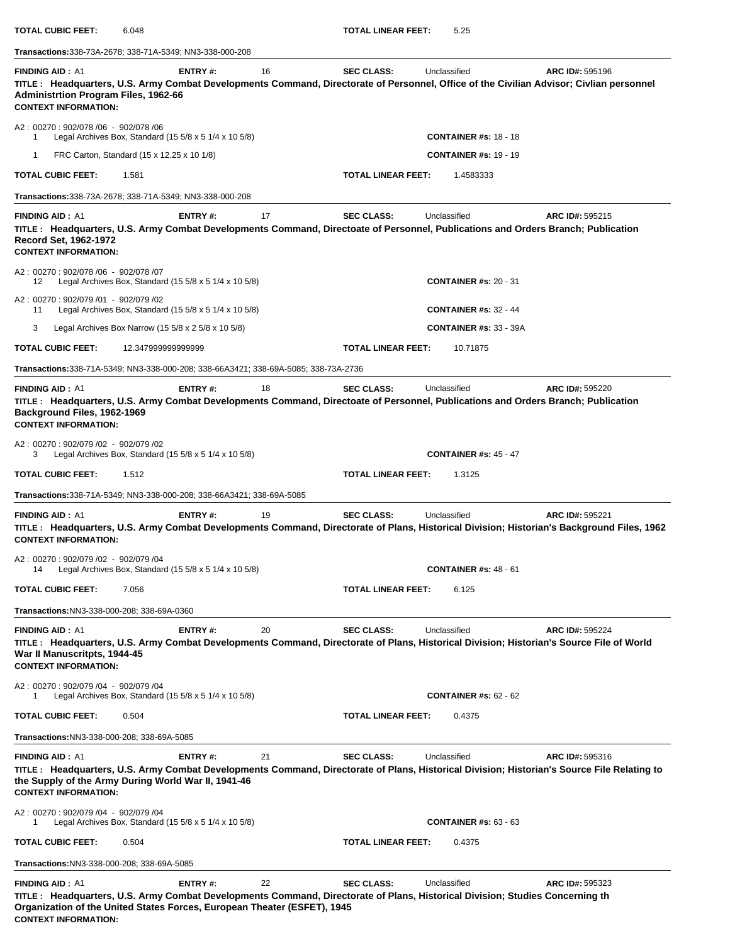| <b>TOTAL CUBIC FEET:</b>                                                                             | 6.048                                                                                                                                                                                                                      |    | <b>TOTAL LINEAR FEET:</b> | 5.25                          |                 |
|------------------------------------------------------------------------------------------------------|----------------------------------------------------------------------------------------------------------------------------------------------------------------------------------------------------------------------------|----|---------------------------|-------------------------------|-----------------|
|                                                                                                      | Transactions: 338-73A-2678; 338-71A-5349; NN3-338-000-208                                                                                                                                                                  |    |                           |                               |                 |
| <b>FINDING AID: A1</b><br><b>Administrtion Program Files, 1962-66</b><br><b>CONTEXT INFORMATION:</b> | ENTRY#:<br>TITLE: Headquarters, U.S. Army Combat Developments Command, Directorate of Personnel, Office of the Civilian Advisor; Civlian personnel                                                                         | 16 | <b>SEC CLASS:</b>         | Unclassified                  | ARC ID#: 595196 |
| A2: 00270: 902/078 /06 - 902/078 /06<br>$\mathbf{1}$                                                 | Legal Archives Box, Standard (15 $5/8 \times 5$ 1/4 $\times$ 10 $5/8$ )                                                                                                                                                    |    |                           | <b>CONTAINER #s: 18 - 18</b>  |                 |
| 1                                                                                                    | FRC Carton, Standard (15 x 12.25 x 10 1/8)                                                                                                                                                                                 |    |                           | <b>CONTAINER #s: 19 - 19</b>  |                 |
| <b>TOTAL CUBIC FEET:</b>                                                                             | 1.581                                                                                                                                                                                                                      |    | <b>TOTAL LINEAR FEET:</b> | 1.4583333                     |                 |
|                                                                                                      | Transactions:338-73A-2678; 338-71A-5349; NN3-338-000-208                                                                                                                                                                   |    |                           |                               |                 |
| <b>FINDING AID: A1</b><br>Record Set, 1962-1972<br><b>CONTEXT INFORMATION:</b>                       | <b>ENTRY#:</b><br>TITLE: Headquarters, U.S. Army Combat Developments Command, Directoate of Personnel, Publications and Orders Branch; Publication                                                                         | 17 | <b>SEC CLASS:</b>         | Unclassified                  | ARC ID#: 595215 |
| A2: 00270: 902/078 /06 - 902/078 /07<br>12                                                           | Legal Archives Box, Standard $(15\ 5/8 \times 5\ 1/4 \times 10\ 5/8)$                                                                                                                                                      |    |                           | <b>CONTAINER #s: 20 - 31</b>  |                 |
| A2: 00270: 902/079 /01 - 902/079 /02<br>11                                                           | Legal Archives Box, Standard $(15\ 5/8 \times 5\ 1/4 \times 10\ 5/8)$                                                                                                                                                      |    |                           | <b>CONTAINER #s: 32 - 44</b>  |                 |
| 3                                                                                                    | Legal Archives Box Narrow (15 $5/8 \times 2$ 5/8 $\times$ 10 5/8)                                                                                                                                                          |    |                           | <b>CONTAINER #s: 33 - 39A</b> |                 |
| <b>TOTAL CUBIC FEET:</b>                                                                             | 12.347999999999999                                                                                                                                                                                                         |    | <b>TOTAL LINEAR FEET:</b> | 10.71875                      |                 |
|                                                                                                      | Transactions:338-71A-5349; NN3-338-000-208; 338-66A3421; 338-69A-5085; 338-73A-2736                                                                                                                                        |    |                           |                               |                 |
| <b>FINDING AID: A1</b><br>Background Files, 1962-1969<br><b>CONTEXT INFORMATION:</b>                 | ENTRY#:<br>TITLE: Headquarters, U.S. Army Combat Developments Command, Directoate of Personnel, Publications and Orders Branch; Publication                                                                                | 18 | <b>SEC CLASS:</b>         | Unclassified                  | ARC ID#: 595220 |
| A2: 00270: 902/079 /02 - 902/079 /02<br>3                                                            | Legal Archives Box, Standard (15 $5/8 \times 5$ 1/4 $\times$ 10 $5/8$ )                                                                                                                                                    |    |                           | <b>CONTAINER #s: 45 - 47</b>  |                 |
| <b>TOTAL CUBIC FEET:</b>                                                                             | 1.512                                                                                                                                                                                                                      |    | <b>TOTAL LINEAR FEET:</b> | 1.3125                        |                 |
|                                                                                                      | Transactions:338-71A-5349; NN3-338-000-208; 338-66A3421; 338-69A-5085                                                                                                                                                      |    |                           |                               |                 |
| <b>FINDING AID: A1</b><br><b>CONTEXT INFORMATION:</b>                                                | ENTRY#:<br>TITLE: Headquarters, U.S. Army Combat Developments Command, Directorate of Plans, Historical Division; Historian's Background Files, 1962                                                                       | 19 | <b>SEC CLASS:</b>         | Unclassified                  | ARC ID#: 595221 |
| A2: 00270: 902/079 /02 - 902/079 /04<br>14                                                           | Legal Archives Box, Standard $(15\ 5/8 \times 5\ 1/4 \times 10\ 5/8)$                                                                                                                                                      |    |                           | <b>CONTAINER #s: 48 - 61</b>  |                 |
| <b>TOTAL CUBIC FEET:</b>                                                                             | 7.056                                                                                                                                                                                                                      |    | <b>TOTAL LINEAR FEET:</b> | 6.125                         |                 |
| Transactions: NN3-338-000-208; 338-69A-0360                                                          |                                                                                                                                                                                                                            |    |                           |                               |                 |
| <b>FINDING AID: A1</b><br>War II Manuscritpts, 1944-45<br><b>CONTEXT INFORMATION:</b>                | <b>ENTRY#:</b><br>TITLE: Headquarters, U.S. Army Combat Developments Command, Directorate of Plans, Historical Division; Historian's Source File of World                                                                  | 20 | <b>SEC CLASS:</b>         | Unclassified                  | ARC ID#: 595224 |
| A2: 00270: 902/079 /04 - 902/079 /04                                                                 | Legal Archives Box, Standard (15 $5/8 \times 5$ 1/4 $\times$ 10 $5/8$ )                                                                                                                                                    |    |                           | <b>CONTAINER #s: 62 - 62</b>  |                 |
| <b>TOTAL CUBIC FEET:</b>                                                                             | 0.504                                                                                                                                                                                                                      |    | <b>TOTAL LINEAR FEET:</b> | 0.4375                        |                 |
| Transactions:NN3-338-000-208; 338-69A-5085                                                           |                                                                                                                                                                                                                            |    |                           |                               |                 |
| <b>FINDING AID: A1</b><br><b>CONTEXT INFORMATION:</b>                                                | ENTRY#:<br>TITLE: Headquarters, U.S. Army Combat Developments Command, Directorate of Plans, Historical Division; Historian's Source File Relating to<br>the Supply of the Army During World War II, 1941-46               | 21 | <b>SEC CLASS:</b>         | Unclassified                  | ARC ID#: 595316 |
| A2: 00270: 902/079 /04 - 902/079 /04<br>1                                                            | Legal Archives Box, Standard (15 $5/8 \times 5$ 1/4 $\times$ 10 $5/8$ )                                                                                                                                                    |    |                           | <b>CONTAINER #s: 63 - 63</b>  |                 |
| <b>TOTAL CUBIC FEET:</b>                                                                             | 0.504                                                                                                                                                                                                                      |    | <b>TOTAL LINEAR FEET:</b> | 0.4375                        |                 |
| Transactions:NN3-338-000-208; 338-69A-5085                                                           |                                                                                                                                                                                                                            |    |                           |                               |                 |
| <b>FINDING AID: A1</b><br><b>CONTEXT INFORMATION:</b>                                                | <b>ENTRY#:</b><br>TITLE: Headquarters, U.S. Army Combat Developments Command, Directorate of Plans, Historical Division; Studies Concerning th<br>Organization of the United States Forces, European Theater (ESFET), 1945 | 22 | <b>SEC CLASS:</b>         | Unclassified                  | ARC ID#: 595323 |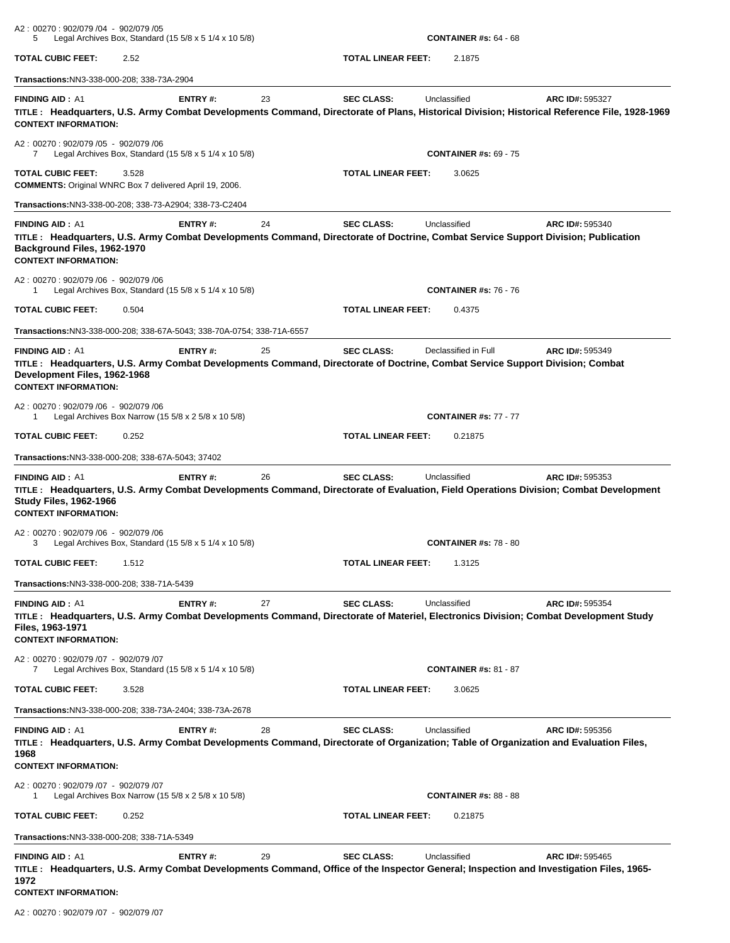| A2: 00270: 902/079 /04 - 902/079 /05<br>5                                                                                                                                                                                 |       | Legal Archives Box, Standard (15 $5/8 \times 5$ 1/4 $\times$ 10 $5/8$ ) |    |                           | <b>CONTAINER #s: 64 - 68</b> |                                                                                                                                                                       |
|---------------------------------------------------------------------------------------------------------------------------------------------------------------------------------------------------------------------------|-------|-------------------------------------------------------------------------|----|---------------------------|------------------------------|-----------------------------------------------------------------------------------------------------------------------------------------------------------------------|
| TOTAL CUBIC FEET:                                                                                                                                                                                                         | 2.52  |                                                                         |    | TOTAL LINEAR FEET:        | 2.1875                       |                                                                                                                                                                       |
| Transactions:NN3-338-000-208; 338-73A-2904                                                                                                                                                                                |       |                                                                         |    |                           |                              |                                                                                                                                                                       |
| <b>FINDING AID: A1</b><br><b>CONTEXT INFORMATION:</b>                                                                                                                                                                     |       | ENTRY#:                                                                 | 23 | <b>SEC CLASS:</b>         | Unclassified                 | <b>ARC ID#: 595327</b><br>TITLE: Headquarters, U.S. Army Combat Developments Command, Directorate of Plans, Historical Division; Historical Reference File, 1928-1969 |
| A2: 00270: 902/079 /05 - 902/079 /06<br>7                                                                                                                                                                                 |       | Legal Archives Box, Standard (15 5/8 x 5 1/4 x 10 5/8)                  |    |                           | <b>CONTAINER #s: 69 - 75</b> |                                                                                                                                                                       |
| TOTAL CUBIC FEET:<br><b>COMMENTS:</b> Original WNRC Box 7 delivered April 19, 2006.                                                                                                                                       | 3.528 |                                                                         |    | TOTAL LINEAR FEET:        | 3.0625                       |                                                                                                                                                                       |
| Transactions:NN3-338-00-208; 338-73-A2904; 338-73-C2404                                                                                                                                                                   |       |                                                                         |    |                           |                              |                                                                                                                                                                       |
| <b>FINDING AID: A1</b><br>TITLE: Headquarters, U.S. Army Combat Developments Command, Directorate of Doctrine, Combat Service Support Division; Publication<br>Background Files, 1962-1970<br><b>CONTEXT INFORMATION:</b> |       | ENTRY#:                                                                 | 24 | <b>SEC CLASS:</b>         | Unclassified                 | ARC ID#: 595340                                                                                                                                                       |
| A2: 00270: 902/079 /06 - 902/079 /06<br>1                                                                                                                                                                                 |       | Legal Archives Box, Standard (15 $5/8 \times 5$ 1/4 $\times$ 10 $5/8$ ) |    |                           | <b>CONTAINER #s: 76 - 76</b> |                                                                                                                                                                       |
| <b>TOTAL CUBIC FEET:</b>                                                                                                                                                                                                  | 0.504 |                                                                         |    | <b>TOTAL LINEAR FEET:</b> | 0.4375                       |                                                                                                                                                                       |
| Transactions:NN3-338-000-208; 338-67A-5043; 338-70A-0754; 338-71A-6557                                                                                                                                                    |       |                                                                         |    |                           |                              |                                                                                                                                                                       |
| <b>FINDING AID: A1</b><br>TITLE: Headquarters, U.S. Army Combat Developments Command, Directorate of Doctrine, Combat Service Support Division; Combat<br>Development Files, 1962-1968<br><b>CONTEXT INFORMATION:</b>     |       | ENTRY#:                                                                 | 25 | <b>SEC CLASS:</b>         | Declassified in Full         | ARC ID#: 595349                                                                                                                                                       |
| A2: 00270: 902/079 /06 - 902/079 /06<br>1                                                                                                                                                                                 |       | Legal Archives Box Narrow (15 5/8 x 2 5/8 x 10 5/8)                     |    |                           | <b>CONTAINER #s: 77 - 77</b> |                                                                                                                                                                       |
| <b>TOTAL CUBIC FEET:</b>                                                                                                                                                                                                  | 0.252 |                                                                         |    | TOTAL LINEAR FEET:        | 0.21875                      |                                                                                                                                                                       |
| Transactions:NN3-338-000-208; 338-67A-5043; 37402                                                                                                                                                                         |       |                                                                         |    |                           |                              |                                                                                                                                                                       |
| <b>FINDING AID: A1</b><br><b>Study Files, 1962-1966</b><br><b>CONTEXT INFORMATION:</b>                                                                                                                                    |       | ENTRY#:                                                                 | 26 | <b>SEC CLASS:</b>         | Unclassified                 | ARC ID#: 595353<br>TITLE: Headquarters, U.S. Army Combat Developments Command, Directorate of Evaluation, Field Operations Division; Combat Development               |
| A2: 00270: 902/079 /06 - 902/079 /06<br>3                                                                                                                                                                                 |       | Legal Archives Box, Standard (15 5/8 x 5 1/4 x 10 5/8)                  |    |                           | <b>CONTAINER #s: 78 - 80</b> |                                                                                                                                                                       |
| TOTAL CUBIC FEET:                                                                                                                                                                                                         | 1.512 |                                                                         |    | <b>TOTAL LINEAR FEET:</b> | 1.3125                       |                                                                                                                                                                       |
| Transactions: NN3-338-000-208; 338-71A-5439                                                                                                                                                                               |       |                                                                         |    |                           |                              |                                                                                                                                                                       |
| <b>FINDING AID: A1</b><br>Files, 1963-1971<br><b>CONTEXT INFORMATION:</b>                                                                                                                                                 |       | ENTRY#:                                                                 | 27 | <b>SEC CLASS:</b>         | Unclassified                 | ARC ID#: 595354<br>TITLE: Headquarters, U.S. Army Combat Developments Command, Directorate of Materiel, Electronics Division; Combat Development Study                |
| A2: 00270: 902/079 /07 - 902/079 /07<br>7                                                                                                                                                                                 |       | Legal Archives Box, Standard (15 $5/8 \times 5$ 1/4 $\times$ 10 $5/8$ ) |    |                           | <b>CONTAINER #s: 81 - 87</b> |                                                                                                                                                                       |
| TOTAL CUBIC FEET:                                                                                                                                                                                                         | 3.528 |                                                                         |    | <b>TOTAL LINEAR FEET:</b> | 3.0625                       |                                                                                                                                                                       |
| Transactions:NN3-338-000-208; 338-73A-2404; 338-73A-2678                                                                                                                                                                  |       |                                                                         |    |                           |                              |                                                                                                                                                                       |
| <b>FINDING AID: A1</b><br>1968<br><b>CONTEXT INFORMATION:</b>                                                                                                                                                             |       | <b>ENTRY#:</b>                                                          | 28 | <b>SEC CLASS:</b>         | Unclassified                 | ARC ID#: 595356<br>TITLE: Headquarters, U.S. Army Combat Developments Command, Directorate of Organization; Table of Organization and Evaluation Files,               |
| A2: 00270: 902/079 /07 - 902/079 /07<br>1                                                                                                                                                                                 |       | Legal Archives Box Narrow (15 $5/8 \times 2$ 5/8 $\times$ 10 5/8)       |    |                           | <b>CONTAINER #s: 88 - 88</b> |                                                                                                                                                                       |
| TOTAL CUBIC FEET:                                                                                                                                                                                                         | 0.252 |                                                                         |    | TOTAL LINEAR FEET:        | 0.21875                      |                                                                                                                                                                       |
| Transactions: NN3-338-000-208; 338-71A-5349                                                                                                                                                                               |       |                                                                         |    |                           |                              |                                                                                                                                                                       |
| <b>FINDING AID: A1</b><br>1972<br><b>CONTEXT INFORMATION:</b>                                                                                                                                                             |       | <b>ENTRY#:</b>                                                          | 29 | <b>SEC CLASS:</b>         | Unclassified                 | ARC ID#: 595465<br>TITLE: Headquarters, U.S. Army Combat Developments Command, Office of the Inspector General; Inspection and Investigation Files, 1965-             |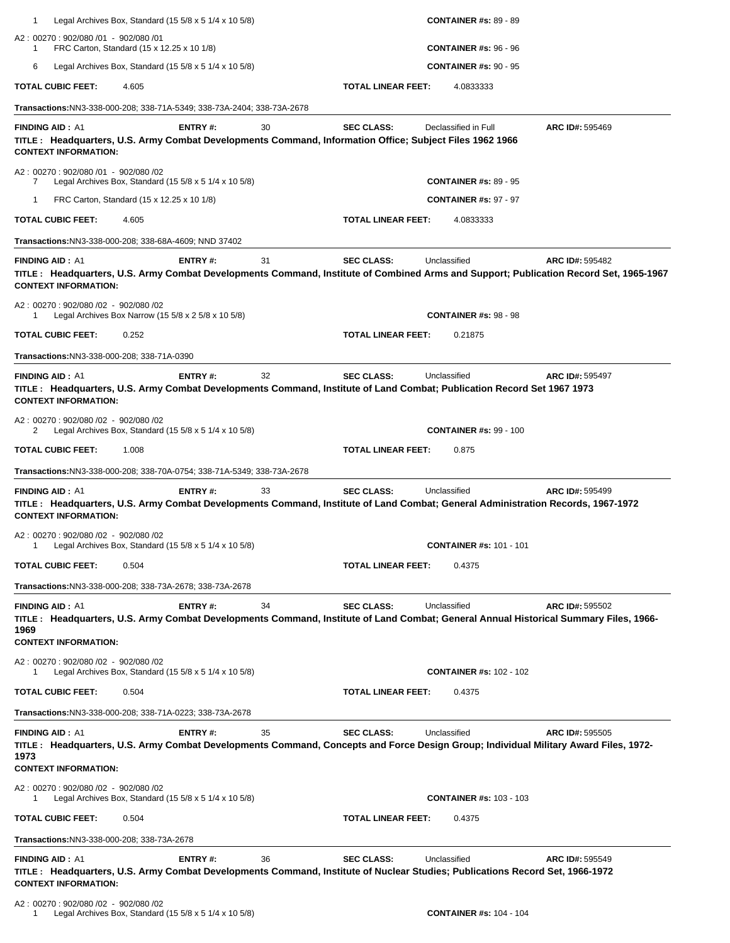| 1<br>Legal Archives Box, Standard (15 $5/8 \times 5$ 1/4 $\times$ 10 $5/8$ )                                                                                                                          |                |    |                    | <b>CONTAINER #s: 89 - 89</b>   |                        |
|-------------------------------------------------------------------------------------------------------------------------------------------------------------------------------------------------------|----------------|----|--------------------|--------------------------------|------------------------|
| A2: 00270: 902/080 /01 - 902/080 /01<br>FRC Carton, Standard (15 x 12.25 x 10 1/8)<br>1                                                                                                               |                |    |                    | <b>CONTAINER #s: 96 - 96</b>   |                        |
| 6<br>Legal Archives Box, Standard $(15\,5/8 \times 5\,1/4 \times 10\,5/8)$                                                                                                                            |                |    |                    | <b>CONTAINER #s: 90 - 95</b>   |                        |
| <b>TOTAL CUBIC FEET:</b><br>4.605                                                                                                                                                                     |                |    | TOTAL LINEAR FEET: | 4.0833333                      |                        |
| Transactions:NN3-338-000-208; 338-71A-5349; 338-73A-2404; 338-73A-2678                                                                                                                                |                |    |                    |                                |                        |
| <b>FINDING AID: A1</b><br>TITLE: Headquarters, U.S. Army Combat Developments Command, Information Office; Subject Files 1962 1966<br><b>CONTEXT INFORMATION:</b>                                      | <b>ENTRY#:</b> | 30 | <b>SEC CLASS:</b>  | Declassified in Full           | ARC ID#: 595469        |
| A2: 00270: 902/080 /01 - 902/080 /02<br>Legal Archives Box, Standard (15 5/8 x 5 1/4 x 10 5/8)<br>7                                                                                                   |                |    |                    | <b>CONTAINER #s: 89 - 95</b>   |                        |
| FRC Carton, Standard (15 x 12.25 x 10 1/8)<br>1                                                                                                                                                       |                |    |                    | <b>CONTAINER #s: 97 - 97</b>   |                        |
| TOTAL CUBIC FEET:<br>4.605                                                                                                                                                                            |                |    | TOTAL LINEAR FEET: | 4.0833333                      |                        |
| <b>Transactions: NN3-338-000-208; 338-68A-4609; NND 37402</b>                                                                                                                                         |                |    |                    |                                |                        |
| <b>FINDING AID: A1</b><br>TITLE: Headquarters, U.S. Army Combat Developments Command, Institute of Combined Arms and Support; Publication Record Set, 1965-1967<br><b>CONTEXT INFORMATION:</b>        | ENTRY#:        | 31 | <b>SEC CLASS:</b>  | Unclassified                   | <b>ARC ID#: 595482</b> |
| A2: 00270: 902/080 /02 - 902/080 /02<br>Legal Archives Box Narrow (15 5/8 x 2 5/8 x 10 5/8)                                                                                                           |                |    |                    | <b>CONTAINER #s: 98 - 98</b>   |                        |
| TOTAL CUBIC FEET:<br>0.252                                                                                                                                                                            |                |    | TOTAL LINEAR FEET: | 0.21875                        |                        |
| Transactions: NN3-338-000-208; 338-71A-0390                                                                                                                                                           |                |    |                    |                                |                        |
| <b>FINDING AID: A1</b><br>TITLE: Headquarters, U.S. Army Combat Developments Command, Institute of Land Combat; Publication Record Set 1967 1973<br><b>CONTEXT INFORMATION:</b>                       | ENTRY#:        | 32 | <b>SEC CLASS:</b>  | Unclassified                   | ARC ID#: 595497        |
| A2: 00270: 902/080 /02 - 902/080 /02<br>Legal Archives Box, Standard $(15\ 5/8 \times 5\ 1/4 \times 10\ 5/8)$<br>2                                                                                    |                |    |                    | <b>CONTAINER #s: 99 - 100</b>  |                        |
| TOTAL CUBIC FEET:<br>1.008                                                                                                                                                                            |                |    | TOTAL LINEAR FEET: | 0.875                          |                        |
| Transactions:NN3-338-000-208; 338-70A-0754; 338-71A-5349; 338-73A-2678                                                                                                                                |                |    |                    |                                |                        |
| <b>FINDING AID: A1</b><br>TITLE: Headquarters, U.S. Army Combat Developments Command, Institute of Land Combat; General Administration Records, 1967-1972<br><b>CONTEXT INFORMATION:</b>              | <b>ENTRY#:</b> | 33 | <b>SEC CLASS:</b>  | Unclassified                   | ARC ID#: 595499        |
| A2: 00270: 902/080 /02 - 902/080 /02<br>Legal Archives Box, Standard $(15\ 5/8 \times 5\ 1/4 \times 10\ 5/8)$                                                                                         |                |    |                    | <b>CONTAINER #s: 101 - 101</b> |                        |
| <b>TOTAL CUBIC FEET:</b><br>0.504                                                                                                                                                                     |                |    | TOTAL LINEAR FEET: | 0.4375                         |                        |
| Transactions:NN3-338-000-208; 338-73A-2678; 338-73A-2678                                                                                                                                              |                |    |                    |                                |                        |
| <b>FINDING AID: A1</b><br>TITLE: Headquarters, U.S. Army Combat Developments Command, Institute of Land Combat; General Annual Historical Summary Files, 1966-<br>1969<br><b>CONTEXT INFORMATION:</b> | <b>ENTRY#:</b> | 34 | <b>SEC CLASS:</b>  | Unclassified                   | ARC ID#: 595502        |
| A2: 00270: 902/080 /02 - 902/080 /02<br>Legal Archives Box, Standard $(15\ 5/8 \times 5\ 1/4 \times 10\ 5/8)$<br>1                                                                                    |                |    |                    | <b>CONTAINER #s: 102 - 102</b> |                        |
| TOTAL CUBIC FEET:<br>0.504                                                                                                                                                                            |                |    | TOTAL LINEAR FEET: | 0.4375                         |                        |
| Transactions:NN3-338-000-208; 338-71A-0223; 338-73A-2678                                                                                                                                              |                |    |                    |                                |                        |
| <b>FINDING AID: A1</b><br>TITLE : Headquarters, U.S. Army Combat Developments Command, Concepts and Force Design Group; Individual Military Award Files, 1972-<br>1973<br><b>CONTEXT INFORMATION:</b> | <b>ENTRY#:</b> | 35 | <b>SEC CLASS:</b>  | Unclassified                   | ARC ID#: 595505        |
| A2: 00270: 902/080 /02 - 902/080 /02<br>Legal Archives Box, Standard $(15\ 5/8 \times 5\ 1/4 \times 10\ 5/8)$<br>1                                                                                    |                |    |                    | <b>CONTAINER #s: 103 - 103</b> |                        |
| <b>TOTAL CUBIC FEET:</b><br>0.504                                                                                                                                                                     |                |    | TOTAL LINEAR FEET: | 0.4375                         |                        |
| Transactions:NN3-338-000-208; 338-73A-2678                                                                                                                                                            |                |    |                    |                                |                        |
| <b>FINDING AID: A1</b>                                                                                                                                                                                | ENTRY#:        | 36 | <b>SEC CLASS:</b>  | Unclassified                   | ARC ID#: 595549        |
| TITLE: Headquarters, U.S. Army Combat Developments Command, Institute of Nuclear Studies; Publications Record Set, 1966-1972<br><b>CONTEXT INFORMATION:</b>                                           |                |    |                    |                                |                        |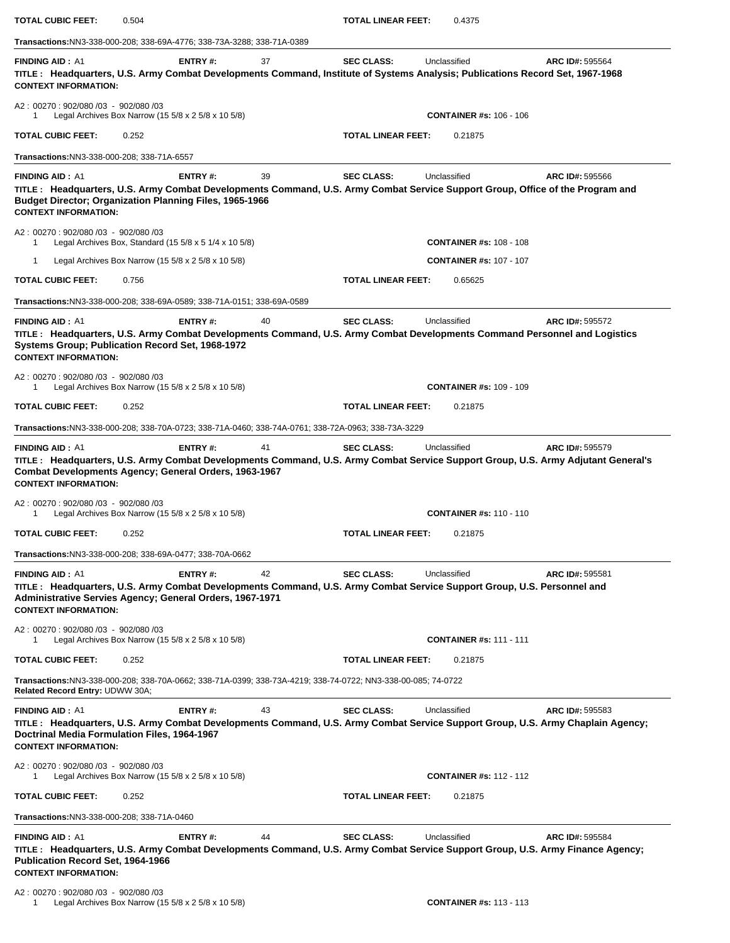| <b>TOTAL CUBIC FEET:</b>                                                                              | 0.504                                                                                                                                                                                                      |    | TOTAL LINEAR FEET:        | 0.4375                         |                 |
|-------------------------------------------------------------------------------------------------------|------------------------------------------------------------------------------------------------------------------------------------------------------------------------------------------------------------|----|---------------------------|--------------------------------|-----------------|
|                                                                                                       | <b>Transactions:</b> NN3-338-000-208; 338-69A-4776; 338-73A-3288; 338-71A-0389                                                                                                                             |    |                           |                                |                 |
| <b>FINDING AID: A1</b><br><b>CONTEXT INFORMATION:</b>                                                 | ENTRY#:<br>TITLE: Headquarters, U.S. Army Combat Developments Command, Institute of Systems Analysis; Publications Record Set, 1967-1968                                                                   | 37 | <b>SEC CLASS:</b>         | Unclassified                   | ARC ID#: 595564 |
| A2: 00270: 902/080 /03 - 902/080 /03<br>1                                                             | Legal Archives Box Narrow (15 5/8 x 2 5/8 x 10 5/8)                                                                                                                                                        |    |                           | <b>CONTAINER #s: 106 - 106</b> |                 |
| <b>TOTAL CUBIC FEET:</b>                                                                              | 0.252                                                                                                                                                                                                      |    | TOTAL LINEAR FEET:        | 0.21875                        |                 |
| Transactions: NN3-338-000-208; 338-71A-6557                                                           |                                                                                                                                                                                                            |    |                           |                                |                 |
| <b>FINDING AID: A1</b><br><b>CONTEXT INFORMATION:</b>                                                 | ENTRY#:<br>TITLE: Headquarters, U.S. Army Combat Developments Command, U.S. Army Combat Service Support Group, Office of the Program and<br><b>Budget Director; Organization Planning Files, 1965-1966</b> | 39 | <b>SEC CLASS:</b>         | Unclassified                   | ARC ID#: 595566 |
| A2: 00270: 902/080 /03 - 902/080 /03<br>1                                                             | Legal Archives Box, Standard (15 5/8 x 5 1/4 x 10 5/8)                                                                                                                                                     |    |                           | <b>CONTAINER #s: 108 - 108</b> |                 |
| -1                                                                                                    | Legal Archives Box Narrow (15 $5/8 \times 2$ 5/8 $\times$ 10 5/8)                                                                                                                                          |    |                           | <b>CONTAINER #s: 107 - 107</b> |                 |
| <b>TOTAL CUBIC FEET:</b>                                                                              | 0.756                                                                                                                                                                                                      |    | <b>TOTAL LINEAR FEET:</b> | 0.65625                        |                 |
|                                                                                                       | Transactions:NN3-338-000-208; 338-69A-0589; 338-71A-0151; 338-69A-0589                                                                                                                                     |    |                           |                                |                 |
| <b>FINDING AID: A1</b><br><b>CONTEXT INFORMATION:</b>                                                 | ENTRY#:<br>TITLE: Headquarters, U.S. Army Combat Developments Command, U.S. Army Combat Developments Command Personnel and Logistics<br>Systems Group; Publication Record Set, 1968-1972                   | 40 | <b>SEC CLASS:</b>         | Unclassified                   | ARC ID#: 595572 |
| A2: 00270: 902/080 /03 - 902/080 /03<br>1                                                             | Legal Archives Box Narrow (15 5/8 x 2 5/8 x 10 5/8)                                                                                                                                                        |    |                           | <b>CONTAINER #s: 109 - 109</b> |                 |
| <b>TOTAL CUBIC FEET:</b>                                                                              | 0.252                                                                                                                                                                                                      |    | TOTAL LINEAR FEET:        | 0.21875                        |                 |
|                                                                                                       | Transactions:NN3-338-000-208; 338-70A-0723; 338-71A-0460; 338-74A-0761; 338-72A-0963; 338-73A-3229                                                                                                         |    |                           |                                |                 |
| <b>FINDING AID: A1</b><br><b>CONTEXT INFORMATION:</b>                                                 | ENTRY#:<br>TITLE: Headquarters, U.S. Army Combat Developments Command, U.S. Army Combat Service Support Group, U.S. Army Adjutant General's<br>Combat Developments Agency; General Orders, 1963-1967       | 41 | <b>SEC CLASS:</b>         | Unclassified                   | ARC ID#: 595579 |
| A2: 00270: 902/080 /03 - 902/080 /03<br>1                                                             | Legal Archives Box Narrow (15 5/8 x 2 5/8 x 10 5/8)                                                                                                                                                        |    |                           | <b>CONTAINER #s: 110 - 110</b> |                 |
| <b>TOTAL CUBIC FEET:</b>                                                                              | 0.252                                                                                                                                                                                                      |    | TOTAL LINEAR FEET:        | 0.21875                        |                 |
|                                                                                                       | <b>Transactions:NN3-338-000-208; 338-69A-0477; 338-70A-0662</b>                                                                                                                                            |    |                           |                                |                 |
| <b>FINDING AID: A1</b><br><b>CONTEXT INFORMATION:</b>                                                 | ENTRY#:<br>TITLE: Headquarters, U.S. Army Combat Developments Command, U.S. Army Combat Service Support Group, U.S. Personnel and<br><b>Administrative Servies Agency; General Orders, 1967-1971</b>       | 42 | <b>SEC CLASS:</b>         | Unclassified                   | ARC ID#: 595581 |
| A2: 00270: 902/080 /03 - 902/080 /03<br>1                                                             | Legal Archives Box Narrow (15 5/8 x 2 5/8 x 10 5/8)                                                                                                                                                        |    |                           | <b>CONTAINER #s: 111 - 111</b> |                 |
| <b>TOTAL CUBIC FEET:</b>                                                                              | 0.252                                                                                                                                                                                                      |    | TOTAL LINEAR FEET:        | 0.21875                        |                 |
| Related Record Entry: UDWW 30A;                                                                       | Transactions:NN3-338-000-208; 338-70A-0662; 338-71A-0399; 338-73A-4219; 338-74-0722; NN3-338-00-085; 74-0722                                                                                               |    |                           |                                |                 |
| <b>FINDING AID: A1</b><br>Doctrinal Media Formulation Files, 1964-1967<br><b>CONTEXT INFORMATION:</b> | ENTRY#:<br>TITLE: Headquarters, U.S. Army Combat Developments Command, U.S. Army Combat Service Support Group, U.S. Army Chaplain Agency;                                                                  | 43 | <b>SEC CLASS:</b>         | Unclassified                   | ARC ID#: 595583 |
| A2: 00270: 902/080 /03 - 902/080 /03                                                                  | Legal Archives Box Narrow (15 5/8 x 2 5/8 x 10 5/8)                                                                                                                                                        |    |                           | <b>CONTAINER #s: 112 - 112</b> |                 |
| <b>TOTAL CUBIC FEET:</b>                                                                              | 0.252                                                                                                                                                                                                      |    | <b>TOTAL LINEAR FEET:</b> | 0.21875                        |                 |
| Transactions: NN3-338-000-208; 338-71A-0460                                                           |                                                                                                                                                                                                            |    |                           |                                |                 |
| <b>FINDING AID: A1</b><br><b>Publication Record Set, 1964-1966</b><br><b>CONTEXT INFORMATION:</b>     | ENTRY#:<br>TITLE: Headquarters, U.S. Army Combat Developments Command, U.S. Army Combat Service Support Group, U.S. Army Finance Agency;                                                                   | 44 | <b>SEC CLASS:</b>         | Unclassified                   | ARC ID#: 595584 |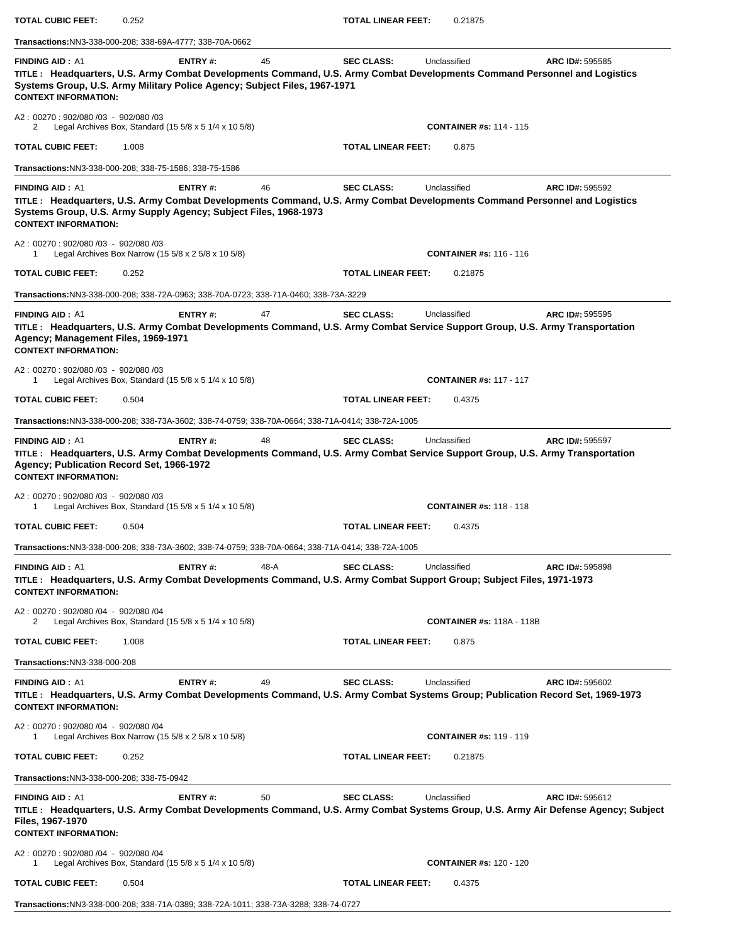| <b>TOTAL CUBIC FEET:</b>                                                                                                                                                                                                                                             | 0.252 |                                                                         |      | TOTAL LINEAR FEET:        | 0.21875      |                                  |                                                                                                                                                      |
|----------------------------------------------------------------------------------------------------------------------------------------------------------------------------------------------------------------------------------------------------------------------|-------|-------------------------------------------------------------------------|------|---------------------------|--------------|----------------------------------|------------------------------------------------------------------------------------------------------------------------------------------------------|
| Transactions:NN3-338-000-208; 338-69A-4777; 338-70A-0662                                                                                                                                                                                                             |       |                                                                         |      |                           |              |                                  |                                                                                                                                                      |
| <b>FINDING AID: A1</b><br>TITLE: Headquarters, U.S. Army Combat Developments Command, U.S. Army Combat Developments Command Personnel and Logistics<br>Systems Group, U.S. Army Military Police Agency; Subject Files, 1967-1971<br><b>CONTEXT INFORMATION:</b>      |       | ENTRY#:                                                                 | 45   | <b>SEC CLASS:</b>         | Unclassified |                                  | ARC ID#: 595585                                                                                                                                      |
| A2: 00270: 902/080 /03 - 902/080 /03<br>2                                                                                                                                                                                                                            |       | Legal Archives Box, Standard (15 $5/8 \times 5$ 1/4 $\times$ 10 $5/8$ ) |      |                           |              | <b>CONTAINER #s: 114 - 115</b>   |                                                                                                                                                      |
| <b>TOTAL CUBIC FEET:</b>                                                                                                                                                                                                                                             | 1.008 |                                                                         |      | <b>TOTAL LINEAR FEET:</b> | 0.875        |                                  |                                                                                                                                                      |
| Transactions: NN3-338-000-208; 338-75-1586; 338-75-1586                                                                                                                                                                                                              |       |                                                                         |      |                           |              |                                  |                                                                                                                                                      |
| <b>FINDING AID: A1</b><br>TITLE: Headquarters, U.S. Army Combat Developments Command, U.S. Army Combat Developments Command Personnel and Logistics<br>Systems Group, U.S. Army Supply Agency; Subject Files, 1968-1973<br><b>CONTEXT INFORMATION:</b>               |       | ENTRY#:                                                                 | 46   | <b>SEC CLASS:</b>         | Unclassified |                                  | ARC ID#: 595592                                                                                                                                      |
| A2: 00270: 902/080 /03 - 902/080 /03<br>1                                                                                                                                                                                                                            |       | Legal Archives Box Narrow (15 $5/8 \times 2$ 5/8 $\times$ 10 5/8)       |      |                           |              | <b>CONTAINER #s: 116 - 116</b>   |                                                                                                                                                      |
| <b>TOTAL CUBIC FEET:</b>                                                                                                                                                                                                                                             | 0.252 |                                                                         |      | <b>TOTAL LINEAR FEET:</b> | 0.21875      |                                  |                                                                                                                                                      |
| Transactions:NN3-338-000-208; 338-72A-0963; 338-70A-0723; 338-71A-0460; 338-73A-3229                                                                                                                                                                                 |       |                                                                         |      |                           |              |                                  |                                                                                                                                                      |
| <b>FINDING AID: A1</b><br>TITLE: Headquarters, U.S. Army Combat Developments Command, U.S. Army Combat Service Support Group, U.S. Army Transportation<br>Agency; Management Files, 1969-1971<br><b>CONTEXT INFORMATION:</b><br>A2: 00270: 902/080 /03 - 902/080 /03 |       | ENTRY#:                                                                 | 47   | <b>SEC CLASS:</b>         | Unclassified |                                  | ARC ID#: 595595                                                                                                                                      |
| 1                                                                                                                                                                                                                                                                    |       | Legal Archives Box, Standard (15 $5/8 \times 5$ 1/4 $\times$ 10 $5/8$ ) |      |                           |              | <b>CONTAINER #s: 117 - 117</b>   |                                                                                                                                                      |
| <b>TOTAL CUBIC FEET:</b>                                                                                                                                                                                                                                             | 0.504 |                                                                         |      | <b>TOTAL LINEAR FEET:</b> | 0.4375       |                                  |                                                                                                                                                      |
| Transactions:NN3-338-000-208; 338-73A-3602; 338-74-0759; 338-70A-0664; 338-71A-0414; 338-72A-1005                                                                                                                                                                    |       |                                                                         |      |                           |              |                                  |                                                                                                                                                      |
| TITLE: Headquarters, U.S. Army Combat Developments Command, U.S. Army Combat Service Support Group, U.S. Army Transportation<br>Agency; Publication Record Set, 1966-1972<br><b>CONTEXT INFORMATION:</b><br>A2: 00270: 902/080 /03 - 902/080 /03<br>1                |       | Legal Archives Box, Standard (15 5/8 x 5 1/4 x 10 5/8)                  |      |                           |              | <b>CONTAINER #s: 118 - 118</b>   |                                                                                                                                                      |
| <b>TOTAL CUBIC FEET:</b>                                                                                                                                                                                                                                             | 0.504 |                                                                         |      | <b>TOTAL LINEAR FEET:</b> | 0.4375       |                                  |                                                                                                                                                      |
| Transactions:NN3-338-000-208; 338-73A-3602; 338-74-0759; 338-70A-0664; 338-71A-0414; 338-72A-1005                                                                                                                                                                    |       |                                                                         |      |                           |              |                                  |                                                                                                                                                      |
| <b>FINDING AID: A1</b><br>TITLE: Headquarters, U.S. Army Combat Developments Command, U.S. Army Combat Support Group; Subject Files, 1971-1973<br><b>CONTEXT INFORMATION:</b>                                                                                        |       | <b>ENTRY#:</b>                                                          | 48-A | <b>SEC CLASS:</b>         | Unclassified |                                  | <b>ARC ID#: 595898</b>                                                                                                                               |
| A2: 00270: 902/080 /04 - 902/080 /04<br>2                                                                                                                                                                                                                            |       | Legal Archives Box, Standard (15 $5/8 \times 5$ 1/4 $\times$ 10 $5/8$ ) |      |                           |              | <b>CONTAINER #s: 118A - 118B</b> |                                                                                                                                                      |
| <b>TOTAL CUBIC FEET:</b>                                                                                                                                                                                                                                             | 1.008 |                                                                         |      | <b>TOTAL LINEAR FEET:</b> | 0.875        |                                  |                                                                                                                                                      |
| <b>Transactions:NN3-338-000-208</b>                                                                                                                                                                                                                                  |       |                                                                         |      |                           |              |                                  |                                                                                                                                                      |
| <b>FINDING AID: A1</b><br><b>CONTEXT INFORMATION:</b>                                                                                                                                                                                                                |       | <b>ENTRY#:</b>                                                          | 49   | <b>SEC CLASS:</b>         | Unclassified |                                  | ARC ID#: 595602<br>TITLE: Headquarters, U.S. Army Combat Developments Command, U.S. Army Combat Systems Group; Publication Record Set, 1969-1973     |
| A2: 00270: 902/080 /04 - 902/080 /04<br>1                                                                                                                                                                                                                            |       | Legal Archives Box Narrow (15 $5/8 \times 2$ 5/8 $\times$ 10 5/8)       |      |                           |              | <b>CONTAINER #s: 119 - 119</b>   |                                                                                                                                                      |
| <b>TOTAL CUBIC FEET:</b>                                                                                                                                                                                                                                             | 0.252 |                                                                         |      | <b>TOTAL LINEAR FEET:</b> | 0.21875      |                                  |                                                                                                                                                      |
| Transactions: NN3-338-000-208; 338-75-0942                                                                                                                                                                                                                           |       |                                                                         |      |                           |              |                                  |                                                                                                                                                      |
| <b>FINDING AID: A1</b><br>Files, 1967-1970<br><b>CONTEXT INFORMATION:</b>                                                                                                                                                                                            |       | <b>ENTRY#:</b>                                                          | 50   | <b>SEC CLASS:</b>         | Unclassified |                                  | ARC ID#: 595612<br>TITLE: Headquarters, U.S. Army Combat Developments Command, U.S. Army Combat Systems Group, U.S. Army Air Defense Agency; Subject |
| A2: 00270: 902/080 /04 - 902/080 /04<br>1                                                                                                                                                                                                                            |       | Legal Archives Box, Standard (15 $5/8 \times 5$ 1/4 $\times$ 10 $5/8$ ) |      |                           |              | <b>CONTAINER #s: 120 - 120</b>   |                                                                                                                                                      |
| <b>TOTAL CUBIC FEET:</b>                                                                                                                                                                                                                                             | 0.504 |                                                                         |      | <b>TOTAL LINEAR FEET:</b> | 0.4375       |                                  |                                                                                                                                                      |
| Transactions:NN3-338-000-208; 338-71A-0389; 338-72A-1011; 338-73A-3288; 338-74-0727                                                                                                                                                                                  |       |                                                                         |      |                           |              |                                  |                                                                                                                                                      |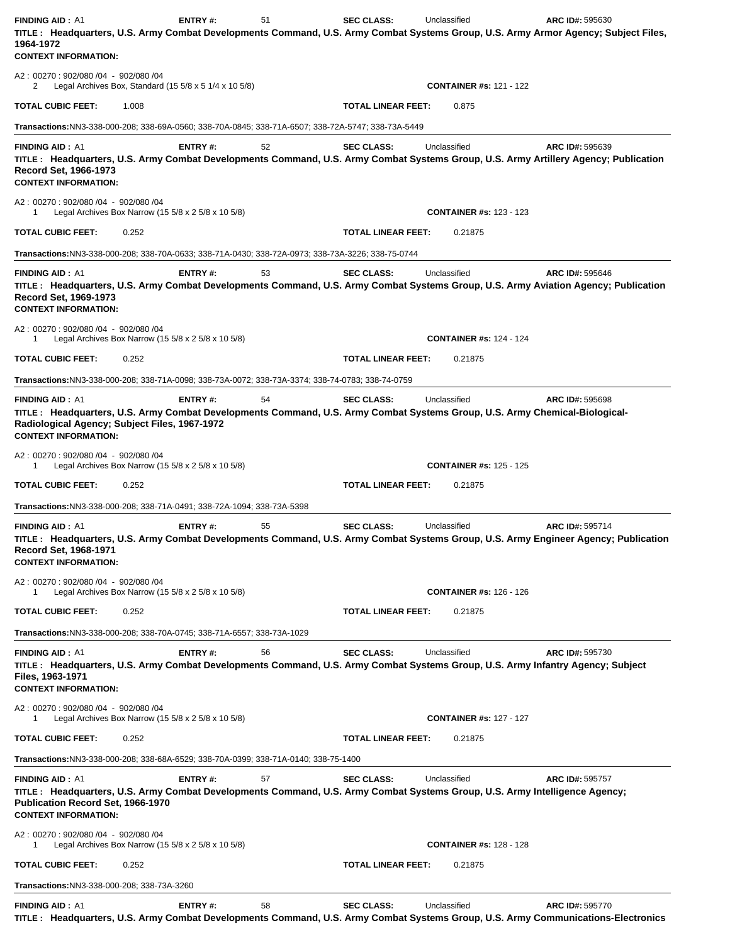| <b>FINDING AID: A1</b><br>TITLE: Headquarters, U.S. Army Combat Developments Command, U.S. Army Combat Systems Group, U.S. Army Armor Agency; Subject Files,<br>1964-1972<br><b>CONTEXT INFORMATION:</b>                             | ENTRY#:                                                               | 51 | <b>SEC CLASS:</b>         | Unclassified                   | ARC ID#: 595630                                                                                                                                       |
|--------------------------------------------------------------------------------------------------------------------------------------------------------------------------------------------------------------------------------------|-----------------------------------------------------------------------|----|---------------------------|--------------------------------|-------------------------------------------------------------------------------------------------------------------------------------------------------|
| A2: 00270: 902/080 /04 - 902/080 /04<br>2                                                                                                                                                                                            | Legal Archives Box, Standard $(15\ 5/8 \times 5\ 1/4 \times 10\ 5/8)$ |    |                           | <b>CONTAINER #s: 121 - 122</b> |                                                                                                                                                       |
| TOTAL CUBIC FEET:<br>1.008                                                                                                                                                                                                           |                                                                       |    | <b>TOTAL LINEAR FEET:</b> | 0.875                          |                                                                                                                                                       |
| Transactions:NN3-338-000-208; 338-69A-0560; 338-70A-0845; 338-71A-6507; 338-72A-5747; 338-73A-5449                                                                                                                                   |                                                                       |    |                           |                                |                                                                                                                                                       |
| <b>FINDING AID: A1</b><br>TITLE: Headquarters, U.S. Army Combat Developments Command, U.S. Army Combat Systems Group, U.S. Army Artillery Agency; Publication<br>Record Set, 1966-1973<br><b>CONTEXT INFORMATION:</b>                | ENTRY#:                                                               | 52 | <b>SEC CLASS:</b>         | Unclassified                   | ARC ID#: 595639                                                                                                                                       |
| A2: 00270: 902/080 /04 - 902/080 /04<br>1                                                                                                                                                                                            | Legal Archives Box Narrow (15 5/8 x 2 5/8 x 10 5/8)                   |    |                           | <b>CONTAINER #s: 123 - 123</b> |                                                                                                                                                       |
| TOTAL CUBIC FEET:<br>0.252                                                                                                                                                                                                           |                                                                       |    | <b>TOTAL LINEAR FEET:</b> | 0.21875                        |                                                                                                                                                       |
| Transactions:NN3-338-000-208; 338-70A-0633; 338-71A-0430; 338-72A-0973; 338-73A-3226; 338-75-0744                                                                                                                                    |                                                                       |    |                           |                                |                                                                                                                                                       |
| <b>FINDING AID: A1</b><br>TITLE: Headquarters, U.S. Army Combat Developments Command, U.S. Army Combat Systems Group, U.S. Army Aviation Agency; Publication<br>Record Set, 1969-1973<br><b>CONTEXT INFORMATION:</b>                 | <b>ENTRY#:</b>                                                        | 53 | <b>SEC CLASS:</b>         | Unclassified                   | ARC ID#: 595646                                                                                                                                       |
| A2: 00270: 902/080 /04 - 902/080 /04                                                                                                                                                                                                 | Legal Archives Box Narrow (15 5/8 x 2 5/8 x 10 5/8)                   |    |                           | <b>CONTAINER #s: 124 - 124</b> |                                                                                                                                                       |
| TOTAL CUBIC FEET:<br>0.252                                                                                                                                                                                                           |                                                                       |    | <b>TOTAL LINEAR FEET:</b> | 0.21875                        |                                                                                                                                                       |
| Transactions:NN3-338-000-208; 338-71A-0098; 338-73A-0072; 338-73A-3374; 338-74-0783; 338-74-0759                                                                                                                                     |                                                                       |    |                           |                                |                                                                                                                                                       |
| <b>FINDING AID: A1</b><br>TITLE: Headquarters, U.S. Army Combat Developments Command, U.S. Army Combat Systems Group, U.S. Army Chemical-Biological-<br>Radiological Agency; Subject Files, 1967-1972<br><b>CONTEXT INFORMATION:</b> | ENTRY#:                                                               | 54 | <b>SEC CLASS:</b>         | Unclassified                   | <b>ARC ID#: 595698</b>                                                                                                                                |
| A2: 00270: 902/080 /04 - 902/080 /04<br>1                                                                                                                                                                                            | Legal Archives Box Narrow (15 5/8 x 2 5/8 x 10 5/8)                   |    |                           | <b>CONTAINER #s: 125 - 125</b> |                                                                                                                                                       |
| <b>TOTAL CUBIC FEET:</b><br>0.252                                                                                                                                                                                                    |                                                                       |    | <b>TOTAL LINEAR FEET:</b> | 0.21875                        |                                                                                                                                                       |
| Transactions:NN3-338-000-208; 338-71A-0491; 338-72A-1094; 338-73A-5398                                                                                                                                                               |                                                                       |    |                           |                                |                                                                                                                                                       |
| <b>FINDING AID: A1</b><br>Record Set, 1968-1971<br><b>CONTEXT INFORMATION:</b>                                                                                                                                                       | ENTRY#:                                                               | 55 | <b>SEC CLASS:</b>         | Unclassified                   | ARC ID#: 595714<br>TITLE: Headquarters, U.S. Army Combat Developments Command, U.S. Army Combat Systems Group, U.S. Army Engineer Agency; Publication |
| A2: 00270: 902/080 /04 - 902/080 /04<br>1                                                                                                                                                                                            | Legal Archives Box Narrow (15 5/8 x 2 5/8 x 10 5/8)                   |    |                           | <b>CONTAINER #s: 126 - 126</b> |                                                                                                                                                       |
| TOTAL CUBIC FEET:<br>0.252                                                                                                                                                                                                           |                                                                       |    | <b>TOTAL LINEAR FEET:</b> | 0.21875                        |                                                                                                                                                       |
| Transactions:NN3-338-000-208; 338-70A-0745; 338-71A-6557; 338-73A-1029                                                                                                                                                               |                                                                       |    |                           |                                |                                                                                                                                                       |
| <b>FINDING AID: A1</b><br>TITLE: Headquarters, U.S. Army Combat Developments Command, U.S. Army Combat Systems Group, U.S. Army Infantry Agency; Subject<br>Files, 1963-1971<br><b>CONTEXT INFORMATION:</b>                          | ENTRY#:                                                               | 56 | <b>SEC CLASS:</b>         | Unclassified                   | <b>ARC ID#: 595730</b>                                                                                                                                |
| A2: 00270: 902/080 /04 - 902/080 /04                                                                                                                                                                                                 | Legal Archives Box Narrow (15 5/8 x 2 5/8 x 10 5/8)                   |    |                           | <b>CONTAINER #s: 127 - 127</b> |                                                                                                                                                       |
| TOTAL CUBIC FEET:<br>0.252                                                                                                                                                                                                           |                                                                       |    | <b>TOTAL LINEAR FEET:</b> | 0.21875                        |                                                                                                                                                       |
| Transactions:NN3-338-000-208; 338-68A-6529; 338-70A-0399; 338-71A-0140; 338-75-1400                                                                                                                                                  |                                                                       |    |                           |                                |                                                                                                                                                       |
| <b>FINDING AID: A1</b><br>TITLE: Headquarters, U.S. Army Combat Developments Command, U.S. Army Combat Systems Group, U.S. Army Intelligence Agency;<br>Publication Record Set, 1966-1970<br><b>CONTEXT INFORMATION:</b>             | <b>ENTRY#:</b>                                                        | 57 | <b>SEC CLASS:</b>         | Unclassified                   | ARC ID#: 595757                                                                                                                                       |
| A2: 00270: 902/080 /04 - 902/080 /04<br>1                                                                                                                                                                                            | Legal Archives Box Narrow (15 5/8 x 2 5/8 x 10 5/8)                   |    |                           | <b>CONTAINER #s: 128 - 128</b> |                                                                                                                                                       |
| TOTAL CUBIC FEET:<br>0.252                                                                                                                                                                                                           |                                                                       |    | <b>TOTAL LINEAR FEET:</b> | 0.21875                        |                                                                                                                                                       |
| Transactions: NN3-338-000-208; 338-73A-3260                                                                                                                                                                                          |                                                                       |    |                           |                                |                                                                                                                                                       |
| <b>FINDING AID: A1</b>                                                                                                                                                                                                               | <b>ENTRY#:</b>                                                        | 58 | <b>SEC CLASS:</b>         | Unclassified                   | ARC ID#: 595770                                                                                                                                       |

**TITLE : Headquarters, U.S. Army Combat Developments Command, U.S. Army Combat Systems Group, U.S. Army Communications-Electronics**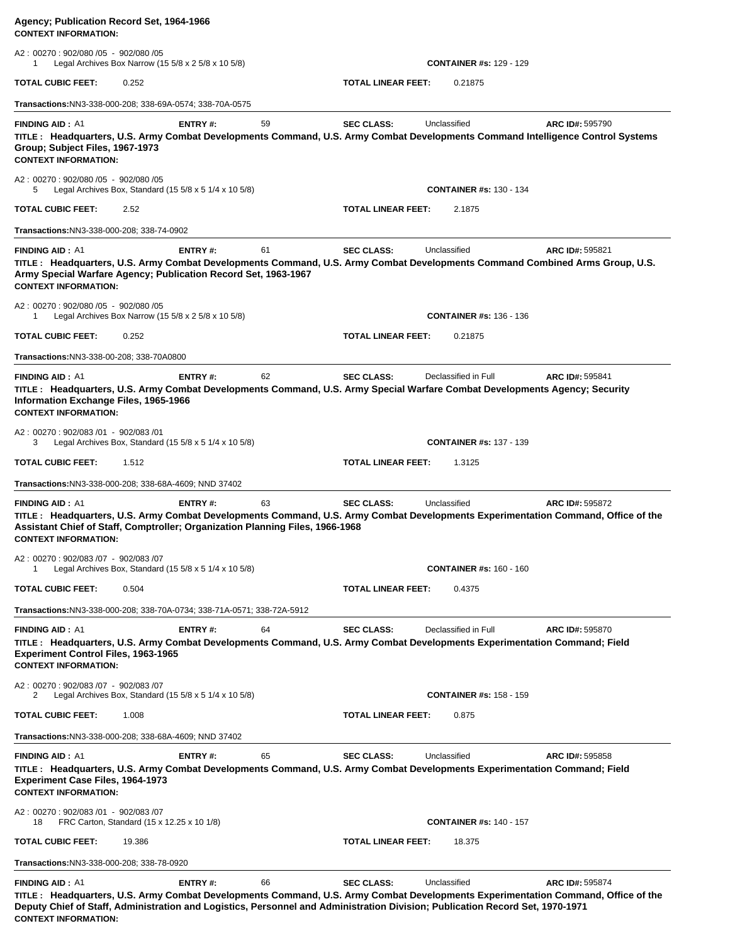| Agency; Publication Record Set, 1964-1966<br><b>CONTEXT INFORMATION:</b>                                                                                                                                                                                                                                         |                |    |                           |                                |                 |
|------------------------------------------------------------------------------------------------------------------------------------------------------------------------------------------------------------------------------------------------------------------------------------------------------------------|----------------|----|---------------------------|--------------------------------|-----------------|
| A2: 00270: 902/080 /05 - 902/080 /05<br>Legal Archives Box Narrow (15 $5/8 \times 2$ 5/8 $\times$ 10 5/8)<br>1                                                                                                                                                                                                   |                |    |                           | <b>CONTAINER #s: 129 - 129</b> |                 |
| <b>TOTAL CUBIC FEET:</b><br>0.252                                                                                                                                                                                                                                                                                |                |    | <b>TOTAL LINEAR FEET:</b> | 0.21875                        |                 |
| <b>Transactions:NN3-338-000-208; 338-69A-0574; 338-70A-0575</b>                                                                                                                                                                                                                                                  |                |    |                           |                                |                 |
| <b>FINDING AID: A1</b><br>TITLE: Headquarters, U.S. Army Combat Developments Command, U.S. Army Combat Developments Command Intelligence Control Systems<br>Group: Subject Files, 1967-1973<br><b>CONTEXT INFORMATION:</b>                                                                                       | ENTRY#:        | 59 | <b>SEC CLASS:</b>         | Unclassified                   | ARC ID#: 595790 |
| A2: 00270: 902/080 /05 - 902/080 /05<br>Legal Archives Box, Standard (15 $5/8 \times 5$ 1/4 $\times$ 10 $5/8$ )<br>5                                                                                                                                                                                             |                |    |                           | <b>CONTAINER #s: 130 - 134</b> |                 |
| TOTAL CUBIC FEET:<br>2.52                                                                                                                                                                                                                                                                                        |                |    | <b>TOTAL LINEAR FEET:</b> | 2.1875                         |                 |
| Transactions:NN3-338-000-208; 338-74-0902                                                                                                                                                                                                                                                                        |                |    |                           |                                |                 |
| <b>FINDING AID: A1</b><br>TITLE: Headquarters, U.S. Army Combat Developments Command, U.S. Army Combat Developments Command Combined Arms Group, U.S.<br>Army Special Warfare Agency; Publication Record Set, 1963-1967<br><b>CONTEXT INFORMATION:</b>                                                           | <b>ENTRY#:</b> | 61 | <b>SEC CLASS:</b>         | Unclassified                   | ARC ID#: 595821 |
| A2: 00270: 902/080 /05 - 902/080 /05<br>Legal Archives Box Narrow (15 5/8 x 2 5/8 x 10 5/8)<br>1                                                                                                                                                                                                                 |                |    |                           | <b>CONTAINER #s: 136 - 136</b> |                 |
| TOTAL CUBIC FEET:<br>0.252                                                                                                                                                                                                                                                                                       |                |    | <b>TOTAL LINEAR FEET:</b> | 0.21875                        |                 |
| Transactions:NN3-338-00-208; 338-70A0800                                                                                                                                                                                                                                                                         |                |    |                           |                                |                 |
| <b>FINDING AID: A1</b><br>TITLE: Headquarters, U.S. Army Combat Developments Command, U.S. Army Special Warfare Combat Developments Agency; Security<br>Information Exchange Files, 1965-1966<br><b>CONTEXT INFORMATION:</b>                                                                                     | ENTRY#:        | 62 | <b>SEC CLASS:</b>         | Declassified in Full           | ARC ID#: 595841 |
| A2: 00270: 902/083 /01 - 902/083 /01<br>Legal Archives Box, Standard (15 $5/8 \times 5$ 1/4 $\times$ 10 $5/8$ )<br>3                                                                                                                                                                                             |                |    |                           | <b>CONTAINER #s: 137 - 139</b> |                 |
| TOTAL CUBIC FEET:<br>1.512                                                                                                                                                                                                                                                                                       |                |    | <b>TOTAL LINEAR FEET:</b> | 1.3125                         |                 |
| Transactions:NN3-338-000-208; 338-68A-4609; NND 37402                                                                                                                                                                                                                                                            |                |    |                           |                                |                 |
| <b>FINDING AID: A1</b><br>TITLE: Headquarters, U.S. Army Combat Developments Command, U.S. Army Combat Developments Experimentation Command, Office of the<br>Assistant Chief of Staff, Comptroller; Organization Planning Files, 1966-1968<br><b>CONTEXT INFORMATION:</b><br>A2: 00270: 902/083/07 - 902/083/07 | <b>ENTRY#:</b> | 63 | <b>SEC CLASS:</b>         | Unclassified                   | ARC ID#: 595872 |
| Legal Archives Box, Standard (15 5/8 x 5 1/4 x 10 5/8)                                                                                                                                                                                                                                                           |                |    |                           | <b>CONTAINER #s: 160 - 160</b> |                 |
| TOTAL CUBIC FEET:<br>0.504                                                                                                                                                                                                                                                                                       |                |    | <b>TOTAL LINEAR FEET:</b> | 0.4375                         |                 |
| Transactions:NN3-338-000-208; 338-70A-0734; 338-71A-0571; 338-72A-5912                                                                                                                                                                                                                                           |                |    |                           |                                |                 |
| <b>FINDING AID: A1</b><br>TITLE: Headquarters, U.S. Army Combat Developments Command, U.S. Army Combat Developments Experimentation Command; Field<br><b>Experiment Control Files, 1963-1965</b><br><b>CONTEXT INFORMATION:</b>                                                                                  | <b>ENTRY#:</b> | 64 | <b>SEC CLASS:</b>         | Declassified in Full           | ARC ID#: 595870 |
| A2: 00270: 902/083 /07 - 902/083 /07<br>Legal Archives Box, Standard (15 $5/8 \times 5$ 1/4 $\times$ 10 $5/8$ )<br>2                                                                                                                                                                                             |                |    |                           | <b>CONTAINER #s: 158 - 159</b> |                 |
| <b>TOTAL CUBIC FEET:</b><br>1.008                                                                                                                                                                                                                                                                                |                |    | <b>TOTAL LINEAR FEET:</b> | 0.875                          |                 |
| <b>Transactions: NN3-338-000-208; 338-68A-4609; NND 37402</b>                                                                                                                                                                                                                                                    |                |    |                           |                                |                 |
| <b>FINDING AID: A1</b><br>TITLE: Headquarters, U.S. Army Combat Developments Command, U.S. Army Combat Developments Experimentation Command; Field<br><b>Experiment Case Files, 1964-1973</b><br><b>CONTEXT INFORMATION:</b>                                                                                     | <b>ENTRY#:</b> | 65 | <b>SEC CLASS:</b>         | Unclassified                   | ARC ID#: 595858 |
| A2: 00270: 902/083 /01 - 902/083 /07<br>FRC Carton, Standard (15 x 12.25 x 10 1/8)<br>18                                                                                                                                                                                                                         |                |    |                           | <b>CONTAINER #s: 140 - 157</b> |                 |
| TOTAL CUBIC FEET:<br>19.386                                                                                                                                                                                                                                                                                      |                |    | <b>TOTAL LINEAR FEET:</b> | 18.375                         |                 |
| Transactions:NN3-338-000-208; 338-78-0920                                                                                                                                                                                                                                                                        |                |    |                           |                                |                 |
| <b>FINDING AID: A1</b><br>TITLE: Headquarters, U.S. Army Combat Developments Command, U.S. Army Combat Developments Experimentation Command, Office of the                                                                                                                                                       | ENTRY#:        | 66 | <b>SEC CLASS:</b>         | Unclassified                   | ARC ID#: 595874 |
| Deputy Chief of Staff, Administration and Logistics, Personnel and Administration Division; Publication Record Set, 1970-1971                                                                                                                                                                                    |                |    |                           |                                |                 |

**CONTEXT INFORMATION:**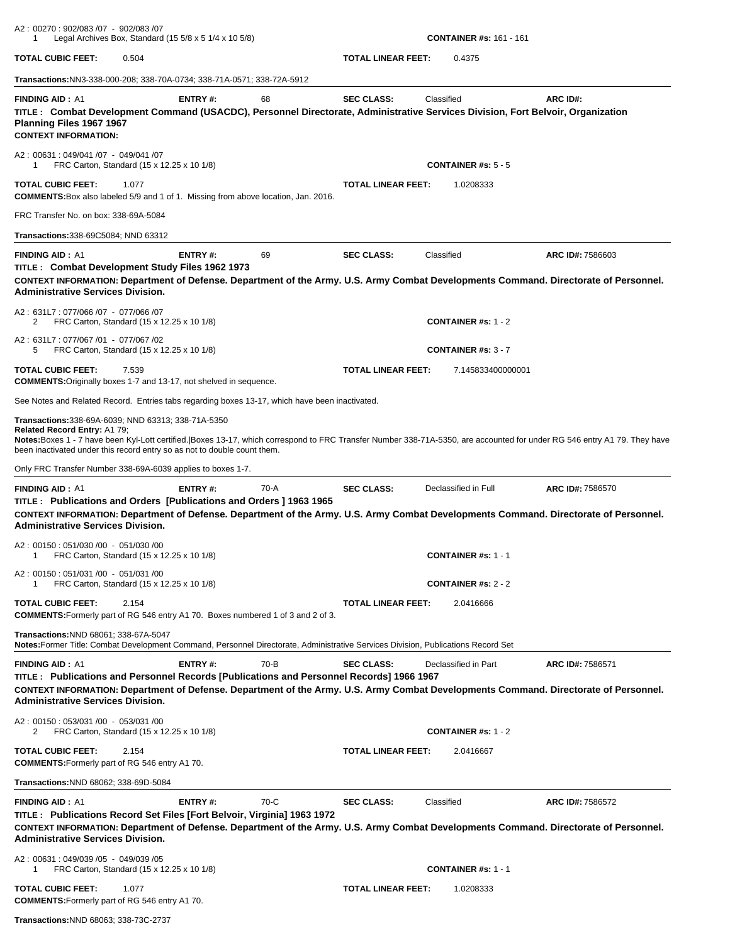| A2: 00270: 902/083 /07 - 902/083 /07<br>1                                                                                                                                                                                             |       | Legal Archives Box, Standard $(15\ 5/8 \times 5\ 1/4 \times 10\ 5/8)$ |        |                           | <b>CONTAINER #s: 161 - 161</b>                                                                                                                |                                                                                                                                                                          |
|---------------------------------------------------------------------------------------------------------------------------------------------------------------------------------------------------------------------------------------|-------|-----------------------------------------------------------------------|--------|---------------------------|-----------------------------------------------------------------------------------------------------------------------------------------------|--------------------------------------------------------------------------------------------------------------------------------------------------------------------------|
| <b>TOTAL CUBIC FEET:</b>                                                                                                                                                                                                              | 0.504 |                                                                       |        | <b>TOTAL LINEAR FEET:</b> | 0.4375                                                                                                                                        |                                                                                                                                                                          |
| Transactions:NN3-338-000-208; 338-70A-0734; 338-71A-0571; 338-72A-5912                                                                                                                                                                |       |                                                                       |        |                           |                                                                                                                                               |                                                                                                                                                                          |
| <b>FINDING AID: A1</b><br>Planning Files 1967 1967<br><b>CONTEXT INFORMATION:</b>                                                                                                                                                     |       | ENTRY#:                                                               | 68     | <b>SEC CLASS:</b>         | Classified<br>TITLE: Combat Development Command (USACDC), Personnel Directorate, Administrative Services Division, Fort Belvoir, Organization | ARC ID#:                                                                                                                                                                 |
| A2: 00631: 049/041 /07 - 049/041 /07<br>FRC Carton, Standard (15 x 12.25 x 10 1/8)<br>1                                                                                                                                               |       |                                                                       |        |                           | <b>CONTAINER #s: 5 - 5</b>                                                                                                                    |                                                                                                                                                                          |
| <b>TOTAL CUBIC FEET:</b><br><b>COMMENTS:</b> Box also labeled 5/9 and 1 of 1. Missing from above location, Jan. 2016.                                                                                                                 | 1.077 |                                                                       |        | TOTAL LINEAR FEET:        | 1.0208333                                                                                                                                     |                                                                                                                                                                          |
| FRC Transfer No. on box: 338-69A-5084                                                                                                                                                                                                 |       |                                                                       |        |                           |                                                                                                                                               |                                                                                                                                                                          |
| <b>Transactions:</b> 338-69C5084; NND 63312                                                                                                                                                                                           |       |                                                                       |        |                           |                                                                                                                                               |                                                                                                                                                                          |
| <b>FINDING AID: A1</b><br>TITLE: Combat Development Study Files 1962 1973<br><b>Administrative Services Division.</b>                                                                                                                 |       | ENTRY#:                                                               | 69     | <b>SEC CLASS:</b>         | Classified                                                                                                                                    | ARC ID#: 7586603<br>CONTEXT INFORMATION: Department of Defense. Department of the Army. U.S. Army Combat Developments Command. Directorate of Personnel.                 |
| A2: 631L7: 077/066 /07 - 077/066 /07<br>2<br>FRC Carton, Standard (15 x 12.25 x 10 1/8)                                                                                                                                               |       |                                                                       |        |                           | CONTAINER #s: $1 - 2$                                                                                                                         |                                                                                                                                                                          |
| A2: 631L7: 077/067 /01 - 077/067 /02<br>5<br>FRC Carton, Standard (15 x 12.25 x 10 1/8)                                                                                                                                               |       |                                                                       |        |                           | CONTAINER #s: $3 - 7$                                                                                                                         |                                                                                                                                                                          |
| <b>TOTAL CUBIC FEET:</b><br><b>COMMENTS:</b> Originally boxes 1-7 and 13-17, not shelved in sequence.                                                                                                                                 | 7.539 |                                                                       |        | <b>TOTAL LINEAR FEET:</b> | 7.145833400000001                                                                                                                             |                                                                                                                                                                          |
| See Notes and Related Record. Entries tabs regarding boxes 13-17, which have been inactivated.                                                                                                                                        |       |                                                                       |        |                           |                                                                                                                                               |                                                                                                                                                                          |
| <b>Transactions:</b> 338-69A-6039; NND 63313; 338-71A-5350<br>Related Record Entry: A1 79;<br>been inactivated under this record entry so as not to double count them.<br>Only FRC Transfer Number 338-69A-6039 applies to boxes 1-7. |       |                                                                       |        |                           |                                                                                                                                               | Notes:Boxes 1 - 7 have been Kyl-Lott certified. Boxes 13-17, which correspond to FRC Transfer Number 338-71A-5350, are accounted for under RG 546 entry A1 79. They have |
| <b>FINDING AID: A1</b><br>TITLE: Publications and Orders [Publications and Orders] 1963 1965<br><b>Administrative Services Division.</b>                                                                                              |       | ENTRY#:                                                               | 70-A   | <b>SEC CLASS:</b>         | Declassified in Full                                                                                                                          | ARC ID#: 7586570<br>CONTEXT INFORMATION: Department of Defense. Department of the Army. U.S. Army Combat Developments Command. Directorate of Personnel.                 |
| A2: 00150: 051/030 /00 - 051/030 /00<br>FRC Carton, Standard (15 x 12.25 x 10 1/8)                                                                                                                                                    |       |                                                                       |        |                           | <b>CONTAINER #s: 1 - 1</b>                                                                                                                    |                                                                                                                                                                          |
| A2: 00150: 051/031 /00 - 051/031 /00<br>FRC Carton, Standard (15 x 12.25 x 10 1/8)                                                                                                                                                    |       |                                                                       |        |                           | <b>CONTAINER #s: 2 - 2</b>                                                                                                                    |                                                                                                                                                                          |
| <b>TOTAL CUBIC FEET:</b><br><b>COMMENTS:</b> Formerly part of RG 546 entry A1 70. Boxes numbered 1 of 3 and 2 of 3.                                                                                                                   | 2.154 |                                                                       |        | <b>TOTAL LINEAR FEET:</b> | 2.0416666                                                                                                                                     |                                                                                                                                                                          |
| Transactions: NND 68061; 338-67A-5047<br>Notes:Former Title: Combat Development Command, Personnel Directorate, Administrative Services Division, Publications Record Set                                                             |       |                                                                       |        |                           |                                                                                                                                               |                                                                                                                                                                          |
| <b>FINDING AID: A1</b><br>TITLE : Publications and Personnel Records [Publications and Personnel Records] 1966 1967<br><b>Administrative Services Division.</b>                                                                       |       | ENTRY#:                                                               | 70-B   | <b>SEC CLASS:</b>         | Declassified in Part                                                                                                                          | ARC ID#: 7586571<br>CONTEXT INFORMATION: Department of Defense. Department of the Army. U.S. Army Combat Developments Command. Directorate of Personnel.                 |
| A2: 00150: 053/031 /00 - 053/031 /00<br>FRC Carton, Standard (15 x 12.25 x 10 1/8)<br>2                                                                                                                                               |       |                                                                       |        |                           | <b>CONTAINER #s: 1 - 2</b>                                                                                                                    |                                                                                                                                                                          |
| <b>TOTAL CUBIC FEET:</b><br><b>COMMENTS: Formerly part of RG 546 entry A1 70.</b>                                                                                                                                                     | 2.154 |                                                                       |        | <b>TOTAL LINEAR FEET:</b> | 2.0416667                                                                                                                                     |                                                                                                                                                                          |
| Transactions: NND 68062; 338-69D-5084                                                                                                                                                                                                 |       |                                                                       |        |                           |                                                                                                                                               |                                                                                                                                                                          |
| <b>FINDING AID: A1</b><br>TITLE: Publications Record Set Files [Fort Belvoir, Virginia] 1963 1972<br><b>Administrative Services Division.</b>                                                                                         |       | ENTRY#:                                                               | $70-C$ | <b>SEC CLASS:</b>         | Classified                                                                                                                                    | ARC ID#: 7586572<br>CONTEXT INFORMATION: Department of Defense. Department of the Army. U.S. Army Combat Developments Command. Directorate of Personnel.                 |
| A2: 00631: 049/039 /05 - 049/039 /05<br>FRC Carton, Standard (15 x 12.25 x 10 1/8)<br>1                                                                                                                                               |       |                                                                       |        |                           | <b>CONTAINER #s: 1 - 1</b>                                                                                                                    |                                                                                                                                                                          |
| <b>TOTAL CUBIC FEET:</b><br><b>COMMENTS:</b> Formerly part of RG 546 entry A1 70.                                                                                                                                                     | 1.077 |                                                                       |        | TOTAL LINEAR FEET:        | 1.0208333                                                                                                                                     |                                                                                                                                                                          |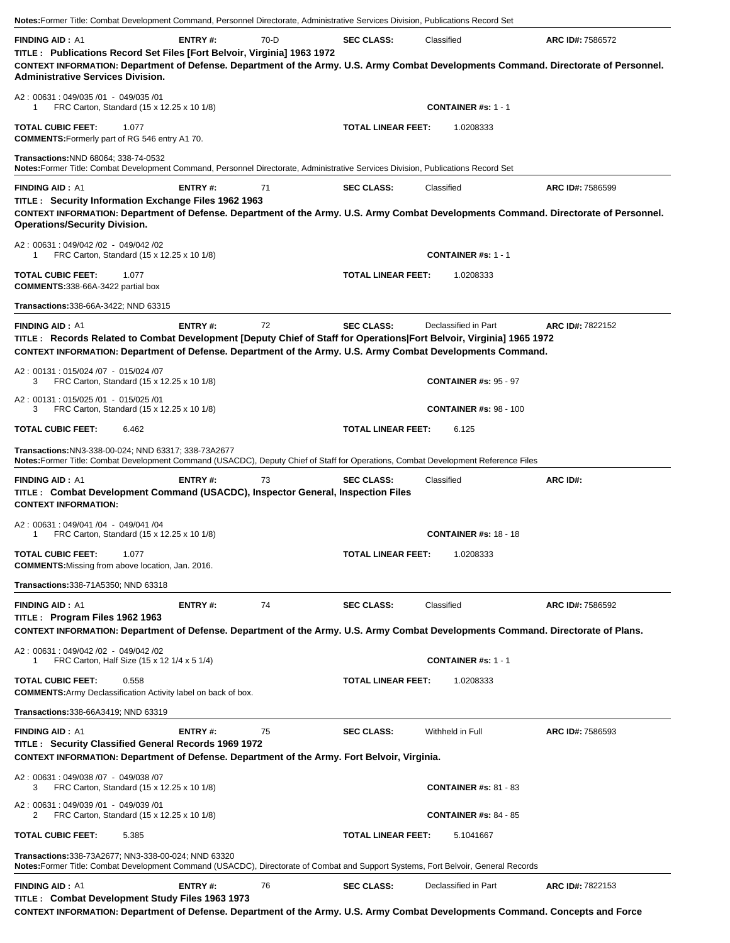| Notes: Former Title: Combat Development Command, Personnel Directorate, Administrative Services Division, Publications Record Set                                                                                                                                                      |                |      |                           |                               |                  |
|----------------------------------------------------------------------------------------------------------------------------------------------------------------------------------------------------------------------------------------------------------------------------------------|----------------|------|---------------------------|-------------------------------|------------------|
| <b>FINDING AID: A1</b><br>TITLE : Publications Record Set Files [Fort Belvoir, Virginia] 1963 1972<br>CONTEXT INFORMATION: Department of Defense. Department of the Army. U.S. Army Combat Developments Command. Directorate of Personnel.<br><b>Administrative Services Division.</b> | ENTRY#:        | 70-D | <b>SEC CLASS:</b>         | Classified                    | ARC ID#: 7586572 |
| A2: 00631: 049/035 /01 - 049/035 /01<br>FRC Carton, Standard (15 x 12.25 x 10 1/8)<br>1                                                                                                                                                                                                |                |      |                           | <b>CONTAINER #s: 1 - 1</b>    |                  |
| <b>TOTAL CUBIC FEET:</b><br>1.077<br><b>COMMENTS:</b> Formerly part of RG 546 entry A1 70.                                                                                                                                                                                             |                |      | <b>TOTAL LINEAR FEET:</b> | 1.0208333                     |                  |
| Transactions: NND 68064; 338-74-0532<br>Notes: Former Title: Combat Development Command, Personnel Directorate, Administrative Services Division, Publications Record Set                                                                                                              |                |      |                           |                               |                  |
| <b>FINDING AID: A1</b>                                                                                                                                                                                                                                                                 | <b>ENTRY#:</b> | 71   | <b>SEC CLASS:</b>         | Classified                    | ARC ID#: 7586599 |
| TITLE : Security Information Exchange Files 1962 1963<br>CONTEXT INFORMATION: Department of Defense. Department of the Army. U.S. Army Combat Developments Command. Directorate of Personnel.<br><b>Operations/Security Division.</b>                                                  |                |      |                           |                               |                  |
| A2: 00631: 049/042 /02 - 049/042 /02<br>FRC Carton, Standard (15 x 12.25 x 10 1/8)<br>1                                                                                                                                                                                                |                |      |                           | <b>CONTAINER #s: 1 - 1</b>    |                  |
| <b>TOTAL CUBIC FEET:</b><br>1.077<br><b>COMMENTS:338-66A-3422 partial box</b>                                                                                                                                                                                                          |                |      | <b>TOTAL LINEAR FEET:</b> | 1.0208333                     |                  |
| Transactions: 338-66A-3422; NND 63315                                                                                                                                                                                                                                                  |                |      |                           |                               |                  |
| <b>FINDING AID: A1</b><br>TITLE: Records Related to Combat Development [Deputy Chief of Staff for Operations Fort Belvoir, Virginia] 1965 1972<br>CONTEXT INFORMATION: Department of Defense. Department of the Army. U.S. Army Combat Developments Command.                           | ENTRY#:        | 72   | <b>SEC CLASS:</b>         | Declassified in Part          | ARC ID#: 7822152 |
| A2: 00131: 015/024 /07 - 015/024 /07<br>FRC Carton, Standard (15 x 12.25 x 10 1/8)<br>3                                                                                                                                                                                                |                |      |                           | <b>CONTAINER #s: 95 - 97</b>  |                  |
| A2: 00131: 015/025 /01 - 015/025 /01<br>FRC Carton, Standard (15 x 12.25 x 10 1/8)<br>3                                                                                                                                                                                                |                |      |                           | <b>CONTAINER #s: 98 - 100</b> |                  |
| <b>TOTAL CUBIC FEET:</b><br>6.462                                                                                                                                                                                                                                                      |                |      | <b>TOTAL LINEAR FEET:</b> | 6.125                         |                  |
| Transactions:NN3-338-00-024; NND 63317; 338-73A2677<br>Notes: Former Title: Combat Development Command (USACDC), Deputy Chief of Staff for Operations, Combat Development Reference Files                                                                                              |                |      |                           |                               |                  |
| <b>FINDING AID: A1</b><br>TITLE : Combat Development Command (USACDC), Inspector General, Inspection Files<br><b>CONTEXT INFORMATION:</b>                                                                                                                                              | ENTRY#:        | 73   | <b>SEC CLASS:</b>         | Classified                    | ARC ID#:         |
| A2: 00631: 049/041 /04 - 049/041 /04<br>FRC Carton, Standard (15 x 12.25 x 10 1/8)<br>1                                                                                                                                                                                                |                |      |                           | <b>CONTAINER #s: 18 - 18</b>  |                  |
| <b>TOTAL CUBIC FEET:</b><br>1.077<br><b>COMMENTS:</b> Missing from above location, Jan. 2016.                                                                                                                                                                                          |                |      | <b>TOTAL LINEAR FEET:</b> | 1.0208333                     |                  |
| <b>Transactions:</b> 338-71A5350; NND 63318                                                                                                                                                                                                                                            |                |      |                           |                               |                  |
| <b>FINDING AID: A1</b><br>TITLE: Program Files 1962 1963                                                                                                                                                                                                                               | <b>ENTRY#:</b> | 74   | <b>SEC CLASS:</b>         | Classified                    | ARC ID#: 7586592 |
| CONTEXT INFORMATION: Department of Defense. Department of the Army. U.S. Army Combat Developments Command. Directorate of Plans.                                                                                                                                                       |                |      |                           |                               |                  |
| A2: 00631: 049/042 /02 - 049/042 /02<br>FRC Carton, Half Size (15 x 12 1/4 x 5 1/4)<br>1                                                                                                                                                                                               |                |      |                           | <b>CONTAINER #s: 1 - 1</b>    |                  |
| <b>TOTAL CUBIC FEET:</b><br>0.558<br><b>COMMENTS:</b> Army Declassification Activity label on back of box.                                                                                                                                                                             |                |      | <b>TOTAL LINEAR FEET:</b> | 1.0208333                     |                  |
| Transactions: 338-66A3419; NND 63319                                                                                                                                                                                                                                                   |                |      |                           |                               |                  |
| <b>FINDING AID: A1</b><br>TITLE: Security Classified General Records 1969 1972<br>CONTEXT INFORMATION: Department of Defense. Department of the Army. Fort Belvoir, Virginia.                                                                                                          | <b>ENTRY#:</b> | 75   | <b>SEC CLASS:</b>         | Withheld in Full              | ARC ID#: 7586593 |
| A2: 00631: 049/038 /07 - 049/038 /07<br>FRC Carton, Standard (15 x 12.25 x 10 1/8)<br>3                                                                                                                                                                                                |                |      |                           | <b>CONTAINER #s: 81 - 83</b>  |                  |
| A2: 00631: 049/039 /01 - 049/039 /01<br>FRC Carton, Standard (15 x 12.25 x 10 1/8)<br>2                                                                                                                                                                                                |                |      |                           | <b>CONTAINER #s: 84 - 85</b>  |                  |
| <b>TOTAL CUBIC FEET:</b><br>5.385                                                                                                                                                                                                                                                      |                |      | <b>TOTAL LINEAR FEET:</b> | 5.1041667                     |                  |
| Transactions:338-73A2677; NN3-338-00-024; NND 63320<br>Notes: Former Title: Combat Development Command (USACDC), Directorate of Combat and Support Systems, Fort Belvoir, General Records                                                                                              |                |      |                           |                               |                  |
| <b>FINDING AID: A1</b>                                                                                                                                                                                                                                                                 | <b>ENTRY#:</b> | 76   | <b>SEC CLASS:</b>         | Declassified in Part          | ARC ID#: 7822153 |
| TITLE: Combat Development Study Files 1963 1973<br>CONTEXT INFORMATION: Department of Defense. Department of the Army. U.S. Army Combat Developments Command. Concepts and Force                                                                                                       |                |      |                           |                               |                  |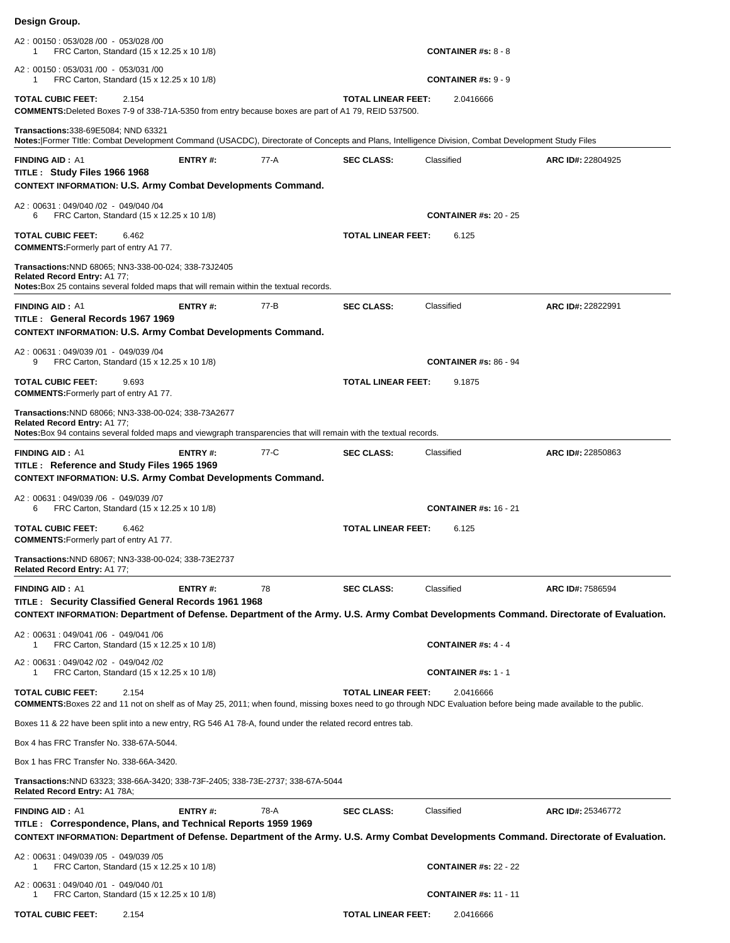| A2: 00150: 053/028 /00 - 053/028 /00<br>FRC Carton, Standard (15 x 12.25 x 10 1/8)                                                                                                                            |                |      |                           | <b>CONTAINER #s: 8 - 8</b>   |                                                                                                                                                            |
|---------------------------------------------------------------------------------------------------------------------------------------------------------------------------------------------------------------|----------------|------|---------------------------|------------------------------|------------------------------------------------------------------------------------------------------------------------------------------------------------|
| A2: 00150: 053/031 /00 - 053/031 /00<br>FRC Carton, Standard (15 x 12.25 x 10 1/8)<br>-1                                                                                                                      |                |      |                           | <b>CONTAINER #s: 9 - 9</b>   |                                                                                                                                                            |
| <b>TOTAL CUBIC FEET:</b><br>2.154<br><b>COMMENTS:</b> Deleted Boxes 7-9 of 338-71A-5350 from entry because boxes are part of A1 79, REID 537500.                                                              |                |      | TOTAL LINEAR FEET:        | 2.0416666                    |                                                                                                                                                            |
| <b>Transactions:</b> 338-69E5084; NND 63321<br>Notes: Former Title: Combat Development Command (USACDC), Directorate of Concepts and Plans, Intelligence Division, Combat Development Study Files             |                |      |                           |                              |                                                                                                                                                            |
| <b>FINDING AID: A1</b><br>TITLE: Study Files 1966 1968<br><b>CONTEXT INFORMATION: U.S. Army Combat Developments Command.</b>                                                                                  | ENTRY#:        | 77-A | <b>SEC CLASS:</b>         | Classified                   | ARC ID#: 22804925                                                                                                                                          |
| A2: 00631: 049/040 /02 - 049/040 /04<br>FRC Carton, Standard (15 x 12.25 x 10 1/8)<br>6                                                                                                                       |                |      |                           | <b>CONTAINER #s: 20 - 25</b> |                                                                                                                                                            |
| <b>TOTAL CUBIC FEET:</b><br>6.462<br><b>COMMENTS:</b> Formerly part of entry A177.                                                                                                                            |                |      | <b>TOTAL LINEAR FEET:</b> | 6.125                        |                                                                                                                                                            |
| Transactions: NND 68065; NN3-338-00-024; 338-73J2405<br>Related Record Entry: A1 77;<br>Notes: Box 25 contains several folded maps that will remain within the textual records.                               |                |      |                           |                              |                                                                                                                                                            |
| <b>FINDING AID: A1</b><br>TITLE: General Records 1967 1969<br><b>CONTEXT INFORMATION: U.S. Army Combat Developments Command.</b>                                                                              | <b>ENTRY#:</b> | 77-B | <b>SEC CLASS:</b>         | Classified                   | ARC ID#: 22822991                                                                                                                                          |
| A2: 00631: 049/039 /01 - 049/039 /04<br>FRC Carton, Standard (15 x 12.25 x 10 1/8)<br>9                                                                                                                       |                |      |                           | <b>CONTAINER #s: 86 - 94</b> |                                                                                                                                                            |
| <b>TOTAL CUBIC FEET:</b><br>9.693<br><b>COMMENTS:</b> Formerly part of entry A177.                                                                                                                            |                |      | <b>TOTAL LINEAR FEET:</b> | 9.1875                       |                                                                                                                                                            |
| Transactions: NND 68066; NN3-338-00-024; 338-73A2677<br>Related Record Entry: A1 77;<br>Notes: Box 94 contains several folded maps and viewgraph transparencies that will remain with the textual records.    |                |      |                           |                              |                                                                                                                                                            |
| <b>FINDING AID: A1</b><br>TITLE: Reference and Study Files 1965 1969<br><b>CONTEXT INFORMATION: U.S. Army Combat Developments Command.</b>                                                                    | <b>ENTRY#:</b> | 77-C | <b>SEC CLASS:</b>         | Classified                   | ARC ID#: 22850863                                                                                                                                          |
| A2: 00631: 049/039 /06 - 049/039 /07<br>FRC Carton, Standard (15 x 12.25 x 10 1/8)<br>6                                                                                                                       |                |      |                           | <b>CONTAINER #s: 16 - 21</b> |                                                                                                                                                            |
| <b>TOTAL CUBIC FEET:</b><br>6.462<br><b>COMMENTS:</b> Formerly part of entry A1 77.                                                                                                                           |                |      | <b>TOTAL LINEAR FEET:</b> | 6.125                        |                                                                                                                                                            |
| Transactions: NND 68067; NN3-338-00-024; 338-73E2737<br>Related Record Entry: A1 77;                                                                                                                          |                |      |                           |                              |                                                                                                                                                            |
| <b>FINDING AID: A1</b><br><b>TITLE: Security Classified General Records 1961 1968</b>                                                                                                                         | <b>ENTRY#:</b> | 78   | <b>SEC CLASS:</b>         | Classified                   | ARC ID#: 7586594<br>CONTEXT INFORMATION: Department of Defense. Department of the Army. U.S. Army Combat Developments Command. Directorate of Evaluation.  |
| A2: 00631: 049/041/06 - 049/041/06<br>FRC Carton, Standard (15 x 12.25 x 10 1/8)                                                                                                                              |                |      |                           | <b>CONTAINER #s: 4 - 4</b>   |                                                                                                                                                            |
| A2: 00631: 049/042 /02 - 049/042 /02<br>FRC Carton, Standard (15 x 12.25 x 10 1/8)                                                                                                                            |                |      |                           | <b>CONTAINER #s: 1 - 1</b>   |                                                                                                                                                            |
| <b>TOTAL CUBIC FEET:</b><br>2.154<br><b>COMMENTS:</b> Boxes 22 and 11 not on shelf as of May 25, 2011; when found, missing boxes need to go through NDC Evaluation before being made available to the public. |                |      | <b>TOTAL LINEAR FEET:</b> | 2.0416666                    |                                                                                                                                                            |
| Boxes 11 & 22 have been split into a new entry, RG 546 A1 78-A, found under the related record entres tab.                                                                                                    |                |      |                           |                              |                                                                                                                                                            |
| Box 4 has FRC Transfer No. 338-67A-5044.                                                                                                                                                                      |                |      |                           |                              |                                                                                                                                                            |
| Box 1 has FRC Transfer No. 338-66A-3420.                                                                                                                                                                      |                |      |                           |                              |                                                                                                                                                            |
| Transactions:NND 63323; 338-66A-3420; 338-73F-2405; 338-73E-2737; 338-67A-5044<br>Related Record Entry: A1 78A;                                                                                               |                |      |                           |                              |                                                                                                                                                            |
| <b>FINDING AID: A1</b><br>TITLE : Correspondence, Plans, and Technical Reports 1959 1969                                                                                                                      | <b>ENTRY#:</b> | 78-A | <b>SEC CLASS:</b>         | Classified                   | ARC ID#: 25346772<br>CONTEXT INFORMATION: Department of Defense. Department of the Army. U.S. Army Combat Developments Command. Directorate of Evaluation. |
| A2: 00631: 049/039 /05 - 049/039 /05<br>FRC Carton, Standard (15 x 12.25 x 10 1/8)<br>1                                                                                                                       |                |      |                           | <b>CONTAINER #s: 22 - 22</b> |                                                                                                                                                            |
| A2: 00631: 049/040 /01 - 049/040 /01<br>FRC Carton, Standard (15 x 12.25 x 10 1/8)<br>1                                                                                                                       |                |      |                           | <b>CONTAINER #s: 11 - 11</b> |                                                                                                                                                            |
| <b>TOTAL CUBIC FEET:</b><br>2.154                                                                                                                                                                             |                |      | <b>TOTAL LINEAR FEET:</b> | 2.0416666                    |                                                                                                                                                            |

**Design Group.**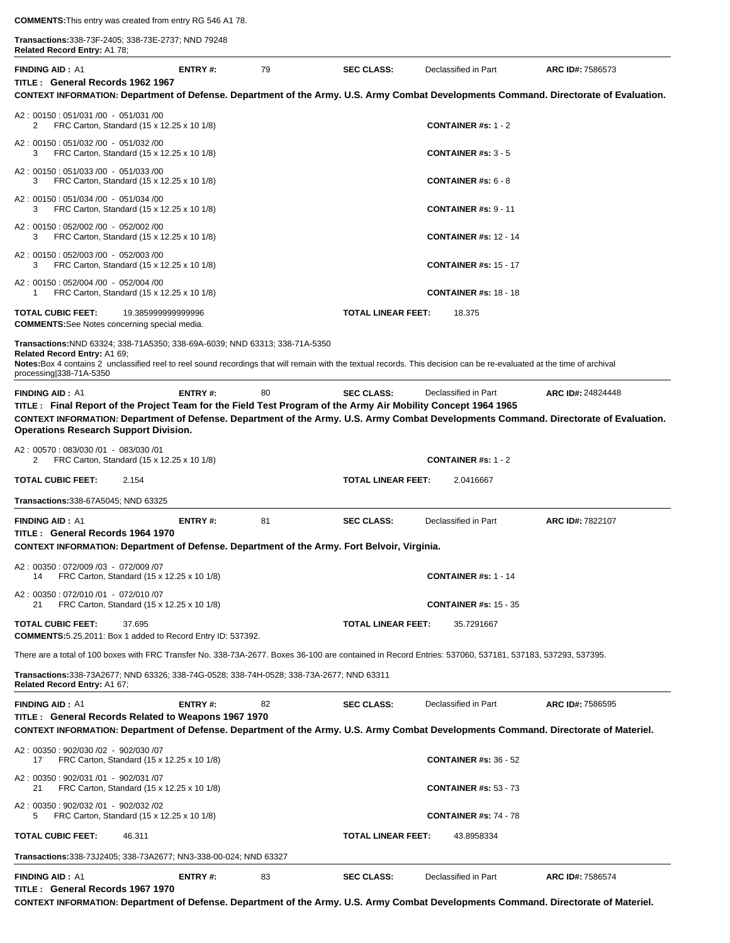**Transactions:**338-73F-2405; 338-73E-2737; NND 79248 **Related Record Entry:** A1 78;

| Related Record Entry: A1 78;                                                                                                                                                                                                                                                                                        |                    |    |                           |                                         |                   |
|---------------------------------------------------------------------------------------------------------------------------------------------------------------------------------------------------------------------------------------------------------------------------------------------------------------------|--------------------|----|---------------------------|-----------------------------------------|-------------------|
| <b>FINDING AID: A1</b><br>TITLE: General Records 1962 1967<br>CONTEXT INFORMATION: Department of Defense. Department of the Army. U.S. Army Combat Developments Command. Directorate of Evaluation.                                                                                                                 | <b>ENTRY#:</b>     | 79 | <b>SEC CLASS:</b>         | Declassified in Part                    | ARC ID#: 7586573  |
|                                                                                                                                                                                                                                                                                                                     |                    |    |                           |                                         |                   |
| A2: 00150: 051/031 /00 - 051/031 /00<br>2<br>FRC Carton, Standard (15 x 12.25 x 10 1/8)                                                                                                                                                                                                                             |                    |    |                           | <b>CONTAINER #s: 1 - 2</b>              |                   |
| A2: 00150: 051/032 /00 - 051/032 /00<br>FRC Carton, Standard (15 x 12.25 x 10 1/8)<br>3                                                                                                                                                                                                                             |                    |    |                           | <b>CONTAINER #s: 3 - 5</b>              |                   |
| A2: 00150: 051/033 /00 - 051/033 /00<br>FRC Carton, Standard (15 x 12.25 x 10 1/8)<br>3                                                                                                                                                                                                                             |                    |    |                           | <b>CONTAINER #s: <math>6 - 8</math></b> |                   |
| A2: 00150: 051/034 /00 - 051/034 /00<br>3<br>FRC Carton, Standard (15 x 12.25 x 10 1/8)                                                                                                                                                                                                                             |                    |    |                           | <b>CONTAINER #s: 9 - 11</b>             |                   |
| A2: 00150: 052/002 /00 - 052/002 /00<br>FRC Carton, Standard (15 x 12.25 x 10 1/8)<br>3                                                                                                                                                                                                                             |                    |    |                           | <b>CONTAINER #s: 12 - 14</b>            |                   |
| A2: 00150: 052/003 /00 - 052/003 /00<br>FRC Carton, Standard (15 x 12.25 x 10 1/8)<br>3                                                                                                                                                                                                                             |                    |    |                           | <b>CONTAINER #s: 15 - 17</b>            |                   |
| A2: 00150: 052/004 /00 - 052/004 /00<br>FRC Carton, Standard (15 x 12.25 x 10 1/8)<br>1                                                                                                                                                                                                                             |                    |    |                           | <b>CONTAINER #s: 18 - 18</b>            |                   |
| <b>TOTAL CUBIC FEET:</b><br><b>COMMENTS:</b> See Notes concerning special media.                                                                                                                                                                                                                                    | 19.385999999999996 |    | <b>TOTAL LINEAR FEET:</b> | 18.375                                  |                   |
| Transactions:NND 63324; 338-71A5350; 338-69A-6039; NND 63313; 338-71A-5350<br>Related Record Entry: A1 69;<br>Notes: Box 4 contains 2 unclassified reel to reel sound recordings that will remain with the textual records. This decision can be re-evaluated at the time of archival<br>processing $ 338-71A-5350$ |                    |    |                           |                                         |                   |
| <b>FINDING AID: A1</b>                                                                                                                                                                                                                                                                                              | <b>ENTRY#:</b>     | 80 | <b>SEC CLASS:</b>         | Declassified in Part                    | ARC ID#: 24824448 |
| TITLE: Final Report of the Project Team for the Field Test Program of the Army Air Mobility Concept 1964 1965                                                                                                                                                                                                       |                    |    |                           |                                         |                   |
| CONTEXT INFORMATION: Department of Defense. Department of the Army. U.S. Army Combat Developments Command. Directorate of Evaluation.<br><b>Operations Research Support Division.</b>                                                                                                                               |                    |    |                           |                                         |                   |
| A2: 00570: 083/030 /01 - 083/030 /01<br>FRC Carton, Standard (15 x 12.25 x 10 1/8)<br>2                                                                                                                                                                                                                             |                    |    |                           | CONTAINER #s: $1 - 2$                   |                   |
| <b>TOTAL CUBIC FEET:</b><br>2.154                                                                                                                                                                                                                                                                                   |                    |    | <b>TOTAL LINEAR FEET:</b> | 2.0416667                               |                   |
| <b>Transactions:</b> 338-67A5045; NND 63325                                                                                                                                                                                                                                                                         |                    |    |                           |                                         |                   |
| <b>FINDING AID: A1</b>                                                                                                                                                                                                                                                                                              | ENTRY#:            | 81 | <b>SEC CLASS:</b>         | Declassified in Part                    | ARC ID#: 7822107  |
| TITLE: General Records 1964 1970<br>CONTEXT INFORMATION: Department of Defense. Department of the Army. Fort Belvoir, Virginia.                                                                                                                                                                                     |                    |    |                           |                                         |                   |
| A2: 00350: 072/009 /03 - 072/009 /07                                                                                                                                                                                                                                                                                |                    |    |                           |                                         |                   |
| FRC Carton, Standard (15 x 12.25 x 10 1/8)<br>14<br>A2: 00350: 072/010 /01 - 072/010 /07                                                                                                                                                                                                                            |                    |    |                           | CONTAINER #s: $1 - 14$                  |                   |
| FRC Carton, Standard (15 x 12.25 x 10 1/8)                                                                                                                                                                                                                                                                          |                    |    |                           | <b>CONTAINER #s: 15 - 35</b>            |                   |
| <b>TOTAL CUBIC FEET:</b><br>37.695<br><b>COMMENTS:</b> 5.25.2011: Box 1 added to Record Entry ID: 537392.                                                                                                                                                                                                           |                    |    | <b>TOTAL LINEAR FEET:</b> | 35.7291667                              |                   |
| There are a total of 100 boxes with FRC Transfer No. 338-73A-2677. Boxes 36-100 are contained in Record Entries: 537060, 537181, 537183, 537293, 537395.                                                                                                                                                            |                    |    |                           |                                         |                   |
| Transactions:338-73A2677; NND 63326; 338-74G-0528; 338-74H-0528; 338-73A-2677; NND 63311<br>Related Record Entry: A1 67;                                                                                                                                                                                            |                    |    |                           |                                         |                   |
| <b>FINDING AID: A1</b>                                                                                                                                                                                                                                                                                              | <b>ENTRY#:</b>     | 82 | <b>SEC CLASS:</b>         | Declassified in Part                    | ARC ID#: 7586595  |
| TITLE : General Records Related to Weapons 1967 1970<br>CONTEXT INFORMATION: Department of Defense. Department of the Army. U.S. Army Combat Developments Command. Directorate of Materiel.                                                                                                                         |                    |    |                           |                                         |                   |
| A2: 00350: 902/030 /02 - 902/030 /07                                                                                                                                                                                                                                                                                |                    |    |                           |                                         |                   |
| FRC Carton, Standard (15 x 12.25 x 10 1/8)<br>17<br>A2: 00350: 902/031 /01 - 902/031 /07                                                                                                                                                                                                                            |                    |    |                           | <b>CONTAINER #s: 36 - 52</b>            |                   |
| FRC Carton, Standard (15 x 12.25 x 10 1/8)<br>21                                                                                                                                                                                                                                                                    |                    |    |                           | <b>CONTAINER #s: 53 - 73</b>            |                   |
| A2: 00350: 902/032 /01 - 902/032 /02<br>FRC Carton, Standard (15 x 12.25 x 10 1/8)<br>5                                                                                                                                                                                                                             |                    |    |                           | <b>CONTAINER #s: 74 - 78</b>            |                   |
| <b>TOTAL CUBIC FEET:</b><br>46.311                                                                                                                                                                                                                                                                                  |                    |    | <b>TOTAL LINEAR FEET:</b> | 43.8958334                              |                   |
| <b>Transactions:</b> 338-73J2405; 338-73A2677; NN3-338-00-024; NND 63327                                                                                                                                                                                                                                            |                    |    |                           |                                         |                   |
| <b>FINDING AID: A1</b><br>TITLE: General Records 1967 1970                                                                                                                                                                                                                                                          | <b>ENTRY#:</b>     | 83 | <b>SEC CLASS:</b>         | Declassified in Part                    | ARC ID#: 7586574  |

**CONTEXT INFORMATION: Department of Defense. Department of the Army. U.S. Army Combat Developments Command. Directorate of Materiel.**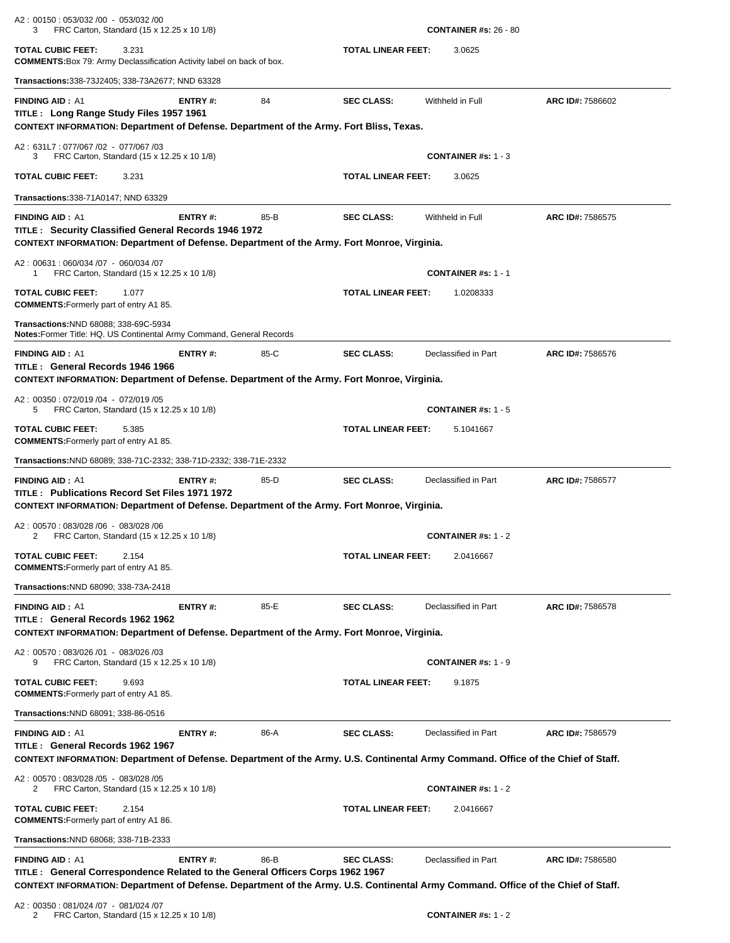| A2: 00150: 053/032 /00 - 053/032 /00<br>FRC Carton, Standard (15 x 12.25 x 10 1/8)<br>3                                                                                                        |                                                                               |      |                           | <b>CONTAINER #s: 26 - 80</b>        |                  |  |  |
|------------------------------------------------------------------------------------------------------------------------------------------------------------------------------------------------|-------------------------------------------------------------------------------|------|---------------------------|-------------------------------------|------------------|--|--|
| <b>TOTAL CUBIC FEET:</b><br>3.231                                                                                                                                                              | <b>COMMENTS:</b> Box 79: Army Declassification Activity label on back of box. |      |                           | <b>TOTAL LINEAR FEET:</b><br>3.0625 |                  |  |  |
| <b>Transactions:</b> 338-73J2405; 338-73A2677; NND 63328                                                                                                                                       |                                                                               |      |                           |                                     |                  |  |  |
| <b>FINDING AID: A1</b><br>TITLE: Long Range Study Files 1957 1961<br>CONTEXT INFORMATION: Department of Defense. Department of the Army. Fort Bliss, Texas.                                    | <b>ENTRY#:</b>                                                                | 84   | <b>SEC CLASS:</b>         | Withheld in Full                    | ARC ID#: 7586602 |  |  |
| A2: 631L7: 077/067 /02 - 077/067 /03<br>FRC Carton, Standard (15 x 12.25 x 10 1/8)<br>3                                                                                                        |                                                                               |      |                           | <b>CONTAINER #s: 1 - 3</b>          |                  |  |  |
| <b>TOTAL CUBIC FEET:</b><br>3.231                                                                                                                                                              |                                                                               |      | <b>TOTAL LINEAR FEET:</b> | 3.0625                              |                  |  |  |
| <b>Transactions:</b> 338-71A0147; NND 63329                                                                                                                                                    |                                                                               |      |                           |                                     |                  |  |  |
| <b>FINDING AID: A1</b><br>TITLE: Security Classified General Records 1946 1972<br>CONTEXT INFORMATION: Department of Defense. Department of the Army. Fort Monroe, Virginia.                   | ENTRY#:                                                                       | 85-B | <b>SEC CLASS:</b>         | Withheld in Full                    | ARC ID#: 7586575 |  |  |
| A2: 00631: 060/034 /07 - 060/034 /07<br>FRC Carton, Standard (15 x 12.25 x 10 1/8)<br>1                                                                                                        |                                                                               |      |                           | <b>CONTAINER #s: 1 - 1</b>          |                  |  |  |
| <b>TOTAL CUBIC FEET:</b><br>1.077<br><b>COMMENTS:</b> Formerly part of entry A1 85.                                                                                                            |                                                                               |      | <b>TOTAL LINEAR FEET:</b> | 1.0208333                           |                  |  |  |
| <b>Transactions:NND 68088; 338-69C-5934</b><br>Notes: Former Title: HQ. US Continental Army Command, General Records                                                                           |                                                                               |      |                           |                                     |                  |  |  |
| <b>FINDING AID: A1</b><br>TITLE: General Records 1946 1966<br>CONTEXT INFORMATION: Department of Defense. Department of the Army. Fort Monroe, Virginia.                                       | <b>ENTRY#:</b>                                                                | 85-C | <b>SEC CLASS:</b>         | Declassified in Part                | ARC ID#: 7586576 |  |  |
| A2: 00350: 072/019 /04 - 072/019 /05<br>FRC Carton, Standard (15 x 12.25 x 10 1/8)<br>5                                                                                                        |                                                                               |      |                           | <b>CONTAINER #s: 1 - 5</b>          |                  |  |  |
| <b>TOTAL CUBIC FEET:</b><br>5.385<br><b>COMMENTS:</b> Formerly part of entry A1 85.                                                                                                            |                                                                               |      | <b>TOTAL LINEAR FEET:</b> | 5.1041667                           |                  |  |  |
| Transactions: NND 68089; 338-71C-2332; 338-71D-2332; 338-71E-2332                                                                                                                              |                                                                               |      |                           |                                     |                  |  |  |
| <b>FINDING AID: A1</b><br>TITLE: Publications Record Set Files 1971 1972<br>CONTEXT INFORMATION: Department of Defense. Department of the Army. Fort Monroe, Virginia.                         | ENTRY#:                                                                       | 85-D | <b>SEC CLASS:</b>         | Declassified in Part                | ARC ID#: 7586577 |  |  |
| A2: 00570: 083/028 /06 - 083/028 /06<br>FRC Carton, Standard (15 x 12.25 x 10 1/8)<br>2                                                                                                        |                                                                               |      |                           | <b>CONTAINER #s: 1 - 2</b>          |                  |  |  |
| <b>TOTAL CUBIC FEET:</b><br>2.154<br><b>COMMENTS:</b> Formerly part of entry A1 85.                                                                                                            |                                                                               |      | <b>TOTAL LINEAR FEET:</b> | 2.0416667                           |                  |  |  |
| Transactions: NND 68090; 338-73A-2418                                                                                                                                                          |                                                                               |      |                           |                                     |                  |  |  |
| <b>FINDING AID: A1</b><br>TITLE: General Records 1962 1962                                                                                                                                     | <b>ENTRY#:</b>                                                                | 85-E | <b>SEC CLASS:</b>         | Declassified in Part                | ARC ID#: 7586578 |  |  |
| CONTEXT INFORMATION: Department of Defense. Department of the Army. Fort Monroe, Virginia.                                                                                                     |                                                                               |      |                           |                                     |                  |  |  |
| A2: 00570: 083/026 /01 - 083/026 /03<br>FRC Carton, Standard (15 x 12.25 x 10 1/8)<br>9                                                                                                        |                                                                               |      |                           | <b>CONTAINER #s: 1 - 9</b>          |                  |  |  |
| <b>TOTAL CUBIC FEET:</b><br>9.693<br><b>COMMENTS:</b> Formerly part of entry A1 85.                                                                                                            |                                                                               |      | <b>TOTAL LINEAR FEET:</b> | 9.1875                              |                  |  |  |
| Transactions: NND 68091; 338-86-0516                                                                                                                                                           |                                                                               |      |                           |                                     |                  |  |  |
| <b>FINDING AID: A1</b><br>TITLE: General Records 1962 1967<br>CONTEXT INFORMATION: Department of Defense. Department of the Army. U.S. Continental Army Command. Office of the Chief of Staff. | <b>ENTRY#:</b>                                                                | 86-A | <b>SEC CLASS:</b>         | Declassified in Part                | ARC ID#: 7586579 |  |  |
| A2: 00570: 083/028 /05 - 083/028 /05<br>FRC Carton, Standard (15 x 12.25 x 10 1/8)<br>2                                                                                                        |                                                                               |      |                           | <b>CONTAINER #s: 1 - 2</b>          |                  |  |  |
| TOTAL CUBIC FEET:<br>2.154<br><b>COMMENTS:</b> Formerly part of entry A1 86.                                                                                                                   |                                                                               |      | <b>TOTAL LINEAR FEET:</b> | 2.0416667                           |                  |  |  |
| Transactions:NND 68068; 338-71B-2333                                                                                                                                                           |                                                                               |      |                           |                                     |                  |  |  |
| <b>FINDING AID: A1</b><br>TITLE: General Correspondence Related to the General Officers Corps 1962 1967                                                                                        | <b>ENTRY#:</b>                                                                | 86-B | <b>SEC CLASS:</b>         | Declassified in Part                | ARC ID#: 7586580 |  |  |
| CONTEXT INFORMATION: Department of Defense. Department of the Army. U.S. Continental Army Command. Office of the Chief of Staff.<br>A2: 00350: 081/024 /07 - 081/024 /07                       |                                                                               |      |                           |                                     |                  |  |  |

2 FRC Carton, Standard (15 x 12.25 x 10 1/8) **CONTAINER #s:** 1 - 2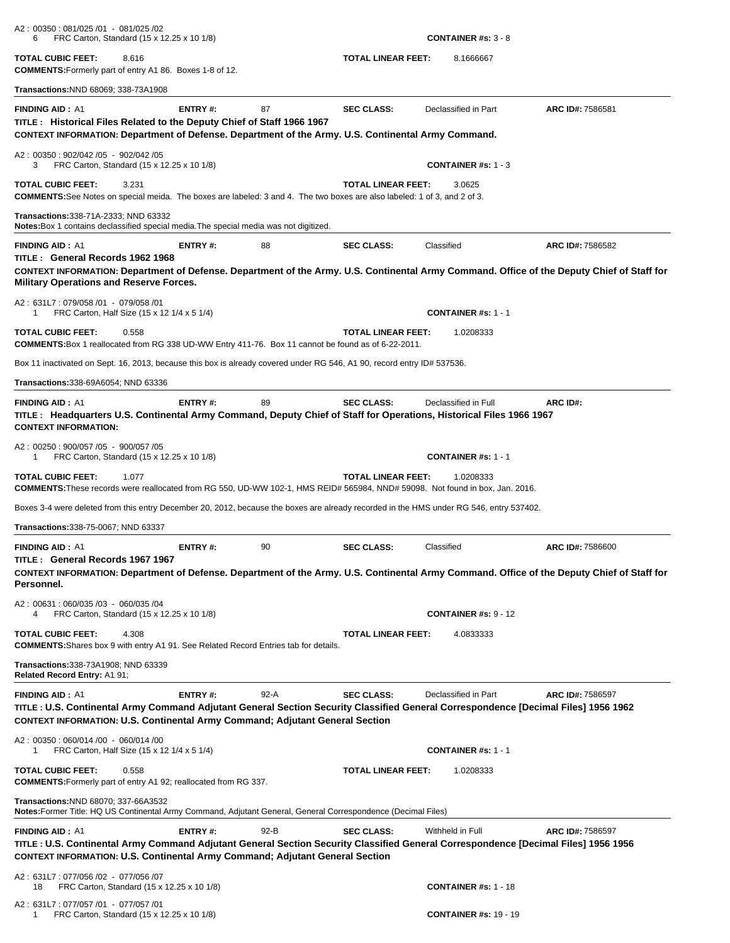| A2: 00350: 081/025 /01 - 081/025 /02<br>FRC Carton, Standard (15 x 12.25 x 10 1/8)<br>6                                                                                                                                                                                     |                           | <b>CONTAINER #s: <math>3 - 8</math></b> |                  |
|-----------------------------------------------------------------------------------------------------------------------------------------------------------------------------------------------------------------------------------------------------------------------------|---------------------------|-----------------------------------------|------------------|
| <b>TOTAL CUBIC FEET:</b><br>8.616<br><b>COMMENTS:</b> Formerly part of entry A1 86. Boxes 1-8 of 12.                                                                                                                                                                        | <b>TOTAL LINEAR FEET:</b> | 8.1666667                               |                  |
| Transactions: NND 68069; 338-73A1908                                                                                                                                                                                                                                        |                           |                                         |                  |
| <b>FINDING AID: A1</b><br>ENTRY#:<br>87<br>TITLE : Historical Files Related to the Deputy Chief of Staff 1966 1967<br>CONTEXT INFORMATION: Department of Defense. Department of the Army. U.S. Continental Army Command.                                                    | <b>SEC CLASS:</b>         | Declassified in Part                    | ARC ID#: 7586581 |
| A2: 00350: 902/042 /05 - 902/042 /05<br>FRC Carton, Standard (15 x 12.25 x 10 1/8)<br>3                                                                                                                                                                                     |                           | <b>CONTAINER #s: 1 - 3</b>              |                  |
| <b>TOTAL CUBIC FEET:</b><br>3.231<br><b>COMMENTS:</b> See Notes on special meida. The boxes are labeled: 3 and 4. The two boxes are also labeled: 1 of 3, and 2 of 3.                                                                                                       | <b>TOTAL LINEAR FEET:</b> | 3.0625                                  |                  |
| Transactions: 338-71A-2333; NND 63332<br>Notes: Box 1 contains declassified special media. The special media was not digitized.                                                                                                                                             |                           |                                         |                  |
| <b>FINDING AID: A1</b><br>ENTRY#:<br>88<br>TITLE: General Records 1962 1968<br>CONTEXT INFORMATION: Department of Defense. Department of the Army. U.S. Continental Army Command. Office of the Deputy Chief of Staff for<br>Military Operations and Reserve Forces.        | <b>SEC CLASS:</b>         | Classified                              | ARC ID#: 7586582 |
| A2: 631L7: 079/058 /01 - 079/058 /01<br>FRC Carton, Half Size (15 x 12 1/4 x 5 1/4)<br>1                                                                                                                                                                                    |                           | <b>CONTAINER #s: 1 - 1</b>              |                  |
| <b>TOTAL CUBIC FEET:</b><br>0.558<br>COMMENTS: Box 1 reallocated from RG 338 UD-WW Entry 411-76. Box 11 cannot be found as of 6-22-2011.                                                                                                                                    | <b>TOTAL LINEAR FEET:</b> | 1.0208333                               |                  |
| Box 11 inactivated on Sept. 16, 2013, because this box is already covered under RG 546, A1 90, record entry ID# 537536.                                                                                                                                                     |                           |                                         |                  |
| Transactions: 338-69A6054; NND 63336                                                                                                                                                                                                                                        |                           |                                         |                  |
| ENTRY#:<br>89<br><b>FINDING AID: A1</b><br>TITLE: Headquarters U.S. Continental Army Command, Deputy Chief of Staff for Operations, Historical Files 1966 1967<br><b>CONTEXT INFORMATION:</b>                                                                               | <b>SEC CLASS:</b>         | Declassified in Full                    | ARC ID#:         |
| A2: 00250: 900/057 /05 - 900/057 /05<br>FRC Carton, Standard (15 x 12.25 x 10 1/8)<br>1                                                                                                                                                                                     |                           | <b>CONTAINER #s: 1 - 1</b>              |                  |
| <b>TOTAL CUBIC FEET:</b><br>1.077<br>COMMENTS: These records were reallocated from RG 550, UD-WW 102-1, HMS REID# 565984, NND# 59098. Not found in box, Jan. 2016.                                                                                                          | <b>TOTAL LINEAR FEET:</b> | 1.0208333                               |                  |
| Boxes 3-4 were deleted from this entry December 20, 2012, because the boxes are already recorded in the HMS under RG 546, entry 537402.                                                                                                                                     |                           |                                         |                  |
| <b>Transactions:</b> 338-75-0067; NND 63337                                                                                                                                                                                                                                 |                           |                                         |                  |
| <b>FINDING AID: A1</b><br>ENTRY#:<br>90<br>TITLE: General Records 1967 1967<br>CONTEXT INFORMATION: Department of Defense. Department of the Army. U.S. Continental Army Command. Office of the Deputy Chief of Staff for<br>Personnel.                                     | <b>SEC CLASS:</b>         | Classified                              | ARC ID#: 7586600 |
| A2: 00631: 060/035 /03 - 060/035 /04<br>FRC Carton, Standard (15 x 12.25 x 10 1/8)<br>4                                                                                                                                                                                     |                           | <b>CONTAINER #s: 9 - 12</b>             |                  |
| <b>TOTAL CUBIC FEET:</b><br>4.308<br><b>COMMENTS:</b> Shares box 9 with entry A1 91. See Related Record Entries tab for details.                                                                                                                                            | <b>TOTAL LINEAR FEET:</b> | 4.0833333                               |                  |
| Transactions: 338-73A1908; NND 63339<br>Related Record Entry: A1 91;                                                                                                                                                                                                        |                           |                                         |                  |
| $92-A$<br><b>FINDING AID: A1</b><br>ENTRY#:<br>TITLE : U.S. Continental Army Command Adjutant General Section Security Classified General Correspondence [Decimal Files] 1956 1962<br><b>CONTEXT INFORMATION: U.S. Continental Army Command; Adjutant General Section</b>   | <b>SEC CLASS:</b>         | Declassified in Part                    | ARC ID#: 7586597 |
| A2: 00350: 060/014 /00 - 060/014 /00<br>FRC Carton, Half Size (15 x 12 1/4 x 5 1/4)<br>1                                                                                                                                                                                    |                           | <b>CONTAINER #s: 1 - 1</b>              |                  |
| <b>TOTAL CUBIC FEET:</b><br>0.558<br><b>COMMENTS:</b> Formerly part of entry A1 92; reallocated from RG 337.                                                                                                                                                                | <b>TOTAL LINEAR FEET:</b> | 1.0208333                               |                  |
| Transactions: NND 68070; 337-66A3532<br>Notes: Former Title: HQ US Continental Army Command, Adjutant General, General Correspondence (Decimal Files)                                                                                                                       |                           |                                         |                  |
| <b>FINDING AID: A1</b><br>ENTRY#:<br>$92 - B$<br>TITLE : U.S. Continental Army Command Adjutant General Section Security Classified General Correspondence [Decimal Files] 1956 1956<br><b>CONTEXT INFORMATION: U.S. Continental Army Command; Adjutant General Section</b> | <b>SEC CLASS:</b>         | Withheld in Full                        | ARC ID#: 7586597 |
| A2: 631L7: 077/056 /02 - 077/056 /07<br>FRC Carton, Standard (15 x 12.25 x 10 1/8)<br>18                                                                                                                                                                                    |                           | <b>CONTAINER #s: 1 - 18</b>             |                  |
| A2: 631L7: 077/057 /01 - 077/057 /01<br>FRC Carton, Standard (15 x 12.25 x 10 1/8)<br>1                                                                                                                                                                                     |                           | <b>CONTAINER #s: 19 - 19</b>            |                  |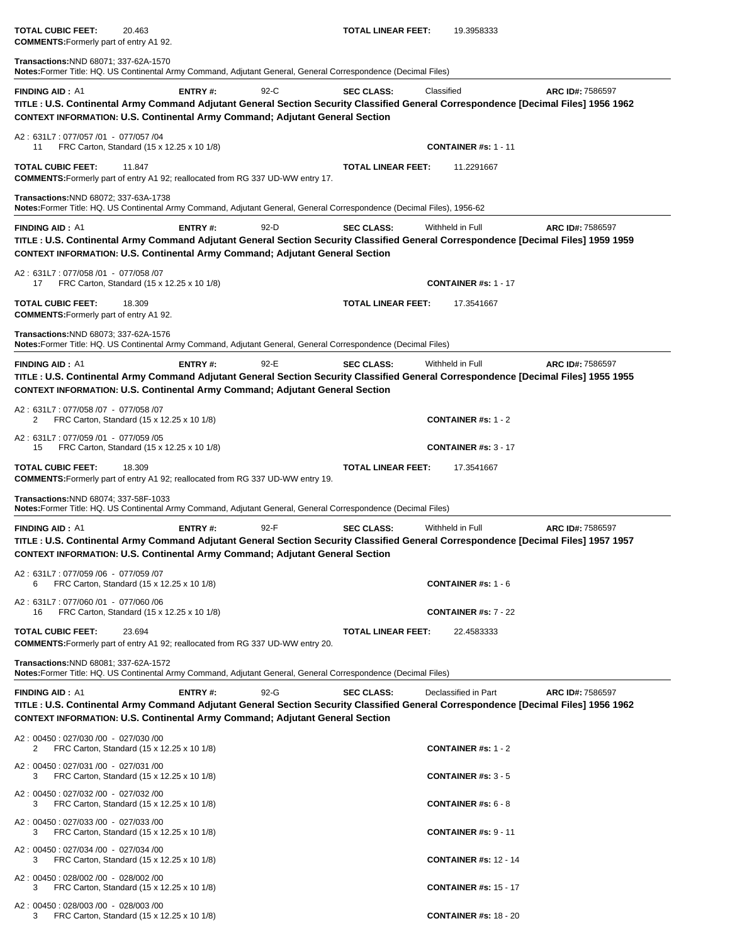**TOTAL CUBIC FEET:** 20.463 **TOTAL LINEAR FEET:** 19.3958333 **COMMENTS:**Formerly part of entry A1 92. **Transactions:**NND 68071; 337-62A-1570 **Notes:**Former Title: HQ. US Continental Army Command, Adjutant General, General Correspondence (Decimal Files)  **FINDING AID :** A1 **ENTRY #:** 92-C **SEC CLASS:** Classified **ARC ID#:** 7586597 **TITLE : U.S. Continental Army Command Adjutant General Section Security Classified General Correspondence [Decimal Files] 1956 1962 CONTEXT INFORMATION: U.S. Continental Army Command; Adjutant General Section** A2 : 631L7 : 077/057 /01 - 077/057 /04 11 FRC Carton, Standard (15 x 12.25 x 10 1/8) **CONTAINER #s:** 1 - 11 **TOTAL CUBIC FEET:** 11.847 **TOTAL LINEAR FEET:** 11.2291667 **COMMENTS:**Formerly part of entry A1 92; reallocated from RG 337 UD-WW entry 17. **Transactions:**NND 68072; 337-63A-1738 **Notes:**Former Title: HQ. US Continental Army Command, Adjutant General, General Correspondence (Decimal Files), 1956-62**FINDING AID :** A1 **ENTRY #:** 92-D **SEC CLASS:** Withheld in Full **ARC ID#:** 7586597 **TITLE : U.S. Continental Army Command Adjutant General Section Security Classified General Correspondence [Decimal Files] 1959 1959 CONTEXT INFORMATION: U.S. Continental Army Command; Adjutant General Section** A2 : 631L7 : 077/058 /01 - 077/058 /07 17 FRC Carton, Standard (15 x 12.25 x 10 1/8) **CONTAINER #s:** 1 - 17 **TOTAL CUBIC FEET:** 18.309 **TOTAL LINEAR FEET:** 17.3541667 **COMMENTS:**Formerly part of entry A1 92. **Transactions:**NND 68073; 337-62A-1576 **Notes:**Former Title: HQ. US Continental Army Command, Adjutant General, General Correspondence (Decimal Files) **FINDING AID :** A1 **ENTRY #:** 92-E **SEC CLASS:** Withheld in Full **ARC ID#:** 7586597 **TITLE : U.S. Continental Army Command Adjutant General Section Security Classified General Correspondence [Decimal Files] 1955 1955 CONTEXT INFORMATION: U.S. Continental Army Command; Adjutant General Section** A2 : 631L7 : 077/058 /07 - 077/058 /07 2 FRC Carton, Standard (15 x 12.25 x 10 1/8) **CONTAINER #s:** 1 - 2 A2 : 631L7 : 077/059 /01 - 077/059 /05 15 FRC Carton, Standard (15 x 12.25 x 10 1/8) **CONTAINER #s:** 3 - 17 **TOTAL CUBIC FEET:** 18.309 **TOTAL LINEAR FEET:** 17.3541667 **COMMENTS:**Formerly part of entry A1 92; reallocated from RG 337 UD-WW entry 19. **Transactions:**NND 68074; 337-58F-1033 **Notes:**Former Title: HQ. US Continental Army Command, Adjutant General, General Correspondence (Decimal Files) **FINDING AID :** A1 **ENTRY #:** 92-F **SEC CLASS:** Withheld in Full **ARC ID#:** 7586597 **TITLE : U.S. Continental Army Command Adjutant General Section Security Classified General Correspondence [Decimal Files] 1957 1957 CONTEXT INFORMATION: U.S. Continental Army Command; Adjutant General Section** A2 : 631L7 : 077/059 /06 - 077/059 /07 6 FRC Carton, Standard (15 x 12.25 x 10 1/8) **CONTAINER #s:** 1 - 6 A2 : 631L7 : 077/060 /01 - 077/060 /06 16 FRC Carton, Standard (15 x 12.25 x 10 1/8) **CONTAINER #s:** 7 - 22 **TOTAL CUBIC FEET:** 23.694 **TOTAL LINEAR FEET:** 22.4583333 **COMMENTS:**Formerly part of entry A1 92; reallocated from RG 337 UD-WW entry 20. **Transactions:**NND 68081; 337-62A-1572 **Notes:**Former Title: HQ. US Continental Army Command, Adjutant General, General Correspondence (Decimal Files) **FINDING AID :** A1 **ENTRY #:** 92-G **SEC CLASS:** Declassified in Part **ARC ID#:** 7586597 **TITLE : U.S. Continental Army Command Adjutant General Section Security Classified General Correspondence [Decimal Files] 1956 1962 CONTEXT INFORMATION: U.S. Continental Army Command; Adjutant General Section** A2 : 00450 : 027/030 /00 - 027/030 /00 2 FRC Carton, Standard (15 x 12.25 x 10 1/8) **CONTAINER #s:** 1 - 2 A2 : 00450 : 027/031 /00 - 027/031 /00 3 FRC Carton, Standard (15 x 12.25 x 10 1/8) **CONTAINER #s:** 3 - 5 A2 : 00450 : 027/032 /00 - 027/032 /00 3 FRC Carton, Standard (15 x 12.25 x 10 1/8) **CONTAINER #s:** 6 - 8 A2 : 00450 : 027/033 /00 - 027/033 /00 3 FRC Carton, Standard (15 x 12.25 x 10 1/8) **CONTAINER #s:** 9 - 11 A2 : 00450 : 027/034 /00 - 027/034 /00 3 FRC Carton, Standard (15 x 12.25 x 10 1/8) **CONTAINER #s:** 12 - 14

3 FRC Carton, Standard (15 x 12.25 x 10 1/8) **CONTAINER #s:** 15 - 17

3 FRC Carton, Standard (15 x 12.25 x 10 1/8) **CONTAINER #s:** 18 - 20

A2 : 00450 : 028/002 /00 - 028/002 /00

A2 : 00450 : 028/003 /00 - 028/003 /00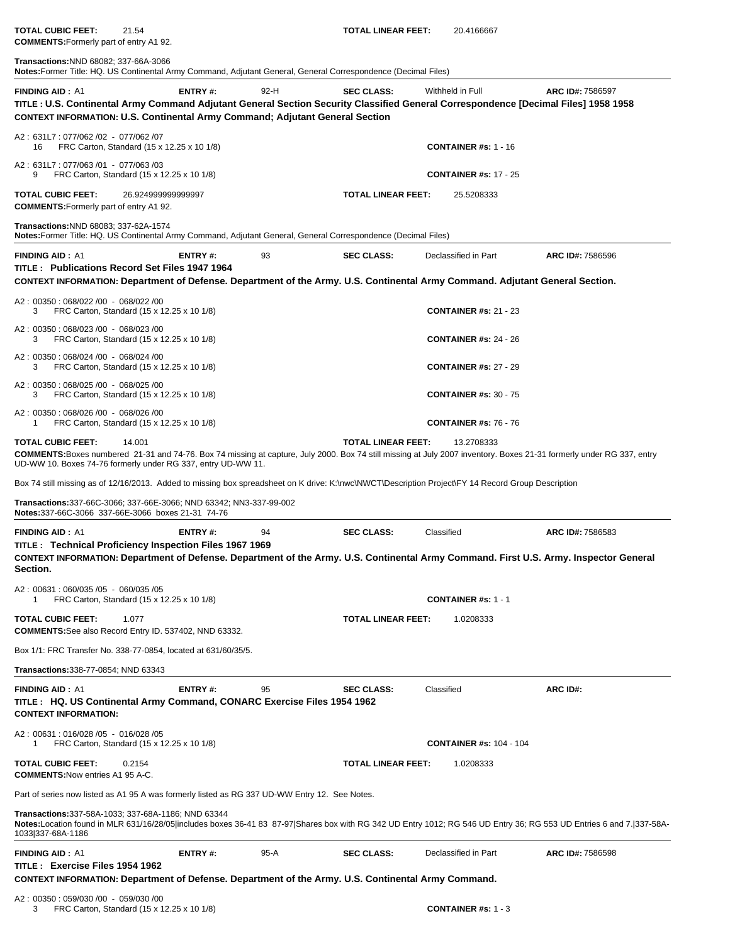**COMMENTS:**Formerly part of entry A1 92.

**Transactions:**NND 68082; 337-66A-3066

**Notes:**Former Title: HQ. US Continental Army Command, Adjutant General, General Correspondence (Decimal Files) 

| <b>FINDING AID: A1</b>                                                     | <b>ENTRY#:</b>                                                                                                                                                                                                                                 | 92-H   | <b>SEC CLASS:</b>         | Withheld in Full               | ARC ID#: 7586597                                                                                                                                                      |
|----------------------------------------------------------------------------|------------------------------------------------------------------------------------------------------------------------------------------------------------------------------------------------------------------------------------------------|--------|---------------------------|--------------------------------|-----------------------------------------------------------------------------------------------------------------------------------------------------------------------|
|                                                                            | TITLE : U.S. Continental Army Command Adjutant General Section Security Classified General Correspondence [Decimal Files] 1958 1958<br><b>CONTEXT INFORMATION: U.S. Continental Army Command; Adjutant General Section</b>                     |        |                           |                                |                                                                                                                                                                       |
| A2: 631L7: 077/062 /02 - 077/062 /07<br>16                                 | FRC Carton, Standard (15 x 12.25 x 10 1/8)                                                                                                                                                                                                     |        |                           | <b>CONTAINER #s: 1 - 16</b>    |                                                                                                                                                                       |
| A2: 631L7: 077/063/01 - 077/063/03                                         | FRC Carton, Standard (15 x 12.25 x 10 1/8)                                                                                                                                                                                                     |        |                           | <b>CONTAINER #s: 17 - 25</b>   |                                                                                                                                                                       |
| <b>TOTAL CUBIC FEET:</b><br><b>COMMENTS:</b> Formerly part of entry A1 92. | 26.924999999999997                                                                                                                                                                                                                             |        | <b>TOTAL LINEAR FEET:</b> | 25.5208333                     |                                                                                                                                                                       |
| Transactions: NND 68083; 337-62A-1574                                      | Notes: Former Title: HQ. US Continental Army Command, Adjutant General, General Correspondence (Decimal Files)                                                                                                                                 |        |                           |                                |                                                                                                                                                                       |
| <b>FINDING AID: A1</b>                                                     | <b>ENTRY#:</b>                                                                                                                                                                                                                                 | 93     | <b>SEC CLASS:</b>         | Declassified in Part           | ARC ID#: 7586596                                                                                                                                                      |
|                                                                            | TITLE: Publications Record Set Files 1947 1964<br>CONTEXT INFORMATION: Department of Defense. Department of the Army. U.S. Continental Army Command. Adjutant General Section.                                                                 |        |                           |                                |                                                                                                                                                                       |
| A2: 00350: 068/022 /00 - 068/022 /00<br>3                                  | FRC Carton, Standard (15 x 12.25 x 10 1/8)                                                                                                                                                                                                     |        |                           | <b>CONTAINER #s: 21 - 23</b>   |                                                                                                                                                                       |
| A2: 00350: 068/023 /00 - 068/023 /00<br>3                                  | FRC Carton, Standard (15 x 12.25 x 10 1/8)                                                                                                                                                                                                     |        |                           | <b>CONTAINER #s: 24 - 26</b>   |                                                                                                                                                                       |
| A2: 00350: 068/024 /00 - 068/024 /00<br>3                                  | FRC Carton, Standard (15 x 12.25 x 10 1/8)                                                                                                                                                                                                     |        |                           | <b>CONTAINER #s: 27 - 29</b>   |                                                                                                                                                                       |
| A2: 00350: 068/025 /00 - 068/025 /00<br>3                                  | FRC Carton, Standard (15 x 12.25 x 10 1/8)                                                                                                                                                                                                     |        |                           | <b>CONTAINER #s: 30 - 75</b>   |                                                                                                                                                                       |
| A2: 00350: 068/026 /00 - 068/026 /00                                       | FRC Carton, Standard (15 x 12.25 x 10 1/8)                                                                                                                                                                                                     |        |                           | <b>CONTAINER #s: 76 - 76</b>   |                                                                                                                                                                       |
| <b>TOTAL CUBIC FEET:</b>                                                   | 14.001<br>COMMENTS:Boxes numbered 21-31 and 74-76. Box 74 missing at capture, July 2000. Box 74 still missing at July 2007 inventory. Boxes 21-31 formerly under RG 337, entry<br>UD-WW 10. Boxes 74-76 formerly under RG 337, entry UD-WW 11. |        | <b>TOTAL LINEAR FEET:</b> | 13.2708333                     |                                                                                                                                                                       |
|                                                                            | Box 74 still missing as of 12/16/2013. Added to missing box spreadsheet on K drive: K:\nwc\NWCT\Description Project\FY 14 Record Group Description                                                                                             |        |                           |                                |                                                                                                                                                                       |
|                                                                            | Transactions: 337-66C-3066; 337-66E-3066; NND 63342; NN3-337-99-002<br>Notes:337-66C-3066 337-66E-3066 boxes 21-31 74-76                                                                                                                       |        |                           |                                |                                                                                                                                                                       |
| <b>FINDING AID: A1</b>                                                     | ENTRY#:                                                                                                                                                                                                                                        | 94     | <b>SEC CLASS:</b>         | Classified                     | ARC ID#: 7586583                                                                                                                                                      |
| Section.                                                                   | TITLE : Technical Proficiency Inspection Files 1967 1969<br>CONTEXT INFORMATION: Department of Defense. Department of the Army. U.S. Continental Army Command. First U.S. Army. Inspector General                                              |        |                           |                                |                                                                                                                                                                       |
| A2: 00631: 060/035 /05 - 060/035 /05                                       | FRC Carton, Standard (15 x 12.25 x 10 1/8)                                                                                                                                                                                                     |        |                           | <b>CONTAINER #s: 1 - 1</b>     |                                                                                                                                                                       |
| TOTAL CUBIC FEET:                                                          | 1.077<br><b>COMMENTS:</b> See also Record Entry ID. 537402, NND 63332.                                                                                                                                                                         |        | TOTAL LINEAR FEET:        | 1.0208333                      |                                                                                                                                                                       |
|                                                                            | Box 1/1: FRC Transfer No. 338-77-0854, located at 631/60/35/5.                                                                                                                                                                                 |        |                           |                                |                                                                                                                                                                       |
| Transactions: 338-77-0854; NND 63343                                       |                                                                                                                                                                                                                                                |        |                           |                                |                                                                                                                                                                       |
| <b>FINDING AID: A1</b>                                                     | <b>ENTRY#:</b>                                                                                                                                                                                                                                 | 95     | <b>SEC CLASS:</b>         | Classified                     | ARC ID#:                                                                                                                                                              |
| <b>CONTEXT INFORMATION:</b>                                                | TITLE: HQ. US Continental Army Command, CONARC Exercise Files 1954 1962                                                                                                                                                                        |        |                           |                                |                                                                                                                                                                       |
| A2: 00631: 016/028 /05 - 016/028 /05                                       | FRC Carton, Standard (15 x 12.25 x 10 1/8)                                                                                                                                                                                                     |        |                           | <b>CONTAINER #s: 104 - 104</b> |                                                                                                                                                                       |
| <b>TOTAL CUBIC FEET:</b><br><b>COMMENTS: Now entries A1 95 A-C.</b>        | 0.2154                                                                                                                                                                                                                                         |        | <b>TOTAL LINEAR FEET:</b> | 1.0208333                      |                                                                                                                                                                       |
|                                                                            | Part of series now listed as A1 95 A was formerly listed as RG 337 UD-WW Entry 12. See Notes.                                                                                                                                                  |        |                           |                                |                                                                                                                                                                       |
| 1033337-68A-1186                                                           | Transactions: 337-58A-1033; 337-68A-1186; NND 63344                                                                                                                                                                                            |        |                           |                                | Notes:Location found in MLR 631/16/28/05 includes boxes 36-41 83 87-97 Shares box with RG 342 UD Entry 1012; RG 546 UD Entry 36; RG 553 UD Entries 6 and 7.  337-58A- |
| <b>FINDING AID: A1</b><br>TITLE: Exercise Files 1954 1962                  | <b>ENTRY#:</b><br>CONTEXT INFORMATION: Department of Defense. Department of the Army. U.S. Continental Army Command.                                                                                                                           | $95-A$ | <b>SEC CLASS:</b>         | Declassified in Part           | ARC ID#: 7586598                                                                                                                                                      |
| A2: 00350: 059/030 /00 - 059/030 /00                                       |                                                                                                                                                                                                                                                |        |                           |                                |                                                                                                                                                                       |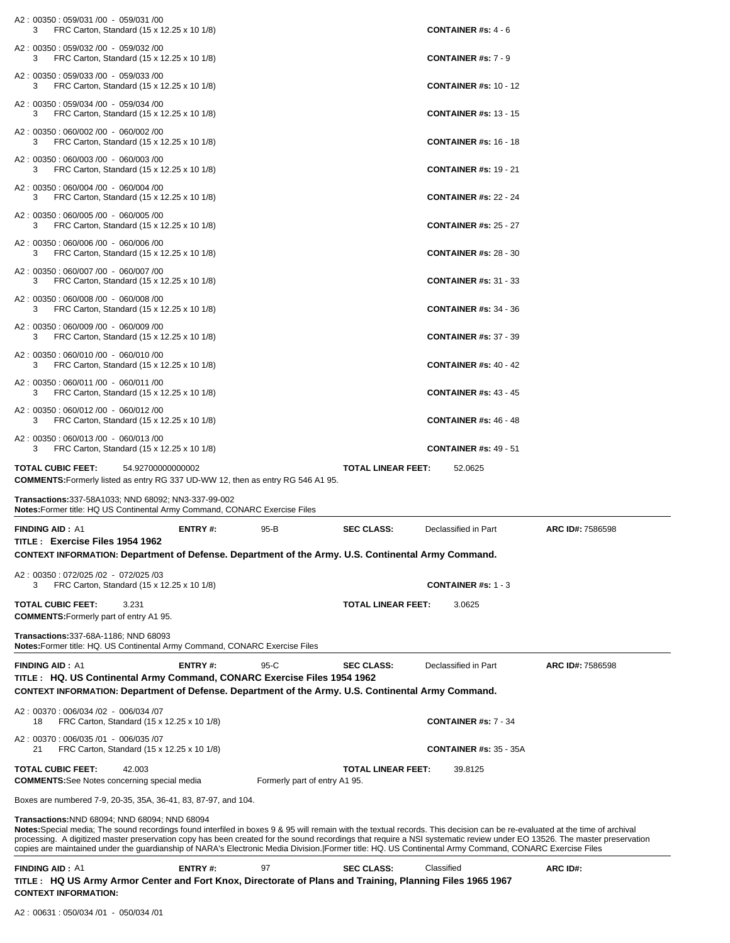| FRC Carton, Standard (15 x 12.25 x 10 1/8)<br>3.<br>A2: 00350: 059/032 /00 - 059/032 /00                                                                                                                                                                                                                                                                                                                                                                                                                                                                         |                               | <b>CONTAINER #s: <math>4 - 6</math></b>   |                  |
|------------------------------------------------------------------------------------------------------------------------------------------------------------------------------------------------------------------------------------------------------------------------------------------------------------------------------------------------------------------------------------------------------------------------------------------------------------------------------------------------------------------------------------------------------------------|-------------------------------|-------------------------------------------|------------------|
| FRC Carton, Standard (15 x 12.25 x 10 1/8)<br>3<br>A2: 00350: 059/033 /00 - 059/033 /00                                                                                                                                                                                                                                                                                                                                                                                                                                                                          |                               | <b>CONTAINER #s: <math>7 - 9</math></b>   |                  |
| FRC Carton, Standard (15 x 12.25 x 10 1/8)<br>3<br>A2: 00350: 059/034 /00 - 059/034 /00                                                                                                                                                                                                                                                                                                                                                                                                                                                                          |                               | <b>CONTAINER #s: 10 - 12</b>              |                  |
| FRC Carton, Standard (15 x 12.25 x 10 1/8)<br>3                                                                                                                                                                                                                                                                                                                                                                                                                                                                                                                  |                               | <b>CONTAINER #s: 13 - 15</b>              |                  |
| A2: 00350: 060/002 /00 - 060/002 /00<br>FRC Carton, Standard (15 x 12.25 x 10 1/8)<br>3                                                                                                                                                                                                                                                                                                                                                                                                                                                                          |                               | <b>CONTAINER #s: 16 - 18</b>              |                  |
| A2: 00350: 060/003 /00 - 060/003 /00<br>3<br>FRC Carton, Standard (15 x 12.25 x 10 1/8)                                                                                                                                                                                                                                                                                                                                                                                                                                                                          |                               | <b>CONTAINER #s: 19 - 21</b>              |                  |
| A2: 00350: 060/004 /00 - 060/004 /00<br>FRC Carton, Standard (15 x 12.25 x 10 1/8)<br>3.                                                                                                                                                                                                                                                                                                                                                                                                                                                                         |                               | <b>CONTAINER #s: 22 - 24</b>              |                  |
| A2: 00350: 060/005 /00 - 060/005 /00<br>FRC Carton, Standard (15 x 12.25 x 10 1/8)<br>3.                                                                                                                                                                                                                                                                                                                                                                                                                                                                         |                               | <b>CONTAINER #s: 25 - 27</b>              |                  |
| A2: 00350: 060/006 /00 - 060/006 /00<br>FRC Carton, Standard (15 x 12.25 x 10 1/8)<br>3                                                                                                                                                                                                                                                                                                                                                                                                                                                                          |                               | <b>CONTAINER #s: 28 - 30</b>              |                  |
| A2: 00350: 060/007 /00 - 060/007 /00<br>FRC Carton, Standard (15 x 12.25 x 10 1/8)<br>3                                                                                                                                                                                                                                                                                                                                                                                                                                                                          |                               | <b>CONTAINER #s: 31 - 33</b>              |                  |
| A2: 00350: 060/008 /00 - 060/008 /00<br>FRC Carton, Standard (15 x 12.25 x 10 1/8)<br>3                                                                                                                                                                                                                                                                                                                                                                                                                                                                          |                               | <b>CONTAINER #s: 34 - 36</b>              |                  |
| A2: 00350: 060/009 /00 - 060/009 /00<br>FRC Carton, Standard (15 x 12.25 x 10 1/8)<br>3                                                                                                                                                                                                                                                                                                                                                                                                                                                                          |                               | <b>CONTAINER #s: 37 - 39</b>              |                  |
| A2: 00350: 060/010 /00 - 060/010 /00<br>FRC Carton, Standard (15 x 12.25 x 10 1/8)<br>3.                                                                                                                                                                                                                                                                                                                                                                                                                                                                         |                               | <b>CONTAINER #s: 40 - 42</b>              |                  |
| A2: 00350: 060/011 /00 - 060/011 /00<br>FRC Carton, Standard (15 x 12.25 x 10 1/8)<br>3                                                                                                                                                                                                                                                                                                                                                                                                                                                                          |                               | <b>CONTAINER #s: 43 - 45</b>              |                  |
| A2: 00350: 060/012 /00 - 060/012 /00<br>FRC Carton, Standard (15 x 12.25 x 10 1/8)<br>3.                                                                                                                                                                                                                                                                                                                                                                                                                                                                         |                               | <b>CONTAINER #s: 46 - 48</b>              |                  |
| A2: 00350: 060/013 /00 - 060/013 /00<br>3<br>FRC Carton, Standard (15 x 12.25 x 10 1/8)                                                                                                                                                                                                                                                                                                                                                                                                                                                                          |                               | <b>CONTAINER #s: 49 - 51</b>              |                  |
|                                                                                                                                                                                                                                                                                                                                                                                                                                                                                                                                                                  |                               |                                           |                  |
| <b>TOTAL CUBIC FEET:</b><br>54.92700000000002                                                                                                                                                                                                                                                                                                                                                                                                                                                                                                                    |                               | <b>TOTAL LINEAR FEET:</b><br>52.0625      |                  |
| COMMENTS: Formerly listed as entry RG 337 UD-WW 12, then as entry RG 546 A1 95.<br>Transactions: 337-58A1033; NND 68092; NN3-337-99-002                                                                                                                                                                                                                                                                                                                                                                                                                          |                               |                                           |                  |
| <b>Notes:</b> Former title: HQ US Continental Army Command, CONARC Exercise Files<br><b>FINDING AID: A1</b><br>ENTRY#:                                                                                                                                                                                                                                                                                                                                                                                                                                           | 95-B                          | <b>SEC CLASS:</b><br>Declassified in Part | ARC ID#: 7586598 |
| TITLE: Exercise Files 1954 1962<br>CONTEXT INFORMATION: Department of Defense. Department of the Army. U.S. Continental Army Command.                                                                                                                                                                                                                                                                                                                                                                                                                            |                               |                                           |                  |
| A2: 00350: 072/025 /02 - 072/025 /03<br>FRC Carton, Standard (15 x 12.25 x 10 1/8)<br>3.                                                                                                                                                                                                                                                                                                                                                                                                                                                                         |                               | <b>CONTAINER #s: 1 - 3</b>                |                  |
| <b>TOTAL CUBIC FEET:</b><br>3.231<br><b>COMMENTS:</b> Formerly part of entry A1 95.                                                                                                                                                                                                                                                                                                                                                                                                                                                                              |                               | <b>TOTAL LINEAR FEET:</b><br>3.0625       |                  |
| Transactions: 337-68A-1186; NND 68093<br>Notes: Former title: HQ. US Continental Army Command, CONARC Exercise Files                                                                                                                                                                                                                                                                                                                                                                                                                                             |                               |                                           |                  |
|                                                                                                                                                                                                                                                                                                                                                                                                                                                                                                                                                                  |                               |                                           |                  |
| <b>FINDING AID: A1</b><br><b>ENTRY#:</b><br>TITLE: HQ. US Continental Army Command, CONARC Exercise Files 1954 1962<br>CONTEXT INFORMATION: Department of Defense. Department of the Army. U.S. Continental Army Command.                                                                                                                                                                                                                                                                                                                                        | 95-C                          | Declassified in Part<br><b>SEC CLASS:</b> | ARC ID#: 7586598 |
| A2: 00370: 006/034 /02 - 006/034 /07                                                                                                                                                                                                                                                                                                                                                                                                                                                                                                                             |                               |                                           |                  |
| 18<br>FRC Carton, Standard (15 x 12.25 x 10 1/8)                                                                                                                                                                                                                                                                                                                                                                                                                                                                                                                 |                               | <b>CONTAINER #s: 7 - 34</b>               |                  |
| A2: 00370: 006/035 /01 - 006/035 /07<br>FRC Carton, Standard (15 x 12.25 x 10 1/8)<br>21                                                                                                                                                                                                                                                                                                                                                                                                                                                                         |                               | <b>CONTAINER #s: 35 - 35A</b>             |                  |
| <b>TOTAL CUBIC FEET:</b><br>42.003<br><b>COMMENTS:</b> See Notes concerning special media                                                                                                                                                                                                                                                                                                                                                                                                                                                                        | Formerly part of entry A1 95. | <b>TOTAL LINEAR FEET:</b><br>39.8125      |                  |
| Boxes are numbered 7-9, 20-35, 35A, 36-41, 83, 87-97, and 104.                                                                                                                                                                                                                                                                                                                                                                                                                                                                                                   |                               |                                           |                  |
| Transactions: NND 68094; NND 68094; NND 68094<br>Notes:Special media; The sound recordings found interfiled in boxes 9 & 95 will remain with the textual records. This decision can be re-evaluated at the time of archival<br>processing. A digitized master preservation copy has been created for the sound recordings that require a NSI systematic review under EO 13526. The master preservation<br>copies are maintained under the guardianship of NARA's Electronic Media Division. Former title: HQ. US Continental Army Command, CONARC Exercise Files |                               |                                           |                  |
| <b>FINDING AID: A1</b><br><b>ENTRY#:</b><br>TITLE: HQ US Army Armor Center and Fort Knox, Directorate of Plans and Training, Planning Files 1965 1967                                                                                                                                                                                                                                                                                                                                                                                                            | 97                            | <b>SEC CLASS:</b><br>Classified           | ARC ID#:         |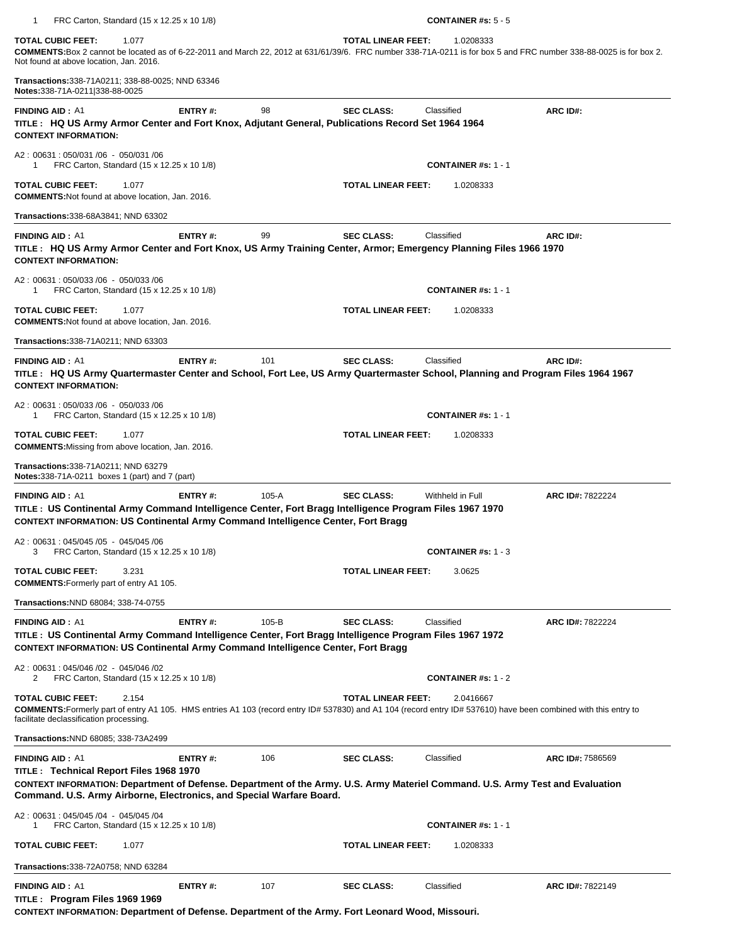| $\mathbf{1}$<br>FRC Carton, Standard (15 x 12.25 x 10 1/8)                                                                                                                                                                                                                 |                |         |                           | <b>CONTAINER #s: 5 - 5</b> |           |                  |
|----------------------------------------------------------------------------------------------------------------------------------------------------------------------------------------------------------------------------------------------------------------------------|----------------|---------|---------------------------|----------------------------|-----------|------------------|
| <b>TOTAL CUBIC FEET:</b><br>1.077<br>COMMENTS:Box 2 cannot be located as of 6-22-2011 and March 22, 2012 at 631/61/39/6. FRC number 338-71A-0211 is for box 5 and FRC number 338-88-0025 is for box 2.<br>Not found at above location, Jan. 2016.                          |                |         | <b>TOTAL LINEAR FEET:</b> |                            | 1.0208333 |                  |
| Transactions: 338-71A0211; 338-88-0025; NND 63346<br>Notes: 338-71A-0211 338-88-0025                                                                                                                                                                                       |                |         |                           |                            |           |                  |
| <b>FINDING AID: A1</b><br>TITLE: HQ US Army Armor Center and Fort Knox, Adjutant General, Publications Record Set 1964 1964<br><b>CONTEXT INFORMATION:</b>                                                                                                                 | <b>ENTRY#:</b> | 98      | <b>SEC CLASS:</b>         | Classified                 |           | ARC ID#:         |
| A2: 00631: 050/031 /06 - 050/031 /06<br>FRC Carton, Standard (15 x 12.25 x 10 1/8)<br>1                                                                                                                                                                                    |                |         |                           | <b>CONTAINER #s: 1 - 1</b> |           |                  |
| <b>TOTAL CUBIC FEET:</b><br>1.077<br><b>COMMENTS: Not found at above location, Jan. 2016.</b>                                                                                                                                                                              |                |         | <b>TOTAL LINEAR FEET:</b> |                            | 1.0208333 |                  |
| <b>Transactions:</b> 338-68A3841; NND 63302                                                                                                                                                                                                                                |                |         |                           |                            |           |                  |
| <b>FINDING AID: A1</b><br>TITLE: HQ US Army Armor Center and Fort Knox, US Army Training Center, Armor; Emergency Planning Files 1966 1970<br><b>CONTEXT INFORMATION:</b>                                                                                                  | <b>ENTRY#:</b> | 99      | <b>SEC CLASS:</b>         | Classified                 |           | ARC ID#:         |
| A2: 00631: 050/033 /06 - 050/033 /06<br>FRC Carton, Standard (15 x 12.25 x 10 1/8)<br>1                                                                                                                                                                                    |                |         |                           | <b>CONTAINER #s: 1 - 1</b> |           |                  |
| <b>TOTAL CUBIC FEET:</b><br>1.077<br><b>COMMENTS: Not found at above location, Jan. 2016.</b>                                                                                                                                                                              |                |         | <b>TOTAL LINEAR FEET:</b> |                            | 1.0208333 |                  |
| <b>Transactions:</b> 338-71A0211; NND 63303                                                                                                                                                                                                                                |                |         |                           |                            |           |                  |
| <b>FINDING AID: A1</b><br>TITLE: HQ US Army Quartermaster Center and School, Fort Lee, US Army Quartermaster School, Planning and Program Files 1964 1967<br><b>CONTEXT INFORMATION:</b>                                                                                   | ENTRY#:        | 101     | <b>SEC CLASS:</b>         | Classified                 |           | ARC ID#:         |
| A2: 00631: 050/033 /06 - 050/033 /06<br>FRC Carton, Standard (15 x 12.25 x 10 1/8)<br>1                                                                                                                                                                                    |                |         |                           | <b>CONTAINER #s: 1 - 1</b> |           |                  |
| <b>TOTAL CUBIC FEET:</b><br>1.077<br><b>COMMENTS:</b> Missing from above location, Jan. 2016.                                                                                                                                                                              |                |         | <b>TOTAL LINEAR FEET:</b> |                            | 1.0208333 |                  |
| <b>Transactions:</b> 338-71A0211; NND 63279<br><b>Notes:</b> 338-71A-0211 boxes 1 (part) and 7 (part)                                                                                                                                                                      |                |         |                           |                            |           |                  |
| <b>FINDING AID: A1</b><br>TITLE: US Continental Army Command Intelligence Center, Fort Bragg Intelligence Program Files 1967 1970<br><b>CONTEXT INFORMATION: US Continental Army Command Intelligence Center, Fort Bragg</b>                                               | ENTRY#:        | $105-A$ | <b>SEC CLASS:</b>         | Withheld in Full           |           | ARC ID#: 7822224 |
| A2: 00631: 045/045 /05 - 045/045 /06<br>3<br>FRC Carton, Standard (15 x 12.25 x 10 1/8)                                                                                                                                                                                    |                |         |                           | <b>CONTAINER #s: 1 - 3</b> |           |                  |
| <b>TOTAL CUBIC FEET:</b><br>3.231<br><b>COMMENTS:</b> Formerly part of entry A1 105.                                                                                                                                                                                       |                |         | TOTAL LINEAR FEET:        | 3.0625                     |           |                  |
| Transactions: NND 68084; 338-74-0755                                                                                                                                                                                                                                       |                |         |                           |                            |           |                  |
| <b>FINDING AID: A1</b><br>TITLE : US Continental Army Command Intelligence Center, Fort Bragg Intelligence Program Files 1967 1972<br><b>CONTEXT INFORMATION: US Continental Army Command Intelligence Center, Fort Bragg</b>                                              | <b>ENTRY#:</b> | 105-B   | <b>SEC CLASS:</b>         | Classified                 |           | ARC ID#: 7822224 |
| A2: 00631: 045/046 /02 - 045/046 /02<br>2<br>FRC Carton, Standard (15 x 12.25 x 10 1/8)                                                                                                                                                                                    |                |         |                           | <b>CONTAINER #s: 1 - 2</b> |           |                  |
| <b>TOTAL CUBIC FEET:</b><br>2.154<br>COMMENTS: Formerly part of entry A1 105. HMS entries A1 103 (record entry ID# 537830) and A1 104 (record entry ID# 537610) have been combined with this entry to<br>facilitate declassification processing.                           |                |         | <b>TOTAL LINEAR FEET:</b> |                            | 2.0416667 |                  |
| Transactions: NND 68085; 338-73A2499                                                                                                                                                                                                                                       |                |         |                           |                            |           |                  |
| <b>FINDING AID: A1</b><br>TITLE: Technical Report Files 1968 1970<br>CONTEXT INFORMATION: Department of Defense. Department of the Army. U.S. Army Materiel Command. U.S. Army Test and Evaluation<br>Command. U.S. Army Airborne, Electronics, and Special Warfare Board. | <b>ENTRY#:</b> | 106     | <b>SEC CLASS:</b>         | Classified                 |           | ARC ID#: 7586569 |
| A2: 00631: 045/045 /04 - 045/045 /04<br>FRC Carton, Standard (15 x 12.25 x 10 1/8)<br>1                                                                                                                                                                                    |                |         |                           | <b>CONTAINER #s: 1 - 1</b> |           |                  |
| <b>TOTAL CUBIC FEET:</b><br>1.077                                                                                                                                                                                                                                          |                |         | <b>TOTAL LINEAR FEET:</b> |                            | 1.0208333 |                  |
| <b>Transactions:</b> 338-72A0758; NND 63284                                                                                                                                                                                                                                |                |         |                           |                            |           |                  |
| <b>FINDING AID: A1</b><br>TITLE: Program Files 1969 1969                                                                                                                                                                                                                   | ENTRY#:        | 107     | <b>SEC CLASS:</b>         | Classified                 |           | ARC ID#: 7822149 |

**CONTEXT INFORMATION: Department of Defense. Department of the Army. Fort Leonard Wood, Missouri.**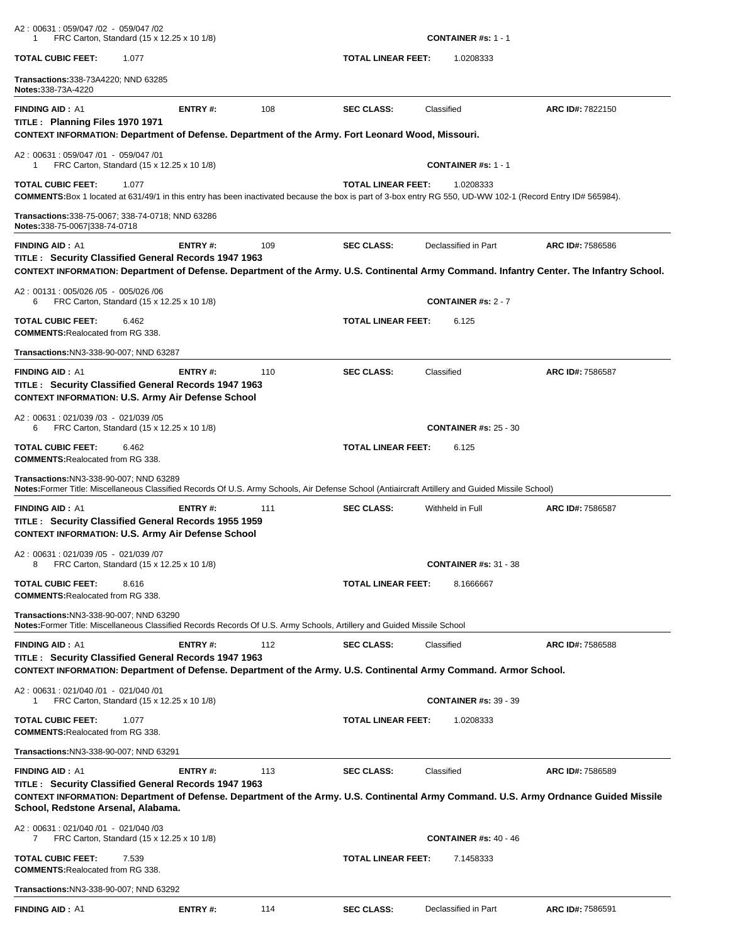| A2: 00631: 059/047 /02 - 059/047 /02<br>FRC Carton, Standard (15 x 12.25 x 10 1/8)<br>-1                                                                                                                                                                     |         |     |                           | <b>CONTAINER #s: 1 - 1</b>   |                                                                                                                                                              |
|--------------------------------------------------------------------------------------------------------------------------------------------------------------------------------------------------------------------------------------------------------------|---------|-----|---------------------------|------------------------------|--------------------------------------------------------------------------------------------------------------------------------------------------------------|
| <b>TOTAL CUBIC FEET:</b><br>1.077                                                                                                                                                                                                                            |         |     | <b>TOTAL LINEAR FEET:</b> | 1.0208333                    |                                                                                                                                                              |
| <b>Transactions:</b> 338-73A4220; NND 63285<br>Notes: 338-73A-4220                                                                                                                                                                                           |         |     |                           |                              |                                                                                                                                                              |
| <b>FINDING AID: A1</b><br>TITLE: Planning Files 1970 1971<br>CONTEXT INFORMATION: Department of Defense. Department of the Army. Fort Leonard Wood, Missouri.                                                                                                | ENTRY#: | 108 | <b>SEC CLASS:</b>         | Classified                   | ARC ID#: 7822150                                                                                                                                             |
| A2: 00631: 059/047 /01 - 059/047 /01<br>FRC Carton, Standard (15 x 12.25 x 10 1/8)<br>-1                                                                                                                                                                     |         |     |                           | <b>CONTAINER #s: 1 - 1</b>   |                                                                                                                                                              |
| <b>TOTAL CUBIC FEET:</b><br>1.077<br>COMMENTS: Box 1 located at 631/49/1 in this entry has been inactivated because the box is part of 3-box entry RG 550, UD-WW 102-1 (Record Entry ID# 565984).                                                            |         |     | <b>TOTAL LINEAR FEET:</b> | 1.0208333                    |                                                                                                                                                              |
| Transactions: 338-75-0067; 338-74-0718; NND 63286<br>Notes:338-75-0067 338-74-0718                                                                                                                                                                           |         |     |                           |                              |                                                                                                                                                              |
| <b>FINDING AID: A1</b><br>TITLE: Security Classified General Records 1947 1963                                                                                                                                                                               | ENTRY#: | 109 | <b>SEC CLASS:</b>         | Declassified in Part         | ARC ID#: 7586586<br>CONTEXT INFORMATION: Department of Defense. Department of the Army. U.S. Continental Army Command. Infantry Center. The Infantry School. |
| A2: 00131: 005/026 /05 - 005/026 /06<br>FRC Carton, Standard (15 x 12.25 x 10 1/8)<br>6                                                                                                                                                                      |         |     |                           | <b>CONTAINER #s: 2 - 7</b>   |                                                                                                                                                              |
| <b>TOTAL CUBIC FEET:</b><br>6.462<br><b>COMMENTS: Realocated from RG 338.</b>                                                                                                                                                                                |         |     | <b>TOTAL LINEAR FEET:</b> | 6.125                        |                                                                                                                                                              |
| Transactions:NN3-338-90-007; NND 63287                                                                                                                                                                                                                       |         |     |                           |                              |                                                                                                                                                              |
| <b>FINDING AID: A1</b><br>TITLE: Security Classified General Records 1947 1963<br><b>CONTEXT INFORMATION: U.S. Army Air Defense School</b>                                                                                                                   | ENTRY#: | 110 | <b>SEC CLASS:</b>         | Classified                   | ARC ID#: 7586587                                                                                                                                             |
| A2: 00631: 021/039 /03 - 021/039 /05<br>FRC Carton, Standard (15 x 12.25 x 10 1/8)<br>6                                                                                                                                                                      |         |     |                           | <b>CONTAINER #s: 25 - 30</b> |                                                                                                                                                              |
| <b>TOTAL CUBIC FEET:</b><br>6.462<br><b>COMMENTS: Realocated from RG 338.</b>                                                                                                                                                                                |         |     | <b>TOTAL LINEAR FEET:</b> | 6.125                        |                                                                                                                                                              |
|                                                                                                                                                                                                                                                              |         |     |                           |                              |                                                                                                                                                              |
| <b>Transactions: NN3-338-90-007; NND 63289</b><br>Notes: Former Title: Miscellaneous Classified Records Of U.S. Army Schools, Air Defense School (Antiaircraft Artillery and Guided Missile School)                                                          |         |     |                           |                              |                                                                                                                                                              |
| <b>FINDING AID: A1</b><br>TITLE: Security Classified General Records 1955 1959<br><b>CONTEXT INFORMATION: U.S. Army Air Defense School</b>                                                                                                                   | ENTRY#: | 111 | <b>SEC CLASS:</b>         | Withheld in Full             | ARC ID#: 7586587                                                                                                                                             |
| A2: 00631: 021/039 /05 - 021/039 /07<br>FRC Carton, Standard (15 x 12.25 x 10 1/8)<br>8                                                                                                                                                                      |         |     |                           | <b>CONTAINER #s: 31 - 38</b> |                                                                                                                                                              |
| <b>TOTAL CUBIC FEET:</b><br>8.616<br><b>COMMENTS: Realocated from RG 338.</b>                                                                                                                                                                                |         |     | <b>TOTAL LINEAR FEET:</b> | 8.1666667                    |                                                                                                                                                              |
| Transactions: NN3-338-90-007: NND 63290<br>Notes: Former Title: Miscellaneous Classified Records Records Of U.S. Army Schools, Artillery and Guided Missile School                                                                                           |         |     |                           |                              |                                                                                                                                                              |
| <b>FINDING AID: A1</b><br>TITLE: Security Classified General Records 1947 1963                                                                                                                                                                               | ENTRY#: | 112 | <b>SEC CLASS:</b>         | Classified                   | ARC ID#: 7586588                                                                                                                                             |
| CONTEXT INFORMATION: Department of Defense. Department of the Army. U.S. Continental Army Command. Armor School.                                                                                                                                             |         |     |                           |                              |                                                                                                                                                              |
| A2: 00631: 021/040 /01 - 021/040 /01<br>FRC Carton, Standard (15 x 12.25 x 10 1/8)<br>-1                                                                                                                                                                     |         |     |                           | <b>CONTAINER #s: 39 - 39</b> |                                                                                                                                                              |
| <b>TOTAL CUBIC FEET:</b><br>1.077<br><b>COMMENTS: Realocated from RG 338.</b>                                                                                                                                                                                |         |     | <b>TOTAL LINEAR FEET:</b> | 1.0208333                    |                                                                                                                                                              |
| Transactions: NN3-338-90-007; NND 63291                                                                                                                                                                                                                      |         |     |                           |                              |                                                                                                                                                              |
| <b>FINDING AID: A1</b><br>TITLE: Security Classified General Records 1947 1963<br>CONTEXT INFORMATION: Department of Defense. Department of the Army. U.S. Continental Army Command. U.S. Army Ordnance Guided Missile<br>School, Redstone Arsenal, Alabama. | ENTRY#: | 113 | <b>SEC CLASS:</b>         | Classified                   | ARC ID#: 7586589                                                                                                                                             |
| A2: 00631: 021/040 /01 - 021/040 /03<br>FRC Carton, Standard (15 x 12.25 x 10 1/8)<br>7                                                                                                                                                                      |         |     |                           | <b>CONTAINER #s: 40 - 46</b> |                                                                                                                                                              |
| <b>TOTAL CUBIC FEET:</b><br>7.539<br><b>COMMENTS: Realocated from RG 338.</b>                                                                                                                                                                                |         |     | <b>TOTAL LINEAR FEET:</b> | 7.1458333                    |                                                                                                                                                              |
| Transactions: NN3-338-90-007; NND 63292                                                                                                                                                                                                                      |         |     |                           |                              |                                                                                                                                                              |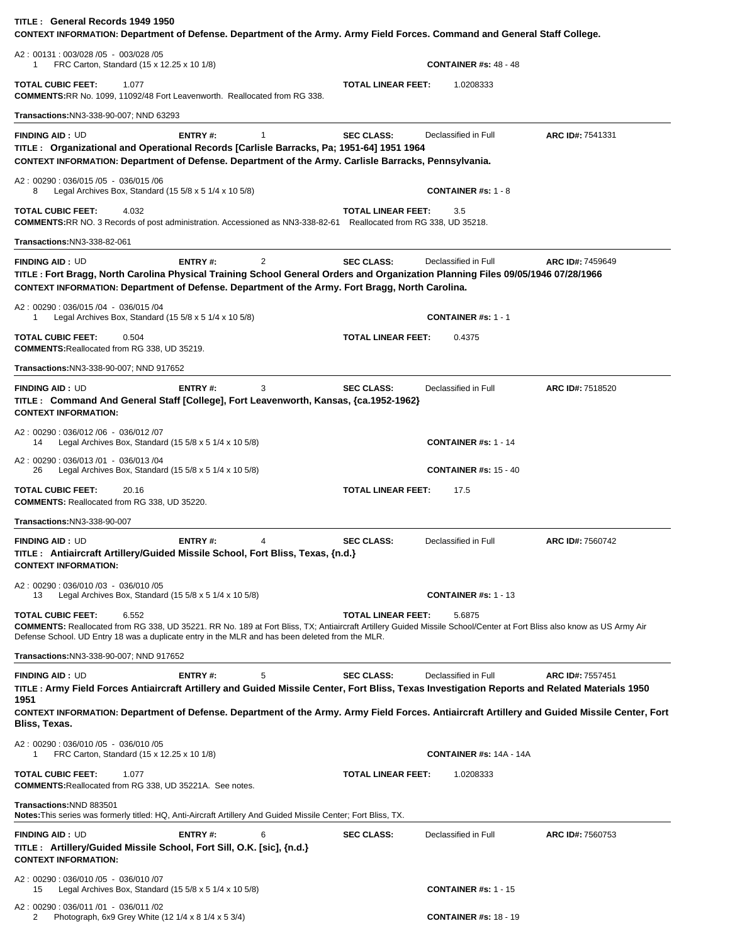| TITLE: General Records 1949 1950<br>CONTEXT INFORMATION: Department of Defense. Department of the Army. Army Field Forces. Command and General Staff College.                                                                                                                                                                                      |                     |                           |                                |                  |
|----------------------------------------------------------------------------------------------------------------------------------------------------------------------------------------------------------------------------------------------------------------------------------------------------------------------------------------------------|---------------------|---------------------------|--------------------------------|------------------|
| A2: 00131: 003/028 /05 - 003/028 /05<br>FRC Carton, Standard (15 x 12.25 x 10 1/8)<br>1                                                                                                                                                                                                                                                            |                     |                           | <b>CONTAINER #s: 48 - 48</b>   |                  |
| <b>TOTAL CUBIC FEET:</b><br>1.077<br><b>COMMENTS: RR No. 1099, 11092/48 Fort Leavenworth. Reallocated from RG 338.</b>                                                                                                                                                                                                                             |                     | <b>TOTAL LINEAR FEET:</b> | 1.0208333                      |                  |
| Transactions:NN3-338-90-007; NND 63293                                                                                                                                                                                                                                                                                                             |                     |                           |                                |                  |
| <b>FINDING AID: UD</b><br>TITLE : Organizational and Operational Records [Carlisle Barracks, Pa; 1951-64] 1951 1964<br>CONTEXT INFORMATION: Department of Defense. Department of the Army. Carlisle Barracks, Pennsylvania.                                                                                                                        | ENTRY#:<br>1        | <b>SEC CLASS:</b>         | Declassified in Full           | ARC ID#: 7541331 |
| A2: 00290: 036/015 /05 - 036/015 /06<br>Legal Archives Box, Standard (15 5/8 x 5 1/4 x 10 5/8)<br>8                                                                                                                                                                                                                                                |                     |                           | <b>CONTAINER #s: 1 - 8</b>     |                  |
| <b>TOTAL CUBIC FEET:</b><br>4.032<br><b>COMMENTS: RR NO. 3 Records of post administration. Accessioned as NN3-338-82-61</b> Reallocated from RG 338, UD 35218.                                                                                                                                                                                     |                     | <b>TOTAL LINEAR FEET:</b> | 3.5                            |                  |
| <b>Transactions:NN3-338-82-061</b>                                                                                                                                                                                                                                                                                                                 |                     |                           |                                |                  |
| <b>FINDING AID: UD</b><br>TITLE: Fort Bragg, North Carolina Physical Training School General Orders and Organization Planning Files 09/05/1946 07/28/1966<br>CONTEXT INFORMATION: Department of Defense. Department of the Army. Fort Bragg, North Carolina.                                                                                       | <b>ENTRY#:</b><br>2 | <b>SEC CLASS:</b>         | Declassified in Full           | ARC ID#: 7459649 |
| A2: 00290: 036/015 /04 - 036/015 /04<br>Legal Archives Box, Standard (15 5/8 x 5 1/4 x 10 5/8)<br>1                                                                                                                                                                                                                                                |                     |                           | <b>CONTAINER #s: 1 - 1</b>     |                  |
| <b>TOTAL CUBIC FEET:</b><br>0.504<br><b>COMMENTS: Reallocated from RG 338, UD 35219.</b>                                                                                                                                                                                                                                                           |                     | <b>TOTAL LINEAR FEET:</b> | 0.4375                         |                  |
| Transactions:NN3-338-90-007; NND 917652                                                                                                                                                                                                                                                                                                            |                     |                           |                                |                  |
| <b>FINDING AID: UD</b><br>TITLE: Command And General Staff [College], Fort Leavenworth, Kansas, {ca.1952-1962}<br><b>CONTEXT INFORMATION:</b>                                                                                                                                                                                                      | <b>ENTRY#:</b><br>3 | <b>SEC CLASS:</b>         | Declassified in Full           | ARC ID#: 7518520 |
| A2: 00290: 036/012 /06 - 036/012 /07<br>Legal Archives Box, Standard (15 5/8 x 5 1/4 x 10 5/8)<br>14                                                                                                                                                                                                                                               |                     |                           | <b>CONTAINER #s: 1 - 14</b>    |                  |
| A2: 00290: 036/013 /01 - 036/013 /04<br>Legal Archives Box, Standard (15 $5/8 \times 5$ 1/4 $\times$ 10 $5/8$ )<br>26                                                                                                                                                                                                                              |                     |                           | <b>CONTAINER #s: 15 - 40</b>   |                  |
| <b>TOTAL CUBIC FEET:</b><br>20.16<br><b>COMMENTS: Reallocated from RG 338, UD 35220.</b>                                                                                                                                                                                                                                                           |                     | <b>TOTAL LINEAR FEET:</b> | 17.5                           |                  |
| Transactions:NN3-338-90-007                                                                                                                                                                                                                                                                                                                        |                     |                           |                                |                  |
| <b>FINDING AID: UD</b><br>TITLE: Antiaircraft Artillery/Guided Missile School, Fort Bliss, Texas, {n.d.}<br><b>CONTEXT INFORMATION:</b>                                                                                                                                                                                                            | ENTRY#:<br>4        | <b>SEC CLASS:</b>         | Declassified in Full           | ARC ID#: 7560742 |
| A2: 00290: 036/010 /03 - 036/010 /05<br>Legal Archives Box, Standard (15 $5/8 \times 5$ 1/4 $\times$ 10 $5/8$ )<br>13                                                                                                                                                                                                                              |                     |                           | <b>CONTAINER #s: 1 - 13</b>    |                  |
| <b>TOTAL CUBIC FEET:</b><br>6.552<br>COMMENTS: Reallocated from RG 338, UD 35221. RR No. 189 at Fort Bliss, TX; Antiaircraft Artillery Guided Missile School/Center at Fort Bliss also know as US Army Air<br>Defense School. UD Entry 18 was a duplicate entry in the MLR and has been deleted from the MLR.                                      |                     | <b>TOTAL LINEAR FEET:</b> | 5.6875                         |                  |
| Transactions:NN3-338-90-007; NND 917652                                                                                                                                                                                                                                                                                                            |                     |                           |                                |                  |
| <b>FINDING AID: UD</b><br>TITLE : Army Field Forces Antiaircraft Artillery and Guided Missile Center, Fort Bliss, Texas Investigation Reports and Related Materials 1950<br>1951<br>CONTEXT INFORMATION: Department of Defense. Department of the Army. Army Field Forces. Antiaircraft Artillery and Guided Missile Center, Fort<br>Bliss, Texas. | 5<br><b>ENTRY#:</b> | <b>SEC CLASS:</b>         | Declassified in Full           | ARC ID#: 7557451 |
| A2: 00290: 036/010 /05 - 036/010 /05<br>FRC Carton, Standard (15 x 12.25 x 10 1/8)<br>1                                                                                                                                                                                                                                                            |                     |                           | <b>CONTAINER #s: 14A - 14A</b> |                  |
| <b>TOTAL CUBIC FEET:</b><br>1.077<br><b>COMMENTS: Reallocated from RG 338, UD 35221A. See notes.</b>                                                                                                                                                                                                                                               |                     | <b>TOTAL LINEAR FEET:</b> | 1.0208333                      |                  |
| Transactions:NND 883501<br>Notes: This series was formerly titled: HQ, Anti-Aircraft Artillery And Guided Missile Center; Fort Bliss, TX.                                                                                                                                                                                                          |                     |                           |                                |                  |
| <b>FINDING AID: UD</b><br>TITLE : Artillery/Guided Missile School, Fort Sill, O.K. [sic], {n.d.}<br><b>CONTEXT INFORMATION:</b>                                                                                                                                                                                                                    | ENTRY#:<br>6        | <b>SEC CLASS:</b>         | Declassified in Full           | ARC ID#: 7560753 |
| A2: 00290: 036/010 /05 - 036/010 /07<br>Legal Archives Box, Standard (15 5/8 x 5 1/4 x 10 5/8)<br>15                                                                                                                                                                                                                                               |                     |                           | <b>CONTAINER #s: 1 - 15</b>    |                  |
| A2: 00290: 036/011 /01 - 036/011 /02<br>Photograph, 6x9 Grey White (12 1/4 x 8 1/4 x 5 3/4)<br>2                                                                                                                                                                                                                                                   |                     |                           | <b>CONTAINER #s: 18 - 19</b>   |                  |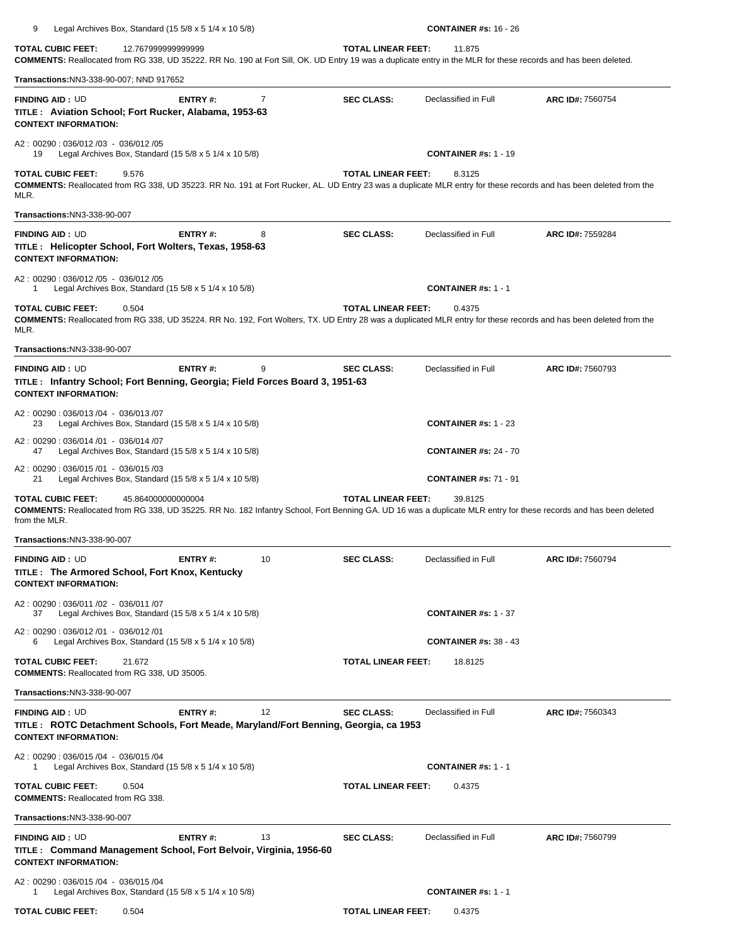| <b>TOTAL CUBIC FEET:</b>                                                        | 12.767999999999999<br><b>COMMENTS:</b> Reallocated from RG 338, UD 35222. RR No. 190 at Fort Sill, OK. UD Entry 19 was a duplicate entry in the MLR for these records and has been deleted. |    | <b>TOTAL LINEAR FEET:</b> | 11.875                       |                                                                                                                                                                   |
|---------------------------------------------------------------------------------|---------------------------------------------------------------------------------------------------------------------------------------------------------------------------------------------|----|---------------------------|------------------------------|-------------------------------------------------------------------------------------------------------------------------------------------------------------------|
| Transactions:NN3-338-90-007; NND 917652                                         |                                                                                                                                                                                             |    |                           |                              |                                                                                                                                                                   |
| <b>FINDING AID: UD</b><br><b>CONTEXT INFORMATION:</b>                           | <b>ENTRY#:</b><br>TITLE: Aviation School; Fort Rucker, Alabama, 1953-63                                                                                                                     | 7  | <b>SEC CLASS:</b>         | Declassified in Full         | ARC ID#: 7560754                                                                                                                                                  |
| A2: 00290: 036/012 /03 - 036/012 /05<br>19                                      | Legal Archives Box, Standard (15 $5/8 \times 5$ 1/4 $\times$ 10 $5/8$ )                                                                                                                     |    |                           | <b>CONTAINER #s: 1 - 19</b>  |                                                                                                                                                                   |
| <b>TOTAL CUBIC FEET:</b><br>MLR.                                                | 9.576                                                                                                                                                                                       |    | <b>TOTAL LINEAR FEET:</b> | 8.3125                       | COMMENTS: Reallocated from RG 338, UD 35223. RR No. 191 at Fort Rucker, AL. UD Entry 23 was a duplicate MLR entry for these records and has been deleted from the |
| Transactions:NN3-338-90-007                                                     |                                                                                                                                                                                             |    |                           |                              |                                                                                                                                                                   |
| <b>FINDING AID: UD</b><br><b>CONTEXT INFORMATION:</b>                           | ENTRY#:<br>TITLE : Helicopter School, Fort Wolters, Texas, 1958-63                                                                                                                          | 8  | <b>SEC CLASS:</b>         | Declassified in Full         | ARC ID#: 7559284                                                                                                                                                  |
| A2: 00290: 036/012/05 - 036/012/05<br>1                                         | Legal Archives Box, Standard (15 $5/8 \times 5$ 1/4 $\times$ 10 $5/8$ )                                                                                                                     |    |                           | <b>CONTAINER #s: 1 - 1</b>   |                                                                                                                                                                   |
| TOTAL CUBIC FEET:<br>MLR.                                                       | 0.504                                                                                                                                                                                       |    | <b>TOTAL LINEAR FEET:</b> | 0.4375                       | COMMENTS: Reallocated from RG 338, UD 35224. RR No. 192, Fort Wolters, TX. UD Entry 28 was a duplicated MLR entry for these records and has been deleted from the |
| Transactions:NN3-338-90-007                                                     |                                                                                                                                                                                             |    |                           |                              |                                                                                                                                                                   |
| <b>FINDING AID: UD</b><br><b>CONTEXT INFORMATION:</b>                           | ENTRY#:<br>TITLE: Infantry School; Fort Benning, Georgia; Field Forces Board 3, 1951-63                                                                                                     | 9  | <b>SEC CLASS:</b>         | Declassified in Full         | ARC ID#: 7560793                                                                                                                                                  |
| A2: 00290: 036/013 /04 - 036/013 /07<br>23                                      | Legal Archives Box, Standard $(15\ 5/8 \times 5\ 1/4 \times 10\ 5/8)$                                                                                                                       |    |                           | <b>CONTAINER #s: 1 - 23</b>  |                                                                                                                                                                   |
| A2: 00290: 036/014 /01 - 036/014 /07<br>47                                      | Legal Archives Box, Standard (15 $5/8 \times 5$ 1/4 $\times$ 10 $5/8$ )                                                                                                                     |    |                           | <b>CONTAINER #s: 24 - 70</b> |                                                                                                                                                                   |
| A2: 00290: 036/015 /01 - 036/015 /03<br>21                                      | Legal Archives Box, Standard $(155/8 \times 51/4 \times 105/8)$                                                                                                                             |    |                           | <b>CONTAINER #s: 71 - 91</b> |                                                                                                                                                                   |
| <b>TOTAL CUBIC FEET:</b><br>from the MLR.                                       | 45.864000000000004                                                                                                                                                                          |    | <b>TOTAL LINEAR FEET:</b> | 39.8125                      | COMMENTS: Reallocated from RG 338, UD 35225. RR No. 182 Infantry School, Fort Benning GA. UD 16 was a duplicate MLR entry for these records and has been deleted  |
| <b>Transactions:NN3-338-90-007</b>                                              |                                                                                                                                                                                             |    |                           |                              |                                                                                                                                                                   |
| <b>FINDING AID: UD</b><br><b>CONTEXT INFORMATION:</b>                           | ENTRY#:<br>TITLE: The Armored School, Fort Knox, Kentucky                                                                                                                                   | 10 | <b>SEC CLASS:</b>         | Declassified in Full         | ARC ID#: 7560794                                                                                                                                                  |
| A2: 00290: 036/011 /02 - 036/011 /07<br>37                                      | Legal Archives Box, Standard $(15\ 5/8 \times 5\ 1/4 \times 10\ 5/8)$                                                                                                                       |    |                           | <b>CONTAINER #s: 1 - 37</b>  |                                                                                                                                                                   |
| A2: 00290: 036/012 /01 - 036/012 /01<br>6                                       | Legal Archives Box, Standard (15 5/8 x 5 1/4 x 10 5/8)                                                                                                                                      |    |                           | <b>CONTAINER #s: 38 - 43</b> |                                                                                                                                                                   |
| <b>TOTAL CUBIC FEET:</b><br><b>COMMENTS: Reallocated from RG 338, UD 35005.</b> | 21.672                                                                                                                                                                                      |    | <b>TOTAL LINEAR FEET:</b> | 18.8125                      |                                                                                                                                                                   |
| <b>Transactions: NN3-338-90-007</b>                                             |                                                                                                                                                                                             |    |                           |                              |                                                                                                                                                                   |
| <b>FINDING AID: UD</b><br><b>CONTEXT INFORMATION:</b>                           | ENTRY#:<br>TITLE: ROTC Detachment Schools, Fort Meade, Maryland/Fort Benning, Georgia, ca 1953                                                                                              | 12 | <b>SEC CLASS:</b>         | Declassified in Full         | ARC ID#: 7560343                                                                                                                                                  |
| A2: 00290: 036/015 /04 - 036/015 /04<br>1                                       | Legal Archives Box, Standard (15 $5/8 \times 5$ 1/4 $\times$ 10 $5/8$ )                                                                                                                     |    |                           | <b>CONTAINER #s: 1 - 1</b>   |                                                                                                                                                                   |
| TOTAL CUBIC FEET:<br><b>COMMENTS: Reallocated from RG 338.</b>                  | 0.504                                                                                                                                                                                       |    | <b>TOTAL LINEAR FEET:</b> | 0.4375                       |                                                                                                                                                                   |
| Transactions:NN3-338-90-007                                                     |                                                                                                                                                                                             |    |                           |                              |                                                                                                                                                                   |
| <b>FINDING AID: UD</b>                                                          | ENTRY#:                                                                                                                                                                                     | 13 | <b>SEC CLASS:</b>         | Declassified in Full         | ARC ID#: 7560799                                                                                                                                                  |

A2 : 00290 : 036/015 /04 - 036/015 /04

**CONTEXT INFORMATION:** 

**TITLE : Command Management School, Fort Belvoir, Virginia, 1956-60** 

1 Legal Archives Box, Standard (15 5/8 x 5 1/4 x 10 5/8) **CONTAINER #s:** 1 - 1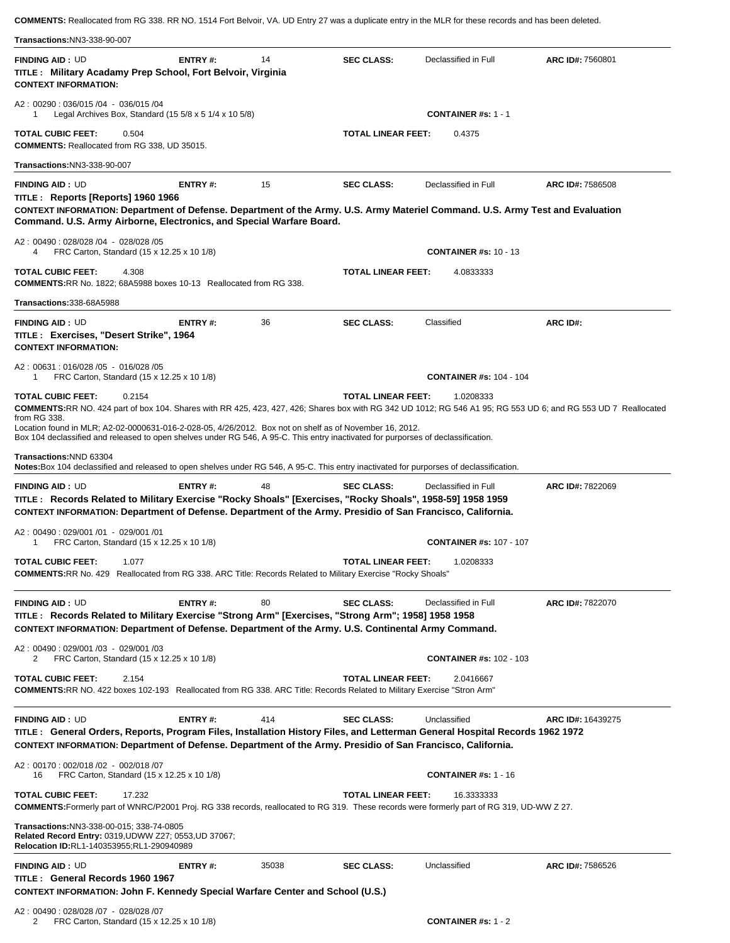**COMMENTS:** Reallocated from RG 338. RR NO. 1514 Fort Belvoir, VA. UD Entry 27 was a duplicate entry in the MLR for these records and has been deleted.

| <b>Transactions:NN3-338-90-007</b>                                                                                                                                                                                                                                                                                                                                                                                                                                   |                                                                                      |       |                           |                                |                   |
|----------------------------------------------------------------------------------------------------------------------------------------------------------------------------------------------------------------------------------------------------------------------------------------------------------------------------------------------------------------------------------------------------------------------------------------------------------------------|--------------------------------------------------------------------------------------|-------|---------------------------|--------------------------------|-------------------|
| <b>FINDING AID: UD</b><br>TITLE: Military Acadamy Prep School, Fort Belvoir, Virginia<br><b>CONTEXT INFORMATION:</b>                                                                                                                                                                                                                                                                                                                                                 | <b>ENTRY#:</b>                                                                       | 14    | <b>SEC CLASS:</b>         | Declassified in Full           | ARC ID#: 7560801  |
| A2: 00290: 036/015/04 - 036/015/04<br>Legal Archives Box, Standard (15 $5/8 \times 5$ 1/4 $\times$ 10 $5/8$ )<br>1                                                                                                                                                                                                                                                                                                                                                   |                                                                                      |       |                           | <b>CONTAINER</b> #s: $1 - 1$   |                   |
| <b>TOTAL CUBIC FEET:</b><br>0.504<br><b>COMMENTS: Reallocated from RG 338, UD 35015.</b>                                                                                                                                                                                                                                                                                                                                                                             |                                                                                      |       | <b>TOTAL LINEAR FEET:</b> | 0.4375                         |                   |
| <b>Transactions:NN3-338-90-007</b>                                                                                                                                                                                                                                                                                                                                                                                                                                   |                                                                                      |       |                           |                                |                   |
| <b>FINDING AID: UD</b><br>TITLE: Reports [Reports] 1960 1966<br>CONTEXT INFORMATION: Department of Defense. Department of the Army. U.S. Army Materiel Command. U.S. Army Test and Evaluation<br>Command. U.S. Army Airborne, Electronics, and Special Warfare Board.                                                                                                                                                                                                | ENTRY#:                                                                              | 15    | <b>SEC CLASS:</b>         | Declassified in Full           | ARC ID#: 7586508  |
| A2: 00490: 028/028 /04 - 028/028 /05<br>FRC Carton, Standard (15 x 12.25 x 10 1/8)<br>4                                                                                                                                                                                                                                                                                                                                                                              |                                                                                      |       |                           | <b>CONTAINER #s: 10 - 13</b>   |                   |
| <b>TOTAL CUBIC FEET:</b><br>4.308<br><b>COMMENTS: RR No. 1822; 68A5988 boxes 10-13 Reallocated from RG 338.</b>                                                                                                                                                                                                                                                                                                                                                      |                                                                                      |       | <b>TOTAL LINEAR FEET:</b> | 4.0833333                      |                   |
| Transactions: 338-68A5988                                                                                                                                                                                                                                                                                                                                                                                                                                            |                                                                                      |       |                           |                                |                   |
| <b>FINDING AID: UD</b><br>TITLE: Exercises, "Desert Strike", 1964<br><b>CONTEXT INFORMATION:</b>                                                                                                                                                                                                                                                                                                                                                                     | ENTRY#:                                                                              | 36    | <b>SEC CLASS:</b>         | Classified                     | ARC ID#:          |
| A2: 00631: 016/028 /05 - 016/028 /05<br>FRC Carton, Standard (15 x 12.25 x 10 1/8)<br>1                                                                                                                                                                                                                                                                                                                                                                              |                                                                                      |       |                           | <b>CONTAINER #s: 104 - 104</b> |                   |
| <b>TOTAL CUBIC FEET:</b><br>0.2154<br>COMMENTS:RR NO. 424 part of box 104. Shares with RR 425, 423, 427, 426; Shares box with RG 342 UD 1012; RG 546 A1 95; RG 553 UD 6; and RG 553 UD 7 Reallocated<br>from RG 338.<br>Location found in MLR; A2-02-0000631-016-2-028-05, 4/26/2012. Box not on shelf as of November 16, 2012.<br>Box 104 declassified and released to open shelves under RG 546, A 95-C. This entry inactivated for purporses of declassification. |                                                                                      |       | <b>TOTAL LINEAR FEET:</b> | 1.0208333                      |                   |
| Transactions:NND 63304<br>Notes: Box 104 declassified and released to open shelves under RG 546, A 95-C. This entry inactivated for purporses of declassification.                                                                                                                                                                                                                                                                                                   |                                                                                      |       |                           |                                |                   |
| <b>FINDING AID: UD</b><br>TITLE: Records Related to Military Exercise "Rocky Shoals" [Exercises, "Rocky Shoals", 1958-59] 1958 1959<br>CONTEXT INFORMATION: Department of Defense. Department of the Army. Presidio of San Francisco, California.                                                                                                                                                                                                                    | ENTRY#:                                                                              | 48    | <b>SEC CLASS:</b>         | Declassified in Full           | ARC ID#: 7822069  |
| A2: 00490: 029/001 /01 - 029/001 /01<br>FRC Carton, Standard (15 x 12.25 x 10 1/8)                                                                                                                                                                                                                                                                                                                                                                                   |                                                                                      |       |                           | <b>CONTAINER #s: 107 - 107</b> |                   |
| <b>TOTAL CUBIC FEET:</b><br>1.077<br>COMMENTS:RR No. 429 Reallocated from RG 338. ARC Title: Records Related to Military Exercise "Rocky Shoals"                                                                                                                                                                                                                                                                                                                     |                                                                                      |       | <b>TOTAL LINEAR FEET:</b> | 1.0208333                      |                   |
| <b>FINDING AID: UD</b><br>TITLE: Records Related to Military Exercise "Strong Arm" [Exercises, "Strong Arm"; 1958] 1958 1958<br>CONTEXT INFORMATION: Department of Defense. Department of the Army. U.S. Continental Army Command.                                                                                                                                                                                                                                   | ENTRY#:                                                                              | 80    | <b>SEC CLASS:</b>         | Declassified in Full           | ARC ID#: 7822070  |
| A2: 00490: 029/001/03 - 029/001/03<br>FRC Carton, Standard (15 x 12.25 x 10 1/8)<br>2                                                                                                                                                                                                                                                                                                                                                                                |                                                                                      |       |                           | <b>CONTAINER #s: 102 - 103</b> |                   |
| <b>TOTAL CUBIC FEET:</b><br>2.154<br>COMMENTS: RR NO. 422 boxes 102-193 Reallocated from RG 338. ARC Title: Records Related to Military Exercise "Stron Arm"                                                                                                                                                                                                                                                                                                         |                                                                                      |       | <b>TOTAL LINEAR FEET:</b> | 2.0416667                      |                   |
| <b>FINDING AID: UD</b><br>TITLE: General Orders, Reports, Program Files, Installation History Files, and Letterman General Hospital Records 1962 1972<br>CONTEXT INFORMATION: Department of Defense. Department of the Army. Presidio of San Francisco, California.                                                                                                                                                                                                  | ENTRY#:                                                                              | 414   | <b>SEC CLASS:</b>         | Unclassified                   | ARC ID#: 16439275 |
| A2: 00170: 002/018 /02 - 002/018 /07<br>FRC Carton, Standard (15 x 12.25 x 10 1/8)<br>16                                                                                                                                                                                                                                                                                                                                                                             |                                                                                      |       |                           | <b>CONTAINER #s: 1 - 16</b>    |                   |
| <b>TOTAL CUBIC FEET:</b><br>17.232<br>COMMENTS: Formerly part of WNRC/P2001 Proj. RG 338 records, reallocated to RG 319. These records were formerly part of RG 319, UD-WW Z 27.                                                                                                                                                                                                                                                                                     |                                                                                      |       | <b>TOTAL LINEAR FEET:</b> | 16.3333333                     |                   |
| Transactions: NN3-338-00-015; 338-74-0805<br>Related Record Entry: 0319, UDWW Z27; 0553, UD 37067;<br>Relocation ID:RL1-140353955;RL1-290940989                                                                                                                                                                                                                                                                                                                      |                                                                                      |       |                           |                                |                   |
| <b>FINDING AID: UD</b><br>TITLE: General Records 1960 1967                                                                                                                                                                                                                                                                                                                                                                                                           | ENTRY#:                                                                              | 35038 | <b>SEC CLASS:</b>         | Unclassified                   | ARC ID#: 7586526  |
|                                                                                                                                                                                                                                                                                                                                                                                                                                                                      | <b>CONTEXT INFORMATION: John F. Kennedy Special Warfare Center and School (U.S.)</b> |       |                           |                                |                   |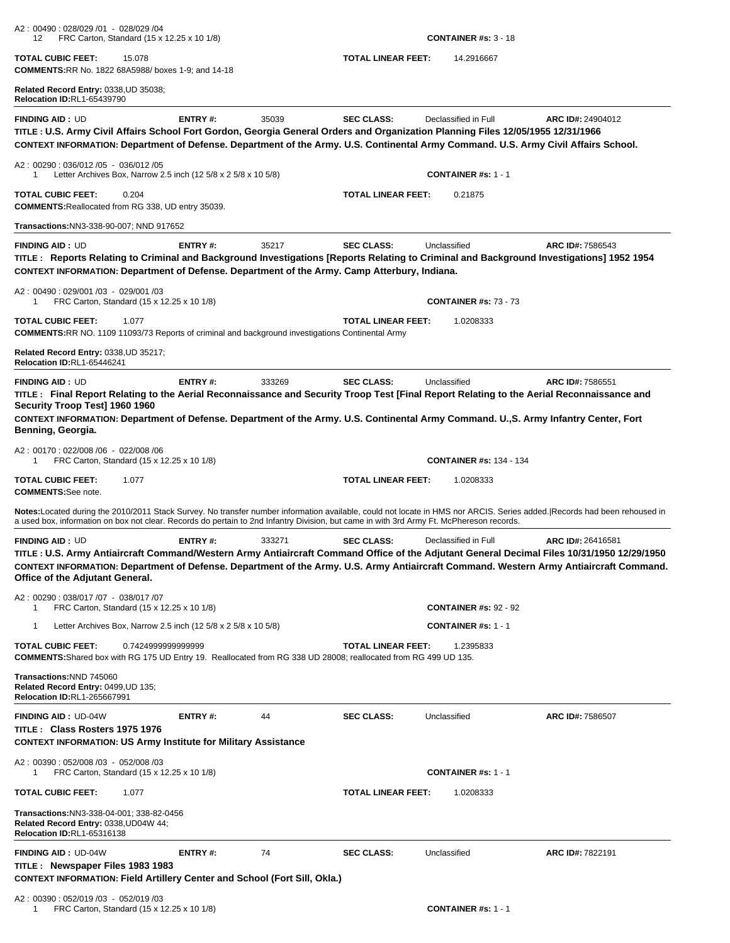| A2: 00490: 028/029 /01 - 028/029 /04<br>FRC Carton, Standard (15 x 12.25 x 10 1/8)<br>12                                                                                                                                                                                                                                                                           |         |        |                           | <b>CONTAINER #s: <math>3 - 18</math></b> |                   |
|--------------------------------------------------------------------------------------------------------------------------------------------------------------------------------------------------------------------------------------------------------------------------------------------------------------------------------------------------------------------|---------|--------|---------------------------|------------------------------------------|-------------------|
| <b>TOTAL CUBIC FEET:</b><br>15.078<br><b>COMMENTS: RR No. 1822 68A5988/ boxes 1-9; and 14-18</b>                                                                                                                                                                                                                                                                   |         |        | <b>TOTAL LINEAR FEET:</b> | 14.2916667                               |                   |
| Related Record Entry: 0338, UD 35038;<br><b>Relocation ID:RL1-65439790</b>                                                                                                                                                                                                                                                                                         |         |        |                           |                                          |                   |
| <b>FINDING AID: UD</b><br>TITLE : U.S. Army Civil Affairs School Fort Gordon, Georgia General Orders and Organization Planning Files 12/05/1955 12/31/1966<br>CONTEXT INFORMATION: Department of Defense. Department of the Army. U.S. Continental Army Command. U.S. Army Civil Affairs School.                                                                   | ENTRY#: | 35039  | <b>SEC CLASS:</b>         | Declassified in Full                     | ARC ID#: 24904012 |
| A2: 00290: 036/012 /05 - 036/012 /05<br>Letter Archives Box, Narrow 2.5 inch (12 5/8 x 2 5/8 x 10 5/8)<br>1                                                                                                                                                                                                                                                        |         |        |                           | <b>CONTAINER #s: 1 - 1</b>               |                   |
| <b>TOTAL CUBIC FEET:</b><br>0.204<br><b>COMMENTS: Reallocated from RG 338, UD entry 35039.</b>                                                                                                                                                                                                                                                                     |         |        | <b>TOTAL LINEAR FEET:</b> | 0.21875                                  |                   |
| Transactions: NN3-338-90-007; NND 917652                                                                                                                                                                                                                                                                                                                           |         |        |                           |                                          |                   |
| <b>FINDING AID: UD</b><br>TITLE: Reports Relating to Criminal and Background Investigations [Reports Relating to Criminal and Background Investigations] 1952 1954<br>CONTEXT INFORMATION: Department of Defense. Department of the Army. Camp Atterbury, Indiana.                                                                                                 | ENTRY#: | 35217  | <b>SEC CLASS:</b>         | Unclassified                             | ARC ID#: 7586543  |
| A2: 00490: 029/001 /03 - 029/001 /03<br>FRC Carton, Standard (15 x 12.25 x 10 1/8)<br>1                                                                                                                                                                                                                                                                            |         |        |                           | <b>CONTAINER #s: 73 - 73</b>             |                   |
| <b>TOTAL CUBIC FEET:</b><br>1.077<br><b>COMMENTS: RR NO. 1109 11093/73 Reports of criminal and background investigations Continental Army</b>                                                                                                                                                                                                                      |         |        | <b>TOTAL LINEAR FEET:</b> | 1.0208333                                |                   |
| Related Record Entry: 0338, UD 35217;<br><b>Relocation ID:RL1-65446241</b>                                                                                                                                                                                                                                                                                         |         |        |                           |                                          |                   |
| <b>FINDING AID: UD</b><br>TITLE: Final Report Relating to the Aerial Reconnaissance and Security Troop Test [Final Report Relating to the Aerial Reconnaissance and<br>Security Troop Test] 1960 1960<br>CONTEXT INFORMATION: Department of Defense. Department of the Army. U.S. Continental Army Command. U., S. Army Infantry Center, Fort<br>Benning, Georgia. | ENTRY#: | 333269 | <b>SEC CLASS:</b>         | Unclassified                             | ARC ID#: 7586551  |
| A2: 00170: 022/008 /06 - 022/008 /06<br>FRC Carton, Standard (15 x 12.25 x 10 1/8)<br>1                                                                                                                                                                                                                                                                            |         |        |                           | <b>CONTAINER #s: 134 - 134</b>           |                   |
| <b>TOTAL CUBIC FEET:</b><br>1.077<br><b>COMMENTS:</b> See note.                                                                                                                                                                                                                                                                                                    |         |        | <b>TOTAL LINEAR FEET:</b> | 1.0208333                                |                   |
| Notes:Located during the 2010/2011 Stack Survey. No transfer number information available, could not locate in HMS nor ARCIS. Series added. Records had been rehoused in<br>a used box, information on box not clear. Records do pertain to 2nd Infantry Division, but came in with 3rd Army Ft. McPhereson records.                                               |         |        |                           |                                          |                   |
| <b>FINDING AID: UD</b><br>TITLE : U.S. Army Antiaircraft Command/Western Army Antiaircraft Command Office of the Adjutant General Decimal Files 10/31/1950 12/29/1950<br>CONTEXT INFORMATION: Department of Defense. Department of the Army. U.S. Army Antiaircraft Command. Western Army Antiaircraft Command.<br>Office of the Adjutant General.                 | ENTRY#: | 333271 | <b>SEC CLASS:</b>         | Declassified in Full                     | ARC ID#: 26416581 |
| A2: 00290: 038/017 /07 - 038/017 /07<br>FRC Carton, Standard (15 x 12.25 x 10 1/8)<br>1                                                                                                                                                                                                                                                                            |         |        |                           | <b>CONTAINER #s: 92 - 92</b>             |                   |
| Letter Archives Box, Narrow 2.5 inch (12 5/8 x 2 5/8 x 10 5/8)<br>-1                                                                                                                                                                                                                                                                                               |         |        |                           | <b>CONTAINER #s: 1 - 1</b>               |                   |
| <b>TOTAL CUBIC FEET:</b><br>0.7424999999999999<br>COMMENTS: Shared box with RG 175 UD Entry 19. Reallocated from RG 338 UD 28008; reallocated from RG 499 UD 135.                                                                                                                                                                                                  |         |        | <b>TOTAL LINEAR FEET:</b> | 1.2395833                                |                   |
| Transactions: NND 745060<br>Related Record Entry: 0499, UD 135;<br><b>Relocation ID:RL1-265667991</b>                                                                                                                                                                                                                                                              |         |        |                           |                                          |                   |
| <b>FINDING AID: UD-04W</b><br>TITLE: Class Rosters 1975 1976<br><b>CONTEXT INFORMATION: US Army Institute for Military Assistance</b>                                                                                                                                                                                                                              | ENTRY#: | 44     | <b>SEC CLASS:</b>         | Unclassified                             | ARC ID#: 7586507  |
| A2: 00390: 052/008 /03 - 052/008 /03<br>FRC Carton, Standard (15 x 12.25 x 10 1/8)<br>1                                                                                                                                                                                                                                                                            |         |        |                           | <b>CONTAINER #s: 1 - 1</b>               |                   |
| <b>TOTAL CUBIC FEET:</b><br>1.077                                                                                                                                                                                                                                                                                                                                  |         |        | <b>TOTAL LINEAR FEET:</b> | 1.0208333                                |                   |
| Transactions:NN3-338-04-001; 338-82-0456<br>Related Record Entry: 0338, UD04W 44;<br>Relocation ID:RL1-65316138                                                                                                                                                                                                                                                    |         |        |                           |                                          |                   |
| <b>FINDING AID: UD-04W</b><br>TITLE: Newspaper Files 1983 1983<br><b>CONTEXT INFORMATION: Field Artillery Center and School (Fort Sill, Okla.)</b>                                                                                                                                                                                                                 | ENTRY#: | 74     | <b>SEC CLASS:</b>         | Unclassified                             | ARC ID#: 7822191  |
| A2: 00390: 052/019 /03 - 052/019 /03<br>FRC Carton, Standard (15 x 12.25 x 10 1/8)<br>1                                                                                                                                                                                                                                                                            |         |        |                           | <b>CONTAINER #s: 1 - 1</b>               |                   |

| FRC Carton, Standard (15 x 12.25 x 10 1/8 |
|-------------------------------------------|
|                                           |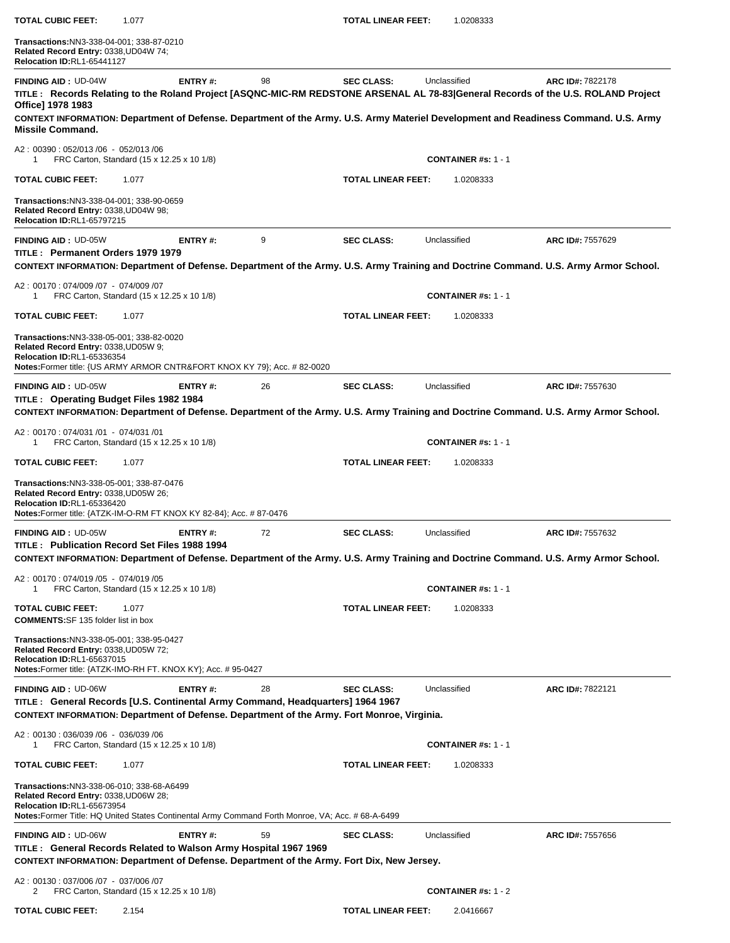| <b>TOTAL CUBIC FEET:</b>                                                                                                                                                                                              | 1.077                                               |    | <b>TOTAL LINEAR FEET:</b> | 1.0208333                               |                                                                                                                                                                                                                                                                                             |
|-----------------------------------------------------------------------------------------------------------------------------------------------------------------------------------------------------------------------|-----------------------------------------------------|----|---------------------------|-----------------------------------------|---------------------------------------------------------------------------------------------------------------------------------------------------------------------------------------------------------------------------------------------------------------------------------------------|
| Transactions:NN3-338-04-001; 338-87-0210<br>Related Record Entry: 0338, UD04W 74;<br>Relocation ID:RL1-65441127                                                                                                       |                                                     |    |                           |                                         |                                                                                                                                                                                                                                                                                             |
| <b>FINDING AID: UD-04W</b><br>Office] 1978 1983<br><b>Missile Command.</b>                                                                                                                                            | ENTRY#:                                             | 98 | <b>SEC CLASS:</b>         | Unclassified                            | ARC ID#: 7822178<br>TITLE: Records Relating to the Roland Project [ASQNC-MIC-RM REDSTONE ARSENAL AL 78-83]General Records of the U.S. ROLAND Project<br>CONTEXT INFORMATION: Department of Defense. Department of the Army. U.S. Army Materiel Development and Readiness Command. U.S. Army |
| A2: 00390: 052/013/06 - 052/013/06<br>1                                                                                                                                                                               | FRC Carton, Standard (15 x 12.25 x 10 1/8)          |    |                           | <b>CONTAINER #s: 1 - 1</b>              |                                                                                                                                                                                                                                                                                             |
| <b>TOTAL CUBIC FEET:</b>                                                                                                                                                                                              | 1.077                                               |    | <b>TOTAL LINEAR FEET:</b> | 1.0208333                               |                                                                                                                                                                                                                                                                                             |
| Transactions:NN3-338-04-001; 338-90-0659<br>Related Record Entry: 0338, UD04W 98;<br><b>Relocation ID:RL1-65797215</b>                                                                                                |                                                     |    |                           |                                         |                                                                                                                                                                                                                                                                                             |
| <b>FINDING AID: UD-05W</b><br>TITLE: Permanent Orders 1979 1979                                                                                                                                                       | <b>ENTRY#:</b>                                      | 9  | <b>SEC CLASS:</b>         | Unclassified                            | ARC ID#: 7557629<br>CONTEXT INFORMATION: Department of Defense. Department of the Army. U.S. Army Training and Doctrine Command. U.S. Army Armor School.                                                                                                                                    |
| A2: 00170: 074/009 /07 - 074/009 /07<br>1                                                                                                                                                                             | FRC Carton, Standard (15 x 12.25 x 10 1/8)          |    |                           | <b>CONTAINER #s: 1 - 1</b>              |                                                                                                                                                                                                                                                                                             |
| <b>TOTAL CUBIC FEET:</b>                                                                                                                                                                                              | 1.077                                               |    | <b>TOTAL LINEAR FEET:</b> | 1.0208333                               |                                                                                                                                                                                                                                                                                             |
| Transactions:NN3-338-05-001; 338-82-0020<br>Related Record Entry: 0338, UD05W 9;<br><b>Relocation ID:RL1-65336354</b><br>Notes: Former title: {US ARMY ARMOR CNTR& FORT KNOX KY 79}; Acc. # 82-0020                   |                                                     |    |                           |                                         |                                                                                                                                                                                                                                                                                             |
| <b>FINDING AID: UD-05W</b><br>TITLE: Operating Budget Files 1982 1984                                                                                                                                                 | <b>ENTRY#:</b>                                      | 26 | <b>SEC CLASS:</b>         | Unclassified                            | ARC ID#: 7557630<br>CONTEXT INFORMATION: Department of Defense. Department of the Army. U.S. Army Training and Doctrine Command. U.S. Army Armor School.                                                                                                                                    |
| A2: 00170: 074/031 /01 - 074/031 /01<br>1                                                                                                                                                                             | FRC Carton, Standard (15 x 12.25 x 10 1/8)          |    |                           | <b>CONTAINER #s: 1 - 1</b>              |                                                                                                                                                                                                                                                                                             |
| <b>TOTAL CUBIC FEET:</b>                                                                                                                                                                                              | 1.077                                               |    | <b>TOTAL LINEAR FEET:</b> | 1.0208333                               |                                                                                                                                                                                                                                                                                             |
| Transactions:NN3-338-05-001; 338-87-0476<br>Related Record Entry: 0338, UD05W 26;<br><b>Relocation ID:RL1-65336420</b><br><b>Notes:</b> Former title: {ATZK-IM-O-RM FT KNOX KY 82-84}; Acc. # 87-0476                 |                                                     |    |                           |                                         |                                                                                                                                                                                                                                                                                             |
| <b>FINDING AID: UD-05W</b><br>TITLE: Publication Record Set Files 1988 1994                                                                                                                                           | ENTRY #:                                            | 72 | <b>SEC CLASS:</b>         | Unclassified                            | ARC ID#: 7557632<br>CONTEXT INFORMATION: Department of Defense. Department of the Army. U.S. Army Training and Doctrine Command. U.S. Army Armor School.                                                                                                                                    |
| A2: 00170: 074/019 /05 - 074/019 /05                                                                                                                                                                                  |                                                     |    |                           |                                         |                                                                                                                                                                                                                                                                                             |
| 1<br><b>TOTAL CUBIC FEET:</b>                                                                                                                                                                                         | FRC Carton, Standard (15 x 12.25 x 10 1/8)<br>1.077 |    | <b>TOTAL LINEAR FEET:</b> | <b>CONTAINER #s: 1 - 1</b><br>1.0208333 |                                                                                                                                                                                                                                                                                             |
| <b>COMMENTS:SF 135 folder list in box</b>                                                                                                                                                                             |                                                     |    |                           |                                         |                                                                                                                                                                                                                                                                                             |
| Transactions:NN3-338-05-001; 338-95-0427<br>Related Record Entry: 0338,UD05W 72;<br>Relocation ID:RL1-65637015<br>Notes: Former title: {ATZK-IMO-RH FT. KNOX KY}; Acc. # 95-0427                                      |                                                     |    |                           |                                         |                                                                                                                                                                                                                                                                                             |
| <b>FINDING AID: UD-06W</b><br>TITLE: General Records [U.S. Continental Army Command, Headquarters] 1964 1967<br>CONTEXT INFORMATION: Department of Defense. Department of the Army. Fort Monroe, Virginia.            | ENTRY#:                                             | 28 | <b>SEC CLASS:</b>         | Unclassified                            | ARC ID#: 7822121                                                                                                                                                                                                                                                                            |
| A2: 00130: 036/039 /06 - 036/039 /06<br>1                                                                                                                                                                             | FRC Carton, Standard (15 x 12.25 x 10 1/8)          |    |                           | <b>CONTAINER #s: 1 - 1</b>              |                                                                                                                                                                                                                                                                                             |
| <b>TOTAL CUBIC FEET:</b>                                                                                                                                                                                              | 1.077                                               |    | <b>TOTAL LINEAR FEET:</b> | 1.0208333                               |                                                                                                                                                                                                                                                                                             |
| Transactions:NN3-338-06-010; 338-68-A6499<br>Related Record Entry: 0338, UD06W 28;<br>Relocation ID:RL1-65673954<br>Notes: Former Title: HQ United States Continental Army Command Forth Monroe, VA; Acc. # 68-A-6499 |                                                     |    |                           |                                         |                                                                                                                                                                                                                                                                                             |
| <b>FINDING AID: UD-06W</b><br>TITLE: General Records Related to Walson Army Hospital 1967 1969                                                                                                                        | <b>ENTRY#:</b>                                      | 59 | <b>SEC CLASS:</b>         | Unclassified                            | ARC ID#: 7557656                                                                                                                                                                                                                                                                            |
| CONTEXT INFORMATION: Department of Defense. Department of the Army. Fort Dix, New Jersey.                                                                                                                             |                                                     |    |                           |                                         |                                                                                                                                                                                                                                                                                             |
| A2: 00130: 037/006/07 - 037/006/07<br>2                                                                                                                                                                               | FRC Carton, Standard (15 x 12.25 x 10 1/8)          |    |                           | <b>CONTAINER #s: 1 - 2</b>              |                                                                                                                                                                                                                                                                                             |
| <b>TOTAL CUBIC FEET:</b>                                                                                                                                                                                              | 2.154                                               |    | <b>TOTAL LINEAR FEET:</b> | 2.0416667                               |                                                                                                                                                                                                                                                                                             |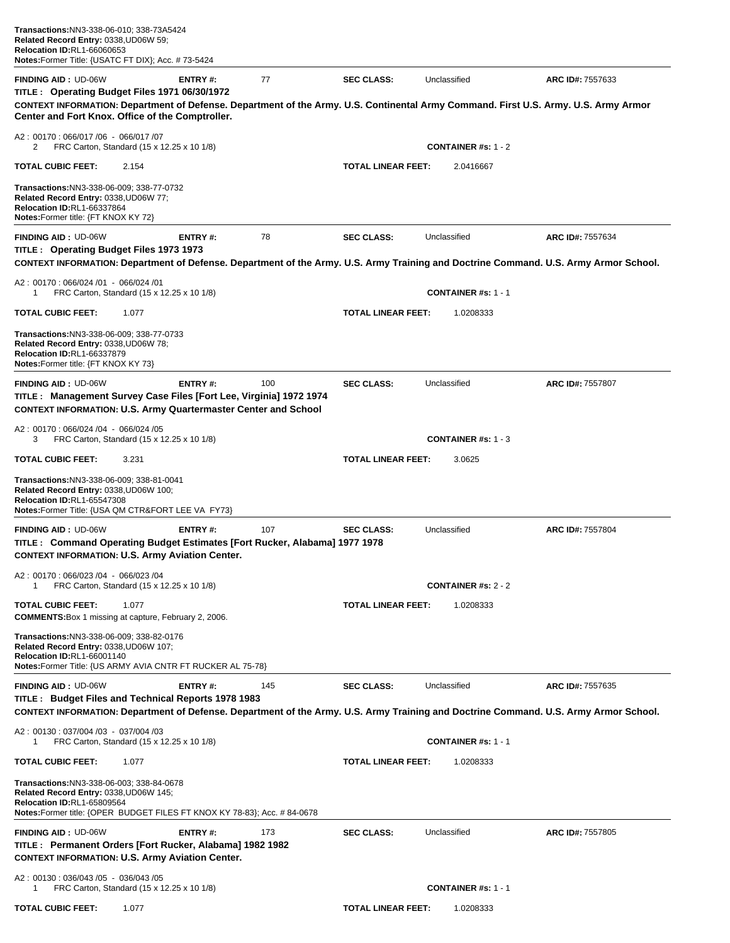| <b>FINDING AID: UD-06W</b><br>TITLE: Operating Budget Files 1971 06/30/1972                                                                                                                                 | <b>ENTRY#:</b> | 77  | <b>SEC CLASS:</b>         | Unclassified               | ARC ID#: 7557633        |
|-------------------------------------------------------------------------------------------------------------------------------------------------------------------------------------------------------------|----------------|-----|---------------------------|----------------------------|-------------------------|
| CONTEXT INFORMATION: Department of Defense. Department of the Army. U.S. Continental Army Command. First U.S. Army. U.S. Army Armor<br>Center and Fort Knox. Office of the Comptroller.                     |                |     |                           |                            |                         |
| A2: 00170: 066/017 /06 - 066/017 /07<br>2<br>FRC Carton, Standard (15 x 12.25 x 10 1/8)                                                                                                                     |                |     |                           | <b>CONTAINER #s: 1 - 2</b> |                         |
| <b>TOTAL CUBIC FEET:</b><br>2.154                                                                                                                                                                           |                |     | TOTAL LINEAR FEET:        | 2.0416667                  |                         |
| Transactions: NN3-338-06-009: 338-77-0732<br>Related Record Entry: 0338, UD06W 77;<br><b>Relocation ID:RL1-66337864</b><br>Notes: Former title: {FT KNOX KY 72}                                             |                |     |                           |                            |                         |
| <b>FINDING AID: UD-06W</b><br>TITLE: Operating Budget Files 1973 1973                                                                                                                                       | ENTRY#:        | 78  | <b>SEC CLASS:</b>         | Unclassified               | <b>ARC ID#: 7557634</b> |
| CONTEXT INFORMATION: Department of Defense. Department of the Army. U.S. Army Training and Doctrine Command. U.S. Army Armor School.                                                                        |                |     |                           |                            |                         |
| A2: 00170: 066/024 /01 - 066/024 /01<br>FRC Carton, Standard (15 x 12.25 x 10 1/8)<br>1                                                                                                                     |                |     |                           | <b>CONTAINER #s: 1 - 1</b> |                         |
| <b>TOTAL CUBIC FEET:</b><br>1.077                                                                                                                                                                           |                |     | <b>TOTAL LINEAR FEET:</b> | 1.0208333                  |                         |
| Transactions:NN3-338-06-009; 338-77-0733<br>Related Record Entry: 0338, UD06W 78;<br><b>Relocation ID:RL1-66337879</b><br>Notes: Former title: {FT KNOX KY 73}                                              |                |     |                           |                            |                         |
| <b>FINDING AID: UD-06W</b><br>TITLE : Management Survey Case Files [Fort Lee, Virginia] 1972 1974<br><b>CONTEXT INFORMATION: U.S. Army Quartermaster Center and School</b>                                  | <b>ENTRY#:</b> | 100 | <b>SEC CLASS:</b>         | Unclassified               | ARC ID#: 7557807        |
| A2: 00170: 066/024 /04 - 066/024 /05<br>FRC Carton, Standard (15 x 12.25 x 10 1/8)<br>3                                                                                                                     |                |     |                           | <b>CONTAINER #s: 1 - 3</b> |                         |
| <b>TOTAL CUBIC FEET:</b><br>3.231                                                                                                                                                                           |                |     | TOTAL LINEAR FEET:        | 3.0625                     |                         |
| Transactions: NN3-338-06-009; 338-81-0041<br>Related Record Entry: 0338, UD06W 100;<br><b>Relocation ID:RL1-65547308</b><br>Notes: Former Title: {USA QM CTR&FORT LEE VA FY73}                              |                |     |                           |                            |                         |
| <b>FINDING AID: UD-06W</b><br>TITLE : Command Operating Budget Estimates [Fort Rucker, Alabama] 1977 1978<br><b>CONTEXT INFORMATION: U.S. Army Aviation Center.</b>                                         | <b>ENTRY#:</b> | 107 | <b>SEC CLASS:</b>         | Unclassified               | ARC ID#: 7557804        |
| A2: 00170: 066/023 /04 - 066/023 /04<br>FRC Carton, Standard (15 x 12.25 x 10 1/8)<br>-1                                                                                                                    |                |     |                           | <b>CONTAINER #s: 2 - 2</b> |                         |
| <b>TOTAL CUBIC FEET:</b><br>1.077<br><b>COMMENTS:</b> Box 1 missing at capture, February 2, 2006.                                                                                                           |                |     | TOTAL LINEAR FEET:        | 1.0208333                  |                         |
| Transactions: NN3-338-06-009: 338-82-0176<br>Related Record Entry: 0338, UD06W 107;<br><b>Relocation ID:RL1-66001140</b><br>Notes: Former Title: {US ARMY AVIA CNTR FT RUCKER AL 75-78}                     |                |     |                           |                            |                         |
| <b>FINDING AID: UD-06W</b>                                                                                                                                                                                  | <b>ENTRY#:</b> | 145 | <b>SEC CLASS:</b>         | Unclassified               | ARC ID#: 7557635        |
| TITLE: Budget Files and Technical Reports 1978 1983<br>CONTEXT INFORMATION: Department of Defense. Department of the Army. U.S. Army Training and Doctrine Command. U.S. Army Armor School.                 |                |     |                           |                            |                         |
| A2: 00130: 037/004 /03 - 037/004 /03<br>FRC Carton, Standard (15 x 12.25 x 10 1/8)<br>1                                                                                                                     |                |     |                           | <b>CONTAINER #s: 1 - 1</b> |                         |
| <b>TOTAL CUBIC FEET:</b><br>1.077                                                                                                                                                                           |                |     | <b>TOTAL LINEAR FEET:</b> | 1.0208333                  |                         |
| <b>Transactions: NN3-338-06-003; 338-84-0678</b><br>Related Record Entry: 0338, UD06W 145;<br><b>Relocation ID:RL1-65809564</b><br>Notes: Former title: {OPER BUDGET FILES FT KNOX KY 78-83}; Acc. #84-0678 |                |     |                           |                            |                         |
| <b>FINDING AID: UD-06W</b><br>TITLE : Permanent Orders [Fort Rucker, Alabama] 1982 1982<br><b>CONTEXT INFORMATION: U.S. Army Aviation Center.</b>                                                           | <b>ENTRY#:</b> | 173 | <b>SEC CLASS:</b>         | Unclassified               | ARC ID#: 7557805        |
| A2: 00130: 036/043 /05 - 036/043 /05<br>FRC Carton, Standard (15 x 12.25 x 10 1/8)<br>1                                                                                                                     |                |     |                           | <b>CONTAINER #s: 1 - 1</b> |                         |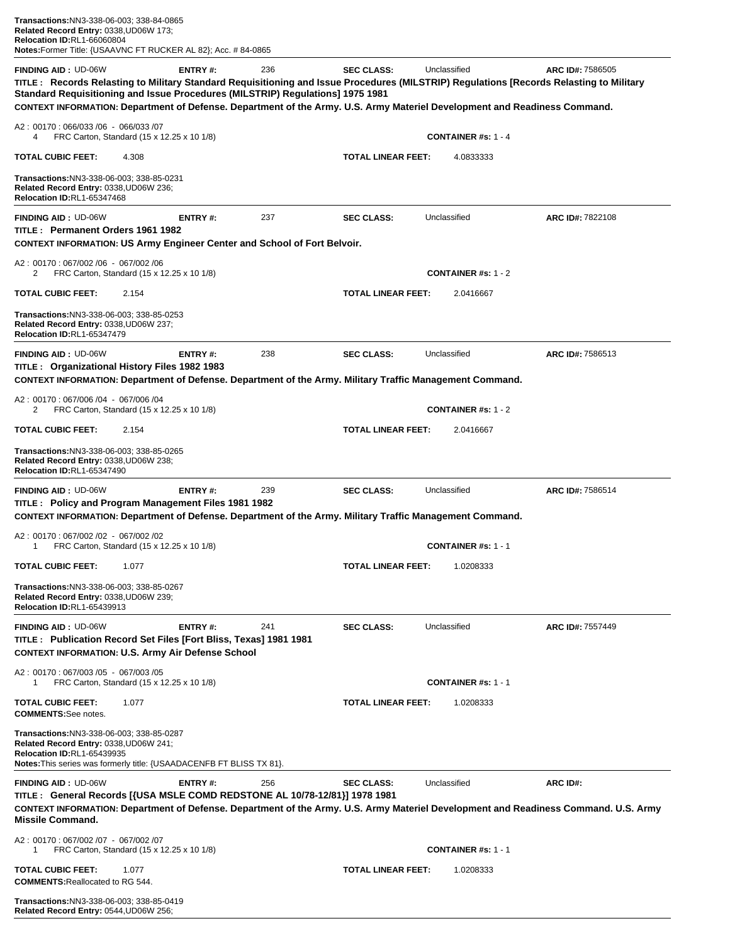| <b>FINDING AID: UD-06W</b>                              |                                         |                                                                                    | ENTRY#:                                                                                                                           | 236<br>Standard Requisitioning and Issue Procedures (MILSTRIP) Regulations] 1975 1981 | <b>SEC CLASS:</b>                                                                                                             | Unclassified | CONTEXT INFORMATION: Department of Defense. Department of the Army. U.S. Army Materiel Development and Readiness Command. | <b>ARC ID#: 7586505</b><br>TITLE: Records Relasting to Military Standard Requisitioning and Issue Procedures (MILSTRIP) Regulations [Records Relasting to Military |
|---------------------------------------------------------|-----------------------------------------|------------------------------------------------------------------------------------|-----------------------------------------------------------------------------------------------------------------------------------|---------------------------------------------------------------------------------------|-------------------------------------------------------------------------------------------------------------------------------|--------------|---------------------------------------------------------------------------------------------------------------------------|--------------------------------------------------------------------------------------------------------------------------------------------------------------------|
|                                                         |                                         | A2:00170:066/033 /06 - 066/033 /07                                                 |                                                                                                                                   |                                                                                       |                                                                                                                               |              |                                                                                                                           |                                                                                                                                                                    |
| 4<br><b>TOTAL CUBIC FEET:</b>                           |                                         | FRC Carton, Standard (15 x 12.25 x 10 1/8)<br>4.308                                |                                                                                                                                   |                                                                                       | <b>TOTAL LINEAR FEET:</b>                                                                                                     |              | <b>CONTAINER</b> #s: $1 - 4$<br>4.0833333                                                                                 |                                                                                                                                                                    |
|                                                         | <b>Relocation ID:RL1-65347468</b>       | Transactions:NN3-338-06-003; 338-85-0231<br>Related Record Entry: 0338,UD06W 236;  |                                                                                                                                   |                                                                                       |                                                                                                                               |              |                                                                                                                           |                                                                                                                                                                    |
| <b>FINDING AID: UD-06W</b>                              |                                         | TITLE: Permanent Orders 1961 1982                                                  | ENTRY#:                                                                                                                           | 237                                                                                   | <b>SEC CLASS:</b>                                                                                                             | Unclassified |                                                                                                                           | ARC ID#: 7822108                                                                                                                                                   |
|                                                         |                                         |                                                                                    |                                                                                                                                   | <b>CONTEXT INFORMATION: US Army Engineer Center and School of Fort Belvoir.</b>       |                                                                                                                               |              |                                                                                                                           |                                                                                                                                                                    |
| 2                                                       |                                         | A2: 00170: 067/002 /06 - 067/002 /06<br>FRC Carton, Standard (15 x 12.25 x 10 1/8) |                                                                                                                                   |                                                                                       |                                                                                                                               |              | CONTAINER #s: $1 - 2$                                                                                                     |                                                                                                                                                                    |
| TOTAL CUBIC FEET:                                       |                                         | 2.154                                                                              |                                                                                                                                   |                                                                                       | <b>TOTAL LINEAR FEET:</b>                                                                                                     |              | 2.0416667                                                                                                                 |                                                                                                                                                                    |
|                                                         | <b>Relocation ID:RL1-65347479</b>       | Transactions:NN3-338-06-003; 338-85-0253<br>Related Record Entry: 0338,UD06W 237;  |                                                                                                                                   |                                                                                       |                                                                                                                               |              |                                                                                                                           |                                                                                                                                                                    |
| <b>FINDING AID: UD-06W</b>                              |                                         |                                                                                    | ENTRY#:                                                                                                                           | 238                                                                                   | <b>SEC CLASS:</b>                                                                                                             | Unclassified |                                                                                                                           | ARC ID#: 7586513                                                                                                                                                   |
|                                                         |                                         | TITLE : Organizational History Files 1982 1983                                     |                                                                                                                                   |                                                                                       | CONTEXT INFORMATION: Department of Defense. Department of the Army. Military Traffic Management Command.                      |              |                                                                                                                           |                                                                                                                                                                    |
|                                                         |                                         | A2: 00170: 067/006/04 - 067/006/04                                                 |                                                                                                                                   |                                                                                       |                                                                                                                               |              |                                                                                                                           |                                                                                                                                                                    |
| 2                                                       |                                         | FRC Carton, Standard (15 x 12.25 x 10 1/8)                                         |                                                                                                                                   |                                                                                       |                                                                                                                               |              | CONTAINER #s: $1 - 2$                                                                                                     |                                                                                                                                                                    |
| <b>TOTAL CUBIC FEET:</b>                                |                                         | 2.154                                                                              |                                                                                                                                   |                                                                                       | <b>TOTAL LINEAR FEET:</b>                                                                                                     |              | 2.0416667                                                                                                                 |                                                                                                                                                                    |
|                                                         | <b>Relocation ID:RL1-65347490</b>       | Transactions:NN3-338-06-003; 338-85-0265<br>Related Record Entry: 0338,UD06W 238;  |                                                                                                                                   |                                                                                       |                                                                                                                               |              |                                                                                                                           |                                                                                                                                                                    |
| <b>FINDING AID : UD-06W</b>                             |                                         |                                                                                    | <b>ENTRY#:</b><br>TITLE: Policy and Program Management Files 1981 1982                                                            | 239                                                                                   | <b>SEC CLASS:</b><br>CONTEXT INFORMATION: Department of Defense. Department of the Army. Military Traffic Management Command. | Unclassified |                                                                                                                           | ARC ID#: 7586514                                                                                                                                                   |
| 1                                                       |                                         | A2: 00170: 067/002 /02 - 067/002 /02<br>FRC Carton, Standard (15 x 12.25 x 10 1/8) |                                                                                                                                   |                                                                                       |                                                                                                                               |              | <b>CONTAINER #s: 1 - 1</b>                                                                                                |                                                                                                                                                                    |
| TOTAL CUBIC FEET:                                       |                                         | 1.077                                                                              |                                                                                                                                   |                                                                                       | <b>TOTAL LINEAR FEET:</b>                                                                                                     |              | 1.0208333                                                                                                                 |                                                                                                                                                                    |
|                                                         | <b>Relocation ID:RL1-65439913</b>       | Transactions:NN3-338-06-003; 338-85-0267<br>Related Record Entry: 0338,UD06W 239;  |                                                                                                                                   |                                                                                       |                                                                                                                               |              |                                                                                                                           |                                                                                                                                                                    |
| <b>FINDING AID: UD-06W</b>                              |                                         |                                                                                    | ENTRY#:<br>TITLE: Publication Record Set Files [Fort Bliss, Texas] 1981 1981<br>CONTEXT INFORMATION: U.S. Army Air Defense School | 241                                                                                   | <b>SEC CLASS:</b>                                                                                                             | Unclassified |                                                                                                                           | ARC ID#: 7557449                                                                                                                                                   |
| 1                                                       |                                         | A2: 00170: 067/003/05 - 067/003/05<br>FRC Carton, Standard (15 x 12.25 x 10 1/8)   |                                                                                                                                   |                                                                                       |                                                                                                                               |              | <b>CONTAINER #s: 1 - 1</b>                                                                                                |                                                                                                                                                                    |
| <b>TOTAL CUBIC FEET:</b><br><b>COMMENTS:</b> See notes. |                                         | 1.077                                                                              |                                                                                                                                   |                                                                                       | <b>TOTAL LINEAR FEET:</b>                                                                                                     |              | 1.0208333                                                                                                                 |                                                                                                                                                                    |
|                                                         | <b>Relocation ID:RL1-65439935</b>       | Transactions:NN3-338-06-003; 338-85-0287<br>Related Record Entry: 0338,UD06W 241;  | <b>Notes:</b> This series was formerly title: {USAADACENFB FT BLISS TX 81}.                                                       |                                                                                       |                                                                                                                               |              |                                                                                                                           |                                                                                                                                                                    |
| <b>FINDING AID :</b> UD-06W<br><b>Missile Command.</b>  |                                         |                                                                                    | ENTRY#:                                                                                                                           | 256<br>TITLE : General Records [{USA MSLE COMD REDSTONE AL 10/78-12/81}] 1978 1981    | <b>SEC CLASS:</b>                                                                                                             | Unclassified |                                                                                                                           | ARC ID#:<br>CONTEXT INFORMATION: Department of Defense. Department of the Army. U.S. Army Materiel Development and Readiness Command. U.S. Army                    |
| 1                                                       |                                         | A2:00170:067/002 /07 - 067/002 /07<br>FRC Carton, Standard (15 x 12.25 x 10 1/8)   |                                                                                                                                   |                                                                                       |                                                                                                                               |              | <b>CONTAINER #s: 1 - 1</b>                                                                                                |                                                                                                                                                                    |
| TOTAL CUBIC FEET:                                       | <b>COMMENTS: Reallocated to RG 544.</b> | 1.077                                                                              |                                                                                                                                   |                                                                                       | <b>TOTAL LINEAR FEET:</b>                                                                                                     |              | 1.0208333                                                                                                                 |                                                                                                                                                                    |

**Transactions:**NN3-338-06-003; 338-85-0419 **Related Record Entry:** 0544,UD06W 256;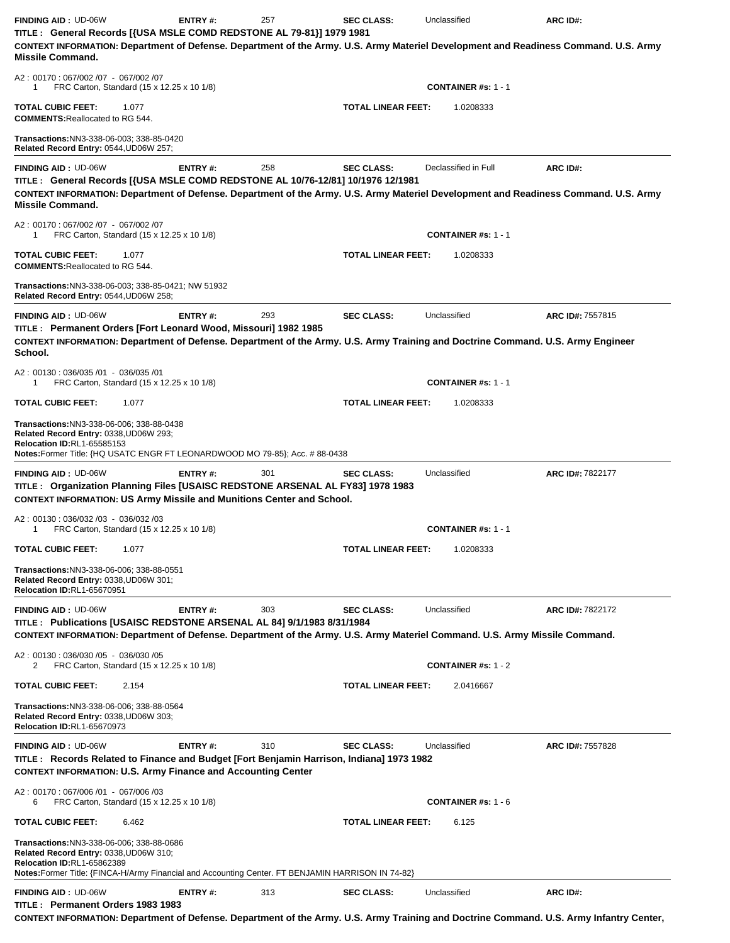| <b>FINDING AID: UD-06W</b><br>TITLE : General Records [{USA MSLE COMD REDSTONE AL 79-81}] 1979 1981<br>CONTEXT INFORMATION: Department of Defense. Department of the Army. U.S. Army Materiel Development and Readiness Command. U.S. Army  | <b>ENTRY#:</b> | 257 | <b>SEC CLASS:</b>         | Unclassified                            | ARC ID#:                |
|---------------------------------------------------------------------------------------------------------------------------------------------------------------------------------------------------------------------------------------------|----------------|-----|---------------------------|-----------------------------------------|-------------------------|
| <b>Missile Command.</b><br>A2: 00170: 067/002/07 - 067/002/07                                                                                                                                                                               |                |     |                           |                                         |                         |
| FRC Carton, Standard (15 x 12.25 x 10 1/8)<br>1<br><b>TOTAL CUBIC FEET:</b><br>1.077                                                                                                                                                        |                |     | <b>TOTAL LINEAR FEET:</b> | <b>CONTAINER #s: 1 - 1</b><br>1.0208333 |                         |
| <b>COMMENTS: Reallocated to RG 544.</b><br>Transactions:NN3-338-06-003: 338-85-0420<br>Related Record Entry: 0544, UD06W 257;                                                                                                               |                |     |                           |                                         |                         |
| <b>FINDING AID: UD-06W</b><br>TITLE : General Records [{USA MSLE COMD REDSTONE AL 10/76-12/81] 10/1976 12/1981                                                                                                                              | <b>ENTRY#:</b> | 258 | <b>SEC CLASS:</b>         | Declassified in Full                    | ARC ID#:                |
| CONTEXT INFORMATION: Department of Defense. Department of the Army. U.S. Army Materiel Development and Readiness Command. U.S. Army<br><b>Missile Command.</b>                                                                              |                |     |                           |                                         |                         |
| A2: 00170: 067/002/07 - 067/002/07<br>FRC Carton, Standard (15 x 12.25 x 10 1/8)<br>1                                                                                                                                                       |                |     |                           | <b>CONTAINER #s: 1 - 1</b>              |                         |
| <b>TOTAL CUBIC FEET:</b><br>1.077<br><b>COMMENTS: Reallocated to RG 544.</b>                                                                                                                                                                |                |     | <b>TOTAL LINEAR FEET:</b> | 1.0208333                               |                         |
| <b>Transactions: NN3-338-06-003; 338-85-0421; NW 51932</b><br>Related Record Entry: 0544, UD06W 258;                                                                                                                                        |                |     |                           |                                         |                         |
| <b>FINDING AID: UD-06W</b><br>TITLE: Permanent Orders [Fort Leonard Wood, Missouri] 1982 1985<br>CONTEXT INFORMATION: Department of Defense. Department of the Army. U.S. Army Training and Doctrine Command. U.S. Army Engineer<br>School. | ENTRY#:        | 293 | <b>SEC CLASS:</b>         | Unclassified                            | ARC ID#: 7557815        |
| A2: 00130: 036/035 /01 - 036/035 /01<br>FRC Carton, Standard (15 x 12.25 x 10 1/8)<br>1                                                                                                                                                     |                |     |                           | <b>CONTAINER #s: 1 - 1</b>              |                         |
| <b>TOTAL CUBIC FEET:</b><br>1.077                                                                                                                                                                                                           |                |     | <b>TOTAL LINEAR FEET:</b> | 1.0208333                               |                         |
| <b>Transactions: NN3-338-06-006; 338-88-0438</b><br>Related Record Entry: 0338, UD06W 293;<br>Relocation ID:RL1-65585153<br>Notes:Former Title: {HQ USATC ENGR FT LEONARDWOOD MO 79-85}; Acc. # 88-0438                                     |                |     |                           |                                         |                         |
| <b>FINDING AID: UD-06W</b><br>TITLE: Organization Planning Files [USAISC REDSTONE ARSENAL AL FY83] 1978 1983<br><b>CONTEXT INFORMATION: US Army Missile and Munitions Center and School.</b>                                                | <b>ENTRY#:</b> | 301 | <b>SEC CLASS:</b>         | Unclassified                            | <b>ARC ID#: 7822177</b> |
| A2: 00130: 036/032 /03 - 036/032 /03<br>FRC Carton, Standard (15 x 12.25 x 10 1/8)<br>1                                                                                                                                                     |                |     |                           | <b>CONTAINER #s: 1 - 1</b>              |                         |
| TOTAL CUBIC FEET:<br>1.077                                                                                                                                                                                                                  |                |     | TOTAL LINEAR FEET:        | 1.0208333                               |                         |
| Transactions:NN3-338-06-006; 338-88-0551<br>Related Record Entry: 0338, UD06W 301;<br><b>Relocation ID:RL1-65670951</b>                                                                                                                     |                |     |                           |                                         |                         |
| <b>FINDING AID: UD-06W</b><br>TITLE : Publications [USAISC REDSTONE ARSENAL AL 84] 9/1/1983 8/31/1984                                                                                                                                       | <b>ENTRY#:</b> | 303 | <b>SEC CLASS:</b>         | Unclassified                            | ARC ID#: 7822172        |
| CONTEXT INFORMATION: Department of Defense. Department of the Army. U.S. Army Materiel Command. U.S. Army Missile Command.<br>A2: 00130: 036/030 /05 - 036/030 /05                                                                          |                |     |                           |                                         |                         |
| FRC Carton, Standard (15 x 12.25 x 10 1/8)<br>2                                                                                                                                                                                             |                |     |                           | <b>CONTAINER #s: 1 - 2</b>              |                         |
| <b>TOTAL CUBIC FEET:</b><br>2.154                                                                                                                                                                                                           |                |     | <b>TOTAL LINEAR FEET:</b> | 2.0416667                               |                         |
| Transactions: NN3-338-06-006; 338-88-0564<br>Related Record Entry: 0338, UD06W 303;<br>Relocation ID:RL1-65670973                                                                                                                           |                |     |                           |                                         |                         |
| <b>FINDING AID: UD-06W</b><br>TITLE : Records Related to Finance and Budget [Fort Benjamin Harrison, Indiana] 1973 1982<br><b>CONTEXT INFORMATION: U.S. Army Finance and Accounting Center</b>                                              | <b>ENTRY#:</b> | 310 | <b>SEC CLASS:</b>         | Unclassified                            | ARC ID#: 7557828        |
| A2: 00170: 067/006 /01 - 067/006 /03<br>FRC Carton, Standard (15 x 12.25 x 10 1/8)<br>6                                                                                                                                                     |                |     |                           | <b>CONTAINER #s: 1 - 6</b>              |                         |
| <b>TOTAL CUBIC FEET:</b><br>6.462                                                                                                                                                                                                           |                |     | <b>TOTAL LINEAR FEET:</b> | 6.125                                   |                         |
| Transactions:NN3-338-06-006; 338-88-0686<br>Related Record Entry: 0338, UD06W 310;<br><b>Relocation ID:RL1-65862389</b><br>Notes:Former Title: {FINCA-H/Army Financial and Accounting Center. FT BENJAMIN HARRISON IN 74-82}                |                |     |                           |                                         |                         |
| <b>FINDING AID: UD-06W</b><br>TITLE: Permanent Orders 1983 1983<br>CONTEXT INFORMATION: Department of Defense. Department of the Army. U.S. Army Training and Doctrine Command. U.S. Army Infantry Center,                                  | <b>ENTRY#:</b> | 313 | <b>SEC CLASS:</b>         | Unclassified                            | ARC ID#:                |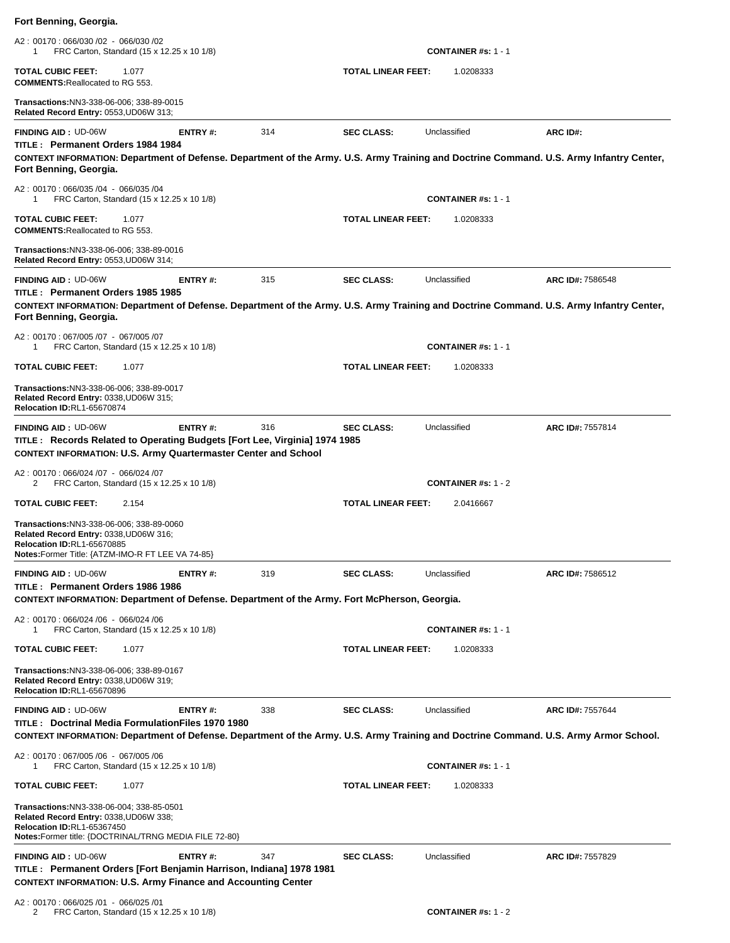| Fort Benning, Georgia.                                                                                                                                                               |         |     |                           |                            |                  |
|--------------------------------------------------------------------------------------------------------------------------------------------------------------------------------------|---------|-----|---------------------------|----------------------------|------------------|
| A2: 00170: 066/030 /02 - 066/030 /02<br>FRC Carton, Standard (15 x 12.25 x 10 1/8)<br>1                                                                                              |         |     |                           | <b>CONTAINER #s: 1 - 1</b> |                  |
| <b>TOTAL CUBIC FEET:</b><br>1.077<br><b>COMMENTS: Reallocated to RG 553.</b>                                                                                                         |         |     | TOTAL LINEAR FEET:        | 1.0208333                  |                  |
| Transactions: NN3-338-06-006; 338-89-0015<br>Related Record Entry: 0553, UD06W 313;                                                                                                  |         |     |                           |                            |                  |
| <b>FINDING AID: UD-06W</b><br>TITLE: Permanent Orders 1984 1984                                                                                                                      | ENTRY#: | 314 | <b>SEC CLASS:</b>         | Unclassified               | ARC ID#:         |
| CONTEXT INFORMATION: Department of Defense. Department of the Army. U.S. Army Training and Doctrine Command. U.S. Army Infantry Center,<br>Fort Benning, Georgia.                    |         |     |                           |                            |                  |
| A2: 00170: 066/035 /04 - 066/035 /04<br>FRC Carton, Standard (15 x 12.25 x 10 1/8)<br>1                                                                                              |         |     |                           | <b>CONTAINER #s: 1 - 1</b> |                  |
| <b>TOTAL CUBIC FEET:</b><br>1.077<br><b>COMMENTS: Reallocated to RG 553.</b>                                                                                                         |         |     | TOTAL LINEAR FEET:        | 1.0208333                  |                  |
| Transactions:NN3-338-06-006; 338-89-0016<br>Related Record Entry: 0553, UD06W 314;                                                                                                   |         |     |                           |                            |                  |
| <b>FINDING AID: UD-06W</b><br>TITLE: Permanent Orders 1985 1985                                                                                                                      | ENTRY#: | 315 | <b>SEC CLASS:</b>         | Unclassified               | ARC ID#: 7586548 |
| CONTEXT INFORMATION: Department of Defense. Department of the Army. U.S. Army Training and Doctrine Command. U.S. Army Infantry Center,<br>Fort Benning, Georgia.                    |         |     |                           |                            |                  |
| A2: 00170: 067/005 /07 - 067/005 /07<br>FRC Carton, Standard (15 x 12.25 x 10 1/8)<br>1                                                                                              |         |     |                           | <b>CONTAINER #s: 1 - 1</b> |                  |
| <b>TOTAL CUBIC FEET:</b><br>1.077                                                                                                                                                    |         |     | TOTAL LINEAR FEET:        | 1.0208333                  |                  |
| Transactions:NN3-338-06-006; 338-89-0017<br>Related Record Entry: 0338, UD06W 315;<br><b>Relocation ID:RL1-65670874</b>                                                              |         |     |                           |                            |                  |
| FINDING AID: UD-06W<br>TITLE : Records Related to Operating Budgets [Fort Lee, Virginia] 1974 1985<br><b>CONTEXT INFORMATION: U.S. Army Quartermaster Center and School</b>          | ENTRY#: | 316 | <b>SEC CLASS:</b>         | Unclassified               | ARC ID#: 7557814 |
| A2: 00170: 066/024 /07 - 066/024 /07<br>FRC Carton, Standard (15 x 12.25 x 10 1/8)<br>2                                                                                              |         |     |                           | <b>CONTAINER #s: 1 - 2</b> |                  |
| <b>TOTAL CUBIC FEET:</b><br>2.154                                                                                                                                                    |         |     | <b>TOTAL LINEAR FEET:</b> | 2.0416667                  |                  |
| Transactions: NN3-338-06-006; 338-89-0060<br>Related Record Entry: 0338, UD06W 316;<br><b>Relocation ID:RL1-65670885</b><br><b>Notes:</b> Former Title: {ATZM-IMO-R FT LEE VA 74-85} |         |     |                           |                            |                  |
| <b>FINDING AID: UD-06W</b>                                                                                                                                                           | ENTRY#: | 319 | <b>SEC CLASS:</b>         | Unclassified               | ARC ID#: 7586512 |
| TITLE: Permanent Orders 1986 1986<br>CONTEXT INFORMATION: Department of Defense. Department of the Army. Fort McPherson, Georgia.                                                    |         |     |                           |                            |                  |
| A2: 00170: 066/024 /06 - 066/024 /06<br>FRC Carton, Standard (15 x 12.25 x 10 1/8)<br>1                                                                                              |         |     |                           | <b>CONTAINER #s: 1 - 1</b> |                  |
| <b>TOTAL CUBIC FEET:</b><br>1.077                                                                                                                                                    |         |     | <b>TOTAL LINEAR FEET:</b> | 1.0208333                  |                  |
| Transactions: NN3-338-06-006: 338-89-0167<br>Related Record Entry: 0338, UD06W 319;<br><b>Relocation ID:RL1-65670896</b>                                                             |         |     |                           |                            |                  |
| <b>FINDING AID: UD-06W</b><br>TITLE: Doctrinal Media FormulationFiles 1970 1980                                                                                                      | ENTRY#: | 338 | <b>SEC CLASS:</b>         | Unclassified               | ARC ID#: 7557644 |
| CONTEXT INFORMATION: Department of Defense. Department of the Army. U.S. Army Training and Doctrine Command. U.S. Army Armor School.<br>A2: 00170: 067/005 /06 - 067/005 /06         |         |     |                           |                            |                  |
| FRC Carton, Standard (15 x 12.25 x 10 1/8)<br>1                                                                                                                                      |         |     |                           | <b>CONTAINER #s: 1 - 1</b> |                  |
| <b>TOTAL CUBIC FEET:</b><br>1.077                                                                                                                                                    |         |     | TOTAL LINEAR FEET:        | 1.0208333                  |                  |
| Transactions:NN3-338-06-004; 338-85-0501<br>Related Record Entry: 0338, UD06W 338;<br><b>Relocation ID:RL1-65367450</b><br>Notes: Former title: {DOCTRINAL/TRNG MEDIA FILE 72-80}    |         |     |                           |                            |                  |
| <b>FINDING AID: UD-06W</b><br>TITLE: Permanent Orders [Fort Benjamin Harrison, Indiana] 1978 1981<br><b>CONTEXT INFORMATION: U.S. Army Finance and Accounting Center</b>             | ENTRY#: | 347 | <b>SEC CLASS:</b>         | Unclassified               | ARC ID#: 7557829 |
| A2: 00170: 066/025 /01 - 066/025 /01                                                                                                                                                 |         |     |                           |                            |                  |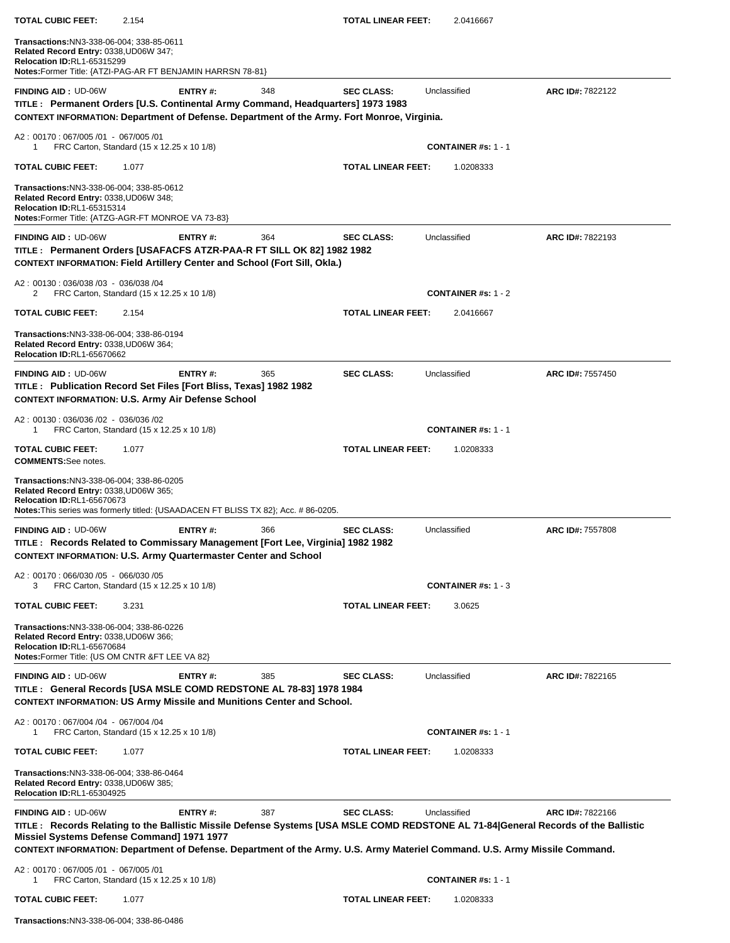| <b>TOTAL CUBIC FEET:</b>                                                                                                                                                     | 2.154                                                                                                                                                                                                                                                                                                                     |     | <b>TOTAL LINEAR FEET:</b> | 2.0416667                  |                  |
|------------------------------------------------------------------------------------------------------------------------------------------------------------------------------|---------------------------------------------------------------------------------------------------------------------------------------------------------------------------------------------------------------------------------------------------------------------------------------------------------------------------|-----|---------------------------|----------------------------|------------------|
| Transactions:NN3-338-06-004; 338-85-0611<br>Related Record Entry: 0338, UD06W 347;<br><b>Relocation ID:RL1-65315299</b>                                                      | Notes: Former Title: {ATZI-PAG-AR FT BENJAMIN HARRSN 78-81}                                                                                                                                                                                                                                                               |     |                           |                            |                  |
| <b>FINDING AID: UD-06W</b>                                                                                                                                                   | ENTRY#:<br>TITLE : Permanent Orders [U.S. Continental Army Command, Headquarters] 1973 1983<br>CONTEXT INFORMATION: Department of Defense. Department of the Army. Fort Monroe, Virginia.                                                                                                                                 | 348 | <b>SEC CLASS:</b>         | Unclassified               | ARC ID#: 7822122 |
| A2: 00170: 067/005 /01 - 067/005 /01<br>-1                                                                                                                                   | FRC Carton, Standard (15 x 12.25 x 10 1/8)                                                                                                                                                                                                                                                                                |     |                           | <b>CONTAINER #s: 1 - 1</b> |                  |
| <b>TOTAL CUBIC FEET:</b>                                                                                                                                                     | 1.077                                                                                                                                                                                                                                                                                                                     |     | <b>TOTAL LINEAR FEET:</b> | 1.0208333                  |                  |
| Transactions:NN3-338-06-004; 338-85-0612<br>Related Record Entry: 0338, UD06W 348;<br><b>Relocation ID:RL1-65315314</b>                                                      | Notes: Former Title: {ATZG-AGR-FT MONROE VA 73-83}                                                                                                                                                                                                                                                                        |     |                           |                            |                  |
| <b>FINDING AID: UD-06W</b>                                                                                                                                                   | ENTRY#:<br>TITLE : Permanent Orders [USAFACFS ATZR-PAA-R FT SILL OK 82] 1982 1982<br><b>CONTEXT INFORMATION: Field Artillery Center and School (Fort Sill, Okla.)</b>                                                                                                                                                     | 364 | <b>SEC CLASS:</b>         | Unclassified               | ARC ID#: 7822193 |
| A2: 00130: 036/038 /03 - 036/038 /04<br>2                                                                                                                                    | FRC Carton, Standard (15 x 12.25 x 10 1/8)                                                                                                                                                                                                                                                                                |     |                           | CONTAINER #s: $1 - 2$      |                  |
| <b>TOTAL CUBIC FEET:</b>                                                                                                                                                     | 2.154                                                                                                                                                                                                                                                                                                                     |     | <b>TOTAL LINEAR FEET:</b> | 2.0416667                  |                  |
| Transactions: NN3-338-06-004; 338-86-0194<br>Related Record Entry: 0338, UD06W 364;<br><b>Relocation ID:RL1-65670662</b>                                                     |                                                                                                                                                                                                                                                                                                                           |     |                           |                            |                  |
| <b>FINDING AID: UD-06W</b>                                                                                                                                                   | ENTRY#:<br>TITLE : Publication Record Set Files [Fort Bliss, Texas] 1982 1982<br><b>CONTEXT INFORMATION: U.S. Army Air Defense School</b>                                                                                                                                                                                 | 365 | <b>SEC CLASS:</b>         | Unclassified               | ARC ID#: 7557450 |
| A2: 00130: 036/036 /02 - 036/036 /02<br>1                                                                                                                                    | FRC Carton, Standard (15 x 12.25 x 10 1/8)                                                                                                                                                                                                                                                                                |     |                           | <b>CONTAINER #s: 1 - 1</b> |                  |
| <b>TOTAL CUBIC FEET:</b><br><b>COMMENTS:</b> See notes.                                                                                                                      | 1.077                                                                                                                                                                                                                                                                                                                     |     | <b>TOTAL LINEAR FEET:</b> | 1.0208333                  |                  |
| Transactions:NN3-338-06-004; 338-86-0205<br>Related Record Entry: 0338, UD06W 365;<br><b>Relocation ID:RL1-65670673</b>                                                      | Notes: This series was formerly titled: {USAADACEN FT BLISS TX 82}; Acc. #86-0205.                                                                                                                                                                                                                                        |     |                           |                            |                  |
| <b>FINDING AID: UD-06W</b>                                                                                                                                                   | ENTRY#:<br>TITLE : Records Related to Commissary Management [Fort Lee, Virginia] 1982 1982<br><b>CONTEXT INFORMATION: U.S. Army Quartermaster Center and School</b>                                                                                                                                                       | 366 | <b>SEC CLASS:</b>         | Unclassified               | ARC ID#: 7557808 |
| A2: 00170: 066/030 /05 - 066/030 /05<br>3                                                                                                                                    | FRC Carton, Standard (15 x 12.25 x 10 1/8)                                                                                                                                                                                                                                                                                |     |                           | <b>CONTAINER #s: 1 - 3</b> |                  |
| <b>TOTAL CUBIC FEET:</b>                                                                                                                                                     | 3.231                                                                                                                                                                                                                                                                                                                     |     | <b>TOTAL LINEAR FEET:</b> | 3.0625                     |                  |
| <b>Transactions: NN3-338-06-004; 338-86-0226</b><br>Related Record Entry: 0338, UD06W 366;<br>Relocation ID:RL1-65670684<br>Notes: Former Title: {US OM CNTR & FT LEE VA 82} |                                                                                                                                                                                                                                                                                                                           |     |                           |                            |                  |
| <b>FINDING AID: UD-06W</b>                                                                                                                                                   | ENTRY#:<br>TITLE : General Records [USA MSLE COMD REDSTONE AL 78-83] 1978 1984<br><b>CONTEXT INFORMATION: US Army Missile and Munitions Center and School.</b>                                                                                                                                                            | 385 | <b>SEC CLASS:</b>         | Unclassified               | ARC ID#: 7822165 |
| A2: 00170: 067/004 /04 - 067/004 /04<br>1                                                                                                                                    | FRC Carton, Standard (15 x 12.25 x 10 1/8)                                                                                                                                                                                                                                                                                |     |                           | <b>CONTAINER #s: 1 - 1</b> |                  |
| <b>TOTAL CUBIC FEET:</b>                                                                                                                                                     | 1.077                                                                                                                                                                                                                                                                                                                     |     | <b>TOTAL LINEAR FEET:</b> | 1.0208333                  |                  |
| Transactions:NN3-338-06-004; 338-86-0464<br>Related Record Entry: 0338, UD06W 385;<br><b>Relocation ID:RL1-65304925</b>                                                      |                                                                                                                                                                                                                                                                                                                           |     |                           |                            |                  |
| <b>FINDING AID: UD-06W</b>                                                                                                                                                   | ENTRY#:<br>TITLE: Records Relating to the Ballistic Missile Defense Systems [USA MSLE COMD REDSTONE AL 71-84 General Records of the Ballistic<br>Missiel Systems Defense Command] 1971 1977<br>CONTEXT INFORMATION: Department of Defense. Department of the Army. U.S. Army Materiel Command. U.S. Army Missile Command. | 387 | <b>SEC CLASS:</b>         | Unclassified               | ARC ID#: 7822166 |
| A2: 00170: 067/005 /01 - 067/005 /01<br>1                                                                                                                                    | FRC Carton, Standard (15 x 12.25 x 10 1/8)                                                                                                                                                                                                                                                                                |     |                           | <b>CONTAINER #s: 1 - 1</b> |                  |
| <b>TOTAL CUBIC FEET:</b>                                                                                                                                                     | 1.077                                                                                                                                                                                                                                                                                                                     |     | <b>TOTAL LINEAR FEET:</b> | 1.0208333                  |                  |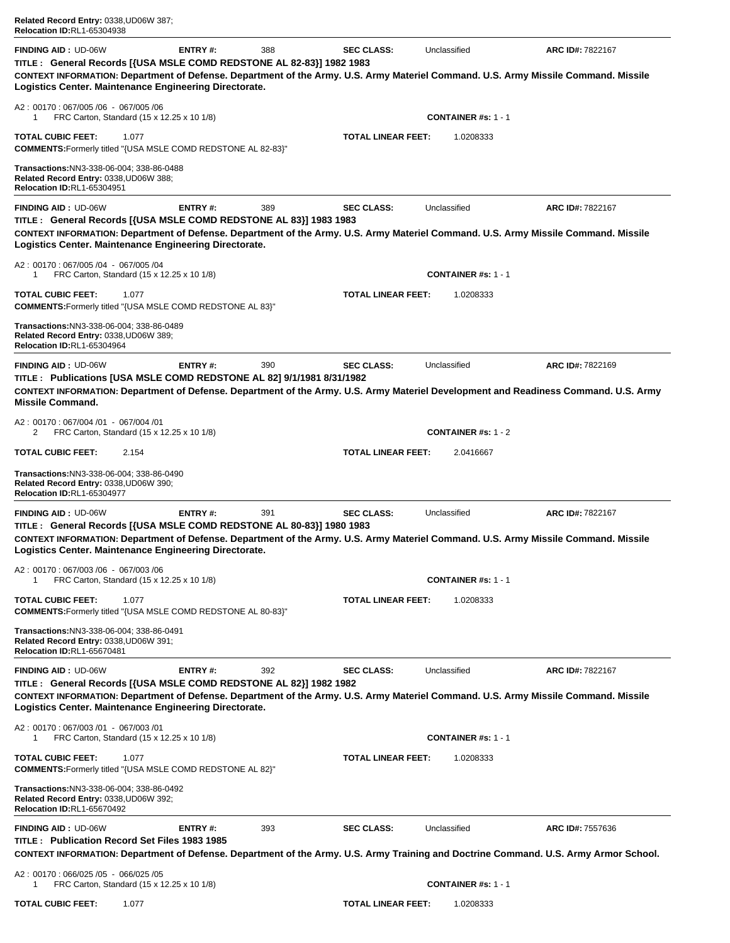| Related Record Entry: 0338, UD06W 387;<br><b>Relocation ID:RL1-65304938</b>                                                                                                                                                                                                                         |                |     |                           |                            |                         |
|-----------------------------------------------------------------------------------------------------------------------------------------------------------------------------------------------------------------------------------------------------------------------------------------------------|----------------|-----|---------------------------|----------------------------|-------------------------|
| <b>FINDING AID: UD-06W</b><br>TITLE : General Records [{USA MSLE COMD REDSTONE AL 82-83}] 1982 1983<br>CONTEXT INFORMATION: Department of Defense. Department of the Army. U.S. Army Materiel Command. U.S. Army Missile Command. Missile<br>Logistics Center. Maintenance Engineering Directorate. | ENTRY#:        | 388 | <b>SEC CLASS:</b>         | Unclassified               | ARC ID#: 7822167        |
| A2: 00170: 067/005/06 - 067/005/06<br>FRC Carton, Standard (15 x 12.25 x 10 1/8)<br>1                                                                                                                                                                                                               |                |     |                           | <b>CONTAINER #s: 1 - 1</b> |                         |
| <b>TOTAL CUBIC FEET:</b><br>1.077<br>COMMENTS: Formerly titled "{USA MSLE COMD REDSTONE AL 82-83}"                                                                                                                                                                                                  |                |     | <b>TOTAL LINEAR FEET:</b> | 1.0208333                  |                         |
| Transactions: NN3-338-06-004; 338-86-0488<br>Related Record Entry: 0338, UD06W 388;<br>Relocation ID:RL1-65304951                                                                                                                                                                                   |                |     |                           |                            |                         |
| <b>FINDING AID: UD-06W</b><br>TITLE : General Records [{USA MSLE COMD REDSTONE AL 83}] 1983 1983<br>CONTEXT INFORMATION: Department of Defense. Department of the Army. U.S. Army Materiel Command. U.S. Army Missile Command. Missile<br>Logistics Center. Maintenance Engineering Directorate.    | ENTRY#:        | 389 | <b>SEC CLASS:</b>         | Unclassified               | <b>ARC ID#: 7822167</b> |
| A2: 00170: 067/005/04 - 067/005/04<br>FRC Carton, Standard (15 x 12.25 x 10 1/8)<br>1                                                                                                                                                                                                               |                |     |                           | <b>CONTAINER #s: 1 - 1</b> |                         |
| <b>TOTAL CUBIC FEET:</b><br>1.077<br><b>COMMENTS: Formerly titled "{USA MSLE COMD REDSTONE AL 83}"</b>                                                                                                                                                                                              |                |     | <b>TOTAL LINEAR FEET:</b> | 1.0208333                  |                         |
| Transactions:NN3-338-06-004; 338-86-0489<br>Related Record Entry: 0338, UD06W 389;<br><b>Relocation ID:RL1-65304964</b>                                                                                                                                                                             |                |     |                           |                            |                         |
| <b>FINDING AID: UD-06W</b><br>TITLE: Publications [USA MSLE COMD REDSTONE AL 82] 9/1/1981 8/31/1982<br>CONTEXT INFORMATION: Department of Defense. Department of the Army. U.S. Army Materiel Development and Readiness Command. U.S. Army<br><b>Missile Command.</b>                               | ENTRY#:        | 390 | <b>SEC CLASS:</b>         | Unclassified               | ARC ID#: 7822169        |
| A2: 00170: 067/004 /01 - 067/004 /01<br>FRC Carton, Standard (15 x 12.25 x 10 1/8)<br>2                                                                                                                                                                                                             |                |     |                           | <b>CONTAINER #s: 1 - 2</b> |                         |
| <b>TOTAL CUBIC FEET:</b><br>2.154                                                                                                                                                                                                                                                                   |                |     | <b>TOTAL LINEAR FEET:</b> | 2.0416667                  |                         |
| Transactions:NN3-338-06-004; 338-86-0490<br>Related Record Entry: 0338, UD06W 390;<br>Relocation ID:RL1-65304977                                                                                                                                                                                    |                |     |                           |                            |                         |
| <b>FINDING AID: UD-06W</b><br>TITLE : General Records [{USA MSLE COMD REDSTONE AL 80-83}] 1980 1983<br>CONTEXT INFORMATION: Department of Defense. Department of the Army. U.S. Army Materiel Command. U.S. Army Missile Command. Missile<br>Logistics Center. Maintenance Engineering Directorate. | <b>ENTRY#:</b> | 391 | <b>SEC CLASS:</b>         | Unclassified               | ARC ID#: 7822167        |
| A2: 00170: 067/003/06 - 067/003/06<br>FRC Carton, Standard (15 x 12.25 x 10 1/8)<br>1                                                                                                                                                                                                               |                |     |                           | <b>CONTAINER #s: 1 - 1</b> |                         |
| TOTAL CUBIC FEET:<br>1.077<br>COMMENTS: Formerly titled "{USA MSLE COMD REDSTONE AL 80-83}"                                                                                                                                                                                                         |                |     | <b>TOTAL LINEAR FEET:</b> | 1.0208333                  |                         |
| Transactions:NN3-338-06-004; 338-86-0491<br>Related Record Entry: 0338, UD06W 391;<br><b>Relocation ID:RL1-65670481</b>                                                                                                                                                                             |                |     |                           |                            |                         |
| <b>FINDING AID: UD-06W</b><br>TITLE : General Records [{USA MSLE COMD REDSTONE AL 82}] 1982 1982<br>CONTEXT INFORMATION: Department of Defense. Department of the Army. U.S. Army Materiel Command. U.S. Army Missile Command. Missile<br>Logistics Center. Maintenance Engineering Directorate.    | ENTRY#:        | 392 | <b>SEC CLASS:</b>         | Unclassified               | ARC ID#: 7822167        |
| A2: 00170: 067/003 /01 - 067/003 /01<br>FRC Carton, Standard (15 x 12.25 x 10 1/8)<br>1                                                                                                                                                                                                             |                |     |                           | <b>CONTAINER #s: 1 - 1</b> |                         |
| <b>TOTAL CUBIC FEET:</b><br>1.077<br>COMMENTS: Formerly titled "{USA MSLE COMD REDSTONE AL 82}"                                                                                                                                                                                                     |                |     | <b>TOTAL LINEAR FEET:</b> | 1.0208333                  |                         |
| Transactions:NN3-338-06-004; 338-86-0492<br>Related Record Entry: 0338, UD06W 392;<br><b>Relocation ID:RL1-65670492</b>                                                                                                                                                                             |                |     |                           |                            |                         |
| <b>FINDING AID: UD-06W</b><br>TITLE: Publication Record Set Files 1983 1985<br>CONTEXT INFORMATION: Department of Defense. Department of the Army. U.S. Army Training and Doctrine Command. U.S. Army Armor School.                                                                                 | <b>ENTRY#:</b> | 393 | <b>SEC CLASS:</b>         | Unclassified               | ARC ID#: 7557636        |
| A2: 00170: 066/025 /05 - 066/025 /05<br>FRC Carton, Standard (15 x 12.25 x 10 1/8)<br>1                                                                                                                                                                                                             |                |     |                           | <b>CONTAINER #s: 1 - 1</b> |                         |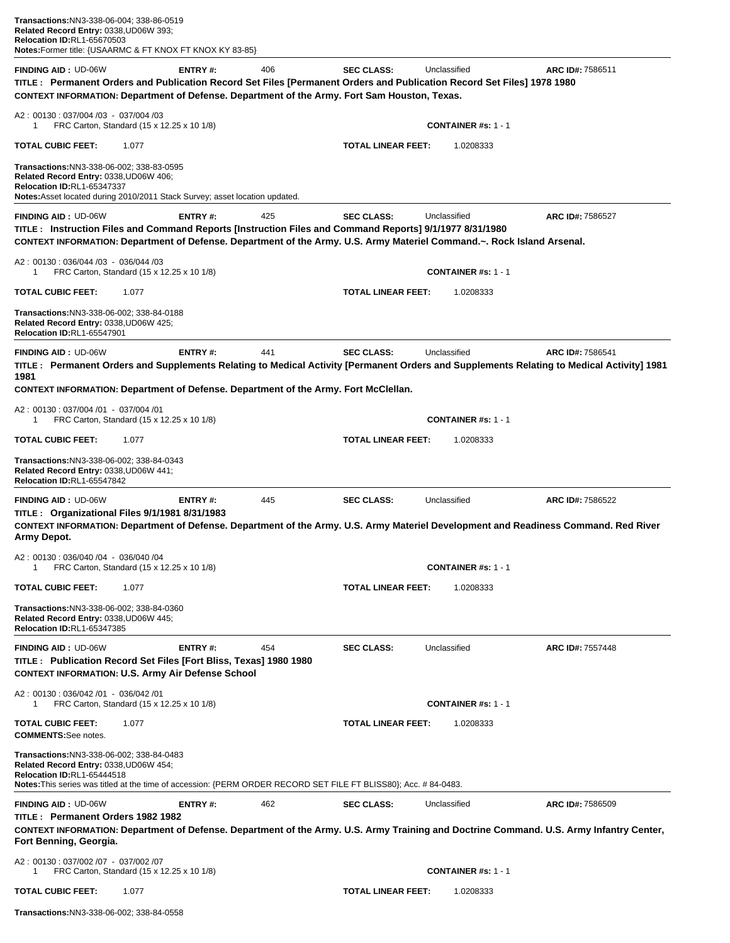| <b>FINDING AID: UD-06W</b><br>TITLE: Permanent Orders and Publication Record Set Files [Permanent Orders and Publication Record Set Files] 1978 1980<br>CONTEXT INFORMATION: Department of Defense. Department of the Army. Fort Sam Houston, Texas. | Unclassified<br><b>SEC CLASS:</b><br>ARC ID#: 7586511                                                                                                                                              |
|------------------------------------------------------------------------------------------------------------------------------------------------------------------------------------------------------------------------------------------------------|----------------------------------------------------------------------------------------------------------------------------------------------------------------------------------------------------|
| A2: 00130: 037/004 /03 - 037/004 /03<br>FRC Carton, Standard (15 x 12.25 x 10 1/8)<br>1                                                                                                                                                              | <b>CONTAINER #s: 1 - 1</b>                                                                                                                                                                         |
| TOTAL CUBIC FEET:<br>1.077                                                                                                                                                                                                                           | TOTAL LINEAR FEET:<br>1.0208333                                                                                                                                                                    |
| Transactions:NN3-338-06-002; 338-83-0595<br>Related Record Entry: 0338, UD06W 406;<br>Relocation ID:RL1-65347337<br>Notes: Asset located during 2010/2011 Stack Survey; asset location updated.                                                      |                                                                                                                                                                                                    |
| <b>FINDING AID: UD-06W</b><br>ENTRY#:<br>425                                                                                                                                                                                                         | <b>SEC CLASS:</b><br>Unclassified<br>ARC ID#: 7586527                                                                                                                                              |
| TITLE: Instruction Files and Command Reports [Instruction Files and Command Reports] 9/1/1977 8/31/1980<br>CONTEXT INFORMATION: Department of Defense. Department of the Army. U.S. Army Materiel Command.~. Rock Island Arsenal.                    |                                                                                                                                                                                                    |
| A2: 00130: 036/044 /03 - 036/044 /03                                                                                                                                                                                                                 |                                                                                                                                                                                                    |
| FRC Carton, Standard (15 x 12.25 x 10 1/8)<br>1                                                                                                                                                                                                      | <b>CONTAINER #s: 1 - 1</b>                                                                                                                                                                         |
| <b>TOTAL CUBIC FEET:</b><br>1.077                                                                                                                                                                                                                    | TOTAL LINEAR FEET:<br>1.0208333                                                                                                                                                                    |
| Transactions:NN3-338-06-002; 338-84-0188<br>Related Record Entry: 0338, UD06W 425;<br>Relocation ID:RL1-65547901                                                                                                                                     |                                                                                                                                                                                                    |
| <b>FINDING AID: UD-06W</b><br>ENTRY#:<br>441<br>1981                                                                                                                                                                                                 | Unclassified<br><b>SEC CLASS:</b><br>ARC ID#: 7586541<br>TITLE: Permanent Orders and Supplements Relating to Medical Activity [Permanent Orders and Supplements Relating to Medical Activity] 1981 |
| CONTEXT INFORMATION: Department of Defense. Department of the Army. Fort McClellan.                                                                                                                                                                  |                                                                                                                                                                                                    |
| A2: 00130: 037/004 /01 - 037/004 /01<br>FRC Carton, Standard (15 x 12.25 x 10 1/8)<br>1                                                                                                                                                              | <b>CONTAINER #s: 1 - 1</b>                                                                                                                                                                         |
| <b>TOTAL CUBIC FEET:</b><br>1.077                                                                                                                                                                                                                    | TOTAL LINEAR FEET:<br>1.0208333                                                                                                                                                                    |
| <b>Transactions:NN3-338-06-002; 338-84-0343</b><br>Related Record Entry: 0338, UD06W 441;<br>Relocation ID:RL1-65547842                                                                                                                              |                                                                                                                                                                                                    |
| 445<br><b>FINDING AID: UD-06W</b><br><b>ENTRY#:</b>                                                                                                                                                                                                  | Unclassified<br><b>SEC CLASS:</b><br>ARC ID#: 7586522                                                                                                                                              |
| TITLE : Organizational Files 9/1/1981 8/31/1983<br>Army Depot.                                                                                                                                                                                       | CONTEXT INFORMATION: Department of Defense. Department of the Army. U.S. Army Materiel Development and Readiness Command. Red River                                                                |
|                                                                                                                                                                                                                                                      |                                                                                                                                                                                                    |
| A2: 00130: 036/040 /04 - 036/040 /04<br>FRC Carton, Standard (15 x 12.25 x 10 1/8)<br>1                                                                                                                                                              | <b>CONTAINER #s: 1 - 1</b>                                                                                                                                                                         |
| TOTAL CUBIC FEET:<br>1.077                                                                                                                                                                                                                           | <b>TOTAL LINEAR FEET:</b><br>1.0208333                                                                                                                                                             |
| Transactions:NN3-338-06-002; 338-84-0360<br>Related Record Entry: 0338, UD06W 445;<br><b>Relocation ID:RL1-65347385</b>                                                                                                                              |                                                                                                                                                                                                    |
| <b>FINDING AID: UD-06W</b><br><b>ENTRY#:</b><br>454<br>TITLE: Publication Record Set Files [Fort Bliss, Texas] 1980 1980<br><b>CONTEXT INFORMATION: U.S. Army Air Defense School</b>                                                                 | Unclassified<br><b>SEC CLASS:</b><br>ARC ID#: 7557448                                                                                                                                              |
| A2: 00130: 036/042 /01 - 036/042 /01<br>FRC Carton, Standard (15 x 12.25 x 10 1/8)<br>1                                                                                                                                                              | <b>CONTAINER #s: 1 - 1</b>                                                                                                                                                                         |
| <b>TOTAL CUBIC FEET:</b><br>1.077<br><b>COMMENTS:See notes.</b>                                                                                                                                                                                      | <b>TOTAL LINEAR FEET:</b><br>1.0208333                                                                                                                                                             |
| Transactions:NN3-338-06-002; 338-84-0483<br>Related Record Entry: 0338, UD06W 454;<br><b>Relocation ID:RL1-65444518</b><br>Notes: This series was titled at the time of accession: {PERM ORDER RECORD SET FILE FT BLISS80}; Acc. # 84-0483.          |                                                                                                                                                                                                    |
| <b>FINDING AID: UD-06W</b><br><b>ENTRY#:</b><br>462                                                                                                                                                                                                  | <b>SEC CLASS:</b><br>Unclassified<br>ARC ID#: 7586509                                                                                                                                              |
| TITLE: Permanent Orders 1982 1982<br>Fort Benning, Georgia.                                                                                                                                                                                          | CONTEXT INFORMATION: Department of Defense. Department of the Army. U.S. Army Training and Doctrine Command. U.S. Army Infantry Center,                                                            |
| A2: 00130: 037/002 /07 - 037/002 /07<br>FRC Carton, Standard (15 x 12.25 x 10 1/8)<br>1                                                                                                                                                              | <b>CONTAINER #s: 1 - 1</b>                                                                                                                                                                         |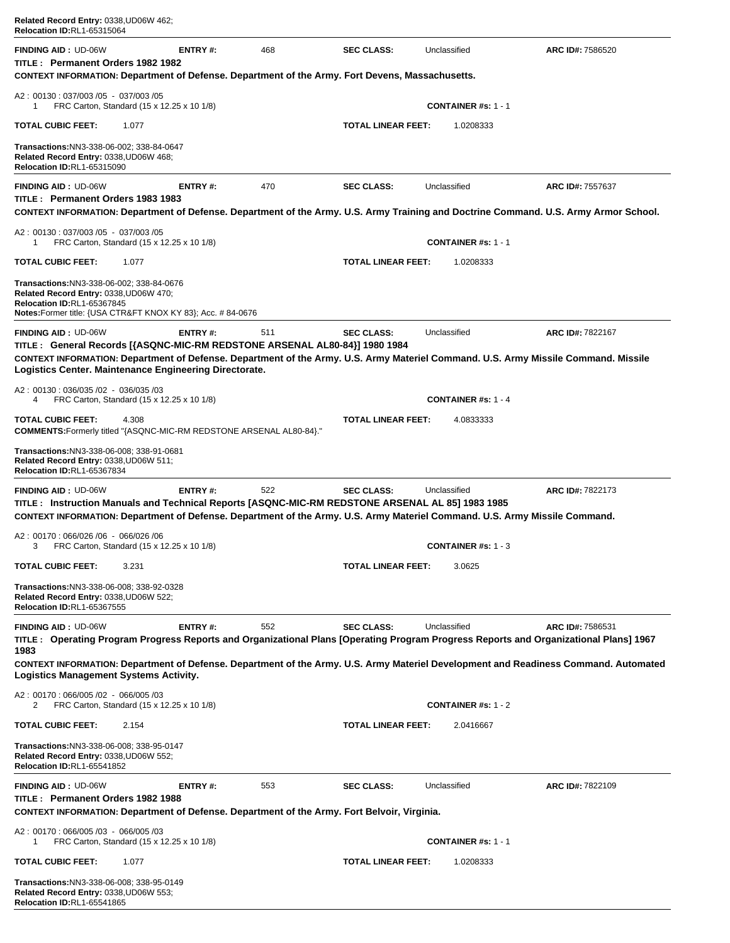| Related Record Entry: 0338, UD06W 462;<br>Relocation ID:RL1-65315064                                                                                                                                                                                                                                      |                |     |                           |                                         |                         |
|-----------------------------------------------------------------------------------------------------------------------------------------------------------------------------------------------------------------------------------------------------------------------------------------------------------|----------------|-----|---------------------------|-----------------------------------------|-------------------------|
| <b>FINDING AID: UD-06W</b><br>TITLE: Permanent Orders 1982 1982<br>CONTEXT INFORMATION: Department of Defense. Department of the Army. Fort Devens, Massachusetts.                                                                                                                                        | <b>ENTRY#:</b> | 468 | <b>SEC CLASS:</b>         | Unclassified                            | ARC ID#: 7586520        |
| A2: 00130: 037/003/05 - 037/003/05                                                                                                                                                                                                                                                                        |                |     |                           |                                         |                         |
| FRC Carton, Standard (15 x 12.25 x 10 1/8)<br>1                                                                                                                                                                                                                                                           |                |     |                           | <b>CONTAINER #s: 1 - 1</b>              |                         |
| <b>TOTAL CUBIC FEET:</b><br>1.077                                                                                                                                                                                                                                                                         |                |     | <b>TOTAL LINEAR FEET:</b> | 1.0208333                               |                         |
| Transactions:NN3-338-06-002; 338-84-0647<br>Related Record Entry: 0338, UD06W 468;<br><b>Relocation ID:RL1-65315090</b>                                                                                                                                                                                   |                |     |                           |                                         |                         |
| <b>FINDING AID: UD-06W</b><br>TITLE: Permanent Orders 1983 1983<br>CONTEXT INFORMATION: Department of Defense. Department of the Army. U.S. Army Training and Doctrine Command. U.S. Army Armor School.                                                                                                   | ENTRY#:        | 470 | <b>SEC CLASS:</b>         | Unclassified                            | ARC ID#: 7557637        |
| A2: 00130: 037/003/05 - 037/003/05<br>FRC Carton, Standard (15 x 12.25 x 10 1/8)<br>1                                                                                                                                                                                                                     |                |     |                           | <b>CONTAINER #s: 1 - 1</b>              |                         |
| <b>TOTAL CUBIC FEET:</b><br>1.077                                                                                                                                                                                                                                                                         |                |     | <b>TOTAL LINEAR FEET:</b> | 1.0208333                               |                         |
| Transactions:NN3-338-06-002; 338-84-0676<br>Related Record Entry: 0338, UD06W 470;<br>Relocation ID:RL1-65367845<br>Notes:Former title: {USA CTR&FT KNOX KY 83}; Acc. # 84-0676                                                                                                                           |                |     |                           |                                         |                         |
| <b>FINDING AID: UD-06W</b><br>TITLE : General Records [{ASQNC-MIC-RM REDSTONE ARSENAL AL80-84}] 1980 1984<br>CONTEXT INFORMATION: Department of Defense. Department of the Army. U.S. Army Materiel Command. U.S. Army Missile Command. Missile<br>Logistics Center. Maintenance Engineering Directorate. | <b>ENTRY#:</b> | 511 | <b>SEC CLASS:</b>         | Unclassified                            | <b>ARC ID#: 7822167</b> |
| A2: 00130: 036/035 /02 - 036/035 /03<br>FRC Carton, Standard (15 x 12.25 x 10 1/8)<br>4                                                                                                                                                                                                                   |                |     |                           | <b>CONTAINER #s: 1 - 4</b>              |                         |
| <b>TOTAL CUBIC FEET:</b><br>4.308<br><b>COMMENTS:</b> Formerly titled "{ASQNC-MIC-RM REDSTONE ARSENAL AL80-84}."                                                                                                                                                                                          |                |     | <b>TOTAL LINEAR FEET:</b> | 4.0833333                               |                         |
| Transactions:NN3-338-06-008; 338-91-0681<br>Related Record Entry: 0338, UD06W 511;<br><b>Relocation ID:RL1-65367834</b>                                                                                                                                                                                   |                |     |                           |                                         |                         |
|                                                                                                                                                                                                                                                                                                           |                |     |                           |                                         |                         |
| <b>FINDING AID: UD-06W</b><br>TITLE: Instruction Manuals and Technical Reports [ASQNC-MIC-RM REDSTONE ARSENAL AL 85] 1983 1985                                                                                                                                                                            | ENTRY#:        | 522 | <b>SEC CLASS:</b>         | Unclassified                            | <b>ARC ID#: 7822173</b> |
| CONTEXT INFORMATION: Department of Defense. Department of the Army. U.S. Army Materiel Command. U.S. Army Missile Command.<br>A2: 00170: 066/026 /06 - 066/026 /06                                                                                                                                        |                |     |                           |                                         |                         |
| FRC Carton, Standard (15 x 12.25 x 10 1/8)<br><b>TOTAL CUBIC FEET:</b><br>3.231                                                                                                                                                                                                                           |                |     | <b>TOTAL LINEAR FEET:</b> | <b>CONTAINER #s: 1 - 3</b><br>3.0625    |                         |
| Transactions:NN3-338-06-008; 338-92-0328<br>Related Record Entry: 0338, UD06W 522;<br><b>Relocation ID:RL1-65367555</b>                                                                                                                                                                                   |                |     |                           |                                         |                         |
| <b>FINDING AID: UD-06W</b><br>TITLE: Operating Program Progress Reports and Organizational Plans [Operating Program Progress Reports and Organizational Plans] 1967                                                                                                                                       | <b>ENTRY#:</b> | 552 | <b>SEC CLASS:</b>         | Unclassified                            | ARC ID#: 7586531        |
| 1983<br>CONTEXT INFORMATION: Department of Defense. Department of the Army. U.S. Army Materiel Development and Readiness Command. Automated<br>Logistics Management Systems Activity.                                                                                                                     |                |     |                           |                                         |                         |
| A2: 00170: 066/005 /02 - 066/005 /03<br>2<br>FRC Carton, Standard (15 x 12.25 x 10 1/8)                                                                                                                                                                                                                   |                |     |                           | <b>CONTAINER #s: 1 - 2</b>              |                         |
| <b>TOTAL CUBIC FEET:</b><br>2.154                                                                                                                                                                                                                                                                         |                |     | <b>TOTAL LINEAR FEET:</b> | 2.0416667                               |                         |
| Transactions:NN3-338-06-008; 338-95-0147<br>Related Record Entry: 0338, UD06W 552;<br>Relocation ID:RL1-65541852                                                                                                                                                                                          |                |     |                           |                                         |                         |
| <b>FINDING AID: UD-06W</b><br>TITLE: Permanent Orders 1982 1988                                                                                                                                                                                                                                           | ENTRY#:        | 553 | <b>SEC CLASS:</b>         | Unclassified                            | ARC ID#: 7822109        |
| CONTEXT INFORMATION: Department of Defense. Department of the Army. Fort Belvoir, Virginia.<br>A2: 00170: 066/005 /03 - 066/005 /03<br>1                                                                                                                                                                  |                |     |                           |                                         |                         |
| FRC Carton, Standard (15 x 12.25 x 10 1/8)<br>TOTAL CUBIC FEET:<br>1.077                                                                                                                                                                                                                                  |                |     | <b>TOTAL LINEAR FEET:</b> | <b>CONTAINER #s: 1 - 1</b><br>1.0208333 |                         |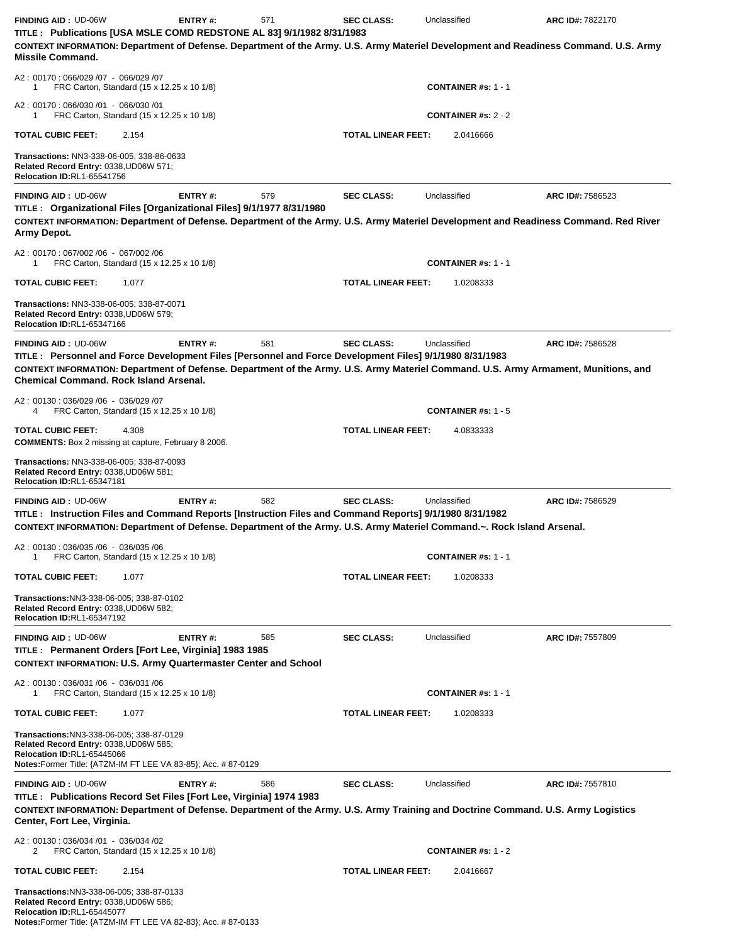| <b>FINDING AID: UD-06W</b><br>TITLE: Publications [USA MSLE COMD REDSTONE AL 83] 9/1/1982 8/31/1983                                                                                                                                                                                             | <b>ENTRY#:</b> | 571 | <b>SEC CLASS:</b>         | Unclassified               | ARC ID#: 7822170 |
|-------------------------------------------------------------------------------------------------------------------------------------------------------------------------------------------------------------------------------------------------------------------------------------------------|----------------|-----|---------------------------|----------------------------|------------------|
| CONTEXT INFORMATION: Department of Defense. Department of the Army. U.S. Army Materiel Development and Readiness Command. U.S. Army<br><b>Missile Command.</b>                                                                                                                                  |                |     |                           |                            |                  |
| A2: 00170: 066/029 /07 - 066/029 /07<br>FRC Carton, Standard (15 x 12.25 x 10 1/8)<br>1                                                                                                                                                                                                         |                |     |                           | <b>CONTAINER #s: 1 - 1</b> |                  |
| A2: 00170: 066/030 /01 - 066/030 /01<br>FRC Carton, Standard (15 x 12.25 x 10 1/8)<br>1                                                                                                                                                                                                         |                |     |                           | <b>CONTAINER #s: 2 - 2</b> |                  |
| <b>TOTAL CUBIC FEET:</b><br>2.154                                                                                                                                                                                                                                                               |                |     | <b>TOTAL LINEAR FEET:</b> | 2.0416666                  |                  |
| Transactions: NN3-338-06-005; 338-86-0633<br>Related Record Entry: 0338, UD06W 571;<br><b>Relocation ID:RL1-65541756</b>                                                                                                                                                                        |                |     |                           |                            |                  |
| <b>FINDING AID: UD-06W</b>                                                                                                                                                                                                                                                                      | ENTRY#:        | 579 | <b>SEC CLASS:</b>         | Unclassified               | ARC ID#: 7586523 |
| TITLE : Organizational Files [Organizational Files] 9/1/1977 8/31/1980<br>CONTEXT INFORMATION: Department of Defense. Department of the Army. U.S. Army Materiel Development and Readiness Command. Red River<br>Army Depot.                                                                    |                |     |                           |                            |                  |
| A2: 00170: 067/002/06 - 067/002/06<br>FRC Carton, Standard (15 x 12.25 x 10 1/8)<br>1                                                                                                                                                                                                           |                |     |                           | <b>CONTAINER #s: 1 - 1</b> |                  |
| <b>TOTAL CUBIC FEET:</b><br>1.077                                                                                                                                                                                                                                                               |                |     | <b>TOTAL LINEAR FEET:</b> | 1.0208333                  |                  |
| Transactions: NN3-338-06-005; 338-87-0071<br>Related Record Entry: 0338,UD06W 579;<br><b>Relocation ID:RL1-65347166</b>                                                                                                                                                                         |                |     |                           |                            |                  |
| <b>FINDING AID: UD-06W</b>                                                                                                                                                                                                                                                                      | ENTRY#:        | 581 | <b>SEC CLASS:</b>         | Unclassified               | ARC ID#: 7586528 |
| TITLE : Personnel and Force Development Files [Personnel and Force Development Files] 9/1/1980 8/31/1983<br>CONTEXT INFORMATION: Department of Defense. Department of the Army. U.S. Army Materiel Command. U.S. Army Armament, Munitions, and<br><b>Chemical Command, Rock Island Arsenal,</b> |                |     |                           |                            |                  |
| A2: 00130: 036/029 /06 - 036/029 /07<br>FRC Carton, Standard (15 x 12.25 x 10 1/8)<br>4                                                                                                                                                                                                         |                |     |                           | <b>CONTAINER #s: 1 - 5</b> |                  |
| <b>TOTAL CUBIC FEET:</b><br>4.308<br><b>COMMENTS:</b> Box 2 missing at capture, February 8 2006.                                                                                                                                                                                                |                |     | <b>TOTAL LINEAR FEET:</b> | 4.0833333                  |                  |
| Transactions: NN3-338-06-005; 338-87-0093<br>Related Record Entry: 0338, UD06W 581;<br>Relocation ID:RL1-65347181                                                                                                                                                                               |                |     |                           |                            |                  |
| <b>FINDING AID: UD-06W</b><br>TITLE : Instruction Files and Command Reports [Instruction Files and Command Reports] 9/1/1980 8/31/1982<br>CONTEXT INFORMATION: Department of Defense. Department of the Army. U.S. Army Materiel Command.~. Rock Island Arsenal.                                | ENTRY#:        | 582 | <b>SEC CLASS:</b>         | Unclassified               | ARC ID#: 7586529 |
| A2: 00130: 036/035 /06 - 036/035 /06<br>FRC Carton, Standard (15 x 12.25 x 10 1/8)<br>1.                                                                                                                                                                                                        |                |     |                           | <b>CONTAINER #s: 1 - 1</b> |                  |
| <b>TOTAL CUBIC FEET:</b><br>1.077                                                                                                                                                                                                                                                               |                |     | <b>TOTAL LINEAR FEET:</b> | 1.0208333                  |                  |
| Transactions:NN3-338-06-005; 338-87-0102<br>Related Record Entry: 0338, UD06W 582;<br>Relocation ID:RL1-65347192                                                                                                                                                                                |                |     |                           |                            |                  |
| <b>FINDING AID: UD-06W</b><br>TITLE: Permanent Orders [Fort Lee, Virginia] 1983 1985<br><b>CONTEXT INFORMATION: U.S. Army Quartermaster Center and School</b>                                                                                                                                   | ENTRY#:        | 585 | <b>SEC CLASS:</b>         | Unclassified               | ARC ID#: 7557809 |
| A2: 00130: 036/031 /06 - 036/031 /06<br>FRC Carton, Standard (15 x 12.25 x 10 1/8)<br>1                                                                                                                                                                                                         |                |     |                           | <b>CONTAINER #s: 1 - 1</b> |                  |
| <b>TOTAL CUBIC FEET:</b><br>1.077                                                                                                                                                                                                                                                               |                |     | <b>TOTAL LINEAR FEET:</b> | 1.0208333                  |                  |
| Transactions: NN3-338-06-005; 338-87-0129<br>Related Record Entry: 0338, UD06W 585;<br>Relocation ID:RL1-65445066<br><b>Notes:</b> Former Title: {ATZM-IM FT LEE VA 83-85}; Acc. # 87-0129                                                                                                      |                |     |                           |                            |                  |
| <b>FINDING AID: UD-06W</b><br>TITLE : Publications Record Set Files [Fort Lee, Virginia] 1974 1983<br>CONTEXT INFORMATION: Department of Defense. Department of the Army. U.S. Army Training and Doctrine Command. U.S. Army Logistics<br>Center, Fort Lee, Virginia.                           | ENTRY#:        | 586 | <b>SEC CLASS:</b>         | Unclassified               | ARC ID#: 7557810 |
| A2: 00130: 036/034 /01 - 036/034 /02<br>FRC Carton, Standard (15 x 12.25 x 10 1/8)<br>2                                                                                                                                                                                                         |                |     |                           | <b>CONTAINER #s: 1 - 2</b> |                  |
| <b>TOTAL CUBIC FEET:</b><br>2.154                                                                                                                                                                                                                                                               |                |     | <b>TOTAL LINEAR FEET:</b> | 2.0416667                  |                  |
| Transactions:NN3-338-06-005; 338-87-0133<br>Related Record Entry: 0338, UD06W 586;<br><b>Relocation ID:RL1-65445077</b>                                                                                                                                                                         |                |     |                           |                            |                  |

**Relocation ID:**RL1-65445077 **Notes:**Former Title: {ATZM-IM FT LEE VA 82-83}; Acc. # 87-0133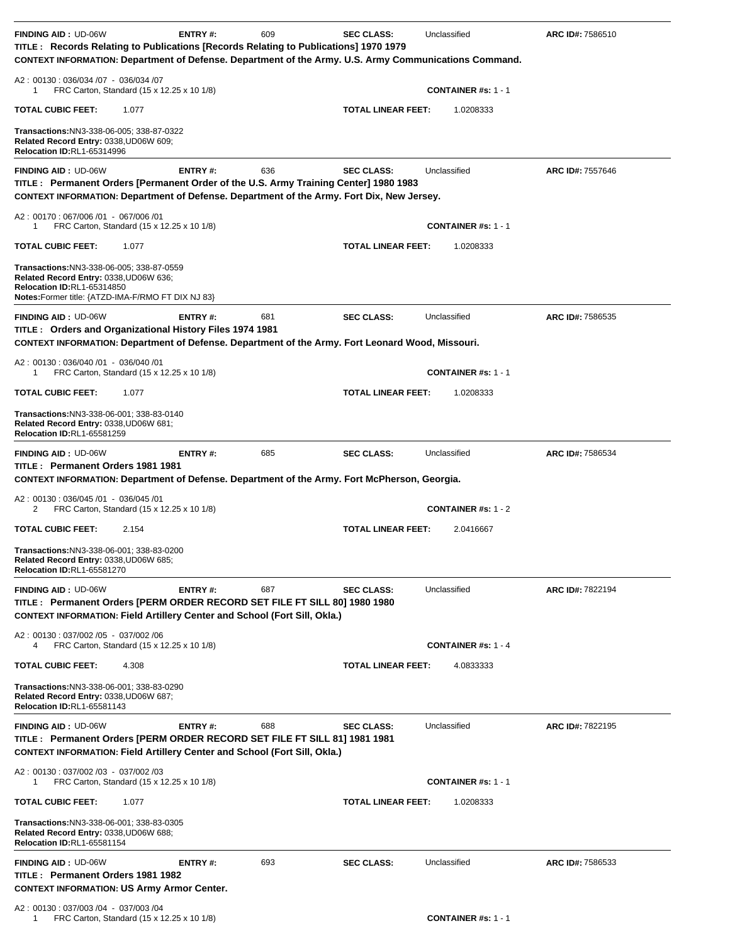| <b>FINDING AID: UD-06W</b><br>TITLE : Records Relating to Publications [Records Relating to Publications] 1970 1979                                                                                              | ENTRY#:        | 609 | <b>SEC CLASS:</b>         | Unclassified                 | <b>ARC ID#: 7586510</b> |
|------------------------------------------------------------------------------------------------------------------------------------------------------------------------------------------------------------------|----------------|-----|---------------------------|------------------------------|-------------------------|
| CONTEXT INFORMATION: Department of Defense. Department of the Army. U.S. Army Communications Command.                                                                                                            |                |     |                           |                              |                         |
| A2: 00130: 036/034 /07 - 036/034 /07<br>FRC Carton, Standard (15 x 12.25 x 10 1/8)<br>1                                                                                                                          |                |     |                           | <b>CONTAINER #s: 1 - 1</b>   |                         |
| <b>TOTAL CUBIC FEET:</b><br>1.077                                                                                                                                                                                |                |     | <b>TOTAL LINEAR FEET:</b> | 1.0208333                    |                         |
| <b>Transactions:NN3-338-06-005; 338-87-0322</b><br>Related Record Entry: 0338, UD06W 609;<br><b>Relocation ID:RL1-65314996</b>                                                                                   |                |     |                           |                              |                         |
| <b>FINDING AID: UD-06W</b><br>TITLE : Permanent Orders [Permanent Order of the U.S. Army Training Center] 1980 1983<br>CONTEXT INFORMATION: Department of Defense. Department of the Army. Fort Dix, New Jersey. | <b>ENTRY#:</b> | 636 | <b>SEC CLASS:</b>         | Unclassified                 | ARC ID#: 7557646        |
| A2: 00170: 067/006 /01 - 067/006 /01<br>FRC Carton, Standard (15 x 12.25 x 10 1/8)<br>1                                                                                                                          |                |     |                           | <b>CONTAINER #s: 1 - 1</b>   |                         |
| TOTAL CUBIC FEET:<br>1.077                                                                                                                                                                                       |                |     | <b>TOTAL LINEAR FEET:</b> | 1.0208333                    |                         |
| Transactions:NN3-338-06-005; 338-87-0559<br>Related Record Entry: 0338, UD06W 636;<br>Relocation ID:RL1-65314850<br>Notes: Former title: {ATZD-IMA-F/RMO FT DIX NJ 83}                                           |                |     |                           |                              |                         |
| <b>FINDING AID: UD-06W</b>                                                                                                                                                                                       | ENTRY#:        | 681 | <b>SEC CLASS:</b>         | Unclassified                 | ARC ID#: 7586535        |
| TITLE : Orders and Organizational History Files 1974 1981<br>CONTEXT INFORMATION: Department of Defense. Department of the Army. Fort Leonard Wood, Missouri.                                                    |                |     |                           |                              |                         |
| A2: 00130: 036/040 /01 - 036/040 /01<br>FRC Carton, Standard (15 x 12.25 x 10 1/8)<br>1                                                                                                                          |                |     |                           | <b>CONTAINER #s: 1 - 1</b>   |                         |
| TOTAL CUBIC FEET:<br>1.077                                                                                                                                                                                       |                |     | <b>TOTAL LINEAR FEET:</b> | 1.0208333                    |                         |
| Transactions:NN3-338-06-001; 338-83-0140<br>Related Record Entry: 0338, UD06W 681;<br><b>Relocation ID:RL1-65581259</b>                                                                                          |                |     |                           |                              |                         |
| <b>FINDING AID: UD-06W</b><br>TITLE: Permanent Orders 1981 1981<br>CONTEXT INFORMATION: Department of Defense. Department of the Army. Fort McPherson, Georgia.                                                  | ENTRY#:        | 685 | <b>SEC CLASS:</b>         | Unclassified                 | ARC ID#: 7586534        |
|                                                                                                                                                                                                                  |                |     |                           |                              |                         |
| A2: 00130: 036/045 /01 - 036/045 /01<br>FRC Carton, Standard (15 x 12.25 x 10 1/8)<br>2                                                                                                                          |                |     |                           | <b>CONTAINER #s: 1 - 2</b>   |                         |
| TOTAL CUBIC FEET:<br>2.154                                                                                                                                                                                       |                |     | <b>TOTAL LINEAR FEET:</b> | 2.0416667                    |                         |
| Transactions:NN3-338-06-001; 338-83-0200<br>Related Record Entry: 0338, UD06W 685;<br><b>Relocation ID:RL1-65581270</b>                                                                                          |                |     |                           |                              |                         |
| <b>FINDING AID: UD-06W</b>                                                                                                                                                                                       | ENTRY#:        | 687 | <b>SEC CLASS:</b>         | Unclassified                 | ARC ID#: 7822194        |
| TITLE : Permanent Orders [PERM ORDER RECORD SET FILE FT SILL 80] 1980 1980<br><b>CONTEXT INFORMATION: Field Artillery Center and School (Fort Sill, Okla.)</b>                                                   |                |     |                           |                              |                         |
| A2: 00130: 037/002 /05 - 037/002 /06<br>FRC Carton, Standard (15 x 12.25 x 10 1/8)<br>4                                                                                                                          |                |     |                           | <b>CONTAINER #s: 1 - 4</b>   |                         |
| <b>TOTAL CUBIC FEET:</b><br>4.308                                                                                                                                                                                |                |     | <b>TOTAL LINEAR FEET:</b> | 4.0833333                    |                         |
| Transactions:NN3-338-06-001; 338-83-0290<br>Related Record Entry: 0338, UD06W 687;<br>Relocation ID:RL1-65581143                                                                                                 |                |     |                           |                              |                         |
| <b>FINDING AID: UD-06W</b><br>TITLE: Permanent Orders [PERM ORDER RECORD SET FILE FT SILL 81] 1981 1981<br><b>CONTEXT INFORMATION: Field Artillery Center and School (Fort Sill, Okla.)</b>                      | <b>ENTRY#:</b> | 688 | <b>SEC CLASS:</b>         | Unclassified                 | ARC ID#: 7822195        |
| A2: 00130: 037/002 /03 - 037/002 /03<br>FRC Carton, Standard (15 x 12.25 x 10 1/8)<br>1                                                                                                                          |                |     |                           | <b>CONTAINER</b> #s: $1 - 1$ |                         |
| TOTAL CUBIC FEET:<br>1.077                                                                                                                                                                                       |                |     | <b>TOTAL LINEAR FEET:</b> | 1.0208333                    |                         |
| Transactions: NN3-338-06-001; 338-83-0305<br>Related Record Entry: 0338, UD06W 688;<br><b>Relocation ID:RL1-65581154</b>                                                                                         |                |     |                           |                              |                         |
| <b>FINDING AID: UD-06W</b><br>TITLE: Permanent Orders 1981 1982<br><b>CONTEXT INFORMATION: US Army Armor Center.</b>                                                                                             | <b>ENTRY#:</b> | 693 | <b>SEC CLASS:</b>         | Unclassified                 | ARC ID#: 7586533        |
| A2: 00130: 037/003 /04 - 037/003 /04                                                                                                                                                                             |                |     |                           |                              |                         |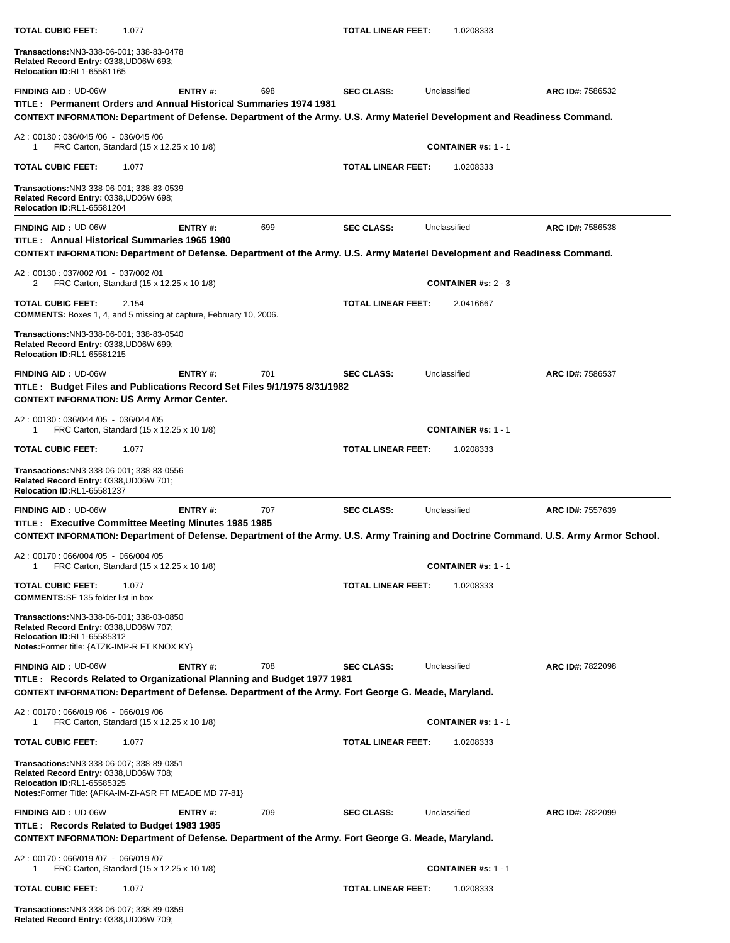| TOTAL CUBIC FEET:<br>1.077                                                                                                                                                                                                  |         |     | TOTAL LINEAR FEET:        | 1.0208333                  |                  |
|-----------------------------------------------------------------------------------------------------------------------------------------------------------------------------------------------------------------------------|---------|-----|---------------------------|----------------------------|------------------|
| Transactions:NN3-338-06-001; 338-83-0478<br>Related Record Entry: 0338, UD06W 693;<br><b>Relocation ID:RL1-65581165</b>                                                                                                     |         |     |                           |                            |                  |
| <b>FINDING AID: UD-06W</b><br>TITLE: Permanent Orders and Annual Historical Summaries 1974 1981                                                                                                                             | ENTRY#: | 698 | <b>SEC CLASS:</b>         | Unclassified               | ARC ID#: 7586532 |
| CONTEXT INFORMATION: Department of Defense. Department of the Army. U.S. Army Materiel Development and Readiness Command.                                                                                                   |         |     |                           |                            |                  |
| A2: 00130: 036/045 /06 - 036/045 /06<br>FRC Carton, Standard (15 x 12.25 x 10 1/8)<br>1                                                                                                                                     |         |     |                           | <b>CONTAINER #s: 1 - 1</b> |                  |
| TOTAL CUBIC FEET:<br>1.077                                                                                                                                                                                                  |         |     | <b>TOTAL LINEAR FEET:</b> | 1.0208333                  |                  |
| Transactions: NN3-338-06-001; 338-83-0539<br>Related Record Entry: 0338, UD06W 698;<br><b>Relocation ID:RL1-65581204</b>                                                                                                    |         |     |                           |                            |                  |
| <b>FINDING AID: UD-06W</b><br>TITLE : Annual Historical Summaries 1965 1980<br>CONTEXT INFORMATION: Department of Defense. Department of the Army. U.S. Army Materiel Development and Readiness Command.                    | ENTRY#: | 699 | <b>SEC CLASS:</b>         | Unclassified               | ARC ID#: 7586538 |
| A2: 00130: 037/002 /01 - 037/002 /01<br>FRC Carton, Standard (15 x 12.25 x 10 1/8)<br>2                                                                                                                                     |         |     |                           | <b>CONTAINER #s: 2 - 3</b> |                  |
| <b>TOTAL CUBIC FEET:</b><br>2.154<br><b>COMMENTS:</b> Boxes 1, 4, and 5 missing at capture, February 10, 2006.                                                                                                              |         |     | <b>TOTAL LINEAR FEET:</b> | 2.0416667                  |                  |
| Transactions:NN3-338-06-001; 338-83-0540<br>Related Record Entry: 0338, UD06W 699;<br><b>Relocation ID:RL1-65581215</b>                                                                                                     |         |     |                           |                            |                  |
| <b>FINDING AID: UD-06W</b><br>TITLE : Budget Files and Publications Record Set Files 9/1/1975 8/31/1982<br><b>CONTEXT INFORMATION: US Army Armor Center.</b>                                                                | ENTRY#: | 701 | <b>SEC CLASS:</b>         | Unclassified               | ARC ID#: 7586537 |
| A2: 00130: 036/044 /05 - 036/044 /05<br>FRC Carton, Standard (15 x 12.25 x 10 1/8)<br>1                                                                                                                                     |         |     |                           | <b>CONTAINER #s: 1 - 1</b> |                  |
| <b>TOTAL CUBIC FEET:</b><br>1.077                                                                                                                                                                                           |         |     | <b>TOTAL LINEAR FEET:</b> | 1.0208333                  |                  |
| <b>Transactions: NN3-338-06-001; 338-83-0556</b><br>Related Record Entry: 0338, UD06W 701;<br><b>Relocation ID:RL1-65581237</b>                                                                                             |         |     |                           |                            |                  |
| <b>FINDING AID: UD-06W</b><br>TITLE : Executive Committee Meeting Minutes 1985 1985<br>CONTEXT INFORMATION: Department of Defense. Department of the Army. U.S. Army Training and Doctrine Command. U.S. Army Armor School. | ENTRY#: | 707 | <b>SEC CLASS:</b>         | Unclassified               | ARC ID#: 7557639 |
| A2: 00170: 066/004 /05 - 066/004 /05<br>FRC Carton, Standard (15 x 12.25 x 10 1/8)<br>1                                                                                                                                     |         |     |                           | <b>CONTAINER #s: 1 - 1</b> |                  |
| TOTAL CUBIC FEET:<br>1.077<br><b>COMMENTS:SF 135 folder list in box</b>                                                                                                                                                     |         |     | <b>TOTAL LINEAR FEET:</b> | 1.0208333                  |                  |
| Transactions:NN3-338-06-001; 338-03-0850<br>Related Record Entry: 0338, UD06W 707;<br><b>Relocation ID:RL1-65585312</b><br>Notes: Former title: {ATZK-IMP-R FT KNOX KY}                                                     |         |     |                           |                            |                  |
| <b>FINDING AID: UD-06W</b>                                                                                                                                                                                                  | ENTRY#: | 708 | <b>SEC CLASS:</b>         | Unclassified               | ARC ID#: 7822098 |
| TITLE: Records Related to Organizational Planning and Budget 1977 1981<br>CONTEXT INFORMATION: Department of Defense. Department of the Army. Fort George G. Meade, Maryland.                                               |         |     |                           |                            |                  |
| A2: 00170: 066/019 /06 - 066/019 /06<br>FRC Carton, Standard (15 x 12.25 x 10 1/8)<br>-1                                                                                                                                    |         |     |                           | <b>CONTAINER #s: 1 - 1</b> |                  |
| TOTAL CUBIC FEET:<br>1.077                                                                                                                                                                                                  |         |     | <b>TOTAL LINEAR FEET:</b> | 1.0208333                  |                  |
| Transactions:NN3-338-06-007; 338-89-0351<br>Related Record Entry: 0338, UD06W 708;<br><b>Relocation ID:RL1-65585325</b><br>Notes: Former Title: {AFKA-IM-ZI-ASR FT MEADE MD 77-81}                                          |         |     |                           |                            |                  |
| <b>FINDING AID: UD-06W</b><br>TITLE: Records Related to Budget 1983 1985<br>CONTEXT INFORMATION: Department of Defense. Department of the Army. Fort George G. Meade, Maryland.                                             | ENTRY#: | 709 | <b>SEC CLASS:</b>         | Unclassified               | ARC ID#: 7822099 |
| A2: 00170: 066/019 /07 - 066/019 /07<br>FRC Carton, Standard (15 x 12.25 x 10 1/8)<br>1                                                                                                                                     |         |     |                           | <b>CONTAINER #s: 1 - 1</b> |                  |
| TOTAL CUBIC FEET:<br>1.077                                                                                                                                                                                                  |         |     | <b>TOTAL LINEAR FEET:</b> | 1.0208333                  |                  |
| Transactions: NN3-338-06-007; 338-89-0359                                                                                                                                                                                   |         |     |                           |                            |                  |

**Related Record Entry:** 0338,UD06W 709;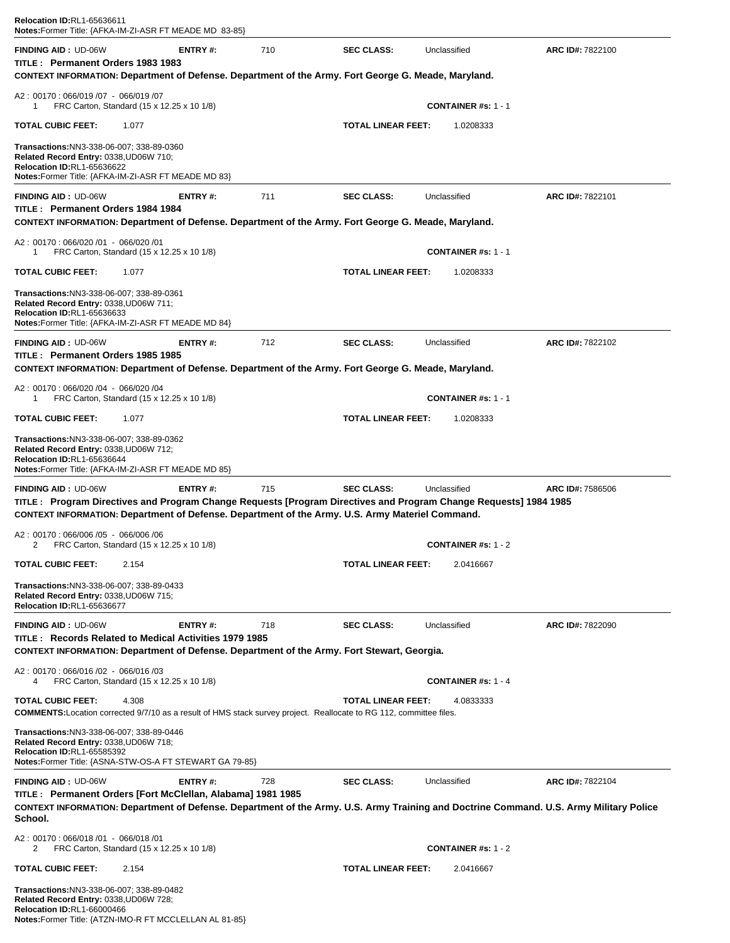| Relocation ID:RL1-65636611<br><b>Notes:</b> Former Title: {AFKA-IM-ZI-ASR FT MEADE MD 83-85}                                                                                                                        |                |     |                           |                              |                  |
|---------------------------------------------------------------------------------------------------------------------------------------------------------------------------------------------------------------------|----------------|-----|---------------------------|------------------------------|------------------|
| <b>FINDING AID: UD-06W</b>                                                                                                                                                                                          | ENTRY#:        | 710 | <b>SEC CLASS:</b>         | Unclassified                 | ARC ID#: 7822100 |
| TITLE: Permanent Orders 1983 1983<br>CONTEXT INFORMATION: Department of Defense. Department of the Army. Fort George G. Meade, Maryland.                                                                            |                |     |                           |                              |                  |
| A2: 00170: 066/019 /07 - 066/019 /07<br>FRC Carton, Standard (15 x 12.25 x 10 1/8)<br>1                                                                                                                             |                |     |                           | <b>CONTAINER #s: 1 - 1</b>   |                  |
| <b>TOTAL CUBIC FEET:</b><br>1.077                                                                                                                                                                                   |                |     | <b>TOTAL LINEAR FEET:</b> | 1.0208333                    |                  |
| Transactions:NN3-338-06-007; 338-89-0360<br>Related Record Entry: 0338, UD06W 710;<br><b>Relocation ID:RL1-65636622</b><br><b>Notes:</b> Former Title: {AFKA-IM-ZI-ASR FT MEADE MD 83}                              |                |     |                           |                              |                  |
| <b>FINDING AID: UD-06W</b><br>TITLE: Permanent Orders 1984 1984                                                                                                                                                     | <b>ENTRY#:</b> | 711 | <b>SEC CLASS:</b>         | Unclassified                 | ARC ID#: 7822101 |
| CONTEXT INFORMATION: Department of Defense. Department of the Army. Fort George G. Meade, Maryland.<br>A2: 00170: 066/020 /01 - 066/020 /01                                                                         |                |     |                           |                              |                  |
| FRC Carton, Standard (15 x 12.25 x 10 1/8)<br>1                                                                                                                                                                     |                |     |                           | <b>CONTAINER #s: 1 - 1</b>   |                  |
| <b>TOTAL CUBIC FEET:</b><br>1.077                                                                                                                                                                                   |                |     | <b>TOTAL LINEAR FEET:</b> | 1.0208333                    |                  |
| Transactions:NN3-338-06-007; 338-89-0361<br>Related Record Entry: 0338, UD06W 711;<br><b>Relocation ID:RL1-65636633</b><br>Notes: Former Title: {AFKA-IM-ZI-ASR FT MEADE MD 84}                                     |                |     |                           |                              |                  |
| <b>FINDING AID: UD-06W</b>                                                                                                                                                                                          | ENTRY #:       | 712 | <b>SEC CLASS:</b>         | Unclassified                 | ARC ID#: 7822102 |
| TITLE : Permanent Orders 1985 1985<br>CONTEXT INFORMATION: Department of Defense. Department of the Army. Fort George G. Meade, Maryland.                                                                           |                |     |                           |                              |                  |
| A2: 00170: 066/020 /04 - 066/020 /04<br>FRC Carton, Standard (15 x 12.25 x 10 1/8)<br>1                                                                                                                             |                |     |                           | <b>CONTAINER</b> #s: $1 - 1$ |                  |
| <b>TOTAL CUBIC FEET:</b><br>1.077                                                                                                                                                                                   |                |     | <b>TOTAL LINEAR FEET:</b> | 1.0208333                    |                  |
| Transactions:NN3-338-06-007; 338-89-0362<br>Related Record Entry: 0338, UD06W 712;<br>Relocation ID:RL1-65636644<br>Notes:Former Title: {AFKA-IM-ZI-ASR FT MEADE MD 85}                                             |                |     |                           |                              |                  |
| <b>FINDING AID: UD-06W</b>                                                                                                                                                                                          | ENTRY#:        | 715 | <b>SEC CLASS:</b>         | Unclassified                 | ARC ID#: 7586506 |
| TITLE: Program Directives and Program Change Requests [Program Directives and Program Change Requests] 1984 1985<br>CONTEXT INFORMATION: Department of Defense. Department of the Army. U.S. Army Materiel Command. |                |     |                           |                              |                  |
| A2: 00170: 066/006 /05 - 066/006 /06<br>FRC Carton, Standard (15 x 12.25 x 10 1/8)                                                                                                                                  |                |     |                           | <b>CONTAINER</b> #s: $1 - 2$ |                  |
| <b>TOTAL CUBIC FEET:</b><br>2.154                                                                                                                                                                                   |                |     | <b>TOTAL LINEAR FEET:</b> | 2.0416667                    |                  |
| Transactions:NN3-338-06-007; 338-89-0433<br>Related Record Entry: 0338, UD06W 715;<br><b>Relocation ID:RL1-65636677</b>                                                                                             |                |     |                           |                              |                  |
| <b>FINDING AID: UD-06W</b><br>TITLE: Records Related to Medical Activities 1979 1985<br>CONTEXT INFORMATION: Department of Defense. Department of the Army. Fort Stewart, Georgia.                                  | ENTRY#:        | 718 | <b>SEC CLASS:</b>         | Unclassified                 | ARC ID#: 7822090 |
| A2: 00170: 066/016 /02 - 066/016 /03<br>FRC Carton, Standard (15 x 12.25 x 10 1/8)<br>4                                                                                                                             |                |     |                           | <b>CONTAINER #s: 1 - 4</b>   |                  |
| <b>TOTAL CUBIC FEET:</b><br>4.308<br><b>COMMENTS:</b> Location corrected 9/7/10 as a result of HMS stack survey project. Reallocate to RG 112, committee files.                                                     |                |     | <b>TOTAL LINEAR FEET:</b> | 4.0833333                    |                  |
| Transactions:NN3-338-06-007; 338-89-0446<br>Related Record Entry: 0338, UD06W 718;<br><b>Relocation ID:RL1-65585392</b><br>Notes: Former Title: {ASNA-STW-OS-A FT STEWART GA 79-85}                                 |                |     |                           |                              |                  |
| <b>FINDING AID: UD-06W</b>                                                                                                                                                                                          | ENTRY#:        | 728 | <b>SEC CLASS:</b>         | Unclassified                 | ARC ID#: 7822104 |
| TITLE : Permanent Orders [Fort McClellan, Alabama] 1981 1985<br>CONTEXT INFORMATION: Department of Defense. Department of the Army. U.S. Army Training and Doctrine Command. U.S. Army Military Police<br>School.   |                |     |                           |                              |                  |
| A2: 00170: 066/018 /01 - 066/018 /01<br>FRC Carton, Standard (15 x 12.25 x 10 1/8)<br>2                                                                                                                             |                |     |                           | CONTAINER #s: $1 - 2$        |                  |
| <b>TOTAL CUBIC FEET:</b><br>2.154                                                                                                                                                                                   |                |     | <b>TOTAL LINEAR FEET:</b> | 2.0416667                    |                  |
| Transactions:NN3-338-06-007; 338-89-0482<br>Related Record Entry: 0338, UD06W 728;                                                                                                                                  |                |     |                           |                              |                  |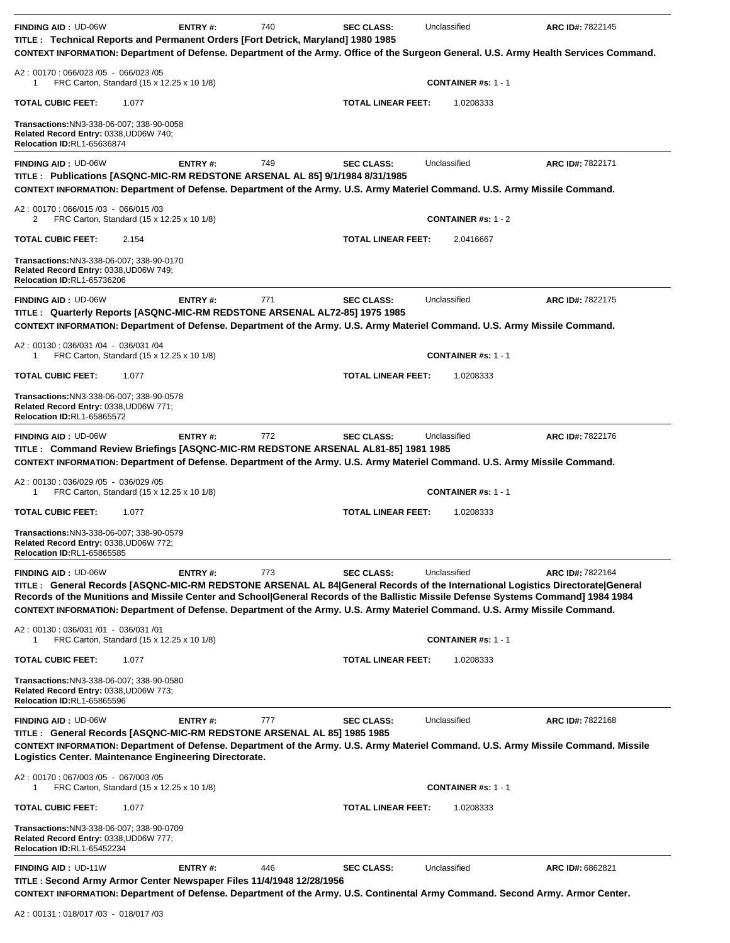| <b>FINDING AID: UD-06W</b><br>TITLE: Technical Reports and Permanent Orders [Fort Detrick, Maryland] 1980 1985<br>CONTEXT INFORMATION: Department of Defense. Department of the Army. Office of the Surgeon General. U.S. Army Health Services Command.                                                                                                                                                                                                                                                                     | ENTRY#:        | 740 | <b>SEC CLASS:</b>         | Unclassified                               | ARC ID#: 7822145 |
|-----------------------------------------------------------------------------------------------------------------------------------------------------------------------------------------------------------------------------------------------------------------------------------------------------------------------------------------------------------------------------------------------------------------------------------------------------------------------------------------------------------------------------|----------------|-----|---------------------------|--------------------------------------------|------------------|
| A2: 00170: 066/023 /05 - 066/023 /05<br>FRC Carton, Standard (15 x 12.25 x 10 1/8)<br>1                                                                                                                                                                                                                                                                                                                                                                                                                                     |                |     |                           | <b>CONTAINER #s: 1 - 1</b>                 |                  |
| <b>TOTAL CUBIC FEET:</b><br>1.077                                                                                                                                                                                                                                                                                                                                                                                                                                                                                           |                |     | <b>TOTAL LINEAR FEET:</b> | 1.0208333                                  |                  |
| Transactions:NN3-338-06-007; 338-90-0058<br>Related Record Entry: 0338, UD06W 740;<br><b>Relocation ID:RL1-65636874</b>                                                                                                                                                                                                                                                                                                                                                                                                     |                |     |                           |                                            |                  |
| <b>FINDING AID: UD-06W</b><br>TITLE: Publications [ASQNC-MIC-RM REDSTONE ARSENAL AL 85] 9/1/1984 8/31/1985<br>CONTEXT INFORMATION: Department of Defense. Department of the Army. U.S. Army Materiel Command. U.S. Army Missile Command.                                                                                                                                                                                                                                                                                    | ENTRY#:        | 749 | <b>SEC CLASS:</b>         | Unclassified                               | ARC ID#: 7822171 |
| A2: 00170: 066/015 /03 - 066/015 /03<br>FRC Carton, Standard (15 x 12.25 x 10 1/8)<br>2                                                                                                                                                                                                                                                                                                                                                                                                                                     |                |     |                           | <b>CONTAINER #s: 1 - 2</b>                 |                  |
| <b>TOTAL CUBIC FEET:</b><br>2.154                                                                                                                                                                                                                                                                                                                                                                                                                                                                                           |                |     | <b>TOTAL LINEAR FEET:</b> | 2.0416667                                  |                  |
| Transactions:NN3-338-06-007; 338-90-0170<br>Related Record Entry: 0338,UD06W 749;<br>Relocation ID:RL1-65736206                                                                                                                                                                                                                                                                                                                                                                                                             |                |     |                           |                                            |                  |
| <b>FINDING AID: UD-06W</b><br>TITLE : Quarterly Reports [ASQNC-MIC-RM REDSTONE ARSENAL AL72-85] 1975 1985                                                                                                                                                                                                                                                                                                                                                                                                                   | ENTRY#:        | 771 | <b>SEC CLASS:</b>         | Unclassified                               | ARC ID#: 7822175 |
| CONTEXT INFORMATION: Department of Defense. Department of the Army. U.S. Army Materiel Command. U.S. Army Missile Command.<br>A2: 00130: 036/031 /04 - 036/031 /04                                                                                                                                                                                                                                                                                                                                                          |                |     |                           |                                            |                  |
| FRC Carton, Standard (15 x 12.25 x 10 1/8)<br>1                                                                                                                                                                                                                                                                                                                                                                                                                                                                             |                |     |                           | <b>CONTAINER #s: 1 - 1</b>                 |                  |
| <b>TOTAL CUBIC FEET:</b><br>1.077                                                                                                                                                                                                                                                                                                                                                                                                                                                                                           |                |     | <b>TOTAL LINEAR FEET:</b> | 1.0208333                                  |                  |
| Transactions:NN3-338-06-007; 338-90-0578<br>Related Record Entry: 0338, UD06W 771;<br>Relocation ID:RL1-65865572                                                                                                                                                                                                                                                                                                                                                                                                            |                |     |                           |                                            |                  |
| <b>FINDING AID: UD-06W</b><br>TITLE: Command Review Briefings [ASQNC-MIC-RM REDSTONE ARSENAL AL81-85] 1981 1985<br>CONTEXT INFORMATION: Department of Defense. Department of the Army. U.S. Army Materiel Command. U.S. Army Missile Command.                                                                                                                                                                                                                                                                               | ENTRY#:        | 772 | <b>SEC CLASS:</b>         | Unclassified                               | ARC ID#: 7822176 |
| A2: 00130: 036/029 /05 - 036/029 /05<br>FRC Carton, Standard (15 x 12.25 x 10 1/8)<br>1                                                                                                                                                                                                                                                                                                                                                                                                                                     |                |     |                           | <b>CONTAINER #s: 1 - 1</b>                 |                  |
| <b>TOTAL CUBIC FEET:</b><br>1.077                                                                                                                                                                                                                                                                                                                                                                                                                                                                                           |                |     | <b>TOTAL LINEAR FEET:</b> | 1.0208333                                  |                  |
| Transactions:NN3-338-06-007; 338-90-0579<br>Related Record Entry: 0338, UD06W 772;<br><b>Relocation ID:RL1-65865585</b>                                                                                                                                                                                                                                                                                                                                                                                                     |                |     |                           |                                            |                  |
| <b>FINDING AID: UD-06W</b><br>TITLE: General Records [ASQNC-MIC-RM REDSTONE ARSENAL AL 84 General Records of the International Logistics Directorate General<br>Records of the Munitions and Missile Center and School General Records of the Ballistic Missile Defense Systems Command] 1984 1984<br>CONTEXT INFORMATION: Department of Defense. Department of the Army. U.S. Army Materiel Command. U.S. Army Missile Command.<br>A2: 00130: 036/031 /01 - 036/031 /01<br>FRC Carton, Standard (15 x 12.25 x 10 1/8)<br>1 | <b>ENTRY#:</b> | 773 | <b>SEC CLASS:</b>         | Unclassified<br><b>CONTAINER #s: 1 - 1</b> | ARC ID#: 7822164 |
| <b>TOTAL CUBIC FEET:</b><br>1.077                                                                                                                                                                                                                                                                                                                                                                                                                                                                                           |                |     | <b>TOTAL LINEAR FEET:</b> | 1.0208333                                  |                  |
| Transactions:NN3-338-06-007; 338-90-0580<br>Related Record Entry: 0338, UD06W 773;<br><b>Relocation ID:RL1-65865596</b>                                                                                                                                                                                                                                                                                                                                                                                                     |                |     |                           |                                            |                  |
| <b>FINDING AID: UD-06W</b><br>TITLE : General Records [ASQNC-MIC-RM REDSTONE ARSENAL AL 85] 1985 1985<br>CONTEXT INFORMATION: Department of Defense. Department of the Army. U.S. Army Materiel Command. U.S. Army Missile Command. Missile<br>Logistics Center. Maintenance Engineering Directorate.                                                                                                                                                                                                                       | ENTRY#:        | 777 | <b>SEC CLASS:</b>         | Unclassified                               | ARC ID#: 7822168 |
| A2: 00170: 067/003/05 - 067/003/05<br>FRC Carton, Standard (15 x 12.25 x 10 1/8)<br>1                                                                                                                                                                                                                                                                                                                                                                                                                                       |                |     |                           | <b>CONTAINER #s: 1 - 1</b>                 |                  |
| <b>TOTAL CUBIC FEET:</b><br>1.077                                                                                                                                                                                                                                                                                                                                                                                                                                                                                           |                |     | <b>TOTAL LINEAR FEET:</b> | 1.0208333                                  |                  |
| Transactions:NN3-338-06-007; 338-90-0709<br>Related Record Entry: 0338, UD06W 777;<br>Relocation ID:RL1-65452234                                                                                                                                                                                                                                                                                                                                                                                                            |                |     |                           |                                            |                  |
| <b>FINDING AID: UD-11W</b><br>TITLE : Second Army Armor Center Newspaper Files 11/4/1948 12/28/1956<br>CONTEXT INFORMATION: Department of Defense. Department of the Army. U.S. Continental Army Command. Second Army. Armor Center.                                                                                                                                                                                                                                                                                        | ENTRY#:        | 446 | <b>SEC CLASS:</b>         | Unclassified                               | ARC ID#: 6862821 |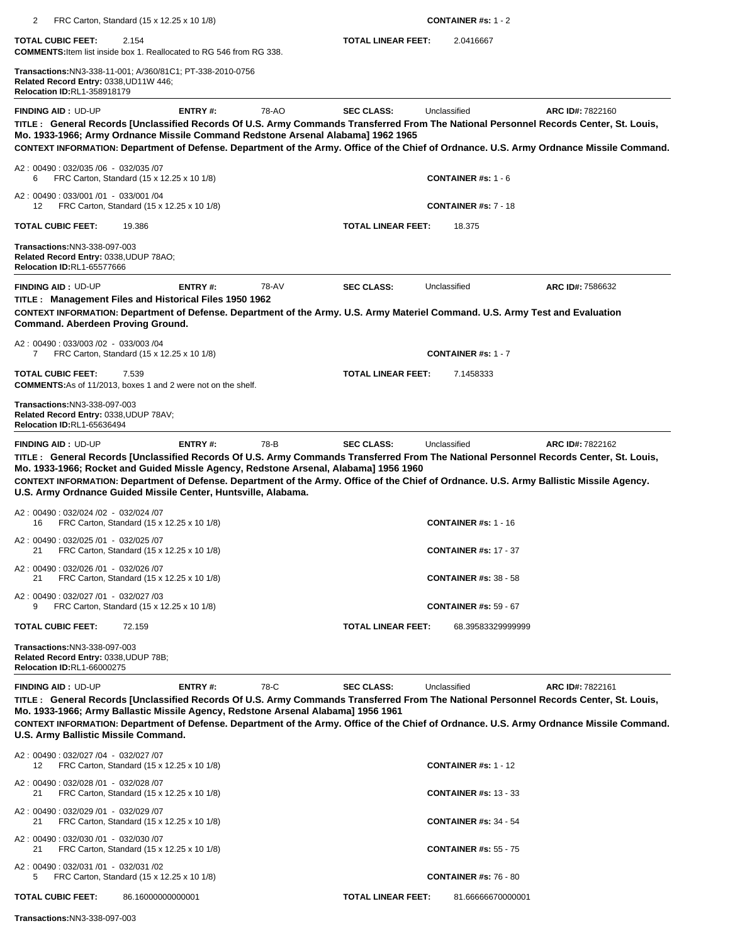| 2                                                                                                                 | FRC Carton, Standard (15 x 12.25 x 10 1/8)                                                                                                                                                                                                                                                                                                                                                                                                             |       |                           | <b>CONTAINER #s: 1 - 2</b>   |                                                                                                                                                              |
|-------------------------------------------------------------------------------------------------------------------|--------------------------------------------------------------------------------------------------------------------------------------------------------------------------------------------------------------------------------------------------------------------------------------------------------------------------------------------------------------------------------------------------------------------------------------------------------|-------|---------------------------|------------------------------|--------------------------------------------------------------------------------------------------------------------------------------------------------------|
| <b>TOTAL CUBIC FEET:</b>                                                                                          | 2.154<br><b>COMMENTS:</b> Item list inside box 1. Reallocated to RG 546 from RG 338.                                                                                                                                                                                                                                                                                                                                                                   |       | <b>TOTAL LINEAR FEET:</b> | 2.0416667                    |                                                                                                                                                              |
| Related Record Entry: 0338, UD11W 446;<br><b>Relocation ID:RL1-358918179</b>                                      | Transactions:NN3-338-11-001; A/360/81C1; PT-338-2010-0756                                                                                                                                                                                                                                                                                                                                                                                              |       |                           |                              |                                                                                                                                                              |
| <b>FINDING AID: UD-UP</b>                                                                                         | ENTRY#:<br>TITLE: General Records [Unclassified Records Of U.S. Army Commands Transferred From The National Personnel Records Center, St. Louis,<br>Mo. 1933-1966; Army Ordnance Missile Command Redstone Arsenal Alabama] 1962 1965                                                                                                                                                                                                                   | 78-AO | <b>SEC CLASS:</b>         | Unclassified                 | ARC ID#: 7822160<br>CONTEXT INFORMATION: Department of Defense. Department of the Army. Office of the Chief of Ordnance. U.S. Army Ordnance Missile Command. |
| A2: 00490: 032/035 /06 - 032/035 /07<br>6                                                                         | FRC Carton, Standard (15 x 12.25 x 10 1/8)                                                                                                                                                                                                                                                                                                                                                                                                             |       |                           | <b>CONTAINER #s: 1 - 6</b>   |                                                                                                                                                              |
| A2: 00490: 033/001 /01 - 033/001 /04<br>12                                                                        | FRC Carton, Standard (15 x 12.25 x 10 1/8)                                                                                                                                                                                                                                                                                                                                                                                                             |       |                           | <b>CONTAINER #s: 7 - 18</b>  |                                                                                                                                                              |
| <b>TOTAL CUBIC FEET:</b>                                                                                          | 19.386                                                                                                                                                                                                                                                                                                                                                                                                                                                 |       | <b>TOTAL LINEAR FEET:</b> | 18.375                       |                                                                                                                                                              |
| Transactions:NN3-338-097-003<br>Related Record Entry: 0338, UDUP 78AO;<br><b>Relocation ID:RL1-65577666</b>       |                                                                                                                                                                                                                                                                                                                                                                                                                                                        |       |                           |                              |                                                                                                                                                              |
| <b>FINDING AID: UD-UP</b>                                                                                         | ENTRY#:                                                                                                                                                                                                                                                                                                                                                                                                                                                | 78-AV | <b>SEC CLASS:</b>         | Unclassified                 | ARC ID#: 7586632                                                                                                                                             |
| Command. Aberdeen Proving Ground.                                                                                 | TITLE: Management Files and Historical Files 1950 1962<br>CONTEXT INFORMATION: Department of Defense. Department of the Army. U.S. Army Materiel Command. U.S. Army Test and Evaluation                                                                                                                                                                                                                                                                |       |                           |                              |                                                                                                                                                              |
| A2: 00490: 033/003 /02 - 033/003 /04<br>7                                                                         | FRC Carton, Standard (15 x 12.25 x 10 1/8)                                                                                                                                                                                                                                                                                                                                                                                                             |       |                           | <b>CONTAINER #s: 1 - 7</b>   |                                                                                                                                                              |
| <b>TOTAL CUBIC FEET:</b>                                                                                          | 7.539<br><b>COMMENTS:</b> As of 11/2013, boxes 1 and 2 were not on the shelf.                                                                                                                                                                                                                                                                                                                                                                          |       | <b>TOTAL LINEAR FEET:</b> | 7.1458333                    |                                                                                                                                                              |
| Transactions:NN3-338-097-003<br>Related Record Entry: 0338, UDUP 78AV;<br><b>Relocation ID:RL1-65636494</b>       |                                                                                                                                                                                                                                                                                                                                                                                                                                                        |       |                           |                              |                                                                                                                                                              |
| <b>FINDING AID: UD-UP</b>                                                                                         | ENTRY#:<br>TITLE: General Records [Unclassified Records Of U.S. Army Commands Transferred From The National Personnel Records Center, St. Louis,<br>Mo. 1933-1966; Rocket and Guided Missle Agency, Redstone Arsenal, Alabama] 1956 1960<br>CONTEXT INFORMATION: Department of Defense. Department of the Army. Office of the Chief of Ordnance. U.S. Army Ballistic Missile Agency.<br>U.S. Army Ordnance Guided Missile Center, Huntsville, Alabama. | 78-B  | <b>SEC CLASS:</b>         | Unclassified                 | ARC ID#: 7822162                                                                                                                                             |
| A2: 00490: 032/024 /02 - 032/024 /07<br>16                                                                        | FRC Carton, Standard (15 x 12.25 x 10 1/8)                                                                                                                                                                                                                                                                                                                                                                                                             |       |                           | <b>CONTAINER #s: 1 - 16</b>  |                                                                                                                                                              |
| A2: 00490: 032/025 /01 - 032/025 /07<br>21                                                                        | FRC Carton, Standard (15 x 12.25 x 10 1/8)                                                                                                                                                                                                                                                                                                                                                                                                             |       |                           | <b>CONTAINER #s: 17 - 37</b> |                                                                                                                                                              |
| A2: 00490: 032/026 /01 - 032/026 /07<br>21                                                                        | FRC Carton, Standard (15 x 12.25 x 10 1/8)                                                                                                                                                                                                                                                                                                                                                                                                             |       |                           | <b>CONTAINER #s: 38 - 58</b> |                                                                                                                                                              |
| A2: 00490: 032/027 /01 - 032/027 /03<br>9                                                                         | FRC Carton, Standard (15 x 12.25 x 10 1/8)                                                                                                                                                                                                                                                                                                                                                                                                             |       |                           | <b>CONTAINER #s: 59 - 67</b> |                                                                                                                                                              |
| <b>TOTAL CUBIC FEET:</b>                                                                                          | 72.159                                                                                                                                                                                                                                                                                                                                                                                                                                                 |       | <b>TOTAL LINEAR FEET:</b> | 68.39583329999999            |                                                                                                                                                              |
| <b>Transactions:NN3-338-097-003</b><br>Related Record Entry: 0338, UDUP 78B;<br><b>Relocation ID:RL1-66000275</b> |                                                                                                                                                                                                                                                                                                                                                                                                                                                        |       |                           |                              |                                                                                                                                                              |
| FINDING AID: UD-UP<br>U.S. Army Ballistic Missile Command.                                                        | ENTRY#:<br>TITLE: General Records [Unclassified Records Of U.S. Army Commands Transferred From The National Personnel Records Center, St. Louis,<br>Mo. 1933-1966; Army Ballastic Missile Agency, Redstone Arsenal Alabama] 1956 1961                                                                                                                                                                                                                  | 78-C  | <b>SEC CLASS:</b>         | Unclassified                 | ARC ID#: 7822161<br>CONTEXT INFORMATION: Department of Defense. Department of the Army. Office of the Chief of Ordnance. U.S. Army Ordnance Missile Command. |
| A2: 00490: 032/027 /04 - 032/027 /07<br>12                                                                        | FRC Carton, Standard (15 x 12.25 x 10 1/8)                                                                                                                                                                                                                                                                                                                                                                                                             |       |                           | <b>CONTAINER #s: 1 - 12</b>  |                                                                                                                                                              |
| A2: 00490: 032/028 /01 - 032/028 /07<br>21                                                                        | FRC Carton, Standard (15 x 12.25 x 10 1/8)                                                                                                                                                                                                                                                                                                                                                                                                             |       |                           | <b>CONTAINER #s: 13 - 33</b> |                                                                                                                                                              |
| A2: 00490: 032/029 /01 - 032/029 /07<br>21                                                                        | FRC Carton, Standard (15 x 12.25 x 10 1/8)                                                                                                                                                                                                                                                                                                                                                                                                             |       |                           | <b>CONTAINER #s: 34 - 54</b> |                                                                                                                                                              |
| A2: 00490: 032/030 /01 - 032/030 /07<br>21                                                                        | FRC Carton, Standard (15 x 12.25 x 10 1/8)                                                                                                                                                                                                                                                                                                                                                                                                             |       |                           | <b>CONTAINER #s: 55 - 75</b> |                                                                                                                                                              |
| A2: 00490: 032/031 /01 - 032/031 /02<br>5                                                                         | FRC Carton, Standard (15 x 12.25 x 10 1/8)                                                                                                                                                                                                                                                                                                                                                                                                             |       |                           | <b>CONTAINER #s: 76 - 80</b> |                                                                                                                                                              |
| <b>TOTAL CUBIC FEET:</b>                                                                                          | 86.16000000000001                                                                                                                                                                                                                                                                                                                                                                                                                                      |       | <b>TOTAL LINEAR FEET:</b> | 81.66666670000001            |                                                                                                                                                              |
| <b>Transactions: NN3-338-097-003</b>                                                                              |                                                                                                                                                                                                                                                                                                                                                                                                                                                        |       |                           |                              |                                                                                                                                                              |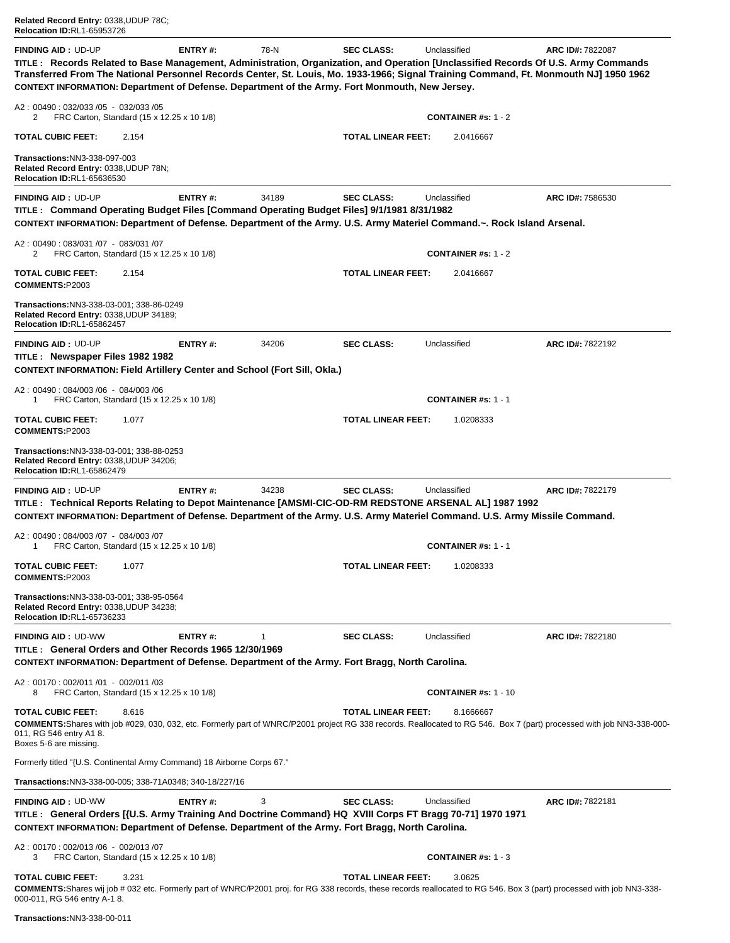| Related Record Entry: 0338, UDUP 78C; |
|---------------------------------------|
| <b>Relocation ID:RL1-65953726</b>     |

**FINDING AID :** UD-UP **ENTRY #:** 78-N **SEC CLASS:** Unclassified **ARC ID#:** 7822087 **TITLE : Records Related to Base Management, Administration, Organization, and Operation [Unclassified Records Of U.S. Army Commands Transferred From The National Personnel Records Center, St. Louis, Mo. 1933-1966; Signal Training Command, Ft. Monmouth NJ] 1950 1962 CONTEXT INFORMATION: Department of Defense. Department of the Army. Fort Monmouth, New Jersey.** A2 : 00490 : 032/033 /05 - 032/033 /05 2 FRC Carton, Standard (15 x 12.25 x 10 1/8) **CONTAINER #s:** 1 - 2 **TOTAL CUBIC FEET:** 2.154 **TOTAL LINEAR FEET:** 2.0416667 **Transactions:**NN3-338-097-003 **Related Record Entry:** 0338,UDUP 78N; **Relocation ID:**RL1-65636530**FINDING AID :** UD-UP **ENTRY #:** 34189 **SEC CLASS:** Unclassified **ARC ID#:** 7586530 **TITLE : Command Operating Budget Files [Command Operating Budget Files] 9/1/1981 8/31/1982 CONTEXT INFORMATION: Department of Defense. Department of the Army. U.S. Army Materiel Command.~. Rock Island Arsenal.** A2 : 00490 : 083/031 /07 - 083/031 /07 2 FRC Carton, Standard (15 x 12.25 x 10 1/8) **CONTAINER #s:** 1 - 2 **TOTAL CUBIC FEET:** 2.154 **TOTAL LINEAR FEET:** 2.0416667 **COMMENTS:**P2003 **Transactions:**NN3-338-03-001; 338-86-0249 **Related Record Entry:** 0338,UDUP 34189; **Relocation ID:**RL1-65862457**FINDING AID :** UD-UP **ENTRY #:** 34206 **SEC CLASS:** Unclassified **ARC ID#:** 7822192 **TITLE : Newspaper Files 1982 1982 CONTEXT INFORMATION: Field Artillery Center and School (Fort Sill, Okla.)** A2 : 00490 : 084/003 /06 - 084/003 /06 1 FRC Carton, Standard (15 x 12.25 x 10 1/8) **CONTAINER #s:** 1 - 1 **TOTAL CUBIC FEET:** 1.077 **TOTAL LINEAR FEET:** 1.0208333 **COMMENTS:**P2003 **Transactions:**NN3-338-03-001; 338-88-0253 **Related Record Entry:** 0338,UDUP 34206; **Relocation ID:**RL1-65862479**FINDING AID :** UD-UP **ENTRY #:** 34238 **SEC CLASS:** Unclassified **ARC ID#:** 7822179 **TITLE : Technical Reports Relating to Depot Maintenance [AMSMI-CIC-OD-RM REDSTONE ARSENAL AL] 1987 1992 CONTEXT INFORMATION: Department of Defense. Department of the Army. U.S. Army Materiel Command. U.S. Army Missile Command.** A2 : 00490 : 084/003 /07 - 084/003 /07 1 FRC Carton, Standard (15 x 12.25 x 10 1/8) **CONTAINER #s:** 1 - 1 **TOTAL CUBIC FEET:** 1.077 **TOTAL LINEAR FEET:** 1.0208333 **COMMENTS:**P2003 **Transactions:**NN3-338-03-001; 338-95-0564 **Related Record Entry:** 0338,UDUP 34238; **Relocation ID:**RL1-65736233**FINDING AID :** UD-WW **ENTRY #:** 1 **SEC CLASS:** Unclassified **ARC ID#:** 7822180 **TITLE : General Orders and Other Records 1965 12/30/1969 CONTEXT INFORMATION: Department of Defense. Department of the Army. Fort Bragg, North Carolina.** A2 : 00170 : 002/011 /01 - 002/011 /03 8 FRC Carton, Standard (15 x 12.25 x 10 1/8) **CONTAINER #s:** 1 - 10 **TOTAL CUBIC FEET:** 8.616 **TOTAL LINEAR FEET:** 8.1666667 **COMMENTS:**Shares with job #029, 030, 032, etc. Formerly part of WNRC/P2001 project RG 338 records. Reallocated to RG 546. Box 7 (part) processed with job NN3-338-000- 011, RG 546 entry A1 8. Boxes 5-6 are missing. Formerly titled "{U.S. Continental Army Command} 18 Airborne Corps 67." **Transactions:**NN3-338-00-005; 338-71A0348; 340-18/227/16**FINDING AID :** UD-WW **ENTRY #:** 3 **SEC CLASS:** Unclassified **ARC ID#:** 7822181 **TITLE : General Orders [{U.S. Army Training And Doctrine Command} HQ XVIII Corps FT Bragg 70-71] 1970 1971 CONTEXT INFORMATION: Department of Defense. Department of the Army. Fort Bragg, North Carolina.** A2 : 00170 : 002/013 /06 - 002/013 /07 3 FRC Carton, Standard (15 x 12.25 x 10 1/8) **CONTAINER #s:** 1 - 3 **TOTAL CUBIC FEET:** 3.231 **TOTAL LINEAR FEET:** 3.0625 **COMMENTS:**Shares wij job # 032 etc. Formerly part of WNRC/P2001 proj. for RG 338 records, these records reallocated to RG 546. Box 3 (part) processed with job NN3-338- 000-011, RG 546 entry A-1 8.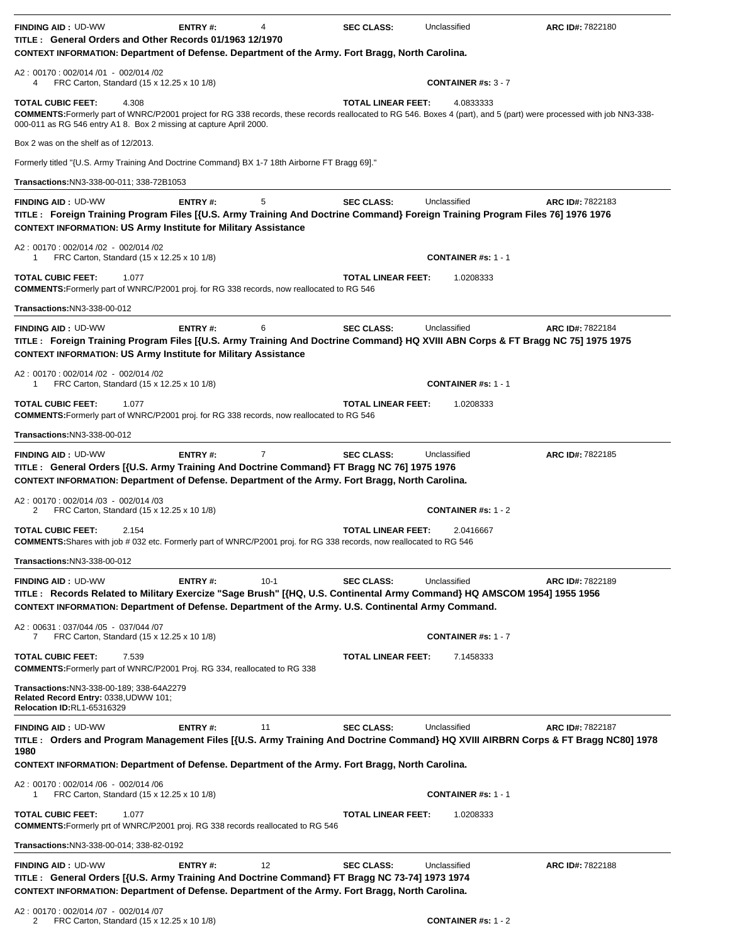| <b>FINDING AID: UD-WW</b><br>TITLE: General Orders and Other Records 01/1963 12/1970                                                                                                                                                                                                               | ENTRY#:        | 4      | <b>SEC CLASS:</b>         | Unclassified               | ARC ID#: 7822180 |
|----------------------------------------------------------------------------------------------------------------------------------------------------------------------------------------------------------------------------------------------------------------------------------------------------|----------------|--------|---------------------------|----------------------------|------------------|
| CONTEXT INFORMATION: Department of Defense. Department of the Army. Fort Bragg, North Carolina.                                                                                                                                                                                                    |                |        |                           |                            |                  |
| A2: 00170: 002/014 /01 - 002/014 /02<br>FRC Carton, Standard (15 x 12.25 x 10 1/8)<br>4                                                                                                                                                                                                            |                |        |                           | <b>CONTAINER #s: 3 - 7</b> |                  |
| <b>TOTAL CUBIC FEET:</b><br>4.308<br><b>COMMENTS:</b> Formerly part of WNRC/P2001 project for RG 338 records, these records reallocated to RG 546. Boxes 4 (part), and 5 (part) were processed with job NN3-338-<br>000-011 as RG 546 entry A1 8. Box 2 missing at capture April 2000.             |                |        | <b>TOTAL LINEAR FEET:</b> | 4.0833333                  |                  |
| Box 2 was on the shelf as of 12/2013.                                                                                                                                                                                                                                                              |                |        |                           |                            |                  |
| Formerly titled "{U.S. Army Training And Doctrine Command} BX 1-7 18th Airborne FT Bragg 69]."                                                                                                                                                                                                     |                |        |                           |                            |                  |
| Transactions:NN3-338-00-011; 338-72B1053                                                                                                                                                                                                                                                           |                |        |                           |                            |                  |
| <b>FINDING AID: UD-WW</b><br>TITLE: Foreign Training Program Files [{U.S. Army Training And Doctrine Command} Foreign Training Program Files 76] 1976 1976<br><b>CONTEXT INFORMATION: US Army Institute for Military Assistance</b>                                                                | ENTRY#:        | 5      | <b>SEC CLASS:</b>         | Unclassified               | ARC ID#: 7822183 |
| A2: 00170: 002/014 /02 - 002/014 /02<br>FRC Carton, Standard (15 x 12.25 x 10 1/8)<br>1                                                                                                                                                                                                            |                |        |                           | <b>CONTAINER #s: 1 - 1</b> |                  |
| <b>TOTAL CUBIC FEET:</b><br>1.077<br><b>COMMENTS:</b> Formerly part of WNRC/P2001 proj. for RG 338 records, now reallocated to RG 546                                                                                                                                                              |                |        | <b>TOTAL LINEAR FEET:</b> | 1.0208333                  |                  |
| Transactions:NN3-338-00-012                                                                                                                                                                                                                                                                        |                |        |                           |                            |                  |
| <b>FINDING AID: UD-WW</b><br>TITLE: Foreign Training Program Files [{U.S. Army Training And Doctrine Command} HQ XVIII ABN Corps & FT Bragg NC 75] 1975 1975<br><b>CONTEXT INFORMATION: US Army Institute for Military Assistance</b>                                                              | ENTRY#:        | 6      | <b>SEC CLASS:</b>         | Unclassified               | ARC ID#: 7822184 |
| A2: 00170: 002/014 /02 - 002/014 /02<br>FRC Carton, Standard (15 x 12.25 x 10 1/8)<br>1                                                                                                                                                                                                            |                |        |                           | <b>CONTAINER #s: 1 - 1</b> |                  |
| <b>TOTAL CUBIC FEET:</b><br>1.077<br><b>COMMENTS:</b> Formerly part of WNRC/P2001 proj. for RG 338 records, now reallocated to RG 546                                                                                                                                                              |                |        | <b>TOTAL LINEAR FEET:</b> | 1.0208333                  |                  |
| <b>Transactions: NN3-338-00-012</b>                                                                                                                                                                                                                                                                |                |        |                           |                            |                  |
| <b>FINDING AID: UD-WW</b><br>TITLE : General Orders [{U.S. Army Training And Doctrine Command} FT Bragg NC 76] 1975 1976<br>CONTEXT INFORMATION: Department of Defense. Department of the Army. Fort Bragg, North Carolina.                                                                        | ENTRY#:        | 7      | <b>SEC CLASS:</b>         | Unclassified               | ARC ID#: 7822185 |
| A2: 00170: 002/014 /03 - 002/014 /03<br>2<br>FRC Carton, Standard (15 x 12.25 x 10 1/8)                                                                                                                                                                                                            |                |        |                           | <b>CONTAINER #s: 1 - 2</b> |                  |
| <b>TOTAL CUBIC FEET:</b><br>2.154<br>COMMENTS: Shares with job # 032 etc. Formerly part of WNRC/P2001 proj. for RG 338 records, now reallocated to RG 546                                                                                                                                          |                |        | <b>TOTAL LINEAR FEET:</b> | 2.0416667                  |                  |
| Transactions:NN3-338-00-012                                                                                                                                                                                                                                                                        |                |        |                           |                            |                  |
| <b>FINDING AID: UD-WW</b><br>TITLE: Records Related to Military Exercize "Sage Brush" [{HQ, U.S. Continental Army Command} HQ AMSCOM 1954] 1955 1956<br>CONTEXT INFORMATION: Department of Defense. Department of the Army. U.S. Continental Army Command.<br>A2: 00631: 037/044 /05 - 037/044 /07 | ENTRY#:        | $10-1$ | <b>SEC CLASS:</b>         | Unclassified               | ARC ID#: 7822189 |
| FRC Carton, Standard (15 x 12.25 x 10 1/8)<br>7                                                                                                                                                                                                                                                    |                |        |                           | <b>CONTAINER #s: 1 - 7</b> |                  |
| <b>TOTAL CUBIC FEET:</b><br>7.539<br><b>COMMENTS:</b> Formerly part of WNRC/P2001 Proj. RG 334, reallocated to RG 338                                                                                                                                                                              |                |        | <b>TOTAL LINEAR FEET:</b> | 7.1458333                  |                  |
| Transactions: NN3-338-00-189; 338-64A2279<br>Related Record Entry: 0338, UDWW 101;<br><b>Relocation ID:RL1-65316329</b>                                                                                                                                                                            |                |        |                           |                            |                  |
| <b>FINDING AID: UD-WW</b><br>TITLE: Orders and Program Management Files [{U.S. Army Training And Doctrine Command} HQ XVIII AIRBRN Corps & FT Bragg NC80] 1978<br>1980<br>CONTEXT INFORMATION: Department of Defense. Department of the Army. Fort Bragg, North Carolina.                          | <b>ENTRY#:</b> | 11     | <b>SEC CLASS:</b>         | Unclassified               | ARC ID#: 7822187 |
| A2: 00170: 002/014 /06 - 002/014 /06<br>FRC Carton, Standard (15 x 12.25 x 10 1/8)<br>1                                                                                                                                                                                                            |                |        |                           | <b>CONTAINER #s: 1 - 1</b> |                  |
| <b>TOTAL CUBIC FEET:</b><br>1.077<br><b>COMMENTS:</b> Formerly prt of WNRC/P2001 proj. RG 338 records reallocated to RG 546                                                                                                                                                                        |                |        | <b>TOTAL LINEAR FEET:</b> | 1.0208333                  |                  |
| Transactions: NN3-338-00-014; 338-82-0192                                                                                                                                                                                                                                                          |                |        |                           |                            |                  |
| <b>FINDING AID: UD-WW</b><br>TITLE: General Orders [{U.S. Army Training And Doctrine Command} FT Bragg NC 73-74] 1973 1974<br>CONTEXT INFORMATION: Department of Defense. Department of the Army. Fort Bragg, North Carolina.                                                                      | ENTRY#:        | 12     | <b>SEC CLASS:</b>         | Unclassified               | ARC ID#: 7822188 |
| A2: 00170: 002/014 /07 - 002/014 /07                                                                                                                                                                                                                                                               |                |        |                           |                            |                  |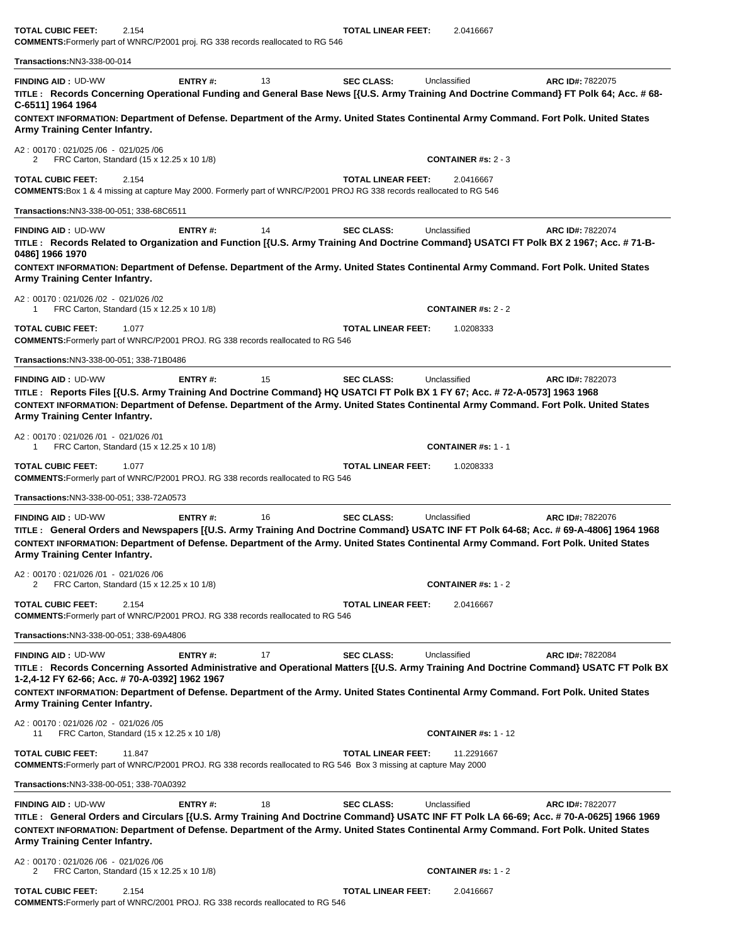| <b>COMMENTS:</b> Formerly part of WNRC/P2001 proj. RG 338 records reallocated to RG 546                                                                                                  |                |    |                           |                             |                                                                                                                                                                                                                                                                                                    |
|------------------------------------------------------------------------------------------------------------------------------------------------------------------------------------------|----------------|----|---------------------------|-----------------------------|----------------------------------------------------------------------------------------------------------------------------------------------------------------------------------------------------------------------------------------------------------------------------------------------------|
| Transactions:NN3-338-00-014                                                                                                                                                              |                |    |                           |                             |                                                                                                                                                                                                                                                                                                    |
| <b>FINDING AID: UD-WW</b><br>C-6511] 1964 1964                                                                                                                                           | ENTRY#:        | 13 | <b>SEC CLASS:</b>         | Unclassified                | ARC ID#: 7822075<br>TITLE: Records Concerning Operational Funding and General Base News [{U.S. Army Training And Doctrine Command} FT Polk 64; Acc. # 68-                                                                                                                                          |
| Army Training Center Infantry.                                                                                                                                                           |                |    |                           |                             | CONTEXT INFORMATION: Department of Defense. Department of the Army. United States Continental Army Command. Fort Polk. United States                                                                                                                                                               |
| A2: 00170: 021/025 /06 - 021/025 /06<br>FRC Carton, Standard (15 x 12.25 x 10 1/8)                                                                                                       |                |    |                           | CONTAINER #s: $2 - 3$       |                                                                                                                                                                                                                                                                                                    |
| <b>TOTAL CUBIC FEET:</b><br>2.154<br><b>COMMENTS:</b> Box 1 & 4 missing at capture May 2000. Formerly part of WNRC/P2001 PROJ RG 338 records reallocated to RG 546                       |                |    | <b>TOTAL LINEAR FEET:</b> | 2.0416667                   |                                                                                                                                                                                                                                                                                                    |
| Transactions:NN3-338-00-051; 338-68C6511                                                                                                                                                 |                |    |                           |                             |                                                                                                                                                                                                                                                                                                    |
| <b>FINDING AID: UD-WW</b><br>0486] 1966 1970                                                                                                                                             | ENTRY#:        | 14 | <b>SEC CLASS:</b>         | Unclassified                | ARC ID#: 7822074<br>TITLE: Records Related to Organization and Function [{U.S. Army Training And Doctrine Command} USATCI FT Polk BX 2 1967; Acc. # 71-B-<br>CONTEXT INFORMATION: Department of Defense. Department of the Army. United States Continental Army Command. Fort Polk. United States  |
| Army Training Center Infantry.                                                                                                                                                           |                |    |                           |                             |                                                                                                                                                                                                                                                                                                    |
| A2: 00170: 021/026/02 - 021/026/02<br>FRC Carton, Standard (15 x 12.25 x 10 1/8)<br>1                                                                                                    |                |    |                           | <b>CONTAINER #s: 2 - 2</b>  |                                                                                                                                                                                                                                                                                                    |
| <b>TOTAL CUBIC FEET:</b><br>1.077<br><b>COMMENTS:</b> Formerly part of WNRC/P2001 PROJ. RG 338 records reallocated to RG 546                                                             |                |    | <b>TOTAL LINEAR FEET:</b> | 1.0208333                   |                                                                                                                                                                                                                                                                                                    |
| Transactions: NN3-338-00-051; 338-71B0486                                                                                                                                                |                |    |                           |                             |                                                                                                                                                                                                                                                                                                    |
| <b>FINDING AID: UD-WW</b><br>TITLE: Reports Files [{U.S. Army Training And Doctrine Command} HQ USATCI FT Polk BX 1 FY 67; Acc. # 72-A-0573] 1963 1968<br>Army Training Center Infantry. | ENTRY#:        | 15 | <b>SEC CLASS:</b>         | Unclassified                | ARC ID#: 7822073<br>CONTEXT INFORMATION: Department of Defense. Department of the Army. United States Continental Army Command. Fort Polk. United States                                                                                                                                           |
| A2: 00170: 021/026 /01 - 021/026 /01<br>FRC Carton, Standard (15 x 12.25 x 10 1/8)<br>1                                                                                                  |                |    |                           | <b>CONTAINER #s: 1 - 1</b>  |                                                                                                                                                                                                                                                                                                    |
| <b>TOTAL CUBIC FEET:</b><br>1.077<br><b>COMMENTS:</b> Formerly part of WNRC/P2001 PROJ. RG 338 records reallocated to RG 546                                                             |                |    | TOTAL LINEAR FEET:        | 1.0208333                   |                                                                                                                                                                                                                                                                                                    |
| Transactions:NN3-338-00-051; 338-72A0573                                                                                                                                                 |                |    |                           |                             |                                                                                                                                                                                                                                                                                                    |
| <b>FINDING AID: UD-WW</b><br>Army Training Center Infantry.                                                                                                                              | ENTRY#:        | 16 | <b>SEC CLASS:</b>         | Unclassified                | ARC ID#: 7822076<br>TITLE: General Orders and Newspapers [{U.S. Army Training And Doctrine Command} USATC INF FT Polk 64-68; Acc. # 69-A-4806] 1964 1968<br>CONTEXT INFORMATION: Department of Defense. Department of the Army. United States Continental Army Command. Fort Polk. United States   |
| A2: 00170: 021/026 /01 - 021/026 /06<br>FRC Carton, Standard (15 x 12.25 x 10 1/8)                                                                                                       |                |    |                           | <b>CONTAINER #s: 1 - 2</b>  |                                                                                                                                                                                                                                                                                                    |
| TOTAL CUBIC FEET:<br>2.154<br><b>COMMENTS:</b> Formerly part of WNRC/P2001 PROJ. RG 338 records reallocated to RG 546                                                                    |                |    | <b>TOTAL LINEAR FEET:</b> | 2.0416667                   |                                                                                                                                                                                                                                                                                                    |
| Transactions:NN3-338-00-051; 338-69A4806                                                                                                                                                 |                |    |                           |                             |                                                                                                                                                                                                                                                                                                    |
| <b>FINDING AID: UD-WW</b><br>1-2,4-12 FY 62-66; Acc. # 70-A-0392] 1962 1967                                                                                                              | <b>ENTRY#:</b> | 17 | <b>SEC CLASS:</b>         | Unclassified                | ARC ID#: 7822084<br>TITLE: Records Concerning Assorted Administrative and Operational Matters [{U.S. Army Training And Doctrine Command} USATC FT Polk BX                                                                                                                                          |
| Army Training Center Infantry.                                                                                                                                                           |                |    |                           |                             | CONTEXT INFORMATION: Department of Defense. Department of the Army. United States Continental Army Command. Fort Polk. United States                                                                                                                                                               |
| A2: 00170: 021/026 /02 - 021/026 /05<br>FRC Carton, Standard (15 x 12.25 x 10 1/8)<br>11                                                                                                 |                |    |                           | <b>CONTAINER #s: 1 - 12</b> |                                                                                                                                                                                                                                                                                                    |
| TOTAL CUBIC FEET:<br>11.847<br><b>COMMENTS:</b> Formerly part of WNRC/P2001 PROJ. RG 338 records reallocated to RG 546 Box 3 missing at capture May 2000                                 |                |    | <b>TOTAL LINEAR FEET:</b> | 11.2291667                  |                                                                                                                                                                                                                                                                                                    |
| <b>Transactions:NN3-338-00-051; 338-70A0392</b>                                                                                                                                          |                |    |                           |                             |                                                                                                                                                                                                                                                                                                    |
| <b>FINDING AID: UD-WW</b><br>Army Training Center Infantry.                                                                                                                              | <b>ENTRY#:</b> | 18 | <b>SEC CLASS:</b>         | Unclassified                | ARC ID#: 7822077<br>TITLE: General Orders and Circulars [{U.S. Army Training And Doctrine Command} USATC INF FT Polk LA 66-69; Acc. # 70-A-0625] 1966 1969<br>CONTEXT INFORMATION: Department of Defense. Department of the Army. United States Continental Army Command. Fort Polk. United States |
| A2: 00170: 021/026 /06 - 021/026 /06<br>2<br>FRC Carton, Standard (15 x 12.25 x 10 1/8)                                                                                                  |                |    |                           | <b>CONTAINER #s: 1 - 2</b>  |                                                                                                                                                                                                                                                                                                    |
| TOTAL CUBIC FEET:<br>2.154                                                                                                                                                               |                |    | TOTAL LINEAR FEET:        | 2.0416667                   |                                                                                                                                                                                                                                                                                                    |

**TOTAL CUBIC FEET:** 2.154 **TOTAL LINEAR FEET:** 2.0416667

**COMMENTS:**Formerly part of WNRC/2001 PROJ. RG 338 records reallocated to RG 546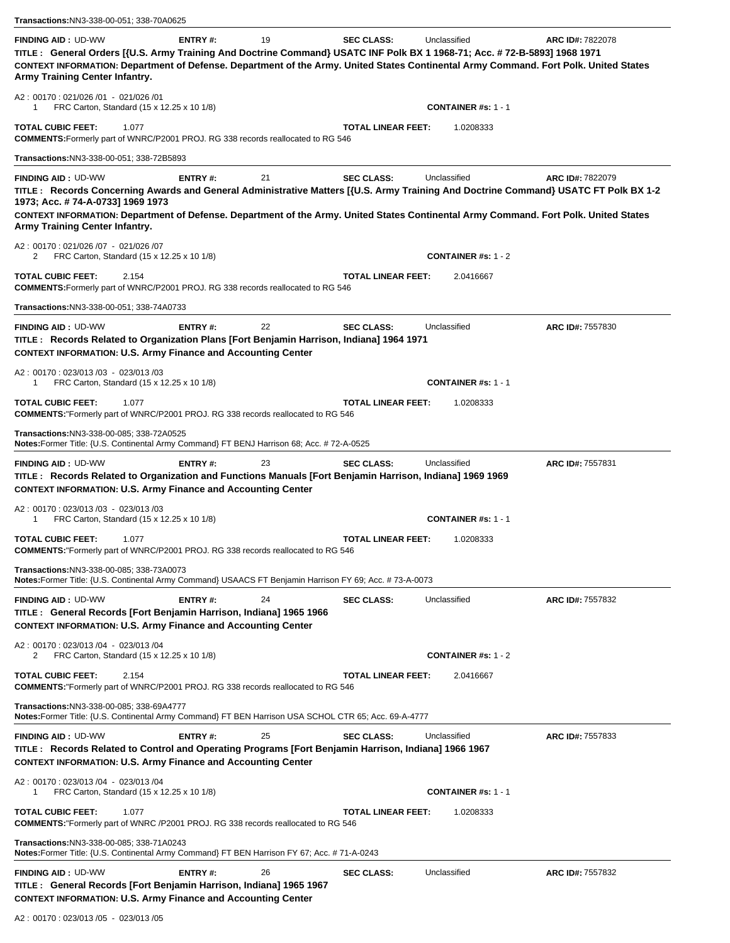| Transactions: NN3-338-00-051; 338-70A0625                                                                                                                                                                                                                                                                                                                                                        |                           |                            |                  |
|--------------------------------------------------------------------------------------------------------------------------------------------------------------------------------------------------------------------------------------------------------------------------------------------------------------------------------------------------------------------------------------------------|---------------------------|----------------------------|------------------|
| ENTRY#:<br>19<br><b>FINDING AID: UD-WW</b><br>TITLE: General Orders [{U.S. Army Training And Doctrine Command} USATC INF Polk BX 1 1968-71; Acc. # 72-B-5893] 1968 1971<br>CONTEXT INFORMATION: Department of Defense. Department of the Army. United States Continental Army Command. Fort Polk. United States<br>Army Training Center Infantry.                                                | <b>SEC CLASS:</b>         | Unclassified               | ARC ID#: 7822078 |
| A2: 00170: 021/026 /01 - 021/026 /01<br>FRC Carton, Standard (15 x 12.25 x 10 1/8)<br>1                                                                                                                                                                                                                                                                                                          |                           | <b>CONTAINER #s: 1 - 1</b> |                  |
| <b>TOTAL CUBIC FEET:</b><br>1.077<br><b>COMMENTS:</b> Formerly part of WNRC/P2001 PROJ. RG 338 records reallocated to RG 546                                                                                                                                                                                                                                                                     | <b>TOTAL LINEAR FEET:</b> | 1.0208333                  |                  |
| Transactions:NN3-338-00-051; 338-72B5893                                                                                                                                                                                                                                                                                                                                                         |                           |                            |                  |
| <b>FINDING AID: UD-WW</b><br>21<br>ENTRY#:<br>TITLE: Records Concerning Awards and General Administrative Matters [{U.S. Army Training And Doctrine Command} USATC FT Polk BX 1-2<br>1973; Acc. # 74-A-0733] 1969 1973<br>CONTEXT INFORMATION: Department of Defense. Department of the Army. United States Continental Army Command. Fort Polk. United States<br>Army Training Center Infantry. | <b>SEC CLASS:</b>         | Unclassified               | ARC ID#: 7822079 |
| A2: 00170: 021/026 /07 - 021/026 /07<br>FRC Carton, Standard (15 x 12.25 x 10 1/8)<br>2                                                                                                                                                                                                                                                                                                          |                           | CONTAINER $#s: 1 - 2$      |                  |
| <b>TOTAL CUBIC FEET:</b><br>2.154<br><b>COMMENTS:</b> Formerly part of WNRC/P2001 PROJ. RG 338 records reallocated to RG 546                                                                                                                                                                                                                                                                     | <b>TOTAL LINEAR FEET:</b> | 2.0416667                  |                  |
| Transactions:NN3-338-00-051; 338-74A0733                                                                                                                                                                                                                                                                                                                                                         |                           |                            |                  |
| <b>FINDING AID: UD-WW</b><br>ENTRY#:<br>22<br>TITLE: Records Related to Organization Plans [Fort Benjamin Harrison, Indiana] 1964 1971<br><b>CONTEXT INFORMATION: U.S. Army Finance and Accounting Center</b>                                                                                                                                                                                    | <b>SEC CLASS:</b>         | Unclassified               | ARC ID#: 7557830 |
| A2: 00170: 023/013/03 - 023/013/03<br>FRC Carton, Standard (15 x 12.25 x 10 1/8)                                                                                                                                                                                                                                                                                                                 |                           | <b>CONTAINER #s: 1 - 1</b> |                  |
| <b>TOTAL CUBIC FEET:</b><br>1.077<br><b>COMMENTS:</b> "Formerly part of WNRC/P2001 PROJ. RG 338 records reallocated to RG 546                                                                                                                                                                                                                                                                    | <b>TOTAL LINEAR FEET:</b> | 1.0208333                  |                  |
| Transactions:NN3-338-00-085; 338-72A0525<br>Notes:Former Title: {U.S. Continental Army Command} FT BENJ Harrison 68; Acc. # 72-A-0525                                                                                                                                                                                                                                                            |                           |                            |                  |
| <b>FINDING AID: UD-WW</b><br>ENTRY#:<br>23<br>TITLE: Records Related to Organization and Functions Manuals [Fort Benjamin Harrison, Indiana] 1969 1969<br><b>CONTEXT INFORMATION: U.S. Army Finance and Accounting Center</b>                                                                                                                                                                    | <b>SEC CLASS:</b>         | Unclassified               | ARC ID#: 7557831 |
| A2: 00170: 023/013 /03 - 023/013 /03<br>FRC Carton, Standard (15 x 12.25 x 10 1/8)<br>1                                                                                                                                                                                                                                                                                                          |                           | <b>CONTAINER #s: 1 - 1</b> |                  |
| TOTAL CUBIC FEET:<br>1.077<br><b>COMMENTS:</b> "Formerly part of WNRC/P2001 PROJ. RG 338 records reallocated to RG 546                                                                                                                                                                                                                                                                           | <b>TOTAL LINEAR FEET:</b> | 1.0208333                  |                  |
| Transactions:NN3-338-00-085; 338-73A0073<br>Notes:Former Title: {U.S. Continental Army Command} USAACS FT Benjamin Harrison FY 69; Acc. # 73-A-0073                                                                                                                                                                                                                                              |                           |                            |                  |
| <b>FINDING AID: UD-WW</b><br>ENTRY#:<br>24<br>TITLE: General Records [Fort Benjamin Harrison, Indiana] 1965 1966<br><b>CONTEXT INFORMATION: U.S. Army Finance and Accounting Center</b>                                                                                                                                                                                                          | <b>SEC CLASS:</b>         | Unclassified               | ARC ID#: 7557832 |
| A2: 00170: 023/013 /04 - 023/013 /04<br>FRC Carton, Standard (15 x 12.25 x 10 1/8)<br>2                                                                                                                                                                                                                                                                                                          |                           | <b>CONTAINER #s: 1 - 2</b> |                  |
| <b>TOTAL CUBIC FEET:</b><br>2.154<br><b>COMMENTS:</b> "Formerly part of WNRC/P2001 PROJ. RG 338 records reallocated to RG 546                                                                                                                                                                                                                                                                    | <b>TOTAL LINEAR FEET:</b> | 2.0416667                  |                  |
| Transactions:NN3-338-00-085; 338-69A4777<br>Notes:Former Title: {U.S. Continental Army Command} FT BEN Harrison USA SCHOL CTR 65; Acc. 69-A-4777                                                                                                                                                                                                                                                 |                           |                            |                  |
| <b>FINDING AID: UD-WW</b><br>ENTRY#:<br>25<br>TITLE: Records Related to Control and Operating Programs [Fort Benjamin Harrison, Indiana] 1966 1967<br><b>CONTEXT INFORMATION: U.S. Army Finance and Accounting Center</b>                                                                                                                                                                        | <b>SEC CLASS:</b>         | Unclassified               | ARC ID#: 7557833 |
| A2: 00170: 023/013 /04 - 023/013 /04<br>FRC Carton, Standard (15 x 12.25 x 10 1/8)<br>1                                                                                                                                                                                                                                                                                                          |                           | <b>CONTAINER #s: 1 - 1</b> |                  |
| <b>TOTAL CUBIC FEET:</b><br>1.077<br><b>COMMENTS:</b> "Formerly part of WNRC /P2001 PROJ. RG 338 records reallocated to RG 546                                                                                                                                                                                                                                                                   | <b>TOTAL LINEAR FEET:</b> | 1.0208333                  |                  |
| Transactions:NN3-338-00-085; 338-71A0243<br>Notes:Former Title: {U.S. Continental Army Command} FT BEN Harrison FY 67; Acc. # 71-A-0243                                                                                                                                                                                                                                                          |                           |                            |                  |
| <b>FINDING AID: UD-WW</b><br>ENTRY#:<br>26<br>TITLE : General Records [Fort Benjamin Harrison, Indiana] 1965 1967<br><b>CONTEXT INFORMATION: U.S. Army Finance and Accounting Center</b><br>$0.001040105 - 0.001040105$                                                                                                                                                                          | <b>SEC CLASS:</b>         | Unclassified               | ARC ID#: 7557832 |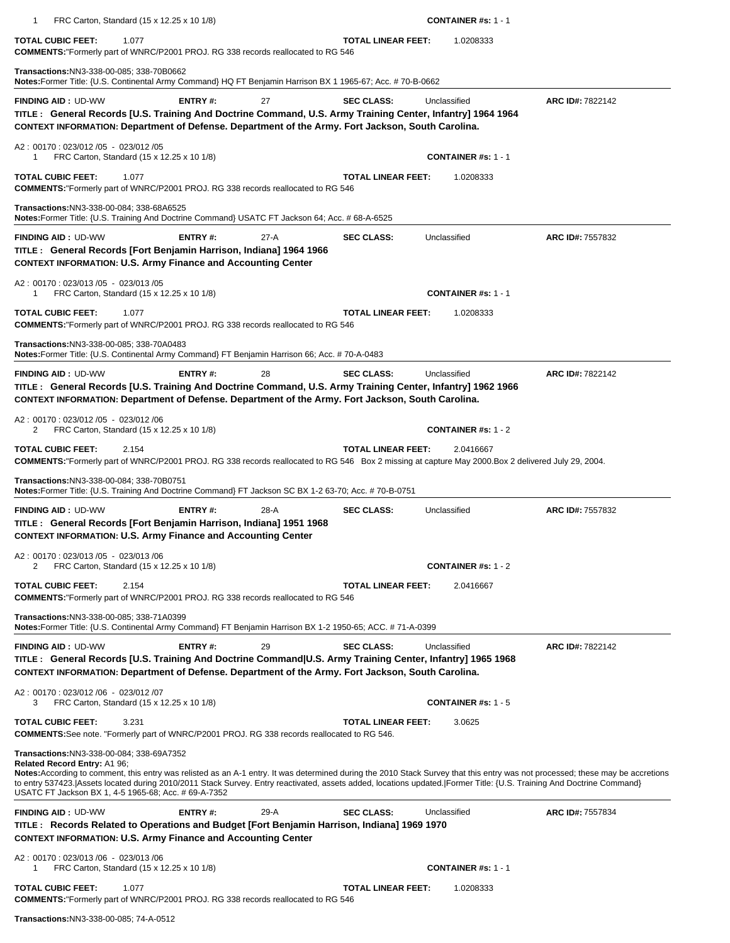| FRC Carton, Standard (15 x 12.25 x 10 1/8)<br>1                                                                                                                                                                                                                                                                                                                                                                                                                                                |                           | <b>CONTAINER #s: 1 - 1</b> |                  |
|------------------------------------------------------------------------------------------------------------------------------------------------------------------------------------------------------------------------------------------------------------------------------------------------------------------------------------------------------------------------------------------------------------------------------------------------------------------------------------------------|---------------------------|----------------------------|------------------|
| <b>TOTAL CUBIC FEET:</b><br>1.077<br><b>COMMENTS:</b> "Formerly part of WNRC/P2001 PROJ. RG 338 records reallocated to RG 546                                                                                                                                                                                                                                                                                                                                                                  | <b>TOTAL LINEAR FEET:</b> | 1.0208333                  |                  |
| Transactions:NN3-338-00-085; 338-70B0662<br>Notes: Former Title: {U.S. Continental Army Command} HQ FT Benjamin Harrison BX 1 1965-67; Acc. # 70-B-0662                                                                                                                                                                                                                                                                                                                                        |                           |                            |                  |
| <b>FINDING AID: UD-WW</b><br>ENTRY#:<br>27<br>TITLE: General Records [U.S. Training And Doctrine Command, U.S. Army Training Center, Infantry] 1964 1964<br>CONTEXT INFORMATION: Department of Defense. Department of the Army. Fort Jackson, South Carolina.                                                                                                                                                                                                                                  | <b>SEC CLASS:</b>         | Unclassified               | ARC ID#: 7822142 |
| A2: 00170: 023/012/05 - 023/012/05<br>FRC Carton, Standard (15 x 12.25 x 10 1/8)                                                                                                                                                                                                                                                                                                                                                                                                               |                           | <b>CONTAINER #s: 1 - 1</b> |                  |
| <b>TOTAL CUBIC FEET:</b><br>1.077<br><b>COMMENTS:</b> "Formerly part of WNRC/P2001 PROJ. RG 338 records reallocated to RG 546                                                                                                                                                                                                                                                                                                                                                                  | <b>TOTAL LINEAR FEET:</b> | 1.0208333                  |                  |
| Transactions:NN3-338-00-084; 338-68A6525<br>Notes: Former Title: {U.S. Training And Doctrine Command} USATC FT Jackson 64; Acc. # 68-A-6525                                                                                                                                                                                                                                                                                                                                                    |                           |                            |                  |
| <b>FINDING AID: UD-WW</b><br>ENTRY#:<br>$27-A$<br>TITLE: General Records [Fort Benjamin Harrison, Indiana] 1964 1966<br><b>CONTEXT INFORMATION: U.S. Army Finance and Accounting Center</b>                                                                                                                                                                                                                                                                                                    | <b>SEC CLASS:</b>         | Unclassified               | ARC ID#: 7557832 |
| A2: 00170: 023/013/05 - 023/013/05<br>FRC Carton, Standard (15 x 12.25 x 10 1/8)<br>1                                                                                                                                                                                                                                                                                                                                                                                                          |                           | <b>CONTAINER #s: 1 - 1</b> |                  |
| TOTAL CUBIC FEET:<br>1.077<br><b>COMMENTS:</b> "Formerly part of WNRC/P2001 PROJ. RG 338 records reallocated to RG 546                                                                                                                                                                                                                                                                                                                                                                         | <b>TOTAL LINEAR FEET:</b> | 1.0208333                  |                  |
| Transactions:NN3-338-00-085; 338-70A0483<br>Notes: Former Title: {U.S. Continental Army Command} FT Benjamin Harrison 66; Acc. #70-A-0483                                                                                                                                                                                                                                                                                                                                                      |                           |                            |                  |
| <b>FINDING AID: UD-WW</b><br>ENTRY#:<br>28<br>TITLE: General Records [U.S. Training And Doctrine Command, U.S. Army Training Center, Infantry] 1962 1966<br>CONTEXT INFORMATION: Department of Defense. Department of the Army. Fort Jackson, South Carolina.                                                                                                                                                                                                                                  | <b>SEC CLASS:</b>         | Unclassified               | ARC ID#: 7822142 |
| A2: 00170: 023/012 /05 - 023/012 /06<br>FRC Carton, Standard (15 x 12.25 x 10 1/8)<br>2                                                                                                                                                                                                                                                                                                                                                                                                        |                           | <b>CONTAINER #s: 1 - 2</b> |                  |
| TOTAL CUBIC FEET:<br>2.154                                                                                                                                                                                                                                                                                                                                                                                                                                                                     | <b>TOTAL LINEAR FEET:</b> | 2.0416667                  |                  |
| COMMENTS:"Formerly part of WNRC/P2001 PROJ. RG 338 records reallocated to RG 546 Box 2 missing at capture May 2000.Box 2 delivered July 29, 2004.                                                                                                                                                                                                                                                                                                                                              |                           |                            |                  |
| Transactions:NN3-338-00-084; 338-70B0751<br>Notes: Former Title: {U.S. Training And Doctrine Command} FT Jackson SC BX 1-2 63-70; Acc. # 70-B-0751                                                                                                                                                                                                                                                                                                                                             |                           |                            |                  |
| ENTRY#:<br>28-A<br><b>FINDING AID: UD-WW</b><br>TITLE: General Records [Fort Benjamin Harrison, Indiana] 1951 1968<br><b>CONTEXT INFORMATION: U.S. Army Finance and Accounting Center</b>                                                                                                                                                                                                                                                                                                      | <b>SEC CLASS:</b>         | Unclassified               | ARC ID#: 7557832 |
| A2: 00170: 023/013 /05 - 023/013 /06<br>FRC Carton, Standard (15 x 12.25 x 10 1/8)<br>2                                                                                                                                                                                                                                                                                                                                                                                                        |                           | <b>CONTAINER #s: 1 - 2</b> |                  |
| <b>TOTAL CUBIC FEET:</b><br>2.154<br><b>COMMENTS:</b> "Formerly part of WNRC/P2001 PROJ. RG 338 records reallocated to RG 546                                                                                                                                                                                                                                                                                                                                                                  | <b>TOTAL LINEAR FEET:</b> | 2.0416667                  |                  |
| Transactions:NN3-338-00-085; 338-71A0399<br>Notes: Former Title: {U.S. Continental Army Command} FT Benjamin Harrison BX 1-2 1950-65; ACC. #71-A-0399                                                                                                                                                                                                                                                                                                                                          |                           |                            |                  |
| ENTRY#:<br><b>FINDING AID: UD-WW</b><br>29<br>TITLE: General Records [U.S. Training And Doctrine Command U.S. Army Training Center, Infantry] 1965 1968<br>CONTEXT INFORMATION: Department of Defense. Department of the Army. Fort Jackson, South Carolina.                                                                                                                                                                                                                                   | <b>SEC CLASS:</b>         | Unclassified               | ARC ID#: 7822142 |
| A2: 00170: 023/012 /06 - 023/012 /07<br>3<br>FRC Carton, Standard (15 x 12.25 x 10 1/8)                                                                                                                                                                                                                                                                                                                                                                                                        |                           | <b>CONTAINER #s: 1 - 5</b> |                  |
| <b>TOTAL CUBIC FEET:</b><br>3.231<br><b>COMMENTS:</b> See note. "Formerly part of WNRC/P2001 PROJ. RG 338 records reallocated to RG 546.                                                                                                                                                                                                                                                                                                                                                       | <b>TOTAL LINEAR FEET:</b> | 3.0625                     |                  |
| Transactions:NN3-338-00-084; 338-69A7352<br>Related Record Entry: A1 96;<br>Notes: According to comment, this entry was relisted as an A-1 entry. It was determined during the 2010 Stack Survey that this entry was not processed; these may be accretions<br>to entry 537423. [Assets located during 2010/2011 Stack Survey. Entry reactivated, assets added, locations updated. [Former Title: {U.S. Training And Doctrine Command}<br>USATC FT Jackson BX 1, 4-5 1965-68; Acc. # 69-A-7352 |                           |                            |                  |
| <b>FINDING AID: UD-WW</b><br>ENTRY#:<br>29-A<br>TITLE: Records Related to Operations and Budget [Fort Benjamin Harrison, Indiana] 1969 1970<br><b>CONTEXT INFORMATION: U.S. Army Finance and Accounting Center</b>                                                                                                                                                                                                                                                                             | <b>SEC CLASS:</b>         | Unclassified               | ARC ID#: 7557834 |
| A2: 00170: 023/013 /06 - 023/013 /06<br>FRC Carton, Standard (15 x 12.25 x 10 1/8)<br>1                                                                                                                                                                                                                                                                                                                                                                                                        |                           | <b>CONTAINER #s: 1 - 1</b> |                  |

**Transactions:**NN3-338-00-085; 74-A-0512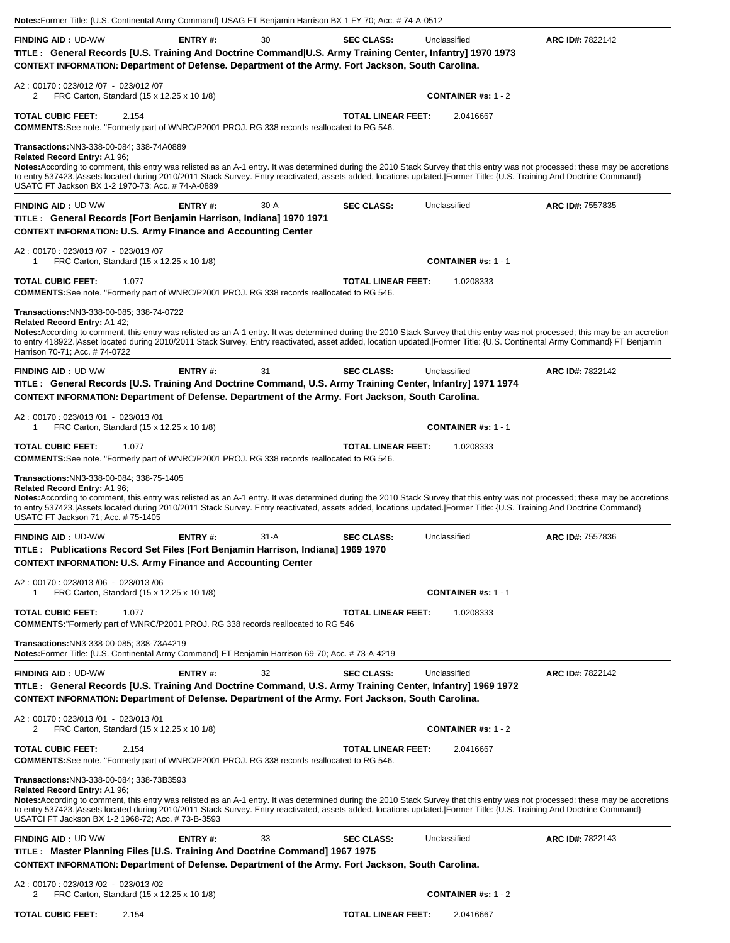| <b>FINDING AID: UD-WW</b>                                                                                                                                                                                                                                                                                                                                                                                                                                                                 | <b>ENTRY#:</b> | 30     | <b>SEC CLASS:</b>         | Unclassified                                                                                                                                                          | ARC ID#: 7822142 |
|-------------------------------------------------------------------------------------------------------------------------------------------------------------------------------------------------------------------------------------------------------------------------------------------------------------------------------------------------------------------------------------------------------------------------------------------------------------------------------------------|----------------|--------|---------------------------|-----------------------------------------------------------------------------------------------------------------------------------------------------------------------|------------------|
| TITLE: General Records [U.S. Training And Doctrine Command U.S. Army Training Center, Infantry] 1970 1973<br>CONTEXT INFORMATION: Department of Defense. Department of the Army. Fort Jackson, South Carolina.                                                                                                                                                                                                                                                                            |                |        |                           |                                                                                                                                                                       |                  |
| A2: 00170: 023/012 /07 - 023/012 /07                                                                                                                                                                                                                                                                                                                                                                                                                                                      |                |        |                           |                                                                                                                                                                       |                  |
| FRC Carton, Standard (15 x 12.25 x 10 1/8)<br>2                                                                                                                                                                                                                                                                                                                                                                                                                                           |                |        |                           | <b>CONTAINER #s: 1 - 2</b>                                                                                                                                            |                  |
| <b>TOTAL CUBIC FEET:</b><br>2.154<br><b>COMMENTS:</b> See note. "Formerly part of WNRC/P2001 PROJ. RG 338 records reallocated to RG 546.                                                                                                                                                                                                                                                                                                                                                  |                |        | <b>TOTAL LINEAR FEET:</b> | 2.0416667                                                                                                                                                             |                  |
| Transactions:NN3-338-00-084; 338-74A0889<br>Related Record Entry: A1 96;<br>Notes: According to comment, this entry was relisted as an A-1 entry. It was determined during the 2010 Stack Survey that this entry was not processed; these may be accretions<br>to entry 537423. Assets located during 2010/2011 Stack Survey. Entry reactivated, assets added, locations updated. Former Title: {U.S. Training And Doctrine Command}<br>USATC FT Jackson BX 1-2 1970-73; Acc. # 74-A-0889 |                |        |                           |                                                                                                                                                                       |                  |
| <b>FINDING AID: UD-WW</b><br>TITLE: General Records [Fort Benjamin Harrison, Indiana] 1970 1971                                                                                                                                                                                                                                                                                                                                                                                           | <b>ENTRY#:</b> | $30-A$ | <b>SEC CLASS:</b>         | Unclassified                                                                                                                                                          | ARC ID#: 7557835 |
| <b>CONTEXT INFORMATION: U.S. Army Finance and Accounting Center</b>                                                                                                                                                                                                                                                                                                                                                                                                                       |                |        |                           |                                                                                                                                                                       |                  |
| A2: 00170: 023/013 /07 - 023/013 /07<br>FRC Carton, Standard (15 x 12.25 x 10 1/8)<br>-1                                                                                                                                                                                                                                                                                                                                                                                                  |                |        |                           | <b>CONTAINER #s: 1 - 1</b>                                                                                                                                            |                  |
| <b>TOTAL CUBIC FEET:</b><br>1.077<br><b>COMMENTS:</b> See note. "Formerly part of WNRC/P2001 PROJ. RG 338 records reallocated to RG 546.                                                                                                                                                                                                                                                                                                                                                  |                |        | <b>TOTAL LINEAR FEET:</b> | 1.0208333                                                                                                                                                             |                  |
| Transactions: NN3-338-00-085; 338-74-0722<br>Related Record Entry: A1 42;<br>Notes: According to comment, this entry was relisted as an A-1 entry. It was determined during the 2010 Stack Survey that this entry was not processed; this may be an accretion<br>to entry 418922. Asset located during 2010/2011 Stack Survey. Entry reactivated, asset added, location updated.  Former Title: {U.S. Continental Army Command} FT Benjamin<br>Harrison 70-71; Acc. # 74-0722             |                |        |                           |                                                                                                                                                                       |                  |
| <b>FINDING AID: UD-WW</b><br>TITLE: General Records [U.S. Training And Doctrine Command, U.S. Army Training Center, Infantry] 1971 1974<br>CONTEXT INFORMATION: Department of Defense. Department of the Army. Fort Jackson, South Carolina.                                                                                                                                                                                                                                              | <b>ENTRY#:</b> | 31     | <b>SEC CLASS:</b>         | Unclassified                                                                                                                                                          | ARC ID#: 7822142 |
| A2: 00170: 023/013 /01 - 023/013 /01<br>FRC Carton, Standard (15 x 12.25 x 10 1/8)<br>1                                                                                                                                                                                                                                                                                                                                                                                                   |                |        |                           | <b>CONTAINER #s: 1 - 1</b>                                                                                                                                            |                  |
| <b>TOTAL CUBIC FEET:</b><br>1.077<br><b>COMMENTS:</b> See note. "Formerly part of WNRC/P2001 PROJ. RG 338 records reallocated to RG 546.                                                                                                                                                                                                                                                                                                                                                  |                |        | <b>TOTAL LINEAR FEET:</b> | 1.0208333                                                                                                                                                             |                  |
| Transactions: NN3-338-00-084; 338-75-1405<br>Related Record Entry: A1 96;<br>Notes: According to comment, this entry was relisted as an A-1 entry. It was determined during the 2010 Stack Survey that this entry was not processed; these may be accretions<br>to entry 537423. Assets located during 2010/2011 Stack Survey. Entry reactivated, assets added, locations updated. Former Title: {U.S. Training And Doctrine Command}<br>USATC FT Jackson 71; Acc. # 75-1405              |                |        |                           |                                                                                                                                                                       |                  |
| <b>FINDING AID: UD-WW</b><br>TITLE : Publications Record Set Files [Fort Benjamin Harrison, Indiana] 1969 1970<br><b>CONTEXT INFORMATION: U.S. Army Finance and Accounting Center</b>                                                                                                                                                                                                                                                                                                     | ENTRY#:        | 31-A   | <b>SEC CLASS:</b>         | Unclassified                                                                                                                                                          | ARC ID#: 7557836 |
| A2: 00170: 023/013 /06 - 023/013 /06<br>FRC Carton, Standard (15 x 12.25 x 10 1/8)<br>1                                                                                                                                                                                                                                                                                                                                                                                                   |                |        |                           | <b>CONTAINER #s: 1 - 1</b>                                                                                                                                            |                  |
| <b>TOTAL CUBIC FEET:</b><br>1.077                                                                                                                                                                                                                                                                                                                                                                                                                                                         |                |        | <b>TOTAL LINEAR FEET:</b> | 1.0208333                                                                                                                                                             |                  |
| <b>COMMENTS:</b> "Formerly part of WNRC/P2001 PROJ. RG 338 records reallocated to RG 546                                                                                                                                                                                                                                                                                                                                                                                                  |                |        |                           |                                                                                                                                                                       |                  |
| Transactions:NN3-338-00-085; 338-73A4219<br>Notes: Former Title: {U.S. Continental Army Command} FT Benjamin Harrison 69-70; Acc. #73-A-4219                                                                                                                                                                                                                                                                                                                                              |                |        |                           |                                                                                                                                                                       |                  |
| <b>FINDING AID: UD-WW</b><br>TITLE: General Records [U.S. Training And Doctrine Command, U.S. Army Training Center, Infantry] 1969 1972<br>CONTEXT INFORMATION: Department of Defense. Department of the Army. Fort Jackson, South Carolina.                                                                                                                                                                                                                                              | ENTRY#:        | 32     | <b>SEC CLASS:</b>         | Unclassified                                                                                                                                                          | ARC ID#: 7822142 |
| A2: 00170: 023/013 /01 - 023/013 /01<br>FRC Carton, Standard (15 x 12.25 x 10 1/8)<br>2                                                                                                                                                                                                                                                                                                                                                                                                   |                |        |                           | <b>CONTAINER</b> #s: $1 - 2$                                                                                                                                          |                  |
| <b>TOTAL CUBIC FEET:</b><br>2.154<br><b>COMMENTS:</b> See note. "Formerly part of WNRC/P2001 PROJ. RG 338 records reallocated to RG 546.                                                                                                                                                                                                                                                                                                                                                  |                |        | <b>TOTAL LINEAR FEET:</b> | 2.0416667                                                                                                                                                             |                  |
| Transactions:NN3-338-00-084; 338-73B3593<br>Related Record Entry: A1 96;<br>Notes: According to comment, this entry was relisted as an A-1 entry. It was determined during the 2010 Stack Survey that this entry was not processed; these may be accretions                                                                                                                                                                                                                               |                |        |                           | to entry 537423. Assets located during 2010/2011 Stack Survey. Entry reactivated, assets added, locations updated. Former Title: {U.S. Training And Doctrine Command} |                  |
| USATCI FT Jackson BX 1-2 1968-72; Acc. # 73-B-3593                                                                                                                                                                                                                                                                                                                                                                                                                                        |                |        |                           |                                                                                                                                                                       |                  |
| <b>FINDING AID: UD-WW</b>                                                                                                                                                                                                                                                                                                                                                                                                                                                                 | <b>ENTRY#:</b> | 33     | <b>SEC CLASS:</b>         | Unclassified                                                                                                                                                          | ARC ID#: 7822143 |
|                                                                                                                                                                                                                                                                                                                                                                                                                                                                                           |                |        |                           |                                                                                                                                                                       |                  |
| TITLE: Master Planning Files [U.S. Training And Doctrine Command] 1967 1975<br>CONTEXT INFORMATION: Department of Defense. Department of the Army. Fort Jackson, South Carolina.<br>A2: 00170: 023/013 /02 - 023/013 /02<br>FRC Carton, Standard (15 x 12.25 x 10 1/8)<br>2                                                                                                                                                                                                               |                |        |                           | <b>CONTAINER #s: 1 - 2</b>                                                                                                                                            |                  |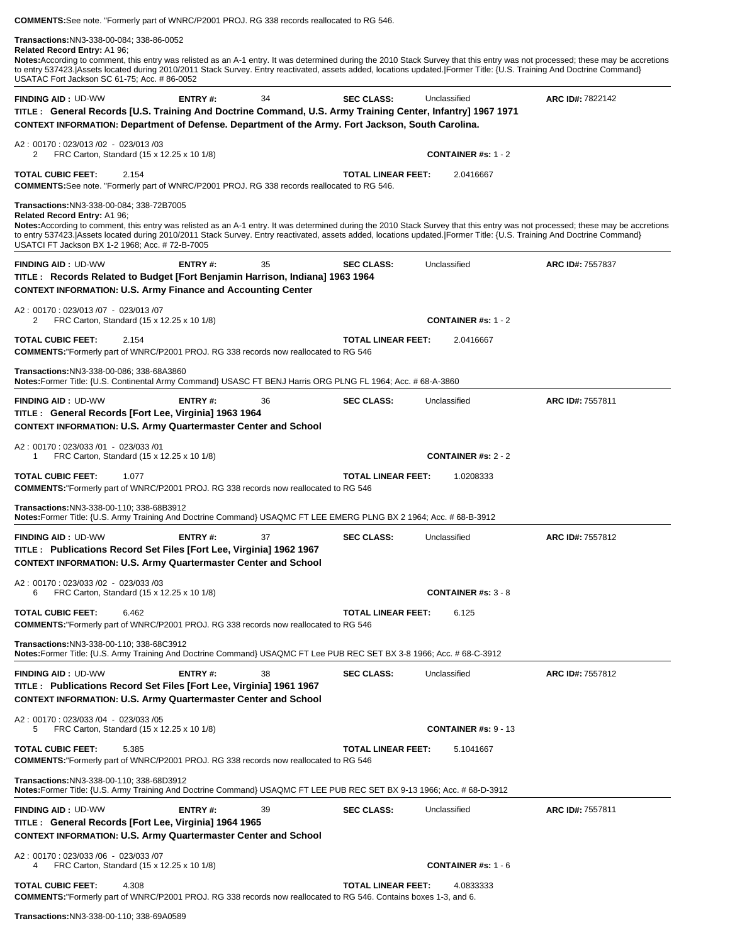**COMMENTS:**See note. "Formerly part of WNRC/P2001 PROJ. RG 338 records reallocated to RG 546. **Transactions:**NN3-338-00-084; 338-86-0052 **Related Record Entry:** A1 96; **Notes:**According to comment, this entry was relisted as an A-1 entry. It was determined during the 2010 Stack Survey that this entry was not processed; these may be accretions to entry 537423. Assets located during 2010/2011 Stack Survey. Entry reactivated, assets added, locations updated. Former Title: {U.S. Training And Doctrine Command} USATAC Fort Jackson SC 61-75; Acc. # 86-0052**FINDING AID :** UD-WW **ENTRY #:** 34 **SEC CLASS:** Unclassified **ARC ID#:** 7822142 **TITLE : General Records [U.S. Training And Doctrine Command, U.S. Army Training Center, Infantry] 1967 1971 CONTEXT INFORMATION: Department of Defense. Department of the Army. Fort Jackson, South Carolina.** A2 : 00170 : 023/013 /02 - 023/013 /03 2 FRC Carton, Standard (15 x 12.25 x 10 1/8) **CONTAINER #s:** 1 - 2 **TOTAL CUBIC FEET:** 2.154 **TOTAL LINEAR FEET:** 2.0416667 **COMMENTS:**See note. "Formerly part of WNRC/P2001 PROJ. RG 338 records reallocated to RG 546. **Transactions:**NN3-338-00-084; 338-72B7005 **Related Record Entry:** A1 96; **Notes:**According to comment, this entry was relisted as an A-1 entry. It was determined during the 2010 Stack Survey that this entry was not processed; these may be accretions to entry 537423.|Assets located during 2010/2011 Stack Survey. Entry reactivated, assets added, locations updated.|Former Title: {U.S. Training And Doctrine Command} USATCI FT Jackson BX 1-2 1968; Acc. # 72-B-7005**FINDING AID :** UD-WW **ENTRY #:** 35 **SEC CLASS:** Unclassified **ARC ID#:** 7557837 **TITLE : Records Related to Budget [Fort Benjamin Harrison, Indiana] 1963 1964 CONTEXT INFORMATION: U.S. Army Finance and Accounting Center** A2 : 00170 : 023/013 /07 - 023/013 /07 2 FRC Carton, Standard (15 x 12.25 x 10 1/8) **CONTAINER #s:** 1 - 2 **TOTAL CUBIC FEET:** 2.154 **TOTAL LINEAR FEET:** 2.0416667 **COMMENTS:**"Formerly part of WNRC/P2001 PROJ. RG 338 records now reallocated to RG 546 **Transactions:**NN3-338-00-086; 338-68A3860 **Notes:**Former Title: {U.S. Continental Army Command} USASC FT BENJ Harris ORG PLNG FL 1964; Acc. # 68-A-3860**FINDING AID :** UD-WW **ENTRY #:** 36 **SEC CLASS:** Unclassified **ARC ID#:** 7557811 **TITLE : General Records [Fort Lee, Virginia] 1963 1964 CONTEXT INFORMATION: U.S. Army Quartermaster Center and School** A2 : 00170 : 023/033 /01 - 023/033 /01 1 FRC Carton, Standard (15 x 12.25 x 10 1/8) **CONTAINER #s:** 2 - 2 **TOTAL CUBIC FEET:** 1.077 **TOTAL LINEAR FEET:** 1.0208333 **COMMENTS:**"Formerly part of WNRC/P2001 PROJ. RG 338 records now reallocated to RG 546 **Transactions:**NN3-338-00-110; 338-68B3912 **Notes:**Former Title: {U.S. Army Training And Doctrine Command} USAQMC FT LEE EMERG PLNG BX 2 1964; Acc. # 68-B-3912**FINDING AID :** UD-WW **ENTRY #:** 37 **SEC CLASS:** Unclassified **ARC ID#:** 7557812 **TITLE : Publications Record Set Files [Fort Lee, Virginia] 1962 1967 CONTEXT INFORMATION: U.S. Army Quartermaster Center and School** A2 : 00170 : 023/033 /02 - 023/033 /03 6 FRC Carton, Standard (15 x 12.25 x 10 1/8) **CONTAINER #s:** 3 - 8 **TOTAL CUBIC FEET:** 6.462 **TOTAL LINEAR FEET:** 6.125 **COMMENTS:**"Formerly part of WNRC/P2001 PROJ. RG 338 records now reallocated to RG 546 **Transactions:**NN3-338-00-110; 338-68C3912 **Notes:**Former Title: {U.S. Army Training And Doctrine Command} USAQMC FT Lee PUB REC SET BX 3-8 1966; Acc. # 68-C-3912**FINDING AID :** UD-WW **ENTRY #:** 38 **SEC CLASS:** Unclassified **ARC ID#:** 7557812 **TITLE : Publications Record Set Files [Fort Lee, Virginia] 1961 1967 CONTEXT INFORMATION: U.S. Army Quartermaster Center and School** A2 : 00170 : 023/033 /04 - 023/033 /05 5 FRC Carton, Standard (15 x 12.25 x 10 1/8) **CONTAINER #s:** 9 - 13 **TOTAL CUBIC FEET:** 5.385 **TOTAL LINEAR FEET:** 5.1041667 **COMMENTS:**"Formerly part of WNRC/P2001 PROJ. RG 338 records now reallocated to RG 546 **Transactions:**NN3-338-00-110; 338-68D3912 **Notes:**Former Title: {U.S. Army Training And Doctrine Command} USAQMC FT LEE PUB REC SET BX 9-13 1966; Acc. # 68-D-3912 **FINDING AID :** UD-WW **ENTRY #:** 39 **SEC CLASS:** Unclassified **ARC ID#:** 7557811 **TITLE : General Records [Fort Lee, Virginia] 1964 1965 CONTEXT INFORMATION: U.S. Army Quartermaster Center and School** A2 : 00170 : 023/033 /06 - 023/033 /07 4 FRC Carton, Standard (15 x 12.25 x 10 1/8) **CONTAINER #s:** 1 - 6 **TOTAL CUBIC FEET:** 4.308 **TOTAL LINEAR FEET:** 4.0833333 **COMMENTS:**"Formerly part of WNRC/P2001 PROJ. RG 338 records now reallocated to RG 546. Contains boxes 1-3, and 6.

**Transactions:**NN3-338-00-110; 338-69A0589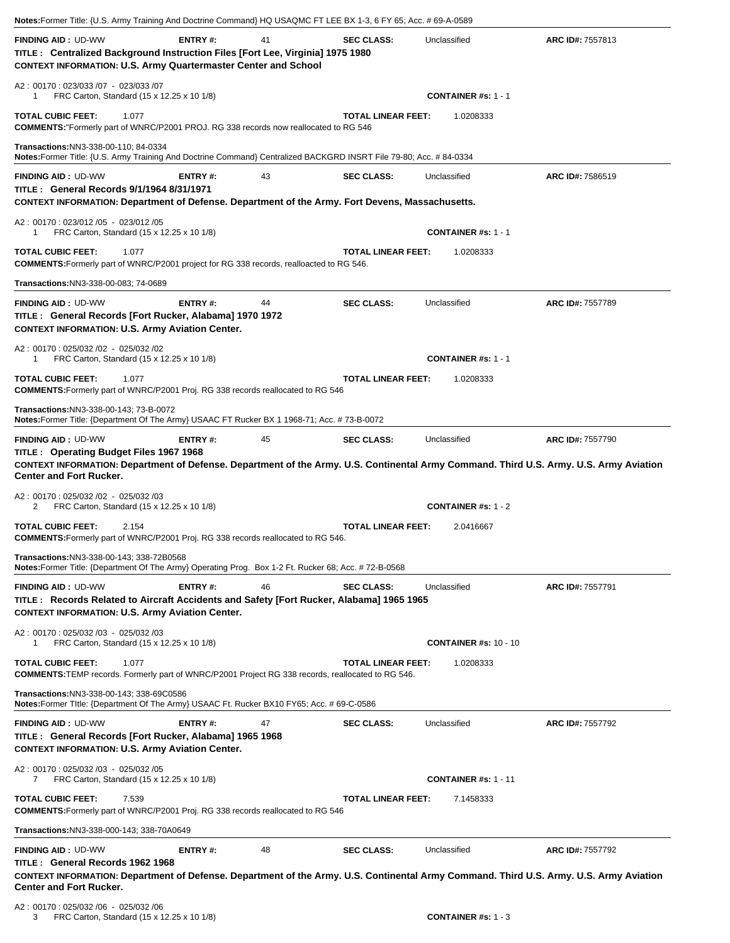| Notes:Former Title: {U.S. Army Training And Doctrine Command} HQ USAQMC FT LEE BX 1-3, 6 FY 65; Acc. # 69-A-0589                                                                                                                                                                         |         |    |                           |                              |                  |
|------------------------------------------------------------------------------------------------------------------------------------------------------------------------------------------------------------------------------------------------------------------------------------------|---------|----|---------------------------|------------------------------|------------------|
| <b>FINDING AID: UD-WW</b><br>TITLE: Centralized Background Instruction Files [Fort Lee, Virginia] 1975 1980<br><b>CONTEXT INFORMATION: U.S. Army Quartermaster Center and School</b>                                                                                                     | ENTRY#: | 41 | <b>SEC CLASS:</b>         | Unclassified                 | ARC ID#: 7557813 |
| A2: 00170: 023/033 /07 - 023/033 /07<br>FRC Carton, Standard (15 x 12.25 x 10 1/8)<br>1                                                                                                                                                                                                  |         |    |                           | <b>CONTAINER #s: 1 - 1</b>   |                  |
| <b>TOTAL CUBIC FEET:</b><br>1.077<br><b>COMMENTS:</b> "Formerly part of WNRC/P2001 PROJ. RG 338 records now reallocated to RG 546                                                                                                                                                        |         |    | <b>TOTAL LINEAR FEET:</b> | 1.0208333                    |                  |
| Transactions: NN3-338-00-110: 84-0334<br>Notes:Former Title: {U.S. Army Training And Doctrine Command} Centralized BACKGRD INSRT File 79-80; Acc. #84-0334                                                                                                                               |         |    |                           |                              |                  |
| <b>FINDING AID: UD-WW</b><br>TITLE : General Records 9/1/1964 8/31/1971<br>CONTEXT INFORMATION: Department of Defense. Department of the Army. Fort Devens, Massachusetts.                                                                                                               | ENTRY#: | 43 | <b>SEC CLASS:</b>         | Unclassified                 | ARC ID#: 7586519 |
| A2: 00170: 023/012 /05 - 023/012 /05<br>FRC Carton, Standard (15 x 12.25 x 10 1/8)<br>1                                                                                                                                                                                                  |         |    |                           | <b>CONTAINER #s: 1 - 1</b>   |                  |
| <b>TOTAL CUBIC FEET:</b><br>1.077<br><b>COMMENTS:</b> Formerly part of WNRC/P2001 project for RG 338 records, realloacted to RG 546.                                                                                                                                                     |         |    | <b>TOTAL LINEAR FEET:</b> | 1.0208333                    |                  |
| Transactions: NN3-338-00-083; 74-0689                                                                                                                                                                                                                                                    |         |    |                           |                              |                  |
| <b>FINDING AID: UD-WW</b><br>TITLE: General Records [Fort Rucker, Alabama] 1970 1972<br><b>CONTEXT INFORMATION: U.S. Army Aviation Center.</b>                                                                                                                                           | ENTRY#: | 44 | <b>SEC CLASS:</b>         | Unclassified                 | ARC ID#: 7557789 |
| A2: 00170: 025/032 /02 - 025/032 /02<br>FRC Carton, Standard (15 x 12.25 x 10 1/8)<br>1                                                                                                                                                                                                  |         |    |                           | <b>CONTAINER #s: 1 - 1</b>   |                  |
| <b>TOTAL CUBIC FEET:</b><br>1.077<br><b>COMMENTS:</b> Formerly part of WNRC/P2001 Proj. RG 338 records reallocated to RG 546                                                                                                                                                             |         |    | <b>TOTAL LINEAR FEET:</b> | 1.0208333                    |                  |
| Transactions:NN3-338-00-143; 73-B-0072<br>Notes: Former Title: {Department Of The Army} USAAC FT Rucker BX 1 1968-71; Acc. #73-B-0072                                                                                                                                                    |         |    |                           |                              |                  |
| <b>FINDING AID: UD-WW</b><br>TITLE: Operating Budget Files 1967 1968<br>CONTEXT INFORMATION: Department of Defense. Department of the Army. U.S. Continental Army Command. Third U.S. Army. U.S. Army Aviation<br><b>Center and Fort Rucker.</b><br>A2: 00170: 025/032 /02 - 025/032 /03 | ENTRY#: | 45 | <b>SEC CLASS:</b>         | Unclassified                 | ARC ID#: 7557790 |
| 2<br>FRC Carton, Standard (15 x 12.25 x 10 1/8)                                                                                                                                                                                                                                          |         |    |                           | <b>CONTAINER #s: 1 - 2</b>   |                  |
| <b>TOTAL CUBIC FEET:</b><br>2.154<br><b>COMMENTS:</b> Formerly part of WNRC/P2001 Proj. RG 338 records reallocated to RG 546.                                                                                                                                                            |         |    | <b>TOTAL LINEAR FEET:</b> | 2.0416667                    |                  |
| Transactions: NN3-338-00-143; 338-72B0568<br>Notes:Former Title: {Department Of The Army} Operating Prog. Box 1-2 Ft. Rucker 68; Acc. # 72-B-0568                                                                                                                                        |         |    |                           |                              |                  |
| <b>FINDING AID: UD-WW</b><br>TITLE: Records Related to Aircraft Accidents and Safety [Fort Rucker, Alabama] 1965 1965<br><b>CONTEXT INFORMATION: U.S. Army Aviation Center.</b>                                                                                                          | ENTRY#: | 46 | <b>SEC CLASS:</b>         | Unclassified                 | ARC ID#: 7557791 |
| A2: 00170: 025/032 /03 - 025/032 /03<br>FRC Carton, Standard (15 x 12.25 x 10 1/8)<br>1                                                                                                                                                                                                  |         |    |                           | <b>CONTAINER #s: 10 - 10</b> |                  |
| 1.077<br><b>TOTAL CUBIC FEET:</b><br>COMMENTS: TEMP records. Formerly part of WNRC/P2001 Project RG 338 records, reallocated to RG 546.                                                                                                                                                  |         |    | <b>TOTAL LINEAR FEET:</b> | 1.0208333                    |                  |
| Transactions:NN3-338-00-143; 338-69C0586<br>Notes:Former Title: {Department Of The Army} USAAC Ft. Rucker BX10 FY65; Acc. # 69-C-0586                                                                                                                                                    |         |    |                           |                              |                  |
| <b>FINDING AID: UD-WW</b><br>TITLE : General Records [Fort Rucker, Alabama] 1965 1968<br><b>CONTEXT INFORMATION: U.S. Army Aviation Center.</b>                                                                                                                                          | ENTRY#: | 47 | <b>SEC CLASS:</b>         | Unclassified                 | ARC ID#: 7557792 |
| A2: 00170: 025/032 /03 - 025/032 /05<br>FRC Carton, Standard (15 x 12.25 x 10 1/8)<br>7                                                                                                                                                                                                  |         |    |                           | <b>CONTAINER #s: 1 - 11</b>  |                  |
| <b>TOTAL CUBIC FEET:</b><br>7.539<br><b>COMMENTS:</b> Formerly part of WNRC/P2001 Proj. RG 338 records reallocated to RG 546                                                                                                                                                             |         |    | <b>TOTAL LINEAR FEET:</b> | 7.1458333                    |                  |
| <b>Transactions: NN3-338-000-143; 338-70A0649</b>                                                                                                                                                                                                                                        |         |    |                           |                              |                  |
| <b>FINDING AID: UD-WW</b><br>TITLE: General Records 1962 1968<br>CONTEXT INFORMATION: Department of Defense. Department of the Army. U.S. Continental Army Command. Third U.S. Army. U.S. Army Aviation<br><b>Center and Fort Rucker.</b><br>A2: 00170: 025/032 /06 - 025/032 /06        | ENTRY#: | 48 | <b>SEC CLASS:</b>         | Unclassified                 | ARC ID#: 7557792 |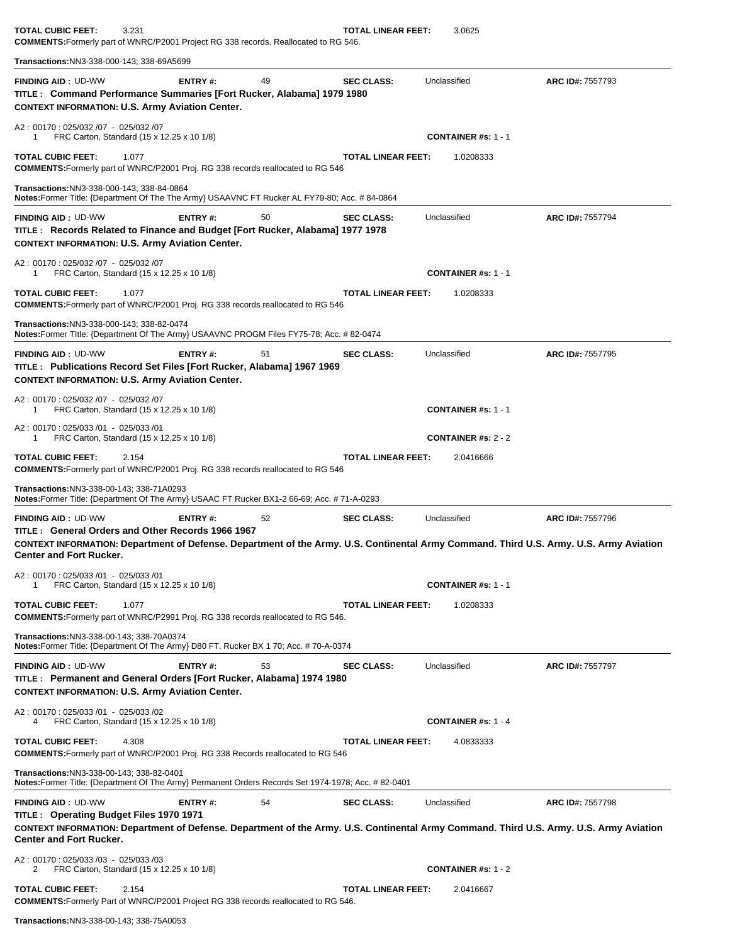**TOTAL CUBIC FEET:** 3.231 **TOTAL LINEAR FEET:** 3.0625 **COMMENTS:**Formerly part of WNRC/P2001 Project RG 338 records. Reallocated to RG 546.

**Transactions:**NN3-338-000-143; 338-69A5699**FINDING AID :** UD-WW **ENTRY #:** 49 **SEC CLASS:** Unclassified **ARC ID#:** 7557793 **TITLE : Command Performance Summaries [Fort Rucker, Alabama] 1979 1980 CONTEXT INFORMATION: U.S. Army Aviation Center.** A2 : 00170 : 025/032 /07 - 025/032 /07 1 FRC Carton, Standard (15 x 12.25 x 10 1/8) **CONTAINER #s:** 1 - 1 **TOTAL CUBIC FEET:** 1.077 **TOTAL LINEAR FEET:** 1.0208333 **COMMENTS:**Formerly part of WNRC/P2001 Proj. RG 338 records reallocated to RG 546 **Transactions:**NN3-338-000-143; 338-84-0864 **Notes:**Former Title: {Department Of The The Army} USAAVNC FT Rucker AL FY79-80; Acc. # 84-0864**FINDING AID :** UD-WW **ENTRY #:** 50 **SEC CLASS:** Unclassified **ARC ID#:** 7557794 **TITLE : Records Related to Finance and Budget [Fort Rucker, Alabama] 1977 1978 CONTEXT INFORMATION: U.S. Army Aviation Center.** A2 : 00170 : 025/032 /07 - 025/032 /07 1 FRC Carton, Standard (15 x 12.25 x 10 1/8) **CONTAINER #s:** 1 - 1 **TOTAL CUBIC FEET:** 1.077 **TOTAL LINEAR FEET:** 1.0208333 **COMMENTS:**Formerly part of WNRC/P2001 Proj. RG 338 records reallocated to RG 546 **Transactions:**NN3-338-000-143; 338-82-0474 **Notes:**Former TItle: {Department Of The Army} USAAVNC PROGM Files FY75-78; Acc. # 82-0474 **FINDING AID :** UD-WW **ENTRY #:** 51 **SEC CLASS:** Unclassified **ARC ID#:** 7557795 **TITLE : Publications Record Set Files [Fort Rucker, Alabama] 1967 1969 CONTEXT INFORMATION: U.S. Army Aviation Center.** A2 : 00170 : 025/032 /07 - 025/032 /07 1 FRC Carton, Standard (15 x 12.25 x 10 1/8) **CONTAINER #s:** 1 - 1 A2 : 00170 : 025/033 /01 - 025/033 /01 1 FRC Carton, Standard (15 x 12.25 x 10 1/8) **CONTAINER #s:** 2 - 2 **TOTAL CUBIC FEET:** 2.154 **TOTAL LINEAR FEET:** 2.0416666 **COMMENTS:**Formerly part of WNRC/P2001 Proj. RG 338 records reallocated to RG 546 **Transactions:**NN3-338-00-143; 338-71A0293 **Notes:**Former Title: {Department Of The Army} USAAC FT Rucker BX1-2 66-69; Acc. # 71-A-0293**FINDING AID :** UD-WW **ENTRY #:** 52 **SEC CLASS:** Unclassified **ARC ID#:** 7557796 **TITLE : General Orders and Other Records 1966 1967 CONTEXT INFORMATION: Department of Defense. Department of the Army. U.S. Continental Army Command. Third U.S. Army. U.S. Army Aviation Center and Fort Rucker.** A2 : 00170 : 025/033 /01 - 025/033 /01 1 FRC Carton, Standard (15 x 12.25 x 10 1/8) **CONTAINER #s:** 1 - 1 **TOTAL CUBIC FEET:** 1.077 **TOTAL LINEAR FEET:** 1.0208333 **COMMENTS:**Formerly part of WNRC/P2991 Proj. RG 338 records reallocated to RG 546. **Transactions:**NN3-338-00-143; 338-70A0374 **Notes:**Former Title: {Department Of The Army} D80 FT. Rucker BX 1 70; Acc. # 70-A-0374**FINDING AID :** UD-WW **ENTRY #:** 53 **SEC CLASS:** Unclassified **ARC ID#:** 7557797 **TITLE : Permanent and General Orders [Fort Rucker, Alabama] 1974 1980 CONTEXT INFORMATION: U.S. Army Aviation Center.** A2 : 00170 : 025/033 /01 - 025/033 /02 4 FRC Carton, Standard (15 x 12.25 x 10 1/8) **CONTAINER #s:** 1 - 4 **TOTAL CUBIC FEET:** 4.308 **TOTAL LINEAR FEET:** 4.0833333 **COMMENTS:**Formerly part of WNRC/P2001 Proj. RG 338 Records reallocated to RG 546 **Transactions:**NN3-338-00-143; 338-82-0401 **Notes:**Former Title: {Department Of The Army} Permanent Orders Records Set 1974-1978; Acc. # 82-0401**FINDING AID :** UD-WW **ENTRY #:** 54 **SEC CLASS:** Unclassified **ARC ID#:** 7557798 **TITLE : Operating Budget Files 1970 1971 CONTEXT INFORMATION: Department of Defense. Department of the Army. U.S. Continental Army Command. Third U.S. Army. U.S. Army Aviation Center and Fort Rucker.** A2 : 00170 : 025/033 /03 - 025/033 /03 2 FRC Carton, Standard (15 x 12.25 x 10 1/8) **CONTAINER #s:** 1 - 2 **TOTAL CUBIC FEET:** 2.154 **TOTAL LINEAR FEET:** 2.0416667 **COMMENTS:**Formerly Part of WNRC/P2001 Project RG 338 records reallocated to RG 546.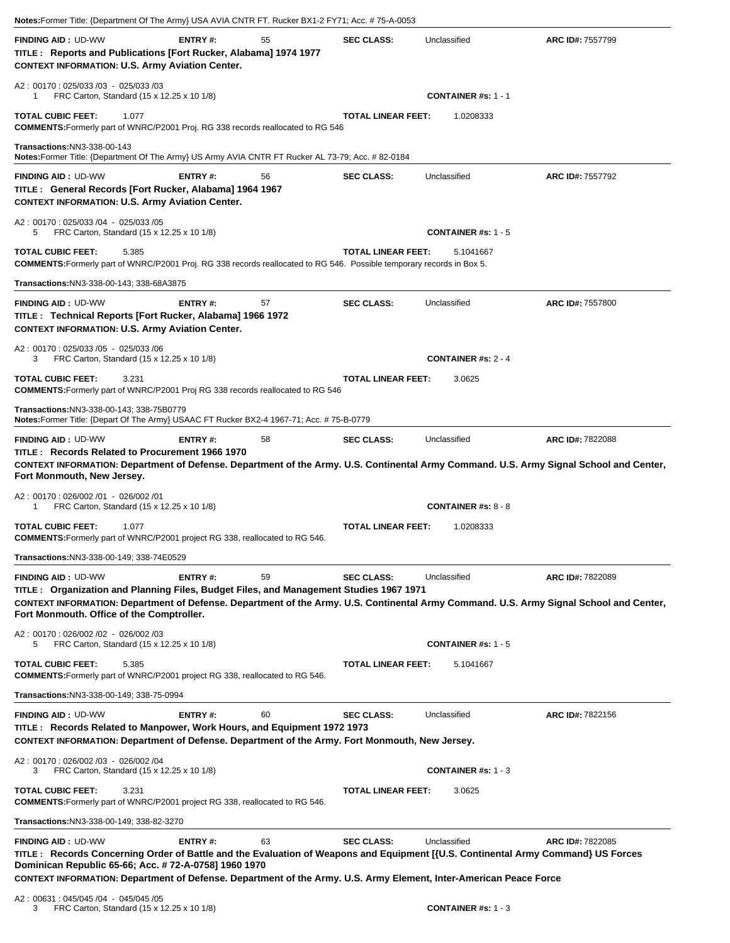|                                                                                                                                                                                                                                                                                                                                             |         | Notes:Former Title: {Department Of The Army} USA AVIA CNTR FT. Rucker BX1-2 FY71; Acc. # 75-A-0053 |                           |                                         |                                                                                                                                                            |
|---------------------------------------------------------------------------------------------------------------------------------------------------------------------------------------------------------------------------------------------------------------------------------------------------------------------------------------------|---------|----------------------------------------------------------------------------------------------------|---------------------------|-----------------------------------------|------------------------------------------------------------------------------------------------------------------------------------------------------------|
| <b>FINDING AID: UD-WW</b><br>TITLE : Reports and Publications [Fort Rucker, Alabama] 1974 1977<br><b>CONTEXT INFORMATION: U.S. Army Aviation Center.</b>                                                                                                                                                                                    | ENTRY#: | 55                                                                                                 | <b>SEC CLASS:</b>         | Unclassified                            | <b>ARC ID#: 7557799</b>                                                                                                                                    |
| A2: 00170: 025/033 /03 - 025/033 /03<br>FRC Carton, Standard (15 x 12.25 x 10 1/8)<br>1                                                                                                                                                                                                                                                     |         |                                                                                                    |                           | <b>CONTAINER #s: 1 - 1</b>              |                                                                                                                                                            |
| <b>TOTAL CUBIC FEET:</b><br>1.077<br>COMMENTS: Formerly part of WNRC/P2001 Proj. RG 338 records reallocated to RG 546                                                                                                                                                                                                                       |         |                                                                                                    | <b>TOTAL LINEAR FEET:</b> | 1.0208333                               |                                                                                                                                                            |
| <b>Transactions: NN3-338-00-143</b><br>Notes: Former Title: {Department Of The Army} US Army AVIA CNTR FT Rucker AL 73-79; Acc. # 82-0184                                                                                                                                                                                                   |         |                                                                                                    |                           |                                         |                                                                                                                                                            |
| <b>FINDING AID: UD-WW</b><br>TITLE: General Records [Fort Rucker, Alabama] 1964 1967<br><b>CONTEXT INFORMATION: U.S. Army Aviation Center.</b>                                                                                                                                                                                              | ENTRY#: | 56                                                                                                 | <b>SEC CLASS:</b>         | Unclassified                            | ARC ID#: 7557792                                                                                                                                           |
| A2: 00170: 025/033 /04 - 025/033 /05<br>FRC Carton, Standard (15 x 12.25 x 10 1/8)<br>5                                                                                                                                                                                                                                                     |         |                                                                                                    |                           | <b>CONTAINER #s: 1 - 5</b>              |                                                                                                                                                            |
| <b>TOTAL CUBIC FEET:</b><br>5.385<br><b>COMMENTS:</b> Formerly part of WNRC/P2001 Proj. RG 338 records reallocated to RG 546. Possible temporary records in Box 5.                                                                                                                                                                          |         |                                                                                                    | <b>TOTAL LINEAR FEET:</b> | 5.1041667                               |                                                                                                                                                            |
| Transactions:NN3-338-00-143; 338-68A3875                                                                                                                                                                                                                                                                                                    |         |                                                                                                    |                           |                                         |                                                                                                                                                            |
| <b>FINDING AID: UD-WW</b><br>TITLE : Technical Reports [Fort Rucker, Alabama] 1966 1972<br><b>CONTEXT INFORMATION: U.S. Army Aviation Center.</b>                                                                                                                                                                                           | ENTRY#: | 57                                                                                                 | <b>SEC CLASS:</b>         | Unclassified                            | ARC ID#: 7557800                                                                                                                                           |
| A2: 00170: 025/033 /05 - 025/033 /06<br>FRC Carton, Standard (15 x 12.25 x 10 1/8)<br>3                                                                                                                                                                                                                                                     |         |                                                                                                    |                           | <b>CONTAINER #s: 2 - 4</b>              |                                                                                                                                                            |
| <b>TOTAL CUBIC FEET:</b><br>3.231<br><b>COMMENTS:</b> Formerly part of WNRC/P2001 Proj RG 338 records reallocated to RG 546                                                                                                                                                                                                                 |         |                                                                                                    | <b>TOTAL LINEAR FEET:</b> | 3.0625                                  |                                                                                                                                                            |
| Transactions: NN3-338-00-143; 338-75B0779<br>Notes: Former Title: {Depart Of The Army} USAAC FT Rucker BX2-4 1967-71; Acc. # 75-B-0779                                                                                                                                                                                                      |         |                                                                                                    |                           |                                         |                                                                                                                                                            |
| TITLE: Records Related to Procurement 1966 1970<br>Fort Monmouth, New Jersey.                                                                                                                                                                                                                                                               |         |                                                                                                    |                           |                                         | CONTEXT INFORMATION: Department of Defense. Department of the Army. U.S. Continental Army Command. U.S. Army Signal School and Center,                     |
| A2: 00170: 026/002 /01 - 026/002 /01                                                                                                                                                                                                                                                                                                        |         |                                                                                                    |                           |                                         |                                                                                                                                                            |
| FRC Carton, Standard (15 x 12.25 x 10 1/8)<br>1<br><b>TOTAL CUBIC FEET:</b><br>1.077                                                                                                                                                                                                                                                        |         |                                                                                                    | <b>TOTAL LINEAR FEET:</b> | <b>CONTAINER #s: 8 - 8</b><br>1.0208333 |                                                                                                                                                            |
| COMMENTS: Formerly part of WNRC/P2001 project RG 338, reallocated to RG 546.                                                                                                                                                                                                                                                                |         |                                                                                                    |                           |                                         |                                                                                                                                                            |
| Transactions: NN3-338-00-149; 338-74E0529                                                                                                                                                                                                                                                                                                   |         |                                                                                                    |                           |                                         |                                                                                                                                                            |
| <b>FINDING AID: UD-WW</b><br>TITLE: Organization and Planning Files, Budget Files, and Management Studies 1967 1971                                                                                                                                                                                                                         | ENTRY#: | 59                                                                                                 | <b>SEC CLASS:</b>         | Unclassified                            | ARC ID#: 7822089                                                                                                                                           |
| Fort Monmouth. Office of the Comptroller.                                                                                                                                                                                                                                                                                                   |         |                                                                                                    |                           |                                         |                                                                                                                                                            |
| A2: 00170: 026/002 /02 - 026/002 /03<br>FRC Carton, Standard (15 x 12.25 x 10 1/8)<br>5                                                                                                                                                                                                                                                     |         |                                                                                                    |                           | <b>CONTAINER #s: 1 - 5</b>              |                                                                                                                                                            |
| TOTAL CUBIC FEET:<br>5.385<br><b>COMMENTS:</b> Formerly part of WNRC/P2001 project RG 338, reallocated to RG 546.                                                                                                                                                                                                                           |         |                                                                                                    | <b>TOTAL LINEAR FEET:</b> | 5.1041667                               |                                                                                                                                                            |
| Transactions: NN3-338-00-149; 338-75-0994                                                                                                                                                                                                                                                                                                   |         |                                                                                                    |                           |                                         |                                                                                                                                                            |
| <b>FINDING AID: UD-WW</b><br>TITLE: Records Related to Manpower, Work Hours, and Equipment 1972 1973<br>CONTEXT INFORMATION: Department of Defense. Department of the Army. Fort Monmouth, New Jersey.                                                                                                                                      | ENTRY#: | 60                                                                                                 | <b>SEC CLASS:</b>         | Unclassified                            | ARC ID#: 7822156                                                                                                                                           |
| A2: 00170: 026/002 /03 - 026/002 /04<br>FRC Carton, Standard (15 x 12.25 x 10 1/8)<br>3                                                                                                                                                                                                                                                     |         |                                                                                                    |                           | <b>CONTAINER #s: 1 - 3</b>              |                                                                                                                                                            |
| TOTAL CUBIC FEET:<br>3.231<br><b>COMMENTS:</b> Formerly part of WNRC/P2001 project RG 338, reallocated to RG 546.                                                                                                                                                                                                                           |         |                                                                                                    | <b>TOTAL LINEAR FEET:</b> | 3.0625                                  |                                                                                                                                                            |
| Transactions:NN3-338-00-149; 338-82-3270                                                                                                                                                                                                                                                                                                    |         |                                                                                                    |                           |                                         |                                                                                                                                                            |
| <b>FINDING AID: UD-WW</b><br>TITLE: Records Concerning Order of Battle and the Evaluation of Weapons and Equipment [{U.S. Continental Army Command} US Forces<br>Dominican Republic 65-66; Acc. # 72-A-0758] 1960 1970<br>CONTEXT INFORMATION: Department of Defense. Department of the Army. U.S. Army Element, Inter-American Peace Force | ENTRY#: | 63                                                                                                 | <b>SEC CLASS:</b>         | Unclassified                            | CONTEXT INFORMATION: Department of Defense. Department of the Army. U.S. Continental Army Command. U.S. Army Signal School and Center,<br>ARC ID#: 7822085 |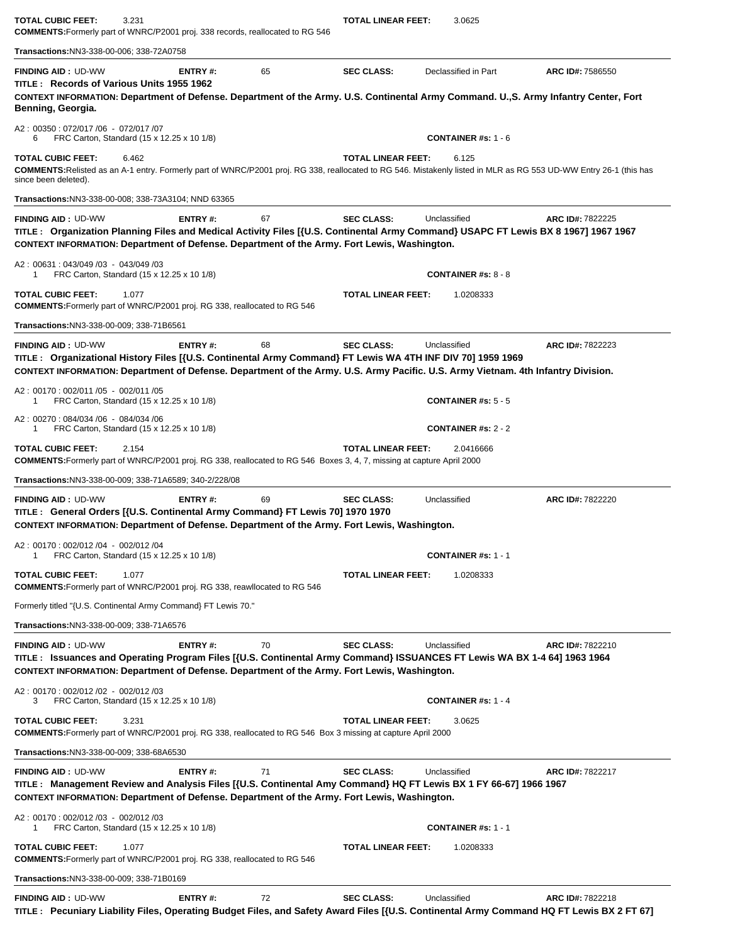| TOTAL CUBIC FEET:<br>3.231<br><b>COMMENTS:</b> Formerly part of WNRC/P2001 proj. 338 records, reallocated to RG 546                                                                                                                                                                    |    | TOTAL LINEAR FEET:        | 3.0625                                  |                  |
|----------------------------------------------------------------------------------------------------------------------------------------------------------------------------------------------------------------------------------------------------------------------------------------|----|---------------------------|-----------------------------------------|------------------|
| Transactions:NN3-338-00-006; 338-72A0758                                                                                                                                                                                                                                               |    |                           |                                         |                  |
| <b>FINDING AID: UD-WW</b><br>ENTRY#:<br>TITLE: Records of Various Units 1955 1962<br>CONTEXT INFORMATION: Department of Defense. Department of the Army. U.S. Continental Army Command. U., S. Army Infantry Center, Fort<br>Benning, Georgia.                                         | 65 | <b>SEC CLASS:</b>         | Declassified in Part                    | ARC ID#: 7586550 |
| A2: 00350: 072/017 /06 - 072/017 /07<br>FRC Carton, Standard (15 x 12.25 x 10 1/8)<br>6                                                                                                                                                                                                |    |                           | <b>CONTAINER #s: 1 - 6</b>              |                  |
| <b>TOTAL CUBIC FEET:</b><br>6.462<br>COMMENTS:Relisted as an A-1 entry. Formerly part of WNRC/P2001 proj. RG 338, reallocated to RG 546. Mistakenly listed in MLR as RG 553 UD-WW Entry 26-1 (this has<br>since been deleted).                                                         |    | <b>TOTAL LINEAR FEET:</b> | 6.125                                   |                  |
| <b>Transactions: NN3-338-00-008; 338-73A3104; NND 63365</b>                                                                                                                                                                                                                            |    |                           |                                         |                  |
| <b>FINDING AID: UD-WW</b><br>ENTRY#:<br>TITLE: Organization Planning Files and Medical Activity Files [{U.S. Continental Army Command} USAPC FT Lewis BX 8 1967] 1967 1967<br>CONTEXT INFORMATION: Department of Defense. Department of the Army. Fort Lewis, Washington.              | 67 | <b>SEC CLASS:</b>         | Unclassified                            | ARC ID#: 7822225 |
| A2: 00631: 043/049 /03 - 043/049 /03<br>FRC Carton, Standard (15 x 12.25 x 10 1/8)<br>1                                                                                                                                                                                                |    |                           | <b>CONTAINER #s: 8 - 8</b>              |                  |
| <b>TOTAL CUBIC FEET:</b><br>1.077<br><b>COMMENTS:</b> Formerly part of WNRC/P2001 proj. RG 338, reallocated to RG 546                                                                                                                                                                  |    | <b>TOTAL LINEAR FEET:</b> | 1.0208333                               |                  |
| Transactions:NN3-338-00-009; 338-71B6561                                                                                                                                                                                                                                               |    |                           |                                         |                  |
| ENTRY#:<br><b>FINDING AID: UD-WW</b><br>TITLE: Organizational History Files [{U.S. Continental Army Command} FT Lewis WA 4TH INF DIV 70] 1959 1969<br>CONTEXT INFORMATION: Department of Defense. Department of the Army. U.S. Army Pacific. U.S. Army Vietnam. 4th Infantry Division. | 68 | <b>SEC CLASS:</b>         | Unclassified                            | ARC ID#: 7822223 |
| A2: 00170: 002/011 /05 - 002/011 /05<br>FRC Carton, Standard (15 x 12.25 x 10 1/8)<br>1                                                                                                                                                                                                |    |                           | <b>CONTAINER #s: <math>5 - 5</math></b> |                  |
| A2: 00270: 084/034 /06 - 084/034 /06<br>FRC Carton, Standard (15 x 12.25 x 10 1/8)<br>1                                                                                                                                                                                                |    |                           | <b>CONTAINER #s: 2 - 2</b>              |                  |
| <b>TOTAL CUBIC FEET:</b><br>2.154<br><b>COMMENTS:</b> Formerly part of WNRC/P2001 proj. RG 338, reallocated to RG 546 Boxes 3, 4, 7, missing at capture April 2000                                                                                                                     |    | <b>TOTAL LINEAR FEET:</b> | 2.0416666                               |                  |
| Transactions:NN3-338-00-009; 338-71A6589; 340-2/228/08                                                                                                                                                                                                                                 |    |                           |                                         |                  |
| <b>FINDING AID: UD-WW</b><br><b>ENTRY#:</b><br>TITLE : General Orders [{U.S. Continental Army Command} FT Lewis 70] 1970 1970<br>CONTEXT INFORMATION: Department of Defense. Department of the Army. Fort Lewis, Washington.                                                           | 69 | <b>SEC CLASS:</b>         | Unclassified                            | ARC ID#: 7822220 |
| A2: 00170: 002/012 /04 - 002/012 /04<br>1<br>FRC Carton, Standard (15 x 12.25 x 10 1/8)                                                                                                                                                                                                |    |                           | <b>CONTAINER #s: 1 - 1</b>              |                  |
| <b>TOTAL CUBIC FEET:</b><br>1.077<br><b>COMMENTS:</b> Formerly part of WNRC/P2001 proj. RG 338, reawllocated to RG 546                                                                                                                                                                 |    | <b>TOTAL LINEAR FEET:</b> | 1.0208333                               |                  |
| Formerly titled "{U.S. Continental Army Command} FT Lewis 70."                                                                                                                                                                                                                         |    |                           |                                         |                  |
| Transactions: NN3-338-00-009; 338-71A6576                                                                                                                                                                                                                                              |    |                           |                                         |                  |
| <b>ENTRY#:</b><br><b>FINDING AID: UD-WW</b><br>TITLE: Issuances and Operating Program Files [{U.S. Continental Army Command} ISSUANCES FT Lewis WA BX 1-4 64] 1963 1964<br>CONTEXT INFORMATION: Department of Defense. Department of the Army. Fort Lewis, Washington.                 | 70 | <b>SEC CLASS:</b>         | Unclassified                            | ARC ID#: 7822210 |
| A2: 00170: 002/012 /02 - 002/012 /03<br>FRC Carton, Standard (15 x 12.25 x 10 1/8)<br>3                                                                                                                                                                                                |    |                           | <b>CONTAINER #s: 1 - 4</b>              |                  |
| <b>TOTAL CUBIC FEET:</b><br>3.231<br>COMMENTS: Formerly part of WNRC/P2001 proj. RG 338, reallocated to RG 546 Box 3 missing at capture April 2000                                                                                                                                     |    | <b>TOTAL LINEAR FEET:</b> | 3.0625                                  |                  |
| Transactions: NN3-338-00-009; 338-68A6530                                                                                                                                                                                                                                              |    |                           |                                         |                  |
| <b>FINDING AID: UD-WW</b><br>ENTRY#:<br>TITLE: Management Review and Analysis Files [{U.S. Continental Amy Command} HQ FT Lewis BX 1 FY 66-67] 1966 1967<br>CONTEXT INFORMATION: Department of Defense. Department of the Army. Fort Lewis, Washington.                                | 71 | <b>SEC CLASS:</b>         | Unclassified                            | ARC ID#: 7822217 |
| A2: 00170: 002/012 /03 - 002/012 /03<br>FRC Carton, Standard (15 x 12.25 x 10 1/8)<br>1                                                                                                                                                                                                |    |                           | <b>CONTAINER #s: 1 - 1</b>              |                  |
| <b>TOTAL CUBIC FEET:</b><br>1.077<br><b>COMMENTS:</b> Formerly part of WNRC/P2001 proj. RG 338, reallocated to RG 546                                                                                                                                                                  |    | <b>TOTAL LINEAR FEET:</b> | 1.0208333                               |                  |
| Transactions:NN3-338-00-009; 338-71B0169                                                                                                                                                                                                                                               |    |                           |                                         |                  |
| <b>FINDING AID: UD-WW</b><br><b>ENTRY#:</b>                                                                                                                                                                                                                                            | 72 | <b>SEC CLASS:</b>         | Unclassified                            | ARC ID#: 7822218 |

**TITLE : Pecuniary Liability Files, Operating Budget Files, and Safety Award Files [{U.S. Continental Army Command HQ FT Lewis BX 2 FT 67]**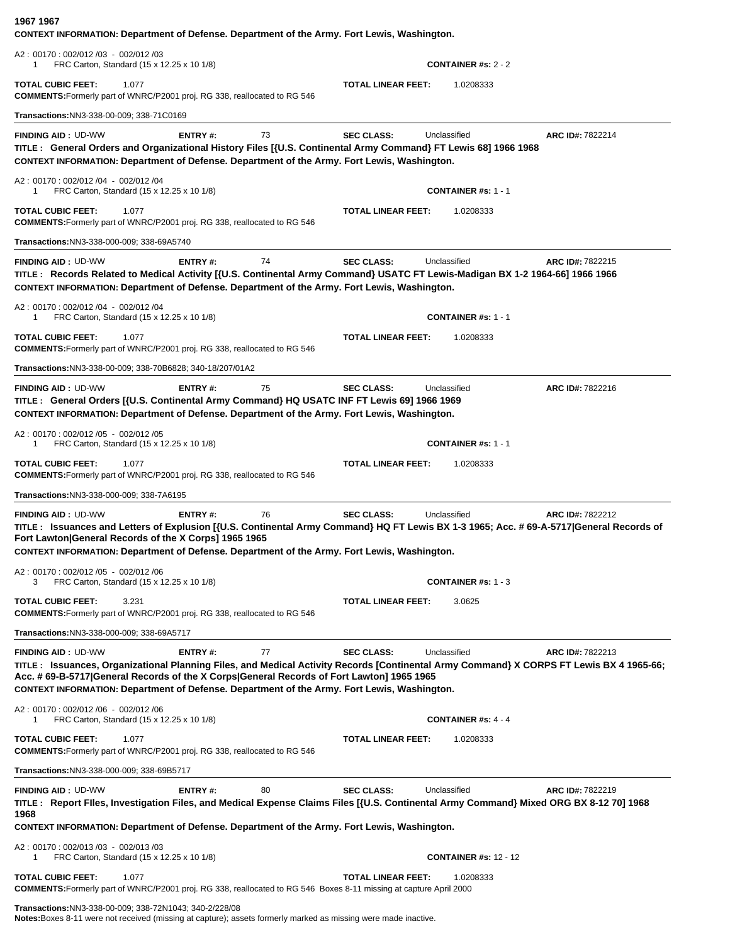| 1967 1967<br>CONTEXT INFORMATION: Department of Defense. Department of the Army. Fort Lewis, Washington.                                                                                                                                                                                                                                                         |         |    |                           |                              |                  |
|------------------------------------------------------------------------------------------------------------------------------------------------------------------------------------------------------------------------------------------------------------------------------------------------------------------------------------------------------------------|---------|----|---------------------------|------------------------------|------------------|
| A2: 00170: 002/012 /03 - 002/012 /03<br>FRC Carton, Standard (15 x 12.25 x 10 1/8)<br>-1                                                                                                                                                                                                                                                                         |         |    |                           | <b>CONTAINER #s: 2 - 2</b>   |                  |
| <b>TOTAL CUBIC FEET:</b><br>1.077<br><b>COMMENTS:</b> Formerly part of WNRC/P2001 proj. RG 338, reallocated to RG 546                                                                                                                                                                                                                                            |         |    | TOTAL LINEAR FEET:        | 1.0208333                    |                  |
| Transactions: NN3-338-00-009; 338-71C0169                                                                                                                                                                                                                                                                                                                        |         |    |                           |                              |                  |
| <b>FINDING AID: UD-WW</b><br>TITLE: General Orders and Organizational History Files [{U.S. Continental Army Command} FT Lewis 68] 1966 1968<br>CONTEXT INFORMATION: Department of Defense. Department of the Army. Fort Lewis, Washington.                                                                                                                       | ENTRY#: | 73 | <b>SEC CLASS:</b>         | Unclassified                 | ARC ID#: 7822214 |
| A2: 00170: 002/012 /04 - 002/012 /04<br>FRC Carton, Standard (15 x 12.25 x 10 1/8)                                                                                                                                                                                                                                                                               |         |    |                           | <b>CONTAINER #s: 1 - 1</b>   |                  |
| <b>TOTAL CUBIC FEET:</b><br>1.077<br>COMMENTS: Formerly part of WNRC/P2001 proj. RG 338, reallocated to RG 546                                                                                                                                                                                                                                                   |         |    | <b>TOTAL LINEAR FEET:</b> | 1.0208333                    |                  |
| Transactions:NN3-338-000-009; 338-69A5740                                                                                                                                                                                                                                                                                                                        |         |    |                           |                              |                  |
| <b>FINDING AID: UD-WW</b><br>TITLE: Records Related to Medical Activity [{U.S. Continental Army Command} USATC FT Lewis-Madigan BX 1-2 1964-66] 1966 1966<br>CONTEXT INFORMATION: Department of Defense. Department of the Army. Fort Lewis, Washington.                                                                                                         | ENTRY#: | 74 | <b>SEC CLASS:</b>         | Unclassified                 | ARC ID#: 7822215 |
| A2: 00170: 002/012 /04 - 002/012 /04<br>FRC Carton, Standard (15 x 12.25 x 10 1/8)<br>1                                                                                                                                                                                                                                                                          |         |    |                           | <b>CONTAINER #s: 1 - 1</b>   |                  |
| <b>TOTAL CUBIC FEET:</b><br>1.077<br><b>COMMENTS:</b> Formerly part of WNRC/P2001 proj. RG 338, reallocated to RG 546                                                                                                                                                                                                                                            |         |    | <b>TOTAL LINEAR FEET:</b> | 1.0208333                    |                  |
| Transactions:NN3-338-00-009; 338-70B6828; 340-18/207/01A2                                                                                                                                                                                                                                                                                                        |         |    |                           |                              |                  |
| <b>FINDING AID: UD-WW</b><br>TITLE : General Orders [{U.S. Continental Army Command} HQ USATC INF FT Lewis 69] 1966 1969<br>CONTEXT INFORMATION: Department of Defense. Department of the Army. Fort Lewis, Washington.                                                                                                                                          | ENTRY#: | 75 | <b>SEC CLASS:</b>         | Unclassified                 | ARC ID#: 7822216 |
| A2: 00170: 002/012 /05 - 002/012 /05<br>FRC Carton, Standard (15 x 12.25 x 10 1/8)                                                                                                                                                                                                                                                                               |         |    |                           | <b>CONTAINER #s: 1 - 1</b>   |                  |
| <b>TOTAL CUBIC FEET:</b><br>1.077<br><b>COMMENTS:</b> Formerly part of WNRC/P2001 proj. RG 338, reallocated to RG 546                                                                                                                                                                                                                                            |         |    | <b>TOTAL LINEAR FEET:</b> | 1.0208333                    |                  |
| Transactions: NN3-338-000-009; 338-7A6195                                                                                                                                                                                                                                                                                                                        |         |    |                           |                              |                  |
| <b>FINDING AID: UD-WW</b><br>TITLE: Issuances and Letters of Explusion [{U.S. Continental Army Command} HQ FT Lewis BX 1-3 1965; Acc. # 69-A-5717 General Records of<br>Fort Lawton General Records of the X Corps] 1965 1965<br>CONTEXT INFORMATION: Department of Defense. Department of the Army. Fort Lewis, Washington.                                     | ENTRY#: | 76 | <b>SEC CLASS:</b>         | Unclassified                 | ARC ID#: 7822212 |
| A2: 00170: 002/012 /05 - 002/012 /06<br>FRC Carton, Standard (15 x 12.25 x 10 1/8)<br>3                                                                                                                                                                                                                                                                          |         |    |                           | <b>CONTAINER #s: 1 - 3</b>   |                  |
| <b>TOTAL CUBIC FEET:</b><br>3.231<br><b>COMMENTS:</b> Formerly part of WNRC/P2001 proj. RG 338, reallocated to RG 546                                                                                                                                                                                                                                            |         |    | <b>TOTAL LINEAR FEET:</b> | 3.0625                       |                  |
| Transactions:NN3-338-000-009; 338-69A5717                                                                                                                                                                                                                                                                                                                        |         |    |                           |                              |                  |
| <b>FINDING AID: UD-WW</b><br>TITLE: Issuances, Organizational Planning Files, and Medical Activity Records [Continental Army Command} X CORPS FT Lewis BX 4 1965-66;<br>Acc. # 69-B-5717 General Records of the X Corps General Records of Fort Lawton] 1965 1965<br>CONTEXT INFORMATION: Department of Defense. Department of the Army. Fort Lewis, Washington. | ENTRY#: | 77 | <b>SEC CLASS:</b>         | Unclassified                 | ARC ID#: 7822213 |
| A2: 00170: 002/012 /06 - 002/012 /06<br>FRC Carton, Standard (15 x 12.25 x 10 1/8)<br>1                                                                                                                                                                                                                                                                          |         |    |                           | CONTAINER #s: $4 - 4$        |                  |
| <b>TOTAL CUBIC FEET:</b><br>1.077<br><b>COMMENTS:</b> Formerly part of WNRC/P2001 proj. RG 338, reallocated to RG 546                                                                                                                                                                                                                                            |         |    | <b>TOTAL LINEAR FEET:</b> | 1.0208333                    |                  |
| Transactions:NN3-338-000-009; 338-69B5717                                                                                                                                                                                                                                                                                                                        |         |    |                           |                              |                  |
| <b>FINDING AID: UD-WW</b><br>TITLE: Report Flles, Investigation Files, and Medical Expense Claims Files [{U.S. Continental Army Command} Mixed ORG BX 8-12 70] 1968<br>1968                                                                                                                                                                                      | ENTRY#: | 80 | <b>SEC CLASS:</b>         | Unclassified                 | ARC ID#: 7822219 |
| CONTEXT INFORMATION: Department of Defense. Department of the Army. Fort Lewis, Washington.                                                                                                                                                                                                                                                                      |         |    |                           |                              |                  |
| A2: 00170: 002/013/03 - 002/013/03<br>FRC Carton, Standard (15 x 12.25 x 10 1/8)<br>1                                                                                                                                                                                                                                                                            |         |    |                           | <b>CONTAINER #s: 12 - 12</b> |                  |
| <b>TOTAL CUBIC FEET:</b><br>1.077<br>COMMENTS: Formerly part of WNRC/P2001 proj. RG 338, reallocated to RG 546 Boxes 8-11 missing at capture April 2000                                                                                                                                                                                                          |         |    | <b>TOTAL LINEAR FEET:</b> | 1.0208333                    |                  |
| Transactions:NN3-338-00-009; 338-72N1043; 340-2/228/08                                                                                                                                                                                                                                                                                                           |         |    |                           |                              |                  |

**Notes:**Boxes 8-11 were not received (missing at capture); assets formerly marked as missing were made inactive.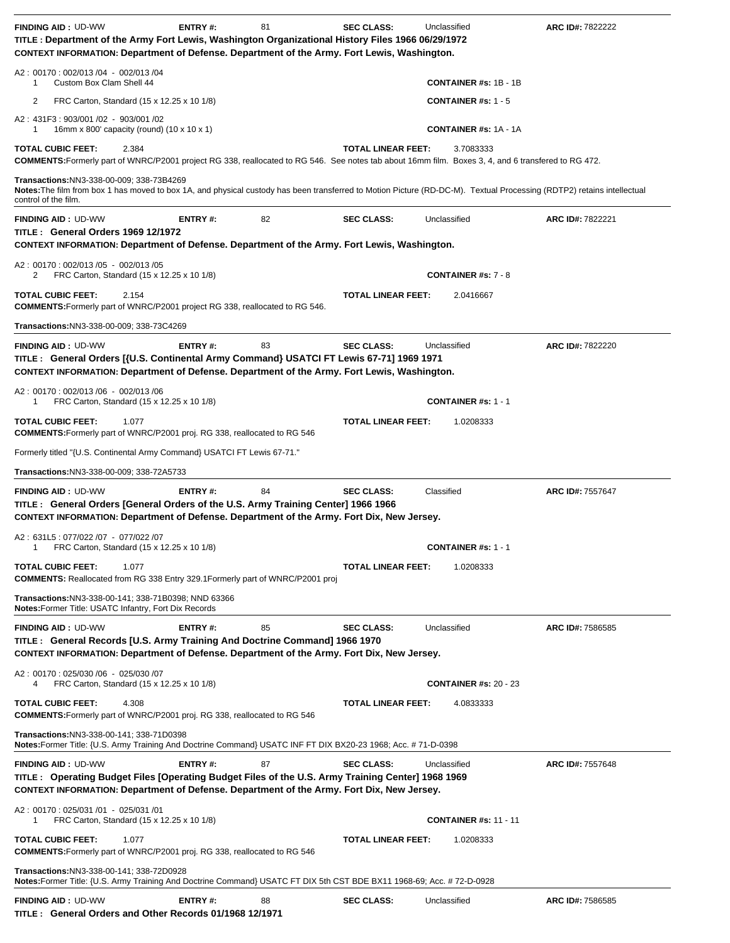| <b>FINDING AID: UD-WW</b><br>TITLE: Department of the Army Fort Lewis, Washington Organizational History Files 1966 06/29/1972<br>CONTEXT INFORMATION: Department of Defense. Department of the Army. Fort Lewis, Washington.               | <b>ENTRY#:</b> | 81 | <b>SEC CLASS:</b>         | Unclassified                 | ARC ID#: 7822222 |
|---------------------------------------------------------------------------------------------------------------------------------------------------------------------------------------------------------------------------------------------|----------------|----|---------------------------|------------------------------|------------------|
| A2: 00170: 002/013 /04 - 002/013 /04<br>Custom Box Clam Shell 44<br>1                                                                                                                                                                       |                |    |                           | <b>CONTAINER #s: 1B - 1B</b> |                  |
| 2<br>FRC Carton, Standard (15 x 12.25 x 10 1/8)                                                                                                                                                                                             |                |    |                           | <b>CONTAINER #s: 1 - 5</b>   |                  |
| A2: 431F3: 903/001 /02 - 903/001 /02<br>16mm x 800' capacity (round) (10 x 10 x 1)<br>1                                                                                                                                                     |                |    |                           | <b>CONTAINER #s: 1A - 1A</b> |                  |
| <b>TOTAL CUBIC FEET:</b><br>2.384                                                                                                                                                                                                           |                |    | <b>TOTAL LINEAR FEET:</b> | 3.7083333                    |                  |
| COMMENTS: Formerly part of WNRC/P2001 project RG 338, reallocated to RG 546. See notes tab about 16mm film. Boxes 3, 4, and 6 transfered to RG 472.                                                                                         |                |    |                           |                              |                  |
| Transactions: NN3-338-00-009; 338-73B4269<br>Notes: The film from box 1 has moved to box 1A, and physical custody has been transferred to Motion Picture (RD-DC-M). Textual Processing (RDTP2) retains intellectual<br>control of the film. |                |    |                           |                              |                  |
| <b>FINDING AID: UD-WW</b><br>TITLE: General Orders 1969 12/1972<br>CONTEXT INFORMATION: Department of Defense. Department of the Army. Fort Lewis, Washington.                                                                              | ENTRY#:        | 82 | <b>SEC CLASS:</b>         | Unclassified                 | ARC ID#: 7822221 |
| A2: 00170: 002/013 /05 - 002/013 /05<br>FRC Carton, Standard (15 x 12.25 x 10 1/8)<br>2                                                                                                                                                     |                |    |                           | <b>CONTAINER #s: 7 - 8</b>   |                  |
| <b>TOTAL CUBIC FEET:</b><br>2.154<br><b>COMMENTS:</b> Formerly part of WNRC/P2001 project RG 338, reallocated to RG 546.                                                                                                                    |                |    | <b>TOTAL LINEAR FEET:</b> | 2.0416667                    |                  |
| Transactions: NN3-338-00-009; 338-73C4269                                                                                                                                                                                                   |                |    |                           |                              |                  |
| <b>FINDING AID: UD-WW</b><br>TITLE : General Orders [{U.S. Continental Army Command} USATCI FT Lewis 67-71] 1969 1971<br>CONTEXT INFORMATION: Department of Defense. Department of the Army. Fort Lewis, Washington.                        | <b>ENTRY#:</b> | 83 | <b>SEC CLASS:</b>         | Unclassified                 | ARC ID#: 7822220 |
| A2: 00170: 002/013 /06 - 002/013 /06<br>FRC Carton, Standard (15 x 12.25 x 10 1/8)<br>1                                                                                                                                                     |                |    |                           | <b>CONTAINER #s: 1 - 1</b>   |                  |
| <b>TOTAL CUBIC FEET:</b><br>1.077<br><b>COMMENTS:</b> Formerly part of WNRC/P2001 proj. RG 338, reallocated to RG 546                                                                                                                       |                |    | <b>TOTAL LINEAR FEET:</b> | 1.0208333                    |                  |
| Formerly titled "{U.S. Continental Army Command} USATCI FT Lewis 67-71."                                                                                                                                                                    |                |    |                           |                              |                  |
|                                                                                                                                                                                                                                             |                |    |                           |                              |                  |
|                                                                                                                                                                                                                                             |                |    |                           |                              |                  |
| Transactions: NN3-338-00-009; 338-72A5733                                                                                                                                                                                                   |                |    |                           | Classified                   |                  |
| <b>FINDING AID: UD-WW</b><br>TITLE : General Orders [General Orders of the U.S. Army Training Center] 1966 1966<br>CONTEXT INFORMATION: Department of Defense. Department of the Army. Fort Dix, New Jersey.                                | ENTRY#:        | 84 | <b>SEC CLASS:</b>         |                              | ARC ID#: 7557647 |
| A2: 631L5: 077/022 /07 - 077/022 /07<br>FRC Carton, Standard (15 x 12.25 x 10 1/8)<br>1                                                                                                                                                     |                |    |                           | <b>CONTAINER #s: 1 - 1</b>   |                  |
| <b>TOTAL CUBIC FEET:</b><br>1.077<br><b>COMMENTS:</b> Reallocated from RG 338 Entry 329.1 Formerly part of WNRC/P2001 proj                                                                                                                  |                |    | <b>TOTAL LINEAR FEET:</b> | 1.0208333                    |                  |
| Transactions:NN3-338-00-141; 338-71B0398; NND 63366<br>Notes: Former Title: USATC Infantry, Fort Dix Records                                                                                                                                |                |    |                           |                              |                  |
| <b>FINDING AID: UD-WW</b><br>TITLE : General Records [U.S. Army Training And Doctrine Command] 1966 1970<br>CONTEXT INFORMATION: Department of Defense. Department of the Army. Fort Dix, New Jersey.                                       | <b>ENTRY#:</b> | 85 | <b>SEC CLASS:</b>         | Unclassified                 | ARC ID#: 7586585 |
| A2: 00170: 025/030 /06 - 025/030 /07<br>FRC Carton, Standard (15 x 12.25 x 10 1/8)<br>4                                                                                                                                                     |                |    |                           | <b>CONTAINER #s: 20 - 23</b> |                  |
| <b>TOTAL CUBIC FEET:</b><br>4.308<br><b>COMMENTS:</b> Formerly part of WNRC/P2001 proj. RG 338, reallocated to RG 546                                                                                                                       |                |    | <b>TOTAL LINEAR FEET:</b> | 4.0833333                    |                  |
| Transactions:NN3-338-00-141; 338-71D0398<br>Notes:Former Title: {U.S. Army Training And Doctrine Command} USATC INF FT DIX BX20-23 1968; Acc. # 71-D-0398                                                                                   |                |    |                           |                              |                  |
| <b>FINDING AID: UD-WW</b><br>TITLE: Operating Budget Files [Operating Budget Files of the U.S. Army Training Center] 1968 1969<br>CONTEXT INFORMATION: Department of Defense. Department of the Army. Fort Dix, New Jersey.                 | <b>ENTRY#:</b> | 87 | <b>SEC CLASS:</b>         | Unclassified                 | ARC ID#: 7557648 |
| A2: 00170: 025/031 /01 - 025/031 /01<br>FRC Carton, Standard (15 x 12.25 x 10 1/8)<br>1                                                                                                                                                     |                |    |                           | <b>CONTAINER #s: 11 - 11</b> |                  |
| <b>TOTAL CUBIC FEET:</b><br>1.077<br>COMMENTS: Formerly part of WNRC/P2001 proj. RG 338, reallocated to RG 546                                                                                                                              |                |    | <b>TOTAL LINEAR FEET:</b> | 1.0208333                    |                  |
| Transactions:NN3-338-00-141; 338-72D0928<br>Notes:Former Title: {U.S. Army Training And Doctrine Command} USATC FT DIX 5th CST BDE BX11 1968-69; Acc. # 72-D-0928                                                                           |                |    |                           |                              |                  |

**TITLE : General Orders and Other Records 01/1968 12/1971**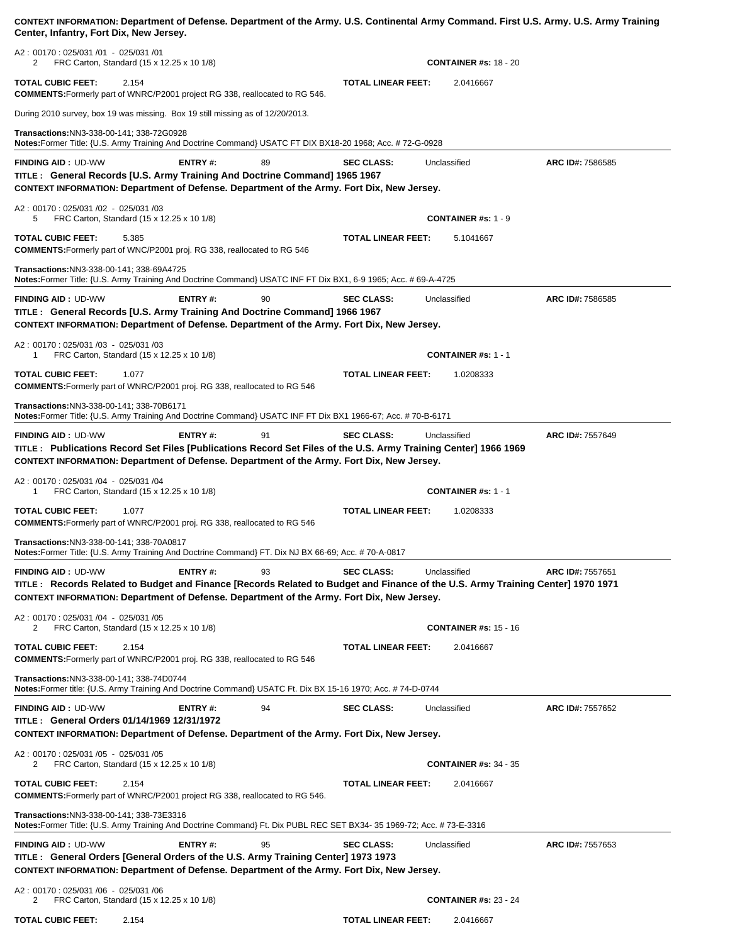| CONTEXT INFORMATION: Department of Defense. Department of the Army. U.S. Continental Army Command. First U.S. Army. U.S. Army Training<br>Center, Infantry, Fort Dix, New Jersey.                                                                                                                 |                |    |                           |                              |                  |
|---------------------------------------------------------------------------------------------------------------------------------------------------------------------------------------------------------------------------------------------------------------------------------------------------|----------------|----|---------------------------|------------------------------|------------------|
| A2: 00170: 025/031 /01 - 025/031 /01<br>FRC Carton, Standard (15 x 12.25 x 10 1/8)<br>2                                                                                                                                                                                                           |                |    |                           | <b>CONTAINER #s: 18 - 20</b> |                  |
| <b>TOTAL CUBIC FEET:</b><br>2.154<br><b>COMMENTS:</b> Formerly part of WNRC/P2001 project RG 338, reallocated to RG 546.                                                                                                                                                                          |                |    | <b>TOTAL LINEAR FEET:</b> | 2.0416667                    |                  |
| During 2010 survey, box 19 was missing. Box 19 still missing as of 12/20/2013.                                                                                                                                                                                                                    |                |    |                           |                              |                  |
| Transactions: NN3-338-00-141; 338-72G0928<br>Notes:Former Title: {U.S. Army Training And Doctrine Command} USATC FT DIX BX18-20 1968; Acc. # 72-G-0928                                                                                                                                            |                |    |                           |                              |                  |
| <b>FINDING AID: UD-WW</b><br>TITLE : General Records [U.S. Army Training And Doctrine Command] 1965 1967<br>CONTEXT INFORMATION: Department of Defense. Department of the Army. Fort Dix, New Jersey.                                                                                             | ENTRY#:        | 89 | <b>SEC CLASS:</b>         | Unclassified                 | ARC ID#: 7586585 |
| A2: 00170: 025/031 /02 - 025/031 /03<br>FRC Carton, Standard (15 x 12.25 x 10 1/8)<br>5                                                                                                                                                                                                           |                |    |                           | <b>CONTAINER #s: 1 - 9</b>   |                  |
| TOTAL CUBIC FEET:<br>5.385<br><b>COMMENTS:</b> Formerly part of WNC/P2001 proj. RG 338, reallocated to RG 546                                                                                                                                                                                     |                |    | <b>TOTAL LINEAR FEET:</b> | 5.1041667                    |                  |
| Transactions:NN3-338-00-141; 338-69A4725<br>Notes:Former Title: {U.S. Army Training And Doctrine Command} USATC INF FT Dix BX1, 6-9 1965; Acc. # 69-A-4725                                                                                                                                        |                |    |                           |                              |                  |
| <b>FINDING AID: UD-WW</b><br>TITLE: General Records [U.S. Army Training And Doctrine Command] 1966 1967<br>CONTEXT INFORMATION: Department of Defense. Department of the Army. Fort Dix, New Jersey.                                                                                              | ENTRY#:        | 90 | <b>SEC CLASS:</b>         | Unclassified                 | ARC ID#: 7586585 |
| A2: 00170: 025/031 /03 - 025/031 /03<br>FRC Carton, Standard (15 x 12.25 x 10 1/8)<br>1                                                                                                                                                                                                           |                |    |                           | <b>CONTAINER #s: 1 - 1</b>   |                  |
| <b>TOTAL CUBIC FEET:</b><br>1.077<br><b>COMMENTS:</b> Formerly part of WNRC/P2001 proj. RG 338, reallocated to RG 546                                                                                                                                                                             |                |    | <b>TOTAL LINEAR FEET:</b> | 1.0208333                    |                  |
| Transactions: NN3-338-00-141; 338-70B6171<br>Notes:Former Title: {U.S. Army Training And Doctrine Command} USATC INF FT Dix BX1 1966-67; Acc. # 70-B-6171                                                                                                                                         |                |    |                           |                              |                  |
| <b>FINDING AID: UD-WW</b><br>TITLE: Publications Record Set Files [Publications Record Set Files of the U.S. Army Training Center] 1966 1969<br>CONTEXT INFORMATION: Department of Defense. Department of the Army. Fort Dix, New Jersey.                                                         | <b>ENTRY#:</b> | 91 | <b>SEC CLASS:</b>         | Unclassified                 | ARC ID#: 7557649 |
| A2: 00170: 025/031 /04 - 025/031 /04<br>FRC Carton, Standard (15 x 12.25 x 10 1/8)<br>1                                                                                                                                                                                                           |                |    |                           | <b>CONTAINER #s: 1 - 1</b>   |                  |
| <b>TOTAL CUBIC FEET:</b><br>1.077<br><b>COMMENTS:</b> Formerly part of WNRC/P2001 proj. RG 338, reallocated to RG 546                                                                                                                                                                             |                |    | <b>TOTAL LINEAR FEET:</b> | 1.0208333                    |                  |
| Transactions: NN3-338-00-141; 338-70A0817<br>Notes:Former Title: {U.S. Army Training And Doctrine Command} FT. Dix NJ BX 66-69; Acc. # 70-A-0817                                                                                                                                                  |                |    |                           |                              |                  |
| <b>FINDING AID: UD-WW</b><br>TITLE: Records Related to Budget and Finance [Records Related to Budget and Finance of the U.S. Army Training Center] 1970 1971<br>CONTEXT INFORMATION: Department of Defense. Department of the Army. Fort Dix, New Jersey.<br>A2: 00170: 025/031 /04 - 025/031 /05 | <b>ENTRY#:</b> | 93 | <b>SEC CLASS:</b>         | Unclassified                 | ARC ID#: 7557651 |
| FRC Carton, Standard (15 x 12.25 x 10 1/8)<br>2                                                                                                                                                                                                                                                   |                |    |                           | <b>CONTAINER #s: 15 - 16</b> |                  |
| TOTAL CUBIC FEET:<br>2.154<br>COMMENTS: Formerly part of WNRC/P2001 proj. RG 338, reallocated to RG 546                                                                                                                                                                                           |                |    | <b>TOTAL LINEAR FEET:</b> | 2.0416667                    |                  |
| Transactions:NN3-338-00-141; 338-74D0744<br>Notes:Former title: {U.S. Army Training And Doctrine Command} USATC Ft. Dix BX 15-16 1970; Acc. # 74-D-0744                                                                                                                                           |                |    |                           |                              |                  |
| <b>FINDING AID: UD-WW</b><br>TITLE: General Orders 01/14/1969 12/31/1972<br>CONTEXT INFORMATION: Department of Defense. Department of the Army. Fort Dix, New Jersey.                                                                                                                             | ENTRY #:       | 94 | <b>SEC CLASS:</b>         | Unclassified                 | ARC ID#: 7557652 |
| A2: 00170: 025/031 /05 - 025/031 /05<br>FRC Carton, Standard (15 x 12.25 x 10 1/8)<br>2                                                                                                                                                                                                           |                |    |                           | <b>CONTAINER #s: 34 - 35</b> |                  |
| <b>TOTAL CUBIC FEET:</b><br>2.154<br>COMMENTS: Formerly part of WNRC/P2001 project RG 338, reallocated to RG 546.                                                                                                                                                                                 |                |    | <b>TOTAL LINEAR FEET:</b> | 2.0416667                    |                  |
| Transactions:NN3-338-00-141; 338-73E3316<br>Notes:Former Title: {U.S. Army Training And Doctrine Command} Ft. Dix PUBL REC SET BX34- 35 1969-72; Acc. # 73-E-3316                                                                                                                                 |                |    |                           |                              |                  |
| <b>FINDING AID: UD-WW</b><br>TITLE : General Orders [General Orders of the U.S. Army Training Center] 1973 1973<br>CONTEXT INFORMATION: Department of Defense. Department of the Army. Fort Dix, New Jersey.                                                                                      | <b>ENTRY#:</b> | 95 | <b>SEC CLASS:</b>         | Unclassified                 | ARC ID#: 7557653 |
| A2: 00170: 025/031 /06 - 025/031 /06<br>2<br>FRC Carton, Standard (15 x 12.25 x 10 1/8)                                                                                                                                                                                                           |                |    |                           | <b>CONTAINER #s: 23 - 24</b> |                  |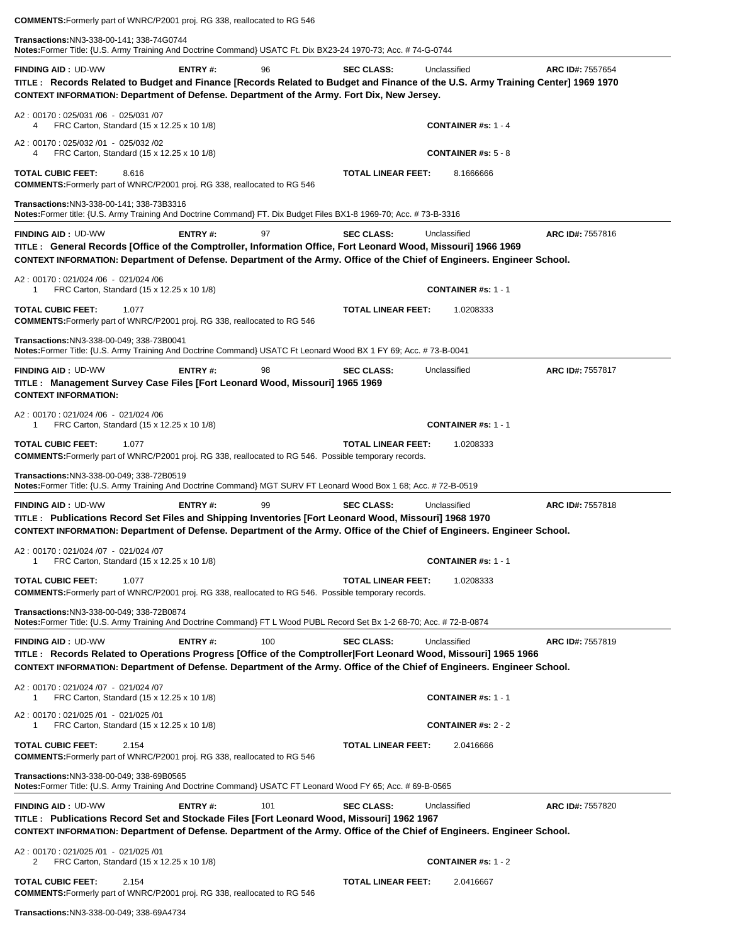**COMMENTS:**Formerly part of WNRC/P2001 proj. RG 338, reallocated to RG 546

**Transactions:**NN3-338-00-141; 338-74G0744

**Notes:**Former Title: {U.S. Army Training And Doctrine Command} USATC Ft. Dix BX23-24 1970-73; Acc. # 74-G-0744

**FINDING AID :** UD-WW **ENTRY #:** 96 **SEC CLASS:** Unclassified **ARC ID#:** 7557654 **TITLE : Records Related to Budget and Finance [Records Related to Budget and Finance of the U.S. Army Training Center] 1969 1970 CONTEXT INFORMATION: Department of Defense. Department of the Army. Fort Dix, New Jersey.** A2 : 00170 : 025/031 /06 - 025/031 /07 4 FRC Carton, Standard (15 x 12.25 x 10 1/8) **CONTAINER #s:** 1 - 4 A2 : 00170 : 025/032 /01 - 025/032 /02 4 FRC Carton, Standard (15 x 12.25 x 10 1/8) **CONTAINER #s:** 5 - 8 **TOTAL CUBIC FEET:** 8.616 **TOTAL LINEAR FEET:** 8.1666666 **COMMENTS:**Formerly part of WNRC/P2001 proj. RG 338, reallocated to RG 546 **Transactions:**NN3-338-00-141; 338-73B3316 **Notes:**Former title: {U.S. Army Training And Doctrine Command} FT. Dix Budget Files BX1-8 1969-70; Acc. # 73-B-3316**FINDING AID :** UD-WW **ENTRY #:** 97 **SEC CLASS:** Unclassified **ARC ID#:** 7557816 **TITLE : General Records [Office of the Comptroller, Information Office, Fort Leonard Wood, Missouri] 1966 1969 CONTEXT INFORMATION: Department of Defense. Department of the Army. Office of the Chief of Engineers. Engineer School.** A2 : 00170 : 021/024 /06 - 021/024 /06 1 FRC Carton, Standard (15 x 12.25 x 10 1/8) **CONTAINER #s:** 1 - 1 **TOTAL CUBIC FEET:** 1.077 **TOTAL LINEAR FEET:** 1.0208333 **COMMENTS:**Formerly part of WNRC/P2001 proj. RG 338, reallocated to RG 546 **Transactions:**NN3-338-00-049; 338-73B0041 **Notes:**Former Title: {U.S. Army Training And Doctrine Command} USATC Ft Leonard Wood BX 1 FY 69; Acc. # 73-B-0041**FINDING AID :** UD-WW **ENTRY #:** 98 **SEC CLASS:** Unclassified **ARC ID#:** 7557817 **TITLE : Management Survey Case Files [Fort Leonard Wood, Missouri] 1965 1969 CONTEXT INFORMATION:**  A2 : 00170 : 021/024 /06 - 021/024 /06 1 FRC Carton, Standard (15 x 12.25 x 10 1/8) **CONTAINER #s:** 1 - 1 **TOTAL CUBIC FEET:** 1.077 **TOTAL LINEAR FEET:** 1.0208333 **COMMENTS:**Formerly part of WNRC/P2001 proj. RG 338, reallocated to RG 546. Possible temporary records. **Transactions:**NN3-338-00-049; 338-72B0519 **Notes:**Former Title: {U.S. Army Training And Doctrine Command} MGT SURV FT Leonard Wood Box 1 68; Acc. # 72-B-0519 **FINDING AID :** UD-WW **ENTRY #:** 99 **SEC CLASS:** Unclassified **ARC ID#:** 7557818 **TITLE : Publications Record Set Files and Shipping Inventories [Fort Leonard Wood, Missouri] 1968 1970 CONTEXT INFORMATION: Department of Defense. Department of the Army. Office of the Chief of Engineers. Engineer School.** A2 : 00170 : 021/024 /07 - 021/024 /07 1 FRC Carton, Standard (15 x 12.25 x 10 1/8) **CONTAINER #s:** 1 - 1 **TOTAL CUBIC FEET:** 1.077 **TOTAL LINEAR FEET:** 1.0208333 **COMMENTS:**Formerly part of WNRC/P2001 proj. RG 338, reallocated to RG 546. Possible temporary records. **Transactions:**NN3-338-00-049; 338-72B0874 **Notes:**Former Title: {U.S. Army Training And Doctrine Command} FT L Wood PUBL Record Set Bx 1-2 68-70; Acc. # 72-B-0874**FINDING AID :** UD-WW **ENTRY #:** 100 **SEC CLASS:** Unclassified **ARC ID#:** 7557819 **TITLE : Records Related to Operations Progress [Office of the Comptroller|Fort Leonard Wood, Missouri] 1965 1966 CONTEXT INFORMATION: Department of Defense. Department of the Army. Office of the Chief of Engineers. Engineer School.** A2 : 00170 : 021/024 /07 - 021/024 /07 1 FRC Carton, Standard (15 x 12.25 x 10 1/8) **CONTAINER #s:** 1 - 1 A2 : 00170 : 021/025 /01 - 021/025 /01 1 FRC Carton, Standard (15 x 12.25 x 10 1/8) **CONTAINER #s:** 2 - 2 **TOTAL CUBIC FEET:** 2.154 **TOTAL LINEAR FEET:** 2.0416666 **COMMENTS:**Formerly part of WNRC/P2001 proj. RG 338, reallocated to RG 546 **Transactions:**NN3-338-00-049; 338-69B0565 **Notes:**Former Title: {U.S. Army Training And Doctrine Command} USATC FT Leonard Wood FY 65; Acc. # 69-B-0565**FINDING AID :** UD-WW **ENTRY #:** 101 **SEC CLASS:** Unclassified **ARC ID#:** 7557820 **TITLE : Publications Record Set and Stockade Files [Fort Leonard Wood, Missouri] 1962 1967 CONTEXT INFORMATION: Department of Defense. Department of the Army. Office of the Chief of Engineers. Engineer School.** A2 : 00170 : 021/025 /01 - 021/025 /01 2 FRC Carton, Standard (15 x 12.25 x 10 1/8) **CONTAINER #s:** 1 - 2 **TOTAL CUBIC FEET:** 2.154 **TOTAL LINEAR FEET:** 2.0416667 **COMMENTS:**Formerly part of WNRC/P2001 proj. RG 338, reallocated to RG 546

**Transactions:**NN3-338-00-049; 338-69A4734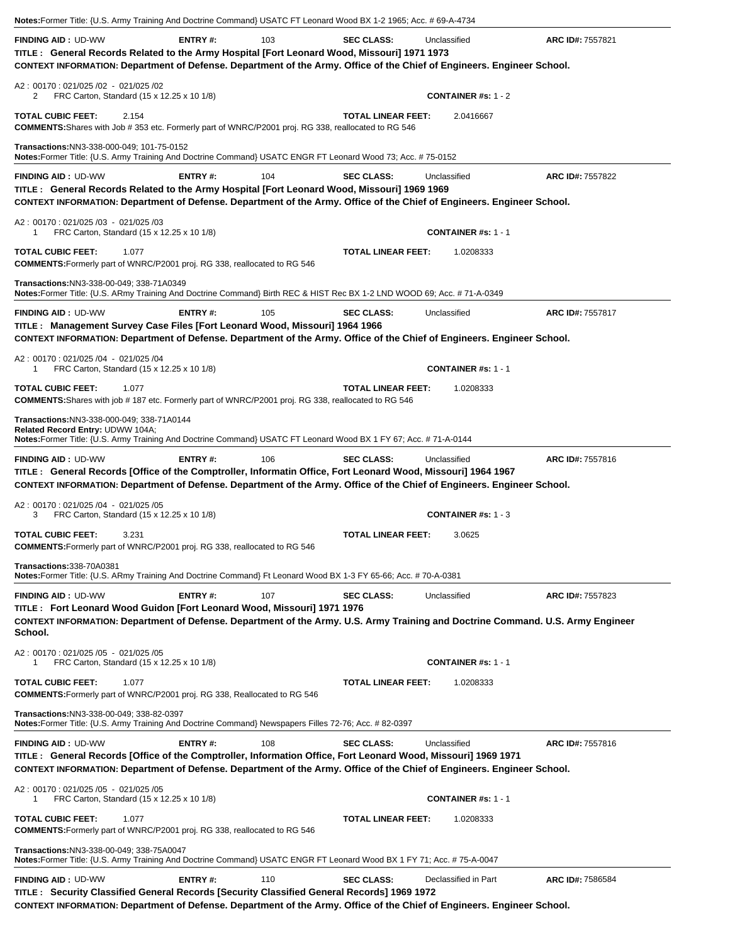| Notes: Former Title: {U.S. Army Training And Doctrine Command} USATC FT Leonard Wood BX 1-2 1965; Acc. # 69-A-4734                                                                                                                                                                                                                                             |                |     |                           |                                            |                  |
|----------------------------------------------------------------------------------------------------------------------------------------------------------------------------------------------------------------------------------------------------------------------------------------------------------------------------------------------------------------|----------------|-----|---------------------------|--------------------------------------------|------------------|
| <b>FINDING AID: UD-WW</b><br>TITLE: General Records Related to the Army Hospital [Fort Leonard Wood, Missouri] 1971 1973<br>CONTEXT INFORMATION: Department of Defense. Department of the Army. Office of the Chief of Engineers. Engineer School.                                                                                                             | <b>ENTRY#:</b> | 103 | <b>SEC CLASS:</b>         | Unclassified                               | ARC ID#: 7557821 |
| A2: 00170: 021/025 /02 - 021/025 /02<br>FRC Carton, Standard (15 x 12.25 x 10 1/8)<br>2                                                                                                                                                                                                                                                                        |                |     |                           | <b>CONTAINER #s: 1 - 2</b>                 |                  |
| <b>TOTAL CUBIC FEET:</b><br>2.154<br><b>COMMENTS:</b> Shares with Job # 353 etc. Formerly part of WNRC/P2001 proj. RG 338, reallocated to RG 546                                                                                                                                                                                                               |                |     | <b>TOTAL LINEAR FEET:</b> | 2.0416667                                  |                  |
| Transactions:NN3-338-000-049; 101-75-0152<br>Notes: Former Title: {U.S. Army Training And Doctrine Command} USATC ENGR FT Leonard Wood 73; Acc. #75-0152                                                                                                                                                                                                       |                |     |                           |                                            |                  |
| <b>FINDING AID: UD-WW</b><br>TITLE: General Records Related to the Army Hospital [Fort Leonard Wood, Missouri] 1969 1969<br>CONTEXT INFORMATION: Department of Defense. Department of the Army. Office of the Chief of Engineers. Engineer School.                                                                                                             | ENTRY#:        | 104 | <b>SEC CLASS:</b>         | Unclassified                               | ARC ID#: 7557822 |
| A2: 00170: 021/025 /03 - 021/025 /03<br>FRC Carton, Standard (15 x 12.25 x 10 1/8)<br>1                                                                                                                                                                                                                                                                        |                |     |                           | <b>CONTAINER #s: 1 - 1</b>                 |                  |
| <b>TOTAL CUBIC FEET:</b><br>1.077<br>COMMENTS: Formerly part of WNRC/P2001 proj. RG 338, reallocated to RG 546                                                                                                                                                                                                                                                 |                |     | <b>TOTAL LINEAR FEET:</b> | 1.0208333                                  |                  |
| Transactions:NN3-338-00-049; 338-71A0349<br>Notes:Former Title: {U.S. ARmy Training And Doctrine Command} Birth REC & HIST Rec BX 1-2 LND WOOD 69; Acc. # 71-A-0349                                                                                                                                                                                            |                |     |                           |                                            |                  |
| <b>FINDING AID: UD-WW</b><br>TITLE: Management Survey Case Files [Fort Leonard Wood, Missouri] 1964 1966<br>CONTEXT INFORMATION: Department of Defense. Department of the Army. Office of the Chief of Engineers. Engineer School.                                                                                                                             | <b>ENTRY#:</b> | 105 | <b>SEC CLASS:</b>         | Unclassified                               | ARC ID#: 7557817 |
| A2: 00170: 021/025 /04 - 021/025 /04<br>FRC Carton, Standard (15 x 12.25 x 10 1/8)<br>1                                                                                                                                                                                                                                                                        |                |     |                           | <b>CONTAINER #s: 1 - 1</b>                 |                  |
| <b>TOTAL CUBIC FEET:</b><br>1.077<br><b>COMMENTS:</b> Shares with job #187 etc. Formerly part of WNRC/P2001 proj. RG 338, reallocated to RG 546                                                                                                                                                                                                                |                |     | <b>TOTAL LINEAR FEET:</b> | 1.0208333                                  |                  |
| Transactions:NN3-338-000-049; 338-71A0144<br>Related Record Entry: UDWW 104A;<br>Notes: Former Title: {U.S. Army Training And Doctrine Command} USATC FT Leonard Wood BX 1 FY 67; Acc. #71-A-0144                                                                                                                                                              |                |     |                           |                                            |                  |
| <b>FINDING AID: UD-WW</b><br>TITLE: General Records [Office of the Comptroller, Informatin Office, Fort Leonard Wood, Missouri] 1964 1967<br>CONTEXT INFORMATION: Department of Defense. Department of the Army. Office of the Chief of Engineers. Engineer School.<br>A2: 00170: 021/025 /04 - 021/025 /05<br>FRC Carton, Standard (15 x 12.25 x 10 1/8)<br>3 | <b>ENTRY#:</b> | 106 | <b>SEC CLASS:</b>         | Unclassified<br><b>CONTAINER #s: 1 - 3</b> | ARC ID#: 7557816 |
| <b>TOTAL CUBIC FEET:</b><br>3.231<br>COMMENTS: Formerly part of WNRC/P2001 proj. RG 338, reallocated to RG 546                                                                                                                                                                                                                                                 |                |     | <b>TOTAL LINEAR FEET:</b> | 3.0625                                     |                  |
| <b>Transactions: 338-70A0381</b><br>Notes:Former Title: {U.S. ARmy Training And Doctrine Command} Ft Leonard Wood BX 1-3 FY 65-66; Acc. # 70-A-0381                                                                                                                                                                                                            |                |     |                           |                                            |                  |
| <b>FINDING AID: UD-WW</b><br>TITLE : Fort Leonard Wood Guidon [Fort Leonard Wood, Missouri] 1971 1976<br>CONTEXT INFORMATION: Department of Defense. Department of the Army. U.S. Army Training and Doctrine Command. U.S. Army Engineer<br>School.                                                                                                            | <b>ENTRY#:</b> | 107 | <b>SEC CLASS:</b>         | Unclassified                               | ARC ID#: 7557823 |
| A2: 00170: 021/025 /05 - 021/025 /05<br>FRC Carton, Standard (15 x 12.25 x 10 1/8)<br>1                                                                                                                                                                                                                                                                        |                |     |                           | <b>CONTAINER #s: 1 - 1</b>                 |                  |
| <b>TOTAL CUBIC FEET:</b><br>1.077<br><b>COMMENTS:</b> Formerly part of WNRC/P2001 proj. RG 338, Reallocated to RG 546                                                                                                                                                                                                                                          |                |     | <b>TOTAL LINEAR FEET:</b> | 1.0208333                                  |                  |
| Transactions: NN3-338-00-049; 338-82-0397<br>Notes: Former Title: {U.S. Army Training And Doctrine Command} Newspapers Filles 72-76; Acc. # 82-0397                                                                                                                                                                                                            |                |     |                           |                                            |                  |
| <b>FINDING AID: UD-WW</b><br>TITLE: General Records [Office of the Comptroller, Information Office, Fort Leonard Wood, Missouri] 1969 1971<br>CONTEXT INFORMATION: Department of Defense. Department of the Army. Office of the Chief of Engineers. Engineer School.                                                                                           | <b>ENTRY#:</b> | 108 | <b>SEC CLASS:</b>         | Unclassified                               | ARC ID#: 7557816 |
| A2: 00170: 021/025 /05 - 021/025 /05<br>FRC Carton, Standard (15 x 12.25 x 10 1/8)<br>1                                                                                                                                                                                                                                                                        |                |     |                           | <b>CONTAINER #s: 1 - 1</b>                 |                  |
| <b>TOTAL CUBIC FEET:</b><br>1.077<br><b>COMMENTS:</b> Formerly part of WNRC/P2001 proj. RG 338, reallocated to RG 546                                                                                                                                                                                                                                          |                |     | <b>TOTAL LINEAR FEET:</b> | 1.0208333                                  |                  |
| Transactions:NN3-338-00-049; 338-75A0047<br>Notes: Former Title: (U.S. Army Training And Doctrine Command) USATC ENGR FT Leonard Wood BX 1 FY 71; Acc. # 75-A-0047                                                                                                                                                                                             |                |     |                           |                                            |                  |
| <b>FINDING AID: UD-WW</b><br>TITLE: Security Classified General Records [Security Classified General Records] 1969 1972<br>CONTEXT INFORMATION: Department of Defense. Department of the Army. Office of the Chief of Engineers. Engineer School.                                                                                                              | <b>ENTRY#:</b> | 110 | <b>SEC CLASS:</b>         | Declassified in Part                       | ARC ID#: 7586584 |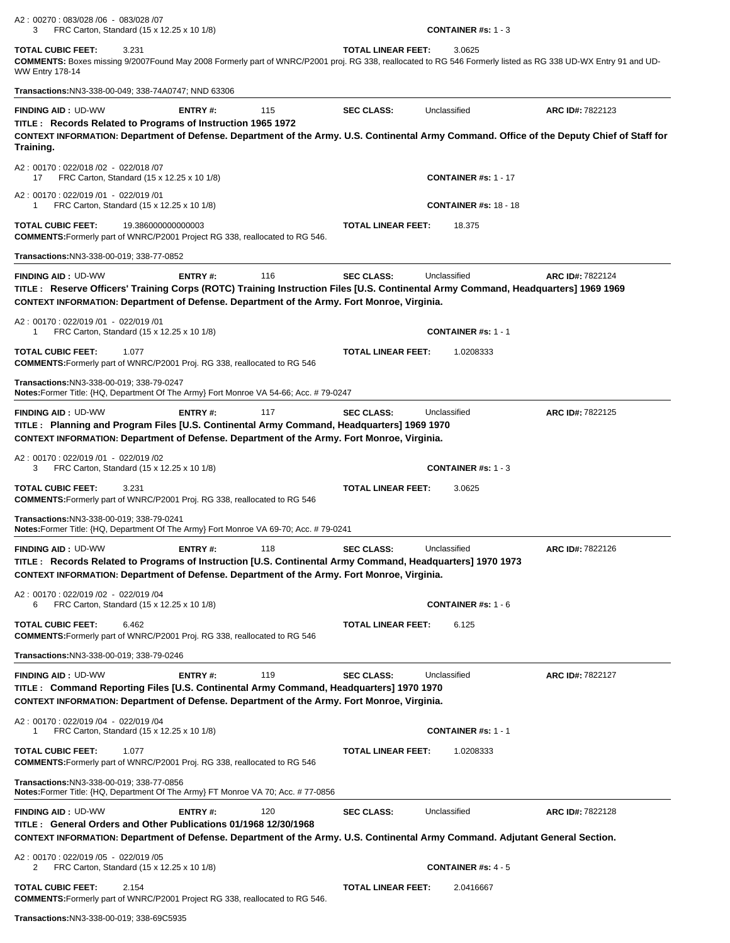A2 : 00270 : 083/028 /06 - 083/028 /07 3 FRC Carton, Standard (15 x 12.25 x 10 1/8) **CONTAINER #s:** 1 - 3

**TOTAL CUBIC FEET:** 3.231 **TOTAL LINEAR FEET:** 3.0625 **COMMENTS:** Boxes missing 9/2007Found May 2008 Formerly part of WNRC/P2001 proj. RG 338, reallocated to RG 546 Formerly listed as RG 338 UD-WX Entry 91 and UD-WW Entry 178-14

**Transactions:**NN3-338-00-049; 338-74A0747; NND 63306**FINDING AID :** UD-WW **ENTRY #:** 115 **SEC CLASS:** Unclassified **ARC ID#:** 7822123 **TITLE : Records Related to Programs of Instruction 1965 1972 CONTEXT INFORMATION: Department of Defense. Department of the Army. U.S. Continental Army Command. Office of the Deputy Chief of Staff for Training.** A2 : 00170 : 022/018 /02 - 022/018 /07 17 FRC Carton, Standard (15 x 12.25 x 10 1/8) **CONTAINER #s:** 1 - 17 A2 : 00170 : 022/019 /01 - 022/019 /01 1 FRC Carton, Standard (15 x 12.25 x 10 1/8) **CONTAINER #s:** 18 - 18 **TOTAL CUBIC FEET:** 19.386000000000003 **TOTAL LINEAR FEET:** 18.375 **COMMENTS:**Formerly part of WNRC/P2001 Project RG 338, reallocated to RG 546. **Transactions:**NN3-338-00-019; 338-77-0852**FINDING AID :** UD-WW **ENTRY #:** 116 **SEC CLASS:** Unclassified **ARC ID#:** 7822124 **TITLE : Reserve Officers' Training Corps (ROTC) Training Instruction Files [U.S. Continental Army Command, Headquarters] 1969 1969 CONTEXT INFORMATION: Department of Defense. Department of the Army. Fort Monroe, Virginia.** A2 : 00170 : 022/019 /01 - 022/019 /01 1 FRC Carton, Standard (15 x 12.25 x 10 1/8) **CONTAINER #s:** 1 - 1 **TOTAL CUBIC FEET:** 1.077 **TOTAL LINEAR FEET:** 1.0208333 **COMMENTS:**Formerly part of WNRC/P2001 Proj. RG 338, reallocated to RG 546 **Transactions:**NN3-338-00-019; 338-79-0247 **Notes:**Former Title: {HQ, Department Of The Army} Fort Monroe VA 54-66; Acc. # 79-0247**FINDING AID :** UD-WW **ENTRY #:** 117 **SEC CLASS:** Unclassified **ARC ID#:** 7822125 **TITLE : Planning and Program Files [U.S. Continental Army Command, Headquarters] 1969 1970 CONTEXT INFORMATION: Department of Defense. Department of the Army. Fort Monroe, Virginia.** A2 : 00170 : 022/019 /01 - 022/019 /02 3 FRC Carton, Standard (15 x 12.25 x 10 1/8) **CONTAINER #s:** 1 - 3 **TOTAL CUBIC FEET:** 3.231 **TOTAL LINEAR FEET:** 3.0625 **COMMENTS:**Formerly part of WNRC/P2001 Proj. RG 338, reallocated to RG 546 **Transactions:**NN3-338-00-019; 338-79-0241 **Notes:**Former Title: {HQ, Department Of The Army} Fort Monroe VA 69-70; Acc. # 79-0241 **FINDING AID :** UD-WW **ENTRY #:** 118 **SEC CLASS:** Unclassified **ARC ID#:** 7822126 **TITLE : Records Related to Programs of Instruction [U.S. Continental Army Command, Headquarters] 1970 1973 CONTEXT INFORMATION: Department of Defense. Department of the Army. Fort Monroe, Virginia.** A2 : 00170 : 022/019 /02 - 022/019 /04 6 FRC Carton, Standard (15 x 12.25 x 10 1/8) **CONTAINER #s:** 1 - 6 **TOTAL CUBIC FEET:** 6.462 **TOTAL LINEAR FEET:** 6.125 **COMMENTS:**Formerly part of WNRC/P2001 Proj. RG 338, reallocated to RG 546 **Transactions:**NN3-338-00-019; 338-79-0246**FINDING AID :** UD-WW **ENTRY #:** 119 **SEC CLASS:** Unclassified **ARC ID#:** 7822127 **TITLE : Command Reporting Files [U.S. Continental Army Command, Headquarters] 1970 1970** 

**CONTEXT INFORMATION: Department of Defense. Department of the Army. Fort Monroe, Virginia.** A2 : 00170 : 022/019 /04 - 022/019 /04 1 FRC Carton, Standard (15 x 12.25 x 10 1/8) **CONTAINER #s:** 1 - 1 **TOTAL CUBIC FEET:** 1.077 **TOTAL LINEAR FEET:** 1.0208333 **COMMENTS:**Formerly part of WNRC/P2001 Proj. RG 338, reallocated to RG 546 **Transactions:**NN3-338-00-019; 338-77-0856 **Notes:**Former Title: {HQ, Department Of The Army} FT Monroe VA 70; Acc. # 77-0856**FINDING AID :** UD-WW **ENTRY #:** 120 **SEC CLASS:** Unclassified **ARC ID#:** 7822128 **TITLE : General Orders and Other Publications 01/1968 12/30/1968 CONTEXT INFORMATION: Department of Defense. Department of the Army. U.S. Continental Army Command. Adjutant General Section.** A2 : 00170 : 022/019 /05 - 022/019 /05 2 FRC Carton, Standard (15 x 12.25 x 10 1/8) **CONTAINER #s:** 4 - 5

**TOTAL CUBIC FEET:** 2.154 **TOTAL LINEAR FEET:** 2.0416667 **COMMENTS:**Formerly part of WNRC/P2001 Project RG 338, reallocated to RG 546.

**Transactions:**NN3-338-00-019; 338-69C5935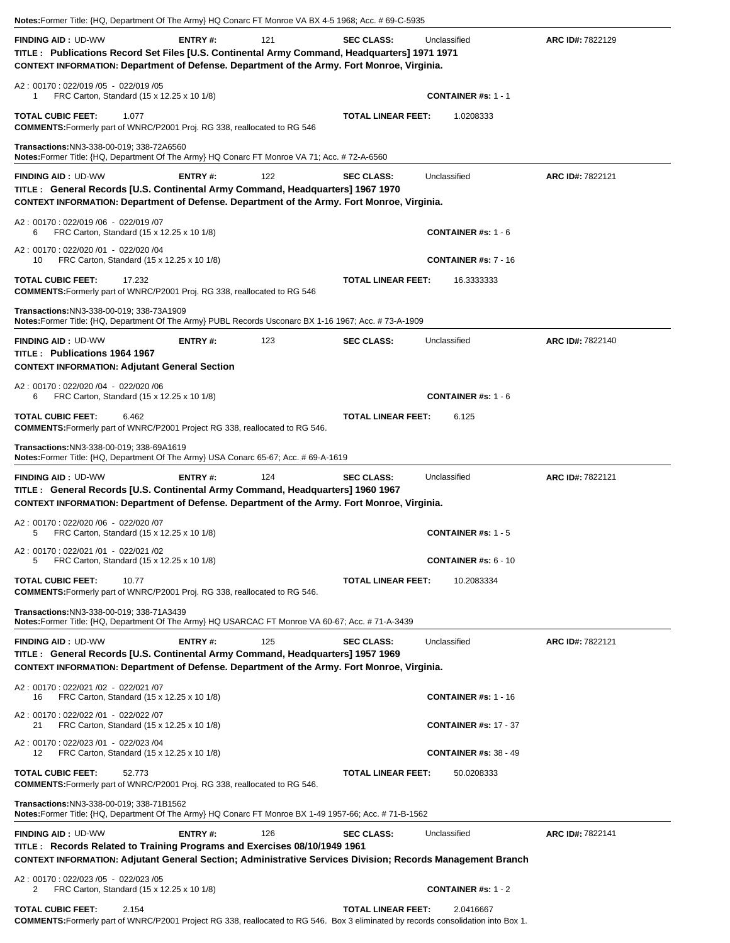|                                                                                                                                                                                                                         |                |     | Notes: Former Title: {HQ, Department Of The Army} HQ Conarc FT Monroe VA BX 4-5 1968; Acc. # 69-C-5935 |                                          |                  |
|-------------------------------------------------------------------------------------------------------------------------------------------------------------------------------------------------------------------------|----------------|-----|--------------------------------------------------------------------------------------------------------|------------------------------------------|------------------|
| <b>FINDING AID: UD-WW</b><br>TITLE: Publications Record Set Files [U.S. Continental Army Command, Headquarters] 1971 1971<br>CONTEXT INFORMATION: Department of Defense. Department of the Army. Fort Monroe, Virginia. | ENTRY#:        | 121 | <b>SEC CLASS:</b>                                                                                      | Unclassified                             | ARC ID#: 7822129 |
| A2: 00170: 022/019 /05 - 022/019 /05<br>FRC Carton, Standard (15 x 12.25 x 10 1/8)<br>1                                                                                                                                 |                |     |                                                                                                        | <b>CONTAINER #s: 1 - 1</b>               |                  |
| <b>TOTAL CUBIC FEET:</b><br>1.077<br>COMMENTS: Formerly part of WNRC/P2001 Proj. RG 338, reallocated to RG 546                                                                                                          |                |     | <b>TOTAL LINEAR FEET:</b>                                                                              | 1.0208333                                |                  |
| Transactions: NN3-338-00-019: 338-72A6560<br>Notes: Former Title: {HQ, Department Of The Army} HQ Conarc FT Monroe VA 71; Acc. # 72-A-6560                                                                              |                |     |                                                                                                        |                                          |                  |
| <b>FINDING AID: UD-WW</b><br>TITLE : General Records [U.S. Continental Army Command, Headquarters] 1967 1970<br>CONTEXT INFORMATION: Department of Defense. Department of the Army. Fort Monroe, Virginia.              | ENTRY#:        | 122 | <b>SEC CLASS:</b>                                                                                      | Unclassified                             | ARC ID#: 7822121 |
| A2: 00170: 022/019 /06 - 022/019 /07<br>FRC Carton, Standard (15 x 12.25 x 10 1/8)<br>6                                                                                                                                 |                |     |                                                                                                        | <b>CONTAINER #s: 1 - 6</b>               |                  |
| A2: 00170: 022/020 /01 - 022/020 /04<br>FRC Carton, Standard (15 x 12.25 x 10 1/8)<br>10                                                                                                                                |                |     |                                                                                                        | <b>CONTAINER #s: 7 - 16</b>              |                  |
| <b>TOTAL CUBIC FEET:</b><br>17.232<br><b>COMMENTS:</b> Formerly part of WNRC/P2001 Proj. RG 338, reallocated to RG 546                                                                                                  |                |     | <b>TOTAL LINEAR FEET:</b>                                                                              | 16.3333333                               |                  |
| Transactions: NN3-338-00-019: 338-73A1909<br>Notes: Former Title: {HQ, Department Of The Army} PUBL Records Usconarc BX 1-16 1967; Acc. #73-A-1909                                                                      |                |     |                                                                                                        |                                          |                  |
| <b>FINDING AID: UD-WW</b><br>TITLE: Publications 1964 1967<br><b>CONTEXT INFORMATION: Adjutant General Section</b>                                                                                                      | <b>ENTRY#:</b> | 123 | <b>SEC CLASS:</b>                                                                                      | Unclassified                             | ARC ID#: 7822140 |
| A2: 00170: 022/020 /04 - 022/020 /06<br>FRC Carton, Standard (15 x 12.25 x 10 1/8)<br>6                                                                                                                                 |                |     |                                                                                                        | <b>CONTAINER #s: 1 - 6</b>               |                  |
| <b>TOTAL CUBIC FEET:</b><br>6.462<br>COMMENTS: Formerly part of WNRC/P2001 Project RG 338, reallocated to RG 546.                                                                                                       |                |     | <b>TOTAL LINEAR FEET:</b>                                                                              | 6.125                                    |                  |
| Transactions: NN3-338-00-019; 338-69A1619<br>Notes: Former Title: {HQ, Department Of The Army} USA Conarc 65-67; Acc. # 69-A-1619                                                                                       |                |     |                                                                                                        |                                          |                  |
|                                                                                                                                                                                                                         |                |     |                                                                                                        |                                          |                  |
| <b>FINDING AID: UD-WW</b><br>TITLE : General Records [U.S. Continental Army Command, Headquarters] 1960 1967<br>CONTEXT INFORMATION: Department of Defense. Department of the Army. Fort Monroe, Virginia.              | ENTRY#:        | 124 | <b>SEC CLASS:</b>                                                                                      | Unclassified                             | ARC ID#: 7822121 |
| A2: 00170: 022/020 /06 - 022/020 /07<br>FRC Carton, Standard (15 x 12.25 x 10 1/8)<br>5                                                                                                                                 |                |     |                                                                                                        | <b>CONTAINER #s: 1 - 5</b>               |                  |
| A2: 00170: 022/021 /01 - 022/021 /02<br>FRC Carton, Standard (15 x 12.25 x 10 1/8)<br>5                                                                                                                                 |                |     |                                                                                                        | <b>CONTAINER #s: <math>6 - 10</math></b> |                  |
| <b>TOTAL CUBIC FEET:</b><br>10.77<br><b>COMMENTS:</b> Formerly part of WNRC/P2001 Proj. RG 338, reallocated to RG 546.                                                                                                  |                |     | <b>TOTAL LINEAR FEET:</b>                                                                              | 10.2083334                               |                  |
| Transactions: NN3-338-00-019; 338-71A3439<br>Notes: Former Title: {HQ, Department Of The Army} HQ USARCAC FT Monroe VA 60-67; Acc. #71-A-3439                                                                           |                |     |                                                                                                        |                                          |                  |
| <b>FINDING AID: UD-WW</b><br>TITLE : General Records [U.S. Continental Army Command, Headquarters] 1957 1969<br>CONTEXT INFORMATION: Department of Defense. Department of the Army. Fort Monroe, Virginia.              | ENTRY#:        | 125 | <b>SEC CLASS:</b>                                                                                      | Unclassified                             | ARC ID#: 7822121 |
| A2: 00170: 022/021 /02 - 022/021 /07<br>FRC Carton, Standard (15 x 12.25 x 10 1/8)<br>16                                                                                                                                |                |     |                                                                                                        | <b>CONTAINER #s: 1 - 16</b>              |                  |
| A2: 00170: 022/022 /01 - 022/022 /07<br>FRC Carton, Standard (15 x 12.25 x 10 1/8)<br>21                                                                                                                                |                |     |                                                                                                        | <b>CONTAINER #s: 17 - 37</b>             |                  |
| A2: 00170: 022/023 /01 - 022/023 /04<br>FRC Carton, Standard (15 x 12.25 x 10 1/8)<br>12                                                                                                                                |                |     |                                                                                                        | <b>CONTAINER #s: 38 - 49</b>             |                  |
| <b>TOTAL CUBIC FEET:</b><br>52.773<br><b>COMMENTS:</b> Formerly part of WNRC/P2001 Proj. RG 338, reallocated to RG 546.                                                                                                 |                |     | <b>TOTAL LINEAR FEET:</b>                                                                              | 50.0208333                               |                  |
| Transactions: NN3-338-00-019; 338-71B1562<br>Notes: Former Title: {HQ, Department Of The Army} HQ Conarc FT Monroe BX 1-49 1957-66; Acc. # 71-B-1562                                                                    |                |     |                                                                                                        |                                          |                  |
| <b>FINDING AID: UD-WW</b><br>TITLE: Records Related to Training Programs and Exercises 08/10/1949 1961<br>CONTEXT INFORMATION: Adjutant General Section; Administrative Services Division; Records Management Branch    | <b>ENTRY#:</b> | 126 | <b>SEC CLASS:</b>                                                                                      | Unclassified                             | ARC ID#: 7822141 |
| A2: 00170: 022/023 /05 - 022/023 /05<br>FRC Carton, Standard (15 x 12.25 x 10 1/8)<br>2                                                                                                                                 |                |     |                                                                                                        | <b>CONTAINER #s: 1 - 2</b>               |                  |

**COMMENTS:**Formerly part of WNRC/P2001 Project RG 338, reallocated to RG 546. Box 3 eliminated by records consolidation into Box 1.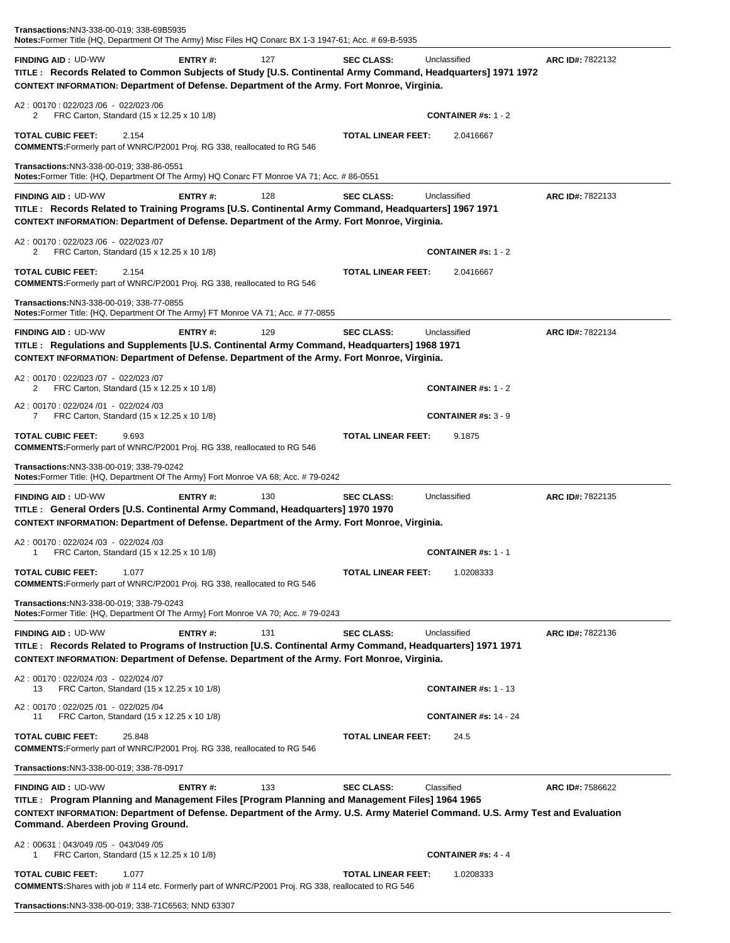| Transactions:NN3-338-00-019; 338-69B5935<br>Notes:Former Title {HQ, Department Of The Army} Misc Files HQ Conarc BX 1-3 1947-61; Acc. # 69-B-5935                                                                                                                                                 |         |     |                           |                              |                  |
|---------------------------------------------------------------------------------------------------------------------------------------------------------------------------------------------------------------------------------------------------------------------------------------------------|---------|-----|---------------------------|------------------------------|------------------|
| <b>FINDING AID: UD-WW</b><br>TITLE: Records Related to Common Subjects of Study [U.S. Continental Army Command, Headquarters] 1971 1972<br>CONTEXT INFORMATION: Department of Defense. Department of the Army. Fort Monroe, Virginia.                                                             | ENTRY#: | 127 | <b>SEC CLASS:</b>         | Unclassified                 | ARC ID#: 7822132 |
| A2: 00170: 022/023 /06 - 022/023 /06<br>FRC Carton, Standard (15 x 12.25 x 10 1/8)<br>2                                                                                                                                                                                                           |         |     |                           | CONTAINER #s: $1 - 2$        |                  |
| TOTAL CUBIC FEET:<br>2.154<br><b>COMMENTS:</b> Formerly part of WNRC/P2001 Proj. RG 338, reallocated to RG 546                                                                                                                                                                                    |         |     | <b>TOTAL LINEAR FEET:</b> | 2.0416667                    |                  |
| Transactions:NN3-338-00-019; 338-86-0551<br>Notes: Former Title: {HQ, Department Of The Army} HQ Conarc FT Monroe VA 71; Acc. # 86-0551                                                                                                                                                           |         |     |                           |                              |                  |
| <b>FINDING AID: UD-WW</b><br>TITLE: Records Related to Training Programs [U.S. Continental Army Command, Headquarters] 1967 1971<br>CONTEXT INFORMATION: Department of Defense. Department of the Army. Fort Monroe, Virginia.                                                                    | ENTRY#: | 128 | <b>SEC CLASS:</b>         | Unclassified                 | ARC ID#: 7822133 |
| A2: 00170: 022/023 /06 - 022/023 /07<br>2<br>FRC Carton, Standard (15 x 12.25 x 10 1/8)                                                                                                                                                                                                           |         |     |                           | <b>CONTAINER #s: 1 - 2</b>   |                  |
| <b>TOTAL CUBIC FEET:</b><br>2.154<br><b>COMMENTS:</b> Formerly part of WNRC/P2001 Proj. RG 338, reallocated to RG 546                                                                                                                                                                             |         |     | <b>TOTAL LINEAR FEET:</b> | 2.0416667                    |                  |
| Transactions:NN3-338-00-019; 338-77-0855<br>Notes: Former Title: {HQ, Department Of The Army} FT Monroe VA 71; Acc. # 77-0855                                                                                                                                                                     |         |     |                           |                              |                  |
| <b>FINDING AID: UD-WW</b><br>TITLE: Regulations and Supplements [U.S. Continental Army Command, Headquarters] 1968 1971<br>CONTEXT INFORMATION: Department of Defense. Department of the Army. Fort Monroe, Virginia.                                                                             | ENTRY#: | 129 | <b>SEC CLASS:</b>         | Unclassified                 | ARC ID#: 7822134 |
| A2: 00170: 022/023 /07 - 022/023 /07<br>2<br>FRC Carton, Standard (15 x 12.25 x 10 1/8)                                                                                                                                                                                                           |         |     |                           | <b>CONTAINER #s: 1 - 2</b>   |                  |
| A2: 00170: 022/024 /01 - 022/024 /03<br>FRC Carton, Standard (15 x 12.25 x 10 1/8)<br>7                                                                                                                                                                                                           |         |     |                           | <b>CONTAINER #s: 3 - 9</b>   |                  |
| TOTAL CUBIC FEET:<br>9.693<br><b>COMMENTS:</b> Formerly part of WNRC/P2001 Proj. RG 338, reallocated to RG 546                                                                                                                                                                                    |         |     | <b>TOTAL LINEAR FEET:</b> | 9.1875                       |                  |
| Transactions:NN3-338-00-019; 338-79-0242<br>Notes: Former Title: {HQ, Department Of The Army} Fort Monroe VA 68; Acc. # 79-0242                                                                                                                                                                   |         |     |                           |                              |                  |
| <b>FINDING AID: UD-WW</b><br>TITLE : General Orders [U.S. Continental Army Command, Headquarters] 1970 1970<br>CONTEXT INFORMATION: Department of Defense. Department of the Army. Fort Monroe, Virginia.                                                                                         | ENTRY#: | 130 | <b>SEC CLASS:</b>         | Unclassified                 | ARC ID#: 7822135 |
| A2: 00170: 022/024 /03 - 022/024 /03<br>FRC Carton, Standard (15 x 12.25 x 10 1/8)<br>1                                                                                                                                                                                                           |         |     |                           | CONTAINER $#s: 1 - 1$        |                  |
| <b>TOTAL CUBIC FEET:</b><br>1.077<br><b>COMMENTS:</b> Formerly part of WNRC/P2001 Proj. RG 338, reallocated to RG 546                                                                                                                                                                             |         |     | <b>TOTAL LINEAR FEET:</b> | 1.0208333                    |                  |
| Transactions: NN3-338-00-019; 338-79-0243<br><b>Notes:</b> Former Title: {HQ, Department Of The Army} Fort Monroe VA 70; Acc. # 79-0243                                                                                                                                                           |         |     |                           |                              |                  |
| <b>FINDING AID: UD-WW</b><br>TITLE : Records Related to Programs of Instruction [U.S. Continental Army Command, Headquarters] 1971 1971<br>CONTEXT INFORMATION: Department of Defense. Department of the Army. Fort Monroe, Virginia.                                                             | ENTRY#: | 131 | <b>SEC CLASS:</b>         | Unclassified                 | ARC ID#: 7822136 |
| A2: 00170: 022/024 /03 - 022/024 /07<br>FRC Carton, Standard (15 x 12.25 x 10 1/8)<br>13                                                                                                                                                                                                          |         |     |                           | <b>CONTAINER #s: 1 - 13</b>  |                  |
| A2: 00170: 022/025 /01 - 022/025 /04<br>FRC Carton, Standard (15 x 12.25 x 10 1/8)<br>11                                                                                                                                                                                                          |         |     |                           | <b>CONTAINER #s: 14 - 24</b> |                  |
| <b>TOTAL CUBIC FEET:</b><br>25.848<br><b>COMMENTS:</b> Formerly part of WNRC/P2001 Proj. RG 338, reallocated to RG 546                                                                                                                                                                            |         |     | <b>TOTAL LINEAR FEET:</b> | 24.5                         |                  |
| Transactions:NN3-338-00-019; 338-78-0917                                                                                                                                                                                                                                                          |         |     |                           |                              |                  |
| <b>FINDING AID: UD-WW</b><br>TITLE: Program Planning and Management Files [Program Planning and Management Files] 1964 1965<br>CONTEXT INFORMATION: Department of Defense. Department of the Army. U.S. Army Materiel Command. U.S. Army Test and Evaluation<br>Command. Aberdeen Proving Ground. | ENTRY#: | 133 | <b>SEC CLASS:</b>         | Classified                   | ARC ID#: 7586622 |
| A2: 00631: 043/049 /05 - 043/049 /05<br>FRC Carton, Standard (15 x 12.25 x 10 1/8)<br>1                                                                                                                                                                                                           |         |     |                           | <b>CONTAINER #s: 4 - 4</b>   |                  |
| <b>TOTAL CUBIC FEET:</b><br>1.077<br><b>COMMENTS:</b> Shares with job # 114 etc. Formerly part of WNRC/P2001 Proj. RG 338, reallocated to RG 546                                                                                                                                                  |         |     | <b>TOTAL LINEAR FEET:</b> | 1.0208333                    |                  |
| $MIB$ 000.00.040, 000.7400500, MNID 00007                                                                                                                                                                                                                                                         |         |     |                           |                              |                  |

**Transactions:**NN3-338-00-019; 338-71C6563; NND 63307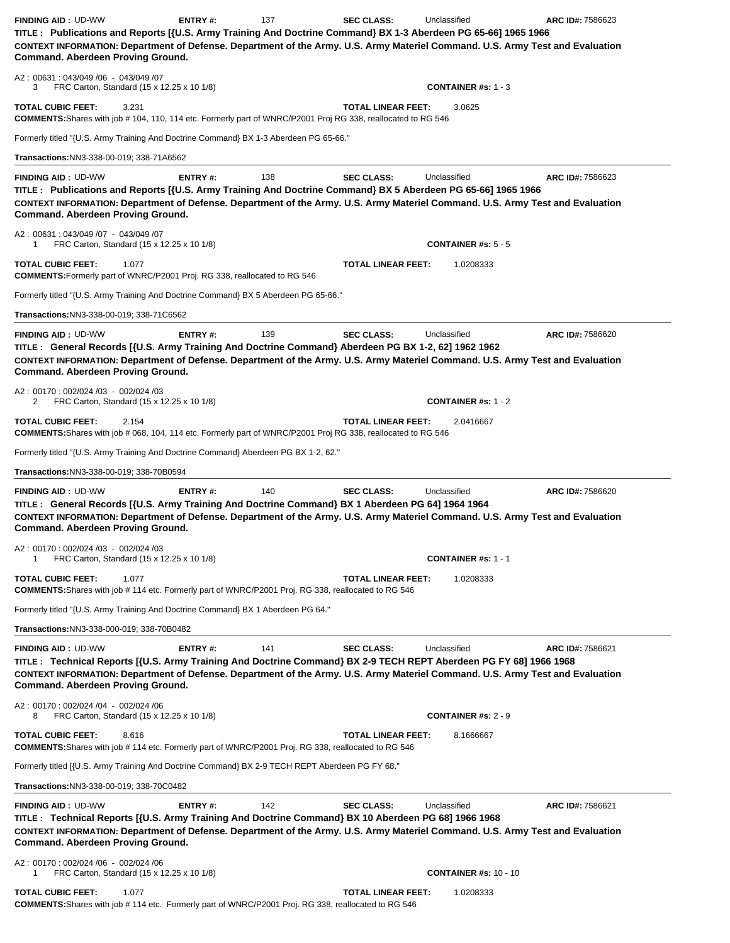| <b>FINDING AID: UD-WW</b><br>TITLE: Publications and Reports [{U.S. Army Training And Doctrine Command} BX 1-3 Aberdeen PG 65-66] 1965 1966<br>CONTEXT INFORMATION: Department of Defense. Department of the Army. U.S. Army Materiel Command. U.S. Army Test and Evaluation<br>Command. Aberdeen Proving Ground.                                                                         | ENTRY#: | 137 | <b>SEC CLASS:</b>         | Unclassified                               | ARC ID#: 7586623 |
|-------------------------------------------------------------------------------------------------------------------------------------------------------------------------------------------------------------------------------------------------------------------------------------------------------------------------------------------------------------------------------------------|---------|-----|---------------------------|--------------------------------------------|------------------|
| A2: 00631: 043/049 /06 - 043/049 /07<br>3<br>FRC Carton, Standard (15 x 12.25 x 10 1/8)                                                                                                                                                                                                                                                                                                   |         |     |                           | <b>CONTAINER #s: 1 - 3</b>                 |                  |
| <b>TOTAL CUBIC FEET:</b><br>3.231<br><b>COMMENTS:</b> Shares with job # 104, 110, 114 etc. Formerly part of WNRC/P2001 Proj RG 338, reallocated to RG 546                                                                                                                                                                                                                                 |         |     | <b>TOTAL LINEAR FEET:</b> | 3.0625                                     |                  |
| Formerly titled "{U.S. Army Training And Doctrine Command} BX 1-3 Aberdeen PG 65-66."                                                                                                                                                                                                                                                                                                     |         |     |                           |                                            |                  |
| Transactions: NN3-338-00-019; 338-71A6562                                                                                                                                                                                                                                                                                                                                                 |         |     |                           |                                            |                  |
| <b>FINDING AID: UD-WW</b>                                                                                                                                                                                                                                                                                                                                                                 | ENTRY#: | 138 | <b>SEC CLASS:</b>         | Unclassified                               | ARC ID#: 7586623 |
| TITLE: Publications and Reports [{U.S. Army Training And Doctrine Command} BX 5 Aberdeen PG 65-66] 1965 1966<br>CONTEXT INFORMATION: Department of Defense. Department of the Army. U.S. Army Materiel Command. U.S. Army Test and Evaluation<br>Command. Aberdeen Proving Ground.                                                                                                        |         |     |                           |                                            |                  |
| A2: 00631: 043/049 /07 - 043/049 /07<br>FRC Carton, Standard (15 x 12.25 x 10 1/8)<br>1                                                                                                                                                                                                                                                                                                   |         |     |                           | <b>CONTAINER #s: 5 - 5</b>                 |                  |
| <b>TOTAL CUBIC FEET:</b><br>1.077<br><b>COMMENTS:</b> Formerly part of WNRC/P2001 Proj. RG 338, reallocated to RG 546                                                                                                                                                                                                                                                                     |         |     | <b>TOTAL LINEAR FEET:</b> | 1.0208333                                  |                  |
| Formerly titled "{U.S. Army Training And Doctrine Command} BX 5 Aberdeen PG 65-66."                                                                                                                                                                                                                                                                                                       |         |     |                           |                                            |                  |
| Transactions: NN3-338-00-019; 338-71C6562                                                                                                                                                                                                                                                                                                                                                 |         |     |                           |                                            |                  |
| <b>FINDING AID: UD-WW</b><br>TITLE: General Records [{U.S. Army Training And Doctrine Command} Aberdeen PG BX 1-2, 62] 1962 1962<br>CONTEXT INFORMATION: Department of Defense. Department of the Army. U.S. Army Materiel Command. U.S. Army Test and Evaluation<br>Command. Aberdeen Proving Ground.                                                                                    | ENTRY#: | 139 | <b>SEC CLASS:</b>         | Unclassified                               | ARC ID#: 7586620 |
| A2: 00170: 002/024 /03 - 002/024 /03<br>FRC Carton, Standard (15 x 12.25 x 10 1/8)<br>2                                                                                                                                                                                                                                                                                                   |         |     |                           | <b>CONTAINER #s: 1 - 2</b>                 |                  |
| <b>TOTAL CUBIC FEET:</b><br>2.154<br><b>COMMENTS:</b> Shares with job # 068, 104, 114 etc. Formerly part of WNRC/P2001 Proj RG 338, reallocated to RG 546                                                                                                                                                                                                                                 |         |     | <b>TOTAL LINEAR FEET:</b> | 2.0416667                                  |                  |
| Formerly titled "{U.S. Army Training And Doctrine Command} Aberdeen PG BX 1-2, 62."                                                                                                                                                                                                                                                                                                       |         |     |                           |                                            |                  |
| Transactions:NN3-338-00-019; 338-70B0594                                                                                                                                                                                                                                                                                                                                                  |         |     |                           |                                            |                  |
| <b>FINDING AID: UD-WW</b><br>TITLE: General Records [{U.S. Army Training And Doctrine Command} BX 1 Aberdeen PG 64] 1964 1964<br>CONTEXT INFORMATION: Department of Defense. Department of the Army. U.S. Army Materiel Command. U.S. Army Test and Evaluation<br>Command. Aberdeen Proving Ground.<br>A2: 00170: 002/024 /03 - 002/024 /03<br>FRC Carton, Standard (15 x 12.25 x 10 1/8) | ENTRY#: | 140 | <b>SEC CLASS:</b>         | Unclassified<br><b>CONTAINER #s: 1 - 1</b> | ARC ID#: 7586620 |
| <b>TOTAL CUBIC FEET:</b><br>1.077<br><b>COMMENTS:</b> Shares with job #114 etc. Formerly part of WNRC/P2001 Proj. RG 338, reallocated to RG 546                                                                                                                                                                                                                                           |         |     | <b>TOTAL LINEAR FEET:</b> | 1.0208333                                  |                  |
| Formerly titled "{U.S. Army Training And Doctrine Command} BX 1 Aberdeen PG 64."                                                                                                                                                                                                                                                                                                          |         |     |                           |                                            |                  |
| Transactions:NN3-338-000-019; 338-70B0482                                                                                                                                                                                                                                                                                                                                                 |         |     |                           |                                            |                  |
| <b>FINDING AID: UD-WW</b><br>TITLE: Technical Reports [{U.S. Army Training And Doctrine Command} BX 2-9 TECH REPT Aberdeen PG FY 68] 1966 1968<br>CONTEXT INFORMATION: Department of Defense. Department of the Army. U.S. Army Materiel Command. U.S. Army Test and Evaluation<br>Command. Aberdeen Proving Ground.                                                                      | ENTRY#: | 141 | <b>SEC CLASS:</b>         | Unclassified                               | ARC ID#: 7586621 |
| A2: 00170: 002/024 /04 - 002/024 /06<br>FRC Carton, Standard (15 x 12.25 x 10 1/8)<br>8                                                                                                                                                                                                                                                                                                   |         |     |                           | <b>CONTAINER #s: 2 - 9</b>                 |                  |
| <b>TOTAL CUBIC FEET:</b><br>8.616<br><b>COMMENTS:</b> Shares with job #114 etc. Formerly part of WNRC/P2001 Proj. RG 338, reallocated to RG 546                                                                                                                                                                                                                                           |         |     | <b>TOTAL LINEAR FEET:</b> | 8.1666667                                  |                  |
| Formerly titled [{U.S. Army Training And Doctrine Command} BX 2-9 TECH REPT Aberdeen PG FY 68."                                                                                                                                                                                                                                                                                           |         |     |                           |                                            |                  |
| Transactions: NN3-338-00-019; 338-70C0482                                                                                                                                                                                                                                                                                                                                                 |         |     |                           |                                            |                  |
| <b>FINDING AID: UD-WW</b><br>TITLE: Technical Reports [{U.S. Army Training And Doctrine Command} BX 10 Aberdeen PG 68] 1966 1968<br>CONTEXT INFORMATION: Department of Defense. Department of the Army. U.S. Army Materiel Command. U.S. Army Test and Evaluation<br>Command. Aberdeen Proving Ground.                                                                                    | ENTRY#: | 142 | <b>SEC CLASS:</b>         | Unclassified                               | ARC ID#: 7586621 |
| A2: 00170: 002/024 /06 - 002/024 /06<br>FRC Carton, Standard (15 x 12.25 x 10 1/8)<br>1                                                                                                                                                                                                                                                                                                   |         |     |                           | <b>CONTAINER #s: 10 - 10</b>               |                  |
| <b>TOTAL CUBIC FEET:</b><br>1.077                                                                                                                                                                                                                                                                                                                                                         |         |     | <b>TOTAL LINEAR FEET:</b> | 1.0208333                                  |                  |

**COMMENTS:**Shares with job # 114 etc. Formerly part of WNRC/P2001 Proj. RG 338, reallocated to RG 546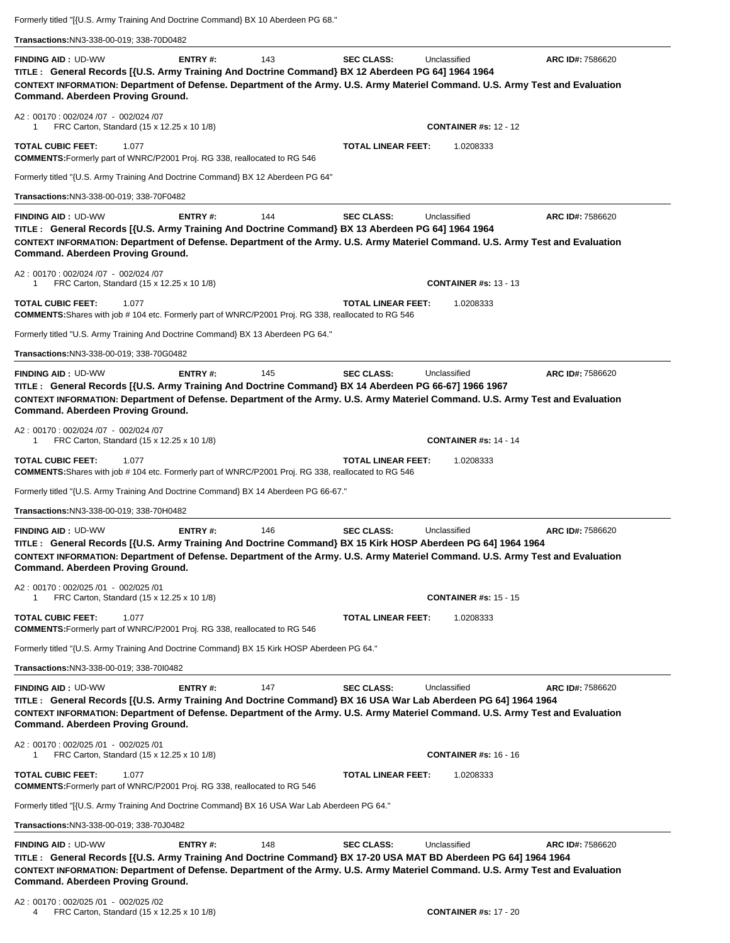Formerly titled "[{U.S. Army Training And Doctrine Command} BX 10 Aberdeen PG 68."

| Transactions: NN3-338-00-019; 338-70D0482<br><b>FINDING AID: UD-WW</b><br>TITLE: General Records [{U.S. Army Training And Doctrine Command} BX 12 Aberdeen PG 64] 1964 1964<br>CONTEXT INFORMATION: Department of Defense. Department of the Army. U.S. Army Materiel Command. U.S. Army Test and Evaluation<br>Command. Aberdeen Proving Ground. | ENTRY#:        | 143 | <b>SEC CLASS:</b>         | Unclassified                 | ARC ID#: 7586620 |
|---------------------------------------------------------------------------------------------------------------------------------------------------------------------------------------------------------------------------------------------------------------------------------------------------------------------------------------------------|----------------|-----|---------------------------|------------------------------|------------------|
| A2: 00170: 002/024 /07 - 002/024 /07<br>FRC Carton, Standard (15 x 12.25 x 10 1/8)<br>1                                                                                                                                                                                                                                                           |                |     |                           | <b>CONTAINER #s: 12 - 12</b> |                  |
| <b>TOTAL CUBIC FEET:</b><br>1.077<br><b>COMMENTS:</b> Formerly part of WNRC/P2001 Proj. RG 338, reallocated to RG 546                                                                                                                                                                                                                             |                |     | <b>TOTAL LINEAR FEET:</b> | 1.0208333                    |                  |
| Formerly titled "{U.S. Army Training And Doctrine Command} BX 12 Aberdeen PG 64"                                                                                                                                                                                                                                                                  |                |     |                           |                              |                  |
| Transactions:NN3-338-00-019; 338-70F0482                                                                                                                                                                                                                                                                                                          |                |     |                           |                              |                  |
| <b>FINDING AID: UD-WW</b><br>TITLE: General Records [{U.S. Army Training And Doctrine Command} BX 13 Aberdeen PG 64] 1964 1964<br>CONTEXT INFORMATION: Department of Defense. Department of the Army. U.S. Army Materiel Command. U.S. Army Test and Evaluation<br>Command. Aberdeen Proving Ground.                                              | ENTRY#:        | 144 | <b>SEC CLASS:</b>         | Unclassified                 | ARC ID#: 7586620 |
| A2: 00170: 002/024 /07 - 002/024 /07<br>FRC Carton, Standard (15 x 12.25 x 10 1/8)<br>1                                                                                                                                                                                                                                                           |                |     |                           | <b>CONTAINER #s: 13 - 13</b> |                  |
| <b>TOTAL CUBIC FEET:</b><br>1.077<br><b>COMMENTS:</b> Shares with job #104 etc. Formerly part of WNRC/P2001 Proj. RG 338, reallocated to RG 546                                                                                                                                                                                                   |                |     | <b>TOTAL LINEAR FEET:</b> | 1.0208333                    |                  |
| Formerly titled "U.S. Army Training And Doctrine Command} BX 13 Aberdeen PG 64."                                                                                                                                                                                                                                                                  |                |     |                           |                              |                  |
| Transactions:NN3-338-00-019; 338-70G0482                                                                                                                                                                                                                                                                                                          |                |     |                           |                              |                  |
| <b>FINDING AID: UD-WW</b><br>TITLE: General Records [{U.S. Army Training And Doctrine Command} BX 14 Aberdeen PG 66-67] 1966 1967<br>CONTEXT INFORMATION: Department of Defense. Department of the Army. U.S. Army Materiel Command. U.S. Army Test and Evaluation<br>Command. Aberdeen Proving Ground.                                           | ENTRY#:        | 145 | <b>SEC CLASS:</b>         | Unclassified                 | ARC ID#: 7586620 |
| A2: 00170: 002/024 /07 - 002/024 /07<br>FRC Carton, Standard (15 x 12.25 x 10 1/8)<br>1                                                                                                                                                                                                                                                           |                |     |                           | <b>CONTAINER #s: 14 - 14</b> |                  |
| <b>TOTAL CUBIC FEET:</b><br>1.077<br><b>COMMENTS:</b> Shares with job #104 etc. Formerly part of WNRC/P2001 Proj. RG 338, reallocated to RG 546                                                                                                                                                                                                   |                |     | <b>TOTAL LINEAR FEET:</b> | 1.0208333                    |                  |
| Formerly titled "{U.S. Army Training And Doctrine Command} BX 14 Aberdeen PG 66-67."                                                                                                                                                                                                                                                              |                |     |                           |                              |                  |
| Transactions:NN3-338-00-019; 338-70H0482                                                                                                                                                                                                                                                                                                          |                |     |                           |                              |                  |
| <b>FINDING AID: UD-WW</b><br>TITLE: General Records [{U.S. Army Training And Doctrine Command} BX 15 Kirk HOSP Aberdeen PG 64] 1964 1964<br>CONTEXT INFORMATION: Department of Defense. Department of the Army. U.S. Army Materiel Command. U.S. Army Test and Evaluation<br>Command. Aberdeen Proving Ground.                                    | ENTRY#:        | 146 | <b>SEC CLASS:</b>         | Unclassified                 | ARC ID#: 7586620 |
| A2: 00170: 002/025 /01 - 002/025 /01<br>FRC Carton, Standard (15 x 12.25 x 10 1/8)<br>1                                                                                                                                                                                                                                                           |                |     |                           | <b>CONTAINER #s: 15 - 15</b> |                  |
| <b>TOTAL CUBIC FEET:</b><br>1.077<br><b>COMMENTS:</b> Formerly part of WNRC/P2001 Proj. RG 338, reallocated to RG 546                                                                                                                                                                                                                             |                |     | <b>TOTAL LINEAR FEET:</b> | 1.0208333                    |                  |
| Formerly titled "{U.S. Army Training And Doctrine Command} BX 15 Kirk HOSP Aberdeen PG 64."                                                                                                                                                                                                                                                       |                |     |                           |                              |                  |
| Transactions:NN3-338-00-019; 338-7010482                                                                                                                                                                                                                                                                                                          |                |     |                           |                              |                  |
| <b>FINDING AID: UD-WW</b><br>TITLE: General Records [{U.S. Army Training And Doctrine Command} BX 16 USA War Lab Aberdeen PG 64] 1964 1964<br>CONTEXT INFORMATION: Department of Defense. Department of the Army. U.S. Army Materiel Command. U.S. Army Test and Evaluation<br>Command. Aberdeen Proving Ground.                                  | ENTRY#:        | 147 | <b>SEC CLASS:</b>         | Unclassified                 | ARC ID#: 7586620 |
| A2: 00170: 002/025 /01 - 002/025 /01<br>FRC Carton, Standard (15 x 12.25 x 10 1/8)<br>1                                                                                                                                                                                                                                                           |                |     |                           | <b>CONTAINER #s: 16 - 16</b> |                  |
| <b>TOTAL CUBIC FEET:</b><br>1.077<br><b>COMMENTS:</b> Formerly part of WNRC/P2001 Proj. RG 338, reallocated to RG 546                                                                                                                                                                                                                             |                |     | <b>TOTAL LINEAR FEET:</b> | 1.0208333                    |                  |
| Formerly titled "[{U.S. Army Training And Doctrine Command} BX 16 USA War Lab Aberdeen PG 64."                                                                                                                                                                                                                                                    |                |     |                           |                              |                  |
| Transactions: NN3-338-00-019; 338-70J0482                                                                                                                                                                                                                                                                                                         |                |     |                           |                              |                  |
| <b>FINDING AID: UD-WW</b><br>TITLE: General Records [{U.S. Army Training And Doctrine Command} BX 17-20 USA MAT BD Aberdeen PG 64] 1964 1964<br>CONTEXT INFORMATION: Department of Defense. Department of the Army. U.S. Army Materiel Command. U.S. Army Test and Evaluation<br>Command. Aberdeen Proving Ground.                                | <b>ENTRY#:</b> | 148 | <b>SEC CLASS:</b>         | Unclassified                 | ARC ID#: 7586620 |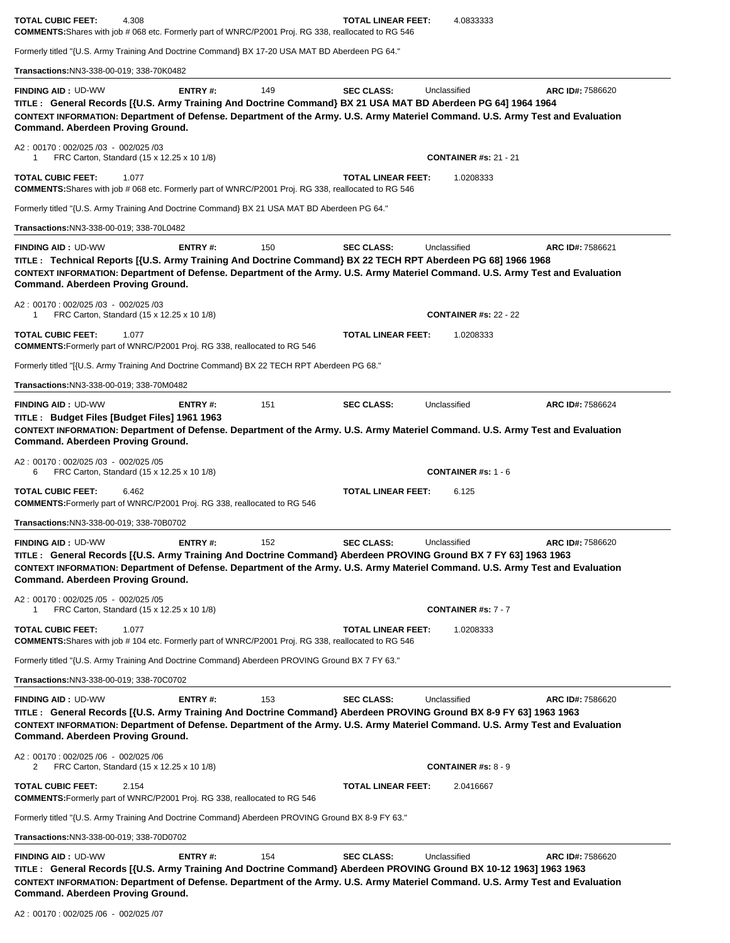| <b>TOTAL CUBIC FEET:</b><br>4.308<br><b>COMMENTS:</b> Shares with job # 068 etc. Formerly part of WNRC/P2001 Proj. RG 338, reallocated to RG 546                                                                                                                                                                      |                |     | <b>TOTAL LINEAR FEET:</b> | 4.0833333                    |                  |
|-----------------------------------------------------------------------------------------------------------------------------------------------------------------------------------------------------------------------------------------------------------------------------------------------------------------------|----------------|-----|---------------------------|------------------------------|------------------|
| Formerly titled "{U.S. Army Training And Doctrine Command} BX 17-20 USA MAT BD Aberdeen PG 64."                                                                                                                                                                                                                       |                |     |                           |                              |                  |
| Transactions:NN3-338-00-019; 338-70K0482                                                                                                                                                                                                                                                                              |                |     |                           |                              |                  |
| <b>FINDING AID: UD-WW</b><br>TITLE: General Records [{U.S. Army Training And Doctrine Command} BX 21 USA MAT BD Aberdeen PG 64] 1964 1964<br>CONTEXT INFORMATION: Department of Defense. Department of the Army. U.S. Army Materiel Command. U.S. Army Test and Evaluation<br>Command. Aberdeen Proving Ground.       | ENTRY#:        | 149 | <b>SEC CLASS:</b>         | Unclassified                 | ARC ID#: 7586620 |
| A2: 00170: 002/025 /03 - 002/025 /03<br>FRC Carton, Standard (15 x 12.25 x 10 1/8)<br>1                                                                                                                                                                                                                               |                |     |                           | <b>CONTAINER #s: 21 - 21</b> |                  |
| <b>TOTAL CUBIC FEET:</b><br>1.077<br><b>COMMENTS:</b> Shares with job # 068 etc. Formerly part of WNRC/P2001 Proj. RG 338, reallocated to RG 546                                                                                                                                                                      |                |     | <b>TOTAL LINEAR FEET:</b> | 1.0208333                    |                  |
| Formerly titled "{U.S. Army Training And Doctrine Command} BX 21 USA MAT BD Aberdeen PG 64."                                                                                                                                                                                                                          |                |     |                           |                              |                  |
| Transactions:NN3-338-00-019; 338-70L0482                                                                                                                                                                                                                                                                              |                |     |                           |                              |                  |
| <b>FINDING AID: UD-WW</b><br>TITLE: Technical Reports [{U.S. Army Training And Doctrine Command} BX 22 TECH RPT Aberdeen PG 68] 1966 1968<br>CONTEXT INFORMATION: Department of Defense. Department of the Army. U.S. Army Materiel Command. U.S. Army Test and Evaluation<br>Command. Aberdeen Proving Ground.       | ENTRY#:        | 150 | <b>SEC CLASS:</b>         | Unclassified                 | ARC ID#: 7586621 |
| A2: 00170: 002/025/03 - 002/025/03<br>FRC Carton, Standard (15 x 12.25 x 10 1/8)<br>1                                                                                                                                                                                                                                 |                |     |                           | <b>CONTAINER #s: 22 - 22</b> |                  |
| <b>TOTAL CUBIC FEET:</b><br>1.077<br><b>COMMENTS:</b> Formerly part of WNRC/P2001 Proj. RG 338, reallocated to RG 546                                                                                                                                                                                                 |                |     | <b>TOTAL LINEAR FEET:</b> | 1.0208333                    |                  |
| Formerly titled "[{U.S. Army Training And Doctrine Command} BX 22 TECH RPT Aberdeen PG 68."                                                                                                                                                                                                                           |                |     |                           |                              |                  |
| Transactions:NN3-338-00-019; 338-70M0482                                                                                                                                                                                                                                                                              |                |     |                           |                              |                  |
| <b>FINDING AID: UD-WW</b><br>TITLE: Budget Files [Budget Files] 1961 1963<br>CONTEXT INFORMATION: Department of Defense. Department of the Army. U.S. Army Materiel Command. U.S. Army Test and Evaluation<br>Command. Aberdeen Proving Ground.<br>A2: 00170: 002/025 /03 - 002/025 /05                               | ENTRY#:        | 151 | <b>SEC CLASS:</b>         | Unclassified                 | ARC ID#: 7586624 |
| FRC Carton, Standard (15 x 12.25 x 10 1/8)<br>6                                                                                                                                                                                                                                                                       |                |     |                           | <b>CONTAINER #s: 1 - 6</b>   |                  |
| <b>TOTAL CUBIC FEET:</b><br>6.462<br>COMMENTS: Formerly part of WNRC/P2001 Proj. RG 338, reallocated to RG 546                                                                                                                                                                                                        |                |     | <b>TOTAL LINEAR FEET:</b> | 6.125                        |                  |
| Transactions:NN3-338-00-019; 338-70B0702                                                                                                                                                                                                                                                                              |                |     |                           |                              |                  |
| <b>FINDING AID: UD-WW</b><br>TITLE : General Records [{U.S. Army Training And Doctrine Command} Aberdeen PROVING Ground BX 7 FY 63] 1963 1963<br>CONTEXT INFORMATION: Department of Defense. Department of the Army. U.S. Army Materiel Command. U.S. Army Test and Evaluation<br>Command. Aberdeen Proving Ground.   | <b>ENTRY#:</b> | 152 | <b>SEC CLASS:</b>         | Unclassified                 | ARC ID#: 7586620 |
| A2: 00170: 002/025/05 - 002/025/05<br>FRC Carton, Standard (15 x 12.25 x 10 1/8)<br>1                                                                                                                                                                                                                                 |                |     |                           | <b>CONTAINER #s: 7 - 7</b>   |                  |
| <b>TOTAL CUBIC FEET:</b><br>1.077<br><b>COMMENTS:</b> Shares with job #104 etc. Formerly part of WNRC/P2001 Proj. RG 338, reallocated to RG 546                                                                                                                                                                       |                |     | <b>TOTAL LINEAR FEET:</b> | 1.0208333                    |                  |
| Formerly titled "{U.S. Army Training And Doctrine Command} Aberdeen PROVING Ground BX 7 FY 63."                                                                                                                                                                                                                       |                |     |                           |                              |                  |
| Transactions:NN3-338-00-019; 338-70C0702                                                                                                                                                                                                                                                                              |                |     |                           |                              |                  |
| <b>FINDING AID: UD-WW</b><br>TITLE: General Records [{U.S. Army Training And Doctrine Command} Aberdeen PROVING Ground BX 8-9 FY 63] 1963 1963<br>CONTEXT INFORMATION: Department of Defense. Department of the Army. U.S. Army Materiel Command. U.S. Army Test and Evaluation<br>Command. Aberdeen Proving Ground.  | <b>ENTRY#:</b> | 153 | <b>SEC CLASS:</b>         | Unclassified                 | ARC ID#: 7586620 |
| A2: 00170: 002/025 /06 - 002/025 /06<br>FRC Carton, Standard (15 x 12.25 x 10 1/8)<br>2                                                                                                                                                                                                                               |                |     |                           | <b>CONTAINER #s: 8 - 9</b>   |                  |
| <b>TOTAL CUBIC FEET:</b><br>2.154<br><b>COMMENTS:</b> Formerly part of WNRC/P2001 Proj. RG 338, reallocated to RG 546                                                                                                                                                                                                 |                |     | <b>TOTAL LINEAR FEET:</b> | 2.0416667                    |                  |
| Formerly titled "{U.S. Army Training And Doctrine Command} Aberdeen PROVING Ground BX 8-9 FY 63."                                                                                                                                                                                                                     |                |     |                           |                              |                  |
| Transactions:NN3-338-00-019; 338-70D0702                                                                                                                                                                                                                                                                              |                |     |                           |                              |                  |
| <b>FINDING AID: UD-WW</b><br>TITLE: General Records [{U.S. Army Training And Doctrine Command} Aberdeen PROVING Ground BX 10-12 1963] 1963 1963<br>CONTEXT INFORMATION: Department of Defense. Department of the Army. U.S. Army Materiel Command. U.S. Army Test and Evaluation<br>Command. Aberdeen Proving Ground. | <b>ENTRY#:</b> | 154 | <b>SEC CLASS:</b>         | Unclassified                 | ARC ID#: 7586620 |

 $\overline{\phantom{a}}$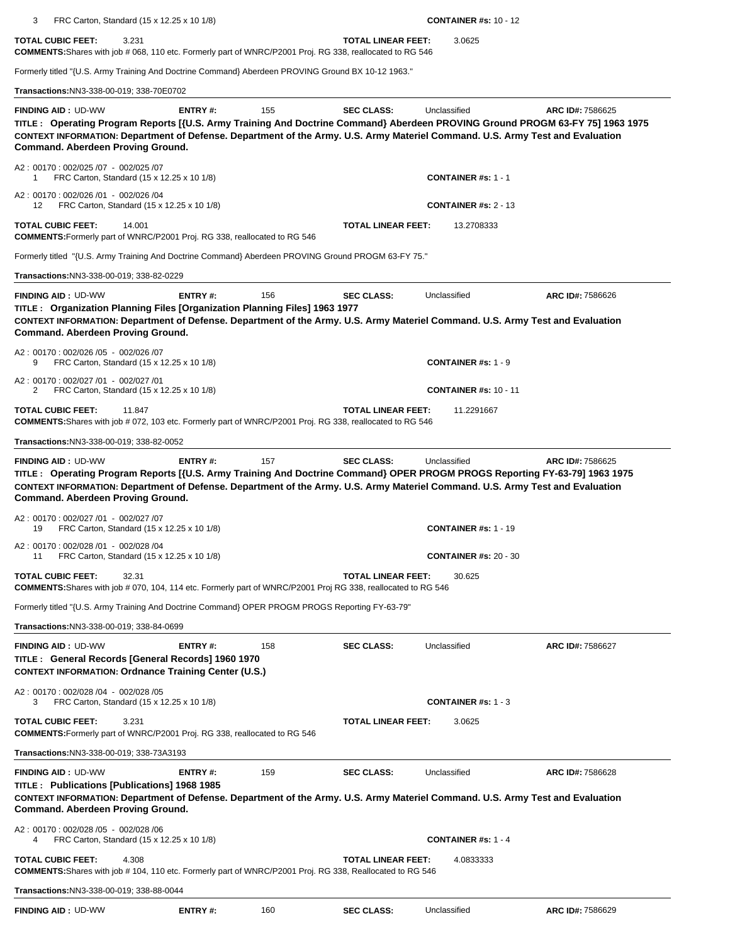3 FRC Carton, Standard (15 x 12.25 x 10 1/8) **CONTAINER #s:** 10 - 12

**TOTAL CUBIC FEET:** 3.231 **TOTAL LINEAR FEET:** 3.0625 **COMMENTS:**Shares with job # 068, 110 etc. Formerly part of WNRC/P2001 Proj. RG 338, reallocated to RG 546

Formerly titled "{U.S. Army Training And Doctrine Command} Aberdeen PROVING Ground BX 10-12 1963."

**Transactions:**NN3-338-00-019; 338-70E0702

| <b>FINDING AID: UD-WW</b><br>TITLE: Operating Program Reports [{U.S. Army Training And Doctrine Command} Aberdeen PROVING Ground PROGM 63-FY 75] 1963 1975<br>CONTEXT INFORMATION: Department of Defense. Department of the Army. U.S. Army Materiel Command. U.S. Army Test and Evaluation<br>Command. Aberdeen Proving Ground. | <b>ENTRY#:</b> | 155 | <b>SEC CLASS:</b>         | Unclassified                 | ARC ID#: 7586625 |
|----------------------------------------------------------------------------------------------------------------------------------------------------------------------------------------------------------------------------------------------------------------------------------------------------------------------------------|----------------|-----|---------------------------|------------------------------|------------------|
| A2: 00170: 002/025 /07 - 002/025 /07<br>FRC Carton, Standard (15 x 12.25 x 10 1/8)<br>-1                                                                                                                                                                                                                                         |                |     |                           | <b>CONTAINER #s: 1 - 1</b>   |                  |
| A2: 00170: 002/026 /01 - 002/026 /04<br>FRC Carton, Standard (15 x 12.25 x 10 1/8)<br>12                                                                                                                                                                                                                                         |                |     |                           | <b>CONTAINER #s: 2 - 13</b>  |                  |
| <b>TOTAL CUBIC FEET:</b><br>14.001<br><b>COMMENTS:</b> Formerly part of WNRC/P2001 Proj. RG 338, reallocated to RG 546                                                                                                                                                                                                           |                |     | TOTAL LINEAR FEET:        | 13.2708333                   |                  |
| Formerly titled "{U.S. Army Training And Doctrine Command} Aberdeen PROVING Ground PROGM 63-FY 75."                                                                                                                                                                                                                              |                |     |                           |                              |                  |
| Transactions:NN3-338-00-019; 338-82-0229                                                                                                                                                                                                                                                                                         |                |     |                           |                              |                  |
| <b>FINDING AID: UD-WW</b><br>TITLE : Organization Planning Files [Organization Planning Files] 1963 1977<br>CONTEXT INFORMATION: Department of Defense. Department of the Army. U.S. Army Materiel Command. U.S. Army Test and Evaluation<br>Command. Aberdeen Proving Ground.                                                   | ENTRY#:        | 156 | <b>SEC CLASS:</b>         | Unclassified                 | ARC ID#: 7586626 |
| A2: 00170: 002/026 /05 - 002/026 /07<br>9<br>FRC Carton, Standard (15 x 12.25 x 10 1/8)                                                                                                                                                                                                                                          |                |     |                           | <b>CONTAINER #s: 1 - 9</b>   |                  |
| A2: 00170: 002/027 /01 - 002/027 /01<br>FRC Carton, Standard (15 x 12.25 x 10 1/8)<br>2                                                                                                                                                                                                                                          |                |     |                           | <b>CONTAINER #s: 10 - 11</b> |                  |
| <b>TOTAL CUBIC FEET:</b><br>11.847<br>COMMENTS: Shares with job # 072, 103 etc. Formerly part of WNRC/P2001 Proj. RG 338, reallocated to RG 546                                                                                                                                                                                  |                |     | TOTAL LINEAR FEET:        | 11.2291667                   |                  |
| Transactions: NN3-338-00-019: 338-82-0052                                                                                                                                                                                                                                                                                        |                |     |                           |                              |                  |
| <b>FINDING AID: UD-WW</b><br>TITLE: Operating Program Reports [{U.S. Army Training And Doctrine Command} OPER PROGM PROGS Reporting FY-63-79] 1963 1975<br>CONTEXT INFORMATION: Department of Defense. Department of the Army. U.S. Army Materiel Command. U.S. Army Test and Evaluation<br>Command. Aberdeen Proving Ground.    | ENTRY#:        | 157 | <b>SEC CLASS:</b>         | Unclassified                 | ARC ID#: 7586625 |
| A2: 00170: 002/027 /01 - 002/027 /07<br>FRC Carton, Standard (15 x 12.25 x 10 1/8)<br>19                                                                                                                                                                                                                                         |                |     |                           | <b>CONTAINER #s: 1 - 19</b>  |                  |
| A2: 00170: 002/028 /01 - 002/028 /04<br>FRC Carton, Standard (15 x 12.25 x 10 1/8)<br>11                                                                                                                                                                                                                                         |                |     |                           | <b>CONTAINER #s: 20 - 30</b> |                  |
| <b>TOTAL CUBIC FEET:</b><br>32.31<br><b>COMMENTS:</b> Shares with job # 070, 104, 114 etc. Formerly part of WNRC/P2001 Proj RG 338, reallocated to RG 546                                                                                                                                                                        |                |     | <b>TOTAL LINEAR FEET:</b> | 30.625                       |                  |
| Formerly titled "{U.S. Army Training And Doctrine Command} OPER PROGM PROGS Reporting FY-63-79"                                                                                                                                                                                                                                  |                |     |                           |                              |                  |
| Transactions: NN3-338-00-019: 338-84-0699                                                                                                                                                                                                                                                                                        |                |     |                           |                              |                  |
| <b>FINDING AID: UD-WW</b><br>TITLE : General Records [General Records] 1960 1970<br><b>CONTEXT INFORMATION: Ordnance Training Center (U.S.)</b>                                                                                                                                                                                  | ENTRY#:        | 158 | <b>SEC CLASS:</b>         | Unclassified                 | ARC ID#: 7586627 |
| A2: 00170: 002/028 /04 - 002/028 /05<br>FRC Carton, Standard (15 x 12.25 x 10 1/8)<br>3                                                                                                                                                                                                                                          |                |     |                           | <b>CONTAINER #s: 1 - 3</b>   |                  |
| <b>TOTAL CUBIC FEET:</b><br>3.231<br><b>COMMENTS:</b> Formerly part of WNRC/P2001 Proj. RG 338, reallocated to RG 546                                                                                                                                                                                                            |                |     | <b>TOTAL LINEAR FEET:</b> | 3.0625                       |                  |
| Transactions:NN3-338-00-019; 338-73A3193                                                                                                                                                                                                                                                                                         |                |     |                           |                              |                  |
| <b>FINDING AID: UD-WW</b><br>TITLE: Publications [Publications] 1968 1985<br>CONTEXT INFORMATION: Department of Defense. Department of the Army. U.S. Army Materiel Command. U.S. Army Test and Evaluation<br>Command. Aberdeen Proving Ground.                                                                                  | <b>ENTRY#:</b> | 159 | <b>SEC CLASS:</b>         | Unclassified                 | ARC ID#: 7586628 |
| A2: 00170: 002/028 /05 - 002/028 /06<br>FRC Carton, Standard (15 x 12.25 x 10 1/8)                                                                                                                                                                                                                                               |                |     |                           | <b>CONTAINER #s: 1 - 4</b>   |                  |
| <b>TOTAL CUBIC FEET:</b><br>4.308<br><b>COMMENTS:</b> Shares with job # 104, 110 etc. Formerly part of WNRC/P2001 Proj. RG 338, Reallocated to RG 546                                                                                                                                                                            |                |     | <b>TOTAL LINEAR FEET:</b> | 4.0833333                    |                  |
| Transactions:NN3-338-00-019; 338-88-0044                                                                                                                                                                                                                                                                                         |                |     |                           |                              |                  |
| <b>FINDING AID: UD-WW</b>                                                                                                                                                                                                                                                                                                        | ENTRY#:        | 160 | <b>SEC CLASS:</b>         | Unclassified                 | ARC ID#: 7586629 |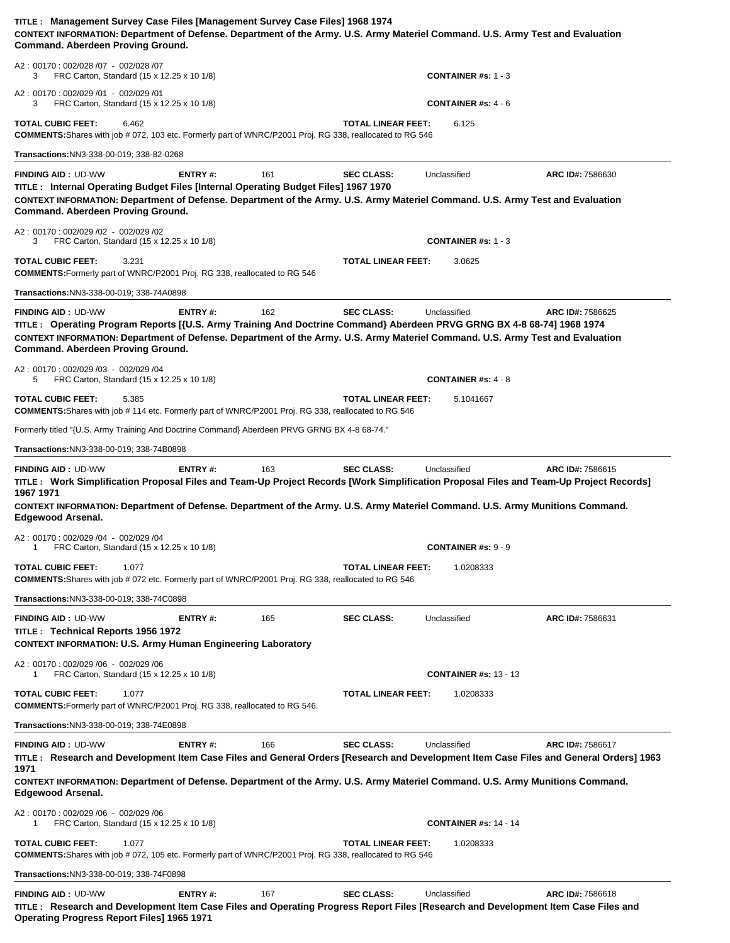| TITLE: Management Survey Case Files [Management Survey Case Files] 1968 1974<br>CONTEXT INFORMATION: Department of Defense. Department of the Army. U.S. Army Materiel Command. U.S. Army Test and Evaluation<br>Command. Aberdeen Proving Ground.                                                                                                                                                         |         |     |                           |                                         |                  |
|------------------------------------------------------------------------------------------------------------------------------------------------------------------------------------------------------------------------------------------------------------------------------------------------------------------------------------------------------------------------------------------------------------|---------|-----|---------------------------|-----------------------------------------|------------------|
| A2: 00170: 002/028 /07 - 002/028 /07<br>3<br>FRC Carton, Standard (15 x 12.25 x 10 1/8)                                                                                                                                                                                                                                                                                                                    |         |     |                           | <b>CONTAINER #s: 1 - 3</b>              |                  |
| A2: 00170: 002/029 /01 - 002/029 /01<br>FRC Carton, Standard (15 x 12.25 x 10 1/8)<br>3                                                                                                                                                                                                                                                                                                                    |         |     |                           | <b>CONTAINER #s: 4 - 6</b>              |                  |
| <b>TOTAL CUBIC FEET:</b><br>6.462<br><b>COMMENTS:</b> Shares with job # 072, 103 etc. Formerly part of WNRC/P2001 Proj. RG 338, reallocated to RG 546                                                                                                                                                                                                                                                      |         |     | <b>TOTAL LINEAR FEET:</b> | 6.125                                   |                  |
| Transactions:NN3-338-00-019; 338-82-0268                                                                                                                                                                                                                                                                                                                                                                   |         |     |                           |                                         |                  |
| <b>FINDING AID: UD-WW</b><br>TITLE : Internal Operating Budget Files [Internal Operating Budget Files] 1967 1970<br>CONTEXT INFORMATION: Department of Defense. Department of the Army. U.S. Army Materiel Command. U.S. Army Test and Evaluation<br>Command. Aberdeen Proving Ground.                                                                                                                     | ENTRY#: | 161 | <b>SEC CLASS:</b>         | Unclassified                            | ARC ID#: 7586630 |
| A2: 00170: 002/029 /02 - 002/029 /02<br>FRC Carton, Standard (15 x 12.25 x 10 1/8)<br>3                                                                                                                                                                                                                                                                                                                    |         |     |                           | <b>CONTAINER #s: 1 - 3</b>              |                  |
| TOTAL CUBIC FEET:<br>3.231<br><b>COMMENTS:</b> Formerly part of WNRC/P2001 Proj. RG 338, reallocated to RG 546                                                                                                                                                                                                                                                                                             |         |     | <b>TOTAL LINEAR FEET:</b> | 3.0625                                  |                  |
| Transactions: NN3-338-00-019; 338-74A0898                                                                                                                                                                                                                                                                                                                                                                  |         |     |                           |                                         |                  |
| <b>FINDING AID: UD-WW</b><br>TITLE: Operating Program Reports [{U.S. Army Training And Doctrine Command} Aberdeen PRVG GRNG BX 4-8 68-74] 1968 1974<br>CONTEXT INFORMATION: Department of Defense. Department of the Army. U.S. Army Materiel Command. U.S. Army Test and Evaluation<br>Command. Aberdeen Proving Ground.                                                                                  | ENTRY#: | 162 | <b>SEC CLASS:</b>         | Unclassified                            | ARC ID#: 7586625 |
| A2: 00170: 002/029 /03 - 002/029 /04<br>FRC Carton, Standard (15 x 12.25 x 10 1/8)<br>5                                                                                                                                                                                                                                                                                                                    |         |     |                           | <b>CONTAINER #s: 4 - 8</b>              |                  |
| TOTAL CUBIC FEET:<br>5.385<br><b>COMMENTS:</b> Shares with job #114 etc. Formerly part of WNRC/P2001 Proj. RG 338, reallocated to RG 546                                                                                                                                                                                                                                                                   |         |     | <b>TOTAL LINEAR FEET:</b> | 5.1041667                               |                  |
| Formerly titled "{U.S. Army Training And Doctrine Command} Aberdeen PRVG GRNG BX 4-8 68-74."                                                                                                                                                                                                                                                                                                               |         |     |                           |                                         |                  |
| Transactions: NN3-338-00-019; 338-74B0898                                                                                                                                                                                                                                                                                                                                                                  |         |     |                           |                                         |                  |
| TITLE: Work Simplification Proposal Files and Team-Up Project Records [Work Simplification Proposal Files and Team-Up Project Records]<br>1967 1971<br>CONTEXT INFORMATION: Department of Defense. Department of the Army. U.S. Army Materiel Command. U.S. Army Munitions Command.<br><b>Edgewood Arsenal.</b><br>A2: 00170: 002/029 /04 - 002/029 /04<br>FRC Carton, Standard (15 x 12.25 x 10 1/8)<br>1 |         |     |                           | <b>CONTAINER #s: <math>9 - 9</math></b> |                  |
| <b>TOTAL CUBIC FEET:</b><br>1.077<br><b>COMMENTS:</b> Shares with job # 072 etc. Formerly part of WNRC/P2001 Proj. RG 338, reallocated to RG 546                                                                                                                                                                                                                                                           |         |     | <b>TOTAL LINEAR FEET:</b> | 1.0208333                               |                  |
| Transactions:NN3-338-00-019; 338-74C0898                                                                                                                                                                                                                                                                                                                                                                   |         |     |                           |                                         |                  |
| <b>FINDING AID: UD-WW</b><br>TITLE: Technical Reports 1956 1972<br><b>CONTEXT INFORMATION: U.S. Army Human Engineering Laboratory</b>                                                                                                                                                                                                                                                                      | ENTRY#: | 165 | <b>SEC CLASS:</b>         | Unclassified                            | ARC ID#: 7586631 |
| A2: 00170: 002/029 /06 - 002/029 /06<br>FRC Carton, Standard (15 x 12.25 x 10 1/8)<br>1                                                                                                                                                                                                                                                                                                                    |         |     |                           | <b>CONTAINER #s: 13 - 13</b>            |                  |
| TOTAL CUBIC FEET:<br>1.077<br>COMMENTS: Formerly part of WNRC/P2001 Proj. RG 338, reallocated to RG 546.                                                                                                                                                                                                                                                                                                   |         |     | <b>TOTAL LINEAR FEET:</b> | 1.0208333                               |                  |
| Transactions: NN3-338-00-019; 338-74E0898                                                                                                                                                                                                                                                                                                                                                                  |         |     |                           |                                         |                  |
| <b>FINDING AID: UD-WW</b><br>TITLE: Research and Development Item Case Files and General Orders [Research and Development Item Case Files and General Orders] 1963<br>1971<br>CONTEXT INFORMATION: Department of Defense. Department of the Army. U.S. Army Materiel Command. U.S. Army Munitions Command.<br>Edgewood Arsenal.                                                                            | ENTRY#: | 166 | <b>SEC CLASS:</b>         | Unclassified                            | ARC ID#: 7586617 |
| A2: 00170: 002/029 /06 - 002/029 /06<br>FRC Carton, Standard (15 x 12.25 x 10 1/8)<br>1                                                                                                                                                                                                                                                                                                                    |         |     |                           | <b>CONTAINER #s: 14 - 14</b>            |                  |
| <b>TOTAL CUBIC FEET:</b><br>1.077<br><b>COMMENTS:</b> Shares with job # 072, 105 etc. Formerly part of WNRC/P2001 Proj. RG 338, reallocated to RG 546                                                                                                                                                                                                                                                      |         |     | <b>TOTAL LINEAR FEET:</b> | 1.0208333                               |                  |
| Transactions: NN3-338-00-019; 338-74F0898                                                                                                                                                                                                                                                                                                                                                                  |         |     |                           |                                         |                  |
| <b>FINDING AID: UD-WW</b>                                                                                                                                                                                                                                                                                                                                                                                  | ENTRY#: | 167 | <b>SEC CLASS:</b>         | Unclassified                            | ARC ID#: 7586618 |
| TITLE: Research and Development Item Case Files and Operating Progress Report Files [Research and Development Item Case Files and<br><b>Operating Progress Report Files] 1965 1971</b>                                                                                                                                                                                                                     |         |     |                           |                                         |                  |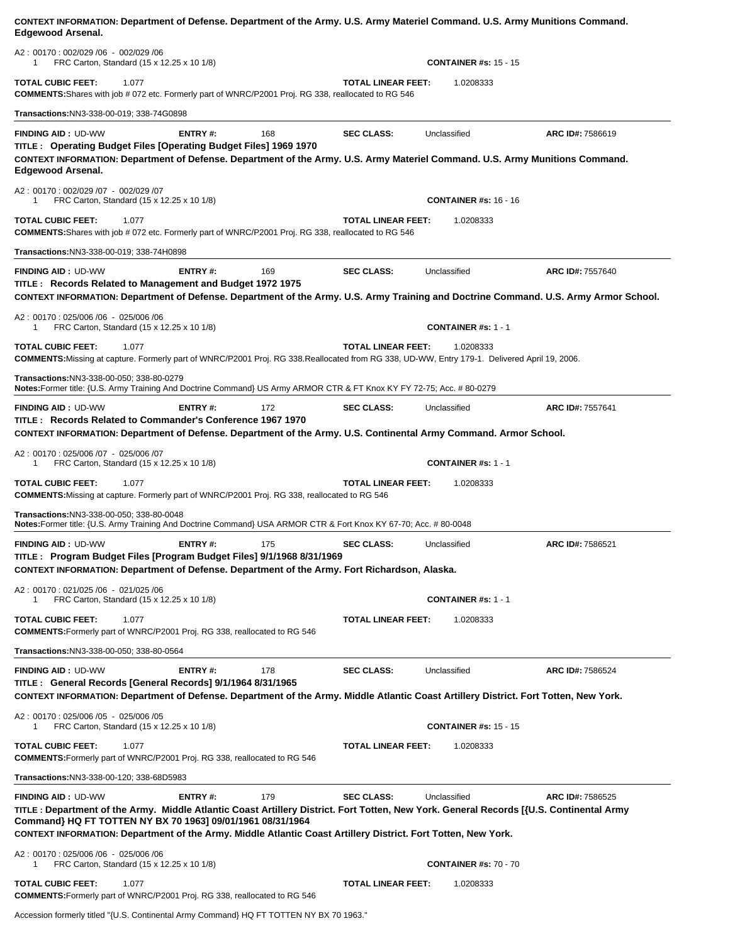| Edgewood Arsenal.                                                                                                                                                                                                                                                                                                       |                |     |                           |                              |                  |
|-------------------------------------------------------------------------------------------------------------------------------------------------------------------------------------------------------------------------------------------------------------------------------------------------------------------------|----------------|-----|---------------------------|------------------------------|------------------|
| A2: 00170: 002/029 /06 - 002/029 /06<br>FRC Carton, Standard (15 x 12.25 x 10 1/8)<br>1                                                                                                                                                                                                                                 |                |     |                           | <b>CONTAINER #s: 15 - 15</b> |                  |
| TOTAL CUBIC FEET:<br>1.077<br><b>COMMENTS:</b> Shares with job # 072 etc. Formerly part of WNRC/P2001 Proj. RG 338, reallocated to RG 546                                                                                                                                                                               |                |     | <b>TOTAL LINEAR FEET:</b> | 1.0208333                    |                  |
| <b>Transactions: NN3-338-00-019; 338-74G0898</b>                                                                                                                                                                                                                                                                        |                |     |                           |                              |                  |
| <b>FINDING AID: UD-WW</b>                                                                                                                                                                                                                                                                                               | <b>ENTRY#:</b> | 168 | <b>SEC CLASS:</b>         | Unclassified                 | ARC ID#: 7586619 |
| TITLE: Operating Budget Files [Operating Budget Files] 1969 1970<br>CONTEXT INFORMATION: Department of Defense. Department of the Army. U.S. Army Materiel Command. U.S. Army Munitions Command.<br><b>Edgewood Arsenal.</b>                                                                                            |                |     |                           |                              |                  |
| A2: 00170: 002/029 /07 - 002/029 /07<br>FRC Carton, Standard (15 x 12.25 x 10 1/8)                                                                                                                                                                                                                                      |                |     |                           | <b>CONTAINER #s: 16 - 16</b> |                  |
| TOTAL CUBIC FEET:<br>1.077<br><b>COMMENTS:</b> Shares with job # 072 etc. Formerly part of WNRC/P2001 Proj. RG 338, reallocated to RG 546                                                                                                                                                                               |                |     | <b>TOTAL LINEAR FEET:</b> | 1.0208333                    |                  |
| Transactions:NN3-338-00-019; 338-74H0898                                                                                                                                                                                                                                                                                |                |     |                           |                              |                  |
| <b>FINDING AID: UD-WW</b>                                                                                                                                                                                                                                                                                               | <b>ENTRY#:</b> | 169 | <b>SEC CLASS:</b>         | Unclassified                 | ARC ID#: 7557640 |
| TITLE : Records Related to Management and Budget 1972 1975<br>CONTEXT INFORMATION: Department of Defense. Department of the Army. U.S. Army Training and Doctrine Command. U.S. Army Armor School.                                                                                                                      |                |     |                           |                              |                  |
| A2: 00170: 025/006 /06 - 025/006 /06<br>FRC Carton, Standard (15 x 12.25 x 10 1/8)<br>1                                                                                                                                                                                                                                 |                |     |                           | <b>CONTAINER #s: 1 - 1</b>   |                  |
| <b>TOTAL CUBIC FEET:</b><br>1.077                                                                                                                                                                                                                                                                                       |                |     | <b>TOTAL LINEAR FEET:</b> | 1.0208333                    |                  |
| COMMENTS:Missing at capture. Formerly part of WNRC/P2001 Proj. RG 338.Reallocated from RG 338, UD-WW, Entry 179-1. Delivered April 19, 2006.                                                                                                                                                                            |                |     |                           |                              |                  |
| Transactions:NN3-338-00-050; 338-80-0279<br>Notes:Former title: {U.S. Army Training And Doctrine Command} US Army ARMOR CTR & FT Knox KY FY 72-75; Acc. #80-0279                                                                                                                                                        |                |     |                           |                              |                  |
| <b>FINDING AID: UD-WW</b>                                                                                                                                                                                                                                                                                               | ENTRY#:        | 172 | <b>SEC CLASS:</b>         | Unclassified                 | ARC ID#: 7557641 |
| TITLE: Records Related to Commander's Conference 1967 1970<br>CONTEXT INFORMATION: Department of Defense. Department of the Army. U.S. Continental Army Command. Armor School.                                                                                                                                          |                |     |                           |                              |                  |
| A2: 00170: 025/006 /07 - 025/006 /07                                                                                                                                                                                                                                                                                    |                |     |                           |                              |                  |
| FRC Carton, Standard (15 x 12.25 x 10 1/8)<br>1                                                                                                                                                                                                                                                                         |                |     |                           | <b>CONTAINER #s: 1 - 1</b>   |                  |
| <b>TOTAL CUBIC FEET:</b><br>1.077<br><b>COMMENTS:</b> Missing at capture. Formerly part of WNRC/P2001 Proj. RG 338, reallocated to RG 546                                                                                                                                                                               |                |     | <b>TOTAL LINEAR FEET:</b> | 1.0208333                    |                  |
| Transactions:NN3-338-00-050; 338-80-0048<br>Notes:Former title: {U.S. Army Training And Doctrine Command} USA ARMOR CTR & Fort Knox KY 67-70; Acc. #80-0048                                                                                                                                                             |                |     |                           |                              |                  |
| <b>FINDING AID: UD-WW</b>                                                                                                                                                                                                                                                                                               | ENTRY#:        | 175 | <b>SEC CLASS:</b>         | Unclassified                 | ARC ID#: 7586521 |
| TITLE: Program Budget Files [Program Budget Files] 9/1/1968 8/31/1969<br>CONTEXT INFORMATION: Department of Defense. Department of the Army. Fort Richardson, Alaska.                                                                                                                                                   |                |     |                           |                              |                  |
| A2: 00170: 021/025/06 - 021/025/06<br>FRC Carton, Standard (15 x 12.25 x 10 1/8)                                                                                                                                                                                                                                        |                |     |                           | <b>CONTAINER #s: 1 - 1</b>   |                  |
| <b>TOTAL CUBIC FEET:</b><br>1.077<br><b>COMMENTS:</b> Formerly part of WNRC/P2001 Proj. RG 338, reallocated to RG 546                                                                                                                                                                                                   |                |     | <b>TOTAL LINEAR FEET:</b> | 1.0208333                    |                  |
| Transactions:NN3-338-00-050; 338-80-0564                                                                                                                                                                                                                                                                                |                |     |                           |                              |                  |
| <b>FINDING AID: UD-WW</b>                                                                                                                                                                                                                                                                                               | <b>ENTRY#:</b> | 178 | <b>SEC CLASS:</b>         | Unclassified                 | ARC ID#: 7586524 |
| TITLE : General Records [General Records] 9/1/1964 8/31/1965<br>CONTEXT INFORMATION: Department of Defense. Department of the Army. Middle Atlantic Coast Artillery District. Fort Totten, New York.                                                                                                                    |                |     |                           |                              |                  |
| A2: 00170: 025/006 /05 - 025/006 /05<br>FRC Carton, Standard (15 x 12.25 x 10 1/8)                                                                                                                                                                                                                                      |                |     |                           | <b>CONTAINER #s: 15 - 15</b> |                  |
| <b>TOTAL CUBIC FEET:</b><br>1.077<br><b>COMMENTS:</b> Formerly part of WNRC/P2001 Proj. RG 338, reallocated to RG 546                                                                                                                                                                                                   |                |     | <b>TOTAL LINEAR FEET:</b> | 1.0208333                    |                  |
| Transactions:NN3-338-00-120; 338-68D5983                                                                                                                                                                                                                                                                                |                |     |                           |                              |                  |
| <b>FINDING AID: UD-WW</b>                                                                                                                                                                                                                                                                                               | <b>ENTRY#:</b> | 179 | <b>SEC CLASS:</b>         | Unclassified                 | ARC ID#: 7586525 |
| TITLE : Department of the Army. Middle Atlantic Coast Artillery District. Fort Totten, New York. General Records [{U.S. Continental Army<br>Command} HQ FT TOTTEN NY BX 70 1963] 09/01/1961 08/31/1964<br>CONTEXT INFORMATION: Department of the Army. Middle Atlantic Coast Artillery District. Fort Totten, New York. |                |     |                           |                              |                  |
| A2: 00170: 025/006 /06 - 025/006 /06<br>FRC Carton, Standard (15 x 12.25 x 10 1/8)                                                                                                                                                                                                                                      |                |     |                           | <b>CONTAINER #s: 70 - 70</b> |                  |
| TOTAL CUBIC FEET:<br>1.077<br><b>COMMENTS:</b> Formerly part of WNRC/P2001 Proj. RG 338, reallocated to RG 546                                                                                                                                                                                                          |                |     | <b>TOTAL LINEAR FEET:</b> | 1.0208333                    |                  |

**CONTEXT INFORMATION: Department of Defense. Department of the Army. U.S. Army Materiel Command. U.S. Army Munitions Command.** 

Accession formerly titled "{U.S. Continental Army Command} HQ FT TOTTEN NY BX 70 1963."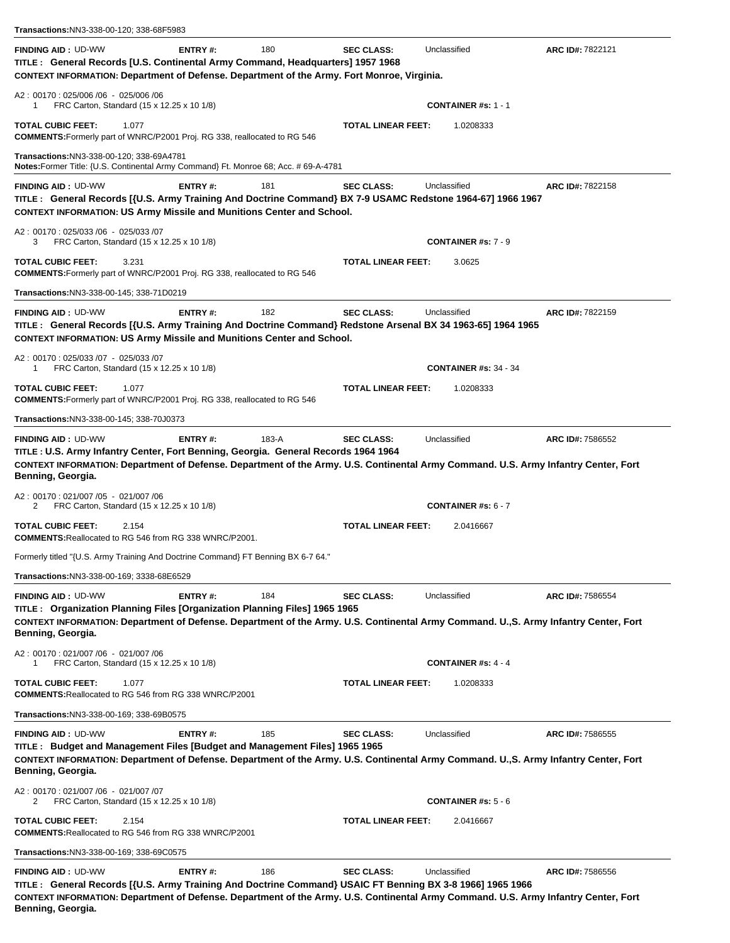| <b>FINDING AID: UD-WW</b><br>ENTRY#:<br>TITLE : General Records [U.S. Continental Army Command, Headquarters] 1957 1968<br>CONTEXT INFORMATION: Department of Defense. Department of the Army. Fort Monroe, Virginia.<br>A2: 00170: 025/006 /06 - 025/006 /06<br>FRC Carton, Standard (15 x 12.25 x 10 1/8)<br>1<br>TOTAL CUBIC FEET:<br>1.077<br>COMMENTS: Formerly part of WNRC/P2001 Proj. RG 338, reallocated to RG 546<br>Transactions:NN3-338-00-120; 338-69A4781<br>Notes:Former Title: {U.S. Continental Army Command} Ft. Monroe 68; Acc. # 69-A-4781<br>ENTRY#:<br><b>FINDING AID: UD-WW</b><br>TITLE: General Records [{U.S. Army Training And Doctrine Command} BX 7-9 USAMC Redstone 1964-67] 1966 1967<br><b>CONTEXT INFORMATION: US Army Missile and Munitions Center and School.</b><br>A2: 00170: 025/033 /06 - 025/033 /07<br>FRC Carton, Standard (15 x 12.25 x 10 1/8)<br>3<br><b>TOTAL CUBIC FEET:</b><br>3.231<br><b>COMMENTS:</b> Formerly part of WNRC/P2001 Proj. RG 338, reallocated to RG 546<br>Transactions:NN3-338-00-145; 338-71D0219<br><b>FINDING AID: UD-WW</b><br><b>ENTRY#:</b><br>TITLE: General Records [{U.S. Army Training And Doctrine Command} Redstone Arsenal BX 34 1963-65] 1964 1965<br><b>CONTEXT INFORMATION: US Army Missile and Munitions Center and School.</b><br>A2: 00170: 025/033 /07 - 025/033 /07<br>FRC Carton, Standard (15 x 12.25 x 10 1/8)<br>1<br><b>TOTAL CUBIC FEET:</b><br>1.077<br><b>COMMENTS:</b> Formerly part of WNRC/P2001 Proj. RG 338, reallocated to RG 546<br>Transactions: NN3-338-00-145; 338-70J0373<br><b>FINDING AID: UD-WW</b><br>ENTRY#:<br>TITLE : U.S. Army Infantry Center, Fort Benning, Georgia. General Records 1964 1964<br>CONTEXT INFORMATION: Department of Defense. Department of the Army. U.S. Continental Army Command. U.S. Army Infantry Center, Fort<br>Benning, Georgia.<br>A2: 00170: 021/007/05 - 021/007/06<br>FRC Carton, Standard (15 x 12.25 x 10 1/8)<br>2<br><b>TOTAL CUBIC FEET:</b><br>2.154<br><b>COMMENTS: Reallocated to RG 546 from RG 338 WNRC/P2001.</b><br>Formerly titled "{U.S. Army Training And Doctrine Command} FT Benning BX 6-7 64."<br>Transactions:NN3-338-00-169; 3338-68E6529<br>ENTRY#:<br><b>FINDING AID: UD-WW</b><br>TITLE: Organization Planning Files [Organization Planning Files] 1965 1965<br>CONTEXT INFORMATION: Department of Defense. Department of the Army. U.S. Continental Army Command. U.,S. Army Infantry Center, Fort<br>Benning, Georgia.<br>A2: 00170: 021/007/06 - 021/007/06<br>FRC Carton, Standard (15 x 12.25 x 10 1/8)<br>1<br>TOTAL CUBIC FEET:<br>1.077<br><b>COMMENTS: Reallocated to RG 546 from RG 338 WNRC/P2001</b><br>Transactions: NN3-338-00-169; 338-69B0575<br><b>FINDING AID: UD-WW</b><br><b>ENTRY#:</b><br>TITLE: Budget and Management Files [Budget and Management Files] 1965 1965<br>CONTEXT INFORMATION: Department of Defense. Department of the Army. U.S. Continental Army Command. U.,S. Army Infantry Center, Fort<br>Benning, Georgia.<br>A2: 00170: 021/007 /06 - 021/007 /07<br>FRC Carton, Standard (15 x 12.25 x 10 1/8)<br>2<br><b>TOTAL CUBIC FEET:</b><br>2.154<br><b>COMMENTS: Reallocated to RG 546 from RG 338 WNRC/P2001</b> |       |                           |                              |                  |
|----------------------------------------------------------------------------------------------------------------------------------------------------------------------------------------------------------------------------------------------------------------------------------------------------------------------------------------------------------------------------------------------------------------------------------------------------------------------------------------------------------------------------------------------------------------------------------------------------------------------------------------------------------------------------------------------------------------------------------------------------------------------------------------------------------------------------------------------------------------------------------------------------------------------------------------------------------------------------------------------------------------------------------------------------------------------------------------------------------------------------------------------------------------------------------------------------------------------------------------------------------------------------------------------------------------------------------------------------------------------------------------------------------------------------------------------------------------------------------------------------------------------------------------------------------------------------------------------------------------------------------------------------------------------------------------------------------------------------------------------------------------------------------------------------------------------------------------------------------------------------------------------------------------------------------------------------------------------------------------------------------------------------------------------------------------------------------------------------------------------------------------------------------------------------------------------------------------------------------------------------------------------------------------------------------------------------------------------------------------------------------------------------------------------------------------------------------------------------------------------------------------------------------------------------------------------------------------------------------------------------------------------------------------------------------------------------------------------------------------------------------------------------------------------------------------------------------------------------------------------------------------------------------------------------------------------------------------------------------------------------------------------------------------------------------------------------------------------------------------------------------------------------------------------------------------------------------------------------------|-------|---------------------------|------------------------------|------------------|
|                                                                                                                                                                                                                                                                                                                                                                                                                                                                                                                                                                                                                                                                                                                                                                                                                                                                                                                                                                                                                                                                                                                                                                                                                                                                                                                                                                                                                                                                                                                                                                                                                                                                                                                                                                                                                                                                                                                                                                                                                                                                                                                                                                                                                                                                                                                                                                                                                                                                                                                                                                                                                                                                                                                                                                                                                                                                                                                                                                                                                                                                                                                                                                                                                                  | 180   | <b>SEC CLASS:</b>         | Unclassified                 | ARC ID#: 7822121 |
|                                                                                                                                                                                                                                                                                                                                                                                                                                                                                                                                                                                                                                                                                                                                                                                                                                                                                                                                                                                                                                                                                                                                                                                                                                                                                                                                                                                                                                                                                                                                                                                                                                                                                                                                                                                                                                                                                                                                                                                                                                                                                                                                                                                                                                                                                                                                                                                                                                                                                                                                                                                                                                                                                                                                                                                                                                                                                                                                                                                                                                                                                                                                                                                                                                  |       |                           | <b>CONTAINER #s: 1 - 1</b>   |                  |
|                                                                                                                                                                                                                                                                                                                                                                                                                                                                                                                                                                                                                                                                                                                                                                                                                                                                                                                                                                                                                                                                                                                                                                                                                                                                                                                                                                                                                                                                                                                                                                                                                                                                                                                                                                                                                                                                                                                                                                                                                                                                                                                                                                                                                                                                                                                                                                                                                                                                                                                                                                                                                                                                                                                                                                                                                                                                                                                                                                                                                                                                                                                                                                                                                                  |       | <b>TOTAL LINEAR FEET:</b> | 1.0208333                    |                  |
|                                                                                                                                                                                                                                                                                                                                                                                                                                                                                                                                                                                                                                                                                                                                                                                                                                                                                                                                                                                                                                                                                                                                                                                                                                                                                                                                                                                                                                                                                                                                                                                                                                                                                                                                                                                                                                                                                                                                                                                                                                                                                                                                                                                                                                                                                                                                                                                                                                                                                                                                                                                                                                                                                                                                                                                                                                                                                                                                                                                                                                                                                                                                                                                                                                  |       |                           |                              |                  |
|                                                                                                                                                                                                                                                                                                                                                                                                                                                                                                                                                                                                                                                                                                                                                                                                                                                                                                                                                                                                                                                                                                                                                                                                                                                                                                                                                                                                                                                                                                                                                                                                                                                                                                                                                                                                                                                                                                                                                                                                                                                                                                                                                                                                                                                                                                                                                                                                                                                                                                                                                                                                                                                                                                                                                                                                                                                                                                                                                                                                                                                                                                                                                                                                                                  | 181   | <b>SEC CLASS:</b>         | Unclassified                 | ARC ID#: 7822158 |
|                                                                                                                                                                                                                                                                                                                                                                                                                                                                                                                                                                                                                                                                                                                                                                                                                                                                                                                                                                                                                                                                                                                                                                                                                                                                                                                                                                                                                                                                                                                                                                                                                                                                                                                                                                                                                                                                                                                                                                                                                                                                                                                                                                                                                                                                                                                                                                                                                                                                                                                                                                                                                                                                                                                                                                                                                                                                                                                                                                                                                                                                                                                                                                                                                                  |       |                           | <b>CONTAINER #s: 7 - 9</b>   |                  |
|                                                                                                                                                                                                                                                                                                                                                                                                                                                                                                                                                                                                                                                                                                                                                                                                                                                                                                                                                                                                                                                                                                                                                                                                                                                                                                                                                                                                                                                                                                                                                                                                                                                                                                                                                                                                                                                                                                                                                                                                                                                                                                                                                                                                                                                                                                                                                                                                                                                                                                                                                                                                                                                                                                                                                                                                                                                                                                                                                                                                                                                                                                                                                                                                                                  |       | <b>TOTAL LINEAR FEET:</b> | 3.0625                       |                  |
|                                                                                                                                                                                                                                                                                                                                                                                                                                                                                                                                                                                                                                                                                                                                                                                                                                                                                                                                                                                                                                                                                                                                                                                                                                                                                                                                                                                                                                                                                                                                                                                                                                                                                                                                                                                                                                                                                                                                                                                                                                                                                                                                                                                                                                                                                                                                                                                                                                                                                                                                                                                                                                                                                                                                                                                                                                                                                                                                                                                                                                                                                                                                                                                                                                  |       |                           |                              |                  |
|                                                                                                                                                                                                                                                                                                                                                                                                                                                                                                                                                                                                                                                                                                                                                                                                                                                                                                                                                                                                                                                                                                                                                                                                                                                                                                                                                                                                                                                                                                                                                                                                                                                                                                                                                                                                                                                                                                                                                                                                                                                                                                                                                                                                                                                                                                                                                                                                                                                                                                                                                                                                                                                                                                                                                                                                                                                                                                                                                                                                                                                                                                                                                                                                                                  | 182   | <b>SEC CLASS:</b>         | Unclassified                 | ARC ID#: 7822159 |
|                                                                                                                                                                                                                                                                                                                                                                                                                                                                                                                                                                                                                                                                                                                                                                                                                                                                                                                                                                                                                                                                                                                                                                                                                                                                                                                                                                                                                                                                                                                                                                                                                                                                                                                                                                                                                                                                                                                                                                                                                                                                                                                                                                                                                                                                                                                                                                                                                                                                                                                                                                                                                                                                                                                                                                                                                                                                                                                                                                                                                                                                                                                                                                                                                                  |       |                           | <b>CONTAINER #s: 34 - 34</b> |                  |
|                                                                                                                                                                                                                                                                                                                                                                                                                                                                                                                                                                                                                                                                                                                                                                                                                                                                                                                                                                                                                                                                                                                                                                                                                                                                                                                                                                                                                                                                                                                                                                                                                                                                                                                                                                                                                                                                                                                                                                                                                                                                                                                                                                                                                                                                                                                                                                                                                                                                                                                                                                                                                                                                                                                                                                                                                                                                                                                                                                                                                                                                                                                                                                                                                                  |       | <b>TOTAL LINEAR FEET:</b> | 1.0208333                    |                  |
|                                                                                                                                                                                                                                                                                                                                                                                                                                                                                                                                                                                                                                                                                                                                                                                                                                                                                                                                                                                                                                                                                                                                                                                                                                                                                                                                                                                                                                                                                                                                                                                                                                                                                                                                                                                                                                                                                                                                                                                                                                                                                                                                                                                                                                                                                                                                                                                                                                                                                                                                                                                                                                                                                                                                                                                                                                                                                                                                                                                                                                                                                                                                                                                                                                  |       |                           |                              |                  |
|                                                                                                                                                                                                                                                                                                                                                                                                                                                                                                                                                                                                                                                                                                                                                                                                                                                                                                                                                                                                                                                                                                                                                                                                                                                                                                                                                                                                                                                                                                                                                                                                                                                                                                                                                                                                                                                                                                                                                                                                                                                                                                                                                                                                                                                                                                                                                                                                                                                                                                                                                                                                                                                                                                                                                                                                                                                                                                                                                                                                                                                                                                                                                                                                                                  | 183-A | <b>SEC CLASS:</b>         | Unclassified                 | ARC ID#: 7586552 |
|                                                                                                                                                                                                                                                                                                                                                                                                                                                                                                                                                                                                                                                                                                                                                                                                                                                                                                                                                                                                                                                                                                                                                                                                                                                                                                                                                                                                                                                                                                                                                                                                                                                                                                                                                                                                                                                                                                                                                                                                                                                                                                                                                                                                                                                                                                                                                                                                                                                                                                                                                                                                                                                                                                                                                                                                                                                                                                                                                                                                                                                                                                                                                                                                                                  |       |                           | <b>CONTAINER #s: 6 - 7</b>   |                  |
|                                                                                                                                                                                                                                                                                                                                                                                                                                                                                                                                                                                                                                                                                                                                                                                                                                                                                                                                                                                                                                                                                                                                                                                                                                                                                                                                                                                                                                                                                                                                                                                                                                                                                                                                                                                                                                                                                                                                                                                                                                                                                                                                                                                                                                                                                                                                                                                                                                                                                                                                                                                                                                                                                                                                                                                                                                                                                                                                                                                                                                                                                                                                                                                                                                  |       | <b>TOTAL LINEAR FEET:</b> | 2.0416667                    |                  |
|                                                                                                                                                                                                                                                                                                                                                                                                                                                                                                                                                                                                                                                                                                                                                                                                                                                                                                                                                                                                                                                                                                                                                                                                                                                                                                                                                                                                                                                                                                                                                                                                                                                                                                                                                                                                                                                                                                                                                                                                                                                                                                                                                                                                                                                                                                                                                                                                                                                                                                                                                                                                                                                                                                                                                                                                                                                                                                                                                                                                                                                                                                                                                                                                                                  |       |                           |                              |                  |
|                                                                                                                                                                                                                                                                                                                                                                                                                                                                                                                                                                                                                                                                                                                                                                                                                                                                                                                                                                                                                                                                                                                                                                                                                                                                                                                                                                                                                                                                                                                                                                                                                                                                                                                                                                                                                                                                                                                                                                                                                                                                                                                                                                                                                                                                                                                                                                                                                                                                                                                                                                                                                                                                                                                                                                                                                                                                                                                                                                                                                                                                                                                                                                                                                                  |       |                           |                              |                  |
|                                                                                                                                                                                                                                                                                                                                                                                                                                                                                                                                                                                                                                                                                                                                                                                                                                                                                                                                                                                                                                                                                                                                                                                                                                                                                                                                                                                                                                                                                                                                                                                                                                                                                                                                                                                                                                                                                                                                                                                                                                                                                                                                                                                                                                                                                                                                                                                                                                                                                                                                                                                                                                                                                                                                                                                                                                                                                                                                                                                                                                                                                                                                                                                                                                  | 184   | <b>SEC CLASS:</b>         | Unclassified                 | ARC ID#: 7586554 |
|                                                                                                                                                                                                                                                                                                                                                                                                                                                                                                                                                                                                                                                                                                                                                                                                                                                                                                                                                                                                                                                                                                                                                                                                                                                                                                                                                                                                                                                                                                                                                                                                                                                                                                                                                                                                                                                                                                                                                                                                                                                                                                                                                                                                                                                                                                                                                                                                                                                                                                                                                                                                                                                                                                                                                                                                                                                                                                                                                                                                                                                                                                                                                                                                                                  |       |                           | <b>CONTAINER #s: 4 - 4</b>   |                  |
|                                                                                                                                                                                                                                                                                                                                                                                                                                                                                                                                                                                                                                                                                                                                                                                                                                                                                                                                                                                                                                                                                                                                                                                                                                                                                                                                                                                                                                                                                                                                                                                                                                                                                                                                                                                                                                                                                                                                                                                                                                                                                                                                                                                                                                                                                                                                                                                                                                                                                                                                                                                                                                                                                                                                                                                                                                                                                                                                                                                                                                                                                                                                                                                                                                  |       | <b>TOTAL LINEAR FEET:</b> | 1.0208333                    |                  |
|                                                                                                                                                                                                                                                                                                                                                                                                                                                                                                                                                                                                                                                                                                                                                                                                                                                                                                                                                                                                                                                                                                                                                                                                                                                                                                                                                                                                                                                                                                                                                                                                                                                                                                                                                                                                                                                                                                                                                                                                                                                                                                                                                                                                                                                                                                                                                                                                                                                                                                                                                                                                                                                                                                                                                                                                                                                                                                                                                                                                                                                                                                                                                                                                                                  |       |                           |                              |                  |
|                                                                                                                                                                                                                                                                                                                                                                                                                                                                                                                                                                                                                                                                                                                                                                                                                                                                                                                                                                                                                                                                                                                                                                                                                                                                                                                                                                                                                                                                                                                                                                                                                                                                                                                                                                                                                                                                                                                                                                                                                                                                                                                                                                                                                                                                                                                                                                                                                                                                                                                                                                                                                                                                                                                                                                                                                                                                                                                                                                                                                                                                                                                                                                                                                                  | 185   | <b>SEC CLASS:</b>         | Unclassified                 | ARC ID#: 7586555 |
|                                                                                                                                                                                                                                                                                                                                                                                                                                                                                                                                                                                                                                                                                                                                                                                                                                                                                                                                                                                                                                                                                                                                                                                                                                                                                                                                                                                                                                                                                                                                                                                                                                                                                                                                                                                                                                                                                                                                                                                                                                                                                                                                                                                                                                                                                                                                                                                                                                                                                                                                                                                                                                                                                                                                                                                                                                                                                                                                                                                                                                                                                                                                                                                                                                  |       |                           | <b>CONTAINER #s: 5 - 6</b>   |                  |
|                                                                                                                                                                                                                                                                                                                                                                                                                                                                                                                                                                                                                                                                                                                                                                                                                                                                                                                                                                                                                                                                                                                                                                                                                                                                                                                                                                                                                                                                                                                                                                                                                                                                                                                                                                                                                                                                                                                                                                                                                                                                                                                                                                                                                                                                                                                                                                                                                                                                                                                                                                                                                                                                                                                                                                                                                                                                                                                                                                                                                                                                                                                                                                                                                                  |       | <b>TOTAL LINEAR FEET:</b> | 2.0416667                    |                  |
| <b>Transactions: NN3-338-00-169; 338-69C0575</b>                                                                                                                                                                                                                                                                                                                                                                                                                                                                                                                                                                                                                                                                                                                                                                                                                                                                                                                                                                                                                                                                                                                                                                                                                                                                                                                                                                                                                                                                                                                                                                                                                                                                                                                                                                                                                                                                                                                                                                                                                                                                                                                                                                                                                                                                                                                                                                                                                                                                                                                                                                                                                                                                                                                                                                                                                                                                                                                                                                                                                                                                                                                                                                                 |       |                           |                              |                  |
| <b>FINDING AID: UD-WW</b><br><b>ENTRY#:</b><br>TITLE: General Records [{U.S. Army Training And Doctrine Command} USAIC FT Benning BX 3-8 1966] 1965 1966<br>CONTEXT INFORMATION: Department of Defense. Department of the Army. U.S. Continental Army Command. U.S. Army Infantry Center, Fort                                                                                                                                                                                                                                                                                                                                                                                                                                                                                                                                                                                                                                                                                                                                                                                                                                                                                                                                                                                                                                                                                                                                                                                                                                                                                                                                                                                                                                                                                                                                                                                                                                                                                                                                                                                                                                                                                                                                                                                                                                                                                                                                                                                                                                                                                                                                                                                                                                                                                                                                                                                                                                                                                                                                                                                                                                                                                                                                   | 186   | <b>SEC CLASS:</b>         | Unclassified                 | ARC ID#: 7586556 |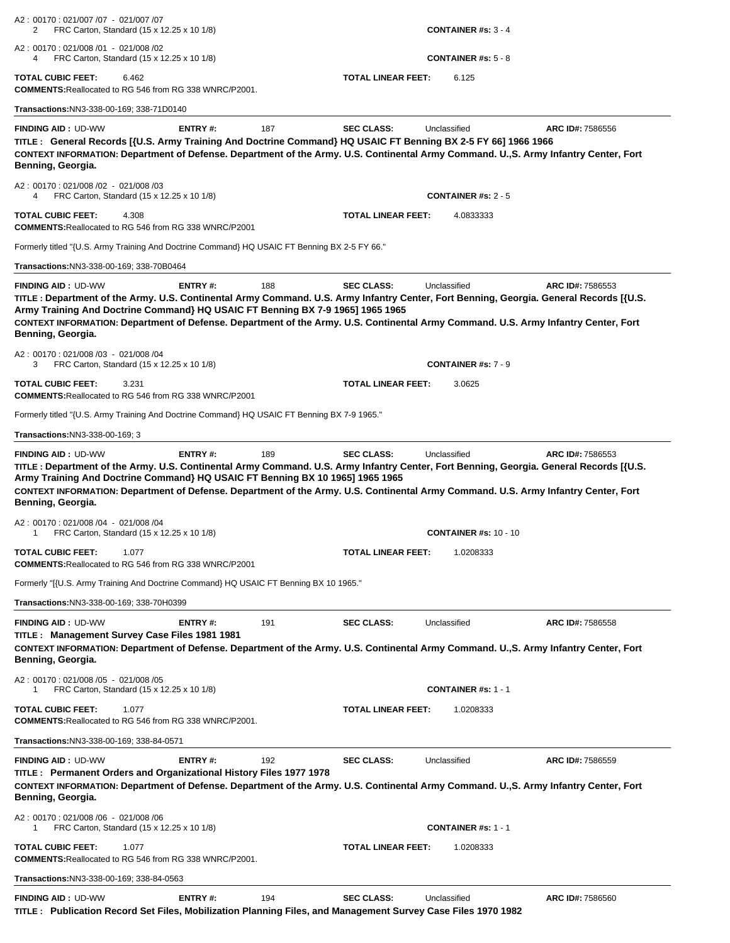| A2: 00170: 021/007 /07 - 021/007 /07<br>FRC Carton, Standard (15 x 12.25 x 10 1/8)<br>2                                                                                                                                                                                                                                                                                                                                                                                  |                |     |                           | CONTAINER #s: $3 - 4$        |                  |
|--------------------------------------------------------------------------------------------------------------------------------------------------------------------------------------------------------------------------------------------------------------------------------------------------------------------------------------------------------------------------------------------------------------------------------------------------------------------------|----------------|-----|---------------------------|------------------------------|------------------|
| A2: 00170: 021/008 /01 - 021/008 /02<br>FRC Carton, Standard (15 x 12.25 x 10 1/8)<br>4                                                                                                                                                                                                                                                                                                                                                                                  |                |     |                           | <b>CONTAINER #s: 5 - 8</b>   |                  |
| <b>TOTAL CUBIC FEET:</b><br>6.462<br><b>COMMENTS: Reallocated to RG 546 from RG 338 WNRC/P2001.</b>                                                                                                                                                                                                                                                                                                                                                                      |                |     | <b>TOTAL LINEAR FEET:</b> | 6.125                        |                  |
| Transactions: NN3-338-00-169; 338-71D0140                                                                                                                                                                                                                                                                                                                                                                                                                                |                |     |                           |                              |                  |
| <b>FINDING AID: UD-WW</b><br>TITLE: General Records [{U.S. Army Training And Doctrine Command} HQ USAIC FT Benning BX 2-5 FY 66] 1966 1966<br>CONTEXT INFORMATION: Department of Defense. Department of the Army. U.S. Continental Army Command. U.,S. Army Infantry Center, Fort<br>Benning, Georgia.                                                                                                                                                                   | ENTRY#:        | 187 | <b>SEC CLASS:</b>         | Unclassified                 | ARC ID#: 7586556 |
| A2: 00170: 021/008 /02 - 021/008 /03<br>FRC Carton, Standard (15 x 12.25 x 10 1/8)<br>4                                                                                                                                                                                                                                                                                                                                                                                  |                |     |                           | <b>CONTAINER #s: 2 - 5</b>   |                  |
| <b>TOTAL CUBIC FEET:</b><br>4.308<br><b>COMMENTS: Reallocated to RG 546 from RG 338 WNRC/P2001</b>                                                                                                                                                                                                                                                                                                                                                                       |                |     | <b>TOTAL LINEAR FEET:</b> | 4.0833333                    |                  |
| Formerly titled "{U.S. Army Training And Doctrine Command} HQ USAIC FT Benning BX 2-5 FY 66."                                                                                                                                                                                                                                                                                                                                                                            |                |     |                           |                              |                  |
| Transactions: NN3-338-00-169; 338-70B0464                                                                                                                                                                                                                                                                                                                                                                                                                                |                |     |                           |                              |                  |
| <b>FINDING AID: UD-WW</b><br>TITLE: Department of the Army. U.S. Continental Army Command. U.S. Army Infantry Center, Fort Benning, Georgia. General Records [{U.S.<br>Army Training And Doctrine Command} HQ USAIC FT Benning BX 7-9 1965] 1965 1965<br>CONTEXT INFORMATION: Department of Defense. Department of the Army. U.S. Continental Army Command. U.S. Army Infantry Center, Fort<br>Benning, Georgia.                                                         | ENTRY#:        | 188 | <b>SEC CLASS:</b>         | Unclassified                 | ARC ID#: 7586553 |
| A2: 00170: 021/008 /03 - 021/008 /04<br>FRC Carton, Standard (15 x 12.25 x 10 1/8)<br>3                                                                                                                                                                                                                                                                                                                                                                                  |                |     |                           | <b>CONTAINER #s: 7 - 9</b>   |                  |
| TOTAL CUBIC FEET:<br>3.231<br><b>COMMENTS: Reallocated to RG 546 from RG 338 WNRC/P2001</b>                                                                                                                                                                                                                                                                                                                                                                              |                |     | TOTAL LINEAR FEET:        | 3.0625                       |                  |
| Formerly titled "{U.S. Army Training And Doctrine Command} HQ USAIC FT Benning BX 7-9 1965."                                                                                                                                                                                                                                                                                                                                                                             |                |     |                           |                              |                  |
| Transactions:NN3-338-00-169; 3                                                                                                                                                                                                                                                                                                                                                                                                                                           |                |     |                           |                              |                  |
| TITLE: Department of the Army. U.S. Continental Army Command. U.S. Army Infantry Center, Fort Benning, Georgia. General Records [{U.S.<br>Army Training And Doctrine Command} HQ USAIC FT Benning BX 10 1965] 1965 1965<br>CONTEXT INFORMATION: Department of Defense. Department of the Army. U.S. Continental Army Command. U.S. Army Infantry Center, Fort<br>Benning, Georgia.<br>A2: 00170: 021/008 /04 - 021/008 /04<br>FRC Carton, Standard (15 x 12.25 x 10 1/8) |                |     |                           | <b>CONTAINER #s: 10 - 10</b> |                  |
| <b>TOTAL CUBIC FEET:</b><br>1.077<br><b>COMMENTS: Reallocated to RG 546 from RG 338 WNRC/P2001</b>                                                                                                                                                                                                                                                                                                                                                                       |                |     | TOTAL LINEAR FEET:        | 1.0208333                    |                  |
| Formerly "[{U.S. Army Training And Doctrine Command} HQ USAIC FT Benning BX 10 1965."                                                                                                                                                                                                                                                                                                                                                                                    |                |     |                           |                              |                  |
| Transactions:NN3-338-00-169; 338-70H0399                                                                                                                                                                                                                                                                                                                                                                                                                                 |                |     |                           |                              |                  |
| <b>FINDING AID: UD-WW</b><br>TITLE: Management Survey Case Files 1981 1981<br>CONTEXT INFORMATION: Department of Defense. Department of the Army. U.S. Continental Army Command. U.,S. Army Infantry Center, Fort<br>Benning, Georgia.                                                                                                                                                                                                                                   | <b>ENTRY#:</b> | 191 | <b>SEC CLASS:</b>         | Unclassified                 | ARC ID#: 7586558 |
| A2: 00170: 021/008 /05 - 021/008 /05<br>FRC Carton, Standard (15 x 12.25 x 10 1/8)<br>1                                                                                                                                                                                                                                                                                                                                                                                  |                |     |                           | <b>CONTAINER #s: 1 - 1</b>   |                  |
| TOTAL CUBIC FEET:<br>1.077<br><b>COMMENTS: Reallocated to RG 546 from RG 338 WNRC/P2001.</b>                                                                                                                                                                                                                                                                                                                                                                             |                |     | <b>TOTAL LINEAR FEET:</b> | 1.0208333                    |                  |
| Transactions:NN3-338-00-169; 338-84-0571                                                                                                                                                                                                                                                                                                                                                                                                                                 |                |     |                           |                              |                  |
| <b>FINDING AID: UD-WW</b><br>TITLE: Permanent Orders and Organizational History Files 1977 1978<br>CONTEXT INFORMATION: Department of Defense. Department of the Army. U.S. Continental Army Command. U.,S. Army Infantry Center, Fort<br>Benning, Georgia.                                                                                                                                                                                                              | <b>ENTRY#:</b> | 192 | <b>SEC CLASS:</b>         | Unclassified                 | ARC ID#: 7586559 |
| A2: 00170: 021/008 /06 - 021/008 /06<br>FRC Carton, Standard (15 x 12.25 x 10 1/8)<br>1                                                                                                                                                                                                                                                                                                                                                                                  |                |     |                           | <b>CONTAINER #s: 1 - 1</b>   |                  |
| TOTAL CUBIC FEET:<br>1.077<br><b>COMMENTS: Reallocated to RG 546 from RG 338 WNRC/P2001.</b>                                                                                                                                                                                                                                                                                                                                                                             |                |     | <b>TOTAL LINEAR FEET:</b> | 1.0208333                    |                  |
| Transactions:NN3-338-00-169; 338-84-0563                                                                                                                                                                                                                                                                                                                                                                                                                                 |                |     |                           |                              |                  |
| <b>FINDING AID: UD-WW</b>                                                                                                                                                                                                                                                                                                                                                                                                                                                | ENTRY#:        | 194 | <b>SEC CLASS:</b>         | Unclassified                 | ARC ID#: 7586560 |

**TITLE : Publication Record Set Files, Mobilization Planning Files, and Management Survey Case Files 1970 1982**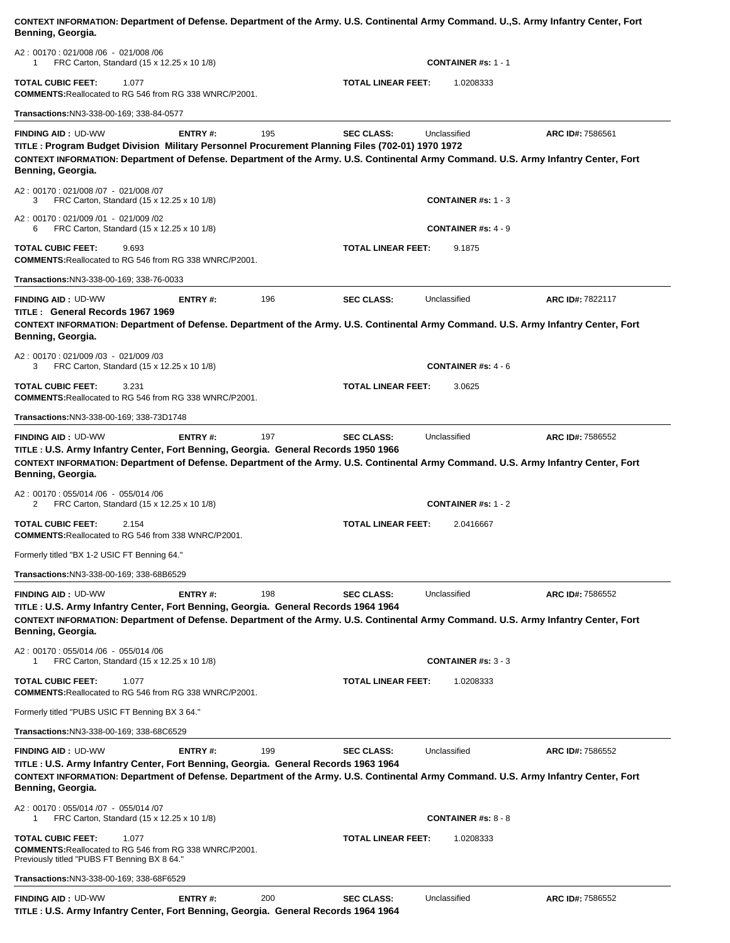**Benning, Georgia.** A2 : 00170 : 021/008 /06 - 021/008 /06 1 FRC Carton, Standard (15 x 12.25 x 10 1/8) **CONTAINER #s:** 1 - 1 **TOTAL CUBIC FEET:** 1.077 **TOTAL LINEAR FEET:** 1.0208333 **COMMENTS:**Reallocated to RG 546 from RG 338 WNRC/P2001. **Transactions:**NN3-338-00-169; 338-84-0577**FINDING AID :** UD-WW **ENTRY #:** 195 **SEC CLASS:** Unclassified **ARC ID#:** 7586561 **TITLE : Program Budget Division Military Personnel Procurement Planning Files (702-01) 1970 1972 CONTEXT INFORMATION: Department of Defense. Department of the Army. U.S. Continental Army Command. U.S. Army Infantry Center, Fort Benning, Georgia.** A2 : 00170 : 021/008 /07 - 021/008 /07 3 FRC Carton, Standard (15 x 12.25 x 10 1/8) **CONTAINER #s:** 1 - 3 A2 : 00170 : 021/009 /01 - 021/009 /02 6 FRC Carton, Standard (15 x 12.25 x 10 1/8) **CONTAINER #s:** 4 - 9 **TOTAL CUBIC FEET:** 9.693 **TOTAL LINEAR FEET:** 9.1875 **COMMENTS:**Reallocated to RG 546 from RG 338 WNRC/P2001. **Transactions:**NN3-338-00-169; 338-76-0033**FINDING AID :** UD-WW **ENTRY #:** 196 **SEC CLASS:** Unclassified **ARC ID#:** 7822117 **TITLE : General Records 1967 1969 CONTEXT INFORMATION: Department of Defense. Department of the Army. U.S. Continental Army Command. U.S. Army Infantry Center, Fort Benning, Georgia.** A2 : 00170 : 021/009 /03 - 021/009 /03 3 FRC Carton, Standard (15 x 12.25 x 10 1/8) **CONTAINER #s:** 4 - 6 **TOTAL CUBIC FEET:** 3.231 **TOTAL LINEAR FEET:** 3.0625 **COMMENTS:**Reallocated to RG 546 from RG 338 WNRC/P2001. **Transactions:**NN3-338-00-169; 338-73D1748**FINDING AID :** UD-WW **ENTRY #:** 197 **SEC CLASS:** Unclassified **ARC ID#:** 7586552 **TITLE : U.S. Army Infantry Center, Fort Benning, Georgia. General Records 1950 1966 CONTEXT INFORMATION: Department of Defense. Department of the Army. U.S. Continental Army Command. U.S. Army Infantry Center, Fort Benning, Georgia.** A2 : 00170 : 055/014 /06 - 055/014 /06 2 FRC Carton, Standard (15 x 12.25 x 10 1/8) **CONTAINER #s:** 1 - 2 **TOTAL CUBIC FEET:** 2.154 **TOTAL LINEAR FEET:** 2.0416667 **COMMENTS:**Reallocated to RG 546 from 338 WNRC/P2001. Formerly titled "BX 1-2 USIC FT Benning 64." **Transactions:**NN3-338-00-169; 338-68B6529**FINDING AID :** UD-WW **ENTRY #:** 198 **SEC CLASS:** Unclassified **ARC ID#:** 7586552 **TITLE : U.S. Army Infantry Center, Fort Benning, Georgia. General Records 1964 1964 CONTEXT INFORMATION: Department of Defense. Department of the Army. U.S. Continental Army Command. U.S. Army Infantry Center, Fort Benning, Georgia.** A2 : 00170 : 055/014 /06 - 055/014 /06 1 FRC Carton, Standard (15 x 12.25 x 10 1/8) **CONTAINER #s:** 3 - 3 **TOTAL CUBIC FEET:** 1.077 **TOTAL LINEAR FEET:** 1.0208333 **COMMENTS:**Reallocated to RG 546 from RG 338 WNRC/P2001. Formerly titled "PUBS USIC FT Benning BX 3 64." **Transactions:**NN3-338-00-169; 338-68C6529**FINDING AID :** UD-WW **ENTRY #:** 199 **SEC CLASS:** Unclassified **ARC ID#:** 7586552 **TITLE : U.S. Army Infantry Center, Fort Benning, Georgia. General Records 1963 1964 CONTEXT INFORMATION: Department of Defense. Department of the Army. U.S. Continental Army Command. U.S. Army Infantry Center, Fort Benning, Georgia.** A2 : 00170 : 055/014 /07 - 055/014 /07 1 FRC Carton, Standard (15 x 12.25 x 10 1/8) **CONTAINER #s:** 8 - 8 **TOTAL CUBIC FEET:** 1.077 **TOTAL LINEAR FEET:** 1.0208333 **COMMENTS:**Reallocated to RG 546 from RG 338 WNRC/P2001. Previously titled "PUBS FT Benning BX 8 64." **Transactions:**NN3-338-00-169; 338-68F6529**FINDING AID :** UD-WW **ENTRY #:** 200 **SEC CLASS:** Unclassified **ARC ID#:** 7586552

**CONTEXT INFORMATION: Department of Defense. Department of the Army. U.S. Continental Army Command. U.,S. Army Infantry Center, Fort** 

**TITLE : U.S. Army Infantry Center, Fort Benning, Georgia. General Records 1964 1964**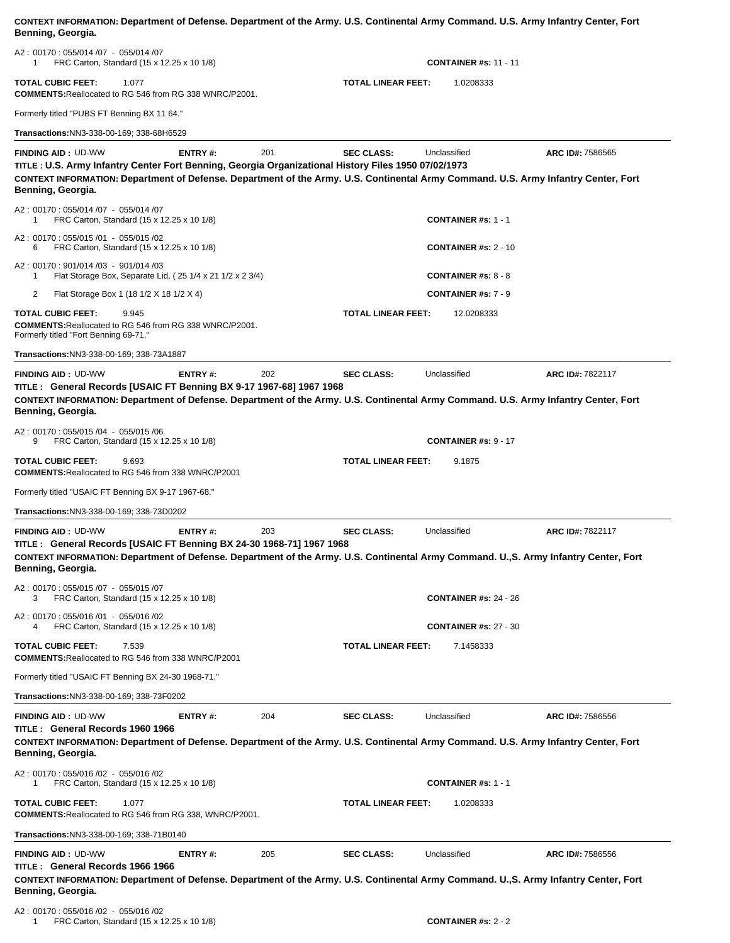| CONTEXT INFORMATION: Department of Defense. Department of the Army. U.S. Continental Army Command. U.S. Army Infantry Center, Fort<br>Benning, Georgia.                                                                                                                                     |                |                           |                           |                              |                  |
|---------------------------------------------------------------------------------------------------------------------------------------------------------------------------------------------------------------------------------------------------------------------------------------------|----------------|---------------------------|---------------------------|------------------------------|------------------|
| A2: 00170: 055/014 /07 - 055/014 /07<br>FRC Carton, Standard (15 x 12.25 x 10 1/8)<br>1                                                                                                                                                                                                     |                |                           |                           | <b>CONTAINER #s: 11 - 11</b> |                  |
| TOTAL CUBIC FEET:<br>1.077<br><b>COMMENTS: Reallocated to RG 546 from RG 338 WNRC/P2001.</b>                                                                                                                                                                                                |                | <b>TOTAL LINEAR FEET:</b> | 1.0208333                 |                              |                  |
| Formerly titled "PUBS FT Benning BX 11 64."                                                                                                                                                                                                                                                 |                |                           |                           |                              |                  |
| Transactions:NN3-338-00-169; 338-68H6529                                                                                                                                                                                                                                                    |                |                           |                           |                              |                  |
| <b>FINDING AID: UD-WW</b><br>TITLE: U.S. Army Infantry Center Fort Benning, Georgia Organizational History Files 1950 07/02/1973<br>CONTEXT INFORMATION: Department of Defense. Department of the Army. U.S. Continental Army Command. U.S. Army Infantry Center, Fort<br>Benning, Georgia. | ENTRY#:        | 201                       | <b>SEC CLASS:</b>         | Unclassified                 | ARC ID#: 7586565 |
| A2: 00170: 055/014 /07 - 055/014 /07<br>FRC Carton, Standard (15 x 12.25 x 10 1/8)<br>1                                                                                                                                                                                                     |                |                           |                           | <b>CONTAINER #s: 1 - 1</b>   |                  |
| A2: 00170: 055/015 /01 - 055/015 /02<br>FRC Carton, Standard (15 x 12.25 x 10 1/8)<br>6                                                                                                                                                                                                     |                |                           |                           | <b>CONTAINER #s: 2 - 10</b>  |                  |
| A2: 00170: 901/014 /03 - 901/014 /03<br>Flat Storage Box, Separate Lid, (25 1/4 x 21 1/2 x 2 3/4)<br>1                                                                                                                                                                                      |                |                           |                           | <b>CONTAINER #s: 8 - 8</b>   |                  |
| 2<br>Flat Storage Box 1 (18 1/2 X 18 1/2 X 4)                                                                                                                                                                                                                                               |                |                           |                           | <b>CONTAINER #s: 7 - 9</b>   |                  |
| <b>TOTAL CUBIC FEET:</b><br>9.945<br><b>COMMENTS: Reallocated to RG 546 from RG 338 WNRC/P2001.</b><br>Formerly titled "Fort Benning 69-71."                                                                                                                                                |                |                           | <b>TOTAL LINEAR FEET:</b> | 12.0208333                   |                  |
| Transactions:NN3-338-00-169; 338-73A1887                                                                                                                                                                                                                                                    |                |                           |                           |                              |                  |
| <b>FINDING AID: UD-WW</b><br>TITLE: General Records [USAIC FT Benning BX 9-17 1967-68] 1967 1968<br>CONTEXT INFORMATION: Department of Defense. Department of the Army. U.S. Continental Army Command. U.S. Army Infantry Center, Fort<br>Benning, Georgia.                                 | ENTRY#:        | 202                       | <b>SEC CLASS:</b>         | Unclassified                 | ARC ID#: 7822117 |
| A2: 00170: 055/015 /04 - 055/015 /06<br>FRC Carton, Standard (15 x 12.25 x 10 1/8)<br>9                                                                                                                                                                                                     |                |                           |                           | <b>CONTAINER #s: 9 - 17</b>  |                  |
| TOTAL CUBIC FEET:<br>9.693<br><b>COMMENTS: Reallocated to RG 546 from 338 WNRC/P2001</b>                                                                                                                                                                                                    |                |                           | <b>TOTAL LINEAR FEET:</b> | 9.1875                       |                  |
| Formerly titled "USAIC FT Benning BX 9-17 1967-68."                                                                                                                                                                                                                                         |                |                           |                           |                              |                  |
| Transactions:NN3-338-00-169; 338-73D0202                                                                                                                                                                                                                                                    |                |                           |                           |                              |                  |
| <b>FINDING AID: UD-WW</b><br>TITLE: General Records [USAIC FT Benning BX 24-30 1968-71] 1967 1968<br>CONTEXT INFORMATION: Department of Defense. Department of the Army. U.S. Continental Army Command. U.,S. Army Infantry Center, Fort<br>Benning, Georgia.                               | <b>ENTRY#:</b> | 203                       | <b>SEC CLASS:</b>         | Unclassified                 | ARC ID#: 7822117 |
| A2: 00170: 055/015 /07 - 055/015 /07<br>FRC Carton, Standard (15 x 12.25 x 10 1/8)<br>3                                                                                                                                                                                                     |                |                           |                           | <b>CONTAINER #s: 24 - 26</b> |                  |
| A2: 00170: 055/016 /01 - 055/016 /02<br>FRC Carton, Standard (15 x 12.25 x 10 1/8)<br>4                                                                                                                                                                                                     |                |                           |                           | <b>CONTAINER #s: 27 - 30</b> |                  |
| TOTAL CUBIC FEET:<br>7.539<br><b>COMMENTS: Reallocated to RG 546 from 338 WNRC/P2001</b>                                                                                                                                                                                                    |                |                           | TOTAL LINEAR FEET:        | 7.1458333                    |                  |
| Formerly titled "USAIC FT Benning BX 24-30 1968-71."                                                                                                                                                                                                                                        |                |                           |                           |                              |                  |
| Transactions:NN3-338-00-169; 338-73F0202                                                                                                                                                                                                                                                    |                |                           |                           |                              |                  |
| <b>FINDING AID: UD-WW</b><br>TITLE: General Records 1960 1966<br>CONTEXT INFORMATION: Department of Defense. Department of the Army. U.S. Continental Army Command. U.S. Army Infantry Center, Fort<br>Benning, Georgia.                                                                    | <b>ENTRY#:</b> | 204                       | <b>SEC CLASS:</b>         | Unclassified                 | ARC ID#: 7586556 |
| A2: 00170: 055/016 /02 - 055/016 /02<br>FRC Carton, Standard (15 x 12.25 x 10 1/8)<br>1                                                                                                                                                                                                     |                |                           |                           | <b>CONTAINER #s: 1 - 1</b>   |                  |
| TOTAL CUBIC FEET:<br>1.077<br><b>COMMENTS: Reallocated to RG 546 from RG 338, WNRC/P2001.</b>                                                                                                                                                                                               |                |                           | TOTAL LINEAR FEET:        | 1.0208333                    |                  |
| Transactions:NN3-338-00-169; 338-71B0140                                                                                                                                                                                                                                                    |                |                           |                           |                              |                  |
| <b>FINDING AID: UD-WW</b><br>TITLE: General Records 1966 1966<br>CONTEXT INFORMATION: Department of Defense. Department of the Army. U.S. Continental Army Command. U.,S. Army Infantry Center, Fort<br>Benning, Georgia.                                                                   | <b>ENTRY#:</b> | 205                       | <b>SEC CLASS:</b>         | Unclassified                 | ARC ID#: 7586556 |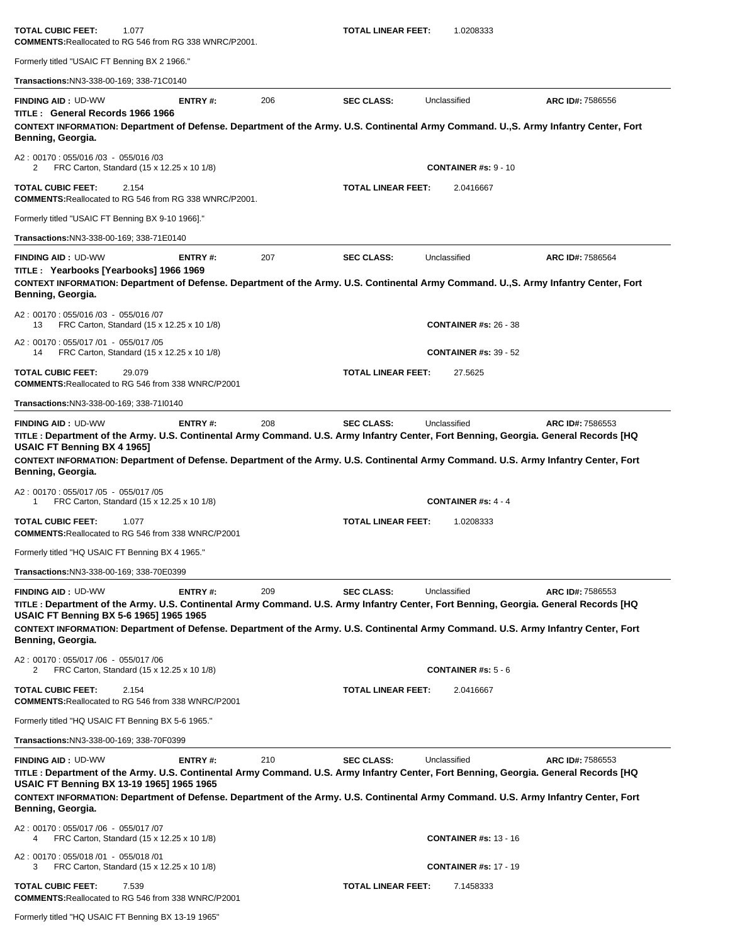| TOTAL CUBIC FEET:<br>1.077<br><b>COMMENTS: Reallocated to RG 546 from RG 338 WNRC/P2001.</b>                                                                                                                                                                                                                                                                              |         |     | <b>TOTAL LINEAR FEET:</b> | 1.0208333                               |                  |
|---------------------------------------------------------------------------------------------------------------------------------------------------------------------------------------------------------------------------------------------------------------------------------------------------------------------------------------------------------------------------|---------|-----|---------------------------|-----------------------------------------|------------------|
| Formerly titled "USAIC FT Benning BX 2 1966."                                                                                                                                                                                                                                                                                                                             |         |     |                           |                                         |                  |
| Transactions:NN3-338-00-169; 338-71C0140                                                                                                                                                                                                                                                                                                                                  |         |     |                           |                                         |                  |
| <b>FINDING AID: UD-WW</b><br>TITLE: General Records 1966 1966<br>CONTEXT INFORMATION: Department of Defense. Department of the Army. U.S. Continental Army Command. U.,S. Army Infantry Center, Fort<br>Benning, Georgia.                                                                                                                                                 | ENTRY#: | 206 | <b>SEC CLASS:</b>         | Unclassified                            | ARC ID#: 7586556 |
| A2: 00170: 055/016 /03 - 055/016 /03<br>FRC Carton, Standard (15 x 12.25 x 10 1/8)<br>2                                                                                                                                                                                                                                                                                   |         |     |                           | <b>CONTAINER #s: 9 - 10</b>             |                  |
| <b>TOTAL CUBIC FEET:</b><br>2.154<br><b>COMMENTS: Reallocated to RG 546 from RG 338 WNRC/P2001.</b>                                                                                                                                                                                                                                                                       |         |     | <b>TOTAL LINEAR FEET:</b> | 2.0416667                               |                  |
| Formerly titled "USAIC FT Benning BX 9-10 1966]."                                                                                                                                                                                                                                                                                                                         |         |     |                           |                                         |                  |
| Transactions:NN3-338-00-169; 338-71E0140                                                                                                                                                                                                                                                                                                                                  |         |     |                           |                                         |                  |
| <b>FINDING AID: UD-WW</b><br>TITLE: Yearbooks [Yearbooks] 1966 1969<br>CONTEXT INFORMATION: Department of Defense. Department of the Army. U.S. Continental Army Command. U.,S. Army Infantry Center, Fort<br>Benning, Georgia.                                                                                                                                           | ENTRY#: | 207 | <b>SEC CLASS:</b>         | Unclassified                            | ARC ID#: 7586564 |
| A2: 00170: 055/016/03 - 055/016/07<br>FRC Carton, Standard (15 x 12.25 x 10 1/8)<br>13                                                                                                                                                                                                                                                                                    |         |     |                           | <b>CONTAINER #s: 26 - 38</b>            |                  |
| A2: 00170: 055/017 /01 - 055/017 /05<br>FRC Carton, Standard (15 x 12.25 x 10 1/8)<br>14                                                                                                                                                                                                                                                                                  |         |     |                           | <b>CONTAINER #s: 39 - 52</b>            |                  |
| <b>TOTAL CUBIC FEET:</b><br>29.079<br><b>COMMENTS: Reallocated to RG 546 from 338 WNRC/P2001</b>                                                                                                                                                                                                                                                                          |         |     | <b>TOTAL LINEAR FEET:</b> | 27.5625                                 |                  |
| Transactions: NN3-338-00-169; 338-7110140                                                                                                                                                                                                                                                                                                                                 |         |     |                           |                                         |                  |
| TITLE : Department of the Army. U.S. Continental Army Command. U.S. Army Infantry Center, Fort Benning, Georgia. General Records [HQ<br>USAIC FT Benning BX 4 1965]<br>CONTEXT INFORMATION: Department of Defense. Department of the Army. U.S. Continental Army Command. U.S. Army Infantry Center, Fort                                                                 |         |     |                           |                                         |                  |
| Benning, Georgia.<br>A2: 00170: 055/017 /05 - 055/017 /05<br>FRC Carton, Standard (15 x 12.25 x 10 1/8)<br>1                                                                                                                                                                                                                                                              |         |     |                           | <b>CONTAINER #s: 4 - 4</b>              |                  |
| TOTAL CUBIC FEET:<br>1.077<br><b>COMMENTS: Reallocated to RG 546 from 338 WNRC/P2001</b>                                                                                                                                                                                                                                                                                  |         |     | <b>TOTAL LINEAR FEET:</b> | 1.0208333                               |                  |
| Formerly titled "HQ USAIC FT Benning BX 4 1965."                                                                                                                                                                                                                                                                                                                          |         |     |                           |                                         |                  |
| Transactions: NN3-338-00-169; 338-70E0399                                                                                                                                                                                                                                                                                                                                 |         |     |                           |                                         |                  |
| <b>FINDING AID: UD-WW</b><br>TITLE : Department of the Army. U.S. Continental Army Command. U.S. Army Infantry Center, Fort Benning, Georgia. General Records [HQ<br>USAIC FT Benning BX 5-6 1965] 1965 1965<br>CONTEXT INFORMATION: Department of Defense. Department of the Army. U.S. Continental Army Command. U.S. Army Infantry Center, Fort<br>Benning, Georgia.   | ENTRY#: | 209 | <b>SEC CLASS:</b>         | Unclassified                            | ARC ID#: 7586553 |
| A2: 00170: 055/017 /06 - 055/017 /06<br>FRC Carton, Standard (15 x 12.25 x 10 1/8)<br>2                                                                                                                                                                                                                                                                                   |         |     |                           | <b>CONTAINER #s: <math>5 - 6</math></b> |                  |
| <b>TOTAL CUBIC FEET:</b><br>2.154<br><b>COMMENTS: Reallocated to RG 546 from 338 WNRC/P2001</b>                                                                                                                                                                                                                                                                           |         |     | <b>TOTAL LINEAR FEET:</b> | 2.0416667                               |                  |
| Formerly titled "HQ USAIC FT Benning BX 5-6 1965."                                                                                                                                                                                                                                                                                                                        |         |     |                           |                                         |                  |
| Transactions:NN3-338-00-169; 338-70F0399                                                                                                                                                                                                                                                                                                                                  |         |     |                           |                                         |                  |
| <b>FINDING AID: UD-WW</b><br>TITLE : Department of the Army. U.S. Continental Army Command. U.S. Army Infantry Center, Fort Benning, Georgia. General Records [HQ<br>USAIC FT Benning BX 13-19 1965] 1965 1965<br>CONTEXT INFORMATION: Department of Defense. Department of the Army. U.S. Continental Army Command. U.S. Army Infantry Center, Fort<br>Benning, Georgia. | ENTRY#: | 210 | <b>SEC CLASS:</b>         | Unclassified                            | ARC ID#: 7586553 |
| A2: 00170: 055/017 /06 - 055/017 /07<br>FRC Carton, Standard (15 x 12.25 x 10 1/8)<br>4                                                                                                                                                                                                                                                                                   |         |     |                           | <b>CONTAINER #s: 13 - 16</b>            |                  |
| A2: 00170: 055/018 /01 - 055/018 /01<br>FRC Carton, Standard (15 x 12.25 x 10 1/8)<br>3                                                                                                                                                                                                                                                                                   |         |     |                           | <b>CONTAINER #s: 17 - 19</b>            |                  |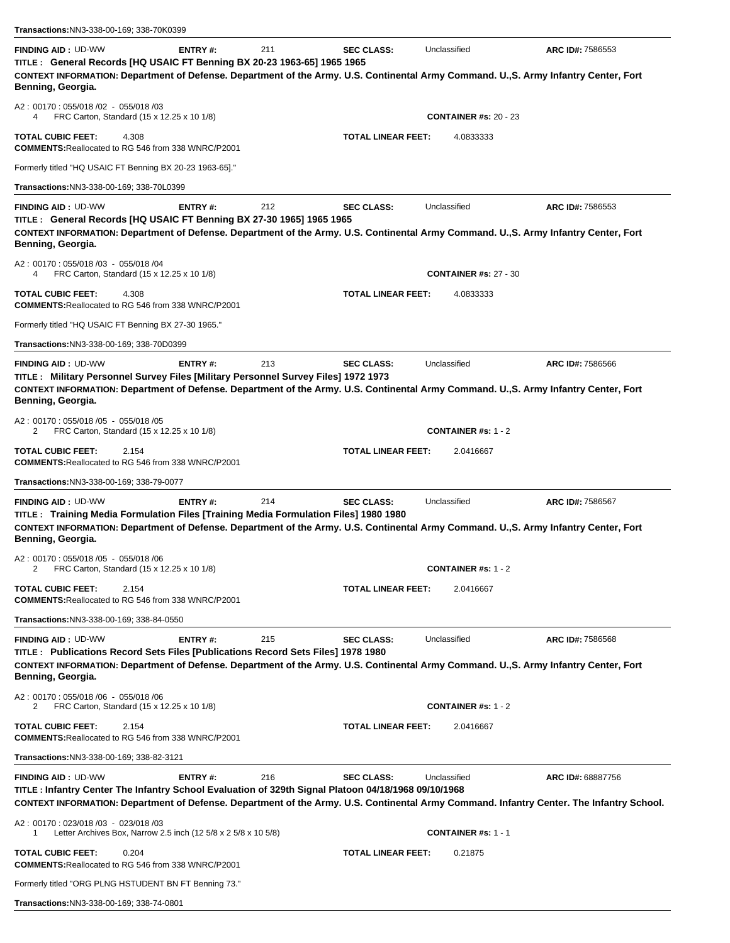| Transactions:NN3-338-00-169; 338-70K0399                                                                                                                                                                                                                                        |                |     |                           |                              |                   |
|---------------------------------------------------------------------------------------------------------------------------------------------------------------------------------------------------------------------------------------------------------------------------------|----------------|-----|---------------------------|------------------------------|-------------------|
| <b>FINDING AID: UD-WW</b><br>TITLE : General Records [HQ USAIC FT Benning BX 20-23 1963-65] 1965 1965<br>CONTEXT INFORMATION: Department of Defense. Department of the Army. U.S. Continental Army Command. U., S. Army Infantry Center, Fort<br>Benning, Georgia.              | ENTRY#:        | 211 | <b>SEC CLASS:</b>         | Unclassified                 | ARC ID#: 7586553  |
| A2: 00170: 055/018 /02 - 055/018 /03<br>FRC Carton, Standard (15 x 12.25 x 10 1/8)<br>4                                                                                                                                                                                         |                |     |                           | <b>CONTAINER #s: 20 - 23</b> |                   |
| <b>TOTAL CUBIC FEET:</b><br>4.308<br><b>COMMENTS: Reallocated to RG 546 from 338 WNRC/P2001</b>                                                                                                                                                                                 |                |     | TOTAL LINEAR FEET:        | 4.0833333                    |                   |
| Formerly titled "HQ USAIC FT Benning BX 20-23 1963-65]."                                                                                                                                                                                                                        |                |     |                           |                              |                   |
| Transactions:NN3-338-00-169; 338-70L0399                                                                                                                                                                                                                                        |                |     |                           |                              |                   |
| <b>FINDING AID: UD-WW</b><br>TITLE: General Records [HQ USAIC FT Benning BX 27-30 1965] 1965 1965<br>CONTEXT INFORMATION: Department of Defense. Department of the Army. U.S. Continental Army Command. U., S. Army Infantry Center, Fort<br>Benning, Georgia.                  | ENTRY#:        | 212 | <b>SEC CLASS:</b>         | Unclassified                 | ARC ID#: 7586553  |
| A2: 00170: 055/018 /03 - 055/018 /04<br>FRC Carton, Standard (15 x 12.25 x 10 1/8)<br>4                                                                                                                                                                                         |                |     |                           | <b>CONTAINER #s: 27 - 30</b> |                   |
| <b>TOTAL CUBIC FEET:</b><br>4.308<br><b>COMMENTS: Reallocated to RG 546 from 338 WNRC/P2001</b>                                                                                                                                                                                 |                |     | TOTAL LINEAR FEET:        | 4.0833333                    |                   |
| Formerly titled "HQ USAIC FT Benning BX 27-30 1965."                                                                                                                                                                                                                            |                |     |                           |                              |                   |
| Transactions:NN3-338-00-169; 338-70D0399                                                                                                                                                                                                                                        |                |     |                           |                              |                   |
| <b>FINDING AID: UD-WW</b><br>TITLE : Military Personnel Survey Files [Military Personnel Survey Files] 1972 1973<br>CONTEXT INFORMATION: Department of Defense. Department of the Army. U.S. Continental Army Command. U., S. Army Infantry Center, Fort<br>Benning, Georgia.   | ENTRY#:        | 213 | <b>SEC CLASS:</b>         | Unclassified                 | ARC ID#: 7586566  |
| A2: 00170: 055/018 /05 - 055/018 /05<br>FRC Carton, Standard (15 x 12.25 x 10 1/8)<br>2                                                                                                                                                                                         |                |     |                           | <b>CONTAINER #s: 1 - 2</b>   |                   |
| <b>TOTAL CUBIC FEET:</b><br>2.154<br><b>COMMENTS: Reallocated to RG 546 from 338 WNRC/P2001</b>                                                                                                                                                                                 |                |     | TOTAL LINEAR FEET:        | 2.0416667                    |                   |
| Transactions:NN3-338-00-169; 338-79-0077                                                                                                                                                                                                                                        |                |     |                           |                              |                   |
| <b>FINDING AID: UD-WW</b><br>TITLE : Training Media Formulation Files [Training Media Formulation Files] 1980 1980<br>CONTEXT INFORMATION: Department of Defense. Department of the Army. U.S. Continental Army Command. U., S. Army Infantry Center, Fort<br>Benning, Georgia. | ENTRY#:        | 214 | <b>SEC CLASS:</b>         | Unclassified                 | ARC ID#: 7586567  |
| A2: 00170: 055/018 /05 - 055/018 /06<br>FRC Carton, Standard (15 x 12.25 x 10 1/8)<br>2                                                                                                                                                                                         |                |     |                           | <b>CONTAINER #s: 1 - 2</b>   |                   |
| <b>TOTAL CUBIC FEET:</b><br>2.154<br><b>COMMENTS: Reallocated to RG 546 from 338 WNRC/P2001</b>                                                                                                                                                                                 |                |     | <b>TOTAL LINEAR FEET:</b> | 2.0416667                    |                   |
| Transactions: NN3-338-00-169; 338-84-0550                                                                                                                                                                                                                                       |                |     |                           |                              |                   |
| <b>FINDING AID: UD-WW</b><br>TITLE : Publications Record Sets Files [Publications Record Sets Files] 1978 1980<br>CONTEXT INFORMATION: Department of Defense. Department of the Army. U.S. Continental Army Command. U.,S. Army Infantry Center, Fort<br>Benning, Georgia.      | <b>ENTRY#:</b> | 215 | <b>SEC CLASS:</b>         | Unclassified                 | ARC ID#: 7586568  |
| A2: 00170: 055/018 /06 - 055/018 /06<br>FRC Carton, Standard (15 x 12.25 x 10 1/8)<br>2                                                                                                                                                                                         |                |     |                           | <b>CONTAINER #s: 1 - 2</b>   |                   |
| <b>TOTAL CUBIC FEET:</b><br>2.154<br><b>COMMENTS: Reallocated to RG 546 from 338 WNRC/P2001</b>                                                                                                                                                                                 |                |     | <b>TOTAL LINEAR FEET:</b> | 2.0416667                    |                   |
| Transactions: NN3-338-00-169; 338-82-3121                                                                                                                                                                                                                                       |                |     |                           |                              |                   |
| <b>FINDING AID: UD-WW</b><br>TITLE : Infantry Center The Infantry School Evaluation of 329th Signal Platoon 04/18/1968 09/10/1968<br>CONTEXT INFORMATION: Department of Defense. Department of the Army. U.S. Continental Army Command. Infantry Center. The Infantry School.   | <b>ENTRY#:</b> | 216 | <b>SEC CLASS:</b>         | Unclassified                 | ARC ID#: 68887756 |
| A2: 00170: 023/018 /03 - 023/018 /03<br>Letter Archives Box, Narrow 2.5 inch (12 5/8 x 2 5/8 x 10 5/8)                                                                                                                                                                          |                |     |                           | <b>CONTAINER #s: 1 - 1</b>   |                   |
| <b>TOTAL CUBIC FEET:</b><br>0.204<br><b>COMMENTS: Reallocated to RG 546 from 338 WNRC/P2001</b>                                                                                                                                                                                 |                |     | <b>TOTAL LINEAR FEET:</b> | 0.21875                      |                   |
| Formerly titled "ORG PLNG HSTUDENT BN FT Benning 73."                                                                                                                                                                                                                           |                |     |                           |                              |                   |

|  | Transactions:NN3-338-00-169; 338-74-0801 |  |
|--|------------------------------------------|--|
|--|------------------------------------------|--|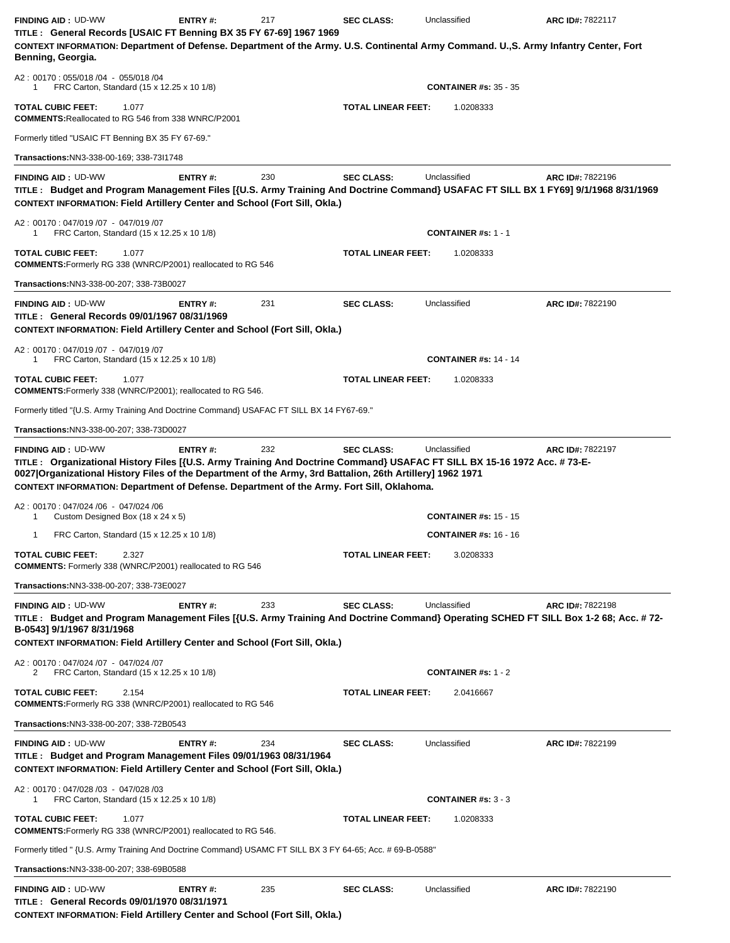| <b>FINDING AID: UD-WW</b><br>TITLE: General Records [USAIC FT Benning BX 35 FY 67-69] 1967 1969                                                                                                                                                                                                                                                                                | <b>ENTRY#:</b> | 217 | <b>SEC CLASS:</b>         | Unclassified                               | ARC ID#: 7822117 |
|--------------------------------------------------------------------------------------------------------------------------------------------------------------------------------------------------------------------------------------------------------------------------------------------------------------------------------------------------------------------------------|----------------|-----|---------------------------|--------------------------------------------|------------------|
| CONTEXT INFORMATION: Department of Defense. Department of the Army. U.S. Continental Army Command. U., S. Army Infantry Center, Fort<br>Benning, Georgia.                                                                                                                                                                                                                      |                |     |                           |                                            |                  |
| A2: 00170: 055/018 /04 - 055/018 /04<br>FRC Carton, Standard (15 x 12.25 x 10 1/8)<br>1                                                                                                                                                                                                                                                                                        |                |     |                           | <b>CONTAINER #s: 35 - 35</b>               |                  |
| <b>TOTAL CUBIC FEET:</b><br>1.077<br><b>COMMENTS: Reallocated to RG 546 from 338 WNRC/P2001</b>                                                                                                                                                                                                                                                                                |                |     | <b>TOTAL LINEAR FEET:</b> | 1.0208333                                  |                  |
| Formerly titled "USAIC FT Benning BX 35 FY 67-69."                                                                                                                                                                                                                                                                                                                             |                |     |                           |                                            |                  |
| Transactions: NN3-338-00-169; 338-73l1748                                                                                                                                                                                                                                                                                                                                      |                |     |                           |                                            |                  |
| <b>FINDING AID: UD-WW</b><br>TITLE: Budget and Program Management Files [{U.S. Army Training And Doctrine Command} USAFAC FT SILL BX 1 FY69] 9/1/1968 8/31/1969<br><b>CONTEXT INFORMATION: Field Artillery Center and School (Fort Sill, Okla.)</b>                                                                                                                            | <b>ENTRY#:</b> | 230 | <b>SEC CLASS:</b>         | Unclassified                               | ARC ID#: 7822196 |
| A2: 00170: 047/019 /07 - 047/019 /07<br>FRC Carton, Standard (15 x 12.25 x 10 1/8)<br>1                                                                                                                                                                                                                                                                                        |                |     |                           | <b>CONTAINER #s: 1 - 1</b>                 |                  |
| <b>TOTAL CUBIC FEET:</b><br>1.077<br><b>COMMENTS:</b> Formerly RG 338 (WNRC/P2001) reallocated to RG 546                                                                                                                                                                                                                                                                       |                |     | <b>TOTAL LINEAR FEET:</b> | 1.0208333                                  |                  |
| Transactions:NN3-338-00-207; 338-73B0027                                                                                                                                                                                                                                                                                                                                       |                |     |                           |                                            |                  |
| <b>FINDING AID: UD-WW</b><br>TITLE: General Records 09/01/1967 08/31/1969<br><b>CONTEXT INFORMATION: Field Artillery Center and School (Fort Sill, Okla.)</b>                                                                                                                                                                                                                  | <b>ENTRY#:</b> | 231 | <b>SEC CLASS:</b>         | Unclassified                               | ARC ID#: 7822190 |
| A2: 00170: 047/019 /07 - 047/019 /07<br>FRC Carton, Standard (15 x 12.25 x 10 1/8)<br>-1                                                                                                                                                                                                                                                                                       |                |     |                           | <b>CONTAINER #s: 14 - 14</b>               |                  |
| <b>TOTAL CUBIC FEET:</b><br>1.077<br><b>COMMENTS:</b> Formerly 338 (WNRC/P2001); reallocated to RG 546.                                                                                                                                                                                                                                                                        |                |     | TOTAL LINEAR FEET:        | 1.0208333                                  |                  |
| Formerly titled "{U.S. Army Training And Doctrine Command} USAFAC FT SILL BX 14 FY67-69."                                                                                                                                                                                                                                                                                      |                |     |                           |                                            |                  |
| Transactions: NN3-338-00-207; 338-73D0027                                                                                                                                                                                                                                                                                                                                      |                |     |                           |                                            |                  |
| TITLE: Organizational History Files [{U.S. Army Training And Doctrine Command} USAFAC FT SILL BX 15-16 1972 Acc. #73-E-<br>0027   Organizational History Files of the Department of the Army, 3rd Battalion, 26th Artillery] 1962 1971<br>CONTEXT INFORMATION: Department of Defense. Department of the Army. Fort Sill, Oklahoma.<br>A2: 00170: 047/024 /06 - 047/024 /06     |                |     |                           |                                            |                  |
| Custom Designed Box (18 x 24 x 5)<br>1                                                                                                                                                                                                                                                                                                                                         |                |     |                           | <b>CONTAINER #s: 15 - 15</b>               |                  |
| FRC Carton, Standard (15 x 12.25 x 10 1/8)<br>1<br><b>TOTAL CUBIC FEET:</b><br>2.327                                                                                                                                                                                                                                                                                           |                |     | <b>TOTAL LINEAR FEET:</b> | <b>CONTAINER #s: 16 - 16</b><br>3.0208333  |                  |
| <b>COMMENTS:</b> Formerly 338 (WNRC/P2001) reallocated to RG 546<br>Transactions:NN3-338-00-207; 338-73E0027                                                                                                                                                                                                                                                                   |                |     |                           |                                            |                  |
| <b>FINDING AID: UD-WW</b><br>TITLE: Budget and Program Management Files [{U.S. Army Training And Doctrine Command} Operating SCHED FT SILL Box 1-2 68; Acc. # 72-<br>B-0543] 9/1/1967 8/31/1968<br><b>CONTEXT INFORMATION: Field Artillery Center and School (Fort Sill, Okla.)</b><br>A2: 00170: 047/024 /07 - 047/024 /07<br>FRC Carton, Standard (15 x 12.25 x 10 1/8)<br>2 | <b>ENTRY#:</b> | 233 | <b>SEC CLASS:</b>         | Unclassified<br><b>CONTAINER #s: 1 - 2</b> | ARC ID#: 7822198 |
| <b>TOTAL CUBIC FEET:</b><br>2.154<br><b>COMMENTS:</b> Formerly RG 338 (WNRC/P2001) reallocated to RG 546                                                                                                                                                                                                                                                                       |                |     | <b>TOTAL LINEAR FEET:</b> | 2.0416667                                  |                  |
| Transactions: NN3-338-00-207; 338-72B0543                                                                                                                                                                                                                                                                                                                                      |                |     |                           |                                            |                  |
| <b>FINDING AID: UD-WW</b><br>TITLE: Budget and Program Management Files 09/01/1963 08/31/1964<br><b>CONTEXT INFORMATION: Field Artillery Center and School (Fort Sill, Okla.)</b>                                                                                                                                                                                              | <b>ENTRY#:</b> | 234 | <b>SEC CLASS:</b>         | Unclassified                               | ARC ID#: 7822199 |
| A2: 00170: 047/028 /03 - 047/028 /03<br>FRC Carton, Standard (15 x 12.25 x 10 1/8)<br>1                                                                                                                                                                                                                                                                                        |                |     |                           | <b>CONTAINER #s: 3 - 3</b>                 |                  |
| <b>TOTAL CUBIC FEET:</b><br>1.077<br><b>COMMENTS:</b> Formerly RG 338 (WNRC/P2001) reallocated to RG 546.                                                                                                                                                                                                                                                                      |                |     | <b>TOTAL LINEAR FEET:</b> | 1.0208333                                  |                  |
| Formerly titled " {U.S. Army Training And Doctrine Command} USAMC FT SILL BX 3 FY 64-65; Acc. # 69-B-0588"                                                                                                                                                                                                                                                                     |                |     |                           |                                            |                  |
| Transactions: NN3-338-00-207; 338-69B0588                                                                                                                                                                                                                                                                                                                                      |                |     |                           |                                            |                  |
| <b>FINDING AID: UD-WW</b><br>TITLE: General Records 09/01/1970 08/31/1971<br><b>CONTEXT INFORMATION: Field Artillery Center and School (Fort Sill, Okla.)</b>                                                                                                                                                                                                                  | ENTRY#:        | 235 | <b>SEC CLASS:</b>         | Unclassified                               | ARC ID#: 7822190 |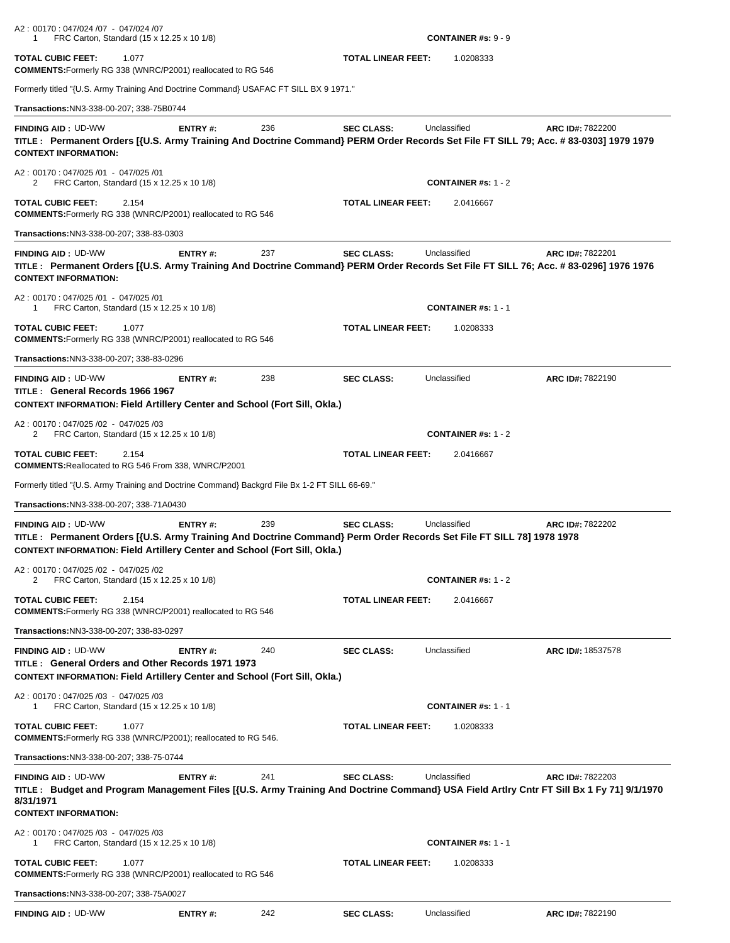| A2: 00170: 047/024 /07 - 047/024 /07<br>FRC Carton, Standard (15 x 12.25 x 10 1/8)<br>1                                                                                                                                               |                |     |                           | <b>CONTAINER #s: <math>9 - 9</math></b> |                   |
|---------------------------------------------------------------------------------------------------------------------------------------------------------------------------------------------------------------------------------------|----------------|-----|---------------------------|-----------------------------------------|-------------------|
| <b>TOTAL CUBIC FEET:</b><br>1.077<br><b>COMMENTS:</b> Formerly RG 338 (WNRC/P2001) reallocated to RG 546                                                                                                                              |                |     | <b>TOTAL LINEAR FEET:</b> | 1.0208333                               |                   |
| Formerly titled "{U.S. Army Training And Doctrine Command} USAFAC FT SILL BX 9 1971."                                                                                                                                                 |                |     |                           |                                         |                   |
| Transactions:NN3-338-00-207; 338-75B0744                                                                                                                                                                                              |                |     |                           |                                         |                   |
| <b>FINDING AID: UD-WW</b><br>TITLE: Permanent Orders [{U.S. Army Training And Doctrine Command} PERM Order Records Set File FT SILL 79; Acc. #83-0303] 1979 1979<br><b>CONTEXT INFORMATION:</b>                                       | <b>ENTRY#:</b> | 236 | <b>SEC CLASS:</b>         | Unclassified                            | ARC ID#: 7822200  |
| A2: 00170: 047/025 /01 - 047/025 /01<br>FRC Carton, Standard (15 x 12.25 x 10 1/8)<br>2                                                                                                                                               |                |     |                           | <b>CONTAINER #s: 1 - 2</b>              |                   |
| <b>TOTAL CUBIC FEET:</b><br>2.154<br><b>COMMENTS:</b> Formerly RG 338 (WNRC/P2001) reallocated to RG 546                                                                                                                              |                |     | <b>TOTAL LINEAR FEET:</b> | 2.0416667                               |                   |
| Transactions:NN3-338-00-207; 338-83-0303                                                                                                                                                                                              |                |     |                           |                                         |                   |
| <b>FINDING AID: UD-WW</b><br>TITLE: Permanent Orders [{U.S. Army Training And Doctrine Command} PERM Order Records Set File FT SILL 76; Acc. #83-0296] 1976 1976<br><b>CONTEXT INFORMATION:</b>                                       | <b>ENTRY#:</b> | 237 | <b>SEC CLASS:</b>         | Unclassified                            | ARC ID#: 7822201  |
| A2: 00170: 047/025 /01 - 047/025 /01<br>FRC Carton, Standard (15 x 12.25 x 10 1/8)<br>-1                                                                                                                                              |                |     |                           | <b>CONTAINER #s: 1 - 1</b>              |                   |
| TOTAL CUBIC FEET:<br>1.077<br><b>COMMENTS:</b> Formerly RG 338 (WNRC/P2001) reallocated to RG 546                                                                                                                                     |                |     | <b>TOTAL LINEAR FEET:</b> | 1.0208333                               |                   |
| Transactions:NN3-338-00-207; 338-83-0296                                                                                                                                                                                              |                |     |                           |                                         |                   |
| <b>FINDING AID: UD-WW</b><br>TITLE: General Records 1966 1967<br><b>CONTEXT INFORMATION: Field Artillery Center and School (Fort Sill, Okla.)</b>                                                                                     | <b>ENTRY#:</b> | 238 | <b>SEC CLASS:</b>         | Unclassified                            | ARC ID#: 7822190  |
| A2: 00170: 047/025/02 - 047/025/03<br>FRC Carton, Standard (15 x 12.25 x 10 1/8)<br>2                                                                                                                                                 |                |     |                           | <b>CONTAINER #s: 1 - 2</b>              |                   |
| TOTAL CUBIC FEET:<br>2.154<br><b>COMMENTS: Reallocated to RG 546 From 338, WNRC/P2001</b>                                                                                                                                             |                |     | <b>TOTAL LINEAR FEET:</b> | 2.0416667                               |                   |
| Formerly titled "{U.S. Army Training and Doctrine Command} Backgrd File Bx 1-2 FT SILL 66-69."                                                                                                                                        |                |     |                           |                                         |                   |
| Transactions:NN3-338-00-207; 338-71A0430                                                                                                                                                                                              |                |     |                           |                                         |                   |
| <b>FINDING AID: UD-WW</b><br>TITLE: Permanent Orders [{U.S. Army Training And Doctrine Command} Perm Order Records Set File FT SILL 78] 1978 1978<br><b>CONTEXT INFORMATION: Field Artillery Center and School (Fort Sill, Okla.)</b> | ENTRY#:        | 239 | <b>SEC CLASS:</b>         | Unclassified                            | ARC ID#: 7822202  |
| A2: 00170: 047/025 /02 - 047/025 /02<br>FRC Carton, Standard (15 x 12.25 x 10 1/8)                                                                                                                                                    |                |     |                           | <b>CONTAINER #s: 1 - 2</b>              |                   |
| <b>TOTAL CUBIC FEET:</b><br>2.154<br><b>COMMENTS:</b> Formerly RG 338 (WNRC/P2001) reallocated to RG 546                                                                                                                              |                |     | <b>TOTAL LINEAR FEET:</b> | 2.0416667                               |                   |
| Transactions:NN3-338-00-207; 338-83-0297                                                                                                                                                                                              |                |     |                           |                                         |                   |
| <b>FINDING AID: UD-WW</b><br>TITLE: General Orders and Other Records 1971 1973<br><b>CONTEXT INFORMATION: Field Artillery Center and School (Fort Sill, Okla.)</b>                                                                    | <b>ENTRY#:</b> | 240 | <b>SEC CLASS:</b>         | Unclassified                            | ARC ID#: 18537578 |
| A2: 00170: 047/025/03 - 047/025/03<br>FRC Carton, Standard (15 x 12.25 x 10 1/8)<br>-1                                                                                                                                                |                |     |                           | <b>CONTAINER #s: 1 - 1</b>              |                   |
| <b>TOTAL CUBIC FEET:</b><br>1.077<br><b>COMMENTS:</b> Formerly RG 338 (WNRC/P2001); reallocated to RG 546.                                                                                                                            |                |     | <b>TOTAL LINEAR FEET:</b> | 1.0208333                               |                   |
| Transactions:NN3-338-00-207; 338-75-0744                                                                                                                                                                                              |                |     |                           |                                         |                   |
| <b>FINDING AID: UD-WW</b><br>TITLE: Budget and Program Management Files [{U.S. Army Training And Doctrine Command} USA Field Artlry Cntr FT Sill Bx 1 Fy 71] 9/1/1970<br>8/31/1971<br><b>CONTEXT INFORMATION:</b>                     | <b>ENTRY#:</b> | 241 | <b>SEC CLASS:</b>         | Unclassified                            | ARC ID#: 7822203  |
| A2: 00170: 047/025/03 - 047/025/03<br>FRC Carton, Standard (15 x 12.25 x 10 1/8)<br>1                                                                                                                                                 |                |     |                           | <b>CONTAINER #s: 1 - 1</b>              |                   |
| TOTAL CUBIC FEET:<br>1.077<br><b>COMMENTS:</b> Formerly RG 338 (WNRC/P2001) reallocated to RG 546                                                                                                                                     |                |     | <b>TOTAL LINEAR FEET:</b> | 1.0208333                               |                   |
| Transactions:NN3-338-00-207; 338-75A0027                                                                                                                                                                                              |                |     |                           |                                         |                   |
| <b>FINDING AID: UD-WW</b>                                                                                                                                                                                                             | ENTRY#:        | 242 | <b>SEC CLASS:</b>         | Unclassified                            | ARC ID#: 7822190  |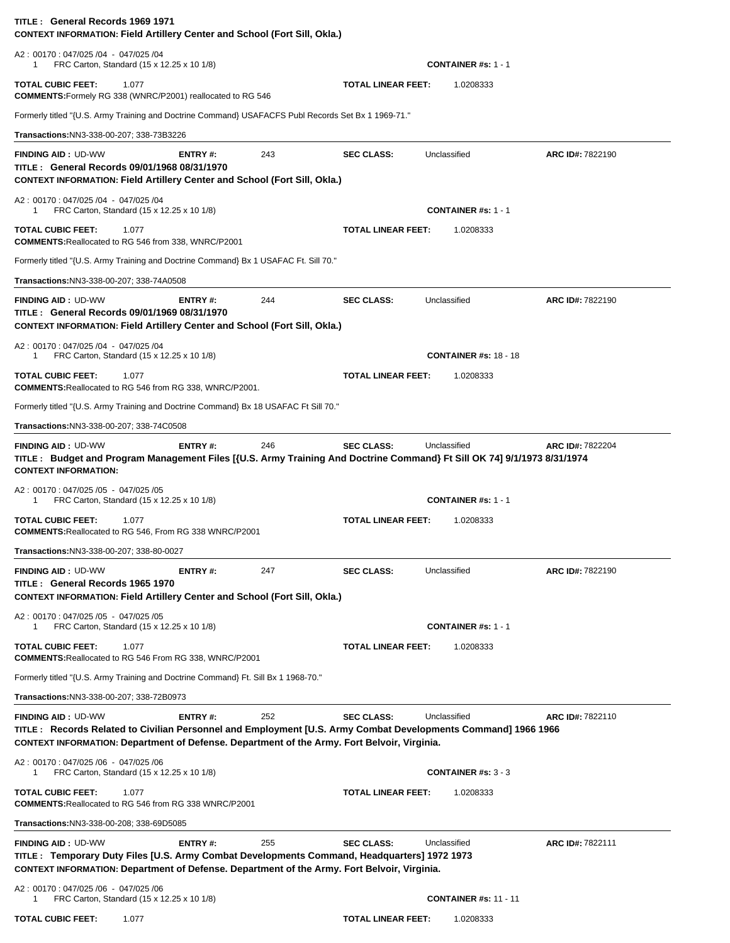| TITLE: General Records 1969 1971<br><b>CONTEXT INFORMATION: Field Artillery Center and School (Fort Sill, Okla.)</b>                                                                                                                      |                |     |                           |                              |                  |
|-------------------------------------------------------------------------------------------------------------------------------------------------------------------------------------------------------------------------------------------|----------------|-----|---------------------------|------------------------------|------------------|
| A2: 00170: 047/025 /04 - 047/025 /04<br>FRC Carton, Standard (15 x 12.25 x 10 1/8)<br>1                                                                                                                                                   |                |     |                           | <b>CONTAINER #s: 1 - 1</b>   |                  |
| <b>TOTAL CUBIC FEET:</b><br>1.077<br><b>COMMENTS:</b> Formely RG 338 (WNRC/P2001) reallocated to RG 546                                                                                                                                   |                |     | <b>TOTAL LINEAR FEET:</b> | 1.0208333                    |                  |
| Formerly titled "{U.S. Army Training and Doctrine Command} USAFACFS Publ Records Set Bx 1 1969-71."                                                                                                                                       |                |     |                           |                              |                  |
| Transactions:NN3-338-00-207; 338-73B3226                                                                                                                                                                                                  |                |     |                           |                              |                  |
| <b>FINDING AID: UD-WW</b><br>TITLE: General Records 09/01/1968 08/31/1970<br><b>CONTEXT INFORMATION: Field Artillery Center and School (Fort Sill, Okla.)</b>                                                                             | <b>ENTRY#:</b> | 243 | <b>SEC CLASS:</b>         | Unclassified                 | ARC ID#: 7822190 |
| A2: 00170: 047/025 /04 - 047/025 /04<br>FRC Carton, Standard (15 x 12.25 x 10 1/8)<br>-1                                                                                                                                                  |                |     |                           | <b>CONTAINER #s: 1 - 1</b>   |                  |
| <b>TOTAL CUBIC FEET:</b><br>1.077<br><b>COMMENTS: Reallocated to RG 546 from 338, WNRC/P2001</b>                                                                                                                                          |                |     | <b>TOTAL LINEAR FEET:</b> | 1.0208333                    |                  |
| Formerly titled "{U.S. Army Training and Doctrine Command} Bx 1 USAFAC Ft. Sill 70."                                                                                                                                                      |                |     |                           |                              |                  |
| Transactions: NN3-338-00-207; 338-74A0508                                                                                                                                                                                                 |                |     |                           |                              |                  |
| <b>FINDING AID: UD-WW</b><br>TITLE: General Records 09/01/1969 08/31/1970<br><b>CONTEXT INFORMATION: Field Artillery Center and School (Fort Sill, Okla.)</b>                                                                             | ENTRY#:        | 244 | <b>SEC CLASS:</b>         | Unclassified                 | ARC ID#: 7822190 |
| A2: 00170: 047/025 /04 - 047/025 /04<br>FRC Carton, Standard (15 x 12.25 x 10 1/8)<br>1                                                                                                                                                   |                |     |                           | <b>CONTAINER #s: 18 - 18</b> |                  |
| <b>TOTAL CUBIC FEET:</b><br>1.077<br><b>COMMENTS: Reallocated to RG 546 from RG 338, WNRC/P2001.</b>                                                                                                                                      |                |     | <b>TOTAL LINEAR FEET:</b> | 1.0208333                    |                  |
| Formerly titled "{U.S. Army Training and Doctrine Command} Bx 18 USAFAC Ft Sill 70."                                                                                                                                                      |                |     |                           |                              |                  |
| Transactions: NN3-338-00-207; 338-74C0508                                                                                                                                                                                                 |                |     |                           |                              |                  |
| <b>FINDING AID: UD-WW</b><br>TITLE: Budget and Program Management Files [{U.S. Army Training And Doctrine Command} Ft Sill OK 74] 9/1/1973 8/31/1974<br><b>CONTEXT INFORMATION:</b>                                                       | ENTRY#:        | 246 | <b>SEC CLASS:</b>         | Unclassified                 | ARC ID#: 7822204 |
| A2: 00170: 047/025 /05 - 047/025 /05<br>FRC Carton, Standard (15 x 12.25 x 10 1/8)<br>1                                                                                                                                                   |                |     |                           | <b>CONTAINER #s: 1 - 1</b>   |                  |
| <b>TOTAL CUBIC FEET:</b><br>1.077<br><b>COMMENTS: Reallocated to RG 546, From RG 338 WNRC/P2001</b>                                                                                                                                       |                |     | <b>TOTAL LINEAR FEET:</b> | 1.0208333                    |                  |
| Transactions:NN3-338-00-207; 338-80-0027                                                                                                                                                                                                  |                |     |                           |                              |                  |
| <b>FINDING AID: UD-WW</b><br>TITLE: General Records 1965 1970<br><b>CONTEXT INFORMATION: Field Artillery Center and School (Fort Sill, Okla.)</b>                                                                                         | <b>ENTRY#:</b> | 247 | <b>SEC CLASS:</b>         | Unclassified                 | ARC ID#: 7822190 |
| A2: 00170: 047/025 /05 - 047/025 /05<br>FRC Carton, Standard (15 x 12.25 x 10 1/8)<br>1                                                                                                                                                   |                |     |                           | <b>CONTAINER #s: 1 - 1</b>   |                  |
| <b>TOTAL CUBIC FEET:</b><br>1.077<br><b>COMMENTS: Reallocated to RG 546 From RG 338, WNRC/P2001</b>                                                                                                                                       |                |     | <b>TOTAL LINEAR FEET:</b> | 1.0208333                    |                  |
| Formerly titled "{U.S. Army Training and Doctrine Command} Ft. Sill Bx 1 1968-70."                                                                                                                                                        |                |     |                           |                              |                  |
| Transactions: NN3-338-00-207; 338-72B0973                                                                                                                                                                                                 |                |     |                           |                              |                  |
| <b>FINDING AID: UD-WW</b><br>TITLE: Records Related to Civilian Personnel and Employment [U.S. Army Combat Developments Command] 1966 1966<br>CONTEXT INFORMATION: Department of Defense. Department of the Army. Fort Belvoir, Virginia. | <b>ENTRY#:</b> | 252 | <b>SEC CLASS:</b>         | Unclassified                 | ARC ID#: 7822110 |
| A2: 00170: 047/025/06 - 047/025/06<br>FRC Carton, Standard (15 x 12.25 x 10 1/8)<br>1                                                                                                                                                     |                |     |                           | <b>CONTAINER #s: 3 - 3</b>   |                  |
| <b>TOTAL CUBIC FEET:</b><br>1.077<br><b>COMMENTS: Reallocated to RG 546 from RG 338 WNRC/P2001</b>                                                                                                                                        |                |     | <b>TOTAL LINEAR FEET:</b> | 1.0208333                    |                  |
| Transactions: NN3-338-00-208; 338-69D5085                                                                                                                                                                                                 |                |     |                           |                              |                  |
| <b>FINDING AID: UD-WW</b><br>TITLE : Temporary Duty Files [U.S. Army Combat Developments Command, Headquarters] 1972 1973<br>CONTEXT INFORMATION: Department of Defense. Department of the Army. Fort Belvoir, Virginia.                  | <b>ENTRY#:</b> | 255 | <b>SEC CLASS:</b>         | Unclassified                 | ARC ID#: 7822111 |
| A2: 00170: 047/025 /06 - 047/025 /06<br>FRC Carton, Standard (15 x 12.25 x 10 1/8)<br>1                                                                                                                                                   |                |     |                           | <b>CONTAINER #s: 11 - 11</b> |                  |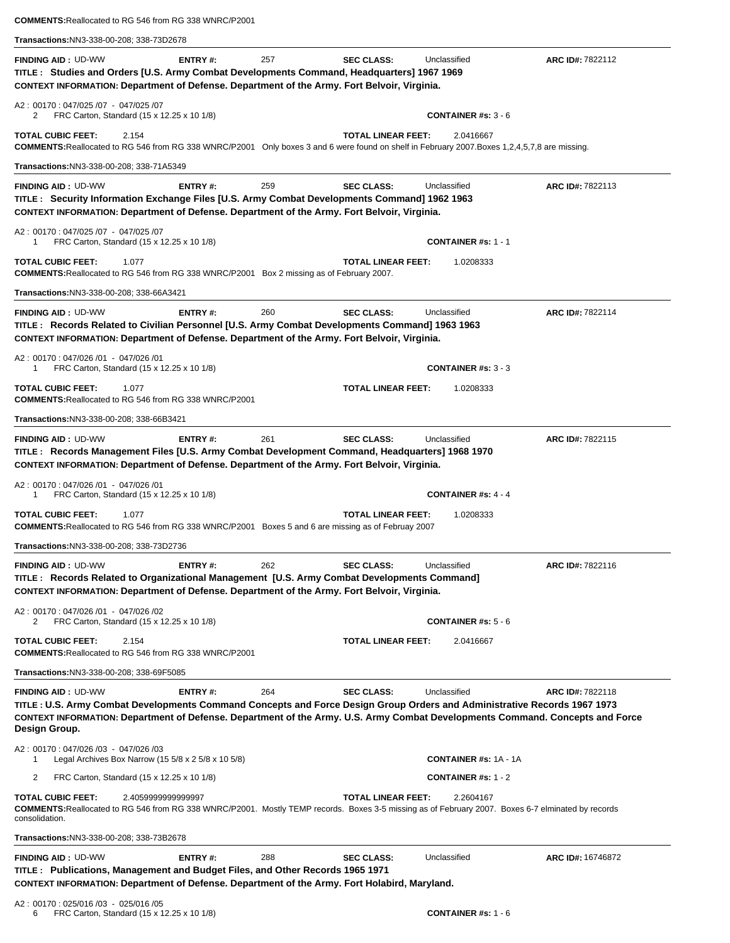| <b>COMMENTS: Reallocated to RG 546 from RG 338 WNRC/P2001</b>                                                                                                                                                                                                                                            |         |     |                           |                                      |                          |
|----------------------------------------------------------------------------------------------------------------------------------------------------------------------------------------------------------------------------------------------------------------------------------------------------------|---------|-----|---------------------------|--------------------------------------|--------------------------|
| Transactions: NN3-338-00-208; 338-73D2678                                                                                                                                                                                                                                                                |         |     |                           |                                      |                          |
| <b>FINDING AID: UD-WW</b><br>TITLE: Studies and Orders [U.S. Army Combat Developments Command, Headquarters] 1967 1969<br>CONTEXT INFORMATION: Department of Defense. Department of the Army. Fort Belvoir, Virginia.                                                                                    | ENTRY#: | 257 | <b>SEC CLASS:</b>         | Unclassified                         | ARC ID#: 7822112         |
| A2: 00170: 047/025 /07 - 047/025 /07<br>FRC Carton, Standard (15 x 12.25 x 10 1/8)<br>2                                                                                                                                                                                                                  |         |     |                           | <b>CONTAINER #s: 3 - 6</b>           |                          |
| <b>TOTAL CUBIC FEET:</b><br>2.154<br><b>COMMENTS:</b> Reallocated to RG 546 from RG 338 WNRC/P2001 Only boxes 3 and 6 were found on shelf in February 2007. Boxes 1,2,4,5,7,8 are missing.                                                                                                               |         |     | <b>TOTAL LINEAR FEET:</b> | 2.0416667                            |                          |
| Transactions: NN3-338-00-208; 338-71A5349                                                                                                                                                                                                                                                                |         |     |                           |                                      |                          |
| <b>FINDING AID: UD-WW</b>                                                                                                                                                                                                                                                                                | ENTRY#: | 259 | <b>SEC CLASS:</b>         | Unclassified                         | ARC ID#: 7822113         |
| TITLE : Security Information Exchange Files [U.S. Army Combat Developments Command] 1962 1963<br>CONTEXT INFORMATION: Department of Defense. Department of the Army. Fort Belvoir, Virginia.                                                                                                             |         |     |                           |                                      |                          |
| A2: 00170: 047/025 /07 - 047/025 /07<br>FRC Carton, Standard (15 x 12.25 x 10 1/8)                                                                                                                                                                                                                       |         |     |                           | <b>CONTAINER #s: 1 - 1</b>           |                          |
| <b>TOTAL CUBIC FEET:</b><br>1.077<br><b>COMMENTS: Reallocated to RG 546 from RG 338 WNRC/P2001</b> Box 2 missing as of February 2007.                                                                                                                                                                    |         |     | <b>TOTAL LINEAR FEET:</b> | 1.0208333                            |                          |
| Transactions:NN3-338-00-208; 338-66A3421                                                                                                                                                                                                                                                                 |         |     |                           |                                      |                          |
| <b>FINDING AID: UD-WW</b><br>TITLE: Records Related to Civilian Personnel [U.S. Army Combat Developments Command] 1963 1963<br>CONTEXT INFORMATION: Department of Defense. Department of the Army. Fort Belvoir, Virginia.                                                                               | ENTRY#: | 260 | <b>SEC CLASS:</b>         | Unclassified                         | ARC ID#: 7822114         |
| A2: 00170: 047/026 /01 - 047/026 /01<br>FRC Carton, Standard (15 x 12.25 x 10 1/8)                                                                                                                                                                                                                       |         |     |                           | <b>CONTAINER</b> # $\text{s}: 3 - 3$ |                          |
| <b>TOTAL CUBIC FEET:</b><br>1.077<br><b>COMMENTS: Reallocated to RG 546 from RG 338 WNRC/P2001</b>                                                                                                                                                                                                       |         |     | <b>TOTAL LINEAR FEET:</b> | 1.0208333                            |                          |
| Transactions: NN3-338-00-208; 338-66B3421                                                                                                                                                                                                                                                                |         |     |                           |                                      |                          |
| <b>FINDING AID: UD-WW</b><br>TITLE: Records Management Files [U.S. Army Combat Development Command, Headquarters] 1968 1970<br>CONTEXT INFORMATION: Department of Defense. Department of the Army. Fort Belvoir, Virginia.                                                                               | ENTRY#: | 261 | <b>SEC CLASS:</b>         | Unclassified                         | ARC ID#: 7822115         |
| A2: 00170: 047/026 /01 - 047/026 /01<br>FRC Carton, Standard (15 x 12.25 x 10 1/8)<br>1                                                                                                                                                                                                                  |         |     |                           | <b>CONTAINER #s: 4 - 4</b>           |                          |
| <b>TOTAL CUBIC FEET:</b><br>1.077<br><b>COMMENTS: Reallocated to RG 546 from RG 338 WNRC/P2001</b> Boxes 5 and 6 are missing as of Februay 2007                                                                                                                                                          |         |     | <b>TOTAL LINEAR FEET:</b> | 1.0208333                            |                          |
| Transactions:NN3-338-00-208; 338-73D2736                                                                                                                                                                                                                                                                 |         |     |                           |                                      |                          |
| <b>FINDING AID: UD-WW</b><br>TITLE: Records Related to Organizational Management [U.S. Army Combat Developments Command]<br>CONTEXT INFORMATION: Department of Defense. Department of the Army. Fort Belvoir, Virginia.                                                                                  | ENTRY#: | 262 | <b>SEC CLASS:</b>         | Unclassified                         | ARC ID#: 7822116         |
| A2: 00170: 047/026 /01 - 047/026 /02<br>2<br>FRC Carton, Standard (15 x 12.25 x 10 1/8)                                                                                                                                                                                                                  |         |     |                           | <b>CONTAINER #s: 5 - 6</b>           |                          |
| <b>TOTAL CUBIC FEET:</b><br>2.154<br><b>COMMENTS: Reallocated to RG 546 from RG 338 WNRC/P2001</b>                                                                                                                                                                                                       |         |     | <b>TOTAL LINEAR FEET:</b> | 2.0416667                            |                          |
| Transactions: NN3-338-00-208; 338-69F5085                                                                                                                                                                                                                                                                |         |     |                           |                                      |                          |
| <b>FINDING AID: UD-WW</b><br>TITLE : U.S. Army Combat Developments Command Concepts and Force Design Group Orders and Administrative Records 1967 1973<br>CONTEXT INFORMATION: Department of Defense. Department of the Army. U.S. Army Combat Developments Command. Concepts and Force<br>Design Group. | ENTRY#: | 264 | <b>SEC CLASS:</b>         | Unclassified                         | ARC ID#: 7822118         |
| A2: 00170: 047/026 /03 - 047/026 /03<br>Legal Archives Box Narrow (15 $5/8 \times 2$ 5/8 $\times$ 10 5/8)<br>-1                                                                                                                                                                                          |         |     |                           | <b>CONTAINER #s: 1A - 1A</b>         |                          |
| 2<br>FRC Carton, Standard (15 x 12.25 x 10 1/8)                                                                                                                                                                                                                                                          |         |     |                           | <b>CONTAINER #s: 1 - 2</b>           |                          |
| <b>TOTAL CUBIC FEET:</b><br>2.405999999999997<br>COMMENTS: Reallocated to RG 546 from RG 338 WNRC/P2001. Mostly TEMP records. Boxes 3-5 missing as of February 2007. Boxes 6-7 elminated by records<br>consolidation.                                                                                    |         |     | <b>TOTAL LINEAR FEET:</b> | 2.2604167                            |                          |
| Transactions: NN3-338-00-208; 338-73B2678                                                                                                                                                                                                                                                                |         |     |                           |                                      |                          |
| <b>FINDING AID: UD-WW</b><br>TITLE: Publications, Management and Budget Files, and Other Records 1965 1971<br>CONTEXT INFORMATION: Department of Defense. Department of the Army. Fort Holabird, Maryland.                                                                                               | ENTRY#: | 288 | <b>SEC CLASS:</b>         | Unclassified                         | <b>ARC ID#: 16746872</b> |
| A2: 00170: 025/016 /03 - 025/016 /05                                                                                                                                                                                                                                                                     |         |     |                           |                                      |                          |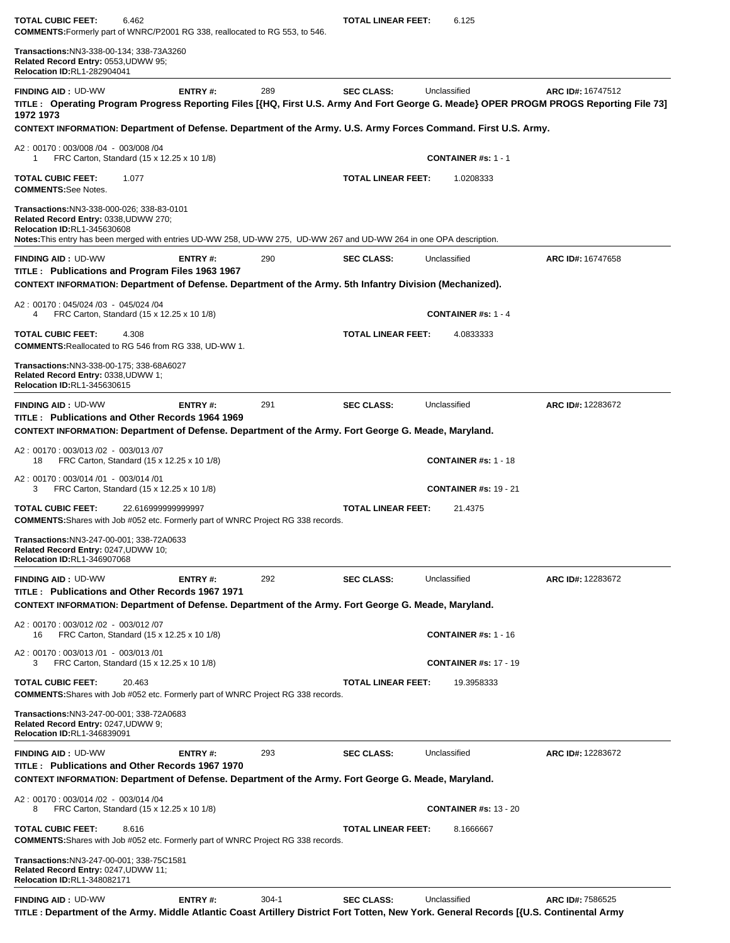| TOTAL CUBIC FEET:<br>COMMENTS: Formerly part of WNRC/P2001 RG 338, reallocated to RG 553, to 546.                                                                                                                                                | 6.462                                      |           | <b>TOTAL LINEAR FEET:</b> | 6.125                                                                                                                          |                                                                                                                                                            |
|--------------------------------------------------------------------------------------------------------------------------------------------------------------------------------------------------------------------------------------------------|--------------------------------------------|-----------|---------------------------|--------------------------------------------------------------------------------------------------------------------------------|------------------------------------------------------------------------------------------------------------------------------------------------------------|
| <b>Transactions: NN3-338-00-134; 338-73A3260</b><br>Related Record Entry: 0553, UDWW 95;<br><b>Relocation ID:RL1-282904041</b>                                                                                                                   |                                            |           |                           |                                                                                                                                |                                                                                                                                                            |
| <b>FINDING AID: UD-WW</b><br>1972 1973                                                                                                                                                                                                           | ENTRY#:                                    | 289       | <b>SEC CLASS:</b>         | Unclassified<br>CONTEXT INFORMATION: Department of Defense. Department of the Army. U.S. Army Forces Command. First U.S. Army. | ARC ID#: 16747512<br>TITLE: Operating Program Progress Reporting Files [{HQ, First U.S. Army And Fort George G. Meade} OPER PROGM PROGS Reporting File 73] |
| A2: 00170: 003/008 /04 - 003/008 /04                                                                                                                                                                                                             |                                            |           |                           |                                                                                                                                |                                                                                                                                                            |
| 1                                                                                                                                                                                                                                                | FRC Carton, Standard (15 x 12.25 x 10 1/8) |           |                           | <b>CONTAINER #s: 1 - 1</b>                                                                                                     |                                                                                                                                                            |
| <b>TOTAL CUBIC FEET:</b><br><b>COMMENTS:See Notes.</b>                                                                                                                                                                                           | 1.077                                      |           | <b>TOTAL LINEAR FEET:</b> | 1.0208333                                                                                                                      |                                                                                                                                                            |
| Transactions:NN3-338-000-026; 338-83-0101<br>Related Record Entry: 0338, UDWW 270;<br><b>Relocation ID:RL1-345630608</b><br>Notes: This entry has been merged with entries UD-WW 258, UD-WW 275, UD-WW 267 and UD-WW 264 in one OPA description. |                                            |           |                           |                                                                                                                                |                                                                                                                                                            |
| <b>FINDING AID: UD-WW</b><br>TITLE: Publications and Program Files 1963 1967<br>CONTEXT INFORMATION: Department of Defense. Department of the Army. 5th Infantry Division (Mechanized).                                                          | ENTRY#:                                    | 290       | <b>SEC CLASS:</b>         | Unclassified                                                                                                                   | ARC ID#: 16747658                                                                                                                                          |
| A2: 00170: 045/024 /03 - 045/024 /04<br>4                                                                                                                                                                                                        | FRC Carton, Standard (15 x 12.25 x 10 1/8) |           |                           | <b>CONTAINER #s: 1 - 4</b>                                                                                                     |                                                                                                                                                            |
| TOTAL CUBIC FEET:<br>COMMENTS: Reallocated to RG 546 from RG 338, UD-WW 1.                                                                                                                                                                       | 4.308                                      |           | <b>TOTAL LINEAR FEET:</b> | 4.0833333                                                                                                                      |                                                                                                                                                            |
| Transactions: NN3-338-00-175; 338-68A6027<br>Related Record Entry: 0338, UDWW 1;<br>Relocation ID:RL1-345630615                                                                                                                                  |                                            |           |                           |                                                                                                                                |                                                                                                                                                            |
| <b>FINDING AID: UD-WW</b><br>TITLE: Publications and Other Records 1964 1969                                                                                                                                                                     | ENTRY#:                                    | 291       | <b>SEC CLASS:</b>         | Unclassified                                                                                                                   | <b>ARC ID#: 12283672</b>                                                                                                                                   |
| CONTEXT INFORMATION: Department of Defense. Department of the Army. Fort George G. Meade, Maryland.                                                                                                                                              |                                            |           |                           |                                                                                                                                |                                                                                                                                                            |
| A2: 00170: 003/013 /02 - 003/013 /07<br>18                                                                                                                                                                                                       | FRC Carton, Standard (15 x 12.25 x 10 1/8) |           |                           | <b>CONTAINER #s: 1 - 18</b>                                                                                                    |                                                                                                                                                            |
| A2: 00170: 003/014 /01 - 003/014 /01<br>3                                                                                                                                                                                                        | FRC Carton, Standard (15 x 12.25 x 10 1/8) |           |                           | <b>CONTAINER #s: 19 - 21</b>                                                                                                   |                                                                                                                                                            |
| TOTAL CUBIC FEET:<br><b>COMMENTS:</b> Shares with Job #052 etc. Formerly part of WNRC Project RG 338 records.                                                                                                                                    | 22.616999999999997                         |           | <b>TOTAL LINEAR FEET:</b> | 21.4375                                                                                                                        |                                                                                                                                                            |
| Transactions:NN3-247-00-001; 338-72A0633<br>Related Record Entry: 0247,UDWW 10;<br><b>Relocation ID:RL1-346907068</b>                                                                                                                            |                                            |           |                           |                                                                                                                                |                                                                                                                                                            |
| <b>FINDING AID: UD-WW</b>                                                                                                                                                                                                                        | <b>ENTRY#:</b>                             | 292       | <b>SEC CLASS:</b>         | Unclassified                                                                                                                   | ARC ID#: 12283672                                                                                                                                          |
| TITLE: Publications and Other Records 1967 1971<br>CONTEXT INFORMATION: Department of Defense. Department of the Army. Fort George G. Meade, Maryland.                                                                                           |                                            |           |                           |                                                                                                                                |                                                                                                                                                            |
| A2: 00170: 003/012 /02 - 003/012 /07<br>16                                                                                                                                                                                                       | FRC Carton, Standard (15 x 12.25 x 10 1/8) |           |                           | <b>CONTAINER #s: 1 - 16</b>                                                                                                    |                                                                                                                                                            |
| A2: 00170: 003/013 /01 - 003/013 /01<br>3                                                                                                                                                                                                        | FRC Carton, Standard (15 x 12.25 x 10 1/8) |           |                           | <b>CONTAINER #s: 17 - 19</b>                                                                                                   |                                                                                                                                                            |
| TOTAL CUBIC FEET:<br><b>COMMENTS:</b> Shares with Job #052 etc. Formerly part of WNRC Project RG 338 records.                                                                                                                                    | 20.463                                     |           | <b>TOTAL LINEAR FEET:</b> | 19.3958333                                                                                                                     |                                                                                                                                                            |
| Transactions:NN3-247-00-001; 338-72A0683<br>Related Record Entry: 0247, UDWW 9;<br><b>Relocation ID:RL1-346839091</b>                                                                                                                            |                                            |           |                           |                                                                                                                                |                                                                                                                                                            |
| <b>FINDING AID: UD-WW</b><br>TITLE: Publications and Other Records 1967 1970                                                                                                                                                                     | ENTRY#:                                    | 293       | <b>SEC CLASS:</b>         | Unclassified                                                                                                                   | ARC ID#: 12283672                                                                                                                                          |
| CONTEXT INFORMATION: Department of Defense. Department of the Army. Fort George G. Meade, Maryland.<br>A2: 00170: 003/014 /02 - 003/014 /04                                                                                                      |                                            |           |                           |                                                                                                                                |                                                                                                                                                            |
| 8                                                                                                                                                                                                                                                | FRC Carton, Standard (15 x 12.25 x 10 1/8) |           |                           | <b>CONTAINER #s: 13 - 20</b>                                                                                                   |                                                                                                                                                            |
| <b>TOTAL CUBIC FEET:</b><br><b>COMMENTS:</b> Shares with Job #052 etc. Formerly part of WNRC Project RG 338 records.                                                                                                                             | 8.616                                      |           | <b>TOTAL LINEAR FEET:</b> | 8.1666667                                                                                                                      |                                                                                                                                                            |
| Transactions:NN3-247-00-001; 338-75C1581<br>Related Record Entry: 0247, UDWW 11;<br>Relocation ID:RL1-348082171                                                                                                                                  |                                            |           |                           |                                                                                                                                |                                                                                                                                                            |
| <b>FINDING AID: UD-WW</b>                                                                                                                                                                                                                        | ENTRY#:                                    | $304 - 1$ | <b>SEC CLASS:</b>         | Unclassified                                                                                                                   | ARC ID#: 7586525                                                                                                                                           |

**TITLE : Department of the Army. Middle Atlantic Coast Artillery District Fort Totten, New York. General Records [{U.S. Continental Army**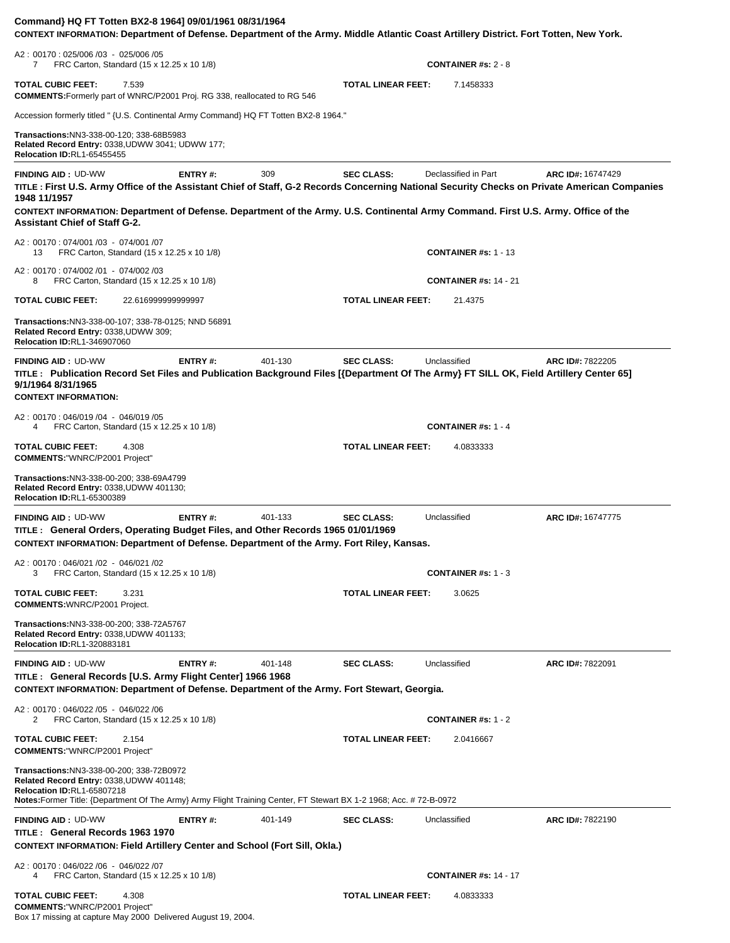| Command} HQ FT Totten BX2-8 1964] 09/01/1961 08/31/1964<br>CONTEXT INFORMATION: Department of Defense. Department of the Army. Middle Atlantic Coast Artillery District. Fort Totten, New York.                                                  |         |         |                           |                              |                   |
|--------------------------------------------------------------------------------------------------------------------------------------------------------------------------------------------------------------------------------------------------|---------|---------|---------------------------|------------------------------|-------------------|
| A2: 00170: 025/006 /03 - 025/006 /05<br>FRC Carton, Standard (15 x 12.25 x 10 1/8)<br>$\overline{7}$                                                                                                                                             |         |         |                           | <b>CONTAINER #s: 2 - 8</b>   |                   |
| <b>TOTAL CUBIC FEET:</b><br>7.539<br><b>COMMENTS:</b> Formerly part of WNRC/P2001 Proj. RG 338, reallocated to RG 546                                                                                                                            |         |         | <b>TOTAL LINEAR FEET:</b> | 7.1458333                    |                   |
| Accession formerly titled " {U.S. Continental Army Command} HQ FT Totten BX2-8 1964."                                                                                                                                                            |         |         |                           |                              |                   |
| <b>Transactions: NN3-338-00-120; 338-68B5983</b><br>Related Record Entry: 0338, UDWW 3041; UDWW 177;<br>Relocation ID:RL1-65455455                                                                                                               |         |         |                           |                              |                   |
| <b>FINDING AID: UD-WW</b><br>TITLE: First U.S. Army Office of the Assistant Chief of Staff, G-2 Records Concerning National Security Checks on Private American Companies<br>1948 11/1957                                                        | ENTRY#: | 309     | <b>SEC CLASS:</b>         | Declassified in Part         | ARC ID#: 16747429 |
| CONTEXT INFORMATION: Department of Defense. Department of the Army. U.S. Continental Army Command. First U.S. Army. Office of the<br><b>Assistant Chief of Staff G-2.</b>                                                                        |         |         |                           |                              |                   |
| A2: 00170: 074/001 /03 - 074/001 /07<br>FRC Carton, Standard (15 x 12.25 x 10 1/8)<br>13                                                                                                                                                         |         |         |                           | <b>CONTAINER #s: 1 - 13</b>  |                   |
| A2: 00170: 074/002 /01 - 074/002 /03<br>FRC Carton, Standard (15 x 12.25 x 10 1/8)<br>8                                                                                                                                                          |         |         |                           | <b>CONTAINER #s: 14 - 21</b> |                   |
| <b>TOTAL CUBIC FEET:</b><br>22.616999999999997                                                                                                                                                                                                   |         |         | <b>TOTAL LINEAR FEET:</b> | 21.4375                      |                   |
| Transactions: NN3-338-00-107; 338-78-0125; NND 56891<br>Related Record Entry: 0338, UDWW 309;<br><b>Relocation ID:RL1-346907060</b>                                                                                                              |         |         |                           |                              |                   |
| <b>FINDING AID: UD-WW</b>                                                                                                                                                                                                                        | ENTRY#: | 401-130 | <b>SEC CLASS:</b>         | Unclassified                 | ARC ID#: 7822205  |
| TITLE: Publication Record Set Files and Publication Background Files [{Department Of The Army} FT SILL OK, Field Artillery Center 65]<br>9/1/1964 8/31/1965<br><b>CONTEXT INFORMATION:</b>                                                       |         |         |                           |                              |                   |
| A2: 00170: 046/019 /04 - 046/019 /05<br>FRC Carton, Standard (15 x 12.25 x 10 1/8)<br>4                                                                                                                                                          |         |         |                           | <b>CONTAINER #s: 1 - 4</b>   |                   |
| <b>TOTAL CUBIC FEET:</b><br>4.308<br><b>COMMENTS: "WNRC/P2001 Project"</b>                                                                                                                                                                       |         |         | <b>TOTAL LINEAR FEET:</b> | 4.0833333                    |                   |
| Transactions: NN3-338-00-200; 338-69A4799<br>Related Record Entry: 0338, UDWW 401130;<br><b>Relocation ID:RL1-65300389</b>                                                                                                                       |         |         |                           |                              |                   |
| <b>FINDING AID: UD-WW</b><br>TITLE: General Orders, Operating Budget Files, and Other Records 1965 01/01/1969<br>CONTEXT INFORMATION: Department of Defense. Department of the Army. Fort Riley, Kansas.                                         | ENTRY#: | 401-133 | <b>SEC CLASS:</b>         | Unclassified                 | ARC ID#: 16747775 |
| A2: 00170: 046/021 /02 - 046/021 /02<br>FRC Carton, Standard (15 x 12.25 x 10 1/8)<br>3                                                                                                                                                          |         |         |                           | <b>CONTAINER #s: 1 - 3</b>   |                   |
| <b>TOTAL CUBIC FEET:</b><br>3.231<br><b>COMMENTS: WNRC/P2001 Project.</b>                                                                                                                                                                        |         |         | <b>TOTAL LINEAR FEET:</b> | 3.0625                       |                   |
| Transactions: NN3-338-00-200; 338-72A5767<br>Related Record Entry: 0338, UDWW 401133;<br><b>Relocation ID:RL1-320883181</b>                                                                                                                      |         |         |                           |                              |                   |
| <b>FINDING AID: UD-WW</b>                                                                                                                                                                                                                        | ENTRY#: | 401-148 | <b>SEC CLASS:</b>         | Unclassified                 | ARC ID#: 7822091  |
| TITLE : General Records [U.S. Army Flight Center] 1966 1968<br>CONTEXT INFORMATION: Department of Defense. Department of the Army. Fort Stewart, Georgia.                                                                                        |         |         |                           |                              |                   |
| A2: 00170: 046/022 /05 - 046/022 /06<br>FRC Carton, Standard (15 x 12.25 x 10 1/8)<br>2                                                                                                                                                          |         |         |                           | CONTAINER #s: $1 - 2$        |                   |
| <b>TOTAL CUBIC FEET:</b><br>2.154<br><b>COMMENTS:"WNRC/P2001 Project"</b>                                                                                                                                                                        |         |         | <b>TOTAL LINEAR FEET:</b> | 2.0416667                    |                   |
| Transactions: NN3-338-00-200; 338-72B0972<br>Related Record Entry: 0338, UDWW 401148;<br><b>Relocation ID:RL1-65807218</b><br>Notes: Former Title: {Department Of The Army} Army Flight Training Center, FT Stewart BX 1-2 1968; Acc. #72-B-0972 |         |         |                           |                              |                   |
| <b>FINDING AID: UD-WW</b>                                                                                                                                                                                                                        | ENTRY#: | 401-149 | <b>SEC CLASS:</b>         | Unclassified                 | ARC ID#: 7822190  |
| TITLE: General Records 1963 1970<br><b>CONTEXT INFORMATION: Field Artillery Center and School (Fort Sill, Okla.)</b>                                                                                                                             |         |         |                           |                              |                   |
| A2: 00170: 046/022 /06 - 046/022 /07<br>FRC Carton, Standard (15 x 12.25 x 10 1/8)<br>4                                                                                                                                                          |         |         |                           | <b>CONTAINER #s: 14 - 17</b> |                   |
| <b>TOTAL CUBIC FEET:</b><br>4.308<br><b>COMMENTS:"WNRC/P2001 Project"</b><br>Box 17 missing at capture May 2000 Delivered August 19, 2004.                                                                                                       |         |         | <b>TOTAL LINEAR FEET:</b> | 4.0833333                    |                   |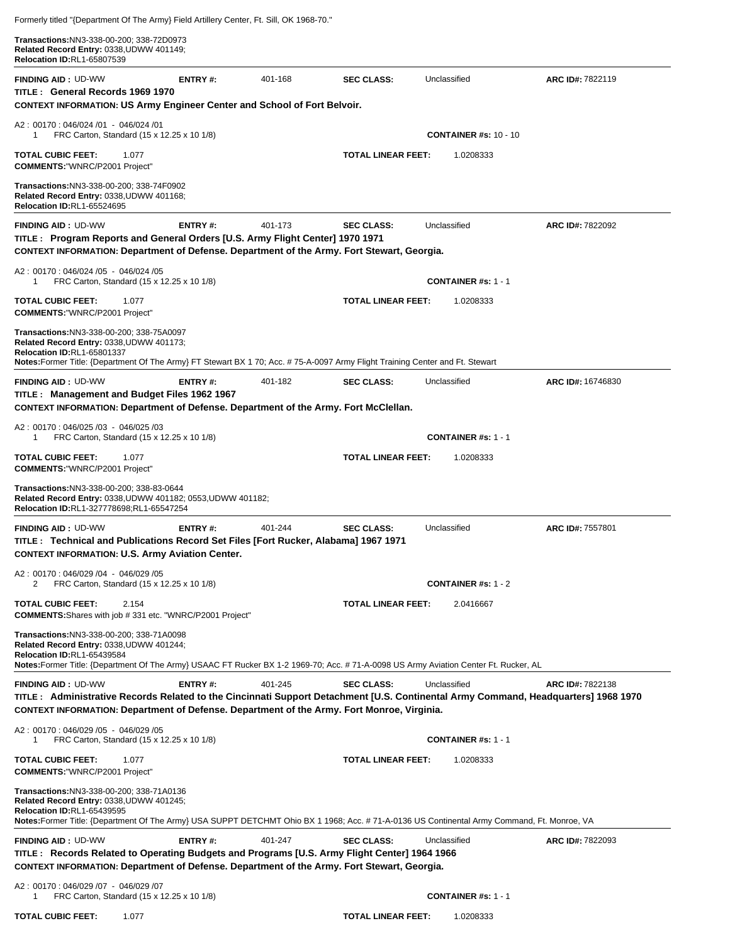| Formerly titled "{Department Of The Army} Field Artillery Center, Ft. Sill, OK 1968-70."                                                                                                                                                                           |         |         |                           |                              |                   |
|--------------------------------------------------------------------------------------------------------------------------------------------------------------------------------------------------------------------------------------------------------------------|---------|---------|---------------------------|------------------------------|-------------------|
| Transactions: NN3-338-00-200; 338-72D0973<br>Related Record Entry: 0338, UDWW 401149;<br>Relocation ID:RL1-65807539                                                                                                                                                |         |         |                           |                              |                   |
| <b>FINDING AID: UD-WW</b><br>TITLE: General Records 1969 1970<br><b>CONTEXT INFORMATION: US Army Engineer Center and School of Fort Belvoir.</b>                                                                                                                   | ENTRY#: | 401-168 | <b>SEC CLASS:</b>         | Unclassified                 | ARC ID#: 7822119  |
| A2: 00170: 046/024 /01 - 046/024 /01<br>FRC Carton, Standard (15 x 12.25 x 10 1/8)<br>1.                                                                                                                                                                           |         |         |                           | <b>CONTAINER #s: 10 - 10</b> |                   |
| <b>TOTAL CUBIC FEET:</b><br>1.077<br><b>COMMENTS:"WNRC/P2001 Project"</b>                                                                                                                                                                                          |         |         | <b>TOTAL LINEAR FEET:</b> | 1.0208333                    |                   |
| Transactions: NN3-338-00-200; 338-74F0902<br>Related Record Entry: 0338, UDWW 401168;<br><b>Relocation ID:RL1-65524695</b>                                                                                                                                         |         |         |                           |                              |                   |
| <b>FINDING AID: UD-WW</b><br>TITLE : Program Reports and General Orders [U.S. Army Flight Center] 1970 1971<br>CONTEXT INFORMATION: Department of Defense. Department of the Army. Fort Stewart, Georgia.                                                          | ENTRY#: | 401-173 | <b>SEC CLASS:</b>         | Unclassified                 | ARC ID#: 7822092  |
| A2: 00170: 046/024 /05 - 046/024 /05<br>FRC Carton, Standard (15 x 12.25 x 10 1/8)<br>1                                                                                                                                                                            |         |         |                           | <b>CONTAINER</b> #s: $1 - 1$ |                   |
| <b>TOTAL CUBIC FEET:</b><br>1.077<br><b>COMMENTS: "WNRC/P2001 Project"</b>                                                                                                                                                                                         |         |         | <b>TOTAL LINEAR FEET:</b> | 1.0208333                    |                   |
| Transactions: NN3-338-00-200; 338-75A0097<br>Related Record Entry: 0338, UDWW 401173;<br>Relocation ID:RL1-65801337<br>Notes:Former Title: {Department Of The Army} FT Stewart BX 1 70; Acc. # 75-A-0097 Army Flight Training Center and Ft. Stewart               |         |         |                           |                              |                   |
| <b>FINDING AID: UD-WW</b><br>TITLE: Management and Budget Files 1962 1967<br>CONTEXT INFORMATION: Department of Defense. Department of the Army. Fort McClellan.                                                                                                   | ENTRY#: | 401-182 | <b>SEC CLASS:</b>         | Unclassified                 | ARC ID#: 16746830 |
| A2: 00170: 046/025 /03 - 046/025 /03<br>FRC Carton, Standard (15 x 12.25 x 10 1/8)<br>1                                                                                                                                                                            |         |         |                           | <b>CONTAINER #s: 1 - 1</b>   |                   |
| <b>TOTAL CUBIC FEET:</b><br>1.077<br><b>COMMENTS: "WNRC/P2001 Project"</b>                                                                                                                                                                                         |         |         | <b>TOTAL LINEAR FEET:</b> | 1.0208333                    |                   |
| Transactions: NN3-338-00-200; 338-83-0644<br>Related Record Entry: 0338, UDWW 401182; 0553, UDWW 401182;<br>Relocation ID:RL1-327778698;RL1-65547254                                                                                                               |         |         |                           |                              |                   |
| <b>FINDING AID: UD-WW</b><br>TITLE: Technical and Publications Record Set Files [Fort Rucker, Alabama] 1967 1971<br><b>CONTEXT INFORMATION: U.S. Army Aviation Center.</b>                                                                                         | ENTRY#: | 401-244 | <b>SEC CLASS:</b>         | Unclassified                 | ARC ID#: 7557801  |
| A2: 00170: 046/029 /04 - 046/029 /05<br>FRC Carton, Standard (15 x 12.25 x 10 1/8)<br>2                                                                                                                                                                            |         |         |                           | <b>CONTAINER #s: 1 - 2</b>   |                   |
| <b>TOTAL CUBIC FEET:</b><br>2.154<br><b>COMMENTS:</b> Shares with job #331 etc. "WNRC/P2001 Project"                                                                                                                                                               |         |         | <b>TOTAL LINEAR FEET:</b> | 2.0416667                    |                   |
| Transactions: NN3-338-00-200; 338-71A0098<br>Related Record Entry: 0338, UDWW 401244;<br>Relocation ID:RL1-65439584<br>Notes: Former Title: {Department Of The Army} USAAC FT Rucker BX 1-2 1969-70; Acc. # 71-A-0098 US Army Aviation Center Ft. Rucker, AL       |         |         |                           |                              |                   |
| <b>FINDING AID: UD-WW</b><br>TITLE: Administrative Records Related to the Cincinnati Support Detachment [U.S. Continental Army Command, Headquarters] 1968 1970<br>CONTEXT INFORMATION: Department of Defense. Department of the Army. Fort Monroe, Virginia.      | ENTRY#: | 401-245 | <b>SEC CLASS:</b>         | Unclassified                 | ARC ID#: 7822138  |
| A2: 00170: 046/029 /05 - 046/029 /05<br>FRC Carton, Standard (15 x 12.25 x 10 1/8)<br>1                                                                                                                                                                            |         |         |                           | <b>CONTAINER #s: 1 - 1</b>   |                   |
| <b>TOTAL CUBIC FEET:</b><br>1.077<br><b>COMMENTS: "WNRC/P2001 Project"</b>                                                                                                                                                                                         |         |         | <b>TOTAL LINEAR FEET:</b> | 1.0208333                    |                   |
| Transactions: NN3-338-00-200; 338-71A0136<br>Related Record Entry: 0338, UDWW 401245;<br>Relocation ID:RL1-65439595<br>Notes:Former Title: {Department Of The Army} USA SUPPT DETCHMT Ohio BX 1 1968; Acc. # 71-A-0136 US Continental Army Command, Ft. Monroe, VA |         |         |                           |                              |                   |
| <b>FINDING AID: UD-WW</b><br>TITLE: Records Related to Operating Budgets and Programs [U.S. Army Flight Center] 1964 1966<br>CONTEXT INFORMATION: Department of Defense. Department of the Army. Fort Stewart, Georgia.                                            | ENTRY#: | 401-247 | <b>SEC CLASS:</b>         | Unclassified                 | ARC ID#: 7822093  |
| A2: 00170: 046/029 /07 - 046/029 /07<br>FRC Carton, Standard (15 x 12.25 x 10 1/8)<br>$\mathbf{1}$                                                                                                                                                                 |         |         |                           | <b>CONTAINER #s: 1 - 1</b>   |                   |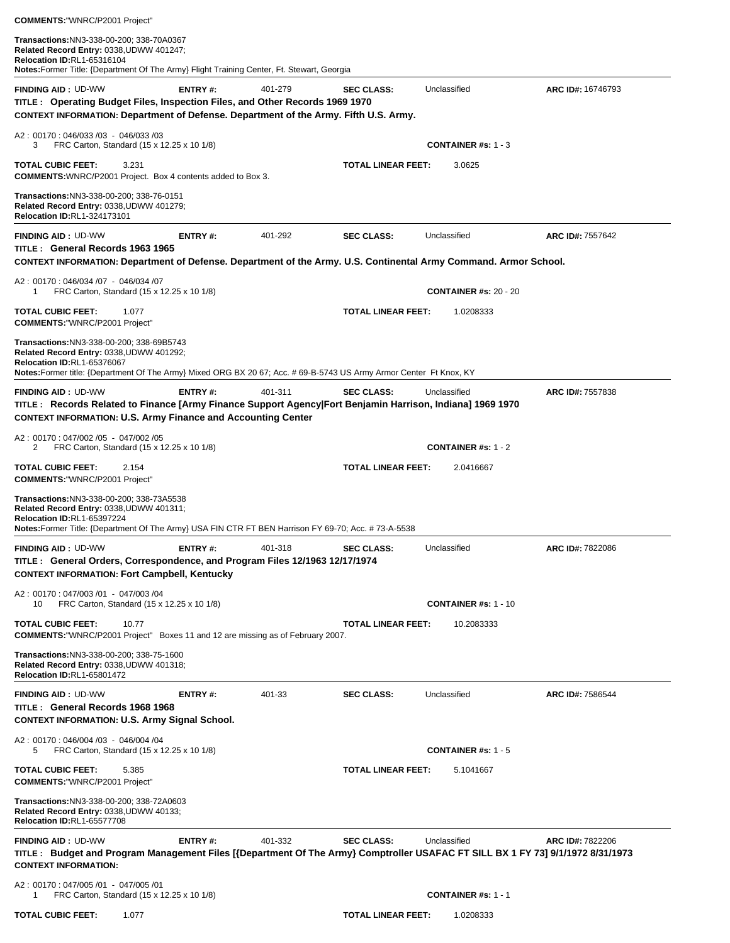| Transactions: NN3-338-00-200; 338-70A0367<br>Related Record Entry: 0338, UDWW 401247;<br>Relocation ID:RL1-65316104<br>Notes: Former Title: {Department Of The Army} Flight Training Center, Ft. Stewart, Georgia                         |                 |         |                           |                                           |                   |
|-------------------------------------------------------------------------------------------------------------------------------------------------------------------------------------------------------------------------------------------|-----------------|---------|---------------------------|-------------------------------------------|-------------------|
| <b>FINDING AID: UD-WW</b><br>TITLE: Operating Budget Files, Inspection Files, and Other Records 1969 1970<br>CONTEXT INFORMATION: Department of Defense. Department of the Army. Fifth U.S. Army.                                         | ENTRY#:         | 401-279 | <b>SEC CLASS:</b>         | Unclassified                              | ARC ID#: 16746793 |
| A2: 00170: 046/033 /03 - 046/033 /03<br>FRC Carton, Standard (15 x 12.25 x 10 1/8)<br>3                                                                                                                                                   |                 |         |                           | <b>CONTAINER #s: 1 - 3</b>                |                   |
| <b>TOTAL CUBIC FEET:</b><br>3.231<br><b>COMMENTS:</b> WNRC/P2001 Project. Box 4 contents added to Box 3.                                                                                                                                  |                 |         | <b>TOTAL LINEAR FEET:</b> | 3.0625                                    |                   |
| Transactions:NN3-338-00-200; 338-76-0151<br>Related Record Entry: 0338, UDWW 401279;<br>Relocation ID:RL1-324173101                                                                                                                       |                 |         |                           |                                           |                   |
| <b>FINDING AID: UD-WW</b><br>TITLE: General Records 1963 1965<br>CONTEXT INFORMATION: Department of Defense. Department of the Army. U.S. Continental Army Command. Armor School.                                                         | ENTRY#:         | 401-292 | <b>SEC CLASS:</b>         | Unclassified                              | ARC ID#: 7557642  |
| A2: 00170: 046/034 /07 - 046/034 /07                                                                                                                                                                                                      |                 |         |                           |                                           |                   |
| FRC Carton, Standard (15 x 12.25 x 10 1/8)<br>1                                                                                                                                                                                           |                 |         | <b>TOTAL LINEAR FEET:</b> | <b>CONTAINER #s: 20 - 20</b><br>1.0208333 |                   |
| <b>TOTAL CUBIC FEET:</b><br>1.077<br><b>COMMENTS: "WNRC/P2001 Project"</b>                                                                                                                                                                |                 |         |                           |                                           |                   |
| Transactions: NN3-338-00-200; 338-69B5743<br>Related Record Entry: 0338, UDWW 401292;<br>Relocation ID:RL1-65376067<br>Notes:Former title: {Department Of The Army} Mixed ORG BX 20 67; Acc. # 69-B-5743 US Army Armor Center Ft Knox, KY |                 |         |                           |                                           |                   |
| <b>FINDING AID: UD-WW</b>                                                                                                                                                                                                                 | ENTRY#:         | 401-311 | <b>SEC CLASS:</b>         | Unclassified                              | ARC ID#: 7557838  |
| TITLE: Records Related to Finance [Army Finance Support Agency Fort Benjamin Harrison, Indiana] 1969 1970<br><b>CONTEXT INFORMATION: U.S. Army Finance and Accounting Center</b>                                                          |                 |         |                           |                                           |                   |
| A2: 00170: 047/002 /05 - 047/002 /05<br>FRC Carton, Standard (15 x 12.25 x 10 1/8)<br>2                                                                                                                                                   |                 |         |                           | <b>CONTAINER #s: 1 - 2</b>                |                   |
| <b>TOTAL CUBIC FEET:</b><br>2.154                                                                                                                                                                                                         |                 |         | <b>TOTAL LINEAR FEET:</b> | 2.0416667                                 |                   |
| <b>COMMENTS: "WNRC/P2001 Project"</b>                                                                                                                                                                                                     |                 |         |                           |                                           |                   |
| Transactions:NN3-338-00-200; 338-73A5538<br>Related Record Entry: 0338, UDWW 401311;<br>Relocation ID:RL1-65397224<br>Notes:Former Title: {Department Of The Army} USA FIN CTR FT BEN Harrison FY 69-70; Acc. # 73-A-5538                 |                 |         |                           |                                           |                   |
| <b>FINDING AID: UD-WW</b><br>TITLE : General Orders, Correspondence, and Program Files 12/1963 12/17/1974<br><b>CONTEXT INFORMATION: Fort Campbell, Kentucky</b>                                                                          | <b>ENTRY</b> #: | 401-318 | <b>SEC CLASS:</b>         | Unclassified                              | ARC ID#: 7822086  |
| A2: 00170: 047/003 /01 - 047/003 /04<br>FRC Carton, Standard (15 x 12.25 x 10 1/8)<br>10                                                                                                                                                  |                 |         |                           | <b>CONTAINER #s: 1 - 10</b>               |                   |
| <b>TOTAL CUBIC FEET:</b><br>10.77<br><b>COMMENTS:</b> "WNRC/P2001 Project" Boxes 11 and 12 are missing as of February 2007.                                                                                                               |                 |         | <b>TOTAL LINEAR FEET:</b> | 10.2083333                                |                   |
| Transactions: NN3-338-00-200; 338-75-1600<br>Related Record Entry: 0338, UDWW 401318;<br>Relocation ID:RL1-65801472                                                                                                                       |                 |         |                           |                                           |                   |
| <b>FINDING AID: UD-WW</b><br>TITLE : General Records 1968 1968<br><b>CONTEXT INFORMATION: U.S. Army Signal School.</b>                                                                                                                    | <b>ENTRY#:</b>  | 401-33  | <b>SEC CLASS:</b>         | Unclassified                              | ARC ID#: 7586544  |
| A2: 00170: 046/004 /03 - 046/004 /04<br>FRC Carton, Standard (15 x 12.25 x 10 1/8)<br>5                                                                                                                                                   |                 |         |                           | <b>CONTAINER #s: 1 - 5</b>                |                   |
| <b>TOTAL CUBIC FEET:</b><br>5.385<br><b>COMMENTS: "WNRC/P2001 Project"</b>                                                                                                                                                                |                 |         | <b>TOTAL LINEAR FEET:</b> | 5.1041667                                 |                   |
| Transactions: NN3-338-00-200; 338-72A0603<br>Related Record Entry: 0338, UDWW 40133;<br><b>Relocation ID:RL1-65577708</b>                                                                                                                 |                 |         |                           |                                           |                   |
| <b>FINDING AID: UD-WW</b><br>TITLE: Budget and Program Management Files [{Department Of The Army} Comptroller USAFAC FT SILL BX 1 FY 73] 9/1/1972 8/31/1973<br><b>CONTEXT INFORMATION:</b>                                                | ENTRY#:         | 401-332 | <b>SEC CLASS:</b>         | Unclassified                              | ARC ID#: 7822206  |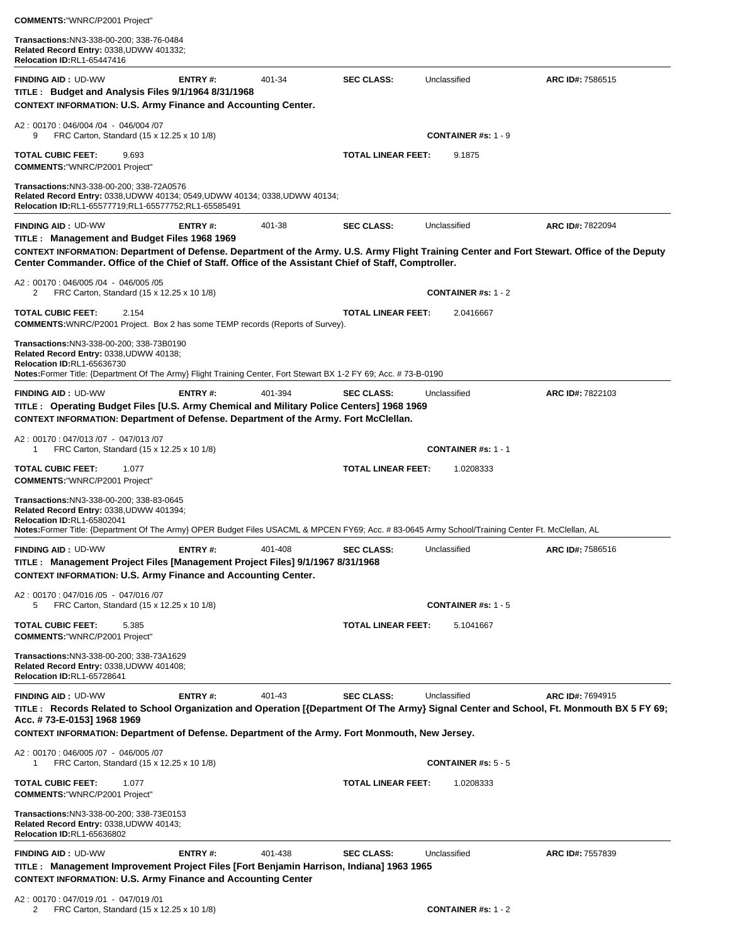| <b>COMMENTS:"WNRC/P2001 Project"</b>                                                                                                                                                                                                                                                                   |                |         |                           |                                         |                  |
|--------------------------------------------------------------------------------------------------------------------------------------------------------------------------------------------------------------------------------------------------------------------------------------------------------|----------------|---------|---------------------------|-----------------------------------------|------------------|
| Transactions:NN3-338-00-200; 338-76-0484<br>Related Record Entry: 0338, UDWW 401332;<br>Relocation ID:RL1-65447416                                                                                                                                                                                     |                |         |                           |                                         |                  |
| <b>FINDING AID: UD-WW</b><br>TITLE: Budget and Analysis Files 9/1/1964 8/31/1968<br><b>CONTEXT INFORMATION: U.S. Army Finance and Accounting Center.</b>                                                                                                                                               | <b>ENTRY#:</b> | 401-34  | <b>SEC CLASS:</b>         | Unclassified                            | ARC ID#: 7586515 |
| A2: 00170: 046/004 /04 - 046/004 /07<br>9<br>FRC Carton, Standard (15 x 12.25 x 10 1/8)                                                                                                                                                                                                                |                |         |                           | <b>CONTAINER #s: 1 - 9</b>              |                  |
| <b>TOTAL CUBIC FEET:</b><br>9.693<br><b>COMMENTS:"WNRC/P2001 Project"</b>                                                                                                                                                                                                                              |                |         | <b>TOTAL LINEAR FEET:</b> | 9.1875                                  |                  |
| Transactions:NN3-338-00-200; 338-72A0576<br>Related Record Entry: 0338, UDWW 40134; 0549, UDWW 40134; 0338, UDWW 40134;<br>Relocation ID:RL1-65577719;RL1-65577752;RL1-65585491                                                                                                                        |                |         |                           |                                         |                  |
| <b>FINDING AID: UD-WW</b>                                                                                                                                                                                                                                                                              | ENTRY#:        | 401-38  | <b>SEC CLASS:</b>         | Unclassified                            | ARC ID#: 7822094 |
| TITLE: Management and Budget Files 1968 1969<br>CONTEXT INFORMATION: Department of Defense. Department of the Army. U.S. Army Flight Training Center and Fort Stewart. Office of the Deputy                                                                                                            |                |         |                           |                                         |                  |
| Center Commander. Office of the Chief of Staff. Office of the Assistant Chief of Staff, Comptroller.                                                                                                                                                                                                   |                |         |                           |                                         |                  |
| A2: 00170: 046/005 /04 - 046/005 /05<br>FRC Carton, Standard (15 x 12.25 x 10 1/8)<br>2                                                                                                                                                                                                                |                |         |                           | <b>CONTAINER #s: 1 - 2</b>              |                  |
| <b>TOTAL CUBIC FEET:</b><br>2.154<br><b>COMMENTS:</b> WNRC/P2001 Project. Box 2 has some TEMP records (Reports of Survey).                                                                                                                                                                             |                |         | <b>TOTAL LINEAR FEET:</b> | 2.0416667                               |                  |
| Transactions:NN3-338-00-200; 338-73B0190<br>Related Record Entry: 0338, UDWW 40138;<br><b>Relocation ID:RL1-65636730</b><br>Notes:Former Title: {Department Of The Army} Flight Training Center, Fort Stewart BX 1-2 FY 69; Acc. #73-B-0190                                                            |                |         |                           |                                         |                  |
| <b>FINDING AID: UD-WW</b><br>TITLE: Operating Budget Files [U.S. Army Chemical and Military Police Centers] 1968 1969<br>CONTEXT INFORMATION: Department of Defense. Department of the Army. Fort McClellan.                                                                                           | ENTRY#:        | 401-394 | <b>SEC CLASS:</b>         | Unclassified                            | ARC ID#: 7822103 |
| A2: 00170: 047/013/07 - 047/013/07<br>1<br>FRC Carton, Standard (15 x 12.25 x 10 1/8)                                                                                                                                                                                                                  |                |         |                           | <b>CONTAINER</b> #s: $1 - 1$            |                  |
| <b>TOTAL CUBIC FEET:</b><br>1.077<br><b>COMMENTS:"WNRC/P2001 Project"</b>                                                                                                                                                                                                                              |                |         | TOTAL LINEAR FEET:        | 1.0208333                               |                  |
| Transactions: NN3-338-00-200; 338-83-0645<br>Related Record Entry: 0338, UDWW 401394;<br>Relocation ID:RL1-65802041<br>Notes:Former Title: {Department Of The Army} OPER Budget Files USACML & MPCEN FY69; Acc. # 83-0645 Army School/Training Center Ft. McClellan, AL                                |                |         |                           |                                         |                  |
| <b>FINDING AID: UD-WW</b><br>TITLE : Management Project Files [Management Project Files] 9/1/1967 8/31/1968<br><b>CONTEXT INFORMATION: U.S. Army Finance and Accounting Center.</b>                                                                                                                    | ENTRY#:        | 401-408 | <b>SEC CLASS:</b>         | Unclassified                            | ARC ID#: 7586516 |
| A2: 00170: 047/016/05 - 047/016/07<br>5<br>FRC Carton, Standard (15 x 12.25 x 10 1/8)                                                                                                                                                                                                                  |                |         |                           | <b>CONTAINER #s: 1 - 5</b>              |                  |
| TOTAL CUBIC FEET:<br>5.385<br><b>COMMENTS: "WNRC/P2001 Project"</b>                                                                                                                                                                                                                                    |                |         | <b>TOTAL LINEAR FEET:</b> | 5.1041667                               |                  |
| Transactions:NN3-338-00-200; 338-73A1629<br>Related Record Entry: 0338, UDWW 401408;<br>Relocation ID:RL1-65728641                                                                                                                                                                                     |                |         |                           |                                         |                  |
| <b>FINDING AID: UD-WW</b><br>TITLE: Records Related to School Organization and Operation [{Department Of The Army} Signal Center and School, Ft. Monmouth BX 5 FY 69;<br>Acc. # 73-E-0153] 1968 1969<br>CONTEXT INFORMATION: Department of Defense. Department of the Army. Fort Monmouth, New Jersey. | ENTRY#:        | 401-43  | <b>SEC CLASS:</b>         | Unclassified                            | ARC ID#: 7694915 |
| A2: 00170: 046/005 /07 - 046/005 /07<br>FRC Carton, Standard (15 x 12.25 x 10 1/8)<br>1                                                                                                                                                                                                                |                |         |                           | <b>CONTAINER #s: <math>5 - 5</math></b> |                  |
| TOTAL CUBIC FEET:<br>1.077<br><b>COMMENTS:"WNRC/P2001 Project"</b>                                                                                                                                                                                                                                     |                |         | <b>TOTAL LINEAR FEET:</b> | 1.0208333                               |                  |
| <b>Transactions:</b> NN3-338-00-200; 338-73E0153<br>Related Record Entry: 0338, UDWW 40143;<br><b>Relocation ID:RL1-65636802</b>                                                                                                                                                                       |                |         |                           |                                         |                  |
| <b>FINDING AID: UD-WW</b><br>TITLE: Management Improvement Project Files [Fort Benjamin Harrison, Indiana] 1963 1965<br><b>CONTEXT INFORMATION: U.S. Army Finance and Accounting Center</b>                                                                                                            | <b>ENTRY#:</b> | 401-438 | <b>SEC CLASS:</b>         | Unclassified                            | ARC ID#: 7557839 |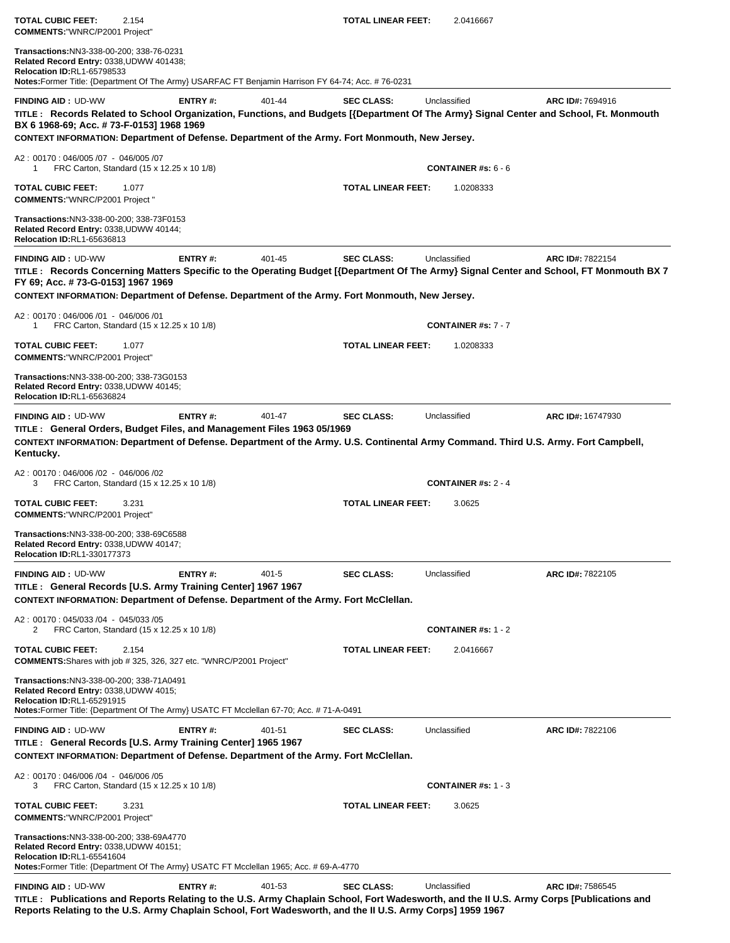| <b>TOTAL CUBIC FEET:</b><br><b>COMMENTS: "WNRC/P2001 Project"</b>                                                          | 2.154                                                                                                                                                           |           | <b>TOTAL LINEAR FEET:</b> | 2.0416667                                                                                                                                          |                                                                                                                                                             |
|----------------------------------------------------------------------------------------------------------------------------|-----------------------------------------------------------------------------------------------------------------------------------------------------------------|-----------|---------------------------|----------------------------------------------------------------------------------------------------------------------------------------------------|-------------------------------------------------------------------------------------------------------------------------------------------------------------|
| Transactions:NN3-338-00-200; 338-76-0231<br>Related Record Entry: 0338, UDWW 401438;<br><b>Relocation ID:RL1-65798533</b>  | Notes: Former Title: {Department Of The Army} USARFAC FT Benjamin Harrison FY 64-74; Acc. # 76-0231                                                             |           |                           |                                                                                                                                                    |                                                                                                                                                             |
| <b>FINDING AID: UD-WW</b><br>BX 6 1968-69; Acc. # 73-F-0153] 1968 1969                                                     | ENTRY#:                                                                                                                                                         | 401-44    | <b>SEC CLASS:</b>         | Unclassified                                                                                                                                       | ARC ID#: 7694916<br>TITLE: Records Related to School Organization, Functions, and Budgets [{Department Of The Army} Signal Center and School, Ft. Monmouth  |
|                                                                                                                            | CONTEXT INFORMATION: Department of Defense. Department of the Army. Fort Monmouth, New Jersey.                                                                  |           |                           |                                                                                                                                                    |                                                                                                                                                             |
| A2: 00170: 046/005 /07 - 046/005 /07<br>1                                                                                  | FRC Carton, Standard (15 x 12.25 x 10 1/8)                                                                                                                      |           |                           | <b>CONTAINER #s: <math>6 - 6</math></b>                                                                                                            |                                                                                                                                                             |
| <b>TOTAL CUBIC FEET:</b><br><b>COMMENTS: "WNRC/P2001 Project"</b>                                                          | 1.077                                                                                                                                                           |           | <b>TOTAL LINEAR FEET:</b> | 1.0208333                                                                                                                                          |                                                                                                                                                             |
| Transactions: NN3-338-00-200; 338-73F0153<br>Related Record Entry: 0338, UDWW 40144;<br><b>Relocation ID:RL1-65636813</b>  |                                                                                                                                                                 |           |                           |                                                                                                                                                    |                                                                                                                                                             |
| <b>FINDING AID: UD-WW</b><br>FY 69; Acc. # 73-G-0153] 1967 1969                                                            | ENTRY#:                                                                                                                                                         | 401-45    | <b>SEC CLASS:</b>         | Unclassified                                                                                                                                       | ARC ID#: 7822154<br>TITLE: Records Concerning Matters Specific to the Operating Budget [{Department Of The Army} Signal Center and School, FT Monmouth BX 7 |
|                                                                                                                            | CONTEXT INFORMATION: Department of Defense. Department of the Army. Fort Monmouth, New Jersey.                                                                  |           |                           |                                                                                                                                                    |                                                                                                                                                             |
| A2: 00170: 046/006 /01 - 046/006 /01<br>1                                                                                  | FRC Carton, Standard (15 x 12.25 x 10 1/8)                                                                                                                      |           |                           | <b>CONTAINER #s: 7 - 7</b>                                                                                                                         |                                                                                                                                                             |
| TOTAL CUBIC FEET:<br><b>COMMENTS: "WNRC/P2001 Project"</b>                                                                 | 1.077                                                                                                                                                           |           | <b>TOTAL LINEAR FEET:</b> | 1.0208333                                                                                                                                          |                                                                                                                                                             |
| Transactions:NN3-338-00-200; 338-73G0153<br>Related Record Entry: 0338, UDWW 40145;<br><b>Relocation ID:RL1-65636824</b>   |                                                                                                                                                                 |           |                           |                                                                                                                                                    |                                                                                                                                                             |
| <b>FINDING AID: UD-WW</b><br>Kentucky.                                                                                     | ENTRY#:<br>TITLE: General Orders, Budget Files, and Management Files 1963 05/1969                                                                               | 401-47    | <b>SEC CLASS:</b>         | Unclassified<br>CONTEXT INFORMATION: Department of Defense. Department of the Army. U.S. Continental Army Command. Third U.S. Army. Fort Campbell, | ARC ID#: 16747930                                                                                                                                           |
| A2: 00170: 046/006 /02 - 046/006 /02<br>3                                                                                  | FRC Carton, Standard (15 x 12.25 x 10 1/8)                                                                                                                      |           |                           | <b>CONTAINER #s: 2 - 4</b>                                                                                                                         |                                                                                                                                                             |
| TOTAL CUBIC FEET:<br><b>COMMENTS: "WNRC/P2001 Project"</b>                                                                 | 3.231                                                                                                                                                           |           | <b>TOTAL LINEAR FEET:</b> | 3.0625                                                                                                                                             |                                                                                                                                                             |
| <b>Transactions:</b> NN3-338-00-200; 338-69C6588<br>Related Record Entry: 0338, UDWW 40147;<br>Relocation ID:RL1-330177373 |                                                                                                                                                                 |           |                           |                                                                                                                                                    |                                                                                                                                                             |
| <b>FINDING AID: UD-WW</b>                                                                                                  | ENTRY#:<br>TITLE: General Records [U.S. Army Training Center] 1967 1967<br>CONTEXT INFORMATION: Department of Defense. Department of the Army. Fort McClellan.  | $401 - 5$ | <b>SEC CLASS:</b>         | Unclassified                                                                                                                                       | ARC ID#: 7822105                                                                                                                                            |
| A2: 00170: 045/033 /04 - 045/033 /05                                                                                       |                                                                                                                                                                 |           |                           |                                                                                                                                                    |                                                                                                                                                             |
| 2                                                                                                                          | FRC Carton, Standard (15 x 12.25 x 10 1/8)                                                                                                                      |           |                           | <b>CONTAINER</b> #s: $1 - 2$                                                                                                                       |                                                                                                                                                             |
| TOTAL CUBIC FEET:                                                                                                          | 2.154<br>COMMENTS: Shares with job # 325, 326, 327 etc. "WNRC/P2001 Project"                                                                                    |           | <b>TOTAL LINEAR FEET:</b> | 2.0416667                                                                                                                                          |                                                                                                                                                             |
| Transactions: NN3-338-00-200; 338-71A0491<br>Related Record Entry: 0338, UDWW 4015;<br><b>Relocation ID:RL1-65291915</b>   | Notes:Former Title: {Department Of The Army} USATC FT Mcclellan 67-70; Acc. # 71-A-0491                                                                         |           |                           |                                                                                                                                                    |                                                                                                                                                             |
| <b>FINDING AID: UD-WW</b>                                                                                                  | ENTRY#:<br>TITLE : General Records [U.S. Army Training Center] 1965 1967<br>CONTEXT INFORMATION: Department of Defense. Department of the Army. Fort McClellan. | 401-51    | <b>SEC CLASS:</b>         | Unclassified                                                                                                                                       | ARC ID#: 7822106                                                                                                                                            |
| A2: 00170: 046/006 /04 - 046/006 /05<br>3                                                                                  | FRC Carton, Standard (15 x 12.25 x 10 1/8)                                                                                                                      |           |                           | <b>CONTAINER #s: 1 - 3</b>                                                                                                                         |                                                                                                                                                             |
| <b>TOTAL CUBIC FEET:</b><br><b>COMMENTS: "WNRC/P2001 Project"</b>                                                          | 3.231                                                                                                                                                           |           | <b>TOTAL LINEAR FEET:</b> | 3.0625                                                                                                                                             |                                                                                                                                                             |
| Transactions: NN3-338-00-200; 338-69A4770<br>Related Record Entry: 0338, UDWW 40151;<br>Relocation ID:RL1-65541604         | Notes: Former Title: {Department Of The Army} USATC FT Mcclellan 1965; Acc. # 69-A-4770                                                                         |           |                           |                                                                                                                                                    |                                                                                                                                                             |
| <b>FINDING AID: UD-WW</b>                                                                                                  | ENTRY#:                                                                                                                                                         | 401-53    | <b>SEC CLASS:</b>         | Unclassified                                                                                                                                       | ARC ID#: 7586545                                                                                                                                            |
|                                                                                                                            | Reports Relating to the U.S. Army Chaplain School, Fort Wadesworth, and the II U.S. Army Corps] 1959 1967                                                       |           |                           |                                                                                                                                                    | TITLE: Publications and Reports Relating to the U.S. Army Chaplain School, Fort Wadesworth, and the II U.S. Army Corps [Publications and                    |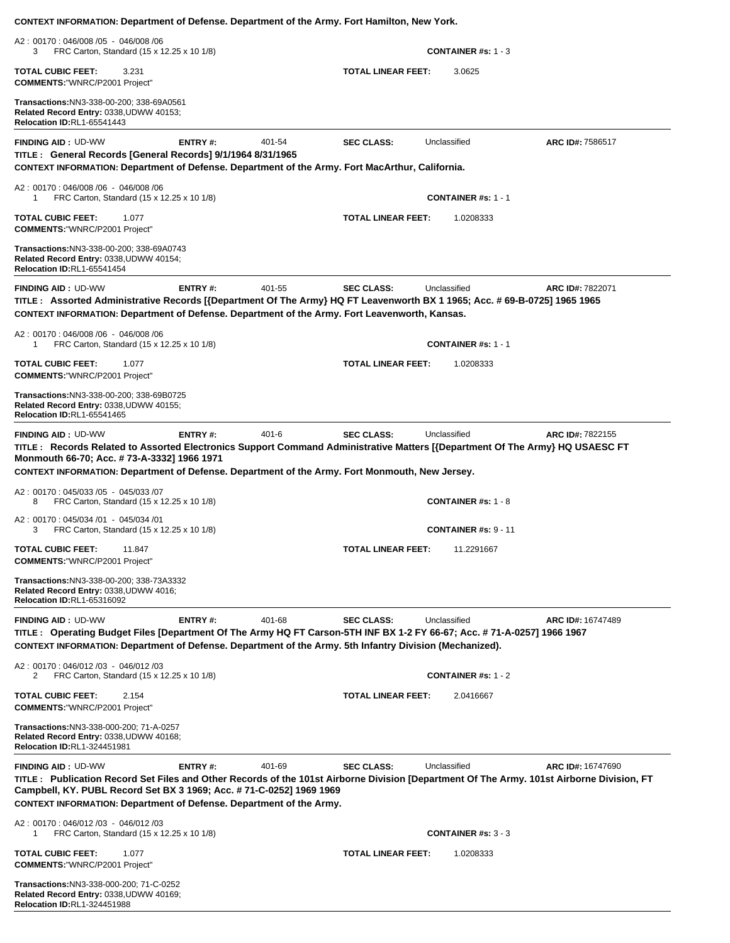| CONTEXT INFORMATION: Department of Defense. Department of the Army. Fort Hamilton, New York.                                                                                                                                                                                                                                 |                |           |                           |                             |                          |
|------------------------------------------------------------------------------------------------------------------------------------------------------------------------------------------------------------------------------------------------------------------------------------------------------------------------------|----------------|-----------|---------------------------|-----------------------------|--------------------------|
| A2: 00170: 046/008 /05 - 046/008 /06<br>FRC Carton, Standard (15 x 12.25 x 10 1/8)<br>3                                                                                                                                                                                                                                      |                |           |                           | <b>CONTAINER #s: 1 - 3</b>  |                          |
| 3.231<br><b>TOTAL CUBIC FEET:</b><br><b>COMMENTS: "WNRC/P2001 Project"</b>                                                                                                                                                                                                                                                   |                |           | <b>TOTAL LINEAR FEET:</b> | 3.0625                      |                          |
| Transactions: NN3-338-00-200; 338-69A0561<br>Related Record Entry: 0338, UDWW 40153;<br><b>Relocation ID:RL1-65541443</b>                                                                                                                                                                                                    |                |           |                           |                             |                          |
| <b>FINDING AID: UD-WW</b><br>TITLE : General Records [General Records] 9/1/1964 8/31/1965<br>CONTEXT INFORMATION: Department of Defense. Department of the Army. Fort MacArthur, California.                                                                                                                                 | <b>ENTRY#:</b> | 401-54    | <b>SEC CLASS:</b>         | Unclassified                | ARC ID#: 7586517         |
| A2: 00170: 046/008 /06 - 046/008 /06<br>FRC Carton, Standard (15 x 12.25 x 10 1/8)<br>1                                                                                                                                                                                                                                      |                |           |                           | <b>CONTAINER #s: 1 - 1</b>  |                          |
| <b>TOTAL CUBIC FEET:</b><br>1.077<br><b>COMMENTS: "WNRC/P2001 Project"</b>                                                                                                                                                                                                                                                   |                |           | <b>TOTAL LINEAR FEET:</b> | 1.0208333                   |                          |
| Transactions: NN3-338-00-200; 338-69A0743<br>Related Record Entry: 0338, UDWW 40154;<br><b>Relocation ID:RL1-65541454</b>                                                                                                                                                                                                    |                |           |                           |                             |                          |
| <b>FINDING AID: UD-WW</b><br>TITLE: Assorted Administrative Records [{Department Of The Army} HQ FT Leavenworth BX 1 1965; Acc. # 69-B-0725] 1965 1965<br>CONTEXT INFORMATION: Department of Defense. Department of the Army. Fort Leavenworth, Kansas.                                                                      | <b>ENTRY#:</b> | 401-55    | <b>SEC CLASS:</b>         | Unclassified                | ARC ID#: 7822071         |
| A2: 00170: 046/008 /06 - 046/008 /06<br>FRC Carton, Standard (15 x 12.25 x 10 1/8)<br>1                                                                                                                                                                                                                                      |                |           |                           | <b>CONTAINER #s: 1 - 1</b>  |                          |
| <b>TOTAL CUBIC FEET:</b><br>1.077<br><b>COMMENTS: "WNRC/P2001 Project"</b>                                                                                                                                                                                                                                                   |                |           | <b>TOTAL LINEAR FEET:</b> | 1.0208333                   |                          |
| Transactions: NN3-338-00-200; 338-69B0725<br>Related Record Entry: 0338, UDWW 40155;<br><b>Relocation ID:RL1-65541465</b>                                                                                                                                                                                                    |                |           |                           |                             |                          |
| <b>FINDING AID: UD-WW</b><br>TITLE: Records Related to Assorted Electronics Support Command Administrative Matters [{Department Of The Army} HQ USAESC FT<br>Monmouth 66-70; Acc. # 73-A-3332] 1966 1971                                                                                                                     | ENTRY#:        | $401 - 6$ | <b>SEC CLASS:</b>         | Unclassified                | ARC ID#: 7822155         |
| CONTEXT INFORMATION: Department of Defense. Department of the Army. Fort Monmouth, New Jersey.                                                                                                                                                                                                                               |                |           |                           |                             |                          |
| A2: 00170: 045/033 /05 - 045/033 /07<br>FRC Carton, Standard (15 x 12.25 x 10 1/8)<br>8                                                                                                                                                                                                                                      |                |           |                           | <b>CONTAINER #s: 1 - 8</b>  |                          |
| A2: 00170: 045/034 /01 - 045/034 /01<br>FRC Carton, Standard (15 x 12.25 x 10 1/8)<br>З                                                                                                                                                                                                                                      |                |           |                           | <b>CONTAINER #s: 9 - 11</b> |                          |
| <b>TOTAL CUBIC FEET:</b><br>11.847<br><b>COMMENTS:"WNRC/P2001 Project"</b>                                                                                                                                                                                                                                                   |                |           | TOTAL LINEAR FEET:        | 11.2291667                  |                          |
| Transactions: NN3-338-00-200; 338-73A3332<br>Related Record Entry: 0338, UDWW 4016;<br><b>Relocation ID:RL1-65316092</b>                                                                                                                                                                                                     |                |           |                           |                             |                          |
| <b>FINDING AID: UD-WW</b><br>TITLE: Operating Budget Files [Department Of The Army HQ FT Carson-5TH INF BX 1-2 FY 66-67; Acc. # 71-A-0257] 1966 1967<br>CONTEXT INFORMATION: Department of Defense. Department of the Army. 5th Infantry Division (Mechanized).                                                              | ENTRY#:        | 401-68    | <b>SEC CLASS:</b>         | Unclassified                | <b>ARC ID#: 16747489</b> |
| A2: 00170: 046/012 /03 - 046/012 /03<br>2<br>FRC Carton, Standard (15 x 12.25 x 10 1/8)                                                                                                                                                                                                                                      |                |           |                           | <b>CONTAINER #s: 1 - 2</b>  |                          |
| <b>TOTAL CUBIC FEET:</b><br>2.154<br><b>COMMENTS: "WNRC/P2001 Project"</b>                                                                                                                                                                                                                                                   |                |           | <b>TOTAL LINEAR FEET:</b> | 2.0416667                   |                          |
| Transactions: NN3-338-000-200; 71-A-0257<br>Related Record Entry: 0338, UDWW 40168;<br><b>Relocation ID:RL1-324451981</b>                                                                                                                                                                                                    |                |           |                           |                             |                          |
| <b>FINDING AID: UD-WW</b><br>TITLE: Publication Record Set Files and Other Records of the 101st Airborne Division [Department Of The Army. 101st Airborne Division, FT<br>Campbell, KY. PUBL Record Set BX 3 1969; Acc. # 71-C-0252] 1969 1969<br><b>CONTEXT INFORMATION: Department of Defense. Department of the Army.</b> | <b>ENTRY#:</b> | 401-69    | <b>SEC CLASS:</b>         | Unclassified                | ARC ID#: 16747690        |
| A2: 00170: 046/012 /03 - 046/012 /03<br>FRC Carton, Standard (15 x 12.25 x 10 1/8)<br>1                                                                                                                                                                                                                                      |                |           |                           | <b>CONTAINER #s: 3 - 3</b>  |                          |
| <b>TOTAL CUBIC FEET:</b><br>1.077<br><b>COMMENTS: "WNRC/P2001 Project"</b>                                                                                                                                                                                                                                                   |                |           | <b>TOTAL LINEAR FEET:</b> | 1.0208333                   |                          |
| Transactions:NN3-338-000-200; 71-C-0252<br>Related Record Entry: 0338, UDWW 40169;<br><b>Relocation ID:RL1-324451988</b>                                                                                                                                                                                                     |                |           |                           |                             |                          |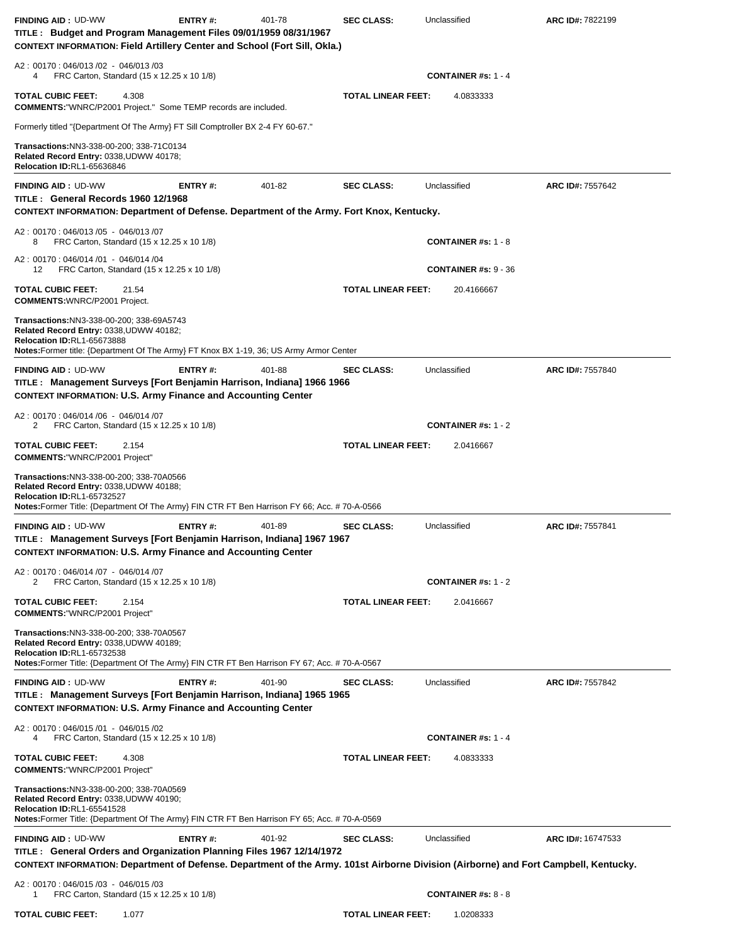| <b>FINDING AID: UD-WW</b><br>TITLE: Budget and Program Management Files 09/01/1959 08/31/1967<br><b>CONTEXT INFORMATION: Field Artillery Center and School (Fort Sill, Okla.)</b>                                          | <b>ENTRY#:</b> | 401-78 | <b>SEC CLASS:</b>         | Unclassified                | ARC ID#: 7822199  |
|----------------------------------------------------------------------------------------------------------------------------------------------------------------------------------------------------------------------------|----------------|--------|---------------------------|-----------------------------|-------------------|
| A2: 00170: 046/013 /02 - 046/013 /03<br>FRC Carton, Standard (15 x 12.25 x 10 1/8)<br>4                                                                                                                                    |                |        |                           | <b>CONTAINER #s: 1 - 4</b>  |                   |
| 4.308<br><b>TOTAL CUBIC FEET:</b><br><b>COMMENTS:</b> "WNRC/P2001 Project." Some TEMP records are included.                                                                                                                |                |        | <b>TOTAL LINEAR FEET:</b> | 4.0833333                   |                   |
| Formerly titled "{Department Of The Army} FT Sill Comptroller BX 2-4 FY 60-67."                                                                                                                                            |                |        |                           |                             |                   |
| Transactions: NN3-338-00-200; 338-71C0134<br>Related Record Entry: 0338, UDWW 40178;<br>Relocation ID:RL1-65636846                                                                                                         |                |        |                           |                             |                   |
| <b>FINDING AID: UD-WW</b><br>TITLE: General Records 1960 12/1968<br>CONTEXT INFORMATION: Department of Defense. Department of the Army. Fort Knox, Kentucky.                                                               | <b>ENTRY#:</b> | 401-82 | <b>SEC CLASS:</b>         | Unclassified                | ARC ID#: 7557642  |
| A2: 00170: 046/013 /05 - 046/013 /07<br>FRC Carton, Standard (15 x 12.25 x 10 1/8)<br>8                                                                                                                                    |                |        |                           | <b>CONTAINER #s: 1 - 8</b>  |                   |
| A2: 00170: 046/014 /01 - 046/014 /04<br>FRC Carton, Standard (15 x 12.25 x 10 1/8)<br>12                                                                                                                                   |                |        |                           | <b>CONTAINER #s: 9 - 36</b> |                   |
| <b>TOTAL CUBIC FEET:</b><br>21.54<br><b>COMMENTS: WNRC/P2001 Project.</b>                                                                                                                                                  |                |        | <b>TOTAL LINEAR FEET:</b> | 20.4166667                  |                   |
| Transactions:NN3-338-00-200; 338-69A5743<br>Related Record Entry: 0338, UDWW 40182;<br><b>Relocation ID:RL1-65673888</b><br>Notes: Former title: {Department Of The Army} FT Knox BX 1-19, 36; US Army Armor Center        |                |        |                           |                             |                   |
| <b>FINDING AID: UD-WW</b><br>TITLE: Management Surveys [Fort Benjamin Harrison, Indiana] 1966 1966<br><b>CONTEXT INFORMATION: U.S. Army Finance and Accounting Center</b>                                                  | <b>ENTRY#:</b> | 401-88 | <b>SEC CLASS:</b>         | Unclassified                | ARC ID#: 7557840  |
| A2: 00170: 046/014 /06 - 046/014 /07<br>FRC Carton, Standard (15 x 12.25 x 10 1/8)<br>2                                                                                                                                    |                |        |                           | <b>CONTAINER #s: 1 - 2</b>  |                   |
| <b>TOTAL CUBIC FEET:</b><br>2.154<br><b>COMMENTS: "WNRC/P2001 Project"</b>                                                                                                                                                 |                |        | <b>TOTAL LINEAR FEET:</b> | 2.0416667                   |                   |
| Transactions: NN3-338-00-200; 338-70A0566<br>Related Record Entry: 0338, UDWW 40188;<br><b>Relocation ID:RL1-65732527</b><br>Notes: Former Title: {Department Of The Army} FIN CTR FT Ben Harrison FY 66; Acc. # 70-A-0566 |                |        |                           |                             |                   |
| <b>FINDING AID: UD-WW</b><br>TITLE: Management Surveys [Fort Benjamin Harrison, Indiana] 1967 1967<br><b>CONTEXT INFORMATION: U.S. Army Finance and Accounting Center</b>                                                  | <b>ENTRY#:</b> | 401-89 | <b>SEC CLASS:</b>         | Unclassified                | ARC ID#: 7557841  |
| A2: 00170: 046/014 /07 - 046/014 /07<br>FRC Carton, Standard (15 x 12.25 x 10 1/8)<br>2                                                                                                                                    |                |        |                           | CONTAINER #s: $1 - 2$       |                   |
| <b>TOTAL CUBIC FEET:</b><br>2.154<br><b>COMMENTS: "WNRC/P2001 Project"</b>                                                                                                                                                 |                |        | <b>TOTAL LINEAR FEET:</b> | 2.0416667                   |                   |
| Transactions: NN3-338-00-200; 338-70A0567<br>Related Record Entry: 0338,UDWW 40189;<br>Relocation ID:RL1-65732538<br>Notes:Former Title: {Department Of The Army} FIN CTR FT Ben Harrison FY 67; Acc. # 70-A-0567          |                |        |                           |                             |                   |
| <b>FINDING AID: UD-WW</b><br>TITLE: Management Surveys [Fort Benjamin Harrison, Indiana] 1965 1965<br><b>CONTEXT INFORMATION: U.S. Army Finance and Accounting Center</b>                                                  | ENTRY#:        | 401-90 | <b>SEC CLASS:</b>         | Unclassified                | ARC ID#: 7557842  |
| A2: 00170: 046/015 /01 - 046/015 /02<br>FRC Carton, Standard (15 x 12.25 x 10 1/8)<br>4                                                                                                                                    |                |        |                           | <b>CONTAINER #s: 1 - 4</b>  |                   |
| <b>TOTAL CUBIC FEET:</b><br>4.308<br><b>COMMENTS: "WNRC/P2001 Project"</b>                                                                                                                                                 |                |        | <b>TOTAL LINEAR FEET:</b> | 4.0833333                   |                   |
| Transactions: NN3-338-00-200; 338-70A0569<br>Related Record Entry: 0338, UDWW 40190;<br>Relocation ID:RL1-65541528<br>Notes: Former Title: {Department Of The Army} FIN CTR FT Ben Harrison FY 65; Acc. # 70-A-0569        |                |        |                           |                             |                   |
| <b>FINDING AID: UD-WW</b><br>TITLE: General Orders and Organization Planning Files 1967 12/14/1972                                                                                                                         | ENTRY#:        | 401-92 | <b>SEC CLASS:</b>         | Unclassified                | ARC ID#: 16747533 |
| CONTEXT INFORMATION: Department of Defense. Department of the Army. 101st Airborne Division (Airborne) and Fort Campbell, Kentucky.                                                                                        |                |        |                           |                             |                   |
| A2: 00170: 046/015 /03 - 046/015 /03<br>FRC Carton, Standard (15 x 12.25 x 10 1/8)<br>1                                                                                                                                    |                |        |                           | <b>CONTAINER #s: 8 - 8</b>  |                   |
| <b>TOTAL CUBIC FEET:</b><br>1.077                                                                                                                                                                                          |                |        | TOTAL LINEAR FEET:        | 1.0208333                   |                   |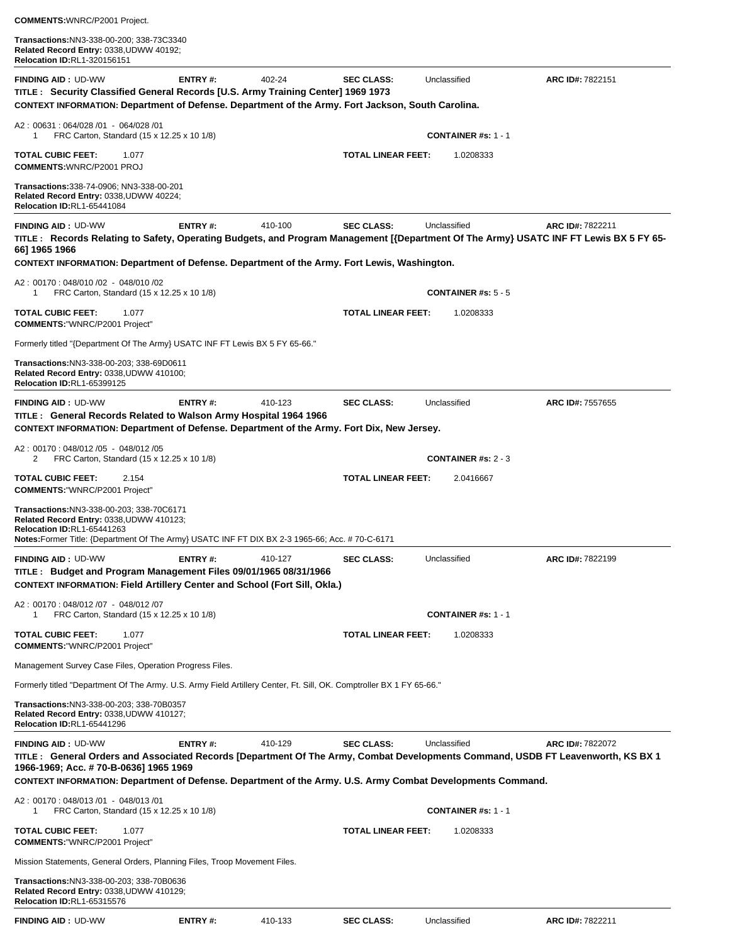| Transactions:NN3-338-00-200; 338-73C3340<br>Related Record Entry: 0338, UDWW 40192;<br><b>Relocation ID:RL1-320156151</b>                                                                                                                                                                                            |                |         |                           |                            |                  |
|----------------------------------------------------------------------------------------------------------------------------------------------------------------------------------------------------------------------------------------------------------------------------------------------------------------------|----------------|---------|---------------------------|----------------------------|------------------|
| <b>FINDING AID: UD-WW</b><br>TITLE : Security Classified General Records [U.S. Army Training Center] 1969 1973<br>CONTEXT INFORMATION: Department of Defense. Department of the Army. Fort Jackson, South Carolina.                                                                                                  | ENTRY#:        | 402-24  | <b>SEC CLASS:</b>         | Unclassified               | ARC ID#: 7822151 |
| A2: 00631: 064/028 /01 - 064/028 /01<br>FRC Carton, Standard (15 x 12.25 x 10 1/8)<br>1                                                                                                                                                                                                                              |                |         |                           | <b>CONTAINER #s: 1 - 1</b> |                  |
| <b>TOTAL CUBIC FEET:</b><br>1.077<br><b>COMMENTS: WNRC/P2001 PROJ</b>                                                                                                                                                                                                                                                |                |         | <b>TOTAL LINEAR FEET:</b> | 1.0208333                  |                  |
| Transactions: 338-74-0906; NN3-338-00-201<br>Related Record Entry: 0338, UDWW 40224;<br>Relocation ID:RL1-65441084                                                                                                                                                                                                   |                |         |                           |                            |                  |
| <b>FINDING AID: UD-WW</b><br>TITLE: Records Relating to Safety, Operating Budgets, and Program Management [{Department Of The Army} USATC INF FT Lewis BX 5 FY 65-<br>66] 1965 1966                                                                                                                                  | <b>ENTRY#:</b> | 410-100 | <b>SEC CLASS:</b>         | Unclassified               | ARC ID#: 7822211 |
| CONTEXT INFORMATION: Department of Defense. Department of the Army. Fort Lewis, Washington.                                                                                                                                                                                                                          |                |         |                           |                            |                  |
| A2: 00170: 048/010 /02 - 048/010 /02<br>FRC Carton, Standard (15 x 12.25 x 10 1/8)<br>1                                                                                                                                                                                                                              |                |         |                           | <b>CONTAINER #s: 5 - 5</b> |                  |
| <b>TOTAL CUBIC FEET:</b><br>1.077<br><b>COMMENTS: "WNRC/P2001 Project"</b>                                                                                                                                                                                                                                           |                |         | <b>TOTAL LINEAR FEET:</b> | 1.0208333                  |                  |
| Formerly titled "{Department Of The Army} USATC INF FT Lewis BX 5 FY 65-66."                                                                                                                                                                                                                                         |                |         |                           |                            |                  |
| Transactions: NN3-338-00-203; 338-69D0611<br>Related Record Entry: 0338, UDWW 410100;<br><b>Relocation ID:RL1-65399125</b>                                                                                                                                                                                           |                |         |                           |                            |                  |
| <b>FINDING AID: UD-WW</b><br>TITLE: General Records Related to Walson Army Hospital 1964 1966<br>CONTEXT INFORMATION: Department of Defense. Department of the Army. Fort Dix, New Jersey.                                                                                                                           | ENTRY#:        | 410-123 | <b>SEC CLASS:</b>         | Unclassified               | ARC ID#: 7557655 |
| A2: 00170: 048/012 /05 - 048/012 /05<br>FRC Carton, Standard (15 x 12.25 x 10 1/8)<br>2                                                                                                                                                                                                                              |                |         |                           | <b>CONTAINER #s: 2 - 3</b> |                  |
| <b>TOTAL CUBIC FEET:</b><br>2.154<br><b>COMMENTS: "WNRC/P2001 Project"</b>                                                                                                                                                                                                                                           |                |         | <b>TOTAL LINEAR FEET:</b> | 2.0416667                  |                  |
| Transactions:NN3-338-00-203; 338-70C6171<br>Related Record Entry: 0338, UDWW 410123;<br><b>Relocation ID:RL1-65441263</b><br>Notes: Former Title: {Department Of The Army} USATC INF FT DIX BX 2-3 1965-66; Acc. #70-C-6171                                                                                          |                |         |                           |                            |                  |
| <b>FINDING AID: UD-WW</b><br>TITLE: Budget and Program Management Files 09/01/1965 08/31/1966<br><b>CONTEXT INFORMATION: Field Artillery Center and School (Fort Sill, Okla.)</b>                                                                                                                                    | ENTRY#:        | 410-127 | <b>SEC CLASS:</b>         | Unclassified               | ARC ID#: 7822199 |
| A2: 00170: 048/012/07 - 048/012/07<br>FRC Carton, Standard (15 x 12.25 x 10 1/8)<br>1                                                                                                                                                                                                                                |                |         |                           | <b>CONTAINER #s: 1 - 1</b> |                  |
| 1.077<br><b>TOTAL CUBIC FEET:</b><br><b>COMMENTS:"WNRC/P2001 Project"</b>                                                                                                                                                                                                                                            |                |         | <b>TOTAL LINEAR FEET:</b> | 1.0208333                  |                  |
| Management Survey Case Files, Operation Progress Files.                                                                                                                                                                                                                                                              |                |         |                           |                            |                  |
| Formerly titled "Department Of The Army. U.S. Army Field Artillery Center, Ft. Sill, OK. Comptroller BX 1 FY 65-66."                                                                                                                                                                                                 |                |         |                           |                            |                  |
| Transactions:NN3-338-00-203; 338-70B0357<br>Related Record Entry: 0338, UDWW 410127;<br>Relocation ID:RL1-65441296                                                                                                                                                                                                   |                |         |                           |                            |                  |
| <b>FINDING AID: UD-WW</b><br>TITLE: General Orders and Associated Records [Department Of The Army, Combat Developments Command, USDB FT Leavenworth, KS BX 1<br>1966-1969; Acc. # 70-B-0636] 1965 1969<br>CONTEXT INFORMATION: Department of Defense. Department of the Army. U.S. Army Combat Developments Command. | <b>ENTRY#:</b> | 410-129 | <b>SEC CLASS:</b>         | Unclassified               | ARC ID#: 7822072 |
| A2: 00170: 048/013 /01 - 048/013 /01<br>FRC Carton, Standard (15 x 12.25 x 10 1/8)<br>1                                                                                                                                                                                                                              |                |         |                           | <b>CONTAINER #s: 1 - 1</b> |                  |
| TOTAL CUBIC FEET:<br>1.077<br><b>COMMENTS:"WNRC/P2001 Project"</b>                                                                                                                                                                                                                                                   |                |         | <b>TOTAL LINEAR FEET:</b> | 1.0208333                  |                  |
| Mission Statements, General Orders, Planning Files, Troop Movement Files.                                                                                                                                                                                                                                            |                |         |                           |                            |                  |
| Transactions:NN3-338-00-203; 338-70B0636<br>Related Record Entry: 0338, UDWW 410129;<br>Relocation ID:RL1-65315576                                                                                                                                                                                                   |                |         |                           |                            |                  |

**FINDING AID :** UD-WW **ENTRY #:** 410-133 **SEC CLASS:** Unclassified **ARC ID#:** 7822211

**COMMENTS:**WNRC/P2001 Project.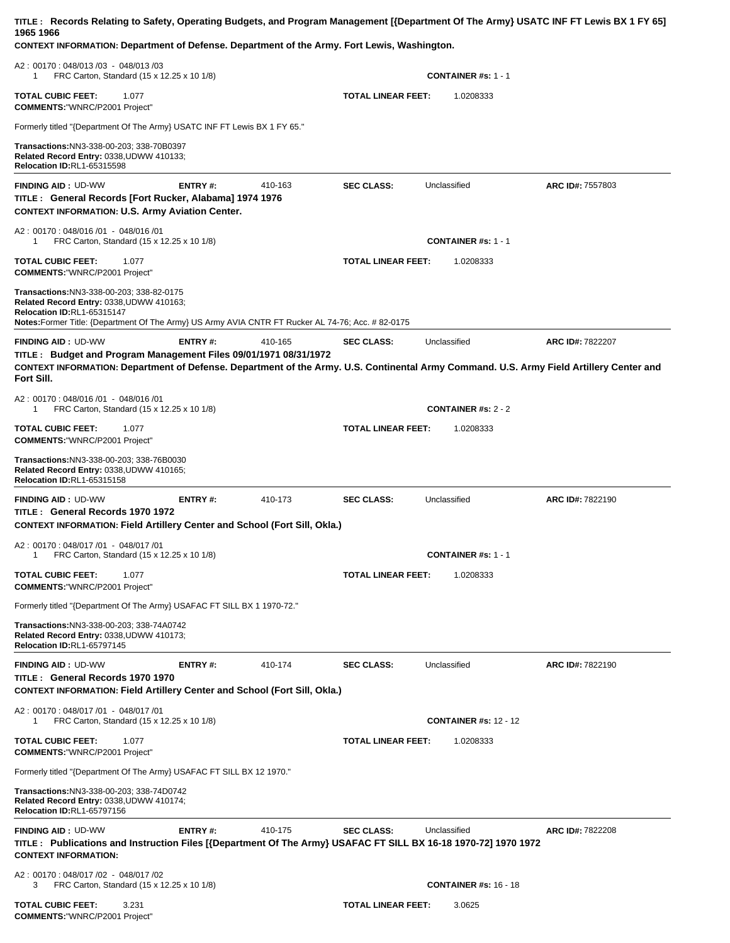| TITLE: Records Relating to Safety, Operating Budgets, and Program Management [{Department Of The Army} USATC INF FT Lewis BX 1 FY 65]<br>1965 1966<br>CONTEXT INFORMATION: Department of Defense. Department of the Army. Fort Lewis, Washington.      |                |         |                           |                              |                  |
|--------------------------------------------------------------------------------------------------------------------------------------------------------------------------------------------------------------------------------------------------------|----------------|---------|---------------------------|------------------------------|------------------|
| A2: 00170: 048/013 /03 - 048/013 /03<br>FRC Carton, Standard (15 x 12.25 x 10 1/8)<br>1                                                                                                                                                                |                |         |                           | <b>CONTAINER #s: 1 - 1</b>   |                  |
| <b>TOTAL CUBIC FEET:</b><br>1.077<br><b>COMMENTS:"WNRC/P2001 Project"</b>                                                                                                                                                                              |                |         | <b>TOTAL LINEAR FEET:</b> | 1.0208333                    |                  |
| Formerly titled "{Department Of The Army} USATC INF FT Lewis BX 1 FY 65."                                                                                                                                                                              |                |         |                           |                              |                  |
| Transactions:NN3-338-00-203; 338-70B0397<br>Related Record Entry: 0338, UDWW 410133;<br>Relocation ID:RL1-65315598                                                                                                                                     |                |         |                           |                              |                  |
| <b>FINDING AID: UD-WW</b><br>TITLE: General Records [Fort Rucker, Alabama] 1974 1976<br><b>CONTEXT INFORMATION: U.S. Army Aviation Center.</b>                                                                                                         | ENTRY#:        | 410-163 | <b>SEC CLASS:</b>         | Unclassified                 | ARC ID#: 7557803 |
| A2: 00170: 048/016 /01 - 048/016 /01<br>FRC Carton, Standard (15 x 12.25 x 10 1/8)<br>1                                                                                                                                                                |                |         |                           | <b>CONTAINER #s: 1 - 1</b>   |                  |
| <b>TOTAL CUBIC FEET:</b><br>1.077<br><b>COMMENTS: "WNRC/P2001 Project"</b>                                                                                                                                                                             |                |         | <b>TOTAL LINEAR FEET:</b> | 1.0208333                    |                  |
| Transactions:NN3-338-00-203; 338-82-0175<br>Related Record Entry: 0338, UDWW 410163;<br>Relocation ID:RL1-65315147<br>Notes: Former Title: {Department Of The Army} US Army AVIA CNTR FT Rucker AL 74-76; Acc. # 82-0175                               |                |         |                           |                              |                  |
| <b>FINDING AID: UD-WW</b><br>TITLE: Budget and Program Management Files 09/01/1971 08/31/1972<br>CONTEXT INFORMATION: Department of Defense. Department of the Army. U.S. Continental Army Command. U.S. Army Field Artillery Center and<br>Fort Sill. | <b>ENTRY#:</b> | 410-165 | <b>SEC CLASS:</b>         | Unclassified                 | ARC ID#: 7822207 |
| A2: 00170: 048/016 /01 - 048/016 /01<br>FRC Carton, Standard (15 x 12.25 x 10 1/8)<br>1                                                                                                                                                                |                |         |                           | <b>CONTAINER #s: 2 - 2</b>   |                  |
| <b>TOTAL CUBIC FEET:</b><br>1.077<br><b>COMMENTS: "WNRC/P2001 Project"</b>                                                                                                                                                                             |                |         | <b>TOTAL LINEAR FEET:</b> | 1.0208333                    |                  |
| Transactions:NN3-338-00-203; 338-76B0030<br>Related Record Entry: 0338, UDWW 410165;<br><b>Relocation ID:RL1-65315158</b>                                                                                                                              |                |         |                           |                              |                  |
| <b>FINDING AID: UD-WW</b><br>TITLE: General Records 1970 1972<br><b>CONTEXT INFORMATION: Field Artillery Center and School (Fort Sill, Okla.)</b>                                                                                                      | <b>ENTRY#:</b> | 410-173 | <b>SEC CLASS:</b>         | Unclassified                 | ARC ID#: 7822190 |
| A2: 00170: 048/017 /01 - 048/017 /01<br>FRC Carton, Standard (15 x 12.25 x 10 1/8)<br>1                                                                                                                                                                |                |         |                           | <b>CONTAINER #s: 1 - 1</b>   |                  |
| <b>TOTAL CUBIC FEET:</b><br>1.077<br><b>COMMENTS: "WNRC/P2001 Project"</b>                                                                                                                                                                             |                |         | <b>TOTAL LINEAR FEET:</b> | 1.0208333                    |                  |
| Formerly titled "{Department Of The Army} USAFAC FT SILL BX 1 1970-72."                                                                                                                                                                                |                |         |                           |                              |                  |
| Transactions:NN3-338-00-203; 338-74A0742<br>Related Record Entry: 0338, UDWW 410173;<br><b>Relocation ID:RL1-65797145</b>                                                                                                                              |                |         |                           |                              |                  |
| <b>FINDING AID: UD-WW</b><br>TITLE: General Records 1970 1970<br><b>CONTEXT INFORMATION: Field Artillery Center and School (Fort Sill, Okla.)</b>                                                                                                      | <b>ENTRY#:</b> | 410-174 | <b>SEC CLASS:</b>         | Unclassified                 | ARC ID#: 7822190 |
| A2: 00170: 048/017 /01 - 048/017 /01<br>FRC Carton, Standard (15 x 12.25 x 10 1/8)<br>1                                                                                                                                                                |                |         |                           | <b>CONTAINER #s: 12 - 12</b> |                  |
| <b>TOTAL CUBIC FEET:</b><br>1.077<br><b>COMMENTS: "WNRC/P2001 Project"</b>                                                                                                                                                                             |                |         | <b>TOTAL LINEAR FEET:</b> | 1.0208333                    |                  |
| Formerly titled "{Department Of The Army} USAFAC FT SILL BX 12 1970."                                                                                                                                                                                  |                |         |                           |                              |                  |
| Transactions: NN3-338-00-203; 338-74D0742<br>Related Record Entry: 0338, UDWW 410174;<br>Relocation ID:RL1-65797156                                                                                                                                    |                |         |                           |                              |                  |
| <b>FINDING AID: UD-WW</b><br>TITLE: Publications and Instruction Files [{Department Of The Army} USAFAC FT SILL BX 16-18 1970-72] 1970 1972<br><b>CONTEXT INFORMATION:</b>                                                                             | ENTRY#:        | 410-175 | <b>SEC CLASS:</b>         | Unclassified                 | ARC ID#: 7822208 |
| A2: 00170: 048/017 /02 - 048/017 /02<br>3<br>FRC Carton, Standard (15 x 12.25 x 10 1/8)                                                                                                                                                                |                |         |                           | <b>CONTAINER #s: 16 - 18</b> |                  |
| <b>TOTAL CUBIC FEET:</b><br>3.231                                                                                                                                                                                                                      |                |         | <b>TOTAL LINEAR FEET:</b> | 3.0625                       |                  |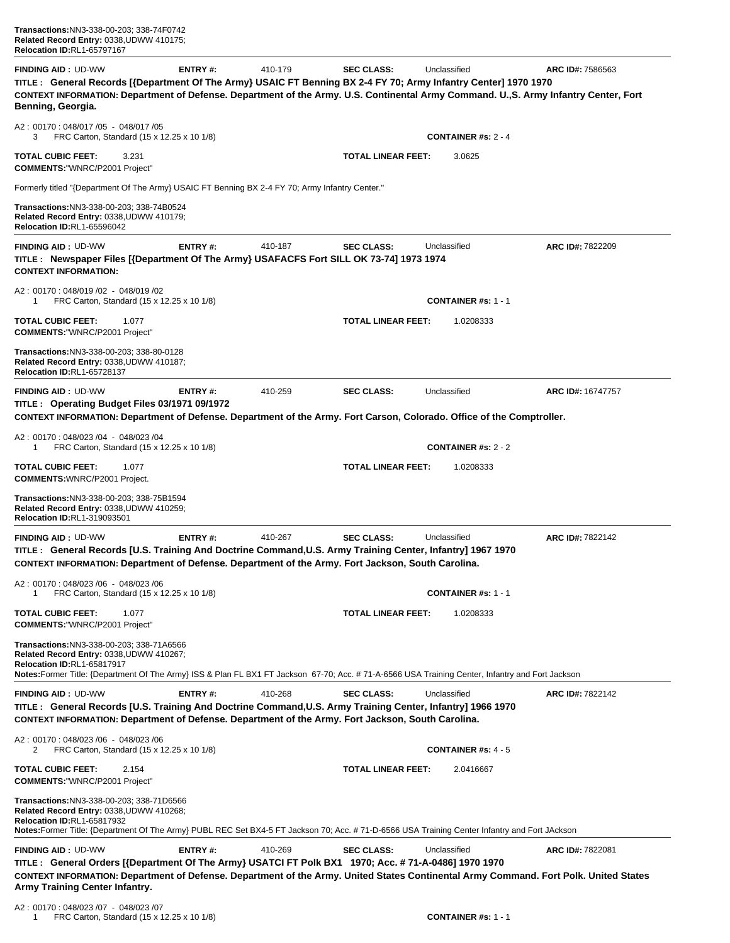| <b>FINDING AID: UD-WW</b><br>TITLE: General Records [{Department Of The Army} USAIC FT Benning BX 2-4 FY 70; Army Infantry Center] 1970 1970<br>CONTEXT INFORMATION: Department of Defense. Department of the Army. U.S. Continental Army Command. U.,S. Army Infantry Center, Fort<br>Benning, Georgia. | <b>ENTRY#:</b> | 410-179 | <b>SEC CLASS:</b>         | Unclassified               | ARC ID#: 7586563        |
|----------------------------------------------------------------------------------------------------------------------------------------------------------------------------------------------------------------------------------------------------------------------------------------------------------|----------------|---------|---------------------------|----------------------------|-------------------------|
| A2: 00170: 048/017 /05 - 048/017 /05<br>FRC Carton, Standard (15 x 12.25 x 10 1/8)<br>3.                                                                                                                                                                                                                 |                |         |                           | <b>CONTAINER #s: 2 - 4</b> |                         |
| <b>TOTAL CUBIC FEET:</b><br>3.231<br><b>COMMENTS:"WNRC/P2001 Project"</b>                                                                                                                                                                                                                                |                |         | <b>TOTAL LINEAR FEET:</b> | 3.0625                     |                         |
| Formerly titled "{Department Of The Army} USAIC FT Benning BX 2-4 FY 70; Army Infantry Center."                                                                                                                                                                                                          |                |         |                           |                            |                         |
| Transactions:NN3-338-00-203; 338-74B0524<br>Related Record Entry: 0338,UDWW 410179;<br>Relocation ID:RL1-65596042                                                                                                                                                                                        |                |         |                           |                            |                         |
| <b>FINDING AID: UD-WW</b><br>TITLE: Newspaper Files [{Department Of The Army} USAFACFS Fort SILL OK 73-74] 1973 1974<br><b>CONTEXT INFORMATION:</b>                                                                                                                                                      | <b>ENTRY#:</b> | 410-187 | <b>SEC CLASS:</b>         | Unclassified               | ARC ID#: 7822209        |
| A2: 00170: 048/019 /02 - 048/019 /02<br>FRC Carton, Standard (15 x 12.25 x 10 1/8)<br>1                                                                                                                                                                                                                  |                |         |                           | CONTAINER #s: $1 - 1$      |                         |
| <b>TOTAL CUBIC FEET:</b><br>1.077<br><b>COMMENTS: "WNRC/P2001 Project"</b>                                                                                                                                                                                                                               |                |         | <b>TOTAL LINEAR FEET:</b> | 1.0208333                  |                         |
| Transactions:NN3-338-00-203; 338-80-0128<br>Related Record Entry: 0338,UDWW 410187;<br>Relocation ID:RL1-65728137                                                                                                                                                                                        |                |         |                           |                            |                         |
| <b>FINDING AID: UD-WW</b>                                                                                                                                                                                                                                                                                | <b>ENTRY#:</b> | 410-259 | <b>SEC CLASS:</b>         | Unclassified               | ARC ID#: 16747757       |
| TITLE: Operating Budget Files 03/1971 09/1972<br>CONTEXT INFORMATION: Department of Defense. Department of the Army. Fort Carson, Colorado. Office of the Comptroller.                                                                                                                                   |                |         |                           |                            |                         |
| A2: 00170: 048/023 /04 - 048/023 /04                                                                                                                                                                                                                                                                     |                |         |                           |                            |                         |
| FRC Carton, Standard (15 x 12.25 x 10 1/8)<br>1                                                                                                                                                                                                                                                          |                |         |                           | <b>CONTAINER #s: 2 - 2</b> |                         |
| <b>TOTAL CUBIC FEET:</b><br>1.077<br><b>COMMENTS: WNRC/P2001 Project.</b>                                                                                                                                                                                                                                |                |         | <b>TOTAL LINEAR FEET:</b> | 1.0208333                  |                         |
| Transactions: NN3-338-00-203; 338-75B1594<br>Related Record Entry: 0338,UDWW 410259;<br><b>Relocation ID:RL1-319093501</b>                                                                                                                                                                               |                |         |                           |                            |                         |
| <b>FINDING AID: UD-WW</b>                                                                                                                                                                                                                                                                                | ENTRY#:        | 410-267 | <b>SEC CLASS:</b>         | Unclassified               | ARC ID#: 7822142        |
| TITLE: General Records [U.S. Training And Doctrine Command, U.S. Army Training Center, Infantry] 1967 1970<br>CONTEXT INFORMATION: Department of Defense. Department of the Army. Fort Jackson, South Carolina.                                                                                          |                |         |                           |                            |                         |
| A2: 00170: 048/023 /06 - 048/023 /06<br>FRC Carton, Standard (15 x 12.25 x 10 1/8)                                                                                                                                                                                                                       |                |         |                           | <b>CONTAINER #s: 1 - 1</b> |                         |
| <b>TOTAL CUBIC FEET:</b><br>1.077<br><b>COMMENTS:"WNRC/P2001 Project"</b>                                                                                                                                                                                                                                |                |         | <b>TOTAL LINEAR FEET:</b> | 1.0208333                  |                         |
| Transactions: NN3-338-00-203; 338-71A6566<br>Related Record Entry: 0338, UDWW 410267;<br>Relocation ID:RL1-65817917                                                                                                                                                                                      |                |         |                           |                            |                         |
| Notes:Former Title: (Department Of The Army) ISS & Plan FL BX1 FT Jackson 67-70; Acc. #71-A-6566 USA Training Center, Infantry and Fort Jackson                                                                                                                                                          |                |         |                           |                            |                         |
| <b>FINDING AID: UD-WW</b><br>TITLE: General Records [U.S. Training And Doctrine Command, U.S. Army Training Center, Infantry] 1966 1970<br>CONTEXT INFORMATION: Department of Defense. Department of the Army. Fort Jackson, South Carolina.                                                             | <b>ENTRY#:</b> | 410-268 | <b>SEC CLASS:</b>         | Unclassified               | ARC ID#: 7822142        |
| A2: 00170: 048/023 /06 - 048/023 /06<br>2<br>FRC Carton, Standard (15 x 12.25 x 10 1/8)                                                                                                                                                                                                                  |                |         |                           | <b>CONTAINER #s: 4 - 5</b> |                         |
| <b>TOTAL CUBIC FEET:</b><br>2.154<br><b>COMMENTS: "WNRC/P2001 Project"</b>                                                                                                                                                                                                                               |                |         | <b>TOTAL LINEAR FEET:</b> | 2.0416667                  |                         |
| Transactions:NN3-338-00-203; 338-71D6566<br>Related Record Entry: 0338,UDWW 410268;<br>Relocation ID:RL1-65817932<br>Notes:Former Title: {Department Of The Army} PUBL REC Set BX4-5 FT Jackson 70; Acc. # 71-D-6566 USA Training Center Infantry and Fort JAckson                                       |                |         |                           |                            |                         |
| <b>FINDING AID: UD-WW</b>                                                                                                                                                                                                                                                                                | <b>ENTRY#:</b> | 410-269 | <b>SEC CLASS:</b>         | Unclassified               | <b>ARC ID#: 7822081</b> |
| TITLE : General Orders [{Department Of The Army} USATCI FT Polk BX1 1970; Acc. # 71-A-0486] 1970 1970<br>CONTEXT INFORMATION: Department of Defense. Department of the Army. United States Continental Army Command. Fort Polk. United States<br>Army Training Center Infantry.                          |                |         |                           |                            |                         |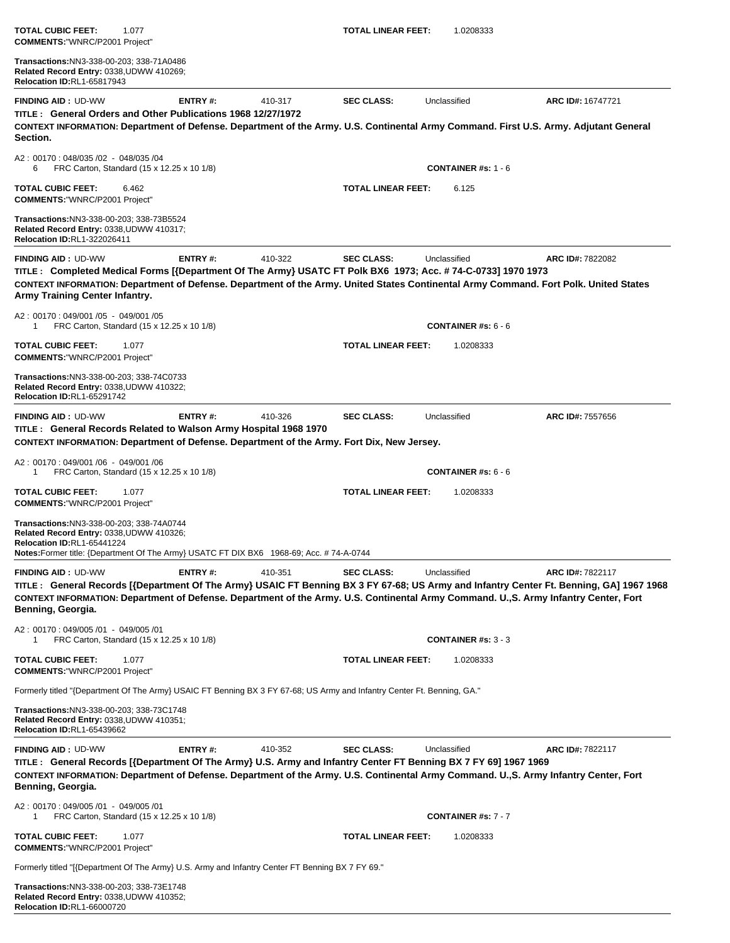| <b>COMMENTS: "WNRC/P2001 Project"</b>                                                                                                                                                                                                                                                                                            |         |         |                           |                            |                   |
|----------------------------------------------------------------------------------------------------------------------------------------------------------------------------------------------------------------------------------------------------------------------------------------------------------------------------------|---------|---------|---------------------------|----------------------------|-------------------|
| Transactions: NN3-338-00-203; 338-71A0486<br>Related Record Entry: 0338, UDWW 410269;<br><b>Relocation ID:RL1-65817943</b>                                                                                                                                                                                                       |         |         |                           |                            |                   |
| <b>FINDING AID: UD-WW</b><br>TITLE: General Orders and Other Publications 1968 12/27/1972<br>CONTEXT INFORMATION: Department of Defense. Department of the Army. U.S. Continental Army Command. First U.S. Army. Adjutant General<br>Section.                                                                                    | ENTRY#: | 410-317 | <b>SEC CLASS:</b>         | Unclassified               | ARC ID#: 16747721 |
| A2: 00170: 048/035 /02 - 048/035 /04<br>FRC Carton, Standard (15 x 12.25 x 10 1/8)<br>6                                                                                                                                                                                                                                          |         |         |                           | <b>CONTAINER #s: 1 - 6</b> |                   |
| <b>TOTAL CUBIC FEET:</b><br>6.462<br><b>COMMENTS: "WNRC/P2001 Project"</b>                                                                                                                                                                                                                                                       |         |         | <b>TOTAL LINEAR FEET:</b> | 6.125                      |                   |
| Transactions: NN3-338-00-203; 338-73B5524<br>Related Record Entry: 0338, UDWW 410317;<br><b>Relocation ID:RL1-322026411</b>                                                                                                                                                                                                      |         |         |                           |                            |                   |
| <b>FINDING AID: UD-WW</b><br>TITLE: Completed Medical Forms [{Department Of The Army} USATC FT Polk BX6 1973; Acc. # 74-C-0733] 1970 1973<br>CONTEXT INFORMATION: Department of Defense. Department of the Army. United States Continental Army Command. Fort Polk. United States<br>Army Training Center Infantry.              | ENTRY#: | 410-322 | <b>SEC CLASS:</b>         | Unclassified               | ARC ID#: 7822082  |
| A2: 00170: 049/001 /05 - 049/001 /05<br>FRC Carton, Standard (15 x 12.25 x 10 1/8)<br>1                                                                                                                                                                                                                                          |         |         |                           | <b>CONTAINER #s: 6 - 6</b> |                   |
| <b>TOTAL CUBIC FEET:</b><br>1.077<br><b>COMMENTS: "WNRC/P2001 Project"</b>                                                                                                                                                                                                                                                       |         |         | <b>TOTAL LINEAR FEET:</b> | 1.0208333                  |                   |
| Transactions: NN3-338-00-203; 338-74C0733<br>Related Record Entry: 0338, UDWW 410322;<br><b>Relocation ID:RL1-65291742</b>                                                                                                                                                                                                       |         |         |                           |                            |                   |
| <b>FINDING AID: UD-WW</b><br>TITLE : General Records Related to Walson Army Hospital 1968 1970<br>CONTEXT INFORMATION: Department of Defense. Department of the Army. Fort Dix, New Jersey.                                                                                                                                      | ENTRY#: | 410-326 | <b>SEC CLASS:</b>         | Unclassified               | ARC ID#: 7557656  |
| A2: 00170: 049/001 /06 - 049/001 /06<br>FRC Carton, Standard (15 x 12.25 x 10 1/8)<br>-1                                                                                                                                                                                                                                         |         |         |                           | <b>CONTAINER #s: 6 - 6</b> |                   |
| <b>TOTAL CUBIC FEET:</b><br>1.077<br><b>COMMENTS: "WNRC/P2001 Project"</b>                                                                                                                                                                                                                                                       |         |         | <b>TOTAL LINEAR FEET:</b> | 1.0208333                  |                   |
| Transactions: NN3-338-00-203; 338-74A0744<br>Related Record Entry: 0338, UDWW 410326;<br>Relocation ID:RL1-65441224<br><b>Notes:</b> Former title: {Department Of The Army} USATC FT DIX BX6 1968-69; Acc. # 74-A-0744                                                                                                           |         |         |                           |                            |                   |
| <b>FINDING AID: UD-WW</b><br>TITLE: General Records [{Department Of The Army} USAIC FT Benning BX 3 FY 67-68; US Army and Infantry Center Ft. Benning, GA] 1967 1968<br>CONTEXT INFORMATION: Department of Defense. Department of the Army. U.S. Continental Army Command. U.,S. Army Infantry Center, Fort<br>Benning, Georgia. | ENTRY#: | 410-351 | <b>SEC CLASS:</b>         | Unclassified               | ARC ID#: 7822117  |
| A2: 00170: 049/005 /01 - 049/005 /01<br>FRC Carton, Standard (15 x 12.25 x 10 1/8)                                                                                                                                                                                                                                               |         |         |                           | <b>CONTAINER #s: 3 - 3</b> |                   |
| <b>TOTAL CUBIC FEET:</b><br>1.077<br><b>COMMENTS: "WNRC/P2001 Project"</b>                                                                                                                                                                                                                                                       |         |         | <b>TOTAL LINEAR FEET:</b> | 1.0208333                  |                   |
| Formerly titled "{Department Of The Army} USAIC FT Benning BX 3 FY 67-68; US Army and Infantry Center Ft. Benning, GA."                                                                                                                                                                                                          |         |         |                           |                            |                   |
| Transactions: NN3-338-00-203; 338-73C1748<br>Related Record Entry: 0338, UDWW 410351;<br>Relocation ID:RL1-65439662                                                                                                                                                                                                              |         |         |                           |                            |                   |
| <b>FINDING AID: UD-WW</b><br>TITLE: General Records [{Department Of The Army} U.S. Army and Infantry Center FT Benning BX 7 FY 69] 1967 1969<br>CONTEXT INFORMATION: Department of Defense. Department of the Army. U.S. Continental Army Command. U., S. Army Infantry Center, Fort<br>Benning, Georgia.                        | ENTRY#: | 410-352 | <b>SEC CLASS:</b>         | Unclassified               | ARC ID#: 7822117  |
| A2: 00170: 049/005 /01 - 049/005 /01<br>FRC Carton, Standard (15 x 12.25 x 10 1/8)<br>-1                                                                                                                                                                                                                                         |         |         |                           | <b>CONTAINER #s: 7 - 7</b> |                   |
| <b>TOTAL CUBIC FEET:</b><br>1.077<br><b>COMMENTS:"WNRC/P2001 Project"</b>                                                                                                                                                                                                                                                        |         |         | <b>TOTAL LINEAR FEET:</b> | 1.0208333                  |                   |
| Formerly titled "[{Department Of The Army} U.S. Army and Infantry Center FT Benning BX 7 FY 69."                                                                                                                                                                                                                                 |         |         |                           |                            |                   |
| Transactions:NN3-338-00-203; 338-73E1748<br>Related Record Entry: 0338, UDWW 410352;<br><b>Relocation ID:RL1-66000720</b>                                                                                                                                                                                                        |         |         |                           |                            |                   |

**TOTAL CUBIC FEET:** 1.077 **TOTAL LINEAR FEET:** 1.0208333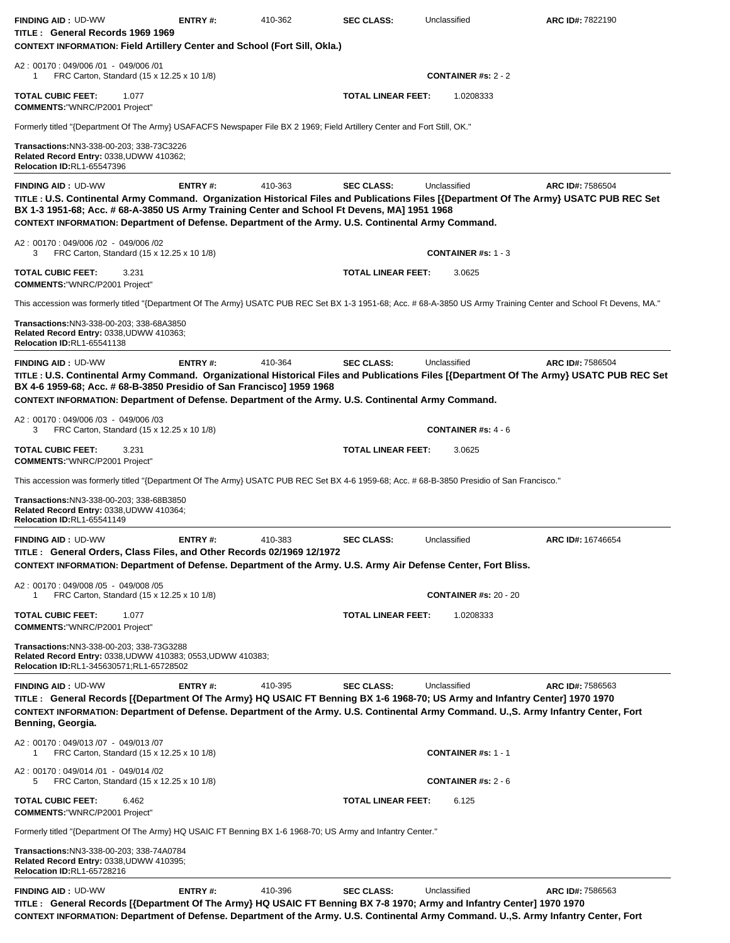| <b>FINDING AID: UD-WW</b><br>TITLE: General Records 1969 1969<br><b>CONTEXT INFORMATION: Field Artillery Center and School (Fort Sill, Okla.)</b>                                                                                                                                                                                                                          | <b>ENTRY#:</b> | 410-362 | <b>SEC CLASS:</b>         | Unclassified                            | ARC ID#: 7822190  |
|----------------------------------------------------------------------------------------------------------------------------------------------------------------------------------------------------------------------------------------------------------------------------------------------------------------------------------------------------------------------------|----------------|---------|---------------------------|-----------------------------------------|-------------------|
| A2: 00170: 049/006 /01 - 049/006 /01<br>FRC Carton, Standard (15 x 12.25 x 10 1/8)<br>1                                                                                                                                                                                                                                                                                    |                |         |                           | <b>CONTAINER #s: 2 - 2</b>              |                   |
| <b>TOTAL CUBIC FEET:</b><br>1.077<br><b>COMMENTS:"WNRC/P2001 Project"</b>                                                                                                                                                                                                                                                                                                  |                |         | <b>TOTAL LINEAR FEET:</b> | 1.0208333                               |                   |
| Formerly titled "{Department Of The Army} USAFACFS Newspaper File BX 2 1969; Field Artillery Center and Fort Still, OK."                                                                                                                                                                                                                                                   |                |         |                           |                                         |                   |
| Transactions: NN3-338-00-203; 338-73C3226<br>Related Record Entry: 0338, UDWW 410362;<br><b>Relocation ID:RL1-65547396</b>                                                                                                                                                                                                                                                 |                |         |                           |                                         |                   |
| <b>FINDING AID: UD-WW</b><br>TITLE : U.S. Continental Army Command. Organization Historical Files and Publications Files [{Department Of The Army} USATC PUB REC Set<br>BX 1-3 1951-68; Acc. # 68-A-3850 US Army Training Center and School Ft Devens, MA] 1951 1968<br>CONTEXT INFORMATION: Department of Defense. Department of the Army. U.S. Continental Army Command. | ENTRY#:        | 410-363 | <b>SEC CLASS:</b>         | Unclassified                            | ARC ID#: 7586504  |
| A2: 00170: 049/006 /02 - 049/006 /02<br>FRC Carton, Standard (15 x 12.25 x 10 1/8)<br>3                                                                                                                                                                                                                                                                                    |                |         |                           | <b>CONTAINER #s: 1 - 3</b>              |                   |
| <b>TOTAL CUBIC FEET:</b><br>3.231<br><b>COMMENTS: "WNRC/P2001 Project"</b>                                                                                                                                                                                                                                                                                                 |                |         | <b>TOTAL LINEAR FEET:</b> | 3.0625                                  |                   |
| This accession was formerly titled "{Department Of The Army} USATC PUB REC Set BX 1-3 1951-68; Acc. # 68-A-3850 US Army Training Center and School Ft Devens, MA."                                                                                                                                                                                                         |                |         |                           |                                         |                   |
| Transactions: NN3-338-00-203; 338-68A3850<br>Related Record Entry: 0338, UDWW 410363;<br><b>Relocation ID:RL1-65541138</b>                                                                                                                                                                                                                                                 |                |         |                           |                                         |                   |
| <b>FINDING AID: UD-WW</b><br>TITLE : U.S. Continental Army Command. Organizational Historical Files and Publications Files [{Department Of The Army} USATC PUB REC Set<br>BX 4-6 1959-68; Acc. # 68-B-3850 Presidio of San Francisco] 1959 1968<br>CONTEXT INFORMATION: Department of Defense. Department of the Army. U.S. Continental Army Command.                      | ENTRY#:        | 410-364 | <b>SEC CLASS:</b>         | Unclassified                            | ARC ID#: 7586504  |
| A2: 00170: 049/006 /03 - 049/006 /03<br>FRC Carton, Standard (15 x 12.25 x 10 1/8)<br>3                                                                                                                                                                                                                                                                                    |                |         |                           | <b>CONTAINER #s: <math>4 - 6</math></b> |                   |
| <b>TOTAL CUBIC FEET:</b><br>3.231<br><b>COMMENTS: "WNRC/P2001 Project"</b>                                                                                                                                                                                                                                                                                                 |                |         | <b>TOTAL LINEAR FEET:</b> | 3.0625                                  |                   |
| This accession was formerly titled "{Department Of The Army} USATC PUB REC Set BX 4-6 1959-68; Acc. # 68-B-3850 Presidio of San Francisco."                                                                                                                                                                                                                                |                |         |                           |                                         |                   |
| Transactions: NN3-338-00-203; 338-68B3850<br>Related Record Entry: 0338, UDWW 410364;<br><b>Relocation ID:RL1-65541149</b>                                                                                                                                                                                                                                                 |                |         |                           |                                         |                   |
| <b>FINDING AID: UD-WW</b><br>TITLE: General Orders, Class Files, and Other Records 02/1969 12/1972<br>CONTEXT INFORMATION: Department of Defense. Department of the Army. U.S. Army Air Defense Center, Fort Bliss.                                                                                                                                                        | ENTRY#:        | 410-383 | <b>SEC CLASS:</b>         | Unclassified                            | ARC ID#: 16746654 |
| A2: 00170: 049/008 /05 - 049/008 /05<br>FRC Carton, Standard (15 x 12.25 x 10 1/8)<br>-1                                                                                                                                                                                                                                                                                   |                |         |                           | <b>CONTAINER #s: 20 - 20</b>            |                   |
| <b>TOTAL CUBIC FEET:</b><br>1.077<br><b>COMMENTS: "WNRC/P2001 Project"</b>                                                                                                                                                                                                                                                                                                 |                |         | <b>TOTAL LINEAR FEET:</b> | 1.0208333                               |                   |
| Transactions: NN3-338-00-203; 338-73G3288<br>Related Record Entry: 0338, UDWW 410383; 0553, UDWW 410383;<br>Relocation ID:RL1-345630571;RL1-65728502                                                                                                                                                                                                                       |                |         |                           |                                         |                   |
| <b>FINDING AID: UD-WW</b><br>TITLE: General Records [{Department Of The Army} HQ USAIC FT Benning BX 1-6 1968-70; US Army and Infantry Center] 1970 1970<br>CONTEXT INFORMATION: Department of Defense. Department of the Army. U.S. Continental Army Command. U.,S. Army Infantry Center, Fort<br>Benning, Georgia.                                                       | <b>ENTRY#:</b> | 410-395 | <b>SEC CLASS:</b>         | Unclassified                            | ARC ID#: 7586563  |
| A2: 00170: 049/013/07 - 049/013/07<br>FRC Carton, Standard (15 x 12.25 x 10 1/8)<br>1                                                                                                                                                                                                                                                                                      |                |         |                           | <b>CONTAINER #s: 1 - 1</b>              |                   |
| A2: 00170: 049/014 /01 - 049/014 /02<br>FRC Carton, Standard (15 x 12.25 x 10 1/8)<br>5                                                                                                                                                                                                                                                                                    |                |         |                           | <b>CONTAINER #s: 2 - 6</b>              |                   |
| <b>TOTAL CUBIC FEET:</b><br>6.462<br><b>COMMENTS: "WNRC/P2001 Project"</b>                                                                                                                                                                                                                                                                                                 |                |         | <b>TOTAL LINEAR FEET:</b> | 6.125                                   |                   |
| Formerly titled "{Department Of The Army} HQ USAIC FT Benning BX 1-6 1968-70; US Army and Infantry Center."                                                                                                                                                                                                                                                                |                |         |                           |                                         |                   |
| Transactions:NN3-338-00-203; 338-74A0784<br>Related Record Entry: 0338, UDWW 410395;<br><b>Relocation ID:RL1-65728216</b>                                                                                                                                                                                                                                                  |                |         |                           |                                         |                   |
| <b>FINDING AID: UD-WW</b><br>TITLE: General Records [{Department Of The Army} HQ USAIC FT Benning BX 7-8 1970; Army and Infantry Center] 1970 1970<br>CONTEVT INFORMATION: Donartmont of Defense, Department of the Army II.S. Continental Army Command II.S. Army Infantry Conter. Fort                                                                                   | <b>ENTRY#:</b> | 410-396 | <b>SEC CLASS:</b>         | Unclassified                            | ARC ID#: 7586563  |

EXT INFORMATION: Department of Defense. Department of the Army. U.S. Continental Army Command. U.,S. Army Infantry Center, Fort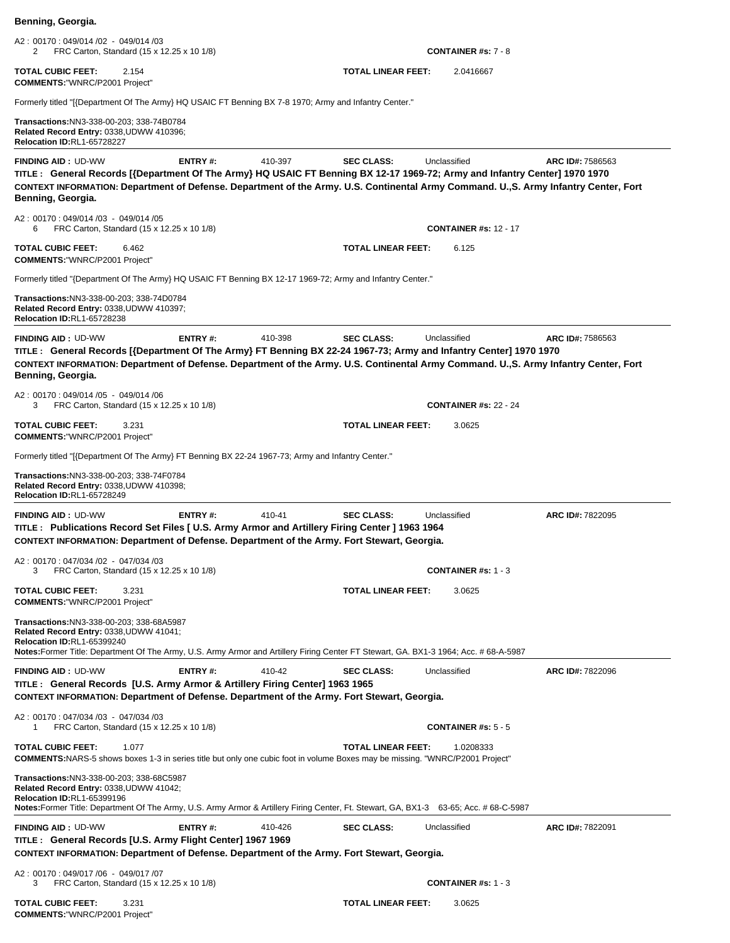| Benning, Georgia.                                                                                                                                                                                                                                                                                                   |                |         |                           |                                         |                  |
|---------------------------------------------------------------------------------------------------------------------------------------------------------------------------------------------------------------------------------------------------------------------------------------------------------------------|----------------|---------|---------------------------|-----------------------------------------|------------------|
| A2: 00170: 049/014 /02 - 049/014 /03<br>FRC Carton, Standard (15 x 12.25 x 10 1/8)<br>2                                                                                                                                                                                                                             |                |         |                           | <b>CONTAINER #s: 7 - 8</b>              |                  |
| <b>TOTAL CUBIC FEET:</b><br>2.154<br><b>COMMENTS: "WNRC/P2001 Project"</b>                                                                                                                                                                                                                                          |                |         | <b>TOTAL LINEAR FEET:</b> | 2.0416667                               |                  |
| Formerly titled "[{Department Of The Army} HQ USAIC FT Benning BX 7-8 1970; Army and Infantry Center."                                                                                                                                                                                                              |                |         |                           |                                         |                  |
| Transactions:NN3-338-00-203; 338-74B0784<br>Related Record Entry: 0338, UDWW 410396;<br><b>Relocation ID:RL1-65728227</b>                                                                                                                                                                                           |                |         |                           |                                         |                  |
| <b>FINDING AID: UD-WW</b><br>TITLE: General Records [{Department Of The Army} HQ USAIC FT Benning BX 12-17 1969-72; Army and Infantry Center] 1970 1970<br>CONTEXT INFORMATION: Department of Defense. Department of the Army. U.S. Continental Army Command. U.,S. Army Infantry Center, Fort<br>Benning, Georgia. | <b>ENTRY#:</b> | 410-397 | <b>SEC CLASS:</b>         | Unclassified                            | ARC ID#: 7586563 |
| A2: 00170: 049/014 /03 - 049/014 /05<br>FRC Carton, Standard (15 x 12.25 x 10 1/8)<br>6                                                                                                                                                                                                                             |                |         |                           | <b>CONTAINER #s: 12 - 17</b>            |                  |
| <b>TOTAL CUBIC FEET:</b><br>6.462<br><b>COMMENTS: "WNRC/P2001 Project"</b>                                                                                                                                                                                                                                          |                |         | <b>TOTAL LINEAR FEET:</b> | 6.125                                   |                  |
| Formerly titled "{Department Of The Army} HQ USAIC FT Benning BX 12-17 1969-72; Army and Infantry Center."                                                                                                                                                                                                          |                |         |                           |                                         |                  |
| Transactions: NN3-338-00-203; 338-74D0784<br>Related Record Entry: 0338, UDWW 410397;<br><b>Relocation ID:RL1-65728238</b>                                                                                                                                                                                          |                |         |                           |                                         |                  |
| <b>FINDING AID: UD-WW</b><br>TITLE: General Records [{Department Of The Army} FT Benning BX 22-24 1967-73; Army and Infantry Center] 1970 1970<br>CONTEXT INFORMATION: Department of Defense. Department of the Army. U.S. Continental Army Command. U.,S. Army Infantry Center, Fort<br>Benning, Georgia.          | <b>ENTRY#:</b> | 410-398 | <b>SEC CLASS:</b>         | Unclassified                            | ARC ID#: 7586563 |
| A2: 00170: 049/014 /05 - 049/014 /06<br>FRC Carton, Standard (15 x 12.25 x 10 1/8)<br>3                                                                                                                                                                                                                             |                |         |                           | <b>CONTAINER #s: 22 - 24</b>            |                  |
| <b>TOTAL CUBIC FEET:</b><br>3.231<br><b>COMMENTS: "WNRC/P2001 Project"</b>                                                                                                                                                                                                                                          |                |         | TOTAL LINEAR FEET:        | 3.0625                                  |                  |
| Formerly titled "[{Department Of The Army} FT Benning BX 22-24 1967-73; Army and Infantry Center."                                                                                                                                                                                                                  |                |         |                           |                                         |                  |
| Transactions: NN3-338-00-203; 338-74F0784<br>Related Record Entry: 0338, UDWW 410398;<br><b>Relocation ID:RL1-65728249</b>                                                                                                                                                                                          |                |         |                           |                                         |                  |
| FINDING AID: UD-WW<br>TITLE: Publications Record Set Files [ U.S. Army Armor and Artillery Firing Center ] 1963 1964<br>CONTEXT INFORMATION: Department of Defense. Department of the Army. Fort Stewart, Georgia.                                                                                                  | <b>ENTRY#:</b> | 410-41  | <b>SEC CLASS:</b>         | Unclassified                            | ARC ID#: 7822095 |
| A2: 00170: 047/034 /02 - 047/034 /03<br>FRC Carton, Standard (15 x 12.25 x 10 1/8)<br>3                                                                                                                                                                                                                             |                |         |                           | <b>CONTAINER</b> #s: $1 - 3$            |                  |
| <b>TOTAL CUBIC FEET:</b><br>3.231<br><b>COMMENTS: "WNRC/P2001 Project"</b>                                                                                                                                                                                                                                          |                |         | TOTAL LINEAR FEET:        | 3.0625                                  |                  |
| Transactions: NN3-338-00-203; 338-68A5987<br>Related Record Entry: 0338, UDWW 41041;<br>Relocation ID:RL1-65399240<br>Notes:Former Title: Department Of The Army, U.S. Army Armor and Artillery Firing Center FT Stewart, GA. BX1-3 1964; Acc. # 68-A-5987                                                          |                |         |                           |                                         |                  |
| <b>FINDING AID: UD-WW</b><br>TITLE: General Records [U.S. Army Armor & Artillery Firing Center] 1963 1965<br>CONTEXT INFORMATION: Department of Defense. Department of the Army. Fort Stewart, Georgia.                                                                                                             | ENTRY#:        | 410-42  | <b>SEC CLASS:</b>         | Unclassified                            | ARC ID#: 7822096 |
| A2: 00170: 047/034 /03 - 047/034 /03<br>FRC Carton, Standard (15 x 12.25 x 10 1/8)<br>1                                                                                                                                                                                                                             |                |         |                           | <b>CONTAINER #s: <math>5 - 5</math></b> |                  |
| TOTAL CUBIC FEET:<br>1.077<br><b>COMMENTS:</b> NARS-5 shows boxes 1-3 in series title but only one cubic foot in volume Boxes may be missing. "WNRC/P2001 Project"                                                                                                                                                  |                |         | <b>TOTAL LINEAR FEET:</b> | 1.0208333                               |                  |
| Transactions: NN3-338-00-203; 338-68C5987<br>Related Record Entry: 0338, UDWW 41042;<br>Relocation ID:RL1-65399196<br>Notes:Former Title: Department Of The Army, U.S. Army Armor & Artillery Firing Center, Ft. Stewart, GA, BX1-3 63-65; Acc. #68-C-5987                                                          |                |         |                           |                                         |                  |
| <b>FINDING AID: UD-WW</b><br>TITLE : General Records [U.S. Army Flight Center] 1967 1969                                                                                                                                                                                                                            | <b>ENTRY#:</b> | 410-426 | <b>SEC CLASS:</b>         | Unclassified                            | ARC ID#: 7822091 |
| CONTEXT INFORMATION: Department of Defense. Department of the Army. Fort Stewart, Georgia.<br>A2: 00170: 049/017 /06 - 049/017 /07                                                                                                                                                                                  |                |         |                           |                                         |                  |
| FRC Carton, Standard (15 x 12.25 x 10 1/8)<br>3<br><b>TOTAL CUBIC FEET:</b><br>3.231                                                                                                                                                                                                                                |                |         | TOTAL LINEAR FEET:        | <b>CONTAINER</b> #s: $1 - 3$<br>3.0625  |                  |

**COMMENTS:**"WNRC/P2001 Project"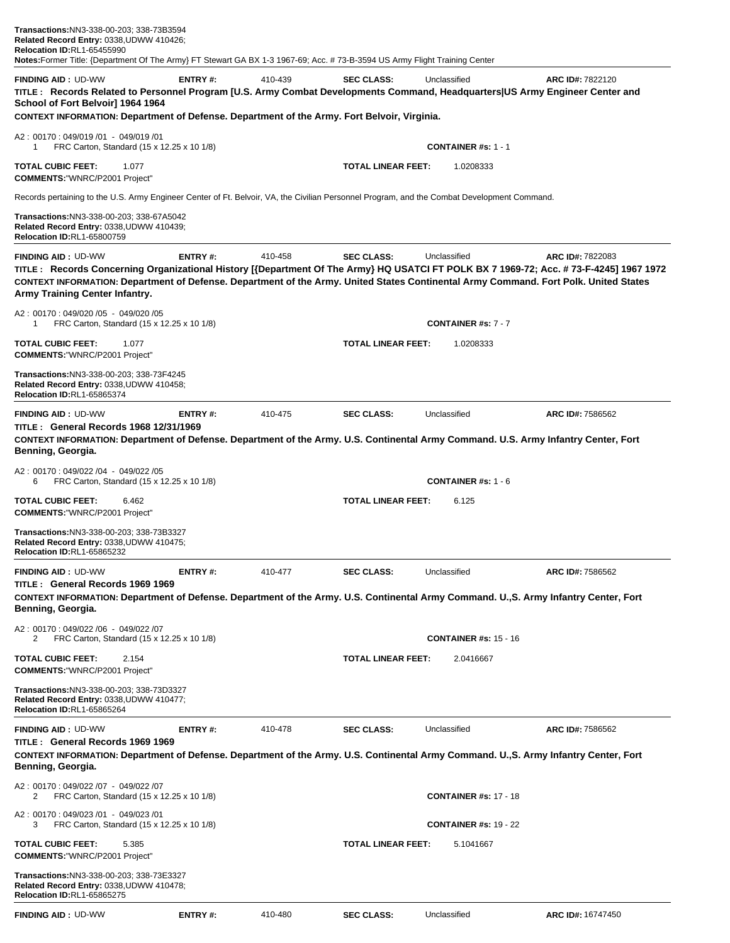| Transactions:NN3-338-00-203; 338-73B3594<br>Related Record Entry: 0338,UDWW 410426;<br>Relocation ID:RL1-65455990<br>Notes:Former Title: {Department Of The Army} FT Stewart GA BX 1-3 1967-69; Acc. # 73-B-3594 US Army Flight Training Center                                                                                               |                |         |                           |                              |                         |
|-----------------------------------------------------------------------------------------------------------------------------------------------------------------------------------------------------------------------------------------------------------------------------------------------------------------------------------------------|----------------|---------|---------------------------|------------------------------|-------------------------|
| <b>FINDING AID: UD-WW</b><br>TITLE: Records Related to Personnel Program [U.S. Army Combat Developments Command, Headquarters US Army Engineer Center and<br>School of Fort Belvoir] 1964 1964<br>CONTEXT INFORMATION: Department of Defense. Department of the Army. Fort Belvoir, Virginia.                                                 | ENTRY#:        | 410-439 | <b>SEC CLASS:</b>         | Unclassified                 | ARC ID#: 7822120        |
| A2: 00170: 049/019 /01 - 049/019 /01<br>FRC Carton, Standard (15 x 12.25 x 10 1/8)<br>1                                                                                                                                                                                                                                                       |                |         |                           | <b>CONTAINER #s: 1 - 1</b>   |                         |
| <b>TOTAL CUBIC FEET:</b><br>1.077<br><b>COMMENTS: "WNRC/P2001 Project"</b>                                                                                                                                                                                                                                                                    |                |         | <b>TOTAL LINEAR FEET:</b> | 1.0208333                    |                         |
| Records pertaining to the U.S. Army Engineer Center of Ft. Belvoir, VA, the Civilian Personnel Program, and the Combat Development Command.                                                                                                                                                                                                   |                |         |                           |                              |                         |
| Transactions: NN3-338-00-203; 338-67A5042<br>Related Record Entry: 0338,UDWW 410439;<br><b>Relocation ID:RL1-65800759</b>                                                                                                                                                                                                                     |                |         |                           |                              |                         |
| <b>FINDING AID: UD-WW</b><br>TITLE: Records Concerning Organizational History [{Department Of The Army} HQ USATCI FT POLK BX 7 1969-72; Acc. # 73-F-4245] 1967 1972<br>CONTEXT INFORMATION: Department of Defense. Department of the Army. United States Continental Army Command. Fort Polk. United States<br>Army Training Center Infantry. | ENTRY#:        | 410-458 | <b>SEC CLASS:</b>         | Unclassified                 | <b>ARC ID#: 7822083</b> |
| A2: 00170: 049/020 /05 - 049/020 /05<br>FRC Carton, Standard (15 x 12.25 x 10 1/8)<br>1                                                                                                                                                                                                                                                       |                |         |                           | <b>CONTAINER #s: 7 - 7</b>   |                         |
| <b>TOTAL CUBIC FEET:</b><br>1.077<br><b>COMMENTS:"WNRC/P2001 Project"</b>                                                                                                                                                                                                                                                                     |                |         | <b>TOTAL LINEAR FEET:</b> | 1.0208333                    |                         |
| Transactions:NN3-338-00-203; 338-73F4245<br>Related Record Entry: 0338, UDWW 410458;<br><b>Relocation ID:RL1-65865374</b>                                                                                                                                                                                                                     |                |         |                           |                              |                         |
| <b>FINDING AID: UD-WW</b><br><b>TITLE: General Records 1968 12/31/1969</b><br>CONTEXT INFORMATION: Department of Defense. Department of the Army. U.S. Continental Army Command. U.S. Army Infantry Center, Fort<br>Benning, Georgia.                                                                                                         | ENTRY#:        | 410-475 | <b>SEC CLASS:</b>         | Unclassified                 | ARC ID#: 7586562        |
| A2: 00170: 049/022 /04 - 049/022 /05<br>FRC Carton, Standard (15 x 12.25 x 10 1/8)<br>6                                                                                                                                                                                                                                                       |                |         |                           | <b>CONTAINER #s: 1 - 6</b>   |                         |
| <b>TOTAL CUBIC FEET:</b><br>6.462<br><b>COMMENTS: "WNRC/P2001 Project"</b>                                                                                                                                                                                                                                                                    |                |         | <b>TOTAL LINEAR FEET:</b> | 6.125                        |                         |
| <b>Transactions:</b> NN3-338-00-203; 338-73B3327<br>Related Record Entry: 0338, UDWW 410475;<br>Relocation ID:RL1-65865232                                                                                                                                                                                                                    |                |         |                           |                              |                         |
| <b>FINDING AID: UD-WW</b><br>TITLE: General Records 1969 1969                                                                                                                                                                                                                                                                                 | <b>ENTRY#:</b> | 410-477 | <b>SEC CLASS:</b>         | Unclassified                 | ARC ID#: 7586562        |
| CONTEXT INFORMATION: Department of Defense. Department of the Army. U.S. Continental Army Command. U.S. Army Infantry Center, Fort<br>Benning, Georgia.                                                                                                                                                                                       |                |         |                           |                              |                         |
| A2: 00170: 049/022 /06 - 049/022 /07<br>FRC Carton, Standard (15 x 12.25 x 10 1/8)<br>2                                                                                                                                                                                                                                                       |                |         |                           | <b>CONTAINER #s: 15 - 16</b> |                         |
| <b>TOTAL CUBIC FEET:</b><br>2.154<br><b>COMMENTS: "WNRC/P2001 Project"</b>                                                                                                                                                                                                                                                                    |                |         | <b>TOTAL LINEAR FEET:</b> | 2.0416667                    |                         |
| Transactions:NN3-338-00-203; 338-73D3327<br>Related Record Entry: 0338,UDWW 410477;<br>Relocation ID:RL1-65865264                                                                                                                                                                                                                             |                |         |                           |                              |                         |
| <b>FINDING AID: UD-WW</b><br>TITLE: General Records 1969 1969<br>CONTEXT INFORMATION: Department of Defense. Department of the Army. U.S. Continental Army Command. U.,S. Army Infantry Center, Fort<br>Benning, Georgia.                                                                                                                     | ENTRY#:        | 410-478 | <b>SEC CLASS:</b>         | Unclassified                 | ARC ID#: 7586562        |
| A2: 00170: 049/022 /07 - 049/022 /07<br>FRC Carton, Standard (15 x 12.25 x 10 1/8)<br>2                                                                                                                                                                                                                                                       |                |         |                           | <b>CONTAINER #s: 17 - 18</b> |                         |
| A2: 00170: 049/023 /01 - 049/023 /01<br>FRC Carton, Standard (15 x 12.25 x 10 1/8)<br>3                                                                                                                                                                                                                                                       |                |         |                           | <b>CONTAINER #s: 19 - 22</b> |                         |
| <b>TOTAL CUBIC FEET:</b><br>5.385<br><b>COMMENTS: "WNRC/P2001 Project"</b>                                                                                                                                                                                                                                                                    |                |         | <b>TOTAL LINEAR FEET:</b> | 5.1041667                    |                         |
| Transactions:NN3-338-00-203; 338-73E3327<br>Related Record Entry: 0338,UDWW 410478;<br>Relocation ID:RL1-65865275                                                                                                                                                                                                                             |                |         |                           |                              |                         |
| <b>FINDING AID: UD-WW</b>                                                                                                                                                                                                                                                                                                                     | ENTRY#:        | 410-480 | <b>SEC CLASS:</b>         | Unclassified                 | ARC ID#: 16747450       |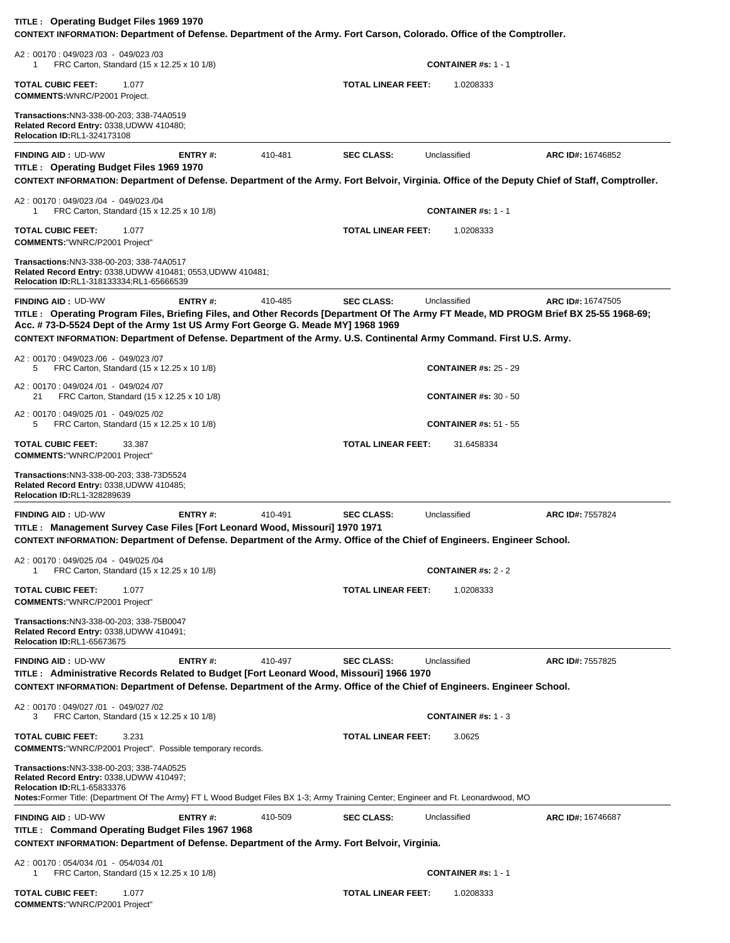| TITLE: Operating Budget Files 1969 1970<br>CONTEXT INFORMATION: Department of Defense. Department of the Army. Fort Carson, Colorado. Office of the Comptroller.                                                                                                  |                |         |                           |                              |                   |
|-------------------------------------------------------------------------------------------------------------------------------------------------------------------------------------------------------------------------------------------------------------------|----------------|---------|---------------------------|------------------------------|-------------------|
| A2: 00170: 049/023 /03 - 049/023 /03<br>FRC Carton, Standard (15 x 12.25 x 10 1/8)<br>1                                                                                                                                                                           |                |         |                           | <b>CONTAINER #s: 1 - 1</b>   |                   |
| <b>TOTAL CUBIC FEET:</b><br>1.077<br><b>COMMENTS: WNRC/P2001 Project.</b>                                                                                                                                                                                         |                |         | <b>TOTAL LINEAR FEET:</b> | 1.0208333                    |                   |
| Transactions: NN3-338-00-203; 338-74A0519<br>Related Record Entry: 0338, UDWW 410480;<br><b>Relocation ID:RL1-324173108</b>                                                                                                                                       |                |         |                           |                              |                   |
| <b>FINDING AID: UD-WW</b><br>TITLE: Operating Budget Files 1969 1970                                                                                                                                                                                              | ENTRY#:        | 410-481 | <b>SEC CLASS:</b>         | Unclassified                 | ARC ID#: 16746852 |
| CONTEXT INFORMATION: Department of Defense. Department of the Army. Fort Belvoir, Virginia. Office of the Deputy Chief of Staff, Comptroller.                                                                                                                     |                |         |                           |                              |                   |
| A2: 00170: 049/023 /04 - 049/023 /04<br>FRC Carton, Standard (15 x 12.25 x 10 1/8)<br>1                                                                                                                                                                           |                |         |                           | <b>CONTAINER #s: 1 - 1</b>   |                   |
| <b>TOTAL CUBIC FEET:</b><br>1.077<br><b>COMMENTS: "WNRC/P2001 Project"</b>                                                                                                                                                                                        |                |         | <b>TOTAL LINEAR FEET:</b> | 1.0208333                    |                   |
| Transactions:NN3-338-00-203; 338-74A0517<br>Related Record Entry: 0338, UDWW 410481; 0553, UDWW 410481;<br>Relocation ID:RL1-318133334;RL1-65666539                                                                                                               |                |         |                           |                              |                   |
| <b>FINDING AID: UD-WW</b><br>TITLE: Operating Program Files, Briefing Files, and Other Records [Department Of The Army FT Meade, MD PROGM Brief BX 25-55 1968-69;<br>Acc. #73-D-5524 Dept of the Army 1st US Army Fort George G. Meade MY] 1968 1969              | <b>ENTRY#:</b> | 410-485 | <b>SEC CLASS:</b>         | Unclassified                 | ARC ID#: 16747505 |
| CONTEXT INFORMATION: Department of Defense. Department of the Army. U.S. Continental Army Command. First U.S. Army.                                                                                                                                               |                |         |                           |                              |                   |
| A2: 00170: 049/023 /06 - 049/023 /07<br>FRC Carton, Standard (15 x 12.25 x 10 1/8)<br>5                                                                                                                                                                           |                |         |                           | <b>CONTAINER #s: 25 - 29</b> |                   |
| A2: 00170: 049/024 /01 - 049/024 /07<br>FRC Carton, Standard (15 x 12.25 x 10 1/8)<br>21                                                                                                                                                                          |                |         |                           | <b>CONTAINER #s: 30 - 50</b> |                   |
| A2: 00170: 049/025 /01 - 049/025 /02<br>5<br>FRC Carton, Standard (15 x 12.25 x 10 1/8)                                                                                                                                                                           |                |         |                           | <b>CONTAINER #s: 51 - 55</b> |                   |
| <b>TOTAL CUBIC FEET:</b><br>33.387<br><b>COMMENTS: "WNRC/P2001 Project"</b>                                                                                                                                                                                       |                |         | <b>TOTAL LINEAR FEET:</b> | 31.6458334                   |                   |
| Transactions:NN3-338-00-203; 338-73D5524<br>Related Record Entry: 0338, UDWW 410485;<br>Relocation ID:RL1-328289639                                                                                                                                               |                |         |                           |                              |                   |
| <b>FINDING AID: UD-WW</b><br>TITLE: Management Survey Case Files [Fort Leonard Wood, Missouri] 1970 1971<br>CONTEXT INFORMATION: Department of Defense. Department of the Army. Office of the Chief of Engineers. Engineer School.                                | ENTRY#:        | 410-491 | <b>SEC CLASS:</b>         | Unclassified                 | ARC ID#: 7557824  |
| A2: 00170: 049/025 /04 - 049/025 /04<br>FRC Carton, Standard (15 x 12.25 x 10 1/8)                                                                                                                                                                                |                |         |                           | CONTAINER #s: $2 - 2$        |                   |
| <b>TOTAL CUBIC FEET:</b><br>1.077<br><b>COMMENTS: "WNRC/P2001 Project"</b>                                                                                                                                                                                        |                |         | <b>TOTAL LINEAR FEET:</b> | 1.0208333                    |                   |
| Transactions:NN3-338-00-203; 338-75B0047<br>Related Record Entry: 0338, UDWW 410491;<br><b>Relocation ID:RL1-65673675</b>                                                                                                                                         |                |         |                           |                              |                   |
| <b>FINDING AID: UD-WW</b><br>TITLE: Administrative Records Related to Budget [Fort Leonard Wood, Missouri] 1966 1970<br>CONTEXT INFORMATION: Department of Defense. Department of the Army. Office of the Chief of Engineers. Engineer School.                    | ENTRY#:        | 410-497 | <b>SEC CLASS:</b>         | Unclassified                 | ARC ID#: 7557825  |
| A2: 00170: 049/027 /01 - 049/027 /02<br>3<br>FRC Carton, Standard (15 x 12.25 x 10 1/8)                                                                                                                                                                           |                |         |                           | <b>CONTAINER #s: 1 - 3</b>   |                   |
| 3.231<br><b>TOTAL CUBIC FEET:</b><br><b>COMMENTS: "WNRC/P2001 Project". Possible temporary records.</b>                                                                                                                                                           |                |         | <b>TOTAL LINEAR FEET:</b> | 3.0625                       |                   |
| Transactions: NN3-338-00-203; 338-74A0525<br>Related Record Entry: 0338, UDWW 410497;<br><b>Relocation ID:RL1-65833376</b><br>Notes: Former Title: {Department Of The Army} FT L Wood Budget Files BX 1-3; Army Training Center; Engineer and Ft. Leonardwood, MO |                |         |                           |                              |                   |
| <b>FINDING AID: UD-WW</b>                                                                                                                                                                                                                                         | <b>ENTRY#:</b> | 410-509 | <b>SEC CLASS:</b>         | Unclassified                 | ARC ID#: 16746687 |
| TITLE: Command Operating Budget Files 1967 1968                                                                                                                                                                                                                   |                |         |                           |                              |                   |
| CONTEXT INFORMATION: Department of Defense. Department of the Army. Fort Belvoir, Virginia.                                                                                                                                                                       |                |         |                           |                              |                   |
| A2: 00170: 054/034 /01 - 054/034 /01<br>FRC Carton, Standard (15 x 12.25 x 10 1/8)<br>1                                                                                                                                                                           |                |         |                           | <b>CONTAINER #s: 1 - 1</b>   |                   |
| <b>TOTAL CUBIC FEET:</b><br>1.077<br><b>COMMENTS: "WNRC/P2001 Project"</b>                                                                                                                                                                                        |                |         | <b>TOTAL LINEAR FEET:</b> | 1.0208333                    |                   |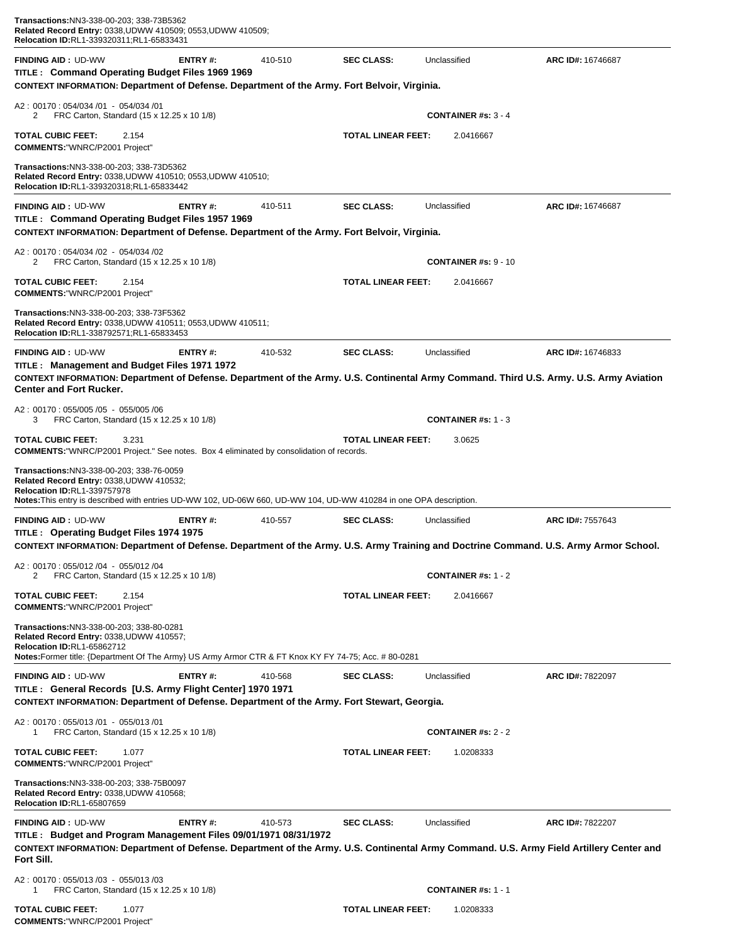| Transactions:NN3-338-00-203; 338-73B5362<br>Related Record Entry: 0338, UDWW 410509; 0553, UDWW 410509;<br>Relocation ID:RL1-339320311;RL1-65833431                                                                                                                                                                                                                               |                |         |                           |                             |                                                                                                                                                             |
|-----------------------------------------------------------------------------------------------------------------------------------------------------------------------------------------------------------------------------------------------------------------------------------------------------------------------------------------------------------------------------------|----------------|---------|---------------------------|-----------------------------|-------------------------------------------------------------------------------------------------------------------------------------------------------------|
| <b>FINDING AID: UD-WW</b><br>TITLE: Command Operating Budget Files 1969 1969<br>CONTEXT INFORMATION: Department of Defense. Department of the Army. Fort Belvoir, Virginia.                                                                                                                                                                                                       | <b>ENTRY#:</b> | 410-510 | <b>SEC CLASS:</b>         | Unclassified                | ARC ID#: 16746687                                                                                                                                           |
| A2: 00170: 054/034 /01 - 054/034 /01<br>FRC Carton, Standard (15 x 12.25 x 10 1/8)<br>2                                                                                                                                                                                                                                                                                           |                |         |                           | <b>CONTAINER #s: 3 - 4</b>  |                                                                                                                                                             |
| TOTAL CUBIC FEET:<br>2.154<br><b>COMMENTS: "WNRC/P2001 Project"</b>                                                                                                                                                                                                                                                                                                               |                |         | <b>TOTAL LINEAR FEET:</b> | 2.0416667                   |                                                                                                                                                             |
| Transactions:NN3-338-00-203; 338-73D5362<br>Related Record Entry: 0338, UDWW 410510; 0553, UDWW 410510;<br>Relocation ID:RL1-339320318;RL1-65833442                                                                                                                                                                                                                               |                |         |                           |                             |                                                                                                                                                             |
| <b>FINDING AID: UD-WW</b><br>TITLE: Command Operating Budget Files 1957 1969<br>CONTEXT INFORMATION: Department of Defense. Department of the Army. Fort Belvoir, Virginia.                                                                                                                                                                                                       | ENTRY#:        | 410-511 | <b>SEC CLASS:</b>         | Unclassified                | ARC ID#: 16746687                                                                                                                                           |
| A2: 00170: 054/034 /02 - 054/034 /02<br>FRC Carton, Standard (15 x 12.25 x 10 1/8)<br>2                                                                                                                                                                                                                                                                                           |                |         |                           | <b>CONTAINER #s: 9 - 10</b> |                                                                                                                                                             |
| TOTAL CUBIC FEET:<br>2.154<br><b>COMMENTS: "WNRC/P2001 Project"</b>                                                                                                                                                                                                                                                                                                               |                |         | <b>TOTAL LINEAR FEET:</b> | 2.0416667                   |                                                                                                                                                             |
| Transactions:NN3-338-00-203; 338-73F5362<br>Related Record Entry: 0338, UDWW 410511; 0553, UDWW 410511;<br>Relocation ID:RL1-338792571;RL1-65833453                                                                                                                                                                                                                               |                |         |                           |                             |                                                                                                                                                             |
| <b>FINDING AID: UD-WW</b><br>TITLE: Management and Budget Files 1971 1972                                                                                                                                                                                                                                                                                                         | ENTRY#:        | 410-532 | <b>SEC CLASS:</b>         | Unclassified                | ARC ID#: 16746833<br>CONTEXT INFORMATION: Department of Defense. Department of the Army. U.S. Continental Army Command. Third U.S. Army. U.S. Army Aviation |
| <b>Center and Fort Rucker.</b>                                                                                                                                                                                                                                                                                                                                                    |                |         |                           |                             |                                                                                                                                                             |
| A2: 00170: 055/005 /05 - 055/005 /06<br>FRC Carton, Standard (15 x 12.25 x 10 1/8)<br>3                                                                                                                                                                                                                                                                                           |                |         |                           | <b>CONTAINER #s: 1 - 3</b>  |                                                                                                                                                             |
| TOTAL CUBIC FEET:<br>3.231<br><b>COMMENTS:</b> "WNRC/P2001 Project." See notes. Box 4 eliminated by consolidation of records.<br>Transactions:NN3-338-00-203; 338-76-0059<br>Related Record Entry: 0338, UDWW 410532;<br><b>Relocation ID:RL1-339757978</b><br>Notes: This entry is described with entries UD-WW 102, UD-06W 660, UD-WW 104, UD-WW 410284 in one OPA description. |                |         | <b>TOTAL LINEAR FEET:</b> | 3.0625                      |                                                                                                                                                             |
| <b>FINDING AID: UD-WW</b><br>TITLE: Operating Budget Files 1974 1975                                                                                                                                                                                                                                                                                                              | ENTRY#:        | 410-557 | <b>SEC CLASS:</b>         | Unclassified                | ARC ID#: 7557643<br>CONTEXT INFORMATION: Department of Defense. Department of the Army. U.S. Army Training and Doctrine Command. U.S. Army Armor School.    |
| A2: 00170: 055/012 /04 - 055/012 /04<br>FRC Carton, Standard (15 x 12.25 x 10 1/8)<br>2                                                                                                                                                                                                                                                                                           |                |         |                           | CONTAINER #s: $1 - 2$       |                                                                                                                                                             |
| <b>TOTAL CUBIC FEET:</b><br>2.154<br><b>COMMENTS: "WNRC/P2001 Project"</b>                                                                                                                                                                                                                                                                                                        |                |         | <b>TOTAL LINEAR FEET:</b> | 2.0416667                   |                                                                                                                                                             |
| Transactions:NN3-338-00-203; 338-80-0281<br>Related Record Entry: 0338, UDWW 410557;<br>Relocation ID:RL1-65862712<br>Notes: Former title: {Department Of The Army} US Army Armor CTR & FT Knox KY FY 74-75; Acc. # 80-0281                                                                                                                                                       |                |         |                           |                             |                                                                                                                                                             |
| <b>FINDING AID: UD-WW</b><br>TITLE : General Records [U.S. Army Flight Center] 1970 1971<br>CONTEXT INFORMATION: Department of Defense. Department of the Army. Fort Stewart, Georgia.                                                                                                                                                                                            | ENTRY#:        | 410-568 | <b>SEC CLASS:</b>         | Unclassified                | ARC ID#: 7822097                                                                                                                                            |
| A2: 00170: 055/013 /01 - 055/013 /01<br>FRC Carton, Standard (15 x 12.25 x 10 1/8)<br>1                                                                                                                                                                                                                                                                                           |                |         |                           | <b>CONTAINER #s: 2 - 2</b>  |                                                                                                                                                             |
| <b>TOTAL CUBIC FEET:</b><br>1.077<br><b>COMMENTS:"WNRC/P2001 Project"</b>                                                                                                                                                                                                                                                                                                         |                |         | <b>TOTAL LINEAR FEET:</b> | 1.0208333                   |                                                                                                                                                             |
| Transactions:NN3-338-00-203; 338-75B0097<br>Related Record Entry: 0338, UDWW 410568;<br><b>Relocation ID:RL1-65807659</b>                                                                                                                                                                                                                                                         |                |         |                           |                             |                                                                                                                                                             |
| <b>FINDING AID: UD-WW</b><br>TITLE: Budget and Program Management Files 09/01/1971 08/31/1972<br>Fort Sill.                                                                                                                                                                                                                                                                       | ENTRY#:        | 410-573 | <b>SEC CLASS:</b>         | Unclassified                | ARC ID#: 7822207<br>CONTEXT INFORMATION: Department of Defense. Department of the Army. U.S. Continental Army Command. U.S. Army Field Artillery Center and |
| A2: 00170: 055/013 /03 - 055/013 /03<br>FRC Carton, Standard (15 x 12.25 x 10 1/8)<br>1                                                                                                                                                                                                                                                                                           |                |         |                           | <b>CONTAINER #s: 1 - 1</b>  |                                                                                                                                                             |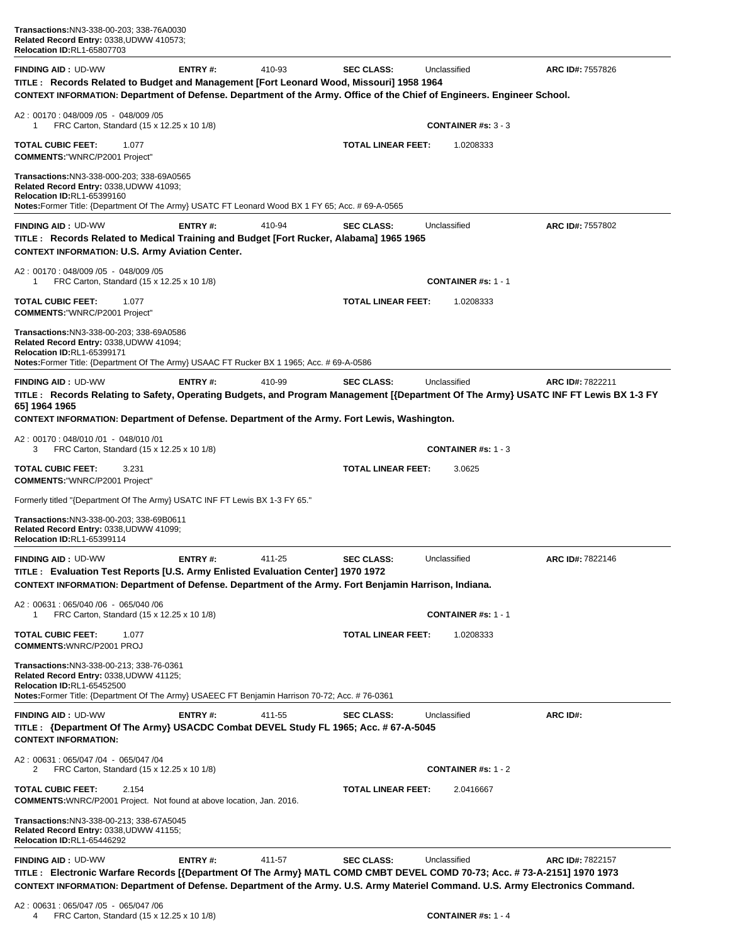| <b>FINDING AID: UD-WW</b>                                                                                                                                                                                                    | ENTRY#:        | 410-93 | <b>SEC CLASS:</b>         | Unclassified               | ARC ID#: 7557826        |
|------------------------------------------------------------------------------------------------------------------------------------------------------------------------------------------------------------------------------|----------------|--------|---------------------------|----------------------------|-------------------------|
| TITLE: Records Related to Budget and Management [Fort Leonard Wood, Missouri] 1958 1964<br>CONTEXT INFORMATION: Department of Defense. Department of the Army. Office of the Chief of Engineers. Engineer School.            |                |        |                           |                            |                         |
| A2: 00170: 048/009 /05 - 048/009 /05<br>FRC Carton, Standard (15 x 12.25 x 10 1/8)<br>1                                                                                                                                      |                |        |                           | <b>CONTAINER #s: 3 - 3</b> |                         |
| <b>TOTAL CUBIC FEET:</b><br>1.077<br><b>COMMENTS: "WNRC/P2001 Project"</b>                                                                                                                                                   |                |        | <b>TOTAL LINEAR FEET:</b> | 1.0208333                  |                         |
| <b>Transactions:NN3-338-000-203; 338-69A0565</b><br>Related Record Entry: 0338, UDWW 41093;<br>Relocation ID:RL1-65399160<br>Notes:Former Title: {Department Of The Army} USATC FT Leonard Wood BX 1 FY 65; Acc. # 69-A-0565 |                |        |                           |                            |                         |
|                                                                                                                                                                                                                              |                |        |                           |                            |                         |
| <b>FINDING AID: UD-WW</b><br>TITLE: Records Related to Medical Training and Budget [Fort Rucker, Alabama] 1965 1965<br><b>CONTEXT INFORMATION: U.S. Army Aviation Center.</b>                                                | <b>ENTRY#:</b> | 410-94 | <b>SEC CLASS:</b>         | Unclassified               | ARC ID#: 7557802        |
| A2: 00170: 048/009 /05 - 048/009 /05<br>FRC Carton, Standard (15 x 12.25 x 10 1/8)<br>1                                                                                                                                      |                |        |                           | <b>CONTAINER #s: 1 - 1</b> |                         |
| TOTAL CUBIC FEET:<br>1.077<br><b>COMMENTS: "WNRC/P2001 Project"</b>                                                                                                                                                          |                |        | <b>TOTAL LINEAR FEET:</b> | 1.0208333                  |                         |
| Transactions:NN3-338-00-203; 338-69A0586<br>Related Record Entry: 0338, UDWW 41094;<br>Relocation ID:RL1-65399171<br>Notes:Former Title: {Department Of The Army} USAAC FT Rucker BX 1 1965; Acc. # 69-A-0586                |                |        |                           |                            |                         |
| <b>FINDING AID: UD-WW</b>                                                                                                                                                                                                    | ENTRY#:        | 410-99 | <b>SEC CLASS:</b>         | Unclassified               | ARC ID#: 7822211        |
| TITLE: Records Relating to Safety, Operating Budgets, and Program Management [{Department Of The Army} USATC INF FT Lewis BX 1-3 FY<br>65] 1964 1965                                                                         |                |        |                           |                            |                         |
| CONTEXT INFORMATION: Department of Defense. Department of the Army. Fort Lewis, Washington.                                                                                                                                  |                |        |                           |                            |                         |
| A2: 00170: 048/010 /01 - 048/010 /01<br>FRC Carton, Standard (15 x 12.25 x 10 1/8)<br>3                                                                                                                                      |                |        |                           | <b>CONTAINER #s: 1 - 3</b> |                         |
| <b>TOTAL CUBIC FEET:</b><br>3.231<br><b>COMMENTS: "WNRC/P2001 Project"</b>                                                                                                                                                   |                |        | <b>TOTAL LINEAR FEET:</b> | 3.0625                     |                         |
| Formerly titled "{Department Of The Army} USATC INF FT Lewis BX 1-3 FY 65."                                                                                                                                                  |                |        |                           |                            |                         |
| Transactions:NN3-338-00-203; 338-69B0611<br>Related Record Entry: 0338, UDWW 41099;<br>Relocation ID:RL1-65399114                                                                                                            |                |        |                           |                            |                         |
| <b>FINDING AID: UD-WW</b>                                                                                                                                                                                                    | ENTRY#:        | 411-25 | <b>SEC CLASS:</b>         | Unclassified               | ARC ID#: 7822146        |
| TITLE : Evaluation Test Reports [U.S. Army Enlisted Evaluation Center] 1970 1972<br>CONTEXT INFORMATION: Department of Defense. Department of the Army. Fort Benjamin Harrison, Indiana.                                     |                |        |                           |                            |                         |
| A2: 00631: 065/040 /06 - 065/040 /06<br>FRC Carton, Standard (15 x 12.25 x 10 1/8)<br>1                                                                                                                                      |                |        |                           | <b>CONTAINER #s: 1 - 1</b> |                         |
| <b>TOTAL CUBIC FEET:</b><br>1.077<br><b>COMMENTS: WNRC/P2001 PROJ</b>                                                                                                                                                        |                |        | <b>TOTAL LINEAR FEET:</b> | 1.0208333                  |                         |
| Transactions:NN3-338-00-213; 338-76-0361<br>Related Record Entry: 0338, UDWW 41125;<br><b>Relocation ID:RL1-65452500</b><br>Notes:Former Title: {Department Of The Army} USAEEC FT Benjamin Harrison 70-72; Acc. # 76-0361   |                |        |                           |                            |                         |
| <b>FINDING AID: UD-WW</b>                                                                                                                                                                                                    | ENTRY#:        | 411-55 | <b>SEC CLASS:</b>         | Unclassified               | ARC ID#:                |
| TITLE : {Department Of The Army} USACDC Combat DEVEL Study FL 1965; Acc. # 67-A-5045<br><b>CONTEXT INFORMATION:</b>                                                                                                          |                |        |                           |                            |                         |
| A2: 00631: 065/047 /04 - 065/047 /04<br>FRC Carton, Standard (15 x 12.25 x 10 1/8)<br>2                                                                                                                                      |                |        |                           | <b>CONTAINER #s: 1 - 2</b> |                         |
| <b>TOTAL CUBIC FEET:</b><br>2.154<br><b>COMMENTS:</b> WNRC/P2001 Project. Not found at above location, Jan. 2016.                                                                                                            |                |        | <b>TOTAL LINEAR FEET:</b> | 2.0416667                  |                         |
| Transactions: NN3-338-00-213; 338-67A5045<br>Related Record Entry: 0338, UDWW 41155;<br><b>Relocation ID:RL1-65446292</b>                                                                                                    |                |        |                           |                            |                         |
| <b>FINDING AID: UD-WW</b>                                                                                                                                                                                                    | ENTRY#:        | 411-57 | <b>SEC CLASS:</b>         | Unclassified               | <b>ARC ID#: 7822157</b> |
| TITLE : Electronic Warfare Records [{Department Of The Army} MATL COMD CMBT DEVEL COMD 70-73; Acc. # 73-A-2151] 1970 1973                                                                                                    |                |        |                           |                            |                         |
| CONTEXT INFORMATION: Department of Defense. Department of the Army. U.S. Army Materiel Command. U.S. Army Electronics Command.                                                                                               |                |        |                           |                            |                         |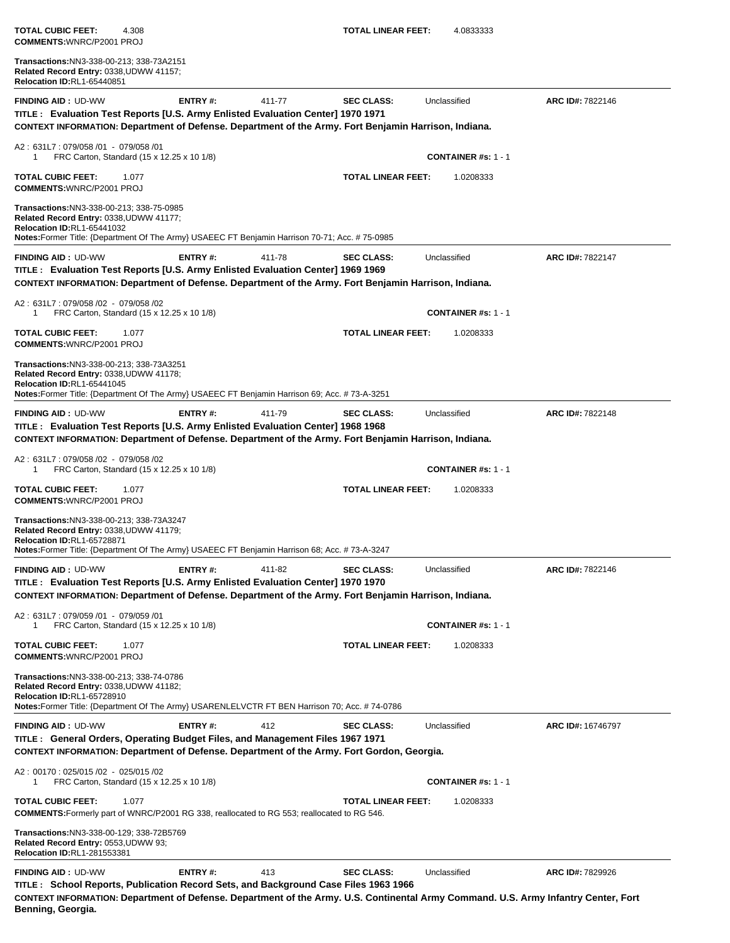**COMMENTS:**WNRC/P2001 PROJ **Transactions:**NN3-338-00-213; 338-73A2151 **Related Record Entry:** 0338,UDWW 41157; **Relocation ID:**RL1-65440851**FINDING AID :** UD-WW **ENTRY #:** 411-77 **SEC CLASS:** Unclassified **ARC ID#:** 7822146 **TITLE : Evaluation Test Reports [U.S. Army Enlisted Evaluation Center] 1970 1971 CONTEXT INFORMATION: Department of Defense. Department of the Army. Fort Benjamin Harrison, Indiana.** A2 : 631L7 : 079/058 /01 - 079/058 /01 1 FRC Carton, Standard (15 x 12.25 x 10 1/8) **CONTAINER #s:** 1 - 1 **TOTAL CUBIC FEET:** 1.077 **TOTAL LINEAR FEET:** 1.0208333 **COMMENTS:**WNRC/P2001 PROJ **Transactions:**NN3-338-00-213; 338-75-0985 **Related Record Entry:** 0338,UDWW 41177; **Relocation ID:**RL1-65441032 **Notes:**Former Title: {Department Of The Army} USAEEC FT Benjamin Harrison 70-71; Acc. # 75-0985**FINDING AID :** UD-WW **ENTRY #:** 411-78 **SEC CLASS:** Unclassified **ARC ID#:** 7822147 **TITLE : Evaluation Test Reports [U.S. Army Enlisted Evaluation Center] 1969 1969 CONTEXT INFORMATION: Department of Defense. Department of the Army. Fort Benjamin Harrison, Indiana.** A2 : 631L7 : 079/058 /02 - 079/058 /02 1 FRC Carton, Standard (15 x 12.25 x 10 1/8) **CONTAINER #s:** 1 - 1 **TOTAL CUBIC FEET:** 1.077 **TOTAL LINEAR FEET:** 1.0208333 **COMMENTS:**WNRC/P2001 PROJ **Transactions:**NN3-338-00-213; 338-73A3251 **Related Record Entry:** 0338,UDWW 41178; **Relocation ID:**RL1-65441045 **Notes:**Former Title: {Department Of The Army} USAEEC FT Benjamin Harrison 69; Acc. # 73-A-3251**FINDING AID :** UD-WW **ENTRY #:** 411-79 **SEC CLASS:** Unclassified **ARC ID#:** 7822148 **TITLE : Evaluation Test Reports [U.S. Army Enlisted Evaluation Center] 1968 1968 CONTEXT INFORMATION: Department of Defense. Department of the Army. Fort Benjamin Harrison, Indiana.** A2 : 631L7 : 079/058 /02 - 079/058 /02 1 FRC Carton, Standard (15 x 12.25 x 10 1/8) **CONTAINER #s:** 1 - 1 **TOTAL CUBIC FEET:** 1.077 **TOTAL LINEAR FEET:** 1.0208333 **COMMENTS:**WNRC/P2001 PROJ **Transactions:**NN3-338-00-213; 338-73A3247 **Related Record Entry:** 0338,UDWW 41179; **Relocation ID:**RL1-65728871 **Notes:**Former Title: {Department Of The Army} USAEEC FT Benjamin Harrison 68; Acc. # 73-A-3247**FINDING AID :** UD-WW **ENTRY #:** 411-82 **SEC CLASS:** Unclassified **ARC ID#:** 7822146 **TITLE : Evaluation Test Reports [U.S. Army Enlisted Evaluation Center] 1970 1970 CONTEXT INFORMATION: Department of Defense. Department of the Army. Fort Benjamin Harrison, Indiana.** A2 : 631L7 : 079/059 /01 - 079/059 /01 1 FRC Carton, Standard (15 x 12.25 x 10 1/8) **CONTAINER #s:** 1 - 1 **TOTAL CUBIC FEET:** 1.077 **TOTAL LINEAR FEET:** 1.0208333 **COMMENTS:**WNRC/P2001 PROJ **Transactions:**NN3-338-00-213; 338-74-0786 **Related Record Entry:** 0338,UDWW 41182; **Relocation ID:**RL1-65728910 **Notes:**Former Title: {Department Of The Army} USARENLELVCTR FT BEN Harrison 70; Acc. # 74-0786**FINDING AID :** UD-WW **ENTRY #:** 412 **SEC CLASS:** Unclassified **ARC ID#:** 16746797 **TITLE : General Orders, Operating Budget Files, and Management Files 1967 1971 CONTEXT INFORMATION: Department of Defense. Department of the Army. Fort Gordon, Georgia.** A2 : 00170 : 025/015 /02 - 025/015 /02 1 FRC Carton, Standard (15 x 12.25 x 10 1/8) **CONTAINER #s:** 1 - 1 **TOTAL CUBIC FEET:** 1.077 **TOTAL LINEAR FEET:** 1.0208333 **COMMENTS:**Formerly part of WNRC/P2001 RG 338, reallocated to RG 553; reallocated to RG 546. **Transactions:**NN3-338-00-129; 338-72B5769 **Related Record Entry:** 0553,UDWW 93; **Relocation ID:**RL1-281553381**FINDING AID :** UD-WW **ENTRY #:** 413 **SEC CLASS:** Unclassified **ARC ID#:** 7829926 **TITLE : School Reports, Publication Record Sets, and Background Case Files 1963 1966 CONTEXT INFORMATION: Department of Defense. Department of the Army. U.S. Continental Army Command. U.S. Army Infantry Center, Fort Benning, Georgia.**

**TOTAL CUBIC FEET:** 4.308 **TOTAL LINEAR FEET:** 4.0833333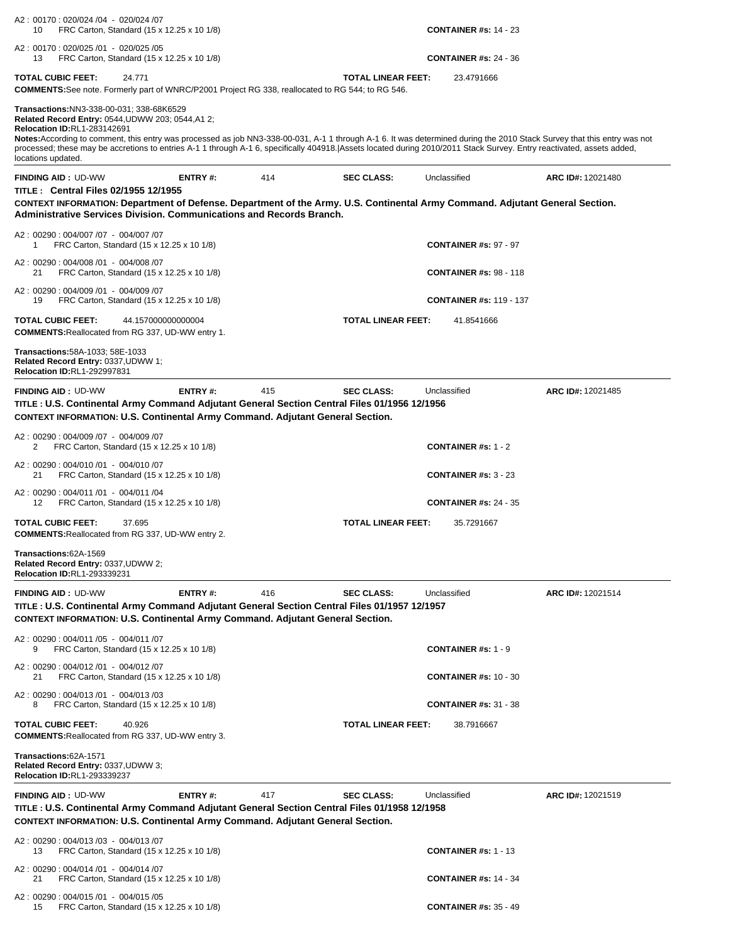| A2: 00170: 020/024 /04 - 020/024 /07<br>FRC Carton, Standard (15 x 12.25 x 10 1/8)<br>10                                                                                                                                                                                                                                                                                                                                                                                                                       |                           | <b>CONTAINER #s: 14 - 23</b>   |                   |
|----------------------------------------------------------------------------------------------------------------------------------------------------------------------------------------------------------------------------------------------------------------------------------------------------------------------------------------------------------------------------------------------------------------------------------------------------------------------------------------------------------------|---------------------------|--------------------------------|-------------------|
| A2: 00170: 020/025 /01 - 020/025 /05<br>FRC Carton, Standard (15 x 12.25 x 10 1/8)<br>13                                                                                                                                                                                                                                                                                                                                                                                                                       |                           | <b>CONTAINER #s: 24 - 36</b>   |                   |
| <b>TOTAL CUBIC FEET:</b><br>24.771<br><b>COMMENTS:</b> See note. Formerly part of WNRC/P2001 Project RG 338, reallocated to RG 544; to RG 546.                                                                                                                                                                                                                                                                                                                                                                 | <b>TOTAL LINEAR FEET:</b> | 23.4791666                     |                   |
| Transactions:NN3-338-00-031; 338-68K6529<br>Related Record Entry: 0544, UDWW 203; 0544, A1 2;<br><b>Relocation ID:RL1-283142691</b><br>Notes:According to comment, this entry was processed as job NN3-338-00-031, A-1 1 through A-1 6. It was determined during the 2010 Stack Survey that this entry was not<br>processed; these may be accretions to entries A-1 1 through A-1 6, specifically 404918. Assets located during 2010/2011 Stack Survey. Entry reactivated, assets added,<br>locations updated. |                           |                                |                   |
| <b>ENTRY#:</b><br>414<br><b>FINDING AID: UD-WW</b><br><b>TITLE: Central Files 02/1955 12/1955</b><br>CONTEXT INFORMATION: Department of Defense. Department of the Army. U.S. Continental Army Command. Adjutant General Section.<br>Administrative Services Division, Communications and Records Branch.                                                                                                                                                                                                      | <b>SEC CLASS:</b>         | Unclassified                   | ARC ID#: 12021480 |
| A2: 00290: 004/007 /07 - 004/007 /07<br>FRC Carton, Standard (15 x 12.25 x 10 1/8)<br>1                                                                                                                                                                                                                                                                                                                                                                                                                        |                           | <b>CONTAINER #s: 97 - 97</b>   |                   |
| A2: 00290: 004/008 /01 - 004/008 /07<br>FRC Carton, Standard (15 x 12.25 x 10 1/8)<br>21                                                                                                                                                                                                                                                                                                                                                                                                                       |                           | <b>CONTAINER #s: 98 - 118</b>  |                   |
| A2: 00290: 004/009 /01 - 004/009 /07<br>FRC Carton, Standard (15 x 12.25 x 10 1/8)<br>19                                                                                                                                                                                                                                                                                                                                                                                                                       |                           | <b>CONTAINER #s: 119 - 137</b> |                   |
| <b>TOTAL CUBIC FEET:</b><br>44.157000000000004<br><b>COMMENTS: Reallocated from RG 337, UD-WW entry 1.</b>                                                                                                                                                                                                                                                                                                                                                                                                     | <b>TOTAL LINEAR FEET:</b> | 41.8541666                     |                   |
| <b>Transactions:</b> 58A-1033; 58E-1033<br>Related Record Entry: 0337, UDWW 1;<br>Relocation ID:RL1-292997831                                                                                                                                                                                                                                                                                                                                                                                                  |                           |                                |                   |
| <b>FINDING AID: UD-WW</b><br>ENTRY#:<br>415<br>TITLE : U.S. Continental Army Command Adjutant General Section Central Files 01/1956 12/1956<br><b>CONTEXT INFORMATION: U.S. Continental Army Command. Adjutant General Section.</b>                                                                                                                                                                                                                                                                            | <b>SEC CLASS:</b>         | Unclassified                   | ARC ID#: 12021485 |
| A2: 00290: 004/009 /07 - 004/009 /07<br>FRC Carton, Standard (15 x 12.25 x 10 1/8)<br>2                                                                                                                                                                                                                                                                                                                                                                                                                        |                           | <b>CONTAINER #s: 1 - 2</b>     |                   |
| A2: 00290: 004/010 /01 - 004/010 /07<br>FRC Carton, Standard (15 x 12.25 x 10 1/8)<br>21                                                                                                                                                                                                                                                                                                                                                                                                                       |                           | <b>CONTAINER #s: 3 - 23</b>    |                   |
| A2: 00290: 004/011 /01 - 004/011 /04<br>FRC Carton, Standard (15 x 12.25 x 10 1/8)<br>12                                                                                                                                                                                                                                                                                                                                                                                                                       |                           | <b>CONTAINER #s: 24 - 35</b>   |                   |
| <b>TOTAL CUBIC FEET:</b><br>37.695<br><b>COMMENTS: Reallocated from RG 337, UD-WW entry 2.</b>                                                                                                                                                                                                                                                                                                                                                                                                                 | <b>TOTAL LINEAR FEET:</b> | 35.7291667                     |                   |
| Transactions:62A-1569<br>Related Record Entry: 0337, UDWW 2;<br><b>Relocation ID:RL1-293339231</b>                                                                                                                                                                                                                                                                                                                                                                                                             |                           |                                |                   |
| <b>FINDING AID: UD-WW</b><br>416<br>ENTRY#:<br>TITLE : U.S. Continental Army Command Adjutant General Section Central Files 01/1957 12/1957<br><b>CONTEXT INFORMATION: U.S. Continental Army Command. Adjutant General Section.</b>                                                                                                                                                                                                                                                                            | <b>SEC CLASS:</b>         | Unclassified                   | ARC ID#: 12021514 |
| A2: 00290: 004/011 /05 - 004/011 /07<br>FRC Carton, Standard (15 x 12.25 x 10 1/8)<br>9                                                                                                                                                                                                                                                                                                                                                                                                                        |                           | <b>CONTAINER #s: 1 - 9</b>     |                   |
| A2: 00290: 004/012 /01 - 004/012 /07<br>FRC Carton, Standard (15 x 12.25 x 10 1/8)<br>21                                                                                                                                                                                                                                                                                                                                                                                                                       |                           | <b>CONTAINER #s: 10 - 30</b>   |                   |
| A2: 00290: 004/013 /01 - 004/013 /03<br>FRC Carton, Standard (15 x 12.25 x 10 1/8)<br>8                                                                                                                                                                                                                                                                                                                                                                                                                        |                           | <b>CONTAINER #s: 31 - 38</b>   |                   |
| <b>TOTAL CUBIC FEET:</b><br>40.926<br><b>COMMENTS: Reallocated from RG 337, UD-WW entry 3.</b>                                                                                                                                                                                                                                                                                                                                                                                                                 | <b>TOTAL LINEAR FEET:</b> | 38.7916667                     |                   |
| Transactions:62A-1571<br>Related Record Entry: 0337, UDWW 3;<br><b>Relocation ID:RL1-293339237</b>                                                                                                                                                                                                                                                                                                                                                                                                             |                           |                                |                   |
| <b>FINDING AID: UD-WW</b><br>ENTRY#:<br>417<br>TITLE : U.S. Continental Army Command Adjutant General Section Central Files 01/1958 12/1958<br><b>CONTEXT INFORMATION: U.S. Continental Army Command. Adjutant General Section.</b>                                                                                                                                                                                                                                                                            | <b>SEC CLASS:</b>         | Unclassified                   | ARC ID#: 12021519 |
| A2: 00290: 004/013 /03 - 004/013 /07<br>FRC Carton, Standard (15 x 12.25 x 10 1/8)<br>13                                                                                                                                                                                                                                                                                                                                                                                                                       |                           | <b>CONTAINER #s: 1 - 13</b>    |                   |
| A2: 00290: 004/014 /01 - 004/014 /07<br>FRC Carton, Standard (15 x 12.25 x 10 1/8)<br>21                                                                                                                                                                                                                                                                                                                                                                                                                       |                           | <b>CONTAINER #s: 14 - 34</b>   |                   |
| A2: 00290: 004/015 /01 - 004/015 /05<br>FRC Carton, Standard (15 x 12.25 x 10 1/8)<br>15                                                                                                                                                                                                                                                                                                                                                                                                                       |                           | <b>CONTAINER #s: 35 - 49</b>   |                   |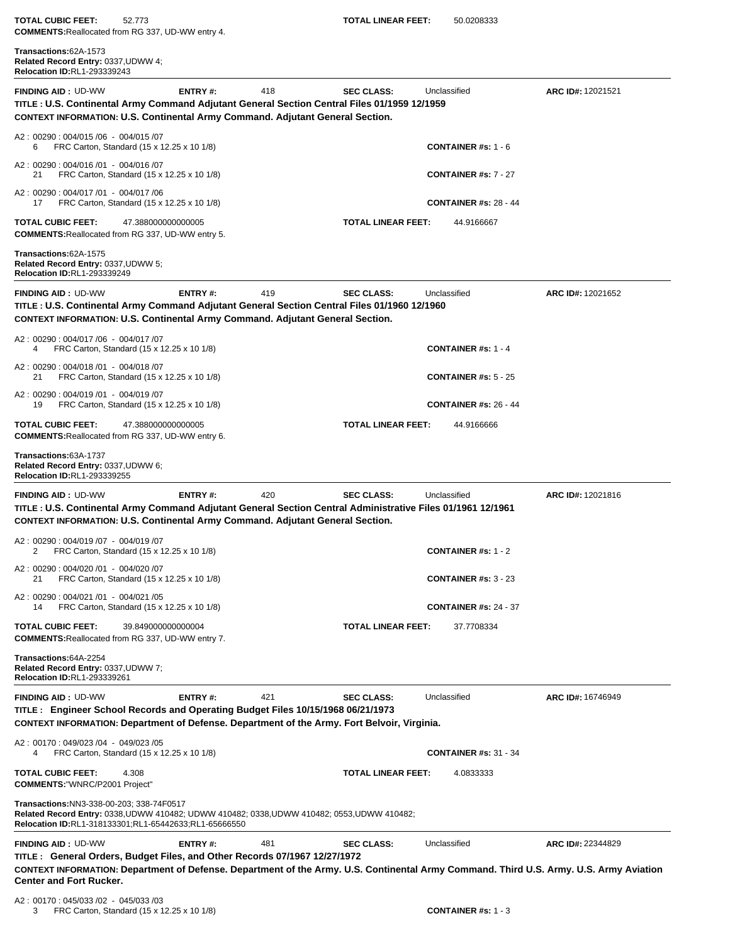**TOTAL CUBIC FEET:** 52.773 **TOTAL LINEAR FEET:** 50.0208333 **COMMENTS:**Reallocated from RG 337, UD-WW entry 4.

| Transactions:62A-1573<br>Related Record Entry: 0337, UDWW 4;<br>Relocation ID:RL1-293339243                                                                                                                                                      |                    |     |                    |                              |                   |
|--------------------------------------------------------------------------------------------------------------------------------------------------------------------------------------------------------------------------------------------------|--------------------|-----|--------------------|------------------------------|-------------------|
| <b>FINDING AID: UD-WW</b><br>TITLE : U.S. Continental Army Command Adjutant General Section Central Files 01/1959 12/1959<br><b>CONTEXT INFORMATION: U.S. Continental Army Command. Adjutant General Section.</b>                                | ENTRY#:            | 418 | <b>SEC CLASS:</b>  | Unclassified                 | ARC ID#: 12021521 |
| A2: 00290: 004/015 /06 - 004/015 /07<br>FRC Carton, Standard (15 x 12.25 x 10 1/8)<br>6                                                                                                                                                          |                    |     |                    | <b>CONTAINER #s: 1 - 6</b>   |                   |
| A2: 00290: 004/016 /01 - 004/016 /07<br>FRC Carton, Standard (15 x 12.25 x 10 1/8)<br>21                                                                                                                                                         |                    |     |                    | <b>CONTAINER #s: 7 - 27</b>  |                   |
| A2: 00290: 004/017 /01 - 004/017 /06<br>FRC Carton, Standard (15 x 12.25 x 10 1/8)<br>17                                                                                                                                                         |                    |     |                    | <b>CONTAINER #s: 28 - 44</b> |                   |
| <b>TOTAL CUBIC FEET:</b><br><b>COMMENTS: Reallocated from RG 337, UD-WW entry 5.</b>                                                                                                                                                             | 47.388000000000005 |     | TOTAL LINEAR FEET: | 44.9166667                   |                   |
| Transactions: 62A-1575<br>Related Record Entry: 0337, UDWW 5;<br><b>Relocation ID:RL1-293339249</b>                                                                                                                                              |                    |     |                    |                              |                   |
| <b>FINDING AID: UD-WW</b><br>TITLE : U.S. Continental Army Command Adjutant General Section Central Files 01/1960 12/1960<br><b>CONTEXT INFORMATION: U.S. Continental Army Command. Adjutant General Section.</b>                                | ENTRY#:            | 419 | <b>SEC CLASS:</b>  | Unclassified                 | ARC ID#: 12021652 |
| A2: 00290: 004/017/06 - 004/017/07<br>FRC Carton, Standard (15 x 12.25 x 10 1/8)<br>4                                                                                                                                                            |                    |     |                    | <b>CONTAINER #s: 1 - 4</b>   |                   |
| A2: 00290: 004/018 /01 - 004/018 /07<br>FRC Carton, Standard (15 x 12.25 x 10 1/8)<br>21                                                                                                                                                         |                    |     |                    | <b>CONTAINER #s: 5 - 25</b>  |                   |
| A2: 00290: 004/019 /01 - 004/019 /07<br>FRC Carton, Standard (15 x 12.25 x 10 1/8)<br>19                                                                                                                                                         |                    |     |                    | <b>CONTAINER #s: 26 - 44</b> |                   |
| <b>TOTAL CUBIC FEET:</b><br><b>COMMENTS: Reallocated from RG 337, UD-WW entry 6.</b>                                                                                                                                                             | 47.388000000000005 |     | TOTAL LINEAR FEET: | 44.9166666                   |                   |
| Transactions:63A-1737<br>Related Record Entry: 0337, UDWW 6;<br>Relocation ID:RL1-293339255                                                                                                                                                      |                    |     |                    |                              |                   |
| <b>FINDING AID: UD-WW</b><br>TITLE : U.S. Continental Army Command Adjutant General Section Central Administrative Files 01/1961 12/1961<br><b>CONTEXT INFORMATION: U.S. Continental Army Command. Adjutant General Section.</b>                 | ENTRY#:            | 420 | <b>SEC CLASS:</b>  | Unclassified                 | ARC ID#: 12021816 |
| A2: 00290: 004/019 /07 - 004/019 /07<br>2<br>FRC Carton, Standard (15 x 12.25 x 10 1/8)                                                                                                                                                          |                    |     |                    | <b>CONTAINER</b> #s: $1 - 2$ |                   |
| A2: 00290: 004/020 /01 - 004/020 /07<br>FRC Carton, Standard (15 x 12.25 x 10 1/8)                                                                                                                                                               |                    |     |                    | <b>CONTAINER #s: 3 - 23</b>  |                   |
| A2: 00290: 004/021 /01 - 004/021 /05<br>FRC Carton, Standard (15 x 12.25 x 10 1/8)<br>14                                                                                                                                                         |                    |     |                    | <b>CONTAINER #s: 24 - 37</b> |                   |
| <b>TOTAL CUBIC FEET:</b><br><b>COMMENTS: Reallocated from RG 337, UD-WW entry 7.</b>                                                                                                                                                             | 39.849000000000004 |     | TOTAL LINEAR FEET: | 37.7708334                   |                   |
| Transactions:64A-2254<br>Related Record Entry: 0337, UDWW 7;<br><b>Relocation ID:RL1-293339261</b>                                                                                                                                               |                    |     |                    |                              |                   |
| <b>FINDING AID: UD-WW</b><br>TITLE: Engineer School Records and Operating Budget Files 10/15/1968 06/21/1973<br>CONTEXT INFORMATION: Department of Defense. Department of the Army. Fort Belvoir, Virginia.                                      | ENTRY#:            | 421 | <b>SEC CLASS:</b>  | Unclassified                 | ARC ID#: 16746949 |
| A2: 00170: 049/023 /04 - 049/023 /05<br>FRC Carton, Standard (15 x 12.25 x 10 1/8)<br>4                                                                                                                                                          |                    |     |                    | <b>CONTAINER #s: 31 - 34</b> |                   |
| <b>TOTAL CUBIC FEET:</b><br>4.308<br><b>COMMENTS: "WNRC/P2001 Project"</b>                                                                                                                                                                       |                    |     | TOTAL LINEAR FEET: | 4.0833333                    |                   |
| Transactions: NN3-338-00-203; 338-74F0517<br>Related Record Entry: 0338, UDWW 410482; UDWW 410482; 0338, UDWW 410482; 0553, UDWW 410482;<br>Relocation ID:RL1-318133301;RL1-65442633;RL1-65666550                                                |                    |     |                    |                              |                   |
| <b>FINDING AID: UD-WW</b><br>TITLE: General Orders, Budget Files, and Other Records 07/1967 12/27/1972<br>CONTEXT INFORMATION: Department of Defense. Department of the Army. U.S. Continental Army Command. Third U.S. Army. U.S. Army Aviation | ENTRY#:            | 481 | <b>SEC CLASS:</b>  | Unclassified                 | ARC ID#: 22344829 |
| <b>Center and Fort Rucker.</b>                                                                                                                                                                                                                   |                    |     |                    |                              |                   |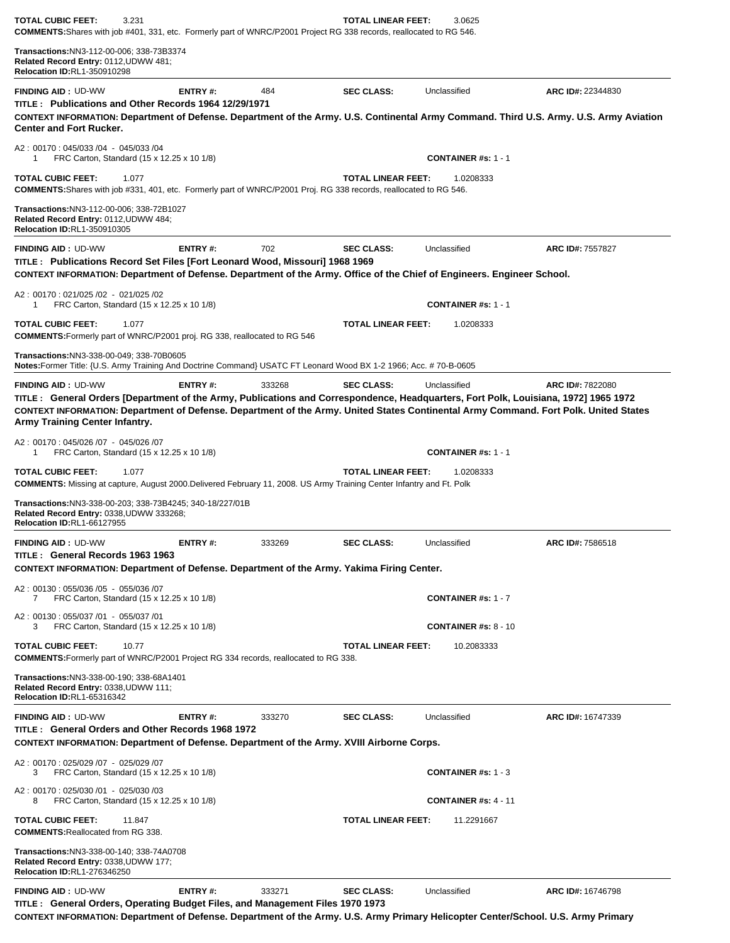| <b>TOTAL CUBIC FEET:</b><br>3.231<br><b>COMMENTS:</b> Shares with job #401, 331, etc. Formerly part of WNRC/P2001 Project RG 338 records, reallocated to RG 546.                                                                                                                                                                           |                |        | <b>TOTAL LINEAR FEET:</b> | 3.0625                                  |                   |
|--------------------------------------------------------------------------------------------------------------------------------------------------------------------------------------------------------------------------------------------------------------------------------------------------------------------------------------------|----------------|--------|---------------------------|-----------------------------------------|-------------------|
| Transactions:NN3-112-00-006; 338-73B3374<br>Related Record Entry: 0112, UDWW 481;<br>Relocation ID:RL1-350910298                                                                                                                                                                                                                           |                |        |                           |                                         |                   |
| <b>FINDING AID: UD-WW</b><br>TITLE: Publications and Other Records 1964 12/29/1971<br>CONTEXT INFORMATION: Department of Defense. Department of the Army. U.S. Continental Army Command. Third U.S. Army. U.S. Army Aviation                                                                                                               | ENTRY#:        | 484    | <b>SEC CLASS:</b>         | Unclassified                            | ARC ID#: 22344830 |
| <b>Center and Fort Rucker.</b><br>A2: 00170: 045/033 /04 - 045/033 /04                                                                                                                                                                                                                                                                     |                |        |                           |                                         |                   |
| FRC Carton, Standard (15 x 12.25 x 10 1/8)<br>1<br><b>TOTAL CUBIC FEET:</b><br>1.077                                                                                                                                                                                                                                                       |                |        | <b>TOTAL LINEAR FEET:</b> | <b>CONTAINER #s: 1 - 1</b><br>1.0208333 |                   |
| COMMENTS: Shares with job #331, 401, etc. Formerly part of WNRC/P2001 Proj. RG 338 records, reallocated to RG 546.                                                                                                                                                                                                                         |                |        |                           |                                         |                   |
| Transactions:NN3-112-00-006; 338-72B1027<br>Related Record Entry: 0112, UDWW 484;<br><b>Relocation ID:RL1-350910305</b>                                                                                                                                                                                                                    |                |        |                           |                                         |                   |
| <b>FINDING AID: UD-WW</b><br>TITLE: Publications Record Set Files [Fort Leonard Wood, Missouri] 1968 1969                                                                                                                                                                                                                                  | ENTRY#:        | 702    | <b>SEC CLASS:</b>         | Unclassified                            | ARC ID#: 7557827  |
| CONTEXT INFORMATION: Department of Defense. Department of the Army. Office of the Chief of Engineers. Engineer School.<br>A2: 00170: 021/025/02 - 021/025/02                                                                                                                                                                               |                |        |                           |                                         |                   |
| FRC Carton, Standard (15 x 12.25 x 10 1/8)<br>1                                                                                                                                                                                                                                                                                            |                |        |                           | <b>CONTAINER #s: 1 - 1</b>              |                   |
| <b>TOTAL CUBIC FEET:</b><br>1.077<br><b>COMMENTS:</b> Formerly part of WNRC/P2001 proj. RG 338, reallocated to RG 546                                                                                                                                                                                                                      |                |        | TOTAL LINEAR FEET:        | 1.0208333                               |                   |
| Transactions:NN3-338-00-049; 338-70B0605<br>Notes:Former Title: {U.S. Army Training And Doctrine Command} USATC FT Leonard Wood BX 1-2 1966; Acc. # 70-B-0605                                                                                                                                                                              |                |        |                           |                                         |                   |
| <b>FINDING AID: UD-WW</b><br>TITLE: General Orders [Department of the Army, Publications and Correspondence, Headquarters, Fort Polk, Louisiana, 1972] 1965 1972<br>CONTEXT INFORMATION: Department of Defense. Department of the Army. United States Continental Army Command. Fort Polk. United States<br>Army Training Center Infantry. | <b>ENTRY#:</b> | 333268 | <b>SEC CLASS:</b>         | Unclassified                            | ARC ID#: 7822080  |
| A2: 00170: 045/026 /07 - 045/026 /07<br>FRC Carton, Standard (15 x 12.25 x 10 1/8)<br>1                                                                                                                                                                                                                                                    |                |        |                           | <b>CONTAINER #s: 1 - 1</b>              |                   |
| <b>TOTAL CUBIC FEET:</b><br>1.077<br>COMMENTS: Missing at capture, August 2000.Delivered February 11, 2008. US Army Training Center Infantry and Ft. Polk                                                                                                                                                                                  |                |        | <b>TOTAL LINEAR FEET:</b> | 1.0208333                               |                   |
| Transactions:NN3-338-00-203; 338-73B4245; 340-18/227/01B<br>Related Record Entry: 0338, UDWW 333268;<br><b>Relocation ID:RL1-66127955</b>                                                                                                                                                                                                  |                |        |                           |                                         |                   |
| <b>FINDING AID: UD-WW</b><br>TITLE: General Records 1963 1963<br>CONTEXT INFORMATION: Department of Defense. Department of the Army. Yakima Firing Center.                                                                                                                                                                                 | ENTRY#:        | 333269 | <b>SEC CLASS:</b>         | Unclassified                            | ARC ID#: 7586518  |
| A2: 00130: 055/036 /05 - 055/036 /07<br>FRC Carton, Standard (15 x 12.25 x 10 1/8)<br>7                                                                                                                                                                                                                                                    |                |        |                           | CONTAINER #s: 1 - 7                     |                   |
| A2: 00130: 055/037 /01 - 055/037 /01<br>FRC Carton, Standard (15 x 12.25 x 10 1/8)<br>3                                                                                                                                                                                                                                                    |                |        |                           | <b>CONTAINER #s: 8 - 10</b>             |                   |
| <b>TOTAL CUBIC FEET:</b><br>10.77<br>COMMENTS: Formerly part of WNRC/P2001 Project RG 334 records, reallocated to RG 338.                                                                                                                                                                                                                  |                |        | <b>TOTAL LINEAR FEET:</b> | 10.2083333                              |                   |
| <b>Transactions: NN3-338-00-190; 338-68A1401</b><br>Related Record Entry: 0338, UDWW 111;<br>Relocation ID:RL1-65316342                                                                                                                                                                                                                    |                |        |                           |                                         |                   |
| <b>FINDING AID: UD-WW</b><br>TITLE: General Orders and Other Records 1968 1972<br>CONTEXT INFORMATION: Department of Defense. Department of the Army. XVIII Airborne Corps.                                                                                                                                                                | ENTRY#:        | 333270 | <b>SEC CLASS:</b>         | Unclassified                            | ARC ID#: 16747339 |
| A2: 00170: 025/029 /07 - 025/029 /07<br>FRC Carton, Standard (15 x 12.25 x 10 1/8)<br>3                                                                                                                                                                                                                                                    |                |        |                           | <b>CONTAINER</b> #s: $1 - 3$            |                   |
| A2: 00170: 025/030 /01 - 025/030 /03<br>FRC Carton, Standard (15 x 12.25 x 10 1/8)<br>8                                                                                                                                                                                                                                                    |                |        |                           | <b>CONTAINER #s: 4 - 11</b>             |                   |
| TOTAL CUBIC FEET:<br>11.847<br><b>COMMENTS: Reallocated from RG 338.</b>                                                                                                                                                                                                                                                                   |                |        | TOTAL LINEAR FEET:        | 11.2291667                              |                   |
| Transactions:NN3-338-00-140; 338-74A0708<br>Related Record Entry: 0338, UDWW 177;<br>Relocation ID:RL1-276346250                                                                                                                                                                                                                           |                |        |                           |                                         |                   |
| <b>FINDING AID: UD-WW</b><br>TITLE: General Orders, Operating Budget Files, and Management Files 1970 1973                                                                                                                                                                                                                                 | ENTRY#:        | 333271 | <b>SEC CLASS:</b>         | Unclassified                            | ARC ID#: 16746798 |

**CONTEXT INFORMATION: Department of Defense. Department of the Army. U.S. Army Primary Helicopter Center/School. U.S. Army Primary**